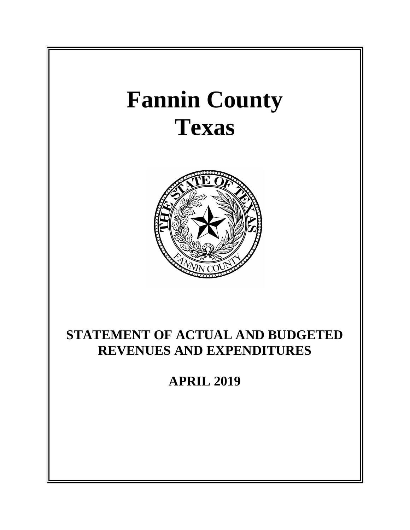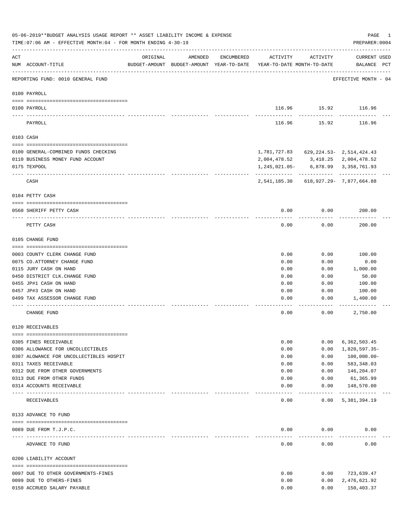|          | 05-06-2019**BUDGET ANALYSIS USAGE REPORT ** ASSET LIABILITY INCOME & EXPENSE<br>TIME: 07:06 AM - EFFECTIVE MONTH: 04 - FOR MONTH ENDING 4-30-19 |          |         |            |                                                                                 |                       | PAGE<br>1<br>PREPARER: 0004        |
|----------|-------------------------------------------------------------------------------------------------------------------------------------------------|----------|---------|------------|---------------------------------------------------------------------------------|-----------------------|------------------------------------|
| ACT      | NUM ACCOUNT-TITLE                                                                                                                               | ORIGINAL | AMENDED | ENCUMBERED | ACTIVITY<br>BUDGET-AMOUNT BUDGET-AMOUNT YEAR-TO-DATE YEAR-TO-DATE MONTH-TO-DATE | ACTIVITY              | <b>CURRENT USED</b><br>BALANCE PCT |
|          | REPORTING FUND: 0010 GENERAL FUND                                                                                                               |          |         |            |                                                                                 |                       | EFFECTIVE MONTH - 04               |
|          | 0100 PAYROLL                                                                                                                                    |          |         |            |                                                                                 |                       |                                    |
| ---- --- | 0100 PAYROLL                                                                                                                                    |          |         |            |                                                                                 | . <u>.</u>            | 116.96 15.92 116.96                |
|          | PAYROLL                                                                                                                                         |          |         |            | 116.96                                                                          | 15.92                 | 116.96                             |
|          | 0103 CASH                                                                                                                                       |          |         |            |                                                                                 |                       |                                    |
|          | 0100 GENERAL-COMBINED FUNDS CHECKING                                                                                                            |          |         |            | 1,781,727.83 629,224.53- 2,514,424.43                                           |                       |                                    |
|          | 0110 BUSINESS MONEY FUND ACCOUNT                                                                                                                |          |         |            | 2,004,478.52 3,418.25 2,004,478.52                                              |                       |                                    |
|          | 0175 TEXPOOL                                                                                                                                    |          |         |            | 1,245,021.05-                                                                   |                       | 6,878.99 3,358,761.93              |
|          | CASH                                                                                                                                            |          |         |            | 2,541,185.30 618,927.29- 7,877,664.88                                           |                       |                                    |
|          | 0104 PETTY CASH                                                                                                                                 |          |         |            |                                                                                 |                       |                                    |
|          | 0560 SHERIFF PETTY CASH                                                                                                                         |          |         |            | 0.00                                                                            | 0.00                  | 200.00                             |
|          | PETTY CASH                                                                                                                                      |          |         |            | 0.00                                                                            | 0.00                  | 200.00                             |
|          | 0105 CHANGE FUND                                                                                                                                |          |         |            |                                                                                 |                       |                                    |
|          |                                                                                                                                                 |          |         |            |                                                                                 |                       |                                    |
|          | 0003 COUNTY CLERK CHANGE FUND                                                                                                                   |          |         |            | 0.00                                                                            | 0.00                  | 100.00                             |
|          | 0075 CO.ATTORNEY CHANGE FUND                                                                                                                    |          |         |            | 0.00                                                                            | 0.00                  | 0.00                               |
|          | 0115 JURY CASH ON HAND<br>0450 DISTRICT CLK. CHANGE FUND                                                                                        |          |         |            | 0.00<br>0.00                                                                    | 0.00<br>0.00          | 1,000.00<br>50.00                  |
|          | 0455 JP#1 CASH ON HAND                                                                                                                          |          |         |            | 0.00                                                                            | 0.00                  | 100.00                             |
|          | 0457 JP#3 CASH ON HAND                                                                                                                          |          |         |            | 0.00                                                                            | 0.00                  | 100.00                             |
|          | 0499 TAX ASSESSOR CHANGE FUND                                                                                                                   |          |         |            | 0.00                                                                            | 0.00                  | 1,400.00                           |
|          |                                                                                                                                                 |          |         |            |                                                                                 |                       |                                    |
|          | CHANGE FUND                                                                                                                                     |          |         |            | 0.00                                                                            | 0.00                  | 2,750.00                           |
|          | 0120 RECEIVABLES                                                                                                                                |          |         |            |                                                                                 |                       |                                    |
|          | 0305 FINES RECEIVABLE                                                                                                                           |          |         |            | 0.00                                                                            | 0.00                  | 6,362,503.45                       |
|          | 0306 ALLOWANCE FOR UNCOLLECTIBLES                                                                                                               |          |         |            | 0.00                                                                            | 0.00                  | 1,820,597.35-                      |
|          | 0307 ALOWANCE FOR UNCOLLECTIBLES HOSPIT                                                                                                         |          |         |            | 0.00                                                                            | 0.00                  | $100,000.00 -$                     |
|          | 0311 TAXES RECEIVABLE                                                                                                                           |          |         |            | 0.00                                                                            | 0.00                  | 583,348.03                         |
|          | 0312 DUE FROM OTHER GOVERNMENTS                                                                                                                 |          |         |            | 0.00                                                                            | 0.00                  | 146,204.07                         |
|          | 0313 DUE FROM OTHER FUNDS                                                                                                                       |          |         |            | 0.00                                                                            | 0.00                  | 61,365.99                          |
|          | 0314 ACCOUNTS RECEIVABLE                                                                                                                        |          |         |            | 0.00                                                                            | 0.00                  | 148,570.00                         |
|          | RECEIVABLES                                                                                                                                     |          |         |            | 0.00                                                                            | $- - - - -$<br>0.00   | ------------<br>5, 381, 394.19     |
|          | 0133 ADVANCE TO FUND                                                                                                                            |          |         |            |                                                                                 |                       |                                    |
|          |                                                                                                                                                 |          |         |            |                                                                                 |                       |                                    |
|          | 0089 DUE FROM T.J.P.C.                                                                                                                          |          |         |            | 0.00<br>-----                                                                   | 0.00<br>$- - - - - -$ | 0.00                               |
|          | ADVANCE TO FUND                                                                                                                                 |          |         |            | 0.00                                                                            | 0.00                  | 0.00                               |
|          | 0200 LIABILITY ACCOUNT                                                                                                                          |          |         |            |                                                                                 |                       |                                    |
|          |                                                                                                                                                 |          |         |            |                                                                                 |                       |                                    |
|          | 0097 DUE TO OTHER GOVERNMENTS-FINES                                                                                                             |          |         |            | 0.00                                                                            | 0.00                  | 723,639.47                         |
|          | 0099 DUE TO OTHERS-FINES                                                                                                                        |          |         |            | 0.00                                                                            | 0.00                  | 2,476,621.92                       |
|          | 0150 ACCRUED SALARY PAYABLE                                                                                                                     |          |         |            | 0.00                                                                            | 0.00                  | 150,403.37                         |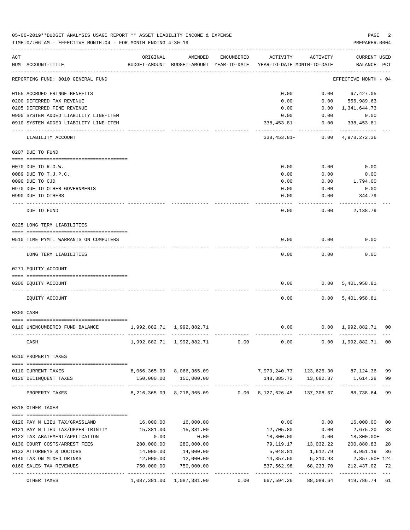|     | 05-06-2019**BUDGET ANALYSIS USAGE REPORT ** ASSET LIABILITY INCOME & EXPENSE<br>TIME: 07:06 AM - EFFECTIVE MONTH: 04 - FOR MONTH ENDING 4-30-19 |                                                      |                                         |            |                                                   |            | PAGE<br>PREPARER: 0004             | 2        |
|-----|-------------------------------------------------------------------------------------------------------------------------------------------------|------------------------------------------------------|-----------------------------------------|------------|---------------------------------------------------|------------|------------------------------------|----------|
| ACT | NUM ACCOUNT-TITLE                                                                                                                               | ORIGINAL<br>BUDGET-AMOUNT BUDGET-AMOUNT YEAR-TO-DATE | AMENDED                                 | ENCUMBERED | ACTIVITY<br>YEAR-TO-DATE MONTH-TO-DATE            | ACTIVITY   | <b>CURRENT USED</b><br>BALANCE PCT |          |
|     | ---------------------------------<br>REPORTING FUND: 0010 GENERAL FUND                                                                          |                                                      |                                         |            |                                                   |            | EFFECTIVE MONTH - 04               |          |
|     | 0155 ACCRUED FRINGE BENEFITS                                                                                                                    |                                                      |                                         |            | 0.00                                              | 0.00       | 67,427.05                          |          |
|     | 0200 DEFERRED TAX REVENUE                                                                                                                       |                                                      |                                         |            | 0.00                                              | 0.00       | 556,989.63                         |          |
|     | 0205 DEFERRED FINE REVENUE                                                                                                                      |                                                      |                                         |            | 0.00                                              | 0.00       | 1,341,644.73                       |          |
|     | 0900 SYSTEM ADDED LIABILITY LINE-ITEM                                                                                                           |                                                      |                                         |            | 0.00                                              | 0.00       | 0.00                               |          |
|     | 0910 SYSTEM ADDED LIABILITY LINE-ITEM                                                                                                           |                                                      |                                         |            | $338, 453.81 -$                                   | 0.00       | $338,453.81-$                      |          |
|     | LIABILITY ACCOUNT                                                                                                                               |                                                      |                                         |            | 338,453.81-                                       |            | 0.00 4,978,272.36                  |          |
|     | 0207 DUE TO FUND                                                                                                                                |                                                      |                                         |            |                                                   |            |                                    |          |
|     | 0070 DUE TO R.O.W.                                                                                                                              |                                                      |                                         |            | 0.00                                              | 0.00       | 0.00                               |          |
|     | 0089 DUE TO T.J.P.C.                                                                                                                            |                                                      |                                         |            | 0.00                                              | 0.00       | 0.00                               |          |
|     | 0090 DUE TO CJD                                                                                                                                 |                                                      |                                         |            | 0.00                                              | 0.00       | 1,794.00                           |          |
|     | 0970 DUE TO OTHER GOVERNMENTS                                                                                                                   |                                                      |                                         |            | 0.00                                              | 0.00       | 0.00                               |          |
|     | 0990 DUE TO OTHERS                                                                                                                              |                                                      |                                         |            | 0.00                                              | 0.00       | 344.79                             |          |
|     | DUE TO FUND                                                                                                                                     |                                                      |                                         |            | 0.00                                              | 0.00       | 2,138.79                           |          |
|     | 0225 LONG TERM LIABILITIES                                                                                                                      |                                                      |                                         |            |                                                   |            |                                    |          |
|     |                                                                                                                                                 |                                                      |                                         |            |                                                   |            |                                    |          |
|     | 0510 TIME PYMT. WARRANTS ON COMPUTERS                                                                                                           |                                                      |                                         |            | 0.00                                              | 0.00       | 0.00                               |          |
|     | LONG TERM LIABILITIES                                                                                                                           |                                                      |                                         |            | 0.00                                              | 0.00       | 0.00                               |          |
|     | 0271 EOUITY ACCOUNT                                                                                                                             |                                                      |                                         |            |                                                   |            |                                    |          |
|     | 0200 EQUITY ACCOUNT                                                                                                                             |                                                      |                                         |            | 0.00                                              |            | 0.00 5,401,958.81                  |          |
|     | EQUITY ACCOUNT                                                                                                                                  |                                                      |                                         |            | 0.00                                              |            | 0.00 5,401,958.81                  |          |
|     | 0300 CASH                                                                                                                                       |                                                      |                                         |            |                                                   |            |                                    |          |
|     | 0110 UNENCUMBERED FUND BALANCE                                                                                                                  | 1,992,882.71 1,992,882.71                            |                                         |            | 0.00                                              |            | $0.00 \quad 1,992,882.71 \quad 00$ |          |
|     |                                                                                                                                                 |                                                      |                                         |            |                                                   |            |                                    |          |
|     | CASH                                                                                                                                            |                                                      | 1,992,882.71 1,992,882.71               | 0.00       | 0.00                                              | 0.00       | 1,992,882.71                       | 00       |
|     | 0310 PROPERTY TAXES                                                                                                                             |                                                      |                                         |            |                                                   |            |                                    |          |
|     |                                                                                                                                                 |                                                      |                                         |            |                                                   |            | 87,124.36                          |          |
|     | 0110 CURRENT TAXES                                                                                                                              | 150,000.00                                           | 8,066,365.09 8,066,365.09<br>150,000.00 |            | 7,979,240.73 123,626.30<br>148,385.72   13,682.37 |            |                                    | 99<br>99 |
|     | 0120 DELINQUENT TAXES                                                                                                                           | --------------                                       | -------------                           |            |                                                   |            | 1,614.28                           | $- - -$  |
|     | PROPERTY TAXES                                                                                                                                  | 8,216,365.09                                         | 8,216,365.09                            | 0.00       | 8,127,626.45                                      | 137,308.67 | 88,738.64                          | 99       |
|     | 0318 OTHER TAXES                                                                                                                                |                                                      |                                         |            |                                                   |            |                                    |          |
|     | 0120 PAY N LIEU TAX/GRASSLAND                                                                                                                   | 16,000.00                                            | 16,000.00                               |            | 0.00                                              | 0.00       | 16,000.00                          | 00       |
|     | 0121 PAY N LIEU TAX/UPPER TRINITY                                                                                                               | 15,381.00                                            | 15,381.00                               |            | 12,705.80                                         | 0.00       | 2,675.20                           | 83       |
|     | 0122 TAX ABATEMENT/APPLICATION                                                                                                                  | 0.00                                                 | 0.00                                    |            | 18,300.00                                         | 0.00       | $18,300.00+$                       |          |
|     | 0130 COURT COSTS/ARREST FEES                                                                                                                    | 280,000.00                                           | 280,000.00                              |            | 79,119.17                                         | 13,032.22  | 200,880.83                         | 28       |
|     | 0132 ATTORNEYS & DOCTORS                                                                                                                        | 14,000.00                                            | 14,000.00                               |            | 5,048.81                                          | 1,612.79   | 8,951.19                           | 36       |
|     | 0140 TAX ON MIXED DRINKS                                                                                                                        | 12,000.00                                            | 12,000.00                               |            | 14,857.50                                         | 5,210.93   | 2,857.50+ 124                      |          |
|     | 0160 SALES TAX REVENUES                                                                                                                         | 750,000.00                                           | 750,000.00                              |            | 537,562.98                                        | 68,233.70  | 212,437.02                         | 72       |
|     | OTHER TAXES                                                                                                                                     | 1,087,381.00                                         | 1,087,381.00                            | 0.00       | 667,594.26                                        | 88,089.64  | 419,786.74 61                      |          |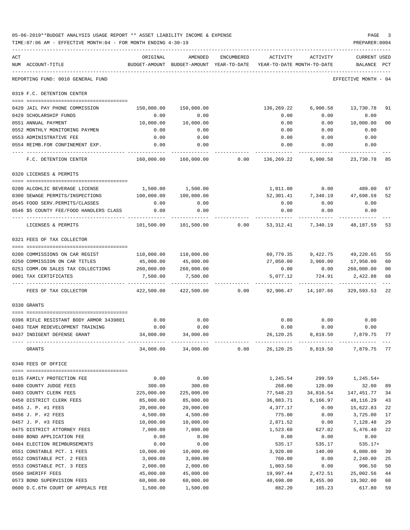|     | 05-06-2019**BUDGET ANALYSIS USAGE REPORT ** ASSET LIABILITY INCOME & EXPENSE<br>TIME: 07:06 AM - EFFECTIVE MONTH: 04 - FOR MONTH ENDING 4-30-19 |            |                                                                                |            |                  |                                      | PAGE<br>PREPARER: 0004         |              |
|-----|-------------------------------------------------------------------------------------------------------------------------------------------------|------------|--------------------------------------------------------------------------------|------------|------------------|--------------------------------------|--------------------------------|--------------|
| ACT | NUM ACCOUNT-TITLE                                                                                                                               | ORIGINAL   | AMENDED<br>BUDGET-AMOUNT BUDGET-AMOUNT YEAR-TO-DATE YEAR-TO-DATE MONTH-TO-DATE | ENCUMBERED | ACTIVITY         | ACTIVITY                             | <b>CURRENT USED</b><br>BALANCE | $_{\rm PCT}$ |
|     | REPORTING FUND: 0010 GENERAL FUND                                                                                                               |            |                                                                                |            |                  |                                      | EFFECTIVE MONTH - 04           |              |
|     | 0319 F.C. DETENTION CENTER                                                                                                                      |            |                                                                                |            |                  |                                      |                                |              |
|     | 0420 JAIL PAY PHONE COMMISSION                                                                                                                  | 150,000.00 | 150,000.00                                                                     |            | 136,269.22       | 6,900.58                             | 13,730.78                      | 91           |
|     | 0429 SCHOLARSHIP FUNDS                                                                                                                          | 0.00       | 0.00                                                                           |            | 0.00             | 0.00                                 | 0.00                           |              |
|     | 0551 ANNUAL PAYMENT                                                                                                                             | 10,000.00  | 10,000.00                                                                      |            | 0.00             | 0.00                                 | 10,000.00                      | 00           |
|     | 0552 MONTHLY MONITORING PAYMEN                                                                                                                  | 0.00       | 0.00                                                                           |            | 0.00             | 0.00                                 | 0.00                           |              |
|     | 0553 ADMINISTRATIVE FEE                                                                                                                         | 0.00       | 0.00                                                                           |            | 0.00             | 0.00                                 | 0.00                           |              |
|     | 0554 REIMB.FOR CONFINEMENT EXP.                                                                                                                 | 0.00       | 0.00                                                                           |            | 0.00             | 0.00                                 | 0.00                           |              |
|     | F.C. DETENTION CENTER                                                                                                                           | 160,000.00 | 160,000.00                                                                     |            | 0.00 136, 269.22 |                                      | 6,900.58 23,730.78 85          |              |
|     | 0320 LICENSES & PERMITS                                                                                                                         |            |                                                                                |            |                  |                                      |                                |              |
|     |                                                                                                                                                 |            |                                                                                |            |                  |                                      |                                |              |
|     | 0200 ALCOHLIC BEVERAGE LICENSE                                                                                                                  |            | 1,500.00 1,500.00                                                              |            |                  |                                      |                                | 67           |
|     | 0300 SEWAGE PERMITS/INSPECTIONS                                                                                                                 | 100,000.00 | 100,000.00                                                                     |            |                  | 52,301.41 7,340.19 47,698.59         |                                | 52           |
|     | 0545 FOOD SERV. PERMITS/CLASSES                                                                                                                 | 0.00       | 0.00                                                                           |            | 0.00             | 0.00                                 | 0.00                           |              |
|     | 0546 \$5 COUNTY FEE/FOOD HANDLERS CLASS                                                                                                         | 0.00       | 0.00                                                                           |            | 0.00             | 0.00                                 | 0.00                           |              |
|     | LICENSES & PERMITS                                                                                                                              | 101,500.00 | 101,500.00                                                                     |            |                  | $0.00$ 53, 312.41 7, 340.19          | 48,187.59                      | -53          |
|     | 0321 FEES OF TAX COLLECTOR                                                                                                                      |            |                                                                                |            |                  |                                      |                                |              |
|     | 0200 COMMISSIONS ON CAR REGIST                                                                                                                  | 110,000.00 | 110,000.00                                                                     |            | 60,779.35        |                                      | 9,422.75 49,220.65             | 55           |
|     | 0250 COMMISSION ON CAR TITLES                                                                                                                   | 45,000.00  | 45,000.00                                                                      |            | 27,050.00        |                                      | 3,960.00 17,950.00             | 60           |
|     | 0251 COMM.ON SALES TAX COLLECTIONS 260,000.00                                                                                                   |            | 260,000.00                                                                     |            | 0.00             | 0.00                                 | 260,000.00                     | 00           |
|     | 0901 TAX CERTIFICATES                                                                                                                           | 7,500.00   | 7,500.00                                                                       |            | 5,077.12         | 724.91                               | 2,422.88                       | 68           |
|     | FEES OF TAX COLLECTOR                                                                                                                           |            | 422,500.00  422,500.00                                                         | 0.00       |                  | 92,906.47  14,107.66  329,593.53  22 |                                |              |
|     | 0330 GRANTS                                                                                                                                     |            |                                                                                |            |                  |                                      |                                |              |
|     | 0396 RIFLE RESISTANT BODY ARMOR 3439801                                                                                                         | 0.00       | 0.00                                                                           |            | 0.00             | 0.00                                 | 0.00                           |              |
|     | 0403 TEAM REDEVELOPMENT TRAINING                                                                                                                | 0.00       | 0.00                                                                           |            | 0.00             | 0.00                                 | 0.00                           |              |
|     | 0437 INDIGENT DEFENSE GRANT                                                                                                                     | 34,000.00  | 34,000.00                                                                      |            | 26,120.25        | 8,819.50                             | 7,879.75 77                    |              |
|     | GRANTS                                                                                                                                          | 34,000.00  | 34,000.00                                                                      | 0.00       | 26,120.25        | 8,819.50                             | 7,879.75                       | 77           |
|     | 0340 FEES OF OFFICE                                                                                                                             |            |                                                                                |            |                  |                                      |                                |              |
|     | 0135 FAMILY PROTECTION FEE                                                                                                                      | 0.00       | 0.00                                                                           |            | 1,245.54         | 299.59                               | 1,245.54+                      |              |
|     | 0400 COUNTY JUDGE FEES                                                                                                                          | 300.00     | 300.00                                                                         |            | 268.00           | 120.00                               | 32.00                          | 89           |
|     | 0403 COUNTY CLERK FEES                                                                                                                          | 225,000.00 | 225,000.00                                                                     |            | 77,548.23        | 34,816.54                            | 147,451.77                     | 34           |
|     | 0450 DISTRICT CLERK FEES                                                                                                                        | 85,000.00  | 85,000.00                                                                      |            | 36,883.71        | 6,166.97                             | 48, 116.29                     | 43           |
|     | 0455 J. P. #1 FEES                                                                                                                              | 20,000.00  | 20,000.00                                                                      |            | 4,377.17         | 0.00                                 | 15,622.83                      | 22           |
|     | 0456 J. P. #2 FEES                                                                                                                              | 4,500.00   | 4,500.00                                                                       |            | 775.00           | 0.00                                 | 3,725.00                       | 17           |
|     | 0457 J. P. #3 FEES                                                                                                                              | 10,000.00  | 10,000.00                                                                      |            | 2,871.52         | 0.00                                 | 7,128.48                       | 29           |
|     | 0475 DISTRICT ATTORNEY FEES                                                                                                                     | 7,000.00   | 7,000.00                                                                       |            | 1,523.60         | 627.02                               | 5,476.40                       | 22           |
|     | 0480 BOND APPLICATION FEE                                                                                                                       | 0.00       | 0.00                                                                           |            | 0.00             | 0.00                                 | 0.00                           |              |
|     | 0484 ELECTION REIMBURSEMENTS                                                                                                                    | 0.00       | 0.00                                                                           |            | 535.17           | 535.17                               | $535.17+$                      |              |
|     | 0551 CONSTABLE PCT. 1 FEES                                                                                                                      | 10,000.00  | 10,000.00                                                                      |            | 3,920.00         | 140.00                               | 6,080.00                       | 39           |
|     | 0552 CONSTABLE PCT. 2 FEES                                                                                                                      | 3,000.00   | 3,000.00                                                                       |            | 760.00           | 0.00                                 | 2,240.00                       | 25           |
|     | 0553 CONSTABLE PCT. 3 FEES                                                                                                                      | 2,000.00   | 2,000.00                                                                       |            | 1,003.50         | 0.00                                 | 996.50                         | 50           |
|     | 0560 SHERIFF FEES                                                                                                                               | 45,000.00  | 45,000.00                                                                      |            | 19,997.44        | 2,472.51                             | 25,002.56                      | 44           |
|     | 0573 BOND SUPERVISION FEES                                                                                                                      | 60,000.00  | 60,000.00                                                                      |            | 40,698.00        | 8,455.00                             | 19,302.00                      | 68           |
|     | 0600 D.C.6TH COURT OF APPEALS FEE                                                                                                               | 1,500.00   | 1,500.00                                                                       |            | 882.20           | 165.23                               | 617.80                         | 59           |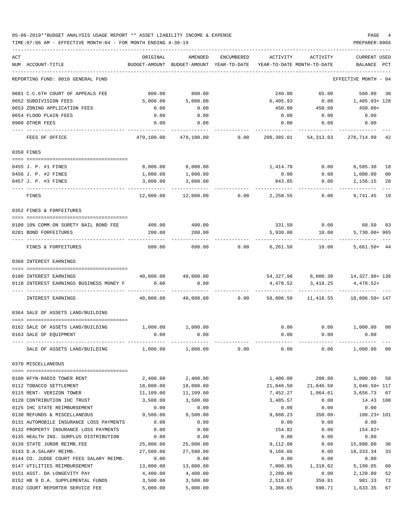### 05-06-2019\*\*BUDGET ANALYSIS USAGE REPORT \*\* ASSET LIABILITY INCOME & EXPENSE PAGE 4 TIME:07:06 AM - EFFECTIVE MONTH:04 - FOR MONTH ENDING 4-30-19 PREPARER:0004

| NUM ACCOUNT-TITLE<br>BUDGET-AMOUNT BUDGET-AMOUNT YEAR-TO-DATE<br>YEAR-TO-DATE MONTH-TO-DATE<br>BALANCE PCT<br>REPORTING FUND: 0010 GENERAL FUND<br>EFFECTIVE MONTH - 04<br>0601 C.C.6TH COURT OF APPEALS FEE<br>800.00<br>800.00<br>240.00<br>65.00<br>560.00<br>30<br>5,000.00<br>6,405.93<br>1,405.93+ 128<br>0652 SUBDIVISION FEES<br>5,000.00<br>0.00<br>0653 ZONING APPLICATION FEES<br>450.00+<br>0.00<br>0.00<br>450.00<br>450.00<br>0654 FLOOD PLAIN FEES<br>0.00<br>0.00<br>0.00<br>0.00<br>0.00<br>0900 OTHER FEES<br>0.00<br>0.00<br>0.00<br>0.00<br>0.00<br>FEES OF OFFICE<br>479,100.00<br>479,100.00<br>0.00<br>200,385.01<br>54,313.03<br>278,714.99<br>42<br>0350 FINES<br>8,000.00<br>8,000.00<br>1,414.70<br>0.00<br>6,585.30<br>18<br>0455 J. P. #1 FINES<br>0456 J. P. #2 FINES<br>1,000.00<br>1,000.00<br>0.00<br>0.00<br>1,000.00<br>0 <sub>0</sub><br>28<br>0457 J. P. #3 FINES<br>3,000.00<br>3,000.00<br>843.85<br>0.00<br>2,156.15<br>12,000.00<br>12,000.00<br>0.00<br>2,258.55<br>0.00<br>19<br>FINES<br>9,741.45<br>0352 FINES & FORFEITURES<br>331.50<br>68.50 83<br>400.00<br>0.00<br>0100 10% COMM.ON SURETY BAIL BOND FEE<br>400.00<br>200.00<br>5,930.00<br>10.00<br>5,730.00+965<br>0201 BOND FORFEITURES<br>200.00<br>FINES & FORFEITURES<br>600.00<br>600.00<br>0.00<br>6,261.50<br>10.00<br>$5,661.50+44$<br>0360 INTEREST EARNINGS<br>40,000.00 40,000.00<br>54,327.98<br>8,000.30  14,327.98+ 136<br>0100 INTEREST EARNINGS<br>0.00<br>0.00<br>4,478.52+<br>0110 INTEREST EARNINGS BUSINESS MONEY F<br>4,478.52<br>3,418.25<br>40,000.00<br>40,000.00<br>18,806.50+ 147<br>INTEREST EARNINGS<br>0.00<br>58,806.50<br>11,418.55<br>0364 SALE OF ASSETS LAND/BUILDING<br>0162 SALE OF ASSETS LAND/BUILDING<br>1,000.00 1,000.00<br>0.00<br>$0.00$ 1,000.00<br>00<br>0163 SALE OF EQUIPMENT<br>0.00<br>0.00<br>0.00<br>0.00<br>0.00<br>1,000.00<br>0.00<br>1,000.00 00<br>SALE OF ASSETS LAND/BUILDING<br>1,000.00<br>0.00<br>0.00<br>0370 MISCELLANEOUS<br>2,400.00<br>2,400.00<br>1,400.00<br>200.00<br>1,000.00<br>0100 KFYN-RADIO TOWER RENT<br>58<br>0112 TOBACCO SETTLEMENT<br>18,000.00<br>18,000.00<br>21,046.50<br>3,046.50+ 117<br>21,046.50<br>0115 RENT- VERIZON TOWER<br>11,109.00<br>11,109.00<br>3,656.73 67<br>7,452.27<br>1,064.61<br>0120 CONTRIBUTION IHC TRUST<br>3,500.00<br>3,500.00<br>3,485.57<br>0.00<br>14.43 100<br>0.00<br>0125 IHC STATE REIMBURSEMENT<br>0.00<br>0.00<br>0.00<br>0.00<br>0130 REFUNDS & MISCELLANEOUS<br>9,500.00<br>9,500.00<br>9,608.23<br>$350.00 -$<br>$108.23 + 101$<br>0.00<br>0131 AUTOMOBILE INSURANCE LOSS PAYMENTS<br>0.00<br>0.00<br>0.00<br>0.00<br>0132 PROPERTY INSURANCE LOSS PAYMENTS<br>0.00<br>0.00<br>154.82<br>0.00<br>$154.82+$<br>0135 HEALTH INS. SURPLUS DISTRIBUTION<br>0.00<br>0.00<br>0.00<br>0.00<br>0.00<br>0139 STATE JUROR REIMB.FEE<br>25,000.00<br>25,000.00<br>9,112.00<br>0.00<br>15,888.00<br>36<br>0143 D.A.SALARY REIMB.<br>27,500.00<br>27,500.00<br>9,166.66<br>18,333.34<br>33<br>0.00<br>0144 CO. JUDGE COURT FEES SALARY REIMB.<br>0.00<br>0.00<br>0.00<br>0.00<br>0.00<br>0147 UTILITIES REIMBURSEMENT<br>13,000.00<br>13,000.00<br>7,800.95<br>1,318.02<br>5,199.05<br>60<br>0151 ASST. DA LONGEVITY PAY<br>4,400.00<br>4,400.00<br>0.00<br>2,120.00<br>2,280.00<br>52<br>0152 HB 9 D.A. SUPPLEMENTAL FUNDS<br>3,500.00<br>3,500.00<br>2,518.67<br>359.81<br>981.33<br>72<br>0162 COURT REPORTER SERVICE FEE<br>5,000.00<br>5,000.00<br>3,366.65<br>690.71<br>1,633.35<br>67 | ACT | ORIGINAL | AMENDED | ENCUMBERED | ACTIVITY | ACTIVITY | <b>CURRENT USED</b> |
|--------------------------------------------------------------------------------------------------------------------------------------------------------------------------------------------------------------------------------------------------------------------------------------------------------------------------------------------------------------------------------------------------------------------------------------------------------------------------------------------------------------------------------------------------------------------------------------------------------------------------------------------------------------------------------------------------------------------------------------------------------------------------------------------------------------------------------------------------------------------------------------------------------------------------------------------------------------------------------------------------------------------------------------------------------------------------------------------------------------------------------------------------------------------------------------------------------------------------------------------------------------------------------------------------------------------------------------------------------------------------------------------------------------------------------------------------------------------------------------------------------------------------------------------------------------------------------------------------------------------------------------------------------------------------------------------------------------------------------------------------------------------------------------------------------------------------------------------------------------------------------------------------------------------------------------------------------------------------------------------------------------------------------------------------------------------------------------------------------------------------------------------------------------------------------------------------------------------------------------------------------------------------------------------------------------------------------------------------------------------------------------------------------------------------------------------------------------------------------------------------------------------------------------------------------------------------------------------------------------------------------------------------------------------------------------------------------------------------------------------------------------------------------------------------------------------------------------------------------------------------------------------------------------------------------------------------------------------------------------------------------------------------------------------------------------------------------------------------------------------------------------------------------------------------------------------------------------------------------------------------------------------------------------------------------------------------------------------------------------------------------------------------------------------------------------------------------------------------------------------------------------|-----|----------|---------|------------|----------|----------|---------------------|
|                                                                                                                                                                                                                                                                                                                                                                                                                                                                                                                                                                                                                                                                                                                                                                                                                                                                                                                                                                                                                                                                                                                                                                                                                                                                                                                                                                                                                                                                                                                                                                                                                                                                                                                                                                                                                                                                                                                                                                                                                                                                                                                                                                                                                                                                                                                                                                                                                                                                                                                                                                                                                                                                                                                                                                                                                                                                                                                                                                                                                                                                                                                                                                                                                                                                                                                                                                                                                                                                                                              |     |          |         |            |          |          |                     |
|                                                                                                                                                                                                                                                                                                                                                                                                                                                                                                                                                                                                                                                                                                                                                                                                                                                                                                                                                                                                                                                                                                                                                                                                                                                                                                                                                                                                                                                                                                                                                                                                                                                                                                                                                                                                                                                                                                                                                                                                                                                                                                                                                                                                                                                                                                                                                                                                                                                                                                                                                                                                                                                                                                                                                                                                                                                                                                                                                                                                                                                                                                                                                                                                                                                                                                                                                                                                                                                                                                              |     |          |         |            |          |          |                     |
|                                                                                                                                                                                                                                                                                                                                                                                                                                                                                                                                                                                                                                                                                                                                                                                                                                                                                                                                                                                                                                                                                                                                                                                                                                                                                                                                                                                                                                                                                                                                                                                                                                                                                                                                                                                                                                                                                                                                                                                                                                                                                                                                                                                                                                                                                                                                                                                                                                                                                                                                                                                                                                                                                                                                                                                                                                                                                                                                                                                                                                                                                                                                                                                                                                                                                                                                                                                                                                                                                                              |     |          |         |            |          |          |                     |
|                                                                                                                                                                                                                                                                                                                                                                                                                                                                                                                                                                                                                                                                                                                                                                                                                                                                                                                                                                                                                                                                                                                                                                                                                                                                                                                                                                                                                                                                                                                                                                                                                                                                                                                                                                                                                                                                                                                                                                                                                                                                                                                                                                                                                                                                                                                                                                                                                                                                                                                                                                                                                                                                                                                                                                                                                                                                                                                                                                                                                                                                                                                                                                                                                                                                                                                                                                                                                                                                                                              |     |          |         |            |          |          |                     |
|                                                                                                                                                                                                                                                                                                                                                                                                                                                                                                                                                                                                                                                                                                                                                                                                                                                                                                                                                                                                                                                                                                                                                                                                                                                                                                                                                                                                                                                                                                                                                                                                                                                                                                                                                                                                                                                                                                                                                                                                                                                                                                                                                                                                                                                                                                                                                                                                                                                                                                                                                                                                                                                                                                                                                                                                                                                                                                                                                                                                                                                                                                                                                                                                                                                                                                                                                                                                                                                                                                              |     |          |         |            |          |          |                     |
|                                                                                                                                                                                                                                                                                                                                                                                                                                                                                                                                                                                                                                                                                                                                                                                                                                                                                                                                                                                                                                                                                                                                                                                                                                                                                                                                                                                                                                                                                                                                                                                                                                                                                                                                                                                                                                                                                                                                                                                                                                                                                                                                                                                                                                                                                                                                                                                                                                                                                                                                                                                                                                                                                                                                                                                                                                                                                                                                                                                                                                                                                                                                                                                                                                                                                                                                                                                                                                                                                                              |     |          |         |            |          |          |                     |
|                                                                                                                                                                                                                                                                                                                                                                                                                                                                                                                                                                                                                                                                                                                                                                                                                                                                                                                                                                                                                                                                                                                                                                                                                                                                                                                                                                                                                                                                                                                                                                                                                                                                                                                                                                                                                                                                                                                                                                                                                                                                                                                                                                                                                                                                                                                                                                                                                                                                                                                                                                                                                                                                                                                                                                                                                                                                                                                                                                                                                                                                                                                                                                                                                                                                                                                                                                                                                                                                                                              |     |          |         |            |          |          |                     |
|                                                                                                                                                                                                                                                                                                                                                                                                                                                                                                                                                                                                                                                                                                                                                                                                                                                                                                                                                                                                                                                                                                                                                                                                                                                                                                                                                                                                                                                                                                                                                                                                                                                                                                                                                                                                                                                                                                                                                                                                                                                                                                                                                                                                                                                                                                                                                                                                                                                                                                                                                                                                                                                                                                                                                                                                                                                                                                                                                                                                                                                                                                                                                                                                                                                                                                                                                                                                                                                                                                              |     |          |         |            |          |          |                     |
|                                                                                                                                                                                                                                                                                                                                                                                                                                                                                                                                                                                                                                                                                                                                                                                                                                                                                                                                                                                                                                                                                                                                                                                                                                                                                                                                                                                                                                                                                                                                                                                                                                                                                                                                                                                                                                                                                                                                                                                                                                                                                                                                                                                                                                                                                                                                                                                                                                                                                                                                                                                                                                                                                                                                                                                                                                                                                                                                                                                                                                                                                                                                                                                                                                                                                                                                                                                                                                                                                                              |     |          |         |            |          |          |                     |
|                                                                                                                                                                                                                                                                                                                                                                                                                                                                                                                                                                                                                                                                                                                                                                                                                                                                                                                                                                                                                                                                                                                                                                                                                                                                                                                                                                                                                                                                                                                                                                                                                                                                                                                                                                                                                                                                                                                                                                                                                                                                                                                                                                                                                                                                                                                                                                                                                                                                                                                                                                                                                                                                                                                                                                                                                                                                                                                                                                                                                                                                                                                                                                                                                                                                                                                                                                                                                                                                                                              |     |          |         |            |          |          |                     |
|                                                                                                                                                                                                                                                                                                                                                                                                                                                                                                                                                                                                                                                                                                                                                                                                                                                                                                                                                                                                                                                                                                                                                                                                                                                                                                                                                                                                                                                                                                                                                                                                                                                                                                                                                                                                                                                                                                                                                                                                                                                                                                                                                                                                                                                                                                                                                                                                                                                                                                                                                                                                                                                                                                                                                                                                                                                                                                                                                                                                                                                                                                                                                                                                                                                                                                                                                                                                                                                                                                              |     |          |         |            |          |          |                     |
|                                                                                                                                                                                                                                                                                                                                                                                                                                                                                                                                                                                                                                                                                                                                                                                                                                                                                                                                                                                                                                                                                                                                                                                                                                                                                                                                                                                                                                                                                                                                                                                                                                                                                                                                                                                                                                                                                                                                                                                                                                                                                                                                                                                                                                                                                                                                                                                                                                                                                                                                                                                                                                                                                                                                                                                                                                                                                                                                                                                                                                                                                                                                                                                                                                                                                                                                                                                                                                                                                                              |     |          |         |            |          |          |                     |
|                                                                                                                                                                                                                                                                                                                                                                                                                                                                                                                                                                                                                                                                                                                                                                                                                                                                                                                                                                                                                                                                                                                                                                                                                                                                                                                                                                                                                                                                                                                                                                                                                                                                                                                                                                                                                                                                                                                                                                                                                                                                                                                                                                                                                                                                                                                                                                                                                                                                                                                                                                                                                                                                                                                                                                                                                                                                                                                                                                                                                                                                                                                                                                                                                                                                                                                                                                                                                                                                                                              |     |          |         |            |          |          |                     |
|                                                                                                                                                                                                                                                                                                                                                                                                                                                                                                                                                                                                                                                                                                                                                                                                                                                                                                                                                                                                                                                                                                                                                                                                                                                                                                                                                                                                                                                                                                                                                                                                                                                                                                                                                                                                                                                                                                                                                                                                                                                                                                                                                                                                                                                                                                                                                                                                                                                                                                                                                                                                                                                                                                                                                                                                                                                                                                                                                                                                                                                                                                                                                                                                                                                                                                                                                                                                                                                                                                              |     |          |         |            |          |          |                     |
|                                                                                                                                                                                                                                                                                                                                                                                                                                                                                                                                                                                                                                                                                                                                                                                                                                                                                                                                                                                                                                                                                                                                                                                                                                                                                                                                                                                                                                                                                                                                                                                                                                                                                                                                                                                                                                                                                                                                                                                                                                                                                                                                                                                                                                                                                                                                                                                                                                                                                                                                                                                                                                                                                                                                                                                                                                                                                                                                                                                                                                                                                                                                                                                                                                                                                                                                                                                                                                                                                                              |     |          |         |            |          |          |                     |
|                                                                                                                                                                                                                                                                                                                                                                                                                                                                                                                                                                                                                                                                                                                                                                                                                                                                                                                                                                                                                                                                                                                                                                                                                                                                                                                                                                                                                                                                                                                                                                                                                                                                                                                                                                                                                                                                                                                                                                                                                                                                                                                                                                                                                                                                                                                                                                                                                                                                                                                                                                                                                                                                                                                                                                                                                                                                                                                                                                                                                                                                                                                                                                                                                                                                                                                                                                                                                                                                                                              |     |          |         |            |          |          |                     |
|                                                                                                                                                                                                                                                                                                                                                                                                                                                                                                                                                                                                                                                                                                                                                                                                                                                                                                                                                                                                                                                                                                                                                                                                                                                                                                                                                                                                                                                                                                                                                                                                                                                                                                                                                                                                                                                                                                                                                                                                                                                                                                                                                                                                                                                                                                                                                                                                                                                                                                                                                                                                                                                                                                                                                                                                                                                                                                                                                                                                                                                                                                                                                                                                                                                                                                                                                                                                                                                                                                              |     |          |         |            |          |          |                     |
|                                                                                                                                                                                                                                                                                                                                                                                                                                                                                                                                                                                                                                                                                                                                                                                                                                                                                                                                                                                                                                                                                                                                                                                                                                                                                                                                                                                                                                                                                                                                                                                                                                                                                                                                                                                                                                                                                                                                                                                                                                                                                                                                                                                                                                                                                                                                                                                                                                                                                                                                                                                                                                                                                                                                                                                                                                                                                                                                                                                                                                                                                                                                                                                                                                                                                                                                                                                                                                                                                                              |     |          |         |            |          |          |                     |
|                                                                                                                                                                                                                                                                                                                                                                                                                                                                                                                                                                                                                                                                                                                                                                                                                                                                                                                                                                                                                                                                                                                                                                                                                                                                                                                                                                                                                                                                                                                                                                                                                                                                                                                                                                                                                                                                                                                                                                                                                                                                                                                                                                                                                                                                                                                                                                                                                                                                                                                                                                                                                                                                                                                                                                                                                                                                                                                                                                                                                                                                                                                                                                                                                                                                                                                                                                                                                                                                                                              |     |          |         |            |          |          |                     |
|                                                                                                                                                                                                                                                                                                                                                                                                                                                                                                                                                                                                                                                                                                                                                                                                                                                                                                                                                                                                                                                                                                                                                                                                                                                                                                                                                                                                                                                                                                                                                                                                                                                                                                                                                                                                                                                                                                                                                                                                                                                                                                                                                                                                                                                                                                                                                                                                                                                                                                                                                                                                                                                                                                                                                                                                                                                                                                                                                                                                                                                                                                                                                                                                                                                                                                                                                                                                                                                                                                              |     |          |         |            |          |          |                     |
|                                                                                                                                                                                                                                                                                                                                                                                                                                                                                                                                                                                                                                                                                                                                                                                                                                                                                                                                                                                                                                                                                                                                                                                                                                                                                                                                                                                                                                                                                                                                                                                                                                                                                                                                                                                                                                                                                                                                                                                                                                                                                                                                                                                                                                                                                                                                                                                                                                                                                                                                                                                                                                                                                                                                                                                                                                                                                                                                                                                                                                                                                                                                                                                                                                                                                                                                                                                                                                                                                                              |     |          |         |            |          |          |                     |
|                                                                                                                                                                                                                                                                                                                                                                                                                                                                                                                                                                                                                                                                                                                                                                                                                                                                                                                                                                                                                                                                                                                                                                                                                                                                                                                                                                                                                                                                                                                                                                                                                                                                                                                                                                                                                                                                                                                                                                                                                                                                                                                                                                                                                                                                                                                                                                                                                                                                                                                                                                                                                                                                                                                                                                                                                                                                                                                                                                                                                                                                                                                                                                                                                                                                                                                                                                                                                                                                                                              |     |          |         |            |          |          |                     |
|                                                                                                                                                                                                                                                                                                                                                                                                                                                                                                                                                                                                                                                                                                                                                                                                                                                                                                                                                                                                                                                                                                                                                                                                                                                                                                                                                                                                                                                                                                                                                                                                                                                                                                                                                                                                                                                                                                                                                                                                                                                                                                                                                                                                                                                                                                                                                                                                                                                                                                                                                                                                                                                                                                                                                                                                                                                                                                                                                                                                                                                                                                                                                                                                                                                                                                                                                                                                                                                                                                              |     |          |         |            |          |          |                     |
|                                                                                                                                                                                                                                                                                                                                                                                                                                                                                                                                                                                                                                                                                                                                                                                                                                                                                                                                                                                                                                                                                                                                                                                                                                                                                                                                                                                                                                                                                                                                                                                                                                                                                                                                                                                                                                                                                                                                                                                                                                                                                                                                                                                                                                                                                                                                                                                                                                                                                                                                                                                                                                                                                                                                                                                                                                                                                                                                                                                                                                                                                                                                                                                                                                                                                                                                                                                                                                                                                                              |     |          |         |            |          |          |                     |
|                                                                                                                                                                                                                                                                                                                                                                                                                                                                                                                                                                                                                                                                                                                                                                                                                                                                                                                                                                                                                                                                                                                                                                                                                                                                                                                                                                                                                                                                                                                                                                                                                                                                                                                                                                                                                                                                                                                                                                                                                                                                                                                                                                                                                                                                                                                                                                                                                                                                                                                                                                                                                                                                                                                                                                                                                                                                                                                                                                                                                                                                                                                                                                                                                                                                                                                                                                                                                                                                                                              |     |          |         |            |          |          |                     |
|                                                                                                                                                                                                                                                                                                                                                                                                                                                                                                                                                                                                                                                                                                                                                                                                                                                                                                                                                                                                                                                                                                                                                                                                                                                                                                                                                                                                                                                                                                                                                                                                                                                                                                                                                                                                                                                                                                                                                                                                                                                                                                                                                                                                                                                                                                                                                                                                                                                                                                                                                                                                                                                                                                                                                                                                                                                                                                                                                                                                                                                                                                                                                                                                                                                                                                                                                                                                                                                                                                              |     |          |         |            |          |          |                     |
|                                                                                                                                                                                                                                                                                                                                                                                                                                                                                                                                                                                                                                                                                                                                                                                                                                                                                                                                                                                                                                                                                                                                                                                                                                                                                                                                                                                                                                                                                                                                                                                                                                                                                                                                                                                                                                                                                                                                                                                                                                                                                                                                                                                                                                                                                                                                                                                                                                                                                                                                                                                                                                                                                                                                                                                                                                                                                                                                                                                                                                                                                                                                                                                                                                                                                                                                                                                                                                                                                                              |     |          |         |            |          |          |                     |
|                                                                                                                                                                                                                                                                                                                                                                                                                                                                                                                                                                                                                                                                                                                                                                                                                                                                                                                                                                                                                                                                                                                                                                                                                                                                                                                                                                                                                                                                                                                                                                                                                                                                                                                                                                                                                                                                                                                                                                                                                                                                                                                                                                                                                                                                                                                                                                                                                                                                                                                                                                                                                                                                                                                                                                                                                                                                                                                                                                                                                                                                                                                                                                                                                                                                                                                                                                                                                                                                                                              |     |          |         |            |          |          |                     |
|                                                                                                                                                                                                                                                                                                                                                                                                                                                                                                                                                                                                                                                                                                                                                                                                                                                                                                                                                                                                                                                                                                                                                                                                                                                                                                                                                                                                                                                                                                                                                                                                                                                                                                                                                                                                                                                                                                                                                                                                                                                                                                                                                                                                                                                                                                                                                                                                                                                                                                                                                                                                                                                                                                                                                                                                                                                                                                                                                                                                                                                                                                                                                                                                                                                                                                                                                                                                                                                                                                              |     |          |         |            |          |          |                     |
|                                                                                                                                                                                                                                                                                                                                                                                                                                                                                                                                                                                                                                                                                                                                                                                                                                                                                                                                                                                                                                                                                                                                                                                                                                                                                                                                                                                                                                                                                                                                                                                                                                                                                                                                                                                                                                                                                                                                                                                                                                                                                                                                                                                                                                                                                                                                                                                                                                                                                                                                                                                                                                                                                                                                                                                                                                                                                                                                                                                                                                                                                                                                                                                                                                                                                                                                                                                                                                                                                                              |     |          |         |            |          |          |                     |
|                                                                                                                                                                                                                                                                                                                                                                                                                                                                                                                                                                                                                                                                                                                                                                                                                                                                                                                                                                                                                                                                                                                                                                                                                                                                                                                                                                                                                                                                                                                                                                                                                                                                                                                                                                                                                                                                                                                                                                                                                                                                                                                                                                                                                                                                                                                                                                                                                                                                                                                                                                                                                                                                                                                                                                                                                                                                                                                                                                                                                                                                                                                                                                                                                                                                                                                                                                                                                                                                                                              |     |          |         |            |          |          |                     |
|                                                                                                                                                                                                                                                                                                                                                                                                                                                                                                                                                                                                                                                                                                                                                                                                                                                                                                                                                                                                                                                                                                                                                                                                                                                                                                                                                                                                                                                                                                                                                                                                                                                                                                                                                                                                                                                                                                                                                                                                                                                                                                                                                                                                                                                                                                                                                                                                                                                                                                                                                                                                                                                                                                                                                                                                                                                                                                                                                                                                                                                                                                                                                                                                                                                                                                                                                                                                                                                                                                              |     |          |         |            |          |          |                     |
|                                                                                                                                                                                                                                                                                                                                                                                                                                                                                                                                                                                                                                                                                                                                                                                                                                                                                                                                                                                                                                                                                                                                                                                                                                                                                                                                                                                                                                                                                                                                                                                                                                                                                                                                                                                                                                                                                                                                                                                                                                                                                                                                                                                                                                                                                                                                                                                                                                                                                                                                                                                                                                                                                                                                                                                                                                                                                                                                                                                                                                                                                                                                                                                                                                                                                                                                                                                                                                                                                                              |     |          |         |            |          |          |                     |
|                                                                                                                                                                                                                                                                                                                                                                                                                                                                                                                                                                                                                                                                                                                                                                                                                                                                                                                                                                                                                                                                                                                                                                                                                                                                                                                                                                                                                                                                                                                                                                                                                                                                                                                                                                                                                                                                                                                                                                                                                                                                                                                                                                                                                                                                                                                                                                                                                                                                                                                                                                                                                                                                                                                                                                                                                                                                                                                                                                                                                                                                                                                                                                                                                                                                                                                                                                                                                                                                                                              |     |          |         |            |          |          |                     |
|                                                                                                                                                                                                                                                                                                                                                                                                                                                                                                                                                                                                                                                                                                                                                                                                                                                                                                                                                                                                                                                                                                                                                                                                                                                                                                                                                                                                                                                                                                                                                                                                                                                                                                                                                                                                                                                                                                                                                                                                                                                                                                                                                                                                                                                                                                                                                                                                                                                                                                                                                                                                                                                                                                                                                                                                                                                                                                                                                                                                                                                                                                                                                                                                                                                                                                                                                                                                                                                                                                              |     |          |         |            |          |          |                     |
|                                                                                                                                                                                                                                                                                                                                                                                                                                                                                                                                                                                                                                                                                                                                                                                                                                                                                                                                                                                                                                                                                                                                                                                                                                                                                                                                                                                                                                                                                                                                                                                                                                                                                                                                                                                                                                                                                                                                                                                                                                                                                                                                                                                                                                                                                                                                                                                                                                                                                                                                                                                                                                                                                                                                                                                                                                                                                                                                                                                                                                                                                                                                                                                                                                                                                                                                                                                                                                                                                                              |     |          |         |            |          |          |                     |
|                                                                                                                                                                                                                                                                                                                                                                                                                                                                                                                                                                                                                                                                                                                                                                                                                                                                                                                                                                                                                                                                                                                                                                                                                                                                                                                                                                                                                                                                                                                                                                                                                                                                                                                                                                                                                                                                                                                                                                                                                                                                                                                                                                                                                                                                                                                                                                                                                                                                                                                                                                                                                                                                                                                                                                                                                                                                                                                                                                                                                                                                                                                                                                                                                                                                                                                                                                                                                                                                                                              |     |          |         |            |          |          |                     |
|                                                                                                                                                                                                                                                                                                                                                                                                                                                                                                                                                                                                                                                                                                                                                                                                                                                                                                                                                                                                                                                                                                                                                                                                                                                                                                                                                                                                                                                                                                                                                                                                                                                                                                                                                                                                                                                                                                                                                                                                                                                                                                                                                                                                                                                                                                                                                                                                                                                                                                                                                                                                                                                                                                                                                                                                                                                                                                                                                                                                                                                                                                                                                                                                                                                                                                                                                                                                                                                                                                              |     |          |         |            |          |          |                     |
|                                                                                                                                                                                                                                                                                                                                                                                                                                                                                                                                                                                                                                                                                                                                                                                                                                                                                                                                                                                                                                                                                                                                                                                                                                                                                                                                                                                                                                                                                                                                                                                                                                                                                                                                                                                                                                                                                                                                                                                                                                                                                                                                                                                                                                                                                                                                                                                                                                                                                                                                                                                                                                                                                                                                                                                                                                                                                                                                                                                                                                                                                                                                                                                                                                                                                                                                                                                                                                                                                                              |     |          |         |            |          |          |                     |
|                                                                                                                                                                                                                                                                                                                                                                                                                                                                                                                                                                                                                                                                                                                                                                                                                                                                                                                                                                                                                                                                                                                                                                                                                                                                                                                                                                                                                                                                                                                                                                                                                                                                                                                                                                                                                                                                                                                                                                                                                                                                                                                                                                                                                                                                                                                                                                                                                                                                                                                                                                                                                                                                                                                                                                                                                                                                                                                                                                                                                                                                                                                                                                                                                                                                                                                                                                                                                                                                                                              |     |          |         |            |          |          |                     |
|                                                                                                                                                                                                                                                                                                                                                                                                                                                                                                                                                                                                                                                                                                                                                                                                                                                                                                                                                                                                                                                                                                                                                                                                                                                                                                                                                                                                                                                                                                                                                                                                                                                                                                                                                                                                                                                                                                                                                                                                                                                                                                                                                                                                                                                                                                                                                                                                                                                                                                                                                                                                                                                                                                                                                                                                                                                                                                                                                                                                                                                                                                                                                                                                                                                                                                                                                                                                                                                                                                              |     |          |         |            |          |          |                     |
|                                                                                                                                                                                                                                                                                                                                                                                                                                                                                                                                                                                                                                                                                                                                                                                                                                                                                                                                                                                                                                                                                                                                                                                                                                                                                                                                                                                                                                                                                                                                                                                                                                                                                                                                                                                                                                                                                                                                                                                                                                                                                                                                                                                                                                                                                                                                                                                                                                                                                                                                                                                                                                                                                                                                                                                                                                                                                                                                                                                                                                                                                                                                                                                                                                                                                                                                                                                                                                                                                                              |     |          |         |            |          |          |                     |
|                                                                                                                                                                                                                                                                                                                                                                                                                                                                                                                                                                                                                                                                                                                                                                                                                                                                                                                                                                                                                                                                                                                                                                                                                                                                                                                                                                                                                                                                                                                                                                                                                                                                                                                                                                                                                                                                                                                                                                                                                                                                                                                                                                                                                                                                                                                                                                                                                                                                                                                                                                                                                                                                                                                                                                                                                                                                                                                                                                                                                                                                                                                                                                                                                                                                                                                                                                                                                                                                                                              |     |          |         |            |          |          |                     |
|                                                                                                                                                                                                                                                                                                                                                                                                                                                                                                                                                                                                                                                                                                                                                                                                                                                                                                                                                                                                                                                                                                                                                                                                                                                                                                                                                                                                                                                                                                                                                                                                                                                                                                                                                                                                                                                                                                                                                                                                                                                                                                                                                                                                                                                                                                                                                                                                                                                                                                                                                                                                                                                                                                                                                                                                                                                                                                                                                                                                                                                                                                                                                                                                                                                                                                                                                                                                                                                                                                              |     |          |         |            |          |          |                     |
|                                                                                                                                                                                                                                                                                                                                                                                                                                                                                                                                                                                                                                                                                                                                                                                                                                                                                                                                                                                                                                                                                                                                                                                                                                                                                                                                                                                                                                                                                                                                                                                                                                                                                                                                                                                                                                                                                                                                                                                                                                                                                                                                                                                                                                                                                                                                                                                                                                                                                                                                                                                                                                                                                                                                                                                                                                                                                                                                                                                                                                                                                                                                                                                                                                                                                                                                                                                                                                                                                                              |     |          |         |            |          |          |                     |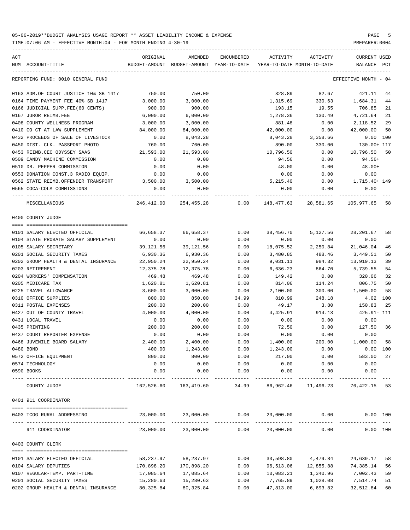| ACT | NUM ACCOUNT-TITLE                            | ORIGINAL<br>BUDGET-AMOUNT BUDGET-AMOUNT YEAR-TO-DATE | AMENDED               | ENCUMBERED    | ACTIVITY<br>YEAR-TO-DATE MONTH-TO-DATE | ACTIVITY                                  | <b>CURRENT USED</b><br>BALANCE | PCT |
|-----|----------------------------------------------|------------------------------------------------------|-----------------------|---------------|----------------------------------------|-------------------------------------------|--------------------------------|-----|
|     |                                              |                                                      |                       |               |                                        |                                           |                                |     |
|     | REPORTING FUND: 0010 GENERAL FUND            |                                                      |                       |               |                                        |                                           | EFFECTIVE MONTH - 04           |     |
|     | 0163 ADM.OF COURT JUSTICE 10% SB 1417        | 750.00                                               | 750.00                |               | 328.89                                 | 82.67                                     | 421.11                         | 44  |
|     | 0164 TIME PAYMENT FEE 40% SB 1417            | 3,000.00                                             | 3,000.00              |               | 1,315.69                               | 330.63                                    | 1,684.31                       | 44  |
|     | 0166 JUDICIAL SUPP.FEE(60 CENTS)             | 900.00                                               | 900.00                |               | 193.15                                 | 19.55                                     | 706.85                         | 21  |
|     | 0167 JUROR REIMB.FEE                         | 6,000.00                                             | 6,000.00              |               | 1,278.36                               | 130.49                                    | 4,721.64                       | 21  |
|     | 0408 COUNTY WELLNESS PROGRAM                 | 3,000.00                                             | 3,000.00              |               | 881.48                                 | 0.00                                      | 2,118.52                       | 29  |
|     | 0410 CO CT AT LAW SUPPLEMENT                 | 84,000.00                                            | 84,000.00             |               | 42,000.00                              | 0.00                                      | 42,000.00                      | 50  |
|     | 0432 PROCEEDS OF SALE OF LIVESTOCK           | 0.00                                                 | 8,043.28              |               | 8,043.28                               | 3,358.66                                  | 0.00 100                       |     |
|     | 0450 DIST. CLK. PASSPORT PHOTO               | 760.00                                               | 760.00                |               | 890.00                                 | 330.00                                    | 130.00+ 117                    |     |
|     | 0453 REIMB.CEC ODYSSEY SAAS                  | 21,593.00                                            | 21,593.00             |               | 10,796.50                              | 0.00                                      | 10,796.50 50                   |     |
|     | 0509 CANDY MACHINE COMMISSION                | 0.00                                                 | 0.00                  |               | 94.56                                  | 0.00                                      | 94.56+                         |     |
|     | 0510 DR. PEPPER COMMISSION                   | 0.00                                                 | 0.00                  |               | 48.00                                  | 0.00                                      | $48.00+$                       |     |
|     | 0553 DONATION CONST.3 RADIO EQUIP.           | 0.00                                                 | 0.00                  |               | 0.00                                   | 0.00                                      | 0.00                           |     |
|     | 0562 STATE REIMB.OFFENDER TRANSPORT 3,500.00 |                                                      | 3,500.00              |               | 5,215.40                               | 0.00                                      | 1,715.40+ 149                  |     |
|     | 0565 COCA-COLA COMMISSIONS                   | 0.00                                                 | 0.00                  |               | 0.00                                   | 0.00                                      | 0.00                           |     |
|     | MISCELLANEOUS                                |                                                      | 246,412.00 254,455.28 |               |                                        | $0.00$ 148,477.63 28,581.65 105,977.65 58 |                                |     |
|     | 0400 COUNTY JUDGE                            |                                                      |                       |               |                                        |                                           |                                |     |
|     |                                              |                                                      |                       |               |                                        |                                           |                                |     |
|     | 0101 SALARY ELECTED OFFICIAL                 | 66,658.37                                            | 66,658.37             | 0.00          | 38,456.70                              | 5,127.56                                  | 28,201.67                      | 58  |
|     | 0104 STATE PROBATE SALARY SUPPLEMENT         | 0.00                                                 | 0.00                  | 0.00          | 0.00                                   | 0.00                                      | 0.00                           |     |
|     | 0105 SALARY SECRETARY                        | 39,121.56                                            | 39,121.56             | 0.00          | 18,075.52                              | 2,250.84                                  | 21,046.04                      | 46  |
|     | 0201 SOCIAL SECURITY TAXES                   | 6,930.36                                             | 6,930.36              | 0.00          | 3,480.85                               | 488.46                                    | 3,449.51                       | 50  |
|     | 0202 GROUP HEALTH & DENTAL INSURANCE         | 22,950.24                                            | 22,950.24             | 0.00          | 9,031.11                               | 984.32                                    | 13,919.13                      | 39  |
|     | 0203 RETIREMENT                              | 12,375.78                                            | 12,375.78             | 0.00          | 6,636.23                               | 864.70                                    | 5,739.55                       | 54  |
|     | 0204 WORKERS' COMPENSATION                   | 469.48                                               | 469.48                | 0.00          | 149.42                                 | 0.00                                      | 320.06                         | 32  |
|     | 0205 MEDICARE TAX                            | 1,620.81                                             | 1,620.81              | 0.00          | 814.06                                 | 114.24                                    | 806.75                         | 50  |
|     | 0225 TRAVEL ALLOWANCE                        | 3,600.00                                             | 3,600.00              | 0.00          | 2,100.00                               | 300.00                                    | 1,500.00                       | 58  |
|     | 0310 OFFICE SUPPLIES                         | 800.00                                               | 850.00                | 34.99         | 810.99                                 | 248.18                                    | 4.02 100                       |     |
|     | 0311 POSTAL EXPENSES                         | 200.00                                               | 200.00                | 0.00          | 49.17                                  | 3.80                                      | 150.83                         | 25  |
|     | 0427 OUT OF COUNTY TRAVEL                    | 4,000.00                                             | 4,000.00              | 0.00          | 4,425.91                               | 914.13                                    | 425.91- 111                    |     |
|     | 0431 LOCAL TRAVEL                            | 0.00                                                 | 0.00                  | 0.00          | 0.00                                   | 0.00                                      | 0.00                           |     |
|     | 0435 PRINTING                                | 200.00                                               | 200.00                | 0.00          | 72.50                                  | 0.00                                      | 127.50 36                      |     |
|     | 0437 COURT REPORTER EXPENSE                  | 0.00                                                 | 0.00                  | 0.00          | 0.00                                   | 0.00                                      | 0.00                           |     |
|     | 0468 JUVENILE BOARD SALARY                   | 2,400.00                                             | 2,400.00              | 0.00          | 1,400.00                               | 200.00                                    | 1,000.00                       | 58  |
|     | 0480 BOND                                    | 400.00                                               | 1,243.00              | 0.00          | 1,243.00                               | 0.00                                      | 0.00 100                       |     |
|     | 0572 OFFICE EQUIPMENT                        | 800.00                                               | 800.00                | 0.00          | 217.00                                 | 0.00                                      | 583.00 27                      |     |
|     | 0574 TECHNOLOGY<br>0590 BOOKS                | 0.00<br>0.00                                         | 0.00<br>0.00          | 0.00<br>0.00  | 0.00<br>0.00                           | 0.00<br>0.00                              | 0.00<br>0.00                   |     |
|     | COUNTY JUDGE                                 | 162,526.60                                           | 163,419.60            | 34.99         | -----------<br>86,962.46               |                                           | 11, 496.23 76, 422.15 53       |     |
|     | 0401 911 COORDINATOR                         |                                                      |                       |               |                                        |                                           |                                |     |
|     |                                              |                                                      |                       |               |                                        |                                           |                                |     |
|     | 0403 TCOG RURAL ADDRESSING                   | 23,000.00                                            | 23,000.00             | ------------- |                                        | $0.00$ 23,000.00 0.00                     | 0.00 100                       |     |
|     | 911 COORDINATOR                              | 23,000.00                                            | 23,000.00             | 0.00          | 23,000.00                              | 0.00                                      | 0.00 100                       |     |
|     | 0403 COUNTY CLERK                            |                                                      |                       |               |                                        |                                           |                                |     |
|     | 0101 SALARY ELECTED OFFICIAL                 | 58,237.97                                            | 58,237.97             | 0.00          | 33,598.80                              | 4,479.84                                  | 24,639.17                      | 58  |
|     | 0104 SALARY DEPUTIES                         | 170,898.20                                           | 170,898.20            | 0.00          | 96,513.06                              | 12,855.88                                 | 74,385.14                      | 56  |
|     | 0107 REGULAR-TEMP. PART-TIME                 | 17,085.64                                            | 17,085.64             | 0.00          | 10,083.21                              | 1,340.96                                  | 7,002.43                       | 59  |
|     | 0201 SOCIAL SECURITY TAXES                   | 15,280.63                                            | 15,280.63             | 0.00          | 7,765.89                               | 1,028.08                                  | 7,514.74                       | 51  |
|     | 0202 GROUP HEALTH & DENTAL INSURANCE         | 80,325.84                                            | 80, 325.84            | 0.00          | 47,813.00                              | 6,693.82                                  | 32,512.84                      | 60  |
|     |                                              |                                                      |                       |               |                                        |                                           |                                |     |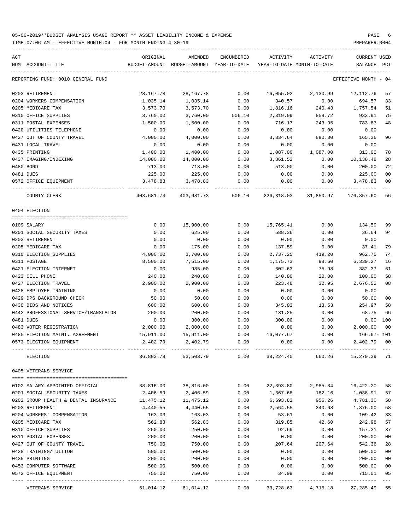TIME:07:06 AM - EFFECTIVE MONTH:04 - FOR MONTH ENDING 4-30-19 PREPARER:0004

| ACT<br>NUM ACCOUNT-TITLE                          | ORIGINAL            | AMENDED<br>BUDGET-AMOUNT BUDGET-AMOUNT YEAR-TO-DATE | ENCUMBERED   | ACTIVITY           | ACTIVITY<br>YEAR-TO-DATE MONTH-TO-DATE | <b>CURRENT USED</b><br>BALANCE PCT |                      |
|---------------------------------------------------|---------------------|-----------------------------------------------------|--------------|--------------------|----------------------------------------|------------------------------------|----------------------|
|                                                   |                     |                                                     |              |                    |                                        |                                    |                      |
| REPORTING FUND: 0010 GENERAL FUND                 |                     |                                                     |              |                    |                                        | EFFECTIVE MONTH - 04               |                      |
| 0203 RETIREMENT                                   | 28, 167. 78         | 28, 167. 78                                         | 0.00         | 16,055.02          | 2,130.99                               | 12,112.76                          | 57                   |
| 0204 WORKERS COMPENSATION                         | 1,035.14            | 1,035.14                                            | 0.00         | 340.57             | 0.00                                   | 694.57                             | 33                   |
| 0205 MEDICARE TAX                                 | 3,573.70            | 3,573.70                                            | 0.00         | 1,816.16           | 240.43                                 | 1,757.54                           | 51                   |
| 0310 OFFICE SUPPLIES                              | 3,760.00            | 3,760.00                                            | 506.10       | 2,319.99           | 859.72                                 | 933.91                             | 75                   |
| 0311 POSTAL EXPENSES                              | 1,500.00            | 1,500.00                                            | 0.00         | 716.17             | 243.95                                 | 783.83                             | 48                   |
| 0420 UTILITIES TELEPHONE                          | 0.00                | 0.00                                                | 0.00         | 0.00               | 0.00                                   | 0.00                               |                      |
| 0427 OUT OF COUNTY TRAVEL                         | 4,000.00            | 4,000.00                                            | 0.00         | 3,834.64           | 890.30                                 | 165.36                             | 96                   |
| 0431 LOCAL TRAVEL                                 | 0.00                | 0.00                                                | 0.00         | 0.00               | 0.00                                   | 0.00                               |                      |
| 0435 PRINTING                                     | 1,400.00            | 1,400.00                                            | 0.00         | 1,087.00           | 1,087.00                               | 313.00                             | 78                   |
| 0437 IMAGING/INDEXING<br>0480 BOND                | 14,000.00<br>713.00 | 14,000.00                                           | 0.00         | 3,861.52<br>513.00 | 0.00                                   | 10,138.48                          | 28<br>72             |
| 0481 DUES                                         | 225.00              | 713.00<br>225.00                                    | 0.00<br>0.00 |                    | 0.00                                   | 200.00<br>225.00                   | 0 <sub>0</sub>       |
| 0572 OFFICE EQUIPMENT                             | 3,478.83            | 3,478.83                                            | 0.00         | 0.00<br>0.00       | 0.00<br>0.00                           | 3,478.83                           | 00                   |
|                                                   | . <u>.</u>          | --------------                                      |              | -----------        |                                        | -----------                        |                      |
| COUNTY CLERK                                      | 403,681.73          | 403,681.73                                          | 506.10       |                    | 226,318.03 31,850.97                   | 176,857.60                         | 56                   |
| 0404 ELECTION                                     |                     |                                                     |              |                    |                                        |                                    |                      |
| 0109 SALARY                                       | 0.00                | 15,900.00                                           | 0.00         | 15,765.41          | 0.00                                   | 134.59                             | 99                   |
| 0201 SOCIAL SECURITY TAXES                        | 0.00                | 625.00                                              | 0.00         | 588.36             | 0.00                                   | 36.64                              | 94                   |
| 0203 RETIREMENT                                   | 0.00                | 0.00                                                | 0.00         | 0.00               | 0.00                                   | 0.00                               |                      |
| 0205 MEDICARE TAX                                 | 0.00                | 175.00                                              | 0.00         | 137.59             | 0.00                                   | 37.41                              | 79                   |
| 0310 ELECTION SUPPLIES                            | 4,000.00            | 3,700.00                                            | 0.00         | 2,737.25           | 419.20                                 | 962.75                             | 74                   |
| 0311 POSTAGE                                      | 8,500.00            | 7,515.00                                            | 0.00         | 1,175.73           | 98.60                                  | 6,339.27                           | 16                   |
| 0421 ELECTION INTERNET                            | 0.00                | 985.00                                              | 0.00         | 602.63             | 75.98                                  | 382.37                             | 61                   |
| 0423 CELL PHONE                                   | 240.00              | 240.00                                              | 0.00         | 140.00             | 20.00                                  | 100.00                             | 58                   |
| 0427 ELECTION TRAVEL                              | 2,900.00            | 2,900.00                                            | 0.00         | 223.48             | 32.95                                  | 2,676.52                           | 08                   |
| 0428 EMPLOYEE TRAINING                            | 0.00                | 0.00                                                | 0.00         | 0.00               | 0.00                                   | 0.00                               |                      |
| 0429 DPS BACKGROUND CHECK                         | 50.00               | 50.00                                               | 0.00         | 0.00               | 0.00                                   | 50.00                              | 0 <sub>0</sub>       |
| 0430 BIDS AND NOTICES                             | 600.00              | 600.00                                              | 0.00         | 345.03             | 13.53                                  | 254.97                             | 58                   |
| 0442 PROFESSIONAL SERVICE/TRANSLATOR              | 200.00              | 200.00                                              | 0.00         | 131.25             | 0.00                                   | 68.75                              | 66                   |
| 0481 DUES                                         | 0.00                | 300.00                                              | 0.00         | 300.00             | 0.00                                   | 0.00                               | 100                  |
| 0483 VOTER REGISTRATION                           | 2,000.00            | 2,000.00                                            | 0.00         | 0.00               | 0.00                                   | 2,000.00                           | 0 <sub>0</sub>       |
| 0485 ELECTION MAINT. AGREEMENT                    | 15,911.00           | 15,911.00                                           | 0.00         | 16,077.67          | 0.00                                   | 166.67- 101                        |                      |
| 0573 ELECTION EQUIPMENT                           | 2,402.79            | 2,402.79                                            | 0.00         | 0.00               | 0.00                                   | 2,402.79                           | 0 <sub>0</sub>       |
| ELECTION                                          |                     | 36,803.79 53,503.79 0.00                            |              |                    | 38,224.40 660.26                       | 15,279.39                          | 71                   |
| 0405 VETERANS' SERVICE                            |                     |                                                     |              |                    |                                        |                                    |                      |
|                                                   |                     |                                                     |              |                    |                                        |                                    |                      |
| 0102 SALARY APPOINTED OFFICIAL                    |                     | 38,816.00 38,816.00                                 | 0.00         |                    | 22,393.80 2,985.84 16,422.20           |                                    | 58                   |
| 0201 SOCIAL SECURITY TAXES                        | 2,406.59            | 2,406.59                                            | 0.00         | 1,367.68           |                                        | 182.16 1,038.91                    | 57                   |
| 0202 GROUP HEALTH & DENTAL INSURANCE 11,475.12    |                     | 11,475.12                                           | 0.00         | 6,693.82           | 956.26                                 | 4,781.30                           | 58                   |
| 0203 RETIREMENT                                   | 4,440.55            | 4,440.55                                            | 0.00         | 2,564.55           | 340.68                                 | 1,876.00                           | 58                   |
| 0204 WORKERS' COMPENSATION                        | 163.03              | 163.03                                              | 0.00         | 53.61              | 0.00                                   | 109.42                             | 33                   |
| 0205 MEDICARE TAX                                 | 562.83              | 562.83                                              | 0.00         | 319.85             | 42.60                                  | 242.98                             | 57                   |
| 0310 OFFICE SUPPLIES                              | 250.00              | 250.00                                              | 0.00         | 92.69              | 0.00                                   | 157.31                             | 37<br>0 <sub>0</sub> |
| 0311 POSTAL EXPENSES<br>0427 OUT OF COUNTY TRAVEL | 200.00<br>750.00    | 200.00<br>750.00                                    | 0.00<br>0.00 | 0.00<br>207.64     | 0.00<br>207.64                         | 200.00<br>542.36                   | 28                   |
| 0428 TRAINING/TUITION                             | 500.00              | 500.00                                              | 0.00         | 0.00               | 0.00                                   | 500.00                             | 0 <sub>0</sub>       |
| 0435 PRINTING                                     | 200.00              | 200.00                                              | 0.00         | 0.00               | 0.00                                   | 200.00                             | 0 <sub>0</sub>       |
| 0453 COMPUTER SOFTWARE                            | 500.00              | 500.00                                              | 0.00         | 0.00               | 0.00                                   | 500.00                             | 0 <sub>0</sub>       |
| 0572 OFFICE EQUIPMENT                             | 750.00              | 750.00                                              | 0.00         | 34.99              | 0.00                                   | 715.01                             | 05                   |
|                                                   |                     |                                                     |              |                    |                                        |                                    |                      |

VETERANS'SERVICE 61,014.12 61,014.12 0.00 33,728.63 4,715.18 27,285.49 55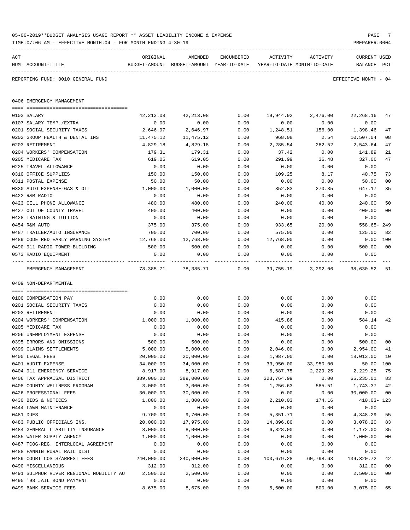|     | TIME: 07:06 AM - EFFECTIVE MONTH: 04 - FOR MONTH ENDING 4-30-19 |                  |                                                                     |              |                  |                           | PREPARER: 0004       |                |
|-----|-----------------------------------------------------------------|------------------|---------------------------------------------------------------------|--------------|------------------|---------------------------|----------------------|----------------|
| ACT |                                                                 | ORIGINAL         | AMENDED                                                             | ENCUMBERED   | ACTIVITY         | ACTIVITY                  | <b>CURRENT USED</b>  |                |
|     | NUM ACCOUNT-TITLE                                               |                  | BUDGET-AMOUNT BUDGET-AMOUNT YEAR-TO-DATE YEAR-TO-DATE MONTH-TO-DATE |              |                  |                           | BALANCE PCT          |                |
|     | REPORTING FUND: 0010 GENERAL FUND                               |                  |                                                                     |              |                  |                           | EFFECTIVE MONTH - 04 |                |
|     | 0406 EMERGENCY MANAGEMENT                                       |                  |                                                                     |              |                  |                           |                      |                |
|     |                                                                 |                  |                                                                     |              |                  |                           |                      |                |
|     | 0103 SALARY<br>0107 SALARY TEMP./EXTRA                          | 42,213.08        | 42, 213.08                                                          | 0.00         | 19,944.92        | 2,476.00                  | 22,268.16            | 47             |
|     | 0201 SOCIAL SECURITY TAXES                                      | 0.00<br>2,646.97 | 0.00<br>2,646.97                                                    | 0.00<br>0.00 | 0.00<br>1,248.51 | 0.00<br>156.00            | 0.00<br>1,398.46     | 47             |
|     | 0202 GROUP HEALTH & DENTAL INS                                  | 11,475.12        | 11,475.12                                                           | 0.00         | 968.08           | 2.54                      | 10,507.04            | 08             |
|     | 0203 RETIREMENT                                                 | 4,829.18         | 4,829.18                                                            | 0.00         | 2,285.54         | 282.52                    | 2,543.64             | 47             |
|     | 0204 WORKERS' COMPENSATION                                      | 179.31           | 179.31                                                              | 0.00         | 37.42            | 0.00                      | 141.89               | 21             |
|     | 0205 MEDICARE TAX                                               | 619.05           | 619.05                                                              | 0.00         | 291.99           | 36.48                     | 327.06               | 47             |
|     | 0225 TRAVEL ALLOWANCE                                           | 0.00             | 0.00                                                                | 0.00         | 0.00             | 0.00                      | 0.00                 |                |
|     | 0310 OFFICE SUPPLIES                                            | 150.00           | 150.00                                                              | 0.00         | 109.25           | 8.17                      | 40.75                | 73             |
|     | 0311 POSTAL EXPENSE                                             | 50.00            | 50.00                                                               | 0.00         | 0.00             | 0.00                      | 50.00                | 00             |
|     | 0330 AUTO EXPENSE-GAS & OIL                                     | 1,000.00         | 1,000.00                                                            | 0.00         | 352.83           | 270.35                    | 647.17               | 35             |
|     | 0422 R&M RADIO                                                  | 0.00             | 0.00                                                                | 0.00         | 0.00             | 0.00                      | 0.00                 |                |
|     | 0423 CELL PHONE ALLOWANCE                                       | 480.00           | 480.00                                                              | 0.00         | 240.00           | 40.00                     | 240.00               | 50             |
|     | 0427 OUT OF COUNTY TRAVEL                                       | 400.00           | 400.00                                                              | 0.00         | 0.00             | 0.00                      | 400.00               | 0 <sub>0</sub> |
|     | 0428 TRAINING & TUITION                                         | 0.00             | 0.00                                                                | 0.00         | 0.00             | 0.00                      | 0.00                 |                |
|     | 0454 R&M AUTO                                                   | 375.00           | 375.00                                                              | 0.00         | 933.65           | 20.00                     | $558.65 - 249$       |                |
|     | 0487 TRAILER/AUTO INSURANCE                                     | 700.00           | 700.00                                                              | 0.00         | 575.00           | 0.00                      | 125.00               | 82             |
|     | 0489 CODE RED EARLY WARNING SYSTEM                              | 12,768.00        | 12,768.00                                                           | 0.00         | 12,768.00        | 0.00                      | $0.00$ 100           |                |
|     | 0490 911 RADIO TOWER BUILDING                                   | 500.00           | 500.00                                                              | 0.00         | 0.00             | 0.00                      | 500.00               | 00             |
|     | 0573 RADIO EQUIPMENT                                            | 0.00             | 0.00                                                                | 0.00         | 0.00             | 0.00                      | 0.00                 |                |
|     | EMERGENCY MANAGEMENT                                            | 78,385.71        | 78,385.71                                                           |              |                  | $0.00$ 39,755.19 3,292.06 | 38,630.52            | -51            |
|     | 0409 NON-DEPARTMENTAL                                           |                  |                                                                     |              |                  |                           |                      |                |
|     | 0100 COMPENSATION PAY                                           | 0.00             | 0.00                                                                | 0.00         | 0.00             | 0.00                      | 0.00                 |                |
|     | 0201 SOCIAL SECURITY TAXES                                      | 0.00             | 0.00                                                                | 0.00         | 0.00             | 0.00                      | 0.00                 |                |
|     | 0203 RETIREMENT                                                 | 0.00             | 0.00                                                                | 0.00         | 0.00             | 0.00                      | 0.00                 |                |
|     | 0204 WORKERS' COMPENSATION                                      | 1,000.00         | 1,000.00                                                            | 0.00         | 415.86           | 0.00                      | 584.14               | 42             |
|     | 0205 MEDICARE TAX                                               | 0.00             | 0.00                                                                | 0.00         | 0.00             | 0.00                      | 0.00                 |                |
|     | 0206 UNEMPLOYMENT EXPENSE                                       | 0.00             | 0.00                                                                | 0.00         | 0.00             | 0.00                      | 0.00                 |                |
|     | 0395 ERRORS AND OMISSIONS                                       | 500.00           | 500.00                                                              | 0.00         | 0.00             | 0.00                      | 500.00               | 00             |
|     | 0399 CLAIMS SETTLEMENTS                                         | 5,000.00         | 5,000.00                                                            | 0.00         | 2,046.00         | 0.00                      | 2,954.00             | 41             |
|     | 0400 LEGAL FEES                                                 | 20,000.00        | 20,000.00                                                           | 0.00         | 1,987.00         | 0.00                      | 18,013.00            | 10             |
|     | 0401 AUDIT EXPENSE                                              | 34,000.00        | 34,000.00                                                           | 0.00         | 33,950.00        | 33,950.00                 | 50.00                | 100            |
|     | 0404 911 EMERGENCY SERVICE                                      | 8,917.00         | 8,917.00                                                            | 0.00         | 6,687.75         | 2,229.25                  | 2,229.25             | 75             |
|     | 0406 TAX APPRAISAL DISTRICT                                     | 389,000.00       | 389,000.00                                                          | 0.00         | 323,764.99       | 0.00                      | 65,235.01            | 83             |
|     | 0408 COUNTY WELLNESS PROGRAM                                    | 3,000.00         | 3,000.00                                                            | 0.00         | 1,256.63         | 585.51                    | 1,743.37             | 42             |
|     | 0426 PROFESSIONAL FEES                                          | 30,000.00        | 30,000.00                                                           | 0.00         | 0.00             | 0.00                      | 30,000.00            | 0 <sub>0</sub> |
|     | 0430 BIDS & NOTICES                                             | 1,800.00         | 1,800.00                                                            | 0.00         | 2,210.03         | 174.16                    | $410.03 - 123$       |                |
|     | 0444 LAWN MAINTENANCE                                           | 0.00             | 0.00                                                                | 0.00         | 0.00             | 0.00                      | 0.00                 |                |
|     | 0481 DUES                                                       | 9,700.00         | 9,700.00                                                            | 0.00         | 5,351.71         | 0.00                      | 4,348.29             | 55             |
|     | 0483 PUBLIC OFFICIALS INS.                                      | 20,000.00        | 17,975.00                                                           | 0.00         | 14,896.80        | 0.00                      | 3,078.20             | 83             |
|     | 0484 GENERAL LIABILITY INSURANCE                                | 8,000.00         | 8,000.00                                                            | 0.00         | 6,828.00         | 0.00                      | 1,172.00             | 85             |
|     | 0485 WATER SUPPLY AGENCY                                        | 1,000.00         | 1,000.00                                                            | 0.00         | 0.00             | 0.00                      | 1,000.00             | 0 <sub>0</sub> |
|     | 0487 TCOG-REG. INTERLOCAL AGREEMENT                             | 0.00             | 0.00                                                                | 0.00         | 0.00             | 0.00                      | 0.00                 |                |
|     | 0488 FANNIN RURAL RAIL DIST                                     | 0.00             | 0.00                                                                | 0.00         | 0.00             | 0.00                      | 0.00                 |                |
|     | 0489 COURT COSTS/ARREST FEES                                    | 240,000.00       | 240,000.00                                                          | 0.00         | 100,679.28       | 60,798.63                 | 139,320.72           | 42             |
|     | 0490 MISCELLANEOUS                                              | 312.00           | 312.00                                                              | 0.00         | 0.00             | 0.00                      | 312.00               | 0 <sub>0</sub> |
|     | 0491 SULPHUR RIVER REGIONAL MOBILITY AU                         | 2,500.00         | 2,500.00                                                            | 0.00         | 0.00             | 0.00                      | 2,500.00             | 00             |
|     | 0495 '98 JAIL BOND PAYMENT                                      | 0.00             | 0.00                                                                | 0.00         | 0.00             | 0.00                      | 0.00                 |                |
|     | 0499 BANK SERVICE FEES                                          | 8,675.00         | 8,675.00                                                            | 0.00         | 5,600.00         | 800.00                    | 3,075.00             | 65             |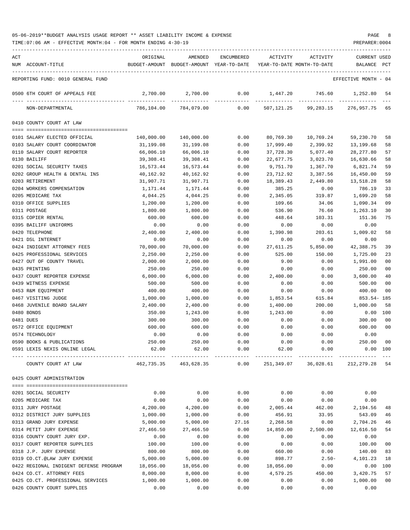TIME:07:06 AM - EFFECTIVE MONTH:04 - FOR MONTH ENDING 4-30-19 PREPARER:0004

| ACT |                                        | ORIGINAL   | AMENDED                                  | ENCUMBERED | ACTIVITY                   | ACTIVITY             | <b>CURRENT USED</b>  |                |
|-----|----------------------------------------|------------|------------------------------------------|------------|----------------------------|----------------------|----------------------|----------------|
|     | NUM ACCOUNT-TITLE                      |            | BUDGET-AMOUNT BUDGET-AMOUNT YEAR-TO-DATE |            | YEAR-TO-DATE MONTH-TO-DATE |                      | BALANCE              | PCT            |
|     |                                        |            |                                          |            |                            |                      | EFFECTIVE MONTH - 04 |                |
|     | REPORTING FUND: 0010 GENERAL FUND      |            |                                          |            |                            |                      |                      |                |
|     | 0500 6TH COURT OF APPEALS FEE          | 2,700.00   | 2,700.00                                 | 0.00       | 1,447.20                   | 745.60               | 1,252.80             | -54            |
|     | NON-DEPARTMENTAL                       | 786,104.00 | 784,079.00                               | 0.00       | 507,121.25                 | 99,283.15            | 276,957.75           | 65             |
|     | 0410 COUNTY COURT AT LAW               |            |                                          |            |                            |                      |                      |                |
|     |                                        |            |                                          |            |                            |                      |                      |                |
|     | 0101 SALARY ELECTED OFFICIAL           | 140,000.00 | 140,000.00                               | 0.00       | 80,769.30                  | 10,769.24            | 59,230.70            | 58             |
|     | 0103 SALARY COURT COORDINATOR          | 31,199.08  | 31,199.08                                | 0.00       | 17,999.40                  | 2,399.92             | 13,199.68            | 58             |
|     | 0110 SALARY COURT REPORTER             | 66,006.10  | 66,006.10                                | 0.00       | 37,728.30                  | 5,077.40             | 28, 277.80           | 57             |
|     | 0130 BAILIFF                           | 39,308.41  | 39,308.41                                | 0.00       | 22,677.75                  | 3,023.70             | 16,630.66            | 58             |
|     | 0201 SOCIAL SECURITY TAXES             | 16,573.44  | 16,573.44                                | 0.00       | 9,751.70                   | 1,367.70             | 6,821.74             | 59             |
|     | 0202 GROUP HEALTH & DENTAL INS         | 40,162.92  | 40,162.92                                | 0.00       | 23,712.92                  | 3,387.56             | 16,450.00            | 59             |
|     | 0203 RETIREMENT                        | 31,907.71  | 31,907.71                                | 0.00       | 18,389.43                  | 2,449.80             | 13,518.28            | 58             |
|     | 0204 WORKERS COMPENSATION              | 1,171.44   | 1,171.44                                 | 0.00       | 385.25                     | 0.00                 | 786.19               | 33             |
|     | 0205 MEDICARE TAX                      | 4,044.25   | 4,044.25                                 | 0.00       | 2,345.05                   | 319.87               | 1,699.20             | 58             |
|     | 0310 OFFICE SUPPLIES                   | 1,200.00   | 1,200.00                                 | 0.00       | 109.66                     | 34.06                | 1,090.34             | 09             |
|     | 0311 POSTAGE                           | 1,800.00   | 1,800.00                                 | 0.00       | 536.90                     | 76.60                | 1,263.10             | 30             |
|     | 0315 COPIER RENTAL                     | 600.00     | 600.00                                   | 0.00       | 448.64                     | 103.31               | 151.36               | 75             |
|     | 0395 BAILIFF UNIFORMS                  | 0.00       | 0.00                                     | 0.00       | 0.00                       | 0.00                 | 0.00                 |                |
|     | 0420 TELEPHONE                         | 2,400.00   | 2,400.00                                 | 0.00       | 1,390.98                   | 203.61               | 1,009.02             | 58             |
|     | 0421 DSL INTERNET                      | 0.00       | 0.00                                     | 0.00       | 0.00                       | 0.00                 | 0.00                 |                |
|     | 0424 INDIGENT ATTORNEY FEES            | 70,000.00  | 70,000.00                                | 0.00       | 27,611.25                  | 5,850.00             | 42,388.75            | 39             |
|     | 0425 PROFESSIONAL SERVICES             | 2,250.00   | 2,250.00                                 | 0.00       | 525.00                     | 150.00               | 1,725.00             | 23             |
|     | 0427 OUT OF COUNTY TRAVEL              | 2,000.00   | 2,000.00                                 | 0.00       | 9.00                       | 0.00                 | 1,991.00             | 0 <sub>0</sub> |
|     | 0435 PRINTING                          | 250.00     | 250.00                                   | 0.00       | 0.00                       | 0.00                 | 250.00               | 00             |
|     | 0437 COURT REPORTER EXPENSE            | 6,000.00   | 6,000.00                                 | 0.00       | 2,400.00                   | 0.00                 | 3,600.00             | 40             |
|     | 0439 WITNESS EXPENSE                   | 500.00     | 500.00                                   | 0.00       | 0.00                       | 0.00                 | 500.00               | 00             |
|     | 0453 R&M EQUIPMENT                     | 400.00     | 400.00                                   | 0.00       | 0.00                       | 0.00                 | 400.00               | 00             |
|     | 0467 VISITING JUDGE                    | 1,000.00   | 1,000.00                                 | 0.00       | 1,853.54                   | 615.84               | $853.54 - 185$       |                |
|     | 0468 JUVENILE BOARD SALARY             | 2,400.00   | 2,400.00                                 | 0.00       | 1,400.00                   | 200.00               | 1,000.00             | 58             |
|     | 0480 BONDS                             | 350.00     | 1,243.00                                 | 0.00       | 1,243.00                   | 0.00                 | 0.00                 | 100            |
|     | 0481 DUES                              | 300.00     | 300.00                                   | 0.00       | 0.00                       | 0.00                 | 300.00               | 00             |
|     | 0572 OFFICE EQUIPMENT                  | 600.00     | 600.00                                   | 0.00       | 0.00                       | 0.00                 | 600.00               | 0 <sub>0</sub> |
|     | 0574 TECHNOLOGY                        | 0.00       | 0.00                                     | 0.00       | 0.00                       | 0.00                 | 0.00                 |                |
|     | 0590 BOOKS & PUBLICATIONS              | 250.00     | 250.00                                   | 0.00       | 0.00                       | 0.00                 | 250.00               | 00             |
|     | 0591 LEXIS NEXIS ONLINE LEGAL          | 62.00      | 62.00                                    | 0.00       | 62.00                      | 0.00                 |                      | 0.00 100       |
|     | COUNTY COURT AT LAW                    | 462,735.35 | 463,628.35                               | 0.00       |                            | 251,349.07 36,028.61 | 212,279.28 54        |                |
|     | 0425 COURT ADMINISTRATION              |            |                                          |            |                            |                      |                      |                |
|     | 0201 SOCIAL SECURITY                   | 0.00       | 0.00                                     | 0.00       | 0.00                       | 0.00                 | 0.00                 |                |
|     | 0205 MEDICARE TAX                      | 0.00       | 0.00                                     | 0.00       | 0.00                       | 0.00                 | 0.00                 |                |
|     | 0311 JURY POSTAGE                      | 4,200.00   | 4,200.00                                 | 0.00       | 2,005.44                   | 462.00               | 2,194.56             | 48             |
|     | 0312 DISTRICT JURY SUPPLIES            | 1,000.00   | 1,000.00                                 | 0.00       | 456.91                     | 33.95                | 543.09               | 46             |
|     | 0313 GRAND JURY EXPENSE                | 5,000.00   | 5,000.00                                 | 27.16      | 2,268.58                   | 0.00                 | 2,704.26             | 46             |
|     | 0314 PETIT JURY EXPENSE                | 27,466.50  | 27,466.50                                | 0.00       | 14,850.00                  | 2,500.00             | 12,616.50            | 54             |
|     | 0316 COUNTY COURT JURY EXP.            | 0.00       | 0.00                                     | 0.00       | 0.00                       | 0.00                 | 0.00                 |                |
|     | 0317 COURT REPORTER SUPPLIES           | 100.00     | 100.00                                   | 0.00       | 0.00                       | 0.00                 | 100.00               | 0 <sub>0</sub> |
|     | 0318 J.P. JURY EXPENSE                 | 800.00     | 800.00                                   | 0.00       | 660.00                     | 0.00                 | 140.00               | 83             |
|     | 0319 CO.CT.@LAW JURY EXPENSE           | 5,000.00   | 5,000.00                                 | 0.00       | 898.77                     | $2.50-$              | 4,101.23             | 18             |
|     | 0422 REGIONAL INDIGENT DEFENSE PROGRAM | 18,056.00  | 18,056.00                                | 0.00       | 18,056.00                  | 0.00                 | 0.00                 | 100            |
|     | 0424 CO.CT. ATTORNEY FEES              | 8,000.00   | 8,000.00                                 | 0.00       | 4,579.25                   | 450.00               | 3,420.75             | 57             |
|     | 0425 CO.CT. PROFESSIONAL SERVICES      | 1,000.00   | 1,000.00                                 | 0.00       | 0.00                       | 0.00                 | 1,000.00             | 00             |
|     |                                        |            |                                          |            |                            |                      |                      |                |

0426 COUNTY COURT SUPPLIES 0.00 0.00 0.00 0.00 0.00 0.00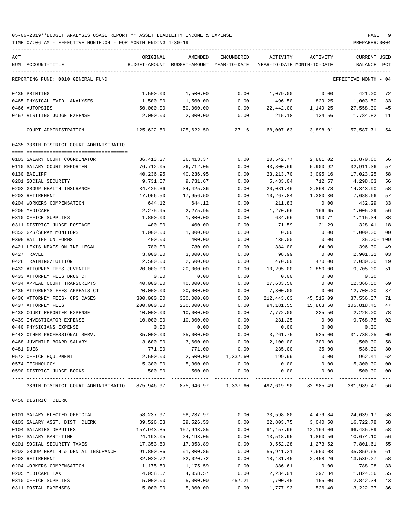| ACT                                                                                    | ORIGINAL                | AMENDED                                  | ENCUMBERED        | ACTIVITY                   | ACTIVITY               | CURRENT USED            |                         |
|----------------------------------------------------------------------------------------|-------------------------|------------------------------------------|-------------------|----------------------------|------------------------|-------------------------|-------------------------|
| NUM ACCOUNT-TITLE                                                                      |                         | BUDGET-AMOUNT BUDGET-AMOUNT YEAR-TO-DATE |                   | YEAR-TO-DATE MONTH-TO-DATE |                        | BALANCE                 | PCT                     |
| REPORTING FUND: 0010 GENERAL FUND                                                      |                         |                                          |                   |                            |                        | EFFECTIVE MONTH - 04    |                         |
| 0435 PRINTING                                                                          | 1,500.00                | 1,500.00                                 | 0.00              | 1,079.00                   | 0.00                   | 421.00                  | 72                      |
| 0465 PHYSICAL EVID. ANALYSES                                                           | 1,500.00                | 1,500.00                                 | 0.00              | 496.50                     | $829.25 -$             | 1,003.50                | 33                      |
| 0466 AUTOPSIES                                                                         | 50,000.00               | 50,000.00                                | 0.00              | 22,442.00                  | 1,149.25               | 27,558.00               | 45                      |
| 0467 VISITING JUDGE EXPENSE                                                            | 2,000.00                | 2,000.00                                 | 0.00              | 215.18                     | 134.56                 | 1,784.82                | 11                      |
| COURT ADMINISTRATION                                                                   | 125,622.50              | 125,622.50                               | 27.16             | 68,007.63                  | 3,898.01               | 57,587.71               | 54                      |
| 0435 336TH DISTRICT COURT ADMINISTRATIO                                                |                         |                                          |                   |                            |                        |                         |                         |
| 0103 SALARY COURT COORDINATOR                                                          | 36,413.37               | 36, 413.37                               | 0.00              | 20,542.77                  | 2,801.02               | 15,870.60               | 56                      |
| 0110 SALARY COURT REPORTER                                                             | 76,712.05               | 76,712.05                                | 0.00              | 43,800.69                  | 5,900.92               | 32,911.36               | 57                      |
| 0130 BAILIFF                                                                           | 40,236.95               | 40,236.95                                | 0.00              | 23, 213. 70                | 3,095.16               | 17,023.25               | 58                      |
| 0201 SOCIAL SECURITY                                                                   | 9,731.67                | 9,731.67                                 | 0.00              | 5,433.04                   | 712.57                 | 4,298.63                | 56                      |
| 0202 GROUP HEALTH INSURANCE                                                            | 34,425.36               | 34,425.36                                | 0.00              | 20,081.46                  | 2,868.78               | 14,343.90               | 58                      |
| 0203 RETIREMENT                                                                        | 17,956.50               | 17,956.50                                | 0.00              | 10,267.84                  | 1,380.30               | 7,688.66                | 57                      |
| 0204 WORKERS COMPENSATION                                                              | 644.12                  | 644.12                                   | 0.00              | 211.83                     | 0.00                   | 432.29                  | 33                      |
| 0205 MEDICARE                                                                          | 2,275.95                | 2,275.95                                 | 0.00              | 1,270.66                   | 166.65                 | 1,005.29                | 56                      |
| 0310 OFFICE SUPPLIES                                                                   | 1,800.00                | 1,800.00                                 | 0.00              | 684.66                     | 190.71                 | 1,115.34                | 38                      |
| 0311 DISTRICT JUDGE POSTAGE                                                            | 400.00                  | 400.00                                   | 0.00              | 71.59                      | 21.29                  | 328.41                  | 18                      |
| 0352 GPS/SCRAM MONITORS                                                                | 1,000.00                | 1,000.00                                 | 0.00              | 0.00                       | 0.00                   | 1,000.00                | 0 <sub>0</sub>          |
| 0395 BAILIFF UNIFORMS                                                                  | 400.00                  | 400.00                                   | 0.00              | 435.00                     | 0.00                   | $35.00 - 109$           |                         |
| 0421 LEXIS NEXIS ONLINE LEGAL                                                          | 780.00                  | 780.00                                   | 0.00              | 384.00                     | 64.00                  | 396.00                  | 49                      |
| 0427 TRAVEL                                                                            | 3,000.00                | 3,000.00                                 | 0.00              | 98.99                      | 0.00                   | 2,901.01                | 03                      |
| 0428 TRAINING/TUITION                                                                  | 2,500.00                | 2,500.00                                 | 0.00              | 470.00                     | 470.00                 | 2,030.00                | 19                      |
| 0432 ATTORNEY FEES JUVENILE                                                            | 20,000.00               | 20,000.00                                | 0.00              | 10,295.00                  | 2,850.00               | 9,705.00                | 51                      |
| 0433 ATTORNEY FEES DRUG CT                                                             | 0.00                    | 0.00                                     | 0.00              | 0.00                       | 0.00                   | 0.00                    |                         |
| 0434 APPEAL COURT TRANSCRIPTS                                                          | 40,000.00               | 40,000.00                                | 0.00              | 27,633.50                  | 0.00                   | 12,366.50               | 69                      |
| 0435 ATTORNEYS FEES APPEALS CT<br>0436 ATTORNEY FEES- CPS CASES                        | 20,000.00<br>300,000.00 | 20,000.00<br>300,000.00                  | 0.00              | 7,300.00                   | 0.00                   | 12,700.00               | 37<br>71                |
| 0437 ATTORNEY FEES                                                                     | 200,000.00              | 200,000.00                               | 0.00<br>0.00      | 212,443.63<br>94,181.55    | 45,515.09<br>15,863.50 | 87,556.37<br>105,818.45 | 47                      |
| 0438 COURT REPORTER EXPENSE                                                            | 10,000.00               | 10,000.00                                | 0.00              | 7,772.00                   | 225.50                 | 2,228.00                | 78                      |
| 0439 INVESTIGATOR EXPENSE                                                              | 10,000.00               | 10,000.00                                | 0.00              | 231.25                     | 0.00                   | 9,768.75                | 02                      |
| 0440 PHYSICIANS EXPENSE                                                                | 0.00                    | 0.00                                     | 0.00              | 0.00                       | 0.00                   | 0.00                    |                         |
| 0442 OTHER PROFESSIONAL SERV.                                                          | 35,000.00               | 35,000.00                                | 0.00              | 3,261.75                   | 525.00                 | 31,738.25               | 09                      |
| 0468 JUVENILE BOARD SALARY                                                             | 3,600.00                | 3,600.00                                 | 0.00              | 2,100.00                   | 300.00                 | 1,500.00                | 58                      |
| 0481 DUES                                                                              | 771.00                  | 771.00                                   | 0.00              | 235.00                     | 35.00                  | 536.00                  | 30                      |
| 0572 OFFICE EQUIPMENT                                                                  | 2,500.00                |                                          | 2,500.00 1,337.60 | 199.99                     | 0.00                   | 962.41                  | 62                      |
| 0574 TECHNOLOGY                                                                        | 5,300.00                | 5,300.00                                 | 0.00              | 0.00                       | $0.00$ 5,300.00        |                         | 0 <sub>0</sub>          |
| 0590 DISTRICT JUDGE BOOKS                                                              | 500.00                  | 500.00                                   | 0.00              | 0.00                       | 0.00                   | 500.00                  | 0 <sub>0</sub><br>$---$ |
| 336TH DISTRICT COURT ADMINISTRATIO 875,946.97 875,946.97 1,337.60 492,619.90 82,985.49 |                         |                                          |                   |                            |                        | 381,989.47 56           |                         |
| 0450 DISTRICT CLERK                                                                    |                         |                                          |                   |                            |                        |                         |                         |
| 0101 SALARY ELECTED OFFICIAL                                                           | 58,237.97               | 58,237.97                                | 0.00              | 33,598.80                  | 4,479.84               | 24,639.17               | 58                      |
| 0103 SALARY ASST. DIST. CLERK                                                          | 39,526.53               | 39,526.53                                | 0.00              | 22,803.75                  | 3,040.50               | 16,722.78               | 58                      |
| 0104 SALARIES DEPUTIES                                                                 | 157,943.85              | 157,943.85                               | 0.00              | 91,457.96                  | 12,164.06              | 66,485.89               | 58                      |
| 0107 SALARY PART-TIME                                                                  | 24,193.05               | 24,193.05                                | 0.00              | 13,518.95                  | 1,860.56               | 10,674.10               | 56                      |
| 0201 SOCIAL SECURITY TAXES                                                             | 17,353.89               | 17,353.89                                | 0.00              | 9,552.28                   | 1,273.52               | 7,801.61                | 55                      |
| 0202 GROUP HEALTH & DENTAL INSURANCE                                                   | 91,800.86               | 91,800.86                                | 0.00              | 55,941.21                  | 7,650.08               | 35,859.65               | 61                      |
| 0203 RETIREMENT                                                                        | 32,020.72               | 32,020.72                                | 0.00              | 18,481.45                  | 2,458.26               | 13,539.27               | 58                      |
| 0204 WORKERS COMPENSATION                                                              | 1,175.59                | 1,175.59                                 | 0.00              | 386.61                     | 0.00                   | 788.98                  | 33                      |
| 0205 MEDICARE TAX                                                                      | 4,058.57                | 4,058.57                                 | 0.00              | 2,234.01                   | 297.84                 | 1,824.56                | 55                      |
| 0310 OFFICE SUPPLIES                                                                   | 5,000.00                | 5,000.00                                 | 457.21            | 1,700.45                   | 155.00                 | 2,842.34                | 43                      |
| 0311 POSTAL EXPENSES                                                                   | 5,000.00                | 5,000.00                                 | 0.00              | 1,777.93                   | 526.40                 | 3,222.07                | 36                      |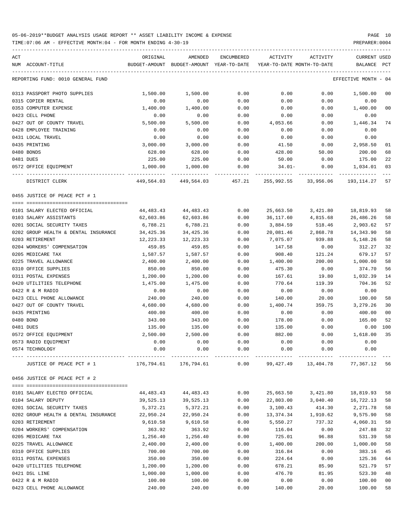TIME:07:06 AM - EFFECTIVE MONTH:04 - FOR MONTH ENDING 4-30-19 PREPARER:0004

| ACT                                           | ORIGINAL              | AMENDED                                  | ENCUMBERED   | ACTIVITY                   | ACTIVITY             | CURRENT USED                     |                |
|-----------------------------------------------|-----------------------|------------------------------------------|--------------|----------------------------|----------------------|----------------------------------|----------------|
| NUM ACCOUNT-TITLE                             |                       | BUDGET-AMOUNT BUDGET-AMOUNT YEAR-TO-DATE |              | YEAR-TO-DATE MONTH-TO-DATE |                      | BALANCE                          | PCT            |
| REPORTING FUND: 0010 GENERAL FUND             |                       |                                          |              |                            |                      | EFFECTIVE MONTH - 04             |                |
| 0313 PASSPORT PHOTO SUPPLIES                  | 1,500.00              | 1,500.00                                 | 0.00         | 0.00                       | 0.00                 | 1,500.00                         | 00             |
| 0315 COPIER RENTAL                            | 0.00                  | 0.00                                     | 0.00         | 0.00                       | 0.00                 | 0.00                             |                |
| 0353 COMPUTER EXPENSE                         | 1,400.00              | 1,400.00                                 | 0.00         | 0.00                       | 0.00                 | 1,400.00                         | 0 <sub>0</sub> |
| 0423 CELL PHONE                               | 0.00                  | 0.00                                     | 0.00         | 0.00                       | 0.00                 | 0.00                             |                |
| 0427 OUT OF COUNTY TRAVEL                     | 5,500.00              | 5,500.00                                 | 0.00         | 4,053.66                   | 0.00                 | 1,446.34                         | 74             |
| 0428 EMPLOYEE TRAINING                        | 0.00                  | 0.00                                     | 0.00         | 0.00                       | 0.00                 | 0.00                             |                |
| 0431 LOCAL TRAVEL                             | 0.00                  | 0.00                                     | 0.00         | 0.00                       | 0.00                 | 0.00                             |                |
| 0435 PRINTING                                 | 3,000.00              | 3,000.00                                 | 0.00         | 41.50                      | 0.00                 | 2,958.50                         | 01             |
| 0480 BONDS                                    | 628.00                | 628.00                                   | 0.00         | 428.00                     | 50.00                | 200.00                           | 68             |
| 0481 DUES                                     | 225.00                | 225.00                                   | 0.00         | 50.00                      | 0.00                 | 175.00                           | 22             |
| 0572 OFFICE EQUIPMENT                         | 1,000.00              | 1,000.00                                 | 0.00         | 34.01-                     | 0.00                 | 1,034.01                         | 03             |
| DISTRICT CLERK                                | 449,564.03            | 449,564.03 457.21                        |              |                            | 255,992.55 33,956.06 | 193,114.27                       | 57             |
| 0455 JUSTICE OF PEACE PCT # 1                 |                       |                                          |              |                            |                      |                                  |                |
| 0101 SALARY ELECTED OFFICIAL                  | 44,483.43             | 44,483.43                                | 0.00         | 25,663.50                  | 3,421.80             | 18,819.93                        | 58             |
| 0103 SALARY ASSISTANTS                        | 62,603.86             | 62,603.86                                | 0.00         | 36,117.60                  | 4,815.68             | 26,486.26                        | 58             |
| 0201 SOCIAL SECURITY TAXES                    | 6,788.21              | 6,788.21                                 | 0.00         | 3,884.59                   | 518.46               | 2,903.62                         | 57             |
| 0202 GROUP HEALTH & DENTAL INSURANCE          | 34,425.36             | 34,425.36                                | 0.00         | 20,081.46                  | 2,868.78             | 14,343.90                        | 58             |
| 0203 RETIREMENT                               | 12,223.33             | 12,223.33                                | 0.00         | 7,075.07                   | 939.88               | 5,148.26                         | 58             |
| 0204 WORKERS' COMPENSATION                    | 459.85                | 459.85                                   | 0.00         | 147.58                     | 0.00                 | 312.27                           | 32             |
| 0205 MEDICARE TAX                             | 1,587.57              | 1,587.57                                 | 0.00         | 908.40                     | 121.24               | 679.17                           | 57             |
| 0225 TRAVEL ALLOWANCE                         | 2,400.00              | 2,400.00                                 | 0.00         | 1,400.00                   | 200.00               | 1,000.00                         | 58             |
| 0310 OFFICE SUPPLIES                          | 850.00                | 850.00                                   | 0.00         | 475.30                     | 0.00                 | 374.70                           | 56             |
| 0311 POSTAL EXPENSES                          | 1,200.00              | 1,200.00                                 | 0.00         | 167.61                     | 19.80                | 1,032.39                         | 14             |
| 0420 UTILITIES TELEPHONE                      | 1,475.00              | 1,475.00                                 | 0.00         | 770.64                     | 119.39               | 704.36                           | 52             |
| 0422 R & M RADIO                              | 0.00                  | 0.00                                     | 0.00         | 0.00                       | 0.00                 | 0.00                             |                |
| 0423 CELL PHONE ALLOWANCE                     | 240.00                | 240.00                                   | 0.00         | 140.00                     | 20.00                | 100.00                           | 58             |
| 0427 OUT OF COUNTY TRAVEL                     | 4,680.00              | 4,680.00                                 | 0.00         | 1,400.74                   | 359.75               | 3,279.26                         | 30             |
| 0435 PRINTING                                 | 400.00                | 400.00                                   | 0.00         | 0.00                       | 0.00                 | 400.00                           | 0 <sub>0</sub> |
| 0480 BOND                                     | 343.00                | 343.00                                   | 0.00         | 178.00                     | 0.00                 | 165.00                           | 52             |
| 0481 DUES                                     | 135.00                | 135.00                                   | 0.00         | 135.00                     | 0.00                 | $0.00$ 100                       |                |
|                                               |                       |                                          |              |                            |                      |                                  | 35             |
| 0572 OFFICE EQUIPMENT<br>0573 RADIO EQUIPMENT | 2,500.00              | 2,500.00                                 | 0.00         | 882.00                     | 0.00                 | 1,618.00<br>0.00                 |                |
| 0574 TECHNOLOGY                               | 0.00<br>0.00          | 0.00<br>0.00                             | 0.00<br>0.00 | 0.00<br>0.00               | 0.00<br>0.00         | 0.00                             |                |
|                                               |                       |                                          |              |                            |                      |                                  |                |
| JUSTICE OF PEACE PCT # 1                      | 176,794.61 176,794.61 |                                          | 0.00         |                            |                      | 99,427.49 13,404.78 77,367.12 56 |                |
| 0456 JUSTICE OF PEACE PCT # 2                 |                       |                                          |              |                            |                      |                                  |                |
| 0101 SALARY ELECTED OFFICIAL                  | 44,483.43             | 44,483.43                                | 0.00         | 25,663.50                  | 3,421.80             | 18,819.93                        | 58             |
| 0104 SALARY DEPUTY                            | 39,525.13             | 39,525.13                                | 0.00         | 22,803.00                  | 3,040.40             | 16,722.13                        | 58             |
| 0201 SOCIAL SECURITY TAXES                    | 5,372.21              | 5,372.21                                 | 0.00         | 3,100.43                   | 414.30               | 2,271.78                         | 58             |
| 0202 GROUP HEALTH & DENTAL INSURANCE          | 22,950.24             | 22,950.24                                | 0.00         | 13,374.34                  | 1,910.62             | 9,575.90                         | 58             |
| 0203 RETIREMENT                               | 9,610.58              | 9,610.58                                 | 0.00         | 5,550.27                   | 737.32               | 4,060.31                         | 58             |
| 0204 WORKERS' COMPENSATION                    | 363.92                | 363.92                                   | 0.00         | 116.04                     | 0.00                 | 247.88                           | 32             |
| 0205 MEDICARE TAX                             | 1,256.40              | 1,256.40                                 | 0.00         | 725.01                     | 96.88                | 531.39                           | 58             |
| 0225 TRAVEL ALLOWANCE                         | 2,400.00              | 2,400.00                                 | 0.00         | 1,400.00                   | 200.00               | 1,000.00                         | 58             |
| 0310 OFFICE SUPPLIES                          | 700.00                | 700.00                                   | 0.00         | 316.84                     | 0.00                 | 383.16                           | 45             |
| 0311 POSTAL EXPENSES                          | 350.00                | 350.00                                   | 0.00         | 224.64                     | 0.00                 | 125.36                           | 64             |
| 0420 UTILITIES TELEPHONE                      | 1,200.00              | 1,200.00                                 | 0.00         | 678.21                     | 85.90                | 521.79                           | 57             |
| 0421 DSL LINE                                 | 1,000.00              | 1,000.00                                 | 0.00         | 476.70                     | 81.95                | 523.30                           | 48             |
| 0422 R & M RADIO                              | 100.00                | 100.00                                   | 0.00         | 0.00                       | 0.00                 | 100.00                           | 0 <sub>0</sub> |
|                                               |                       |                                          |              |                            |                      |                                  |                |

0423 CELL PHONE ALLOWANCE 240.00 240.00 0.00 140.00 20.00 100.00 58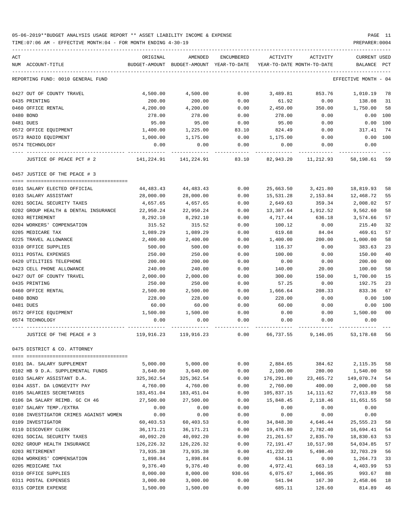### 05-06-2019\*\*BUDGET ANALYSIS USAGE REPORT \*\* ASSET LIABILITY INCOME & EXPENSE PAGE 11 TIME:07:06 AM - EFFECTIVE MONTH:04 - FOR MONTH ENDING 4-30-19 PREPARER:0004

| ACT                                    | ORIGINAL    | AMENDED                                  | ENCUMBERED | ACTIVITY   | ACTIVITY                   | <b>CURRENT USED</b> |      |
|----------------------------------------|-------------|------------------------------------------|------------|------------|----------------------------|---------------------|------|
| NUM ACCOUNT-TITLE                      |             | BUDGET-AMOUNT BUDGET-AMOUNT YEAR-TO-DATE |            |            | YEAR-TO-DATE MONTH-TO-DATE | BALANCE             | PCT  |
| REPORTING FUND: 0010 GENERAL FUND      |             |                                          |            |            |                            | EFFECTIVE MONTH     | - 04 |
| 0427 OUT OF COUNTY TRAVEL              | 4,500.00    | 4,500.00                                 | 0.00       | 3,489.81   | 853.76                     | 1,010.19            | 78   |
| 0435 PRINTING                          | 200.00      | 200.00                                   | 0.00       | 61.92      | 0.00                       | 138.08              | 31   |
| 0460 OFFICE RENTAL                     | 4,200.00    | 4,200.00                                 | 0.00       | 2,450.00   | 350.00                     | 1,750.00            | 58   |
| 0480 BOND                              | 278.00      | 278.00                                   | 0.00       | 278.00     | 0.00                       | 0.00                | 100  |
| 0481 DUES                              | 95.00       | 95.00                                    | 0.00       | 95.00      | 0.00                       | 0.00                | 100  |
| 0572 OFFICE EQUIPMENT                  | 1,400.00    | 1,225.00                                 | 83.10      | 824.49     | 0.00                       | 317.41              | 74   |
| 0573 RADIO EQUIPMENT                   | 1,000.00    | 1,175.00                                 | 0.00       | 1,175.00   | 0.00                       | 0.00                | 100  |
| 0574 TECHNOLOGY                        | 0.00        | 0.00                                     | 0.00       | 0.00       | 0.00                       | 0.00                |      |
| JUSTICE OF PEACE PCT # 2               | 141,224.91  | 141,224.91                               | 83.10      | 82,943.20  | 11,212.93                  | 58,198.61           | 59   |
| 0457 JUSTICE OF THE PEACE # 3          |             |                                          |            |            |                            |                     |      |
|                                        |             |                                          |            |            |                            |                     |      |
| 0101 SALARY ELECTED OFFICIAL           | 44,483.43   | 44,483.43                                | 0.00       | 25,663.50  | 3,421.80                   | 18,819.93           | 58   |
| 0103 SALARY ASSISTANT                  | 28,000.00   | 28,000.00                                | 0.00       | 15,531.28  | 2,153.84                   | 12,468.72           | 55   |
| 0201 SOCIAL SECURITY TAXES             | 4,657.65    | 4,657.65                                 | 0.00       | 2,649.63   | 359.34                     | 2,008.02            | 57   |
| 0202 GROUP HEALTH & DENTAL INSURANCE   | 22,950.24   | 22,950.24                                | 0.00       | 13,387.64  | 1,912.52                   | 9,562.60            | 58   |
| 0203 RETIREMENT                        | 8,292.10    | 8,292.10                                 | 0.00       | 4,717.44   | 636.18                     | 3,574.66            | 57   |
| 0204 WORKERS' COMPENSATION             | 315.52      | 315.52                                   | 0.00       | 100.12     | 0.00                       | 215.40              | 32   |
| 0205 MEDICARE TAX                      | 1,089.29    | 1,089.29                                 | 0.00       | 619.68     | 84.04                      | 469.61              | 57   |
| 0225 TRAVEL ALLOWANCE                  | 2,400.00    | 2,400.00                                 | 0.00       | 1,400.00   | 200.00                     | 1,000.00            | 58   |
| 0310 OFFICE SUPPLIES                   | 500.00      | 500.00                                   | 0.00       | 116.37     | 0.00                       | 383.63              | 23   |
| 0311 POSTAL EXPENSES                   | 250.00      | 250.00                                   | 0.00       | 100.00     | 0.00                       | 150.00              | 40   |
| 0420 UTILITIES TELEPHONE               | 200.00      | 200.00                                   | 0.00       | 0.00       | 0.00                       | 200.00              | 00   |
| 0423 CELL PHONE ALLOWANCE              | 240.00      | 240.00                                   | 0.00       | 140.00     | 20.00                      | 100.00              | 58   |
| 0427 OUT OF COUNTY TRAVEL              | 2,000.00    | 2,000.00                                 | 0.00       | 300.00     | 150.00                     | 1,700.00            | 15   |
| 0435 PRINTING                          | 250.00      | 250.00                                   | 0.00       | 57.25      | 0.00                       | 192.75              | 23   |
| 0460 OFFICE RENTAL                     | 2,500.00    | 2,500.00                                 | 0.00       | 1,666.64   | 208.33                     | 833.36              | 67   |
| 0480 BOND                              | 228.00      | 228.00                                   | 0.00       | 228.00     | 0.00                       | 0.00                | 100  |
| 0481 DUES                              | 60.00       | 60.00                                    | 0.00       | 60.00      | 0.00                       | 0.00                | 100  |
| 0572 OFFICE EQUIPMENT                  | 1,500.00    | 1,500.00                                 | 0.00       | 0.00       | 0.00                       | 1,500.00            | 00   |
| 0574 TECHNOLOGY                        | 0.00        | 0.00                                     | 0.00       | 0.00       | 0.00                       | 0.00                |      |
| JUSTICE OF THE PEACE # 3               | 119,916.23  | 119,916.23                               | 0.00       | 66,737.55  | 9,146.05                   | 53,178.68 56        |      |
| 0475 DISTRICT & CO. ATTORNEY           |             |                                          |            |            |                            |                     |      |
| 0101 DA. SALARY SUPPLEMENT             | 5,000.00    | 5,000.00                                 | 0.00       | 2,884.65   | 384.62                     | 2, 115.35           | 58   |
| 0102 HB 9 D.A. SUPPLEMENTAL FUNDS      | 3,640.00    | 3,640.00                                 | 0.00       | 2,100.00   | 280.00                     | 1,540.00            | 58   |
| 0103 SALARY ASSISTANT D.A.             | 325, 362.54 | 325, 362.54                              | 0.00       | 176,291.80 | 23, 465. 72                | 149,070.74          | 54   |
| 0104 ASST. DA LONGEVITY PAY            | 4,760.00    | 4,760.00                                 | 0.00       | 2,760.00   | 400.00                     | 2,000.00            | 58   |
| 0105 SALARIES SECRETARIES              | 183,451.04  | 183,451.04                               | 0.00       | 105,837.15 | 14, 111.62                 | 77,613.89           | 58   |
| 0106 DA SALARY REIMB. GC CH 46         |             | 27,500.00                                |            | 15,848.45  | 2,118.46                   |                     |      |
|                                        | 27,500.00   |                                          | 0.00       |            |                            | 11,651.55           | 58   |
| 0107 SALARY TEMP./EXTRA                | 0.00        | 0.00                                     | 0.00       | 0.00       | 0.00                       | 0.00                |      |
| 0108 INVESTIGATOR CRIMES AGAINST WOMEN | 0.00        | 0.00                                     | 0.00       | 0.00       | 0.00                       | 0.00                |      |
| 0109 INVESTIGATOR                      | 60,403.53   | 60,403.53                                | 0.00       | 34,848.30  | 4,646.44                   | 25, 555. 23         | 58   |
| 0110 DISCOVERY CLERK                   | 36, 171. 21 | 36, 171. 21                              | 0.00       | 19,476.80  | 2,782.40                   | 16,694.41           | 54   |
| 0201 SOCIAL SECURITY TAXES             | 40,092.20   | 40,092.20                                | 0.00       | 21,261.57  | 2,835.70                   | 18,830.63           | 53   |
| 0202 GROUP HEALTH INSURANCE            | 126,226.32  | 126,226.32                               | 0.00       | 72,191.47  | 10,517.98                  | 54,034.85           | 57   |
| 0203 RETIREMENT                        | 73,935.38   | 73,935.38                                | 0.00       | 41,232.09  | 5,498.40                   | 32,703.29           | 56   |
| 0204 WORKERS' COMPENSATION             | 1,898.84    | 1,898.84                                 | 0.00       | 634.11     | 0.00                       | 1,264.73            | 33   |
| 0205 MEDICARE TAX                      | 9,376.40    | 9,376.40                                 | 0.00       | 4,972.41   | 663.18                     | 4,403.99            | 53   |
| 0310 OFFICE SUPPLIES                   | 8,000.00    | 8,000.00                                 | 930.66     | 6,075.67   | 1,066.95                   | 993.67              | 88   |
| 0311 POSTAL EXPENSES                   | 3,000.00    | 3,000.00                                 | 0.00       | 541.94     | 167.30                     | 2,458.06            | 18   |

0315 COPIER EXPENSE 1,500.00 1,500.00 0.00 685.11 126.60 814.89 46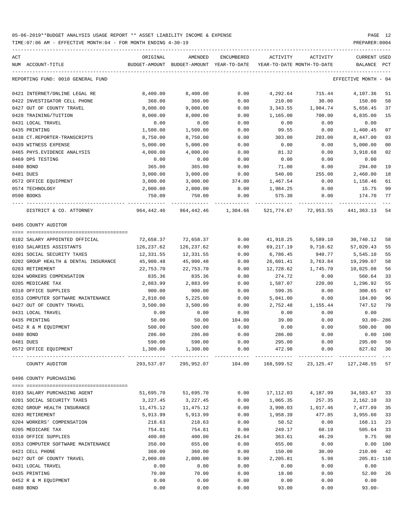TIME:07:06 AM - EFFECTIVE MONTH:04 - FOR MONTH ENDING 4-30-19 PREPARER:0004

| ACT                                  | ORIGINAL   | AMENDED                                                         | ENCUMBERED | ACTIVITY                   | ACTIVITY             | <b>CURRENT USED</b>  |                |
|--------------------------------------|------------|-----------------------------------------------------------------|------------|----------------------------|----------------------|----------------------|----------------|
| NUM ACCOUNT-TITLE                    |            | BUDGET-AMOUNT BUDGET-AMOUNT YEAR-TO-DATE                        |            | YEAR-TO-DATE MONTH-TO-DATE |                      | BALANCE PCT          |                |
| REPORTING FUND: 0010 GENERAL FUND    |            |                                                                 |            |                            |                      | EFFECTIVE MONTH - 04 |                |
| 0421 INTERNET/ONLINE LEGAL RE        | 8,400.00   | 8,400.00                                                        | 0.00       | 4,292.64                   | 715.44               | 4,107.36             | 51             |
| 0422 INVESTIGATOR CELL PHONE         | 360.00     | 360.00                                                          | 0.00       | 210.00                     | 30.00                | 150.00               | 58             |
| 0427 OUT OF COUNTY TRAVEL            | 9,000.00   | 9,000.00                                                        | 0.00       | 3,343.55                   | 1,984.74             | 5,656.45             | 37             |
| 0428 TRAINING/TUITION                | 8,000.00   | 8,000.00                                                        | 0.00       | 1,165.00                   | 700.00               | 6,835.00             | 15             |
| 0431 LOCAL TRAVEL                    | 0.00       | 0.00                                                            | 0.00       | 0.00                       | 0.00                 | 0.00                 |                |
| 0435 PRINTING                        | 1,500.00   | 1,500.00                                                        | 0.00       | 99.55                      | 0.00                 | 1,400.45             | 07             |
| 0438 CT.REPORTER-TRANSCRIPTS         | 8,750.00   | 8,750.00                                                        | 0.00       | 303.00                     | 203.00               | 8,447.00             | 03             |
| 0439 WITNESS EXPENSE                 | 5,000.00   | 5,000.00                                                        | 0.00       | 0.00                       | 0.00                 | 5,000.00             | 0 <sub>0</sub> |
| 0465 PHYS. EVIDENCE ANALYSIS         | 4,000.00   | 4,000.00                                                        | 0.00       | 81.32                      | 0.00                 | 3,918.68             | 02             |
| 0469 DPS TESTING                     | 0.00       | 0.00                                                            | 0.00       | 0.00                       | 0.00                 | 0.00                 |                |
| 0480 BOND                            | 365.00     | 365.00                                                          | 0.00       | 71.00                      | 0.00                 | 294.00               | 19             |
| 0481 DUES                            | 3,000.00   | 3,000.00                                                        | 0.00       | 540.00                     | 255.00               | 2,460.00             | 18             |
| 0572 OFFICE EQUIPMENT                | 3,000.00   | 3,000.00                                                        | 374.00     | 1,467.54                   | 0.00                 | 1,158.46             | 61             |
| 0574 TECHNOLOGY                      | 2,000.00   | 2,000.00                                                        | 0.00       | 1,984.25                   | 0.00                 | 15.75                | 99             |
| 0590 BOOKS                           | 750.00     | 750.00                                                          | 0.00       | 575.30                     | 0.00                 | 174.70               | 77             |
| DISTRICT & CO. ATTORNEY              |            | 964,442.46 964,442.46 1,304.66                                  |            |                            | 521,774.67 72,953.55 | 441,363.13           | 54             |
| 0495 COUNTY AUDITOR                  |            |                                                                 |            |                            |                      |                      |                |
|                                      |            |                                                                 |            |                            |                      |                      |                |
| 0102 SALARY APPOINTED OFFICIAL       | 72,658.37  | 72,658.37                                                       | 0.00       | 41,918.25                  | 5,589.10             | 30,740.12            | 58             |
| 0103 SALARIES ASSISTANTS             | 126,237.62 | 126,237.62                                                      | 0.00       | 69,217.19                  | 9,710.62             | 57,020.43            | 55             |
| 0201 SOCIAL SECURITY TAXES           | 12,331.55  | 12,331.55                                                       | 0.00       | 6,786.45                   | 940.77               | 5,545.10             | 55             |
| 0202 GROUP HEALTH & DENTAL INSURANCE | 45,900.48  | 45,900.48                                                       | 0.00       | 26,601.41                  | 3,763.84             | 19,299.07            | 58             |
| 0203 RETIREMENT                      | 22,753.70  | 22,753.70                                                       | 0.00       | 12,728.62                  | 1,745.70             | 10,025.08            | 56             |
| 0204 WORKERS COMPENSATION            | 835.36     | 835.36                                                          | 0.00       | 274.72                     | 0.00                 | 560.64               | 33             |
| 0205 MEDICARE TAX                    | 2,883.99   | 2,883.99                                                        | 0.00       | 1,587.07                   | 220.00               | 1,296.92             | 55             |
| 0310 OFFICE SUPPLIES                 | 900.00     | 900.00                                                          | 0.00       | 599.35                     | 0.00                 | 300.65               | 67             |
| 0353 COMPUTER SOFTWARE MAINTENANCE   | 2,810.00   | 5,225.00                                                        | 0.00       | 5,041.00                   | 0.00                 | 184.00               | 96             |
| 0427 OUT OF COUNTY TRAVEL            | 3,500.00   | 3,500.00                                                        | 0.00       | 2,752.48                   | 1,155.44             | 747.52               | 79             |
| 0431 LOCAL TRAVEL                    | 0.00       | 0.00                                                            | 0.00       | 0.00                       | 0.00                 | 0.00                 |                |
| 0435 PRINTING                        | 50.00      | 50.00                                                           | 104.00     | 39.00                      | 0.00                 | 93.00- 286           |                |
| 0452 R & M EQUIPMENT                 | 500.00     | 500.00                                                          | 0.00       | 0.00                       | 0.00                 | 500.00               | 00             |
| 0480 BOND                            | 286.00     | 286.00                                                          | 0.00       | 286.00                     | 0.00                 | $0.00$ 100           |                |
| 0481 DUES                            | 590.00     | 590.00                                                          | 0.00       | 295.00                     | 0.00                 | 295.00               | 50             |
| 0572 OFFICE EQUIPMENT                | 1,300.00   | 1,300.00                                                        | 0.00       | 472.98                     | 0.00                 | 827.02 36            |                |
| COUNTY AUDITOR                       |            | 293,537.07 295,952.07 104.00 168,599.52 23,125.47 127,248.55 57 |            |                            |                      |                      |                |
| 0496 COUNTY PURCHASING               |            |                                                                 |            |                            |                      |                      |                |
|                                      |            |                                                                 |            |                            |                      |                      |                |
| 0103 SALARY PURCHASING AGENT         | 51,695.70  | 51,695.70                                                       | 0.00       | 17,112.03                  | 4,187.99             | 34,583.67            | 33             |
| 0201 SOCIAL SECURITY TAXES           | 3,227.45   | 3,227.45                                                        | 0.00       | 1,065.35                   | 257.35               | 2,162.10             | 33             |
| 0202 GROUP HEALTH INSURANCE          | 11,475.12  | 11,475.12                                                       | 0.00       | 3,998.03                   | 1,017.46             | 7,477.09             | 35             |
| 0203 RETIREMENT                      | 5,913.99   | 5,913.99                                                        | 0.00       | 1,958.39                   | 477.85               | 3,955.60             | 33             |
| 0204 WORKERS' COMPENSATION           | 218.63     | 218.63                                                          | 0.00       | 50.52                      | 0.00                 | 168.11               | 23             |
| 0205 MEDICARE TAX                    | 754.81     | 754.81                                                          | 0.00       | 249.17                     | 60.19                | 505.64               | 33             |
| 0310 OFFICE SUPPLIES                 | 400.00     | 400.00                                                          | 26.64      | 363.61                     | 46.20                | 9.75                 | 98             |
| 0353 COMPUTER SOFTWARE MAINTENANCE   | 350.00     | 655.00                                                          | 0.00       | 655.00                     | 0.00                 | $0.00$ 100           |                |
| 0421 CELL PHONE                      | 360.00     | 360.00                                                          | 0.00       | 150.00                     | 30.00                | 210.00               | 42             |
| 0427 OUT OF COUNTY TRAVEL            | 2,000.00   | 2,000.00                                                        | 0.00       | 2,205.81                   | 5.98                 | $205.81 - 110$       |                |
| 0431 LOCAL TRAVEL                    | 0.00       | 0.00                                                            | 0.00       | 0.00                       | 0.00                 | 0.00                 |                |
| 0435 PRINTING                        | 70.00      | 70.00                                                           | 0.00       | 18.00                      | 0.00                 | 52.00                | 26             |
| 0452 R & M EQUIPMENT                 | 0.00       | 0.00                                                            | 0.00       | 0.00                       | 0.00                 | 0.00                 |                |

0480 BOND 0.00 0.00 0.00 93.00 0.00 93.00-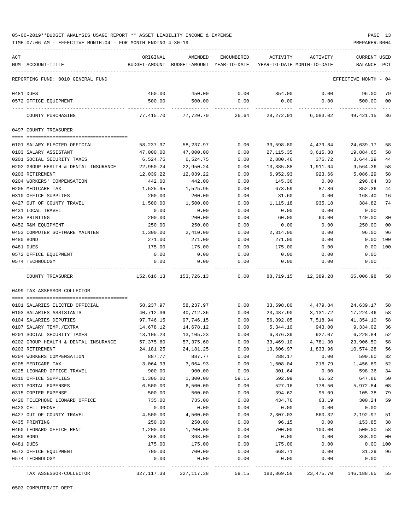TIME:07:06 AM - EFFECTIVE MONTH:04 - FOR MONTH ENDING 4-30-19 PREPARER:0004

| ACT |                                                            | ORIGINAL                             | <b>AMENDED</b>             | ENCUMBERED     | ACTIVITY               | ACTIVITY                   | <b>CURRENT USED</b>  |                |
|-----|------------------------------------------------------------|--------------------------------------|----------------------------|----------------|------------------------|----------------------------|----------------------|----------------|
|     | NUM ACCOUNT-TITLE                                          | BUDGET-AMOUNT                        | BUDGET-AMOUNT YEAR-TO-DATE |                |                        | YEAR-TO-DATE MONTH-TO-DATE | BALANCE              | PCT            |
|     | REPORTING FUND: 0010 GENERAL FUND                          |                                      |                            |                |                        |                            | EFFECTIVE MONTH - 04 |                |
|     | 0481 DUES                                                  | 450.00                               | 450.00                     | 0.00           | 354.00                 | 0.00                       | 96.00                | 79             |
|     | 0572 OFFICE EQUIPMENT                                      | 500.00                               | 500.00                     | 0.00           | 0.00                   | 0.00                       | 500.00               | 00             |
|     | COUNTY PURCHASING                                          | 77,415.70                            | 77,720.70                  | 26.64          |                        | 28,272.91 6,083.02         | 49,421.15            | 36             |
|     | 0497 COUNTY TREASURER                                      |                                      |                            |                |                        |                            |                      |                |
|     |                                                            |                                      |                            |                |                        |                            |                      |                |
|     | 0101 SALARY ELECTED OFFICIAL                               | 58,237.97                            | 58,237.97                  | 0.00           | 33,598.80              | 4,479.84                   | 24,639.17            | 58             |
|     | 0103 SALARY ASSISTANT                                      | 47,000.00                            | 47,000.00                  | 0.00           | 27, 115.35             | 3,615.38                   | 19,884.65            | 58             |
|     | 0201 SOCIAL SECURITY TAXES                                 | 6,524.75                             | 6,524.75                   | 0.00           | 2,880.46               | 375.72                     | 3,644.29             | 44<br>58       |
|     | 0202 GROUP HEALTH & DENTAL INSURANCE<br>0203 RETIREMENT    | 22,950.24<br>12,039.22               | 22,950.24<br>12,039.22     | 0.00<br>0.00   | 13,385.88<br>6,952.93  | 1,911.64<br>923.66         | 9,564.36<br>5,086.29 | 58             |
|     | 0204 WORKERS' COMPENSATION                                 | 442.00                               | 442.00                     | 0.00           | 145.36                 | 0.00                       | 296.64               | 33             |
|     | 0205 MEDICARE TAX                                          | 1,525.95                             | 1,525.95                   | 0.00           | 673.59                 | 87.86                      | 852.36               | 44             |
|     | 0310 OFFICE SUPPLIES                                       | 200.00                               | 200.00                     | 0.00           | 31.60                  | 0.00                       | 168.40               | 16             |
|     | 0427 OUT OF COUNTY TRAVEL                                  | 1,500.00                             | 1,500.00                   | 0.00           | 1,115.18               | 935.18                     | 384.82               | 74             |
|     | 0431 LOCAL TRAVEL                                          | 0.00                                 | 0.00                       | 0.00           | 0.00                   | 0.00                       | 0.00                 |                |
|     | 0435 PRINTING                                              | 200.00                               | 200.00                     | 0.00           | 60.00                  | 60.00                      | 140.00               | 30             |
|     | 0452 R&M EQUIPMENT                                         | 250.00                               | 250.00                     | 0.00           | 0.00                   | 0.00                       | 250.00               | 0 <sub>0</sub> |
|     | 0453 COMPUTER SOFTWARE MAINTEN                             | 1,300.00                             | 2,410.00                   | 0.00           | 2,314.00               | 0.00                       | 96.00                | 96             |
|     | 0480 BOND                                                  | 271.00                               | 271.00                     | 0.00           | 271.00                 | 0.00                       | 0.00                 | 100            |
|     | 0481 DUES                                                  | 175.00                               | 175.00                     | 0.00           | 175.00                 | 0.00                       | 0.00                 | 100            |
|     | 0572 OFFICE EQUIPMENT                                      | 0.00                                 | 0.00                       | 0.00           | 0.00                   | 0.00                       | 0.00                 |                |
|     | 0574 TECHNOLOGY                                            | 0.00                                 | 0.00                       | 0.00           | 0.00                   | 0.00                       | 0.00                 |                |
|     | COUNTY TREASURER                                           | 152,616.13                           | 153,726.13                 | 0.00           | 88,719.15              | 12,389.28                  | 65,006.98            | 58             |
|     | 0499 TAX ASSESSOR-COLLECTOR                                |                                      |                            |                |                        |                            |                      |                |
|     |                                                            |                                      | 58,237.97                  |                |                        |                            | 24,639.17            | 58             |
|     | 0101 SALARIES ELECTED OFFICIAL<br>0103 SALARIES ASSISTANTS | 58,237.97<br>40,712.36               | 40,712.36                  | 0.00<br>0.00   | 33,598.80<br>23,487.90 | 4,479.84<br>3,131.72       | 17,224.46            | 58             |
|     | 0104 SALARIES DEPUTIES                                     | 97,746.15                            | 97,746.15                  | 0.00           | 56,392.05              | 7,518.94                   | 41,354.10            | 58             |
|     | 0107 SALARY TEMP./EXTRA                                    | 14,678.12                            | 14,678.12                  | 0.00           | 5,344.10               | 943.00                     | 9,334.02             | 36             |
|     | 0201 SOCIAL SECURITY TAXES                                 | 13,105.23                            | 13,105.23                  | 0.00           | 6,876.39               | 927.07                     | 6,228.84             | 52             |
|     | 0202 GROUP HEALTH & DENTAL INSURANCE                       | 57,375.60                            | 57,375.60                  | 0.00           | 33,469.10              | 4,781.30                   | 23,906.50            | 58             |
|     | 0203 RETIREMENT                                            | 24,181.25                            | 24, 181. 25                | 0.00           | 13,606.97              | 1,833.96                   | 10,574.28            | 56             |
|     | 0204 WORKERS COMPENSATION                                  | 887.77                               | 887.77                     | 0.00           | 288.17                 | 0.00                       | 599.60               | 32             |
|     | 0205 MEDICARE TAX                                          | 3,064.93                             | 3,064.93                   | 0.00           | 1,608.04               | 216.79                     | 1,456.89             | 52             |
|     | 0225 LEONARD OFFICE TRAVEL                                 | 900.00                               | 900.00                     | 0.00           | 301.64                 | 0.00                       | 598.36               | 34             |
|     | 0310 OFFICE SUPPLIES                                       | 1,300.00                             | 1,300.00                   | 59.15          | 592.99                 | 66.62                      | 647.86               | 50             |
|     | 0311 POSTAL EXPENSES                                       | 6,500.00                             | 6,500.00                   | 0.00           | 527.16                 | 178.50                     | 5,972.84             | 08             |
|     | 0315 COPIER EXPENSE                                        | 500.00                               | 500.00                     | 0.00           | 394.62                 | 95.09                      | 105.38               | 79             |
|     | 0420 TELEPHONE LEONARD OFFICE                              | 735.00                               | 735.00                     | 0.00           | 434.76                 | 63.19                      | 300.24               | 59             |
|     | 0423 CELL PHONE                                            | 0.00                                 | 0.00                       | 0.00           | 0.00                   | 0.00                       | 0.00                 |                |
|     | 0427 OUT OF COUNTY TRAVEL                                  | 4,500.00                             | 4,500.00                   | 0.00           | 2,307.03               | $860.32-$                  | 2,192.97             | 51             |
|     | 0435 PRINTING                                              | 250.00                               | 250.00                     | 0.00           | 96.15                  | 0.00                       | 153.85               | 38             |
|     | 0460 LEONARD OFFICE RENT                                   | 1,200.00                             | 1,200.00                   | 0.00           | 700.00                 | 100.00                     | 500.00               | 58             |
|     | 0480 BOND                                                  | 368.00                               | 368.00                     | 0.00           | 0.00                   | 0.00                       | 368.00               | 0 <sub>0</sub> |
|     | 0481 DUES                                                  | 175.00                               | 175.00                     | 0.00           | 175.00                 | 0.00                       | 0.00 100             |                |
|     | 0572 OFFICE EQUIPMENT                                      | 700.00                               | 700.00                     | 0.00           | 668.71                 | 0.00                       | 31.29                | 96             |
|     | 0574 TECHNOLOGY                                            | 0.00<br>-------------- ------------- | 0.00<br>----------         | 0.00<br>------ | 0.00                   | 0.00<br>----------         | 0.00                 |                |
|     | TAX ASSESSOR-COLLECTOR                                     | 327,117.38                           | 327,117.38                 | 59.15          | 180,869.58             | 23,475.70                  | 146,188.65           | 55             |

0503 COMPUTER/IT DEPT.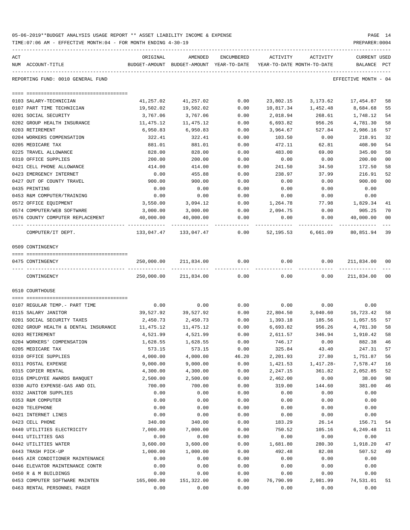| 05-06-2019**BUDGET ANALYSIS USAGE REPORT ** ASSET LIABILITY INCOME & EXPENSE | PAGE 14        |
|------------------------------------------------------------------------------|----------------|
| TIME:07:06 AM - EFFECTIVE MONTH:04 - FOR MONTH ENDING 4-30-19                | PREPARER: 0004 |

| ACT                                                     | ORIGINAL              | AMENDED                                                             | ENCUMBERED   | ACTIVITY             | ACTIVITY                     | <b>CURRENT USED</b>  |                |
|---------------------------------------------------------|-----------------------|---------------------------------------------------------------------|--------------|----------------------|------------------------------|----------------------|----------------|
| NUM ACCOUNT-TITLE                                       |                       | BUDGET-AMOUNT BUDGET-AMOUNT YEAR-TO-DATE YEAR-TO-DATE MONTH-TO-DATE |              |                      |                              | BALANCE PCT          |                |
| REPORTING FUND: 0010 GENERAL FUND                       |                       |                                                                     |              |                      |                              | EFFECTIVE MONTH - 04 |                |
|                                                         |                       |                                                                     |              |                      |                              |                      |                |
|                                                         |                       |                                                                     |              |                      |                              |                      |                |
| 0103 SALARY-TECHNICIAN                                  | 41,257.02             | 41,257.02                                                           | 0.00         | 23,802.15            | 3,173.62                     | 17,454.87            | 58             |
| 0107 PART TIME TECHNICIAN<br>0201 SOCIAL SECURITY       | 19,502.02<br>3,767.06 | 19,502.02<br>3,767.06                                               | 0.00<br>0.00 | 2,018.94             | 10,817.34 1,452.48<br>268.61 | 8,684.68<br>1,748.12 | 55<br>54       |
| 0202 GROUP HEALTH INSURANCE                             | 11,475.12             | 11,475.12                                                           | 0.00         | 6,693.82             | 956.26                       | 4,781.30             | 58             |
| 0203 RETIREMENT                                         | 6,950.83              | 6,950.83                                                            | 0.00         | 3,964.67             | 527.84                       | 2,986.16             | 57             |
| 0204 WORKERS COMPENSATION                               | 322.41                | 322.41                                                              | 0.00         | 103.50               | 0.00                         | 218.91               | 32             |
| 0205 MEDICARE TAX                                       | 881.01                | 881.01                                                              | 0.00         | 472.11               | 62.81                        | 408.90               | 54             |
| 0225 TRAVEL ALLOWANCE                                   | 828.00                | 828.00                                                              | 0.00         | 483.00               | 69.00                        | 345.00               | 58             |
| 0310 OFFICE SUPPLIES                                    | 200.00                | 200.00                                                              | 0.00         | 0.00                 | 0.00                         | 200.00               | 0 <sub>0</sub> |
| 0421 CELL PHONE ALLOWANCE                               | 414.00                | 414.00                                                              | 0.00         | 241.50               | 34.50                        | 172.50               | 58             |
| 0423 EMERGENCY INTERNET                                 | 0.00                  | 455.88                                                              | 0.00         | 238.97               | 37.99                        | 216.91               | 52             |
| 0427 OUT OF COUNTY TRAVEL                               | 900.00                | 900.00                                                              | 0.00         | 0.00                 | 0.00                         | 900.00               | 0 <sub>0</sub> |
| 0435 PRINTING                                           | 0.00                  | 0.00                                                                | 0.00         | 0.00                 | 0.00                         | 0.00                 |                |
| 0453 R&M COMPUTER/TRAINING                              | 0.00                  | 0.00                                                                | 0.00         | 0.00                 | 0.00                         | 0.00                 |                |
| 0572 OFFICE EQUIPMENT                                   | 3,550.00              | 3,094.12                                                            | 0.00         | 1,264.78             | 77.98                        | 1,829.34             | 41             |
| 0574 COMPUTER/WEB SOFTWARE                              | 3,000.00              | 3,000.00                                                            | 0.00         | 2,094.75             | 0.00                         | 905.25               | 70             |
| 0576 COUNTY COMPUTER REPLACEMENT                        | 40,000.00             | 40,000.00                                                           | 0.00         | 0.00                 | 0.00                         | 40,000.00            | 0 <sub>0</sub> |
| COMPUTER/IT DEPT.                                       |                       |                                                                     |              |                      | 52,195.53 6,661.09           | 80,851.94            | 39             |
| 0509 CONTINGENCY                                        |                       |                                                                     |              |                      |                              |                      |                |
|                                                         |                       |                                                                     |              |                      |                              |                      |                |
| 0475 CONTINGENCY                                        | 250,000.00            | 211,834.00                                                          | 0.00         | 0.00                 | 0.00                         | 211,834.00           | 00             |
| CONTINGENCY                                             | 250,000.00            | 211,834.00                                                          | 0.00         | 0.00                 | 0.00                         | 211,834.00           | 0 <sub>0</sub> |
| 0510 COURTHOUSE                                         |                       |                                                                     |              |                      |                              |                      |                |
|                                                         |                       |                                                                     |              |                      |                              |                      |                |
| 0107 REGULAR TEMP. - PART TIME                          | 0.00                  | 0.00                                                                | 0.00         | 0.00                 | 0.00                         | 0.00                 |                |
| 0115 SALARY JANITOR                                     | 39,527.92             | 39,527.92                                                           | 0.00         | 22,804.50            | 3,040.60                     | 16,723.42            | 58             |
| 0201 SOCIAL SECURITY TAXES                              | 2,450.73              | 2,450.73<br>11,475.12                                               | 0.00         | 1,393.18<br>6,693.82 | 185.56                       | 1,057.55             | 57<br>58       |
| 0202 GROUP HEALTH & DENTAL INSURANCE<br>0203 RETIREMENT | 11,475.12<br>4,521.99 | 4,521.99                                                            | 0.00<br>0.00 | 2,611.57             | 956.26<br>346.94             | 4,781.30<br>1,910.42 | 58             |
| 0204 WORKERS' COMPENSATION                              | 1,628.55              | 1,628.55                                                            | 0.00         | 746.17               | 0.00                         | 882.38               | 46             |
| 0205 MEDICARE TAX                                       | 573.15                | 573.15                                                              | 0.00         | 325.84               | 43.40                        | 247.31               | 57             |
| 0310 OFFICE SUPPLIES                                    | 4,000.00              | 4,000.00                                                            | 46.20        | 2,201.93             | 27.80                        | 1,751.87             | 56             |
| 0311 POSTAL EXPENSE                                     | 9,000.00              | 9,000.00                                                            | 0.00         | 1,421.53             | 1,417.28-                    | 7,578.47             | 16             |
| 0315 COPIER RENTAL                                      | 4,300.00              | 4,300.00                                                            | 0.00         | 2,247.15             | 361.82                       | 2,052.85             | 52             |
| 0316 EMPLOYEE AWARDS BANQUET                            | 2,500.00              | 2,500.00                                                            | 0.00         | 2,462.00             | 0.00                         | 38.00                | 98             |
| 0330 AUTO EXPENSE-GAS AND OIL                           | 700.00                | 700.00                                                              | 0.00         | 319.00               | 144.60                       | 381.00               | 46             |
| 0332 JANITOR SUPPLIES                                   | 0.00                  | 0.00                                                                | 0.00         | 0.00                 | 0.00                         | 0.00                 |                |
| 0353 R&M COMPUTER                                       | 0.00                  | 0.00                                                                | 0.00         | 0.00                 | 0.00                         | 0.00                 |                |
| 0420 TELEPHONE                                          | 0.00                  | 0.00                                                                | 0.00         | 0.00                 | 0.00                         | 0.00                 |                |
| 0421 INTERNET LINES                                     | 0.00                  | 0.00                                                                | 0.00         | 0.00                 | 0.00                         | 0.00                 |                |
| 0423 CELL PHONE                                         | 340.00                | 340.00                                                              | 0.00         | 183.29               | 26.14                        | 156.71               | 54             |
| 0440 UTILITIES ELECTRICITY<br>0441 UTILITIES GAS        | 7,000.00              | 7,000.00                                                            | 0.00<br>0.00 | 750.52<br>0.00       | 105.16                       | 6,249.48<br>0.00     | 11             |
| 0442 UTILITIES WATER                                    | 0.00<br>3,600.00      | 0.00<br>3,600.00                                                    | 0.00         | 1,681.80             | 0.00<br>280.30               | 1,918.20             | 47             |
| 0443 TRASH PICK-UP                                      | 1,000.00              | 1,000.00                                                            | 0.00         | 492.48               | 82.08                        | 507.52               | 49             |
| 0445 AIR CONDITIONER MAINTENANCE                        | 0.00                  | 0.00                                                                | 0.00         | 0.00                 | 0.00                         | 0.00                 |                |
| 0446 ELEVATOR MAINTENANCE CONTR                         | 0.00                  | 0.00                                                                | 0.00         | 0.00                 | 0.00                         | 0.00                 |                |
| 0450 R & M BUILDINGS                                    | 0.00                  | 0.00                                                                | 0.00         | 0.00                 | 0.00                         | 0.00                 |                |
| 0453 COMPUTER SOFTWARE MAINTEN                          | 165,000.00            | 151,322.00                                                          | 0.00         | 76,790.99            | 2,981.99                     | 74,531.01            | 51             |

0463 RENTAL PERSONNEL PAGER 0.00 0.00 0.00 0.00 0.00 0.00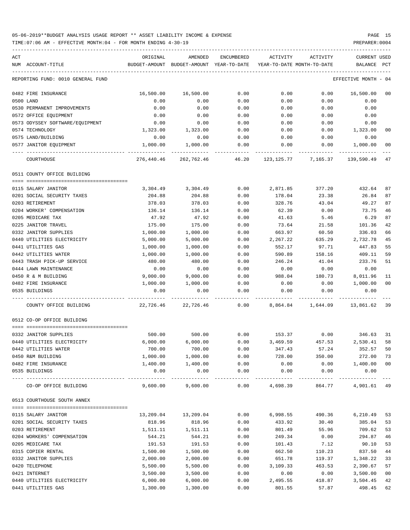| ACT<br>NUM ACCOUNT-TITLE              | ORIGINAL              | AMENDED<br>BUDGET-AMOUNT BUDGET-AMOUNT YEAR-TO-DATE YEAR-TO-DATE MONTH-TO-DATE | ENCUMBERED   | ACTIVITY     | ACTIVITY          | CURRENT USED<br>BALANCE PCT |                |
|---------------------------------------|-----------------------|--------------------------------------------------------------------------------|--------------|--------------|-------------------|-----------------------------|----------------|
|                                       |                       |                                                                                |              |              |                   |                             |                |
| REPORTING FUND: 0010 GENERAL FUND     |                       |                                                                                |              |              |                   | EFFECTIVE MONTH - 04        |                |
| 0482 FIRE INSURANCE                   | 16,500.00             | 16,500.00                                                                      | 0.00         | 0.00         | 0.00              | 16,500.00                   | 00             |
| 0500 LAND                             | 0.00                  | 0.00                                                                           | 0.00         | 0.00         | 0.00              | 0.00                        |                |
| 0530 PERMANENT IMPROVEMENTS           | 0.00                  | 0.00                                                                           | 0.00         | 0.00         | 0.00              | 0.00                        |                |
| 0572 OFFICE EQUIPMENT                 | 0.00                  | 0.00                                                                           | 0.00         | 0.00         | 0.00              | 0.00                        |                |
| 0573 ODYSSEY SOFTWARE/EQUIPMENT       | 0.00                  | 0.00                                                                           | 0.00         | 0.00         | 0.00              | 0.00                        |                |
| 0574 TECHNOLOGY                       | 1,323.00              | 1,323.00                                                                       | 0.00         | 0.00         | 0.00              | 1,323.00                    | 00             |
| 0575 LAND/BUILDING                    | 0.00                  | 0.00                                                                           | 0.00         | 0.00         | 0.00              | 0.00                        |                |
| 0577 JANITOR EQUIPMENT                | 1,000.00              | 1,000.00                                                                       | 0.00         | 0.00         | 0.00              | 1,000.00                    | 00             |
| COURTHOUSE                            |                       | 276,440.46 262,762.46 46.20 123,125.77 7,165.37                                |              |              |                   | 139,590.49                  | 47             |
| 0511 COUNTY OFFICE BUILDING           |                       |                                                                                |              |              |                   |                             |                |
| 0115 SALARY JANITOR                   |                       | 3,304.49 3,304.49                                                              | 0.00         |              | 2,871.85 377.20   | 432.64                      | 87             |
| 0201 SOCIAL SECURITY TAXES            | 204.88                | 204.88                                                                         | 0.00         | 178.04       | 23.38             | 26.84                       | 87             |
| 0203 RETIREMENT                       | 378.03                | 378.03                                                                         | 0.00         | 328.76       | 43.04             | 49.27                       | 87             |
| 0204 WORKER' COMPENSATION             | 136.14                | 136.14                                                                         | 0.00         | 62.39        | 0.00              | 73.75                       | 46             |
| 0205 MEDICARE TAX                     | 47.92                 | 47.92                                                                          | 0.00         | 41.63        | 5.46              | 6.29                        | 87             |
| 0225 JANITOR TRAVEL                   | 175.00                | 175.00                                                                         | 0.00         | 73.64        | 21.58             | 101.36                      | 42             |
| 0332 JANITOR SUPPLIES                 | 1,000.00              | 1,000.00                                                                       | 0.00         | 663.97       | 60.50             | 336.03                      | 66             |
| 0440 UTILITIES ELECTRICITY            | 5,000.00              | 5,000.00                                                                       | 0.00         | 2,267.22     | 635.29            | 2,732.78                    | 45             |
| 0441 UTILITIES GAS                    | 1,000.00              | 1,000.00                                                                       | 0.00         | 552.17       | 97.71             | 447.83                      | 55             |
| 0442 UTILITIES WATER                  | 1,000.00              | 1,000.00                                                                       | 0.00         | 590.89       | 158.16            | 409.11                      | 59             |
| 0443 TRASH PICK-UP SERVICE            | 480.00                | 480.00                                                                         | 0.00         | 246.24       | 41.04             | 233.76                      | 51             |
| 0444 LAWN MAINTENANCE                 | 0.00                  | 0.00                                                                           | 0.00         | 0.00         | 0.00              | 0.00                        |                |
| 0450 R & M BUILDING                   | 9,000.00              | 9,000.00                                                                       | 0.00         | 988.04       | 180.73            | 8,011.96                    | 11             |
| 0482 FIRE INSURANCE                   | 1,000.00              | 1,000.00                                                                       | 0.00         | 0.00         | 0.00              | 1,000.00                    | 0 <sub>0</sub> |
| 0535 BUILDINGS                        | 0.00                  | 0.00                                                                           | 0.00         | 0.00         | 0.00              | 0.00                        |                |
| COUNTY OFFICE BUILDING                |                       | 22,726.46 22,726.46                                                            | 0.00         |              | 8,864.84 1,644.09 | 13,861.62                   | 39             |
| 0512 CO-OP OFFICE BUILDING            |                       |                                                                                |              |              |                   |                             |                |
|                                       |                       |                                                                                |              |              |                   |                             |                |
| 0332 JANITOR SUPPLIES                 | 500.00                | 500.00                                                                         | 0.00         | 153.37       | 0.00              | 346.63                      | 31             |
| 0440 UTILITIES ELECTRICITY            | 6,000.00              | 6,000.00                                                                       | 0.00         | 3,469.59     | 457.53            | 2,530.41                    | 58             |
| 0442 UTILITIES WATER                  | 700.00                | 700.00                                                                         | 0.00         | 347.43       | 57.24             | 352.57                      | 50             |
| 0450 R&M BUILDING                     | 1,000.00              | 1,000.00                                                                       | 0.00         | 728.00       | 350.00            | 272.00                      | 73             |
| 0482 FIRE INSURANCE<br>0535 BUILDINGS | 1,400.00<br>0.00      | 1,400.00<br>0.00                                                               | 0.00<br>0.00 | 0.00<br>0.00 | 0.00<br>0.00      | 1,400.00<br>0.00            | 0 <sub>0</sub> |
| ---- ----------------                 | ---------<br>9,600.00 | ---------                                                                      | -----        |              |                   | ---------<br>4,901.61 49    |                |
| CO-OP OFFICE BUILDING                 |                       | 9,600.00                                                                       | 0.00         | 4,698.39     | 864.77            |                             |                |
| 0513 COURTHOUSE SOUTH ANNEX           |                       |                                                                                |              |              |                   |                             |                |
| 0115 SALARY JANITOR                   | 13,209.04             | 13,209.04                                                                      | 0.00         | 6,998.55     | 490.36            | 6,210.49                    | 53             |
| 0201 SOCIAL SECURITY TAXES            | 818.96                | 818.96                                                                         | 0.00         | 433.92       | 30.40             | 385.04                      | 53             |
| 0203 RETIREMENT                       | 1,511.11              | 1,511.11                                                                       | 0.00         | 801.49       | 55.96             | 709.62                      | 53             |
| 0204 WORKERS' COMPENSATION            | 544.21                | 544.21                                                                         | 0.00         | 249.34       | 0.00              | 294.87                      | 46             |
| 0205 MEDICARE TAX                     | 191.53                | 191.53                                                                         | 0.00         | 101.43       | 7.12              | 90.10                       | 53             |
| 0315 COPIER RENTAL                    | 1,500.00              | 1,500.00                                                                       | 0.00         | 662.50       | 110.23            | 837.50                      | 44             |
| 0332 JANITOR SUPPLIES                 | 2,000.00              | 2,000.00                                                                       | 0.00         | 651.78       | 119.37            | 1,348.22                    | 33             |
| 0420 TELEPHONE                        | 5,500.00              | 5,500.00                                                                       | 0.00         | 3,109.33     | 463.53            | 2,390.67                    | 57             |
| 0421 INTERNET                         | 3,500.00              | 3,500.00                                                                       | 0.00         | 0.00         | 0.00              | 3,500.00                    | 0 <sub>0</sub> |
| 0440 UTILITIES ELECTRICITY            | 6,000.00              | 6,000.00                                                                       | 0.00         | 2,495.55     | 418.87            | 3,504.45                    | 42             |
| 0441 UTILITIES GAS                    | 1,300.00              | 1,300.00                                                                       | 0.00         | 801.55       | 57.87             | 498.45                      | 62             |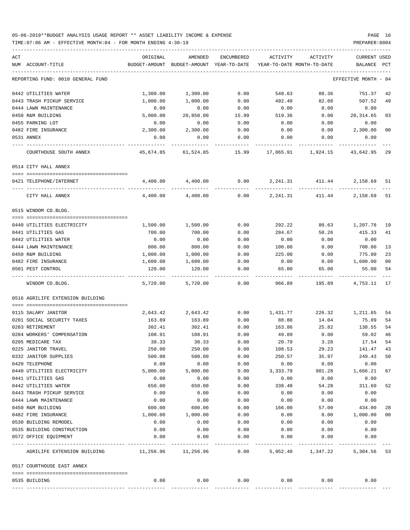| ACT | NUM ACCOUNT-TITLE                                          | ORIGINAL                               | AMENDED<br>BUDGET-AMOUNT BUDGET-AMOUNT YEAR-TO-DATE | ENCUMBERED            | ACTIVITY  | ACTIVITY<br>YEAR-TO-DATE MONTH-TO-DATE | CURRENT USED<br>BALANCE | $_{\rm PCT}$   |
|-----|------------------------------------------------------------|----------------------------------------|-----------------------------------------------------|-----------------------|-----------|----------------------------------------|-------------------------|----------------|
|     |                                                            |                                        |                                                     |                       |           |                                        |                         |                |
|     | REPORTING FUND: 0010 GENERAL FUND                          |                                        |                                                     |                       |           |                                        | EFFECTIVE MONTH - 04    |                |
|     | 0442 UTILITIES WATER                                       | 1,300.00                               | 1,300.00                                            | 0.00                  | 548.63    | 88.36                                  | 751.37                  | 42             |
|     | 0443 TRASH PICKUP SERVICE                                  | 1,000.00                               | 1,000.00                                            | 0.00                  | 492.48    | 82.08                                  | 507.52                  | 49             |
|     | 0444 LAWN MAINTENANCE                                      | 0.00                                   | 0.00                                                | 0.00                  | 0.00      | 0.00                                   | 0.00                    |                |
|     | 0450 R&M BUILDING                                          | 5,000.00                               | 20,850.00                                           | 15.99                 | 519.36    | 0.00                                   | 20,314.65               | 03             |
|     | 0455 PARKING LOT                                           | 0.00                                   | 0.00                                                | 0.00                  | 0.00      | 0.00                                   | 0.00                    |                |
|     | 0482 FIRE INSURANCE                                        | 2,300.00                               | 2,300.00                                            | 0.00                  | 0.00      | 0.00                                   | 2,300.00                | 0 <sub>0</sub> |
|     | 0531 ANNEX                                                 | 0.00                                   | 0.00                                                | 0.00                  | 0.00      | 0.00                                   | 0.00                    |                |
|     | COURTHOUSE SOUTH ANNEX                                     | 45,674.85                              | 61,524.85                                           | 15.99                 | 17,865.91 | 1,924.15                               | 43,642.95               | -29            |
|     | 0514 CITY HALL ANNEX                                       |                                        |                                                     |                       |           |                                        |                         |                |
|     | 0421 TELEPHONE/INTERNET                                    | 4,400.00                               | 4,400.00                                            |                       |           | $0.00$ 2, 241.31 411.44                | 2,158.69                | 51             |
|     |                                                            |                                        |                                                     |                       |           |                                        |                         |                |
|     | CITY HALL ANNEX                                            | 4,400.00                               | 4,400.00                                            | 0.00                  | 2,241.31  | 411.44                                 | 2,158.69 51             |                |
|     | 0515 WINDOM CO.BLDG.                                       |                                        |                                                     |                       |           |                                        |                         |                |
|     | 0440 UTILITIES ELECTRICITY                                 | 1,500.00                               | 1,500.00                                            | 0.00                  | 292.22    | 80.63                                  | 1,207.78                | 19             |
|     | 0441 UTILITIES GAS                                         | 700.00                                 | 700.00                                              | 0.00                  | 284.67    | 50.26                                  | 415.33                  | 41             |
|     | 0442 UTILITIES WATER                                       | 0.00                                   | 0.00                                                | 0.00                  | 0.00      | 0.00                                   | 0.00                    |                |
|     | 0444 LAWN MAINTENANCE                                      | 800.00                                 | 800.00                                              | 0.00                  | 100.00    | 0.00                                   | 700.00                  | 13             |
|     | 0450 R&M BUILDING                                          | 1,000.00                               | 1,000.00                                            | 0.00                  | 225.00    | 0.00                                   | 775.00                  | 23             |
|     | 0482 FIRE INSURANCE                                        | 1,600.00                               | 1,600.00                                            | 0.00                  | 0.00      | 0.00                                   | 1,600.00                | 0 <sub>0</sub> |
|     | 0501 PEST CONTROL                                          | 120.00                                 | 120.00                                              | 0.00                  | 65.00     | 65.00                                  | 55.00                   | 54             |
|     | WINDOM CO.BLDG.                                            | 5,720.00                               | 5,720.00                                            | 0.00                  | 966.89    | 195.89                                 | 4,753.11 17             |                |
|     | 0516 AGRILIFE EXTENSION BUILDING                           |                                        |                                                     |                       |           |                                        |                         |                |
|     | 0115 SALARY JANITOR                                        | 2,643.42                               | 2,643.42                                            | 0.00                  | 1,431.77  | 226.32                                 | 1,211.65                | 54             |
|     | 0201 SOCIAL SECURITY TAXES                                 | 163.89                                 | 163.89                                              | 0.00                  | 88.80     | 14.04                                  | 75.09                   | 54             |
|     | 0203 RETIREMENT                                            | 302.41                                 | 302.41                                              | 0.00                  | 163.86    | 25.82                                  | 138.55                  | 54             |
|     | 0204 WORKERS' COMPENSATION                                 | 108.91                                 | 108.91                                              | 0.00                  | 49.89     | 0.00                                   | 59.02                   | 46             |
|     | 0205 MEDICARE TAX                                          | 38.33                                  | 38.33                                               | 0.00                  | 20.79     | 3.28                                   | 17.54                   | 54             |
|     | 0225 JANITOR TRAVEL                                        | 250.00                                 | 250.00                                              | 0.00                  | 108.53    | 29.23                                  | 141.47                  | 43             |
|     | 0332 JANITOR SUPPLIES                                      | 500.00                                 | 500.00                                              | 0.00                  | 250.57    | 35.97                                  | 249.43                  | 50             |
|     | 0420 TELEPHONE                                             | 0.00                                   | 0.00                                                | 0.00                  | 0.00      | 0.00                                   | 0.00                    |                |
|     | 0440 UTILITIES ELECTRICITY                                 | 5,000.00                               | 5,000.00                                            | 0.00                  | 3,333.79  | 901.28                                 | 1,666.21                | 67             |
|     | 0441 UTILITIES GAS                                         | 0.00                                   | 0.00                                                | 0.00                  | 0.00      | 0.00                                   | 0.00                    |                |
|     | 0442 UTILITIES WATER                                       | 650.00                                 | 650.00                                              | 0.00                  | 338.40    | 54.28                                  | 311.60                  | 52             |
|     | 0443 TRASH PICKUP SERVICE                                  | 0.00                                   | 0.00                                                | 0.00                  | 0.00      | 0.00                                   | 0.00                    |                |
|     | 0444 LAWN MAINTENANCE                                      | 0.00                                   | 0.00                                                | 0.00                  | 0.00      | 0.00                                   | 0.00                    |                |
|     | 0450 R&M BUILDING                                          | 600.00                                 | 600.00                                              | 0.00                  | 166.00    | 57.00                                  | 434.00                  | 28             |
|     | 0482 FIRE INSURANCE                                        | 1,000.00                               | 1,000.00                                            | 0.00                  | 0.00      | 0.00                                   | 1,000.00                | 00             |
|     | 0530 BUILDING REMODEL                                      | 0.00                                   | 0.00                                                | 0.00                  | 0.00      | 0.00                                   | 0.00                    |                |
|     | 0535 BUILDING CONSTRUCTION                                 | 0.00                                   | 0.00                                                | 0.00                  | 0.00      | 0.00                                   | 0.00                    |                |
|     | 0572 OFFICE EQUIPMENT                                      | 0.00                                   | 0.00                                                | 0.00                  | 0.00      | 0.00                                   | 0.00                    |                |
|     | ---- ----------------------<br>AGRILIFE EXTENSION BUILDING | ----------- -------------<br>11,256.96 | 11,256.96                                           | $- - - - - -$<br>0.00 |           | 5,952.40 1,347.22                      | 5,304.56 53             |                |
|     | 0517 COURTHOUSE EAST ANNEX                                 |                                        |                                                     |                       |           |                                        |                         |                |
|     |                                                            |                                        |                                                     |                       |           |                                        |                         |                |
|     | 0535 BUILDING                                              | 0.00                                   | 0.00                                                | 0.00                  | 0.00      | 0.00                                   | 0.00                    |                |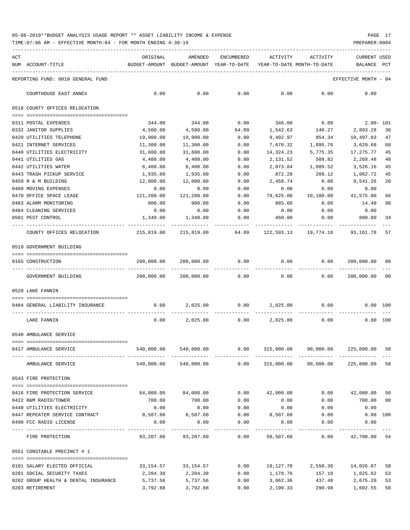| ACT | NUM ACCOUNT-TITLE                                  | ORIGINAL<br>BUDGET-AMOUNT BUDGET-AMOUNT YEAR-TO-DATE YEAR-TO-DATE MONTH-TO-DATE | AMENDED                            | ENCUMBERED    | ACTIVITY                     | ACTIVITY                             | CURRENT USED<br>BALANCE  | $_{\rm PCT}$ |
|-----|----------------------------------------------------|---------------------------------------------------------------------------------|------------------------------------|---------------|------------------------------|--------------------------------------|--------------------------|--------------|
|     | REPORTING FUND: 0010 GENERAL FUND                  |                                                                                 |                                    |               |                              |                                      | EFFECTIVE MONTH - 04     |              |
|     | COURTHOUSE EAST ANNEX                              | 0.00                                                                            | 0.00                               | 0.00          | 0.00                         | 0.00                                 | 0.00                     |              |
|     | 0518 COUNTY OFFICES RELOCATION                     |                                                                                 |                                    |               |                              |                                      |                          |              |
|     |                                                    |                                                                                 |                                    |               |                              |                                      |                          |              |
|     | 0311 POSTAL EXPENSES<br>0332 JANITOR SUPPLIES      | 344.00<br>4,500.00                                                              | 344.00<br>4,500.00                 | 0.00<br>64.09 | 346.00<br>1,542.63           | 0.00<br>140.27                       | $2.00 - 101$<br>2,893.28 | - 36         |
|     | 0420 UTILITIES TELEPHONE                           | 19,900.00                                                                       | 19,900.00                          | 0.00          | 9,402.97                     | 854.34                               | 10,497.03                | 47           |
|     | 0421 INTERNET SERVICES                             | 11,300.00                                                                       | 11,300.00                          | 0.00          | 7,670.32                     | 1,095.76                             | 3,629.68                 | 68           |
|     | 0440 UTILITIES ELECTRICITY                         | 31,600.00                                                                       | 31,600.00                          | 0.00          | 14,324.23                    | 5,775.35                             | 17,275.77                | 45           |
|     | 0441 UTILITIES GAS                                 | 4,400.00                                                                        | 4,400.00                           | 0.00          | 2,131.52                     | 509.82                               | 2,268.48                 | 48           |
|     | 0442 UTILITIES WATER                               | 6,400.00                                                                        | 6,400.00                           | 0.00          | 2,873.84                     | 1,089.52                             | 3,526.16                 | 45           |
|     | 0443 TRASH PICKUP SERVICE                          | 1,935.00                                                                        | 1,935.00                           | 0.00          | 872.28                       | 209.12                               | 1,062.72                 | 45           |
|     | 0450 R & M BUILDING                                | 12,000.00                                                                       | 12,000.00                          | 0.00          | 2,458.74                     | 0.00                                 | 9,541.26                 | 20           |
|     | 0460 MOVING EXPENSES                               | 0.00                                                                            | 0.00                               | 0.00          | 0.00                         | 0.00                                 | 0.00                     |              |
|     | 0470 OFFICE SPACE LEASE                            | 121,200.00                                                                      | 121,200.00                         | 0.00          | 79,625.00                    | 10,100.00 41,575.00                  |                          | 66           |
|     | 0483 ALARM MONITORING                              | 900.00                                                                          | 900.00                             | 0.00          | 885.60                       | 0.00                                 | 14.40                    | 98           |
|     | 0484 CLEANING SERVICES                             | 0.00                                                                            | 0.00                               | 0.00          | 0.00                         | 0.00                                 | 0.00                     |              |
|     | 0501 PEST CONTROL                                  | 1,340.00                                                                        | 1,340.00                           | 0.00          | 460.00                       | 0.00<br>----------                   | 880.00                   | 34           |
|     | COUNTY OFFICES RELOCATION                          | 215,819.00 215,819.00                                                           |                                    |               |                              | 64.09 122,593.13 19,774.18 93,161.78 |                          | 57           |
|     | 0519 GOVERNMENT BUILDING                           |                                                                                 |                                    |               |                              |                                      |                          |              |
|     |                                                    |                                                                                 |                                    |               |                              |                                      |                          |              |
|     | 0165 CONSTRUCTION                                  |                                                                                 | 200,000.00 200,000.00 0.00         |               | 0.00                         | 0.00                                 | 200,000.00 00            |              |
|     | GOVERNMENT BUILDING                                |                                                                                 | 200,000.00 200,000.00 0.00         |               | 0.00                         | 0.00                                 | 200,000.00 00            |              |
|     | 0520 LAKE FANNIN                                   |                                                                                 |                                    |               |                              |                                      |                          |              |
|     | 0484 GENERAL LIABILITY INSURANCE                   |                                                                                 | $0.00$ 2,025.00 0.00 2,025.00 0.00 |               |                              |                                      | $0.00$ 100               |              |
|     | LAKE FANNIN                                        | 0.00                                                                            |                                    |               | $2,025.00$ $0.00$ $2,025.00$ | 0.00                                 | 0.00 100                 |              |
|     | 0540 AMBULANCE SERVICE                             |                                                                                 |                                    |               |                              |                                      |                          |              |
|     |                                                    |                                                                                 |                                    |               |                              |                                      |                          |              |
|     | 0417 AMBULANCE SERVICE                             | 540,000.00                                                                      | 540,000.00                         | 0.00          |                              | 315,000.00 90,000.00                 | 225,000.00 58            |              |
|     | AMBULANCE SERVICE                                  | 540,000.00                                                                      | 540,000.00                         | 0.00          |                              | 315,000.00 90,000.00                 | 225,000.00               | 58           |
|     | 0543 FIRE PROTECTION                               |                                                                                 |                                    |               |                              |                                      |                          |              |
|     |                                                    | 84,000.00                                                                       | 84,000.00                          | 0.00          | 42,000.00                    |                                      | $0.00$ $42,000.00$       |              |
|     | 0416 FIRE PROTECTION SERVICE                       |                                                                                 | 700.00                             |               |                              |                                      |                          | 50<br>00     |
|     | 0422 R&M RADIO/TOWER<br>0440 UTILITIES ELECTRICITY | 700.00<br>0.00                                                                  | 0.00                               | 0.00<br>0.00  | 0.00<br>0.00                 | 0.00<br>0.00                         | 700.00<br>0.00           |              |
|     | 0447 REPEATER SERVICE CONTRACT                     | 8,507.60                                                                        | 8,507.60                           | 0.00          | 8,507.60                     | 0.00                                 | $0.00$ 100               |              |
|     | 0490 FCC RADIO LICENSE                             | 0.00                                                                            | 0.00                               | 0.00          | 0.00                         | 0.00                                 | 0.00                     |              |
|     |                                                    |                                                                                 |                                    | -----------   | -----------                  | ------------                         | -----------              |              |
|     | FIRE PROTECTION                                    | 93,207.60                                                                       | 93,207.60                          | 0.00          | 50,507.60                    | 0.00                                 | 42,700.00 54             |              |
|     | 0551 CONSTABLE PRECINCT # 1                        |                                                                                 |                                    |               |                              |                                      |                          |              |
|     | 0101 SALARY ELECTED OFFICIAL                       | 33,154.57                                                                       | 33,154.57                          | 0.00          |                              | 19,127.70 2,550.36 14,026.87         |                          | 58           |
|     | 0201 SOCIAL SECURITY TAXES                         | 2,204.38                                                                        | 2,204.38                           | 0.00          | 1,178.76                     | 157.10                               | 1,025.62                 | 53           |
|     | 0202 GROUP HEALTH & DENTAL INSURANCE               | 5,737.56                                                                        | 5,737.56                           | 0.00          | 3,062.36                     | 437.48                               | 2,675.20                 | 53           |
|     | 0203 RETIREMENT                                    | 3,792.88                                                                        | 3,792.88                           | 0.00          | 2,190.33                     | 290.98                               | 1,602.55                 | 58           |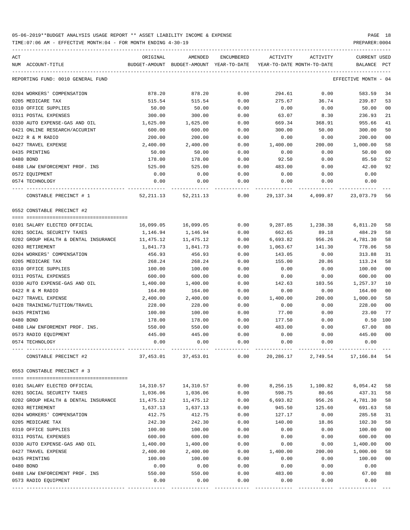TIME:07:06 AM - EFFECTIVE MONTH:04 - FOR MONTH ENDING 4-30-19 PREPARER:0004

| ACT<br>NUM ACCOUNT-TITLE             | ORIGINAL<br>BUDGET-AMOUNT                                            | AMENDED<br>BUDGET-AMOUNT YEAR-TO-DATE | <b>ENCUMBERED</b> | ACTIVITY         | ACTIVITY<br>YEAR-TO-DATE MONTH-TO-DATE                          | <b>CURRENT USED</b><br>BALANCE | PCT                  |
|--------------------------------------|----------------------------------------------------------------------|---------------------------------------|-------------------|------------------|-----------------------------------------------------------------|--------------------------------|----------------------|
|                                      |                                                                      |                                       |                   |                  |                                                                 |                                |                      |
| REPORTING FUND: 0010 GENERAL FUND    |                                                                      |                                       |                   |                  |                                                                 | EFFECTIVE MONTH - 04           |                      |
| 0204 WORKERS' COMPENSATION           | 878.20                                                               | 878.20                                | 0.00              | 294.61           | 0.00                                                            | 583.59                         | 34                   |
| 0205 MEDICARE TAX                    | 515.54                                                               | 515.54                                | 0.00              | 275.67           | 36.74                                                           | 239.87                         | 53                   |
| 0310 OFFICE SUPPLIES                 | 50.00                                                                | 50.00                                 | 0.00              | 0.00             | 0.00                                                            | 50.00                          | 0 <sub>0</sub>       |
| 0311 POSTAL EXPENSES                 | 300.00                                                               | 300.00                                | 0.00              | 63.07            | 8.30                                                            | 236.93                         | 21                   |
| 0330 AUTO EXPENSE-GAS AND OIL        | 1,625.00                                                             | 1,625.00                              | 0.00              | 669.34           | 368.91                                                          | 955.66                         | 41                   |
| 0421 ONLINE RESEARCH/ACCURINT        | 600.00                                                               | 600.00                                | 0.00              | 300.00           | 50.00                                                           | 300.00                         | 50                   |
| 0422 R & M RADIO                     | 200.00                                                               | 200.00                                | 0.00              | 0.00             | 0.00                                                            | 200.00                         | 0 <sub>0</sub>       |
| 0427 TRAVEL EXPENSE                  | 2,400.00                                                             | 2,400.00                              | 0.00              | 1,400.00         | 200.00                                                          | 1,000.00                       | 58                   |
| 0435 PRINTING                        | 50.00                                                                | 50.00                                 | 0.00              | 0.00             | 0.00                                                            | 50.00                          | 0 <sub>0</sub>       |
| 0480 BOND                            | 178.00                                                               | 178.00                                | 0.00              | 92.50            | 0.00                                                            | 85.50                          | 52                   |
| 0488 LAW ENFORCEMENT PROF. INS       | 525.00                                                               | 525.00                                | 0.00              | 483.00           | 0.00                                                            | 42.00                          | 92                   |
| 0572 EQUIPMENT<br>0574 TECHNOLOGY    | 0.00<br>0.00                                                         | 0.00<br>0.00                          | 0.00<br>0.00      | 0.00<br>0.00     | 0.00<br>0.00                                                    | 0.00<br>0.00                   |                      |
|                                      |                                                                      |                                       |                   |                  |                                                                 |                                |                      |
| CONSTABLE PRECINCT # 1               | 52,211.13                                                            | 52,211.13                             | 0.00              | 29,137.34        | 4,099.87                                                        | 23,073.79                      | 56                   |
| 0552 CONSTABLE PRECINCT #2           |                                                                      |                                       |                   |                  |                                                                 |                                |                      |
| 0101 SALARY ELECTED OFFICIAL         | 16,099.05                                                            | 16,099.05                             | 0.00              | 9,287.85         | 1,238.38                                                        | 6,811.20                       | 58                   |
| 0201 SOCIAL SECURITY TAXES           | 1,146.94                                                             | 1,146.94                              | 0.00              | 662.65           | 89.18                                                           | 484.29                         | 58                   |
| 0202 GROUP HEALTH & DENTAL INSURANCE | 11,475.12                                                            | 11,475.12                             | 0.00              | 6,693.82         | 956.26                                                          | 4,781.30                       | 58                   |
| 0203 RETIREMENT                      | 1,841.73                                                             | 1,841.73                              | 0.00              | 1,063.67         | 141.30                                                          | 778.06                         | 58                   |
| 0204 WORKERS' COMPENSATION           | 456.93                                                               | 456.93                                | 0.00              | 143.05           | 0.00                                                            | 313.88                         | 31                   |
| 0205 MEDICARE TAX                    | 268.24                                                               | 268.24                                | 0.00              | 155.00           | 20.86                                                           | 113.24                         | 58                   |
| 0310 OFFICE SUPPLIES                 | 100.00                                                               | 100.00                                | 0.00              | 0.00             | 0.00                                                            | 100.00                         | 0 <sub>0</sub>       |
| 0311 POSTAL EXPENSES                 | 600.00                                                               | 600.00                                | 0.00              | 0.00             | 0.00                                                            | 600.00                         | 0 <sub>0</sub>       |
| 0330 AUTO EXPENSE-GAS AND OIL        | 1,400.00                                                             | 1,400.00                              | 0.00              | 142.63           | 103.56                                                          | 1,257.37                       | 10                   |
| 0422 R & M RADIO                     | 164.00                                                               | 164.00                                | 0.00              | 0.00             | 0.00                                                            | 164.00                         | 0 <sub>0</sub>       |
| 0427 TRAVEL EXPENSE                  | 2,400.00                                                             | 2,400.00                              | 0.00              | 1,400.00         | 200.00                                                          | 1,000.00                       | 58                   |
| 0428 TRAINING/TUITION/TRAVEL         | 228.00                                                               | 228.00                                | 0.00              | 0.00             | 0.00                                                            | 228.00                         | 0 <sub>0</sub>       |
| 0435 PRINTING                        | 100.00                                                               | 100.00                                | 0.00              | 77.00            | 0.00                                                            | 23.00                          | 77                   |
| 0480 BOND                            | 178.00                                                               | 178.00                                | 0.00              | 177.50           | 0.00                                                            | 0.50                           | 100                  |
| 0488 LAW ENFOREMENT PROF. INS.       | 550.00                                                               | 550.00                                | 0.00              | 483.00           | 0.00                                                            | 67.00                          | 88                   |
| 0573 RADIO EQUIPMENT                 | 445.00                                                               | 445.00                                | 0.00              | 0.00             | 0.00                                                            | 445.00                         | 0 <sub>0</sub>       |
| 0574 TECHNOLOGY                      | 0.00                                                                 | 0.00                                  | 0.00              | 0.00             | 0.00                                                            | 0.00                           |                      |
| CONSTABLE PRECINCT #2                | $37,453.01$ $37,453.01$ $0.00$ $20,286.17$ $2,749.54$ $17,166.84$ 54 |                                       |                   |                  |                                                                 |                                |                      |
| 0553 CONSTABLE PRECINCT # 3          |                                                                      |                                       |                   |                  |                                                                 |                                |                      |
|                                      |                                                                      |                                       |                   |                  |                                                                 |                                |                      |
| 0101 SALARY ELECTED OFFICIAL         |                                                                      |                                       |                   |                  | $14,310.57$ $14,310.57$ $0.00$ $8,256.15$ $1,100.82$ $6,054.42$ |                                | 58                   |
| 0201 SOCIAL SECURITY TAXES           | 1,036.06                                                             | 1,036.06                              | 0.00              | 598.75           | 80.66                                                           | 437.31                         | 58                   |
| 0202 GROUP HEALTH & DENTAL INSURANCE | 11,475.12                                                            | 11,475.12                             | 0.00              | 6,693.82         | 956.26                                                          | 4,781.30                       | 58                   |
| 0203 RETIREMENT                      | 1,637.13                                                             | 1,637.13                              | 0.00              | 945.50           | 125.60                                                          | 691.63                         | 58                   |
| 0204 WORKERS' COMPENSATION           | 412.75                                                               | 412.75                                | 0.00              | 127.17           | 0.00                                                            | 285.58                         | 31                   |
| 0205 MEDICARE TAX                    | 242.30                                                               | 242.30                                | 0.00              | 140.00           | 18.86                                                           | 102.30                         | 58                   |
| 0310 OFFICE SUPPLIES                 | 100.00                                                               | 100.00                                | 0.00              | 0.00             | 0.00                                                            | 100.00                         | 0 <sub>0</sub>       |
| 0311 POSTAL EXPENSES                 | 600.00                                                               | 600.00                                | 0.00              | 0.00             | 0.00                                                            | 600.00                         | 0 <sub>0</sub>       |
| 0330 AUTO EXPENSE-GAS AND OIL        | 1,400.00                                                             | 1,400.00                              | 0.00              | 0.00             | 0.00                                                            | 1,400.00                       | 0 <sub>0</sub>       |
| 0427 TRAVEL EXPENSE<br>0435 PRINTING | 2,400.00<br>100.00                                                   | 2,400.00                              | 0.00<br>0.00      | 1,400.00<br>0.00 | 200.00<br>0.00                                                  | 1,000.00                       | 58<br>0 <sub>0</sub> |
|                                      | 0.00                                                                 | 100.00<br>0.00                        | 0.00              | 0.00             |                                                                 | 100.00<br>0.00                 |                      |
| 0480 BOND                            |                                                                      |                                       |                   |                  | 0.00                                                            | 67.00                          | 88                   |
| 0488 LAW ENFORCEMENT PROF. INS       | 550.00                                                               | 550.00                                | 0.00              | 483.00           | 0.00                                                            |                                |                      |
| 0573 RADIO EQUIPMENT                 | 0.00                                                                 | 0.00                                  | 0.00              | 0.00             | 0.00                                                            | 0.00                           |                      |

---- ---------------------------------- ------------- ------------- ------------ ------------- ------------ ------------- ---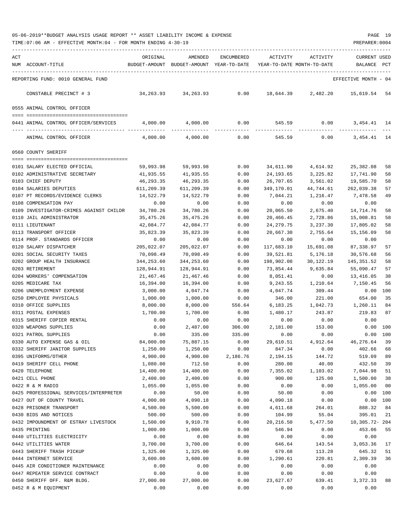| ACT | NUM ACCOUNT-TITLE                           | ORIGINAL         | AMENDED<br>BUDGET-AMOUNT BUDGET-AMOUNT YEAR-TO-DATE | ENCUMBERED   | ACTIVITY       | ACTIVITY<br>YEAR-TO-DATE MONTH-TO-DATE | CURRENT USED<br>BALANCE | PCT |
|-----|---------------------------------------------|------------------|-----------------------------------------------------|--------------|----------------|----------------------------------------|-------------------------|-----|
|     | REPORTING FUND: 0010 GENERAL FUND           |                  |                                                     |              |                |                                        | EFFECTIVE MONTH - 04    |     |
|     | CONSTABLE PRECINCT # 3                      | 34,263.93        | 34,263.93                                           | 0.00         | 18,644.39      | 2,482.20                               | 15,619.54               | 54  |
|     | 0555 ANIMAL CONTROL OFFICER                 |                  |                                                     |              |                |                                        |                         |     |
|     | 0441 ANIMAL CONTROL OFFICER/SERVICES        | 4,000.00         | 4,000.00                                            | 0.00         | 545.59         | 0.00                                   | 3, 454. 41 14           |     |
|     |                                             |                  |                                                     |              |                |                                        |                         |     |
|     | ANIMAL CONTROL OFFICER                      | 4,000.00         | 4,000.00                                            | 0.00         | 545.59         | 0.00                                   | 3, 454. 41 14           |     |
|     | 0560 COUNTY SHERIFF                         |                  |                                                     |              |                |                                        |                         |     |
|     | 0101 SALARY ELECTED OFFICIAL                | 59,993.98        | 59,993.98                                           | 0.00         | 34,611.90      | 4,614.92                               | 25,382.08               | 58  |
|     | 0102 ADMINISTRATIVE SECRETARY               | 41,935.55        | 41,935.55                                           | 0.00         | 24,193.65      | 3,225.82                               | 17,741.90               | 58  |
|     | 0103 CHIEF DEPUTY                           | 46,293.35        | 46,293.35                                           | 0.00         | 26,707.65      | 3,561.02                               | 19,585.70               | 58  |
|     | 0104 SALARIES DEPUTIES                      | 611,209.39       | 611,209.39                                          | 0.00         | 349,170.01     | 44,744.61                              | 262,039.38              | 57  |
|     | 0107 PT RECORDS/EVIDENCE CLERKS             | 14,522.79        | 14,522.79                                           | 0.00         | 7,044.21       | 1,216.47                               | 7,478.58                | 49  |
|     | 0108 COMPENSATION PAY                       | 0.00             | 0.00                                                | 0.00         | 0.00           | 0.00                                   | 0.00                    |     |
|     | 0109 INVESTIGATOR-CRIMES AGAINST CHILDR     | 34,780.26        | 34,780.26                                           | 0.00         | 20,065.50      | 2,675.40                               | 14,714.76               | 58  |
|     | 0110 JAIL ADMINISTRATOR                     | 35,475.26        | 35,475.26                                           | 0.00         | 20,466.45      | 2,728.86                               | 15,008.81               | 58  |
|     | 0111 LIEUTENANT                             | 42,084.77        | 42,084.77                                           | 0.00         | 24,279.75      | 3,237.30                               | 17,805.02               | 58  |
|     | 0113 TRANSPORT OFFICER                      | 35,823.39        | 35,823.39                                           | 0.00         | 20,667.30      | 2,755.64                               | 15,156.09               | 58  |
|     | 0114 PROF. STANDARDS OFFICER                | 0.00             | 0.00                                                | 0.00         | 0.00           | 0.00                                   | 0.00                    |     |
|     | 0120 SALARY DISPATCHER                      | 205,022.07       | 205,022.07                                          | 0.00         | 117,683.10     | 15,691.08                              | 87,338.97               | 57  |
|     | 0201 SOCIAL SECURITY TAXES                  | 70,098.49        | 70,098.49                                           | 0.00         | 39,521.81      | 5,176.18                               | 30,576.68               | 56  |
|     | 0202 GROUP HEALTH INSURANCE                 | 344,253.60       | 344,253.60                                          | 0.00         | 198,902.08     | 30,122.19                              | 145,351.52              | 58  |
|     | 0203 RETIREMENT                             | 128,944.91       | 128,944.91                                          | 0.00         | 73,854.44      | 9,635.84                               | 55,090.47               | 57  |
|     | 0204 WORKERS' COMPENSATION                  | 21,467.46        | 21,467.46                                           | 0.00         | 8,051.41       | 0.00                                   | 13,416.05               | 38  |
|     | 0205 MEDICARE TAX                           | 16,394.00        | 16,394.00                                           | 0.00         | 9,243.55       | 1,210.64                               | 7,150.45                | 56  |
|     | 0206 UNEMPLOYMENT EXPENSE                   | 3,000.00         | 4,047.74                                            | 0.00         | 4,047.74       | 309.44                                 | 0.00                    | 100 |
|     | 0250 EMPLOYEE PHYSICALS                     | 1,000.00         | 1,000.00                                            | 0.00         | 346.00         | 221.00                                 | 654.00                  | 35  |
|     | 0310 OFFICE SUPPLIES                        | 8,000.00         | 8,000.00                                            | 556.64       | 6,183.25       | 1,042.73                               | 1,260.11                | 84  |
|     | 0311 POSTAL EXPENSES                        | 1,700.00         | 1,700.00                                            | 0.00         | 1,480.17       | 243.87                                 | 219.83                  | 87  |
|     | 0315 SHERIFF COPIER RENTAL                  | 0.00             | 0.00                                                | 0.00         | 0.00           | 0.00                                   | 0.00                    |     |
|     | 0320 WEAPONS SUPPLIES                       | 0.00             | 2,487.00                                            | 306.00       | 2,181.00       | 153.00                                 | 0.00                    | 100 |
|     | 0321 PATROL SUPPLIES                        | 0.00             | 335.00                                              | 335.00       | 0.00           | 0.00                                   | 0.00                    | 100 |
|     | 0330 AUTO EXPENSE GAS & OIL                 | 84,000.00        | 75,887.15                                           | 0.00         | 29,610.51      | 4,912.64                               | 46,276.64               | 39  |
|     | 0332 SHERIFF JANITOR SUPPLIES               | 1,250.00         | 1,250.00                                            | 0.00         | 847.34         | 0.00                                   | 402.66                  | 68  |
|     | 0395 UNIFORMS/OTHER                         | 4,900.00         | 4,900.00                                            | 2,186.76     | 2,194.15       | 144.72                                 | 519.09                  | 89  |
|     | 0419 SHERIFF CELL PHONE                     | 1,080.00         | 712.50                                              | 0.00         | 280.00         | 40.00                                  | 432.50                  | 39  |
|     | 0420 TELEPHONE                              | 14,400.00        | 14,400.00                                           | 0.00         | 7,355.02       | 1,103.02                               | 7,044.98                | 51  |
|     | 0421 CELL PHONE                             | 2,400.00         | 2,400.00                                            | 0.00         | 900.00         | 125.00                                 | 1,500.00                | 38  |
|     | 0422 R & M RADIO                            | 1,055.00         | 1,055.00                                            | 0.00         | 0.00           | 0.00                                   | 1,055.00                | 00  |
|     | 0425 PROFESSIONAL SERVICES/INTERPRETER      | 0.00             | 50.00                                               | 0.00         | 50.00          | 0.00                                   | 0.00                    | 100 |
|     | 0427 OUT OF COUNTY TRAVEL                   | 4,000.00         | 4,090.18                                            | 0.00         | 4,090.18       | 0.00                                   | 0.00                    | 100 |
|     | 0428 PRISONER TRANSPORT                     | 4,500.00         | 5,500.00                                            | 0.00         | 4,611.68       | 264.01                                 | 888.32                  | 84  |
|     | 0430 BIDS AND NOTICES                       | 500.00           | 500.00                                              | 0.00         | 104.99         | 55.04                                  | 395.01                  | 21  |
|     | 0432 IMPOUNDMENT OF ESTRAY LIVESTOCK        | 1,500.00         | 9,910.78                                            | 0.00         | 20,216.50      | 5,477.50                               | 10,305.72- 204          |     |
|     | 0435 PRINTING<br>0440 UTILITIES ELECTRICITY | 1,000.00<br>0.00 | 1,000.00<br>0.00                                    | 0.00<br>0.00 | 546.94         | 0.00                                   | 453.06<br>0.00          | 55  |
|     | 0442 UTILITIES WATER                        | 3,700.00         | 3,700.00                                            | 0.00         | 0.00<br>646.64 | 0.00<br>143.54                         | 3,053.36                | 17  |
|     | 0443 SHERIFF TRASH PICKUP                   | 1,325.00         | 1,325.00                                            | 0.00         | 679.68         | 113.28                                 | 645.32                  | 51  |
|     | 0444 INTERNET SERVICE                       | 3,600.00         | 3,600.00                                            | 0.00         | 1,290.61       | 220.81                                 | 2,309.39                | 36  |
|     | 0445 AIR CONDITIONER MAINTENANCE            | 0.00             | 0.00                                                | 0.00         | 0.00           | 0.00                                   | 0.00                    |     |
|     | 0447 REPEATER SERVICE CONTRACT              | 0.00             | 0.00                                                | 0.00         | 0.00           | 0.00                                   | 0.00                    |     |
|     | 0450 SHERIFF OFF. R&M BLDG.                 | 27,000.00        | 27,000.00                                           | 0.00         | 23,627.67      | 639.41                                 | 3,372.33                | 88  |
|     | 0452 R & M EQUIPMENT                        | 0.00             | 0.00                                                | 0.00         | 0.00           | 0.00                                   | 0.00                    |     |
|     |                                             |                  |                                                     |              |                |                                        |                         |     |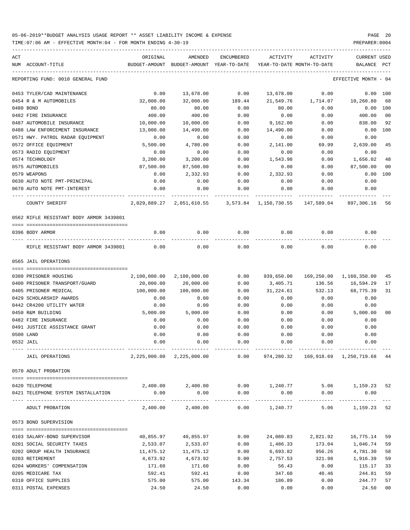TIME:07:06 AM - EFFECTIVE MONTH:04 - FOR MONTH ENDING 4-30-19 PREPARER:0004

| ACT |                                         | ORIGINAL      | AMENDED                                                   | ENCUMBERED | ACTIVITY   | ACTIVITY                         | <b>CURRENT USED</b>                                  |                |
|-----|-----------------------------------------|---------------|-----------------------------------------------------------|------------|------------|----------------------------------|------------------------------------------------------|----------------|
|     | NUM ACCOUNT-TITLE                       | BUDGET-AMOUNT | BUDGET-AMOUNT YEAR-TO-DATE                                |            |            | YEAR-TO-DATE MONTH-TO-DATE       | BALANCE                                              | PCT            |
|     | REPORTING FUND: 0010 GENERAL FUND       |               |                                                           |            |            |                                  | EFFECTIVE MONTH - 04                                 |                |
|     | 0453 TYLER/CAD MAINTENANCE              | 0.00          | 13,678.00                                                 | 0.00       | 13,678.00  | 0.00                             | 0.00 100                                             |                |
|     | 0454 R & M AUTOMOBILES                  | 32,000.00     | 32,000.00                                                 | 189.44     | 21,549.76  | 1,714.07                         | 10,260.80                                            | 68             |
|     | 0480 BOND                               | 80.00         | 80.00                                                     | 0.00       | 80.00      | 0.00                             | 0.00 100                                             |                |
|     | 0482 FIRE INSURANCE                     | 400.00        | 400.00                                                    | 0.00       | 0.00       | 0.00                             | 400.00                                               | 0 <sub>0</sub> |
|     | 0487 AUTOMOBILE INSURANCE               | 10,000.00     | 10,000.00                                                 | 0.00       | 9,162.00   | 0.00                             | 838.00                                               | 92             |
|     | 0488 LAW ENFORCEMENT INSURANCE          | 13,000.00     | 14,490.00                                                 | 0.00       | 14,490.00  | 0.00                             | 0.00                                                 | 100            |
|     | 0571 HWY. PATROL RADAR EQUIPMENT        | 0.00          | 0.00                                                      | 0.00       | 0.00       | 0.00                             | 0.00                                                 |                |
|     | 0572 OFFICE EQUIPMENT                   | 5,500.00      | 4,780.00                                                  | 0.00       | 2,141.00   | 69.99                            | 2,639.00                                             | 45             |
|     | 0573 RADIO EQUIPMENT                    | 0.00          | 0.00                                                      | 0.00       | 0.00       | 0.00                             | 0.00                                                 |                |
|     | 0574 TECHNOLOGY                         | 3,200.00      | 3,200.00                                                  | 0.00       | 1,543.98   | 0.00                             | 1,656.02                                             | 48             |
|     | 0575 AUTOMOBILES                        | 87,500.00     | 87,500.00                                                 | 0.00       | 0.00       | 0.00                             | 87,500.00                                            | 00             |
|     | 0579 WEAPONS                            | 0.00          | 2,332.93                                                  | 0.00       | 2,332.93   | 0.00                             | 0.00                                                 | 100            |
|     | 0630 AUTO NOTE PMT-PRINCIPAL            | 0.00          | 0.00                                                      | 0.00       | 0.00       | 0.00                             | 0.00                                                 |                |
|     | 0670 AUTO NOTE PMT-INTEREST             | 0.00          | 0.00                                                      | 0.00       | 0.00       | 0.00                             | 0.00                                                 |                |
|     | COUNTY SHERIFF                          |               | 2,029,889.27 2,051,610.55                                 |            |            | 3,573.84 1,150,730.55 147,589.04 | 897,306.16                                           | 56             |
|     | 0562 RIFLE RESISTANT BODY ARMOR 3439801 |               |                                                           |            |            |                                  |                                                      |                |
|     |                                         |               |                                                           |            |            |                                  |                                                      |                |
|     | 0396 BODY ARMOR                         | 0.00          | 0.00                                                      | 0.00       | 0.00       | 0.00                             | 0.00                                                 |                |
|     | RIFLE RESISTANT BODY ARMOR 3439801      | 0.00          | 0.00                                                      | 0.00       | 0.00       | 0.00                             | 0.00                                                 |                |
|     | 0565 JAIL OPERATIONS                    |               |                                                           |            |            |                                  |                                                      |                |
|     |                                         |               |                                                           |            |            |                                  |                                                      |                |
|     | 0380 PRISONER HOUSING                   | 2,100,000.00  | 2,100,000.00                                              | 0.00       | 939,650.00 |                                  | 169,250.00 1,160,350.00                              | 45             |
|     | 0400 PRISONER TRANSPORT/GUARD           | 20,000.00     | 20,000.00                                                 | 0.00       | 3,405.71   | 136.56                           | 16,594.29                                            | 17             |
|     | 0405 PRISONER MEDICAL                   | 100,000.00    | 100,000.00                                                | 0.00       | 31,224.61  | 532.13                           | 68,775.39                                            | 31             |
|     | 0429 SCHOLARSHIP AWARDS                 | 0.00          | 0.00                                                      | 0.00       | 0.00       | 0.00                             | 0.00                                                 |                |
|     | 0442 CR4200 UTILITY WATER               | 0.00          | 0.00                                                      | 0.00       | 0.00       | 0.00                             | 0.00                                                 |                |
|     | 0450 R&M BUILDING                       | 5,000.00      | 5,000.00                                                  | 0.00       | 0.00       | 0.00                             | 5,000.00                                             | 0 <sup>0</sup> |
|     | 0482 FIRE INSURANCE                     | 0.00          | 0.00                                                      | 0.00       | 0.00       | 0.00                             | 0.00                                                 |                |
|     | 0491 JUSTICE ASSISTANCE GRANT           | 0.00          | 0.00                                                      | 0.00       | 0.00       | 0.00                             | 0.00                                                 |                |
|     | 0500 LAND                               | 0.00          | 0.00                                                      | 0.00       | 0.00       | 0.00                             | 0.00                                                 |                |
|     | 0532 JAIL                               | 0.00          | 0.00                                                      | 0.00       | 0.00       | 0.00                             | 0.00                                                 |                |
|     | JAIL OPERATIONS                         |               | 2,225,000.00 2,225,000.00                                 |            |            |                                  | $0.00$ $974,280.32$ $169,918.69$ $1,250,719.68$ $44$ |                |
|     | 0570 ADULT PROBATION                    |               |                                                           |            |            |                                  |                                                      |                |
|     |                                         |               |                                                           |            |            |                                  |                                                      |                |
|     | 0420 TELEPHONE                          |               | $2,400.00$ $2,400.00$ $0.00$ $1,240.77$ $5.06$ $1,159.23$ |            |            |                                  |                                                      | 52             |
|     | 0421 TELEPHONE SYSTEM INSTALLATION      | 0.00          | 0.00                                                      | 0.00       | 0.00       | 0.00                             | 0.00                                                 |                |
|     | ADULT PROBATION                         |               | $2,400.00$ $2,400.00$ $0.00$ $1,240.77$                   |            |            |                                  | 5.06 1,159.23 52                                     |                |
|     | 0573 BOND SUPERVISION                   |               |                                                           |            |            |                                  |                                                      |                |
|     |                                         |               |                                                           |            |            |                                  |                                                      |                |
|     | 0103 SALARY-BOND SUPERVISOR             | 40,855.97     | 40,855.97                                                 | 0.00       | 24,080.83  | 2,821.92                         | 16,775.14                                            | 59             |
|     | 0201 SOCIAL SECURITY TAXES              | 2,533.07      | 2,533.07                                                  | 0.00       | 1,486.33   | 173.04                           | 1,046.74                                             | 59             |
|     | 0202 GROUP HEALTH INSURANCE             | 11,475.12     | 11,475.12                                                 | 0.00       | 6,693.82   | 956.26                           | 4,781.30                                             | 58             |
|     | 0203 RETIREMENT                         | 4,673.92      | 4,673.92                                                  | 0.00       | 2,757.53   | 321.98                           | 1,916.39                                             | 59             |
|     | 0204 WORKERS' COMPENSATION              | 171.60        | 171.60                                                    | 0.00       | 56.43      | 0.00                             | 115.17                                               | 33             |
|     | 0205 MEDICARE TAX                       | 592.41        | 592.41                                                    | 0.00       | 347.60     | 40.46                            | 244.81                                               | 59             |
|     | 0310 OFFICE SUPPLIES                    | 575.00        | 575.00                                                    | 143.34     | 186.89     | 0.00                             | 244.77                                               | 57             |
|     |                                         |               |                                                           |            |            |                                  |                                                      |                |

0311 POSTAL EXPENSES 24.50 24.50 0.00 0.00 0.00 24.50 00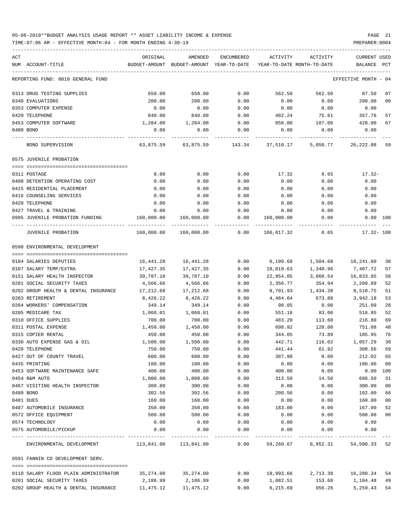### 05-06-2019\*\*BUDGET ANALYSIS USAGE REPORT \*\* ASSET LIABILITY INCOME & EXPENSE PAGE 21 TIME:07:06 AM - EFFECTIVE MONTH:04 - FOR MONTH ENDING 4-30-19 PREPARER:0004

| ACT | NUM ACCOUNT-TITLE                               | ORIGINAL           | AMENDED<br>BUDGET-AMOUNT BUDGET-AMOUNT YEAR-TO-DATE | ENCUMBERED       | ACTIVITY<br>YEAR-TO-DATE MONTH-TO-DATE | ACTIVITY                                                                     | CURRENT USED<br>BALANCE | PCT |
|-----|-------------------------------------------------|--------------------|-----------------------------------------------------|------------------|----------------------------------------|------------------------------------------------------------------------------|-------------------------|-----|
|     |                                                 |                    |                                                     |                  |                                        |                                                                              |                         |     |
|     | REPORTING FUND: 0010 GENERAL FUND               |                    |                                                     |                  |                                        |                                                                              | EFFECTIVE MONTH - 04    |     |
|     | 0313 DRUG TESTING SUPPLIES                      | 650.00             | 650.00                                              | 0.00             | 562.50                                 | 562.50                                                                       | 87.50                   | 87  |
|     | 0340 EVALUATIONS                                | 200.00             | 200.00                                              | 0.00             | 0.00                                   | 0.00                                                                         | 200.00                  | 00  |
|     | 0353 COMPUTER EXPENSE                           | 0.00               | 0.00                                                | 0.00             | 0.00                                   | 0.00                                                                         | 0.00                    |     |
|     | 0420 TELEPHONE                                  | 840.00             | 840.00                                              | 0.00             | 482.24                                 | 75.61                                                                        | 357.76                  | 57  |
|     | 0453 COMPUTER SOFTWARE                          | 1,284.00           | 1,284.00                                            | 0.00             | 856.00                                 | 107.00                                                                       | 428.00                  | 67  |
|     | 0480 BOND                                       | 0.00               | 0.00                                                | 0.00             | 0.00                                   | 0.00                                                                         | 0.00                    |     |
|     | BOND SUPERVISION                                |                    |                                                     |                  |                                        | 63,875.59    63,875.59    143.34    37,510.17    5,058.77    26,222.08    59 |                         |     |
|     | 0575 JUVENILE PROBATION                         |                    |                                                     |                  |                                        |                                                                              |                         |     |
|     | 0311 POSTAGE                                    | 0.00               | 0.00                                                | 0.00             | 17.32                                  | 0.65                                                                         | 17.32-                  |     |
|     | 0408 DETENTION OPERATING COST                   | 0.00               | 0.00                                                | 0.00             | 0.00                                   | 0.00                                                                         | 0.00                    |     |
|     | 0415 RESIDENTIAL PLACEMENT                      | 0.00               | 0.00                                                | 0.00             | 0.00                                   | 0.00                                                                         | 0.00                    |     |
|     | 0416 COUNSELING SERVICES                        | 0.00               | 0.00                                                | 0.00             | 0.00                                   | 0.00                                                                         | 0.00                    |     |
|     | 0420 TELEPHONE                                  | 0.00               | 0.00                                                | 0.00             | 0.00                                   | 0.00                                                                         | 0.00                    |     |
|     | 0427 TRAVEL & TRAINING                          | 0.00               | 0.00                                                | 0.00             | 0.00                                   | 0.00                                                                         | 0.00                    |     |
|     | 0995 JUVENILE PROBATION FUNDING 160,000.00      |                    | 160,000.00                                          | 0.00             | 160,000.00                             | 0.00                                                                         | 0.00 100                |     |
|     | JUVENILE PROBATION                              |                    | 160,000.00  160,000.00  0.00                        |                  |                                        | 160,017.32 0.65                                                              | $17.32 - 100$           |     |
|     | 0590 ENVIRONMENTAL DEVELOPMENT                  |                    |                                                     |                  |                                        |                                                                              |                         |     |
|     |                                                 |                    |                                                     |                  |                                        |                                                                              |                         |     |
|     | 0104 SALARIES DEPUTIES                          | 16,441.28          | 16,441.28                                           | 0.00             | 6,199.68                               | 1,504.68 10,241.60                                                           |                         | 38  |
|     | 0107 SALARY TEMP/EXTRA                          | 17,427.35          | 17,427.35                                           | 0.00             | 10,019.63                              | 1,340.96                                                                     | 7,407.72                | 57  |
|     | 0151 SALARY HEALTH INSPECTOR                    | 39,787.10          | 39,787.10                                           | 0.00             | 22,954.05                              | 3,060.54                                                                     | 16,833.05               | 58  |
|     | 0201 SOCIAL SECURITY TAXES                      | 4,566.66           | 4,566.66                                            | 0.00             | 2,356.77                               | 354.94                                                                       | 2,209.89                | 52  |
|     | 0202 GROUP HEALTH & DENTAL INSURANCE            | 17,212.68          | 17,212.68                                           | 0.00             | 8,701.93                               | 1,434.38                                                                     | 8,510.75                | 51  |
|     | 0203 RETIREMENT                                 | 8,426.22           | 8,426.22                                            | 0.00             | 4,484.04                               | 673.88                                                                       | 3,942.18                | 53  |
|     | 0204 WORKERS' COMPENSATION                      | 349.14             | 349.14                                              | 0.00             | 98.05                                  | 0.00                                                                         | 251.09                  | 28  |
|     | 0205 MEDICARE TAX                               | 1,068.01           | 1,068.01                                            | 0.00             | 551.16                                 | 83.00                                                                        | 516.85                  | 52  |
|     | 0310 OFFICE SUPPLIES                            | 700.00             | 700.00                                              | 0.00             | 483.20                                 | 113.60                                                                       | 216.80                  | 69  |
|     | 0311 POSTAL EXPENSE                             | 1,450.00           | 1,450.00                                            | 0.00             | 698.92                                 | 120.00                                                                       | 751.08                  | 48  |
|     | 0315 COPIER RENTAL                              | 450.00             | 450.00                                              | 0.00             | 344.05                                 | 73.89                                                                        | 105.95                  | 76  |
|     | 0330 AUTO EXPENSE GAS & OIL                     | 1,500.00           | 1,500.00                                            | 0.00             | 442.71                                 | 116.02                                                                       | 1,057.29                | 30  |
|     | 0420 TELEPHONE                                  | 750.00             | 750.00                                              | 0.00             | 441.44                                 | 61.92                                                                        | 308.56 59               |     |
|     | 0427 OUT OF COUNTY TRAVEL                       | 600.00             | 600.00                                              | 0.00             | 387.98                                 | 0.00                                                                         | 212.02                  | 65  |
|     | 0435 PRINTING<br>0453 SOFTWARE MAINTENANCE SAFE | 100.00             | 100.00                                              | 0.00             | 0.00                                   | 0.00                                                                         | 100.00                  | 00  |
|     | 0454 R&M AUTO                                   | 400.00             | 400.00                                              | 0.00             | 400.00                                 | 0.00                                                                         | 0.00 100                |     |
|     |                                                 | 1,000.00<br>300.00 | 1,000.00                                            | 0.00             | 313.50                                 | 14.50                                                                        | 686.50                  | 31  |
|     | 0467 VISITING HEALTH INSPECTOR<br>0480 BOND     |                    | 300.00                                              | 0.00             | 0.00                                   | 0.00                                                                         | 300.00                  | 00  |
|     |                                                 | 302.56             | 302.56                                              | 0.00             | 200.56                                 | 0.00                                                                         | 102.00                  | 66  |
|     | 0481 DUES<br>0487 AUTOMOBILE INSURANCE          | 160.00             | 160.00                                              | 0.00             | 0.00                                   | 0.00                                                                         | 160.00                  | 00  |
|     | 0572 OFFICE EQUIPMENT                           | 350.00             | 350.00                                              | 0.00             | 183.00                                 | 0.00                                                                         | 167.00                  | 52  |
|     |                                                 | 500.00             | 500.00                                              | 0.00             | 0.00                                   | 0.00                                                                         | 500.00                  | 00  |
|     | 0574 TECHNOLOGY<br>0575 AUTOMOBILE/PICKUP       | 0.00<br>0.00       | 0.00<br>0.00                                        | 0.00<br>0.00     | 0.00<br>0.00                           | 0.00<br>0.00                                                                 | 0.00<br>0.00            |     |
|     | ENVIRONMENTAL DEVELOPMENT                       |                    |                                                     | --------<br>0.00 |                                        | 59,260.67 8,952.31                                                           | 54,580.33 52            |     |
|     |                                                 |                    |                                                     |                  |                                        |                                                                              |                         |     |
|     | 0591 FANNIN CO DEVELOPMENT SERV.                |                    |                                                     |                  |                                        |                                                                              |                         |     |
|     | 0110 SALARY FLOOD PLAIN ADMINISTRATOR           | 35,274.00          | 35,274.00                                           | 0.00             | 18,993.66                              | 2,713.38                                                                     | 16,280.34 54            |     |
|     | 0201 SOCIAL SECURITY TAXES                      | 2,186.99           | 2,186.99                                            | 0.00             | 1,082.51                               | 153.60                                                                       | 1,104.48                | 49  |
|     | 0202 GROUP HEALTH & DENTAL INSURANCE            |                    | 11,475.12 11,475.12                                 | 0.00             | 6,215.69                               | 956.26                                                                       | 5, 259. 43 54           |     |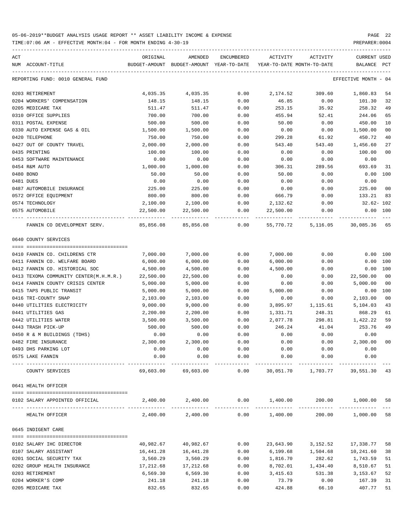| ACT                                                  | ORIGINAL  | AMENDED                                                     | ENCUMBERED           | ACTIVITY                   | ACTIVITY                        | CURRENT USED            |                |
|------------------------------------------------------|-----------|-------------------------------------------------------------|----------------------|----------------------------|---------------------------------|-------------------------|----------------|
| NUM ACCOUNT-TITLE                                    |           | BUDGET-AMOUNT BUDGET-AMOUNT YEAR-TO-DATE                    |                      | YEAR-TO-DATE MONTH-TO-DATE |                                 | BALANCE                 | PCT            |
| REPORTING FUND: 0010 GENERAL FUND                    |           |                                                             |                      |                            |                                 | EFFECTIVE MONTH - 04    |                |
| 0203 RETIREMENT                                      | 4,035.35  | 4,035.35                                                    | 0.00                 |                            | 2,174.52 309.60 1,860.83        |                         | 54             |
| 0204 WORKERS' COMPENSATION                           | 148.15    | 148.15                                                      | 0.00                 | 46.85                      | 0.00                            | 101.30                  | 32             |
| 0205 MEDICARE TAX                                    | 511.47    | 511.47                                                      | 0.00                 | 253.15                     | 35.92                           | 258.32                  | 49             |
| 0310 OFFICE SUPPLIES                                 | 700.00    | 700.00                                                      | 0.00                 | 455.94                     | 52.41                           | 244.06                  | 65             |
| 0311 POSTAL EXPENSE                                  | 500.00    | 500.00                                                      | 0.00                 | 50.00                      | 0.00                            | 450.00                  | 10             |
| 0330 AUTO EXPENSE GAS & OIL                          | 1,500.00  | 1,500.00                                                    | 0.00                 | 0.00                       | 0.00                            | 1,500.00                | 0 <sub>0</sub> |
| 0420 TELEPHONE                                       | 750.00    | 750.00                                                      | 0.00                 | 299.28                     | 61.92                           | 450.72                  | 40             |
| 0427 OUT OF COUNTY TRAVEL                            | 2,000.00  | 2,000.00                                                    | 0.00                 | 543.40                     | 543.40                          | 1,456.60                | 27             |
| 0435 PRINTING                                        | 100.00    | 100.00                                                      | 0.00                 | 0.00                       | 0.00                            | 100.00                  | 0 <sub>0</sub> |
| 0453 SOFTWARE MAINTENANCE                            | 0.00      | 0.00                                                        | 0.00                 | 0.00                       | 0.00                            | 0.00                    |                |
| 0454 R&M AUTO                                        | 1,000.00  | 1,000.00                                                    | 0.00                 | 306.31                     | 289.56                          | 693.69                  | 31             |
| 0480 BOND                                            | 50.00     | 50.00                                                       | 0.00                 | 50.00                      | 0.00                            | $0.00$ 100              |                |
| 0481 DUES                                            | 0.00      | 0.00                                                        | 0.00                 | 0.00                       | 0.00                            | 0.00                    |                |
| 0487 AUTOMOBILE INSURANCE                            | 225.00    | 225.00                                                      | 0.00                 | 0.00                       | 0.00                            | 225.00                  | 0 <sub>0</sub> |
| 0572 OFFICE EQUIPMENT                                | 800.00    | 800.00                                                      | 0.00                 | 666.79                     | 0.00                            | 133.21                  | 83             |
| 0574 TECHNOLOGY                                      | 2,100.00  | 2,100.00                                                    | 0.00                 | 2,132.62                   | 0.00                            | 32.62- 102              |                |
| 0575 AUTOMOBILE                                      | 22,500.00 | 22,500.00                                                   | 0.00                 |                            | 22,500.00 0.00                  | $0.00$ 100              |                |
| FANNIN CO DEVELOPMENT SERV. 85,856.08 85,856.08 0.00 |           |                                                             |                      |                            | 55,770.72 5,116.05 30,085.36 65 | . _ _ _ _ _ _ _ _ _ _ _ |                |
| 0640 COUNTY SERVICES                                 |           |                                                             |                      |                            |                                 |                         |                |
| 0410 FANNIN CO. CHILDRENS CTR                        | 7,000.00  | 7,000.00                                                    | 0.00                 | 7,000.00                   | 0.00                            | $0.00$ 100              |                |
| 0411 FANNIN CO. WELFARE BOARD                        | 6,000.00  | 6,000.00                                                    | 0.00                 | 6,000.00                   | 0.00                            | 0.00 100                |                |
| 0412 FANNIN CO. HISTORICAL SOC                       | 4,500.00  | 4,500.00                                                    | 0.00                 | 4,500.00                   | 0.00                            | 0.00 100                |                |
| 0413 TEXOMA COMMUNITY CENTER(M.H.M.R.)               | 22,500.00 | 22,500.00                                                   | 0.00                 | 0.00                       | 0.00                            | 22,500.00               | 0 <sub>0</sub> |
| 0414 FANNIN COUNTY CRISIS CENTER                     | 5,000.00  | 5,000.00                                                    | 0.00                 | 0.00                       | 0.00                            | 5,000.00                | 00             |
| 0415 TAPS PUBLIC TRANSIT                             | 5,000.00  | 5,000.00                                                    | 0.00                 | 5,000.00                   | 0.00                            | 0.00 100                |                |
| 0416 TRI-COUNTY SNAP                                 | 2,103.00  | 2,103.00                                                    | 0.00                 | 0.00                       | 0.00                            | 2,103.00                | 0 <sub>0</sub> |
| 0440 UTILITIES ELECTRICITY                           | 9,000.00  | 9,000.00                                                    | 0.00                 | 3,895.97                   | 1,115.61                        | 5,104.03                | 43             |
| 0441 UTILITIES GAS                                   | 2,200.00  | 2,200.00                                                    | 0.00                 | 1,331.71                   | 248.31                          | 868.29                  | 61             |
| 0442 UTILITIES WATER                                 | 3,500.00  | 3,500.00                                                    | 0.00                 | 2,077.78                   | 298.81                          | 1,422.22                | 59             |
| 0443 TRASH PICK-UP                                   | 500.00    | 500.00                                                      | 0.00                 | 246.24                     | 41.04                           | 253.76                  | 49             |
| 0450 R & M BUILDINGS (TDHS)                          | 0.00      | 0.00                                                        | 0.00                 | 0.00                       | 0.00                            | 0.00                    |                |
| 0482 FIRE INSURANCE                                  | 2,300.00  | 2,300.00                                                    | 0.00                 | 0.00                       | 0.00                            | 2,300.00                | 0 <sub>0</sub> |
| 0493 DHS PARKING LOT                                 | 0.00      | 0.00                                                        | 0.00                 | 0.00                       | 0.00                            | 0.00                    |                |
| 0575 LAKE FANNIN                                     | 0.00      | 0.00                                                        | 0.00                 | 0.00                       | 0.00                            | 0.00                    |                |
| COUNTY SERVICES                                      | 69,603.00 | 69,603.00                                                   | ------------<br>0.00 |                            | 30,051.70 1,703.77              | 39,551.30               | 43             |
| 0641 HEALTH OFFICER                                  |           |                                                             |                      |                            |                                 |                         |                |
|                                                      |           |                                                             |                      |                            |                                 |                         |                |
| 0102 SALARY APPOINTED OFFICIAL                       |           | $2,400.00$ $2,400.00$ $0.00$ $1,400.00$ $200.00$ $1,000.00$ |                      |                            |                                 |                         | 58             |
| HEALTH OFFICER                                       | 2,400.00  | 2,400.00                                                    |                      | 0.00 1,400.00              | 200.00                          | 1,000.00                | 58             |
| 0645 INDIGENT CARE                                   |           |                                                             |                      |                            |                                 |                         |                |
| 0102 SALARY IHC DIRECTOR                             | 40,982.67 | 40,982.67                                                   | 0.00                 | 23,643.90                  | 3,152.52                        | 17,338.77               | 58             |
| 0107 SALARY ASSISTANT                                | 16,441.28 | 16,441.28                                                   | 0.00                 | 6,199.68                   | 1,504.68                        | 10,241.60               | 38             |
| 0201 SOCIAL SECURITY TAX                             | 3,560.29  | 3,560.29                                                    | 0.00                 | 1,816.70                   | 282.62                          | 1,743.59                | 51             |
| 0202 GROUP HEALTH INSURANCE                          | 17,212.68 | 17,212.68                                                   | 0.00                 | 8,702.01                   | 1,434.40                        | 8,510.67                | 51             |
| 0203 RETIREMENT                                      | 6,569.30  | 6,569.30                                                    | 0.00                 | 3,415.63                   | 531.38                          | 3,153.67                | 52             |
| 0204 WORKER'S COMP                                   | 241.18    | 241.18                                                      | 0.00                 | 73.79                      | 0.00                            | 167.39                  | 31             |
| 0205 MEDICARE TAX                                    | 832.65    | 832.65                                                      | 0.00                 | 424.88                     | 66.10                           | 407.77                  | 51             |
|                                                      |           |                                                             |                      |                            |                                 |                         |                |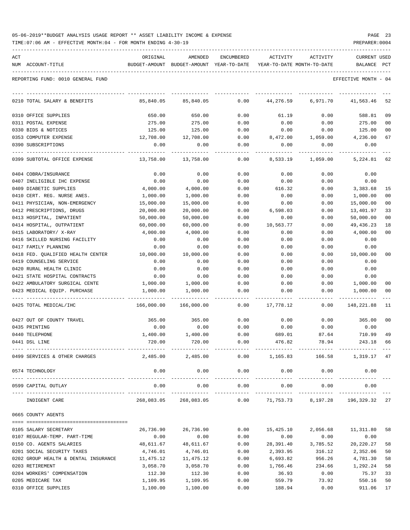| 05-06-2019**BUDGET ANALYSIS USAGE REPORT ** ASSET LIABILITY INCOME & EXPENSE |  |  |  |  | PAGE |  |
|------------------------------------------------------------------------------|--|--|--|--|------|--|
|                                                                              |  |  |  |  |      |  |

| ACT                                                    | ORIGINAL              | AMENDED                                                             | ENCUMBERED   | ACTIVITY             | ACTIVITY             | <b>CURRENT USED</b>    |                |
|--------------------------------------------------------|-----------------------|---------------------------------------------------------------------|--------------|----------------------|----------------------|------------------------|----------------|
| NUM ACCOUNT-TITLE                                      |                       | BUDGET-AMOUNT BUDGET-AMOUNT YEAR-TO-DATE YEAR-TO-DATE MONTH-TO-DATE |              |                      |                      | BALANCE PCT            |                |
| REPORTING FUND: 0010 GENERAL FUND                      |                       |                                                                     |              |                      |                      | EFFECTIVE MONTH - 04   |                |
| 0210 TOTAL SALARY & BENEFITS                           | 85,840.05             | 85,840.05                                                           | 0.00         | 44,276.59            | 6,971.70             | 41,563.46              | 52             |
| 0310 OFFICE SUPPLIES                                   | 650.00                | 650.00                                                              | 0.00         | 61.19                | 0.00                 | 588.81                 | 09             |
| 0311 POSTAL EXPENSE                                    | 275.00                | 275.00                                                              | 0.00         | 0.00                 | 0.00                 | 275.00                 | 0 <sub>0</sub> |
| 0330 BIDS & NOTICES                                    | 125.00                | 125.00                                                              | 0.00         | 0.00                 | 0.00                 | 125.00                 | 0 <sub>0</sub> |
| 0353 COMPUTER EXPENSE                                  | 12,708.00             | 12,708.00                                                           | 0.00         | 8,472.00             | 1,059.00             | 4,236.00               | 67             |
| 0390 SUBSCRIPTIONS                                     | 0.00                  | 0.00                                                                | 0.00         | 0.00                 | 0.00                 | 0.00                   |                |
| 0399 SUBTOTAL OFFICE EXPENSE                           | 13,758.00             | 13,758.00                                                           | 0.00         | 8,533.19             | 1,059.00             | 5,224.81               | 62             |
| 0404 COBRA/INSURANCE                                   | 0.00                  | 0.00                                                                | 0.00         | 0.00                 | 0.00                 | 0.00                   |                |
| 0407 INELIGIBLE IHC EXPENSE                            | 0.00                  | 0.00                                                                | 0.00         | 0.00                 | 0.00                 | 0.00                   |                |
| 0409 DIABETIC SUPPLIES                                 | 4,000.00              | 4,000.00                                                            | 0.00         | 616.32               | 0.00                 | 3,383.68               | 15             |
| 0410 CERT. REG. NURSE ANES.                            | 1,000.00              | 1,000.00                                                            | 0.00         | 0.00                 | 0.00                 | 1,000.00               | 0 <sub>0</sub> |
| 0411 PHYSICIAN, NON-EMERGENCY                          | 15,000.00             | 15,000.00                                                           | 0.00         | 0.00                 | 0.00                 | 15,000.00              | 0 <sub>0</sub> |
| 0412 PRESCRIPTIONS, DRUGS                              | 20,000.00             | 20,000.00                                                           | 0.00         | 6,598.03             | 0.00                 | 13,401.97              | 33             |
| 0413 HOSPITAL, INPATIENT                               | 50,000.00             | 50,000.00                                                           | 0.00         | 0.00                 | 0.00                 | 50,000.00              | 00             |
| 0414 HOSPITAL, OUTPATIENT                              | 60,000.00             | 60,000.00                                                           | 0.00         | 10,563.77            | 0.00                 | 49, 436.23             | 18             |
| 0415 LABORATORY/ X-RAY                                 | 4,000.00              | 4,000.00                                                            | 0.00         | 0.00                 | 0.00                 | 4,000.00               | 0 <sub>0</sub> |
| 0416 SKILLED NURSING FACILITY                          | 0.00                  | 0.00                                                                | 0.00         | 0.00                 | 0.00                 | 0.00                   |                |
| 0417 FAMILY PLANNING                                   | 0.00                  | 0.00                                                                | 0.00         | 0.00                 | 0.00                 | 0.00                   |                |
| 0418 FED. QUALIFIED HEALTH CENTER                      | 10,000.00             | 10,000.00                                                           | 0.00         | 0.00                 | 0.00                 | 10,000.00              | 00             |
| 0419 COUNSELING SERVICE                                | 0.00                  | 0.00                                                                | 0.00         | 0.00                 | 0.00                 | 0.00                   |                |
| 0420 RURAL HEALTH CLINIC                               | 0.00                  | 0.00                                                                | 0.00         | 0.00                 | 0.00                 | 0.00                   |                |
| 0421 STATE HOSPITAL CONTRACTS                          | 0.00                  | 0.00                                                                | 0.00         | 0.00                 | 0.00                 | 0.00                   |                |
| 0422 AMBULATORY SURGICAL CENTE                         | 1,000.00              | 1,000.00                                                            | 0.00         | 0.00                 | 0.00                 | 1,000.00               | 00             |
| 0423 MEDICAL EQUIP. PURCHASE                           | 1,000.00              | 1,000.00                                                            | 0.00         | 0.00                 | 0.00                 | 1,000.00               | 00             |
| 0425 TOTAL MEDICAL/IHC                                 | 166,000.00            | 166,000.00                                                          | 0.00         | 17,778.12            | 0.00                 | 148,221.88             | 11             |
| 0427 OUT OF COUNTY TRAVEL                              | 365.00                | 365.00                                                              | 0.00         | 0.00                 | 0.00                 | 365.00                 | 00             |
| 0435 PRINTING                                          | 0.00                  | 0.00                                                                | 0.00         | 0.00                 | 0.00                 | 0.00                   |                |
| 0440 TELEPHONE                                         | 1,400.00              | 1,400.00                                                            | 0.00         | 689.01               | 87.64                | 710.99                 | 49             |
| 0441 DSL LINE                                          | 720.00                | 720.00                                                              | 0.00         | 476.82               | 78.94                | 243.18                 | 66             |
| 0499 SERVICES & OTHER CHARGES                          |                       |                                                                     |              |                      |                      |                        |                |
| 0574 TECHNOLOGY                                        | 0.00                  | 0.00                                                                | 0.00         | 0.00                 | 0.00<br>____________ | 0.00                   |                |
| 0599 CAPITAL OUTLAY                                    | 0.00                  | 0.00                                                                | 0.00         | 0.00                 | 0.00                 | 0.00<br>-------------- |                |
| INDIGENT CARE                                          |                       | 268,083.05 268,083.05                                               | 0.00         | 71,753.73            | 8,197.28             | 196,329.32 27          |                |
| 0665 COUNTY AGENTS                                     |                       |                                                                     |              |                      |                      |                        |                |
|                                                        |                       |                                                                     |              |                      |                      |                        |                |
| 0105 SALARY SECRETARY                                  | 26,736.90             | 26,736.90                                                           | 0.00         | 15,425.10            | 2,056.68             | 11,311.80 58           |                |
| 0107 REGULAR-TEMP. PART-TIME                           | 0.00                  | 0.00                                                                | 0.00         | 0.00                 | 0.00                 | 0.00                   |                |
| 0150 CO. AGENTS SALARIES<br>0201 SOCIAL SECURITY TAXES | 48,611.67<br>4,746.01 | 48,611.67                                                           | 0.00<br>0.00 | 28,391.40            | 3,785.52<br>316.12   | 20,220.27              | 58<br>50       |
| 0202 GROUP HEALTH & DENTAL INSURANCE                   | 11,475.12             | 4,746.01<br>11,475.12                                               | 0.00         | 2,393.95<br>6,693.82 | 956.26               | 2,352.06<br>4,781.30   | 58             |
| 0203 RETIREMENT                                        | 3,058.70              | 3,058.70                                                            | 0.00         | 1,766.46             | 234.66               | 1,292.24               | 58             |
| 0204 WORKERS' COMPENSATION                             | 112.30                | 112.30                                                              | 0.00         | 36.93                | 0.00                 | 75.37                  | 33             |
| 0205 MEDICARE TAX                                      | 1,109.95              | 1,109.95                                                            | 0.00         | 559.79               | 73.92                | 550.16                 | 50             |
| 0310 OFFICE SUPPLIES                                   | 1,100.00              | 1,100.00                                                            | 0.00         | 188.94               | 0.00                 | 911.06                 | 17             |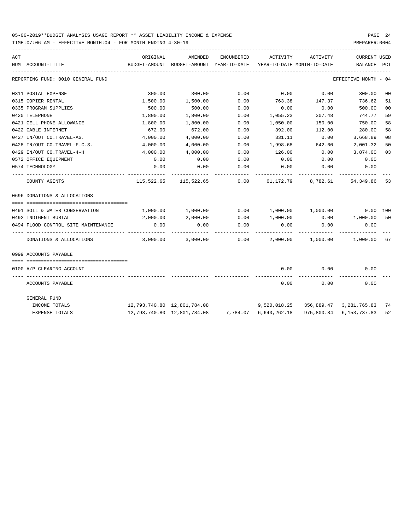| ACT |                                     | ORIGINAL                                 | AMENDED                                                       | ENCUMBERED | ACTIVITY              | ACTIVITY                                   | <b>CURRENT USED</b>  |                |
|-----|-------------------------------------|------------------------------------------|---------------------------------------------------------------|------------|-----------------------|--------------------------------------------|----------------------|----------------|
|     | NUM ACCOUNT-TITLE                   | BUDGET-AMOUNT BUDGET-AMOUNT YEAR-TO-DATE |                                                               |            |                       | YEAR-TO-DATE MONTH-TO-DATE                 | BALANCE PCT          |                |
|     | REPORTING FUND: 0010 GENERAL FUND   |                                          |                                                               |            |                       |                                            | EFFECTIVE MONTH - 04 |                |
|     | 0311 POSTAL EXPENSE                 | 300.00                                   | 300.00                                                        | 0.00       | 0.00                  | 0.00                                       | 300.00               | 0 <sub>0</sub> |
|     | 0315 COPIER RENTAL                  | 1,500.00                                 | 1,500.00                                                      | 0.00       | 763.38                | 147.37                                     | 736.62               | 51             |
|     | 0335 PROGRAM SUPPLIES               | 500.00                                   | 500.00                                                        | 0.00       | 0.00                  | 0.00                                       | 500.00               | 0 <sub>0</sub> |
|     | 0420 TELEPHONE                      | 1,800.00                                 | 1,800.00                                                      | 0.00       | 1,055.23              | 307.48                                     | 744.77               | 59             |
|     | 0421 CELL PHONE ALLOWANCE           | 1,800.00                                 | 1,800.00                                                      | 0.00       | 1,050.00              | 150.00                                     | 750.00               | 58             |
|     | 0422 CABLE INTERNET                 | 672.00                                   | 672.00                                                        | 0.00       | 392.00                | 112.00                                     | 280.00               | 58             |
|     | 0427 IN/OUT CO.TRAVEL-AG.           | 4,000.00                                 | 4,000.00                                                      | 0.00       | 331.11                | 0.00                                       | 3,668.89             | 08             |
|     | 0428 IN/OUT CO.TRAVEL-F.C.S.        | 4,000.00                                 | 4,000.00                                                      | 0.00       | 1,998.68              | 642.60                                     | 2,001.32             | 50             |
|     | 0429 IN/OUT CO.TRAVEL-4-H           | 4,000.00                                 | 4,000.00                                                      | 0.00       | 126.00                | 0.00                                       | 3,874.00             | 03             |
|     | 0572 OFFICE EQUIPMENT               | 0.00                                     | 0.00                                                          | 0.00       | 0.00                  | 0.00                                       | 0.00                 |                |
|     | 0574 TECHNOLOGY                     | 0.00                                     | 0.00                                                          | 0.00       | 0.00                  | 0.00                                       | 0.00                 |                |
|     | COUNTY AGENTS                       |                                          | 115,522.65 115,522.65 0.00                                    |            |                       | 61, 172, 79 8, 782, 61                     | 54,349.86            | 53             |
|     | 0696 DONATIONS & ALLOCATIONS        |                                          |                                                               |            |                       |                                            |                      |                |
|     | 0491 SOIL & WATER CONSERVATION      |                                          | 1,000.00 1,000.00                                             |            |                       | $0.00$ $1,000.00$ $1,000.00$               | 0.00 100             |                |
|     | 0492 INDIGENT BURIAL                | 2,000.00                                 | 2,000.00                                                      |            | $0.00$ 1,000.00       |                                            | 0.00 1,000.00        | 50             |
|     | 0494 FLOOD CONTROL SITE MAINTENANCE | 0.00                                     | 0.00                                                          | 0.00       | 0.00                  | 0.00                                       | 0.00                 |                |
|     | DONATIONS & ALLOCATIONS             |                                          | $3,000.00$ $3,000.00$ $0.00$ $2,000.00$ $1,000.00$ $1,000.00$ |            |                       |                                            |                      | 67             |
|     | 0999 ACCOUNTS PAYABLE               |                                          |                                                               |            |                       |                                            |                      |                |
|     | 0100 A/P CLEARING ACCOUNT           |                                          |                                                               |            | 0.00                  | 0.00                                       | 0.00                 |                |
|     | ACCOUNTS PAYABLE                    |                                          |                                                               |            | 0.00                  | 0.00                                       | 0.00                 |                |
|     | GENERAL FUND                        |                                          |                                                               |            |                       |                                            |                      |                |
|     | INCOME TOTALS                       |                                          |                                                               |            |                       | $9,520,018.25$ $356,889.47$ $3,281,765.83$ |                      | 74             |
|     | <b>EXPENSE TOTALS</b>               |                                          | 12,793,740.80 12,801,784.08                                   |            | 7,784.07 6,640,262.18 | 975,800.84                                 | 6,153,737.83         | 52             |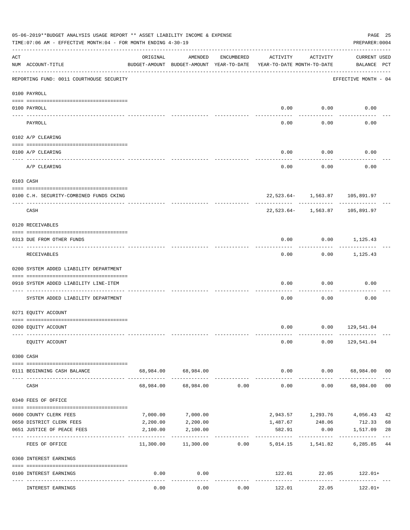|     | 05-06-2019**BUDGET ANALYSIS USAGE REPORT ** ASSET LIABILITY INCOME & EXPENSE<br>TIME: 07:06 AM - EFFECTIVE MONTH: 04 - FOR MONTH ENDING 4-30-19 |           |                                                     |            |                                        |                                                  | PREPARER: 0004                              | PAGE 25 |
|-----|-------------------------------------------------------------------------------------------------------------------------------------------------|-----------|-----------------------------------------------------|------------|----------------------------------------|--------------------------------------------------|---------------------------------------------|---------|
| ACT | NUM ACCOUNT-TITLE                                                                                                                               | ORIGINAL  | AMENDED<br>BUDGET-AMOUNT BUDGET-AMOUNT YEAR-TO-DATE | ENCUMBERED | ACTIVITY<br>YEAR-TO-DATE MONTH-TO-DATE | ACTIVITY                                         | <b>CURRENT USED</b><br>BALANCE PCT          |         |
|     | ----------------------------------<br>REPORTING FUND: 0011 COURTHOUSE SECURITY                                                                  |           |                                                     |            |                                        |                                                  | EFFECTIVE MONTH - 04                        |         |
|     | 0100 PAYROLL                                                                                                                                    |           |                                                     |            |                                        |                                                  |                                             |         |
|     | 0100 PAYROLL                                                                                                                                    |           |                                                     |            | 0.00                                   | 0.00                                             | 0.00                                        |         |
|     | ---- ----<br>PAYROLL                                                                                                                            |           |                                                     |            | 0.00                                   | -------<br>0.00                                  | 0.00                                        |         |
|     | 0102 A/P CLEARING                                                                                                                               |           |                                                     |            |                                        |                                                  |                                             |         |
|     | 0100 A/P CLEARING                                                                                                                               |           |                                                     |            | 0.00                                   | 0.00                                             | 0.00                                        |         |
|     | A/P CLEARING                                                                                                                                    |           |                                                     |            | 0.00                                   | 0.00                                             | 0.00                                        |         |
|     | 0103 CASH                                                                                                                                       |           |                                                     |            |                                        |                                                  |                                             |         |
|     | 0100 C.H. SECURITY-COMBINED FUNDS CKING                                                                                                         |           |                                                     |            |                                        |                                                  | 22,523.64- 1,563.87 105,891.97              |         |
|     | CASH                                                                                                                                            |           |                                                     |            |                                        | --------- ------------<br>$22,523.64 - 1,563.87$ | ----------<br>105,891.97                    |         |
|     | 0120 RECEIVABLES                                                                                                                                |           |                                                     |            |                                        |                                                  |                                             |         |
|     | 0313 DUE FROM OTHER FUNDS                                                                                                                       |           |                                                     |            | 0.00                                   |                                                  | $0.00$ 1,125.43                             |         |
|     | RECEIVABLES                                                                                                                                     |           |                                                     |            | 0.00                                   | ---------                                        | -----------<br>$0.00$ 1,125.43              |         |
|     | 0200 SYSTEM ADDED LIABILITY DEPARTMENT                                                                                                          |           |                                                     |            |                                        |                                                  |                                             |         |
|     | 0910 SYSTEM ADDED LIABILITY LINE-ITEM                                                                                                           |           |                                                     |            | 0.00                                   | 0.00                                             | 0.00                                        |         |
|     | SYSTEM ADDED LIABILITY DEPARTMENT                                                                                                               |           |                                                     |            | 0.00                                   | 0.00                                             | 0.00                                        |         |
|     | 0271 EQUITY ACCOUNT                                                                                                                             |           |                                                     |            |                                        |                                                  |                                             |         |
|     | 0200 EQUITY ACCOUNT                                                                                                                             |           |                                                     |            |                                        |                                                  | $0.00$ $0.00$ $129,541.04$                  |         |
|     | EQUITY ACCOUNT                                                                                                                                  |           |                                                     |            | 0.00                                   |                                                  | $0.00$ 129,541.04                           |         |
|     | 0300 CASH                                                                                                                                       |           |                                                     |            |                                        |                                                  |                                             |         |
|     | 0111 BEGINNING CASH BALANCE                                                                                                                     |           | 68,984.00 68,984.00                                 |            |                                        |                                                  | $0.00$ $0.00$ $68,984.00$ 00                |         |
|     | CASH                                                                                                                                            | 68,984.00 | 68,984.00                                           | 0.00       | --------------<br>0.00                 | -----------                                      | -------------<br>$0.00$ 68,984.00 00        |         |
|     | 0340 FEES OF OFFICE                                                                                                                             |           |                                                     |            |                                        |                                                  |                                             |         |
|     | 0600 COUNTY CLERK FEES                                                                                                                          | 7,000.00  | 7,000.00                                            |            |                                        | 2,943.57 1,293.76                                | 4,056.43                                    | 42      |
|     | 0650 DISTRICT CLERK FEES                                                                                                                        | 2,200.00  | 2,200.00                                            |            |                                        | 1,487.67 248.06                                  | 712.33                                      | 68      |
|     | 0651 JUSTICE OF PEACE FEES                                                                                                                      | 2,100.00  | 2,100.00<br>-------------                           |            | 582.91<br>-----------                  | 0.00                                             | 1,517.09                                    | 28      |
|     | FEES OF OFFICE                                                                                                                                  |           | $11,300.00$ $11,300.00$ 0.00                        |            |                                        | 5,014.15 1,541.82                                | 6,285.85                                    | 44      |
|     | 0360 INTEREST EARNINGS                                                                                                                          |           |                                                     |            |                                        |                                                  |                                             |         |
|     | 0100 INTEREST EARNINGS                                                                                                                          | 0.00      | 0.00<br>. <u>.</u> .                                |            | -------------                          | ------------                                     | $122.01$ $22.05$ $122.01+$<br>------------- |         |
|     | INTEREST EARNINGS                                                                                                                               | 0.00      | 0.00                                                | 0.00       | 122.01                                 | 22.05                                            | 122.01+                                     |         |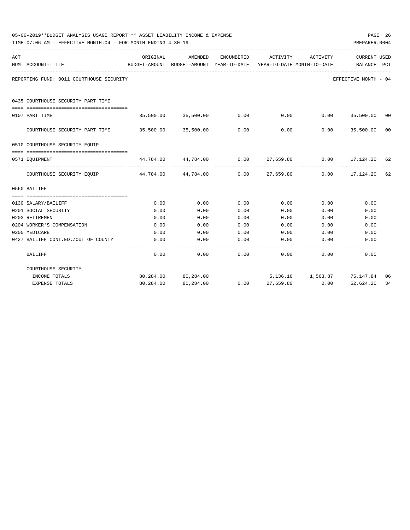|     | 05-06-2019**BUDGET ANALYSIS USAGE REPORT ** ASSET LIABILITY INCOME & EXPENSE<br>TIME: 07:06 AM - EFFECTIVE MONTH: 04 - FOR MONTH ENDING 4-30-19 |                                                                     |                                                                  |                   |             |                              | PREPARER: 0004                          | PAGE 26 |
|-----|-------------------------------------------------------------------------------------------------------------------------------------------------|---------------------------------------------------------------------|------------------------------------------------------------------|-------------------|-------------|------------------------------|-----------------------------------------|---------|
| ACT |                                                                                                                                                 | ORIGINAL                                                            | AMENDED                                                          | ENCUMBERED        | ACTIVITY    | ACTIVITY                     | <b>CURRENT USED</b>                     |         |
|     | NUM ACCOUNT-TITLE                                                                                                                               | BUDGET-AMOUNT BUDGET-AMOUNT YEAR-TO-DATE YEAR-TO-DATE MONTH-TO-DATE |                                                                  |                   |             |                              | BALANCE PCT                             |         |
|     | REPORTING FUND: 0011 COURTHOUSE SECURITY                                                                                                        |                                                                     |                                                                  |                   |             |                              | EFFECTIVE MONTH - 04                    |         |
|     | 0435 COURTHOUSE SECURITY PART TIME                                                                                                              |                                                                     |                                                                  |                   |             |                              |                                         |         |
|     | 0107 PART TIME                                                                                                                                  |                                                                     | $35,500.00$ $35,500.00$ $0.00$ 0.00 0.00 35,500.00 00            |                   |             |                              |                                         |         |
|     | COURTHOUSE SECURITY PART TIME $35,500.00$ $35,500.00$ 0.00 0.00 0.00 0.00 35,500.00 00                                                          |                                                                     |                                                                  |                   |             |                              | _____________                           |         |
|     | 0510 COURTHOUSE SECURITY EQUIP                                                                                                                  |                                                                     |                                                                  |                   |             |                              |                                         |         |
|     | 0571 EQUIPMENT                                                                                                                                  |                                                                     | $44,784.00$ $44,784.00$ $0.00$ $27,659.80$ $0.00$ $17,124.20$ 62 |                   |             |                              |                                         |         |
|     | COURTHOUSE SECURITY EQUIP 44,784.00 44,784.00 0.00 27,659.80 0.00 17,124.20 62                                                                  |                                                                     |                                                                  |                   |             | -------------- ------------- | ______________                          |         |
|     | 0560 BAILIFF                                                                                                                                    |                                                                     |                                                                  |                   |             |                              |                                         |         |
|     |                                                                                                                                                 |                                                                     |                                                                  |                   |             |                              |                                         |         |
|     | 0130 SALARY/BAILIFF                                                                                                                             | 0.00                                                                | 0.00                                                             | 0.00              | 0.00        | 0.00                         | 0.00                                    |         |
|     | 0201 SOCIAL SECURITY                                                                                                                            | 0.00                                                                | 0.00                                                             | 0.00              | 0.00        | 0.00                         | 0.00                                    |         |
|     | 0203 RETIREMENT                                                                                                                                 | 0.00                                                                | 0.00                                                             | 0.00              | 0.00        | 0.00                         | 0.00                                    |         |
|     | 0204 WORKER'S COMPENSATION                                                                                                                      | 0.00                                                                | 0.00                                                             | 0.00              | 0.00        | 0.00                         | 0.00                                    |         |
|     | 0205 MEDICARE                                                                                                                                   | 0.00                                                                | 0.00                                                             | 0.00              |             | $0.00$ 0.00                  | 0.00                                    |         |
|     | 0427 BAILIFF CONT.ED./OUT OF COUNTY                                                                                                             | 0.00                                                                | 0.00                                                             | 0.00<br>--------- | 0.00        | 0.00                         | 0.00                                    |         |
|     | BAILIFF                                                                                                                                         | 0.00                                                                | 0.00                                                             |                   | $0.00$ 0.00 | 0.00                         | 0.00                                    |         |
|     | COURTHOUSE SECURITY                                                                                                                             |                                                                     |                                                                  |                   |             |                              |                                         |         |
|     | INCOME TOTALS                                                                                                                                   |                                                                     | 80,284.00 80,284.00                                              |                   |             |                              | 5,136.16    1,563.87    75,147.84    06 |         |
|     | <b>EXPENSE TOTALS</b>                                                                                                                           | 80,284.00                                                           | 80,284.00                                                        | 0.00              | 27,659.80   | 0.00                         | 52,624.20                               | 34      |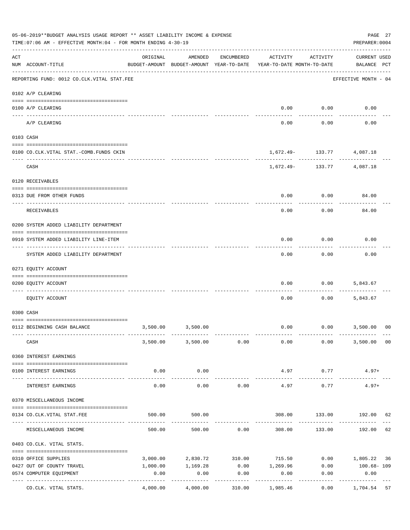|                | 05-06-2019**BUDGET ANALYSIS USAGE REPORT ** ASSET LIABILITY INCOME & EXPENSE<br>TIME: 07:06 AM - EFFECTIVE MONTH: 04 - FOR MONTH ENDING 4-30-19 |                     |                                                     |            |                                        |          | PAGE 27<br>PREPARER: 0004          |                |
|----------------|-------------------------------------------------------------------------------------------------------------------------------------------------|---------------------|-----------------------------------------------------|------------|----------------------------------------|----------|------------------------------------|----------------|
| $\mathtt{ACT}$ | NUM ACCOUNT-TITLE                                                                                                                               | ORIGINAL            | AMENDED<br>BUDGET-AMOUNT BUDGET-AMOUNT YEAR-TO-DATE | ENCUMBERED | ACTIVITY<br>YEAR-TO-DATE MONTH-TO-DATE | ACTIVITY | <b>CURRENT USED</b><br>BALANCE PCT |                |
|                | REPORTING FUND: 0012 CO.CLK.VITAL STAT.FEE                                                                                                      |                     |                                                     |            |                                        |          | EFFECTIVE MONTH - 04               |                |
|                | 0102 A/P CLEARING                                                                                                                               |                     |                                                     |            |                                        |          |                                    |                |
|                | 0100 A/P CLEARING                                                                                                                               |                     |                                                     |            | 0.00                                   | 0.00     | 0.00                               |                |
|                | ---- ----------<br>A/P CLEARING                                                                                                                 |                     |                                                     |            | 0.00                                   | 0.00     | 0.00                               |                |
|                | 0103 CASH                                                                                                                                       |                     |                                                     |            |                                        |          |                                    |                |
|                | 0100 CO.CLK.VITAL STAT.-COMB.FUNDS CKIN                                                                                                         |                     |                                                     |            |                                        |          | 1,672.49- 133.77 4,087.18          |                |
|                | CASH                                                                                                                                            |                     |                                                     |            |                                        | .        | $1,672.49 - 133.77$ 4,087.18       |                |
|                | 0120 RECEIVABLES                                                                                                                                |                     |                                                     |            |                                        |          |                                    |                |
|                | 0313 DUE FROM OTHER FUNDS                                                                                                                       |                     |                                                     |            | 0.00                                   | 0.00     | 84.00                              |                |
|                | RECEIVABLES                                                                                                                                     |                     |                                                     |            | 0.00                                   | 0.00     | 84.00                              |                |
|                | 0200 SYSTEM ADDED LIABILITY DEPARTMENT                                                                                                          |                     |                                                     |            |                                        |          |                                    |                |
|                | 0910 SYSTEM ADDED LIABILITY LINE-ITEM                                                                                                           |                     |                                                     |            | 0.00                                   | 0.00     | 0.00                               |                |
|                | SYSTEM ADDED LIABILITY DEPARTMENT                                                                                                               |                     |                                                     |            | 0.00                                   | 0.00     | 0.00                               |                |
|                | 0271 EQUITY ACCOUNT                                                                                                                             |                     |                                                     |            |                                        |          |                                    |                |
|                | 0200 EQUITY ACCOUNT                                                                                                                             |                     |                                                     |            | 0.00                                   | 0.00     | 5,843.67                           |                |
|                | EQUITY ACCOUNT                                                                                                                                  |                     |                                                     |            | 0.00                                   | 0.00     | 5,843.67                           |                |
|                | 0300 CASH                                                                                                                                       |                     |                                                     |            |                                        |          |                                    |                |
|                | 0112 BEGINNING CASH BALANCE                                                                                                                     |                     | 3,500.00 3,500.00                                   |            |                                        |          | $0.00$ $0.00$ $3,500.00$           | 0 <sup>0</sup> |
|                | CASH                                                                                                                                            |                     | 3,500.00 3,500.00 0.00                              |            | 0.00                                   | 0.00     | 3,500.00                           | 00             |
|                | 0360 INTEREST EARNINGS                                                                                                                          |                     |                                                     |            |                                        |          |                                    |                |
|                | 0100 INTEREST EARNINGS                                                                                                                          | 0.00                | 0.00                                                |            | 4.97                                   | 0.77     | $4.97+$                            |                |
|                | INTEREST EARNINGS                                                                                                                               | -----------<br>0.00 | . <u>.</u> .<br>0.00                                | 0.00       | 4.97                                   | 0.77     | $4.97+$                            |                |
|                | 0370 MISCELLANEOUS INCOME                                                                                                                       |                     |                                                     |            |                                        |          |                                    |                |
|                | 0134 CO. CLK. VITAL STAT. FEE                                                                                                                   | 500.00              | 500.00                                              |            |                                        |          | 308.00 133.00 192.00               | 62             |
|                | MISCELLANEOUS INCOME                                                                                                                            |                     | 500.00<br>500.00                                    | 0.00       | 308.00                                 | 133.00   | 192.00                             | 62             |
|                | 0403 CO.CLK. VITAL STATS.                                                                                                                       |                     |                                                     |            |                                        |          |                                    |                |
|                | 0310 OFFICE SUPPLIES                                                                                                                            |                     | 3,000.00 2,830.72 310.00                            |            | 715.50                                 |          | $0.00$ 1,805.22 36                 |                |
|                | 0427 OUT OF COUNTY TRAVEL                                                                                                                       | 1,000.00            | 1,169.28                                            |            | $0.00$ 1,269.96                        | 0.00     | 100.68- 109                        |                |
|                | 0574 COMPUTER EQUIPMENT                                                                                                                         | 0.00                | 0.00                                                | 0.00       | 0.00                                   | 0.00     | 0.00                               |                |
|                | CO.CLK. VITAL STATS.                                                                                                                            | 4,000.00            | . <u>.</u> .<br>4,000.00                            | 310.00     | 1,985.46                               | 0.00     | ------------<br>1,704.54 57        |                |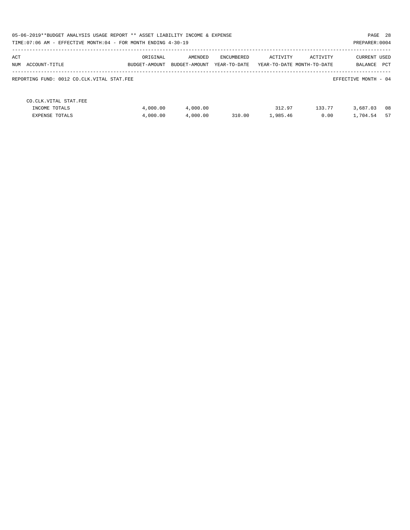| 05-06-2019**BUDGET ANALYSIS USAGE REPORT ** ASSET LIABILITY INCOME & EXPENSE<br>TIME: 07:06 AM - EFFECTIVE MONTH: 04 - FOR MONTH ENDING 4-30-19 |                           |                          |                            |                    |                                        | PAGE 28<br>PREPARER: 0004      |          |
|-------------------------------------------------------------------------------------------------------------------------------------------------|---------------------------|--------------------------|----------------------------|--------------------|----------------------------------------|--------------------------------|----------|
| ACT<br>NUM ACCOUNT-TITLE                                                                                                                        | ORIGINAL<br>BUDGET-AMOUNT | AMENDED<br>BUDGET-AMOUNT | ENCUMBERED<br>YEAR-TO-DATE | ACTIVITY           | ACTIVITY<br>YEAR-TO-DATE MONTH-TO-DATE | <b>CURRENT USED</b><br>BALANCE | PCT      |
| REPORTING FUND: 0012 CO.CLK.VITAL STAT.FEE                                                                                                      |                           |                          |                            |                    |                                        | EFFECTIVE MONTH - 04           |          |
| CO. CLK. VITAL STAT. FEE<br>INCOME TOTALS<br><b>EXPENSE TOTALS</b>                                                                              | 4,000.00<br>4,000.00      | 4,000.00<br>4,000.00     | 310.00                     | 312.97<br>1,985.46 | 133.77<br>0.00                         | 3,687.03<br>1,704.54           | 08<br>57 |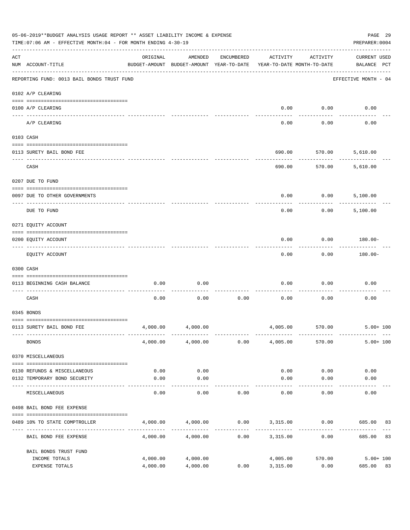|                    | 05-06-2019**BUDGET ANALYSIS USAGE REPORT ** ASSET LIABILITY INCOME & EXPENSE<br>TIME: 07:06 AM - EFFECTIVE MONTH: 04 - FOR MONTH ENDING 4-30-19 |                                                      |                    |            |                                        |                       | PREPARER: 0004                     | PAGE 29      |
|--------------------|-------------------------------------------------------------------------------------------------------------------------------------------------|------------------------------------------------------|--------------------|------------|----------------------------------------|-----------------------|------------------------------------|--------------|
| $\mathop{\rm ACT}$ | NUM ACCOUNT-TITLE                                                                                                                               | ORIGINAL<br>BUDGET-AMOUNT BUDGET-AMOUNT YEAR-TO-DATE | AMENDED            | ENCUMBERED | ACTIVITY<br>YEAR-TO-DATE MONTH-TO-DATE | ACTIVITY              | <b>CURRENT USED</b><br>BALANCE PCT |              |
|                    | REPORTING FUND: 0013 BAIL BONDS TRUST FUND                                                                                                      |                                                      |                    |            |                                        |                       | EFFECTIVE MONTH - 04               |              |
|                    | 0102 A/P CLEARING                                                                                                                               |                                                      |                    |            |                                        |                       |                                    |              |
|                    | 0100 A/P CLEARING                                                                                                                               |                                                      |                    |            | 0.00                                   | 0.00                  | 0.00                               |              |
|                    | ---- ---------<br>A/P CLEARING                                                                                                                  |                                                      |                    |            | 0.00                                   | 0.00                  | 0.00                               |              |
|                    | 0103 CASH                                                                                                                                       |                                                      |                    |            |                                        |                       |                                    |              |
|                    |                                                                                                                                                 |                                                      |                    |            |                                        |                       |                                    |              |
|                    | 0113 SURETY BAIL BOND FEE                                                                                                                       |                                                      |                    |            | 690.00                                 | 570.00                | 5,610.00                           |              |
|                    | CASH                                                                                                                                            |                                                      |                    |            | 690.00                                 | 570.00                | 5,610.00                           |              |
|                    | 0207 DUE TO FUND                                                                                                                                |                                                      |                    |            |                                        |                       |                                    |              |
|                    | 0097 DUE TO OTHER GOVERNMENTS                                                                                                                   |                                                      |                    |            | 0.00                                   | 0.00                  | 5,100.00                           |              |
|                    | DUE TO FUND                                                                                                                                     |                                                      |                    |            | 0.00                                   | 0.00                  | 5,100.00                           |              |
|                    | 0271 EQUITY ACCOUNT                                                                                                                             |                                                      |                    |            |                                        |                       |                                    |              |
|                    | 0200 EQUITY ACCOUNT                                                                                                                             |                                                      |                    |            | 0.00                                   | 0.00                  | 180.00-                            |              |
|                    | EQUITY ACCOUNT                                                                                                                                  |                                                      |                    |            | 0.00                                   | 0.00                  | 180.00-                            |              |
|                    | 0300 CASH                                                                                                                                       |                                                      |                    |            |                                        |                       |                                    |              |
|                    | 0113 BEGINNING CASH BALANCE<br>-------------------------- -                                                                                     | 0.00                                                 | 0.00               |            | 0.00                                   | 0.00                  | 0.00                               |              |
|                    | CASH                                                                                                                                            | 0.00                                                 | 0.00               | 0.00       | 0.00                                   | 0.00                  | 0.00                               |              |
|                    | 0345 BONDS                                                                                                                                      |                                                      |                    |            |                                        |                       |                                    |              |
|                    | 0113 SURETY BAIL BOND FEE                                                                                                                       | 4,000.00                                             | 4,000.00           |            |                                        |                       | 4,005.00 570.00 5.00+ 100          |              |
|                    | <b>BONDS</b>                                                                                                                                    | 4,000.00                                             | 4,000.00           | 0.00       | 4,005.00                               | 570.00                |                                    | $5.00 + 100$ |
|                    | 0370 MISCELLANEOUS                                                                                                                              |                                                      |                    |            |                                        |                       |                                    |              |
|                    | 0130 REFUNDS & MISCELLANEOUS                                                                                                                    | 0.00                                                 | 0.00               |            | 0.00                                   | 0.00                  | 0.00                               |              |
|                    | 0132 TEMPORARY BOND SECURITY                                                                                                                    | 0.00                                                 | 0.00               |            | 0.00                                   | 0.00                  | 0.00                               |              |
|                    | MISCELLANEOUS                                                                                                                                   | 0.00                                                 | ----------<br>0.00 | 0.00       | 0.00                                   | $- - - - - -$<br>0.00 | 0.00                               |              |
|                    | 0498 BAIL BOND FEE EXPENSE                                                                                                                      |                                                      |                    |            |                                        |                       |                                    |              |
|                    | 0489 10% TO STATE COMPTROLLER                                                                                                                   | 4,000.00                                             | 4,000.00           |            | $0.00$ 3,315.00                        | 0.00                  | 685.00                             | 83           |
|                    | BAIL BOND FEE EXPENSE                                                                                                                           | 4,000.00                                             | 4,000.00           | 0.00       | 3,315.00                               | 0.00                  | 685.00                             | 83           |
|                    | BAIL BONDS TRUST FUND                                                                                                                           |                                                      |                    |            |                                        |                       |                                    |              |
|                    | INCOME TOTALS                                                                                                                                   | 4,000.00                                             | 4,000.00           |            | 4,005.00                               | 570.00                |                                    | $5.00 + 100$ |
|                    | EXPENSE TOTALS                                                                                                                                  | 4,000.00                                             | 4,000.00           | 0.00       | 3,315.00                               | 0.00                  | 685.00 83                          |              |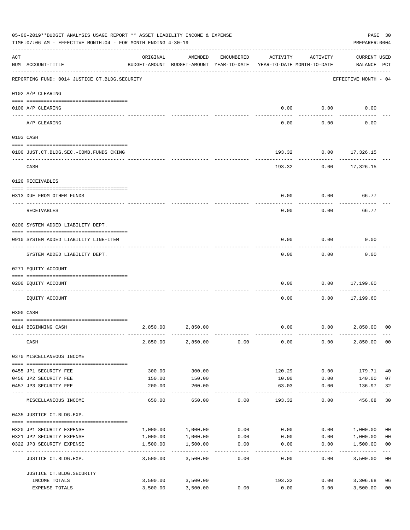|     | 05-06-2019**BUDGET ANALYSIS USAGE REPORT ** ASSET LIABILITY INCOME & EXPENSE<br>TIME: 07:06 AM - EFFECTIVE MONTH: 04 - FOR MONTH ENDING 4-30-19 |          |                                                     |            |                  |                                        | PAGE 30<br>PREPARER: 0004          |                |
|-----|-------------------------------------------------------------------------------------------------------------------------------------------------|----------|-----------------------------------------------------|------------|------------------|----------------------------------------|------------------------------------|----------------|
| ACT | NUM ACCOUNT-TITLE                                                                                                                               | ORIGINAL | AMENDED<br>BUDGET-AMOUNT BUDGET-AMOUNT YEAR-TO-DATE | ENCUMBERED | ACTIVITY         | ACTIVITY<br>YEAR-TO-DATE MONTH-TO-DATE | <b>CURRENT USED</b><br>BALANCE PCT |                |
|     | REPORTING FUND: 0014 JUSTICE CT. BLDG. SECURITY                                                                                                 |          |                                                     |            |                  |                                        | EFFECTIVE MONTH - 04               |                |
|     | 0102 A/P CLEARING                                                                                                                               |          |                                                     |            |                  |                                        |                                    |                |
|     | 0100 A/P CLEARING                                                                                                                               |          |                                                     |            | 0.00             | 0.00                                   | 0.00                               |                |
|     | ---- ----------<br>A/P CLEARING                                                                                                                 |          |                                                     |            | 0.00             | 0.00                                   | 0.00                               |                |
|     | 0103 CASH                                                                                                                                       |          |                                                     |            |                  |                                        |                                    |                |
|     | 0100 JUST.CT.BLDG.SEC.-COMB.FUNDS CKING                                                                                                         |          |                                                     |            | 193.32           |                                        | $0.00$ 17,326.15                   |                |
|     | CASH                                                                                                                                            |          |                                                     |            |                  | 193.32 0.00                            | 17,326.15                          |                |
|     | 0120 RECEIVABLES                                                                                                                                |          |                                                     |            |                  |                                        |                                    |                |
|     | 0313 DUE FROM OTHER FUNDS                                                                                                                       |          |                                                     |            | 0.00             | 0.00                                   | 66.77                              |                |
|     | RECEIVABLES                                                                                                                                     |          |                                                     |            | 0.00             | 0.00                                   | 66.77                              |                |
|     | 0200 SYSTEM ADDED LIABILITY DEPT.                                                                                                               |          |                                                     |            |                  |                                        |                                    |                |
|     | 0910 SYSTEM ADDED LIABILITY LINE-ITEM                                                                                                           |          |                                                     |            | 0.00             | 0.00                                   | 0.00                               |                |
|     | SYSTEM ADDED LIABILITY DEPT.                                                                                                                    |          |                                                     |            | 0.00             | 0.00                                   | 0.00                               |                |
|     | 0271 EQUITY ACCOUNT                                                                                                                             |          |                                                     |            |                  |                                        |                                    |                |
|     | 0200 EQUITY ACCOUNT<br>_____ ___________                                                                                                        |          |                                                     |            | 0.00             | 0.00                                   | 17,199.60                          |                |
|     | EQUITY ACCOUNT                                                                                                                                  |          |                                                     |            | 0.00             | 0.00                                   | 17,199.60                          |                |
|     | 0300 CASH                                                                                                                                       |          |                                                     |            |                  |                                        |                                    |                |
|     | 0114 BEGINNING CASH                                                                                                                             | 2,850.00 | 2,850.00                                            |            | 0.00             | 0.00                                   | 2,850.00                           | 0 <sup>0</sup> |
|     | CASH                                                                                                                                            | 2,850.00 | 2,850.00                                            | 0.00       | 0.00             | 0.00                                   | 2,850.00                           | 0 <sub>0</sub> |
|     | 0370 MISCELLANEOUS INCOME                                                                                                                       |          |                                                     |            |                  |                                        |                                    |                |
|     | 0455 JP1 SECURITY FEE                                                                                                                           | 300.00   | 300.00                                              |            | 120.29           | 0.00                                   | 179.71                             | 40             |
|     | 0456 JP2 SECURITY FEE                                                                                                                           | 150.00   | 150.00                                              |            | 10.00            | 0.00                                   | 140.00                             | 07             |
|     | 0457 JP3 SECURITY FEE                                                                                                                           | 200.00   | 200.00<br>.                                         |            | 63.03<br>------- | 0.00<br>$- - - - - -$                  | 136.97<br>----------               | 32             |
|     | MISCELLANEOUS INCOME                                                                                                                            | 650.00   | 650.00                                              | 0.00       | 193.32           | 0.00                                   | 456.68                             | 30             |
|     | 0435 JUSTICE CT.BLDG.EXP.                                                                                                                       |          |                                                     |            |                  |                                        |                                    |                |
|     | 0320 JP1 SECURITY EXPENSE                                                                                                                       | 1,000.00 | 1,000.00                                            | 0.00       | 0.00             | 0.00                                   | 1,000.00                           | 00             |
|     | 0321 JP2 SECURITY EXPENSE                                                                                                                       | 1,000.00 | 1,000.00                                            | 0.00       | 0.00             | 0.00                                   | 1,000.00                           | 0 <sub>0</sub> |
|     | 0322 JP3 SECURITY EXPENSE                                                                                                                       | 1,500.00 | 1,500.00                                            | 0.00       | 0.00             | 0.00                                   | 1,500.00                           | 0 <sub>0</sub> |
|     | JUSTICE CT.BLDG.EXP.                                                                                                                            | 3,500.00 | 3,500.00                                            | 0.00       | 0.00             | 0.00                                   | 3,500.00                           | 0 <sub>0</sub> |
|     | JUSTICE CT. BLDG. SECURITY                                                                                                                      |          |                                                     |            |                  |                                        |                                    |                |
|     | INCOME TOTALS                                                                                                                                   |          | 3,500.00 3,500.00                                   |            | 193.32           | 0.00                                   | 3,306.68                           | 06             |
|     | EXPENSE TOTALS                                                                                                                                  | 3,500.00 | 3,500.00                                            | 0.00       | 0.00             | 0.00                                   | 3,500.00                           | 0 <sub>0</sub> |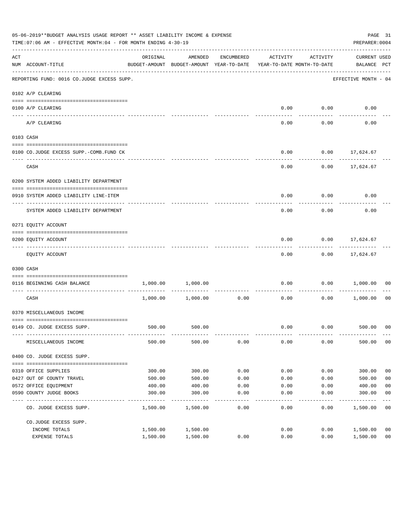|                    | 05-06-2019**BUDGET ANALYSIS USAGE REPORT ** ASSET LIABILITY INCOME & EXPENSE<br>TIME: 07:06 AM - EFFECTIVE MONTH: 04 - FOR MONTH ENDING 4-30-19 |          |                                                     |                    |                                        |             | PREPARER: 0004                     | PAGE 31        |
|--------------------|-------------------------------------------------------------------------------------------------------------------------------------------------|----------|-----------------------------------------------------|--------------------|----------------------------------------|-------------|------------------------------------|----------------|
| $\mathop{\rm ACT}$ | NUM ACCOUNT-TITLE                                                                                                                               | ORIGINAL | AMENDED<br>BUDGET-AMOUNT BUDGET-AMOUNT YEAR-TO-DATE | ENCUMBERED         | ACTIVITY<br>YEAR-TO-DATE MONTH-TO-DATE | ACTIVITY    | <b>CURRENT USED</b><br>BALANCE PCT |                |
|                    | REPORTING FUND: 0016 CO.JUDGE EXCESS SUPP.                                                                                                      |          |                                                     |                    |                                        |             | EFFECTIVE MONTH - 04               |                |
|                    | 0102 A/P CLEARING                                                                                                                               |          |                                                     |                    |                                        |             |                                    |                |
|                    | 0100 A/P CLEARING                                                                                                                               |          |                                                     |                    |                                        | $0.00$ 0.00 | 0.00                               |                |
|                    | ---- ---------<br>A/P CLEARING                                                                                                                  |          |                                                     |                    | 0.00                                   | 0.00        | 0.00                               |                |
|                    | 0103 CASH                                                                                                                                       |          |                                                     |                    |                                        |             |                                    |                |
|                    | 0100 CO.JUDGE EXCESS SUPP.-COMB.FUND CK                                                                                                         |          |                                                     |                    | 0.00                                   |             | $0.00$ 17,624.67                   |                |
|                    | CASH                                                                                                                                            |          |                                                     |                    | 0.00                                   |             | $0.00$ 17,624.67                   |                |
|                    | 0200 SYSTEM ADDED LIABILITY DEPARTMENT                                                                                                          |          |                                                     |                    |                                        |             |                                    |                |
|                    | 0910 SYSTEM ADDED LIABILITY LINE-ITEM                                                                                                           |          |                                                     |                    | 0.00                                   | 0.00        | 0.00                               |                |
|                    | SYSTEM ADDED LIABILITY DEPARTMENT                                                                                                               |          |                                                     |                    | 0.00                                   | 0.00        | 0.00                               |                |
|                    | 0271 EQUITY ACCOUNT                                                                                                                             |          |                                                     |                    |                                        |             |                                    |                |
|                    | 0200 EQUITY ACCOUNT                                                                                                                             |          |                                                     |                    | 0.00                                   |             | $0.00$ 17,624.67                   |                |
|                    | EQUITY ACCOUNT                                                                                                                                  |          |                                                     |                    | 0.00                                   |             | $0.00$ 17,624.67                   |                |
|                    | 0300 CASH                                                                                                                                       |          |                                                     |                    |                                        |             |                                    |                |
|                    | 0116 BEGINNING CASH BALANCE                                                                                                                     | 1,000.00 | 1,000.00                                            |                    | 0.00                                   | 0.00        | 1,000.00                           | 00             |
|                    | ---------------------------- -----<br>CASH                                                                                                      |          | 1,000.00 1,000.00                                   | . <u>.</u><br>0.00 | 0.00                                   | 0.00        | 1,000.00                           | 00             |
|                    | 0370 MISCELLANEOUS INCOME                                                                                                                       |          |                                                     |                    |                                        |             |                                    |                |
|                    | 0149 CO. JUDGE EXCESS SUPP.                                                                                                                     |          | 500.00 500.00                                       |                    |                                        |             | $0.00$ $0.00$ $500.00$ 00          |                |
|                    | MISCELLANEOUS INCOME                                                                                                                            | 500.00   | 500.00                                              | 0.00               | 0.00                                   | 0.00        | 500.00                             | 0 <sub>0</sub> |
|                    | 0400 CO. JUDGE EXCESS SUPP.                                                                                                                     |          |                                                     |                    |                                        |             |                                    |                |
|                    | 0310 OFFICE SUPPLIES                                                                                                                            | 300.00   | 300.00                                              | 0.00               | 0.00                                   | 0.00        | 300.00                             | 0 <sub>0</sub> |
|                    | 0427 OUT OF COUNTY TRAVEL                                                                                                                       | 500.00   | 500.00                                              | 0.00               | 0.00                                   | 0.00        | 500.00                             | 0 <sub>0</sub> |
|                    | 0572 OFFICE EQUIPMENT                                                                                                                           | 400.00   | 400.00                                              | 0.00               | 0.00                                   | 0.00        | 400.00                             | 0 <sub>0</sub> |
|                    | 0590 COUNTY JUDGE BOOKS                                                                                                                         | 300.00   | 300.00                                              | 0.00               | 0.00                                   | 0.00        | 300.00                             | 0 <sub>0</sub> |
|                    | CO. JUDGE EXCESS SUPP.                                                                                                                          | 1,500.00 | 1,500.00                                            | 0.00               | 0.00                                   | 0.00        | 1,500.00                           | 0 <sub>0</sub> |
|                    | CO.JUDGE EXCESS SUPP.                                                                                                                           |          |                                                     |                    |                                        |             |                                    |                |
|                    | INCOME TOTALS                                                                                                                                   | 1,500.00 | 1,500.00                                            |                    | 0.00                                   | 0.00        | 1,500.00                           | 0 <sub>0</sub> |
|                    | EXPENSE TOTALS                                                                                                                                  | 1,500.00 | 1,500.00                                            | 0.00               | 0.00                                   | 0.00        | 1,500.00                           | 0 <sub>0</sub> |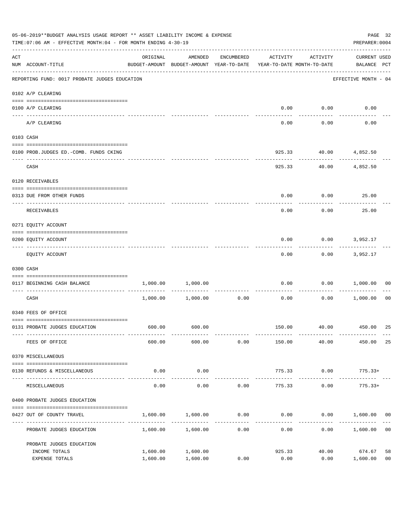|     | 05-06-2019**BUDGET ANALYSIS USAGE REPORT ** ASSET LIABILITY INCOME & EXPENSE<br>TIME: 07:06 AM - EFFECTIVE MONTH: 04 - FOR MONTH ENDING 4-30-19 |                                                                                 |                       |                     |          |                   |                                    |                |
|-----|-------------------------------------------------------------------------------------------------------------------------------------------------|---------------------------------------------------------------------------------|-----------------------|---------------------|----------|-------------------|------------------------------------|----------------|
| ACT | NUM ACCOUNT-TITLE                                                                                                                               | ORIGINAL<br>BUDGET-AMOUNT BUDGET-AMOUNT YEAR-TO-DATE YEAR-TO-DATE MONTH-TO-DATE | AMENDED               | ENCUMBERED          | ACTIVITY | ACTIVITY          | <b>CURRENT USED</b><br>BALANCE PCT |                |
|     | REPORTING FUND: 0017 PROBATE JUDGES EDUCATION                                                                                                   |                                                                                 |                       |                     |          |                   | EFFECTIVE MONTH - 04               |                |
|     | 0102 A/P CLEARING                                                                                                                               |                                                                                 |                       |                     |          |                   |                                    |                |
|     | 0100 A/P CLEARING                                                                                                                               |                                                                                 |                       |                     | 0.00     | 0.00              | 0.00                               |                |
|     | ---- --------<br>A/P CLEARING                                                                                                                   |                                                                                 |                       |                     | 0.00     | 0.00              | 0.00                               |                |
|     | 0103 CASH                                                                                                                                       |                                                                                 |                       |                     |          |                   |                                    |                |
|     | 0100 PROB.JUDGES ED. - COMB. FUNDS CKING                                                                                                        |                                                                                 |                       |                     | 925.33   |                   | 40.00 4,852.50                     |                |
|     | CASH                                                                                                                                            |                                                                                 |                       |                     | 925.33   | -----------       | 40.00 4,852.50                     |                |
|     | 0120 RECEIVABLES                                                                                                                                |                                                                                 |                       |                     |          |                   |                                    |                |
|     | 0313 DUE FROM OTHER FUNDS                                                                                                                       |                                                                                 |                       |                     | 0.00     | 0.00              | 25.00                              |                |
|     | RECEIVABLES                                                                                                                                     |                                                                                 |                       |                     | 0.00     | 0.00              | 25.00                              |                |
|     | 0271 EQUITY ACCOUNT                                                                                                                             |                                                                                 |                       |                     |          |                   |                                    |                |
|     | 0200 EQUITY ACCOUNT                                                                                                                             |                                                                                 |                       |                     | 0.00     | 0.00              | 3,952.17                           |                |
|     | EQUITY ACCOUNT                                                                                                                                  |                                                                                 |                       |                     | 0.00     | 0.00              | 3,952.17                           |                |
|     | 0300 CASH                                                                                                                                       |                                                                                 |                       |                     |          |                   |                                    |                |
|     | 0117 BEGINNING CASH BALANCE                                                                                                                     |                                                                                 | 1,000.00 1,000.00     |                     | 0.00     | 0.00              | 1,000.00                           | 00             |
|     | CASH                                                                                                                                            |                                                                                 | $1,000.00$ $1,000.00$ | -----------<br>0.00 | 0.00     | ---------<br>0.00 | 1,000.00                           | 00             |
|     | 0340 FEES OF OFFICE                                                                                                                             |                                                                                 |                       |                     |          |                   |                                    |                |
|     | 0131 PROBATE JUDGES EDUCATION                                                                                                                   |                                                                                 | 600.00 600.00         |                     |          |                   | 150.00 40.00 450.00                | 25             |
|     | FEES OF OFFICE                                                                                                                                  | 600.00                                                                          | 600.00                | 0.00                | 150.00   | 40.00             | 450.00                             | 25             |
|     | 0370 MISCELLANEOUS                                                                                                                              |                                                                                 |                       |                     |          |                   |                                    |                |
|     | 0130 REFUNDS & MISCELLANEOUS                                                                                                                    | 0.00                                                                            | 0.00                  |                     | 775.33   | 0.00              | $775.33+$                          |                |
|     | MISCELLANEOUS                                                                                                                                   | 0.00                                                                            | -----------<br>0.00   | 0.00                | 775.33   | 0.00              | -------------<br>$775.33+$         |                |
|     | 0400 PROBATE JUDGES EDUCATION                                                                                                                   |                                                                                 |                       |                     |          |                   |                                    |                |
|     | 0427 OUT OF COUNTY TRAVEL                                                                                                                       | 1,600.00                                                                        | 1,600.00              | 0.00                | 0.00     |                   | $0.00$ 1,600.00 00                 |                |
|     | PROBATE JUDGES EDUCATION                                                                                                                        |                                                                                 | 1,600.00 1,600.00     | -----------<br>0.00 | 0.00     |                   | 0.00 1,600.00                      | 0 <sub>0</sub> |
|     | PROBATE JUDGES EDUCATION                                                                                                                        |                                                                                 |                       |                     |          |                   |                                    |                |
|     | INCOME TOTALS                                                                                                                                   | 1,600.00                                                                        | 1,600.00              |                     | 925.33   | 40.00             | 674.67                             | 58             |
|     | EXPENSE TOTALS                                                                                                                                  | 1,600.00                                                                        | 1,600.00              | 0.00                | 0.00     | 0.00              | 1,600.00                           | 0 <sub>0</sub> |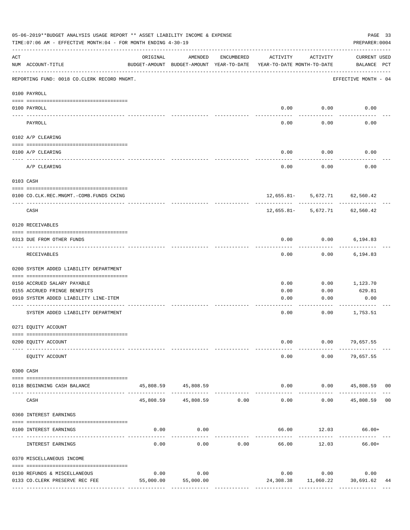|     | 05-06-2019**BUDGET ANALYSIS USAGE REPORT ** ASSET LIABILITY INCOME & EXPENSE<br>TIME: 07:06 AM - EFFECTIVE MONTH: 04 - FOR MONTH ENDING 4-30-19 |           |                                                     |               |                                        |                               | PAGE 33<br>PREPARER: 0004          |    |
|-----|-------------------------------------------------------------------------------------------------------------------------------------------------|-----------|-----------------------------------------------------|---------------|----------------------------------------|-------------------------------|------------------------------------|----|
| ACT | NUM ACCOUNT-TITLE                                                                                                                               | ORIGINAL  | AMENDED<br>BUDGET-AMOUNT BUDGET-AMOUNT YEAR-TO-DATE | ENCUMBERED    | ACTIVITY<br>YEAR-TO-DATE MONTH-TO-DATE | ACTIVITY                      | <b>CURRENT USED</b><br>BALANCE PCT |    |
|     | REPORTING FUND: 0018 CO.CLERK RECORD MNGMT.                                                                                                     |           |                                                     |               |                                        |                               | EFFECTIVE MONTH - 04               |    |
|     | 0100 PAYROLL                                                                                                                                    |           |                                                     |               |                                        |                               |                                    |    |
|     | 0100 PAYROLL                                                                                                                                    |           |                                                     |               | 0.00                                   | 0.00                          | 0.00                               |    |
|     | PAYROLL                                                                                                                                         |           |                                                     |               | 0.00                                   | 0.00                          | 0.00                               |    |
|     | 0102 A/P CLEARING                                                                                                                               |           |                                                     |               |                                        |                               |                                    |    |
|     | 0100 A/P CLEARING                                                                                                                               |           |                                                     |               | 0.00                                   | 0.00                          | 0.00                               |    |
|     | A/P CLEARING                                                                                                                                    |           |                                                     |               | 0.00                                   | 0.00                          | 0.00                               |    |
|     | 0103 CASH                                                                                                                                       |           |                                                     |               |                                        |                               |                                    |    |
|     | 0100 CO.CLK.REC.MNGMT.-COMB.FUNDS CKING                                                                                                         |           |                                                     |               |                                        | 12,655.81- 5,672.71 62,560.42 |                                    |    |
|     | --------------------------------<br>CASH                                                                                                        |           |                                                     |               |                                        | 12,655.81- 5,672.71 62,560.42 | ------------                       |    |
|     | 0120 RECEIVABLES                                                                                                                                |           |                                                     |               |                                        |                               |                                    |    |
|     | 0313 DUE FROM OTHER FUNDS                                                                                                                       |           |                                                     |               | 0.00                                   | 0.00                          | 6,194.83                           |    |
|     | RECEIVABLES                                                                                                                                     |           |                                                     |               | 0.00                                   | 0.00                          | 6,194.83                           |    |
|     | 0200 SYSTEM ADDED LIABILITY DEPARTMENT                                                                                                          |           |                                                     |               |                                        |                               |                                    |    |
|     | 0150 ACCRUED SALARY PAYABLE                                                                                                                     |           |                                                     |               | 0.00                                   | 0.00                          | 1,123.70                           |    |
|     | 0155 ACCRUED FRINGE BENEFITS                                                                                                                    |           |                                                     |               | 0.00                                   | 0.00                          | 629.81                             |    |
|     | 0910 SYSTEM ADDED LIABILITY LINE-ITEM                                                                                                           |           |                                                     |               | 0.00                                   | 0.00                          | 0.00                               |    |
|     | SYSTEM ADDED LIABILITY DEPARTMENT                                                                                                               |           |                                                     |               | 0.00                                   | 0.00                          | 1,753.51                           |    |
|     | 0271 EQUITY ACCOUNT                                                                                                                             |           |                                                     |               |                                        |                               |                                    |    |
|     | 0200 EQUITY ACCOUNT                                                                                                                             |           |                                                     |               | 0.00                                   |                               | $0.00$ 79,657.55                   |    |
|     | EQUITY ACCOUNT                                                                                                                                  |           |                                                     |               | 0.00                                   | 0.00                          | 79,657.55                          |    |
|     | 0300 CASH                                                                                                                                       |           |                                                     |               |                                        |                               |                                    |    |
|     | 0118 BEGINNING CASH BALANCE                                                                                                                     |           | 45,808.59 45,808.59<br>--------------               |               | 0.00                                   |                               | $0.00$ 45,808.59 00                |    |
|     | CASH                                                                                                                                            | 45,808.59 | 45,808.59 0.00                                      | ------------- | -----<br>0.00                          | 0.00                          | 45,808.59                          | 00 |
|     | 0360 INTEREST EARNINGS                                                                                                                          |           |                                                     |               |                                        |                               |                                    |    |
|     | 0100 INTEREST EARNINGS                                                                                                                          | 0.00      | 0.00                                                |               |                                        | 66.00 12.03                   | $66.00+$                           |    |
|     | INTEREST EARNINGS                                                                                                                               | 0.00      | 0.00                                                | 0.00          | 66.00                                  | 12.03                         | $66.00+$                           |    |
|     | 0370 MISCELLANEOUS INCOME                                                                                                                       |           |                                                     |               |                                        |                               |                                    |    |
|     | 0130 REFUNDS & MISCELLANEOUS                                                                                                                    | 0.00      | 0.00                                                |               |                                        | 0.00 0.00                     | 0.00                               |    |
|     | 0133 CO. CLERK PRESERVE REC FEE                                                                                                                 | 55,000.00 | 55,000.00                                           |               | 24,308.38                              | 11,060.22 30,691.62           |                                    | 44 |
|     |                                                                                                                                                 |           |                                                     |               |                                        |                               |                                    |    |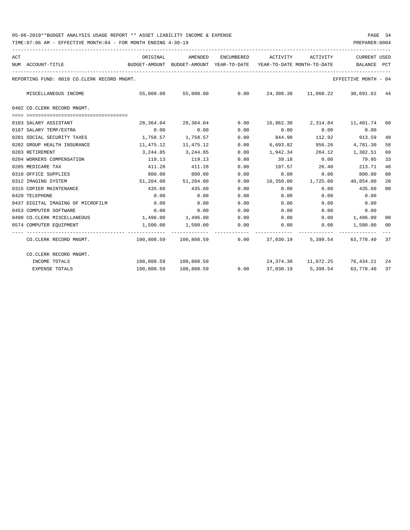| ACT |                                             | ORIGINAL                                                                 | AMENDED               |      | ENCUMBERED ACTIVITY ACTIVITY |        | <b>CURRENT USED</b>                                       |                |
|-----|---------------------------------------------|--------------------------------------------------------------------------|-----------------------|------|------------------------------|--------|-----------------------------------------------------------|----------------|
|     | NUM ACCOUNT-TITLE                           | BUDGET-AMOUNT BUDGET-AMOUNT YEAR-TO-DATE                                 |                       |      | YEAR-TO-DATE MONTH-TO-DATE   |        | BALANCE                                                   | PCT            |
|     | REPORTING FUND: 0018 CO.CLERK RECORD MNGMT. |                                                                          |                       |      |                              |        | EFFECTIVE MONTH - 04                                      |                |
|     | MISCELLANEOUS INCOME                        |                                                                          |                       |      |                              |        | 55,000.00 55,000.00 0.00 24,308.38 11,060.22 30,691.62 44 |                |
|     | 0402 CO.CLERK RECORD MNGMT.                 |                                                                          |                       |      |                              |        |                                                           |                |
|     | 0103 SALARY ASSISTANT                       | 28,364.04                                                                | 28,364.04             |      |                              |        | $0.00$ 16,962.30 2,314.84 11,401.74 60                    |                |
|     | 0107 SALARY TEMP/EXTRA                      | 0.00                                                                     | 0.00                  | 0.00 | 0.00                         |        | $0.00$ 0.00                                               |                |
|     | 0201 SOCIAL SECURITY TAXES                  | 1,758.57                                                                 | 1,758.57              | 0.00 | 844.98                       |        | 112.92 913.59                                             | 48             |
|     | 0202 GROUP HEALTH INSURANCE                 | 11,475.12                                                                | 11,475.12             | 0.00 | 6,693.82                     | 956.26 | 4,781.30                                                  | 58             |
|     | 0203 RETIREMENT                             | 3,244.85                                                                 | 3,244.85              | 0.00 | 1,942.34                     |        | 264.12 1,302.51                                           | 60             |
|     | 0204 WORKERS COMPENSATION                   | 119.13                                                                   | 119.13                | 0.00 | 39.18                        | 0.00   | 79.95                                                     | 33             |
|     | 0205 MEDICARE TAX                           | 411.28                                                                   | 411.28                | 0.00 | 197.57                       | 26.40  | 213.71                                                    | 48             |
|     | 0310 OFFICE SUPPLIES                        | 800.00                                                                   | 800.00                | 0.00 | 0.00                         | 0.00   | 800.00                                                    | 0 <sup>0</sup> |
|     | 0312 IMAGING SYSTEM                         | 51,204.00                                                                | 51,204.00             | 0.00 |                              |        | 10,350.00   1,725.00   40,854.00                          | 20             |
|     | 0315 COPIER MAINTENANCE                     | 435.60                                                                   | 435.60                | 0.00 | 0.00                         | 0.00   | 435.60                                                    | 00             |
|     | 0420 TELEPHONE                              | 0.00                                                                     | 0.00                  | 0.00 | 0.00                         | 0.00   | 0.00                                                      |                |
|     | 0437 DIGITAL IMAGING OF MICROFILM           | 0.00                                                                     | 0.00                  | 0.00 | 0.00                         | 0.00   | 0.00                                                      |                |
|     | 0453 COMPUTER SOFTWARE                      | 0.00                                                                     | 0.00                  | 0.00 | 0.00                         | 0.00   | 0.00                                                      |                |
|     | 0490 CO.CLERK MISCELLANEOUS                 | 1,496.00                                                                 | 1,496.00 0.00         |      |                              |        | $0.00$ $0.00$ $1,496.00$                                  | 00             |
|     | 0574 COMPUTER EQUIPMENT                     | 1,500.00                                                                 | 1,500.00              | 0.00 |                              |        | $0.00$ $0.00$ $1,500.00$                                  | 00             |
|     | CO.CLERK RECORD MNGMT.                      | $100,808.59$ $100,808.59$ $0.00$ $37,030.19$ $5,399.54$ $63,778.40$ $37$ |                       |      |                              |        |                                                           |                |
|     | CO.CLERK RECORD MNGMT.                      |                                                                          |                       |      |                              |        |                                                           |                |
|     | INCOME TOTALS                               |                                                                          | 100,808.59 100,808.59 |      |                              |        | 24, 374.38   11, 072.25   76, 434.21   24                 |                |
|     | <b>EXPENSE TOTALS</b>                       | 100,808.59                                                               | 100,808.59            |      |                              |        | $0.00$ 37,030.19 5,399.54 63,778.40                       | 37             |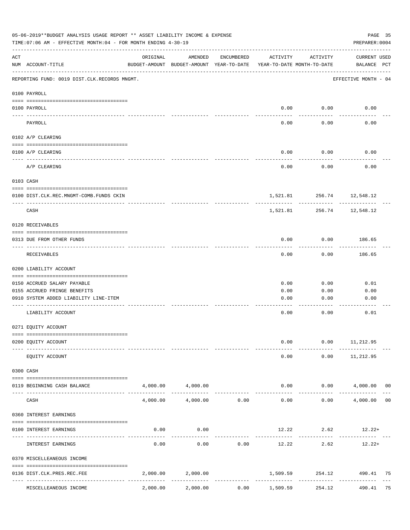| 05-06-2019**BUDGET ANALYSIS USAGE REPORT ** ASSET LIABILITY INCOME & EXPENSE<br>TIME: 07:06 AM - EFFECTIVE MONTH: 04 - FOR MONTH ENDING 4-30-19 |                                              |                                        |                                                     |               |                                          |                           | PAGE 35<br>PREPARER: 0004          |    |
|-------------------------------------------------------------------------------------------------------------------------------------------------|----------------------------------------------|----------------------------------------|-----------------------------------------------------|---------------|------------------------------------------|---------------------------|------------------------------------|----|
| ACT                                                                                                                                             | NUM ACCOUNT-TITLE                            | ORIGINAL                               | AMENDED<br>BUDGET-AMOUNT BUDGET-AMOUNT YEAR-TO-DATE | ENCUMBERED    | ACTIVITY<br>YEAR-TO-DATE MONTH-TO-DATE   | ACTIVITY                  | <b>CURRENT USED</b><br>BALANCE PCT |    |
|                                                                                                                                                 | REPORTING FUND: 0019 DIST.CLK.RECORDS MNGMT. |                                        |                                                     |               |                                          |                           | EFFECTIVE MONTH - 04               |    |
|                                                                                                                                                 | 0100 PAYROLL                                 |                                        |                                                     |               |                                          |                           |                                    |    |
|                                                                                                                                                 | 0100 PAYROLL                                 |                                        |                                                     |               | 0.00                                     | 0.00                      | 0.00                               |    |
|                                                                                                                                                 | ---- ----<br>PAYROLL                         |                                        |                                                     |               | 0.00                                     | 0.00                      | 0.00                               |    |
|                                                                                                                                                 | 0102 A/P CLEARING                            |                                        |                                                     |               |                                          |                           |                                    |    |
|                                                                                                                                                 | 0100 A/P CLEARING                            |                                        |                                                     |               | 0.00                                     | 0.00                      | 0.00                               |    |
|                                                                                                                                                 | A/P CLEARING                                 |                                        |                                                     |               | 0.00                                     | 0.00                      | 0.00                               |    |
|                                                                                                                                                 | 0103 CASH                                    |                                        |                                                     |               |                                          |                           |                                    |    |
|                                                                                                                                                 | 0100 DIST.CLK.REC.MNGMT-COMB.FUNDS CKIN      |                                        |                                                     |               |                                          | 1,521.81 256.74 12,548.12 |                                    |    |
|                                                                                                                                                 | CASH                                         |                                        |                                                     |               | 1,521.81                                 | 256.74                    | 12,548.12                          |    |
|                                                                                                                                                 | 0120 RECEIVABLES                             |                                        |                                                     |               |                                          |                           |                                    |    |
|                                                                                                                                                 | 0313 DUE FROM OTHER FUNDS                    |                                        |                                                     |               | 0.00                                     | 0.00                      | 186.65                             |    |
|                                                                                                                                                 | RECEIVABLES                                  |                                        |                                                     |               | 0.00                                     | 0.00                      | 186.65                             |    |
|                                                                                                                                                 | 0200 LIABILITY ACCOUNT                       |                                        |                                                     |               |                                          |                           |                                    |    |
|                                                                                                                                                 | 0150 ACCRUED SALARY PAYABLE                  |                                        |                                                     |               | 0.00                                     | 0.00                      | 0.01                               |    |
|                                                                                                                                                 | 0155 ACCRUED FRINGE BENEFITS                 |                                        |                                                     |               | 0.00                                     | 0.00                      | 0.00                               |    |
|                                                                                                                                                 | 0910 SYSTEM ADDED LIABILITY LINE-ITEM        |                                        |                                                     |               | 0.00                                     | 0.00                      | 0.00                               |    |
|                                                                                                                                                 | LIABILITY ACCOUNT                            |                                        |                                                     |               | 0.00                                     | 0.00                      | 0.01                               |    |
|                                                                                                                                                 | 0271 EQUITY ACCOUNT                          |                                        |                                                     |               |                                          |                           |                                    |    |
|                                                                                                                                                 | 0200 EQUITY ACCOUNT                          |                                        |                                                     |               | 0.00                                     |                           | $0.00$ 11, 212.95                  |    |
|                                                                                                                                                 | EQUITY ACCOUNT                               |                                        |                                                     |               | 0.00                                     | 0.00                      | 11,212.95                          |    |
|                                                                                                                                                 | 0300 CASH                                    |                                        |                                                     |               |                                          |                           |                                    |    |
|                                                                                                                                                 | 0119 BEGINNING CASH BALANCE                  |                                        | 4,000.00 4,000.00                                   |               | 0.00                                     | 0.00<br>.                 | 4,000.00 00<br>.                   |    |
|                                                                                                                                                 | CASH                                         | 4,000.00                               |                                                     | 4,000.00 0.00 | 0.00                                     | 0.00                      | 4,000.00                           | 00 |
|                                                                                                                                                 | 0360 INTEREST EARNINGS                       |                                        |                                                     |               |                                          |                           |                                    |    |
|                                                                                                                                                 | 0100 INTEREST EARNINGS                       | 0.00                                   | 0.00                                                |               |                                          | $12.22$ $2.62$ $12.22+$   |                                    |    |
|                                                                                                                                                 | INTEREST EARNINGS                            | 0.00                                   | 0.00                                                | 0.00          | -------------<br>12.22                   | ---------<br>2.62         | $12.22+$                           |    |
|                                                                                                                                                 | 0370 MISCELLEANEOUS INCOME                   |                                        |                                                     |               |                                          |                           |                                    |    |
|                                                                                                                                                 | 0136 DIST.CLK.PRES.REC.FEE                   | 2,000.00<br>------------ ------------- | 2,000.00                                            |               | 1,509.59                                 | 254.12                    | 490.41 75                          |    |
|                                                                                                                                                 | ----------------<br>MISCELLEANEOUS INCOME    | 2,000.00                               | 2,000.00                                            | 0.00          | ------------- --------------<br>1,509.59 | ------------<br>254.12    | 490.41                             | 75 |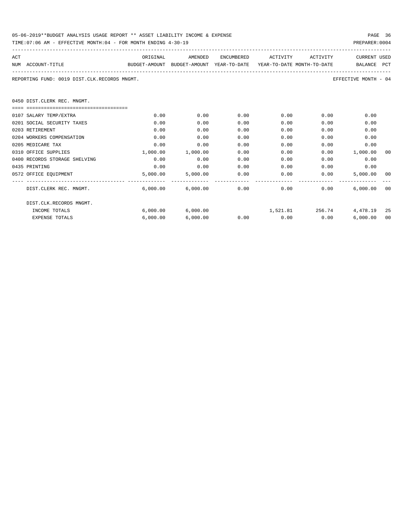| 05-06-2019**BUDGET ANALYSIS USAGE REPORT ** ASSET LIABILITY INCOME & EXPENSE | PAGE 36        |
|------------------------------------------------------------------------------|----------------|
| TIME:07:06 AM - EFFECTIVE MONTH:04 - FOR MONTH ENDING 4-30-19                | PREPARER: 0004 |

| ACT |                                                                                          | ORIGINAL | AMENDED                      | ENCUMBERED | ACTIVITY             | ACTIVITY                                                                                                                                                                                                                    | <b>CURRENT USED</b>         |    |
|-----|------------------------------------------------------------------------------------------|----------|------------------------------|------------|----------------------|-----------------------------------------------------------------------------------------------------------------------------------------------------------------------------------------------------------------------------|-----------------------------|----|
|     | BUDGET-AMOUNT BUDGET-AMOUNT YEAR-TO-DATE YEAR-TO-DATE MONTH-TO-DATE<br>NUM ACCOUNT-TITLE |          |                              |            |                      |                                                                                                                                                                                                                             | BALANCE PCT                 |    |
|     | REPORTING FUND: 0019 DIST.CLK.RECORDS MNGMT.                                             |          |                              |            |                      |                                                                                                                                                                                                                             | EFFECTIVE MONTH - 04        |    |
|     | 0450 DIST.CLERK REC. MNGMT.                                                              |          |                              |            |                      |                                                                                                                                                                                                                             |                             |    |
|     |                                                                                          |          |                              |            |                      |                                                                                                                                                                                                                             |                             |    |
|     | 0107 SALARY TEMP/EXTRA                                                                   | 0.00     | 0.00                         | 0.00       | 0.00                 | 0.00                                                                                                                                                                                                                        | 0.00                        |    |
|     | 0201 SOCIAL SECURITY TAXES                                                               | 0.00     | 0.00                         | 0.00       | 0.00                 | 0.00                                                                                                                                                                                                                        | 0.00                        |    |
|     | 0203 RETIREMENT                                                                          | 0.00     | 0.00                         | 0.00       | 0.00                 | 0.00                                                                                                                                                                                                                        | 0.00                        |    |
|     | 0204 WORKERS COMPENSATION                                                                | 0.00     | 0.00                         | 0.00       | 0.00                 | 0.00                                                                                                                                                                                                                        | 0.00                        |    |
|     | 0205 MEDICARE TAX                                                                        | 0.00     | 0.00                         | 0.00       | 0.00                 | 0.00                                                                                                                                                                                                                        | 0.00                        |    |
|     | 0310 OFFICE SUPPLIES                                                                     | 1,000.00 | 1,000.00                     | 0.00       | 0.00                 |                                                                                                                                                                                                                             | 0.00 1,000.00               | 00 |
|     | 0400 RECORDS STORAGE SHELVING                                                            | 0.00     | 0.00                         | 0.00       | 0.00                 | 0.00                                                                                                                                                                                                                        | 0.00                        |    |
|     | 0435 PRINTING                                                                            | 0.00     | 0.00                         | 0.00       | 0.00                 | 0.00                                                                                                                                                                                                                        | 0.00                        |    |
|     | 0572 OFFICE EQUIPMENT                                                                    |          | 5,000.00 5,000.00            | 0.00       |                      | $0.00$ and $0.00$ and $0.00$ and $0.00$ and $0.00$ and $0.00$ and $0.00$ and $0.00$ and $0.00$ and $0.00$ and $0.00$ and $0.00$ and $0.00$ and $0.00$ and $0.00$ and $0.00$ and $0.00$ and $0.00$ and $0.00$ and $0.00$ and | 0.00<br>5.000.00            | 00 |
|     | DIST.CLERK REC. MNGMT.                                                                   |          | $6,000.00$ $6,000.00$ $0.00$ |            | 0.00                 |                                                                                                                                                                                                                             | 0.00<br>6.000.00            | 00 |
|     | DIST.CLK.RECORDS MNGMT.                                                                  |          |                              |            |                      |                                                                                                                                                                                                                             |                             |    |
|     | INCOME TOTALS                                                                            |          | 6,000.00 6,000.00            |            |                      |                                                                                                                                                                                                                             | 1,521.81 256.74 4,478.19 25 |    |
|     | <b>EXPENSE TOTALS</b>                                                                    | 6,000.00 | 6.000.00                     |            | $0.00$ $0.00$ $0.00$ |                                                                                                                                                                                                                             | 6.000.00                    | 00 |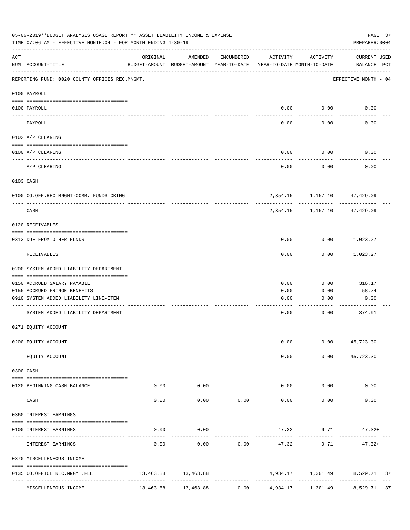| 05-06-2019**BUDGET ANALYSIS USAGE REPORT ** ASSET LIABILITY INCOME & EXPENSE<br>TIME: 07:06 AM - EFFECTIVE MONTH: 04 - FOR MONTH ENDING 4-30-19<br>PREPARER: 0004 |                                                  |           |                                                     |              |                                        |              |                                                |  |  |  |
|-------------------------------------------------------------------------------------------------------------------------------------------------------------------|--------------------------------------------------|-----------|-----------------------------------------------------|--------------|----------------------------------------|--------------|------------------------------------------------|--|--|--|
| ACT                                                                                                                                                               | NUM ACCOUNT-TITLE                                | ORIGINAL  | AMENDED<br>BUDGET-AMOUNT BUDGET-AMOUNT YEAR-TO-DATE | ENCUMBERED   | ACTIVITY<br>YEAR-TO-DATE MONTH-TO-DATE | ACTIVITY     | CURRENT USED<br>BALANCE PCT                    |  |  |  |
|                                                                                                                                                                   | REPORTING FUND: 0020 COUNTY OFFICES REC.MNGMT.   |           |                                                     |              |                                        |              | EFFECTIVE MONTH - 04                           |  |  |  |
|                                                                                                                                                                   | 0100 PAYROLL                                     |           |                                                     |              |                                        |              |                                                |  |  |  |
|                                                                                                                                                                   | 0100 PAYROLL                                     |           |                                                     |              | 0.00                                   | 0.00         | 0.00                                           |  |  |  |
|                                                                                                                                                                   | ----- -------<br>PAYROLL                         |           |                                                     |              | 0.00                                   | 0.00         | 0.00                                           |  |  |  |
|                                                                                                                                                                   | 0102 A/P CLEARING                                |           |                                                     |              |                                        |              |                                                |  |  |  |
|                                                                                                                                                                   | 0100 A/P CLEARING                                |           |                                                     |              | 0.00                                   | 0.00         | 0.00                                           |  |  |  |
|                                                                                                                                                                   | A/P CLEARING                                     |           |                                                     |              | 0.00                                   | 0.00         | 0.00                                           |  |  |  |
|                                                                                                                                                                   | 0103 CASH                                        |           |                                                     |              |                                        |              |                                                |  |  |  |
|                                                                                                                                                                   | 0100 CO.OFF.REC.MNGMT-COMB. FUNDS CKING          |           |                                                     |              |                                        |              | 2,354.15 1,157.10 47,429.09                    |  |  |  |
|                                                                                                                                                                   | CASH                                             |           |                                                     |              | 2,354.15                               | ----------   | 1,157.10 47,429.09                             |  |  |  |
|                                                                                                                                                                   | 0120 RECEIVABLES                                 |           |                                                     |              |                                        |              |                                                |  |  |  |
|                                                                                                                                                                   | 0313 DUE FROM OTHER FUNDS                        |           |                                                     |              | 0.00                                   |              | $0.00$ 1,023.27                                |  |  |  |
|                                                                                                                                                                   | RECEIVABLES                                      |           |                                                     |              | 0.00                                   | 0.00         | 1,023.27                                       |  |  |  |
|                                                                                                                                                                   | 0200 SYSTEM ADDED LIABILITY DEPARTMENT           |           |                                                     |              |                                        |              |                                                |  |  |  |
|                                                                                                                                                                   | 0150 ACCRUED SALARY PAYABLE                      |           |                                                     |              | 0.00                                   | 0.00         | 316.17                                         |  |  |  |
|                                                                                                                                                                   | 0155 ACCRUED FRINGE BENEFITS                     |           |                                                     |              | 0.00                                   | 0.00         | 58.74                                          |  |  |  |
|                                                                                                                                                                   | 0910 SYSTEM ADDED LIABILITY LINE-ITEM            |           |                                                     |              | 0.00                                   | 0.00         | 0.00                                           |  |  |  |
|                                                                                                                                                                   | SYSTEM ADDED LIABILITY DEPARTMENT                |           |                                                     |              | 0.00                                   | 0.00         | --------<br>374.91                             |  |  |  |
|                                                                                                                                                                   | 0271 EQUITY ACCOUNT                              |           |                                                     |              |                                        |              |                                                |  |  |  |
|                                                                                                                                                                   | 0200 EQUITY ACCOUNT                              |           |                                                     |              | 0.00                                   |              | $0.00$ 45,723.30                               |  |  |  |
|                                                                                                                                                                   | EQUITY ACCOUNT                                   |           |                                                     |              | 0.00                                   | 0.00         | 45,723.30                                      |  |  |  |
|                                                                                                                                                                   | 0300 CASH                                        |           |                                                     |              |                                        |              |                                                |  |  |  |
|                                                                                                                                                                   | 0120 BEGINNING CASH BALANCE                      | 0.00      | 0.00                                                |              |                                        | 0.00<br>0.00 | 0.00                                           |  |  |  |
|                                                                                                                                                                   | ------------------ --------------<br>CASH        | 0.00      | -------<br>0.00                                     | 0.00         | 0.00                                   | 0.00         | 0.00                                           |  |  |  |
|                                                                                                                                                                   | 0360 INTEREST EARNINGS                           |           |                                                     |              |                                        |              |                                                |  |  |  |
|                                                                                                                                                                   | 0100 INTEREST EARNINGS                           | 0.00      | 0.00                                                |              |                                        | 47.32 9.71   | $47.32+$                                       |  |  |  |
|                                                                                                                                                                   | INTEREST EARNINGS                                | 0.00      | 0.00                                                | 0.00         | 47.32                                  | 9.71         | $47.32+$                                       |  |  |  |
|                                                                                                                                                                   | 0370 MISCELLENEOUS INCOME                        |           |                                                     |              |                                        |              |                                                |  |  |  |
|                                                                                                                                                                   | 0135 CO.OFFICE REC.MNGMT.FEE<br>---------------- |           | 13,463.88 13,463.88<br>-------------                | ------------ |                                        |              | 4,934.17 1,301.49 8,529.71 37<br>------------- |  |  |  |
|                                                                                                                                                                   | MISCELLENEOUS INCOME                             | 13,463.88 | 13,463.88                                           | 0.00         | 4,934.17                               | 1,301.49     | 8,529.71<br>37                                 |  |  |  |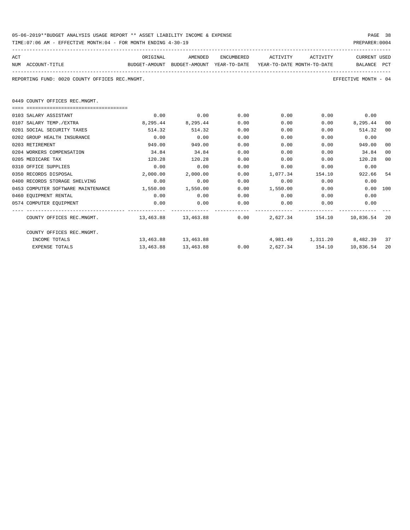| 05-06-2019**BUDGET ANALYSIS USAGE REPORT ** ASSET LIABILITY INCOME & EXPENSE | PAGE 38        |  |
|------------------------------------------------------------------------------|----------------|--|
| TIME:07:06 AM - EFFECTIVE MONTH:04 - FOR MONTH ENDING 4-30-19                | PREPARER: 0004 |  |

| ACT |                                                                                          | ORIGINAL | AMENDED             |      | ENCUMBERED ACTIVITY ACTIVITY |      | CURRENT USED                           |     |  |  |
|-----|------------------------------------------------------------------------------------------|----------|---------------------|------|------------------------------|------|----------------------------------------|-----|--|--|
|     | BUDGET-AMOUNT BUDGET-AMOUNT YEAR-TO-DATE YEAR-TO-DATE_MONTH-TO-DATE<br>NUM ACCOUNT-TITLE |          |                     |      |                              |      | BALANCE PCT                            |     |  |  |
|     |                                                                                          |          |                     |      |                              |      |                                        |     |  |  |
|     | REPORTING FUND: 0020 COUNTY OFFICES REC.MNGMT.<br>EFFECTIVE MONTH - 04                   |          |                     |      |                              |      |                                        |     |  |  |
|     |                                                                                          |          |                     |      |                              |      |                                        |     |  |  |
|     | 0449 COUNTY OFFICES REC.MNGMT.                                                           |          |                     |      |                              |      |                                        |     |  |  |
|     |                                                                                          |          |                     |      |                              |      |                                        |     |  |  |
|     |                                                                                          |          |                     |      |                              |      |                                        |     |  |  |
|     | 0103 SALARY ASSISTANT                                                                    | 0.00     | 0.00                | 0.00 | 0.00                         |      | $0.00$ 0.00                            |     |  |  |
|     | 0107 SALARY TEMP./EXTRA                                                                  |          | 8,295.44 8,295.44   | 0.00 | 0.00                         |      | $0.00$ 8,295.44                        | 00  |  |  |
|     | 0201 SOCIAL SECURITY TAXES                                                               | 514.32   | 514.32              | 0.00 | 0.00                         | 0.00 | 514.32                                 | 00  |  |  |
|     | 0202 GROUP HEALTH INSURANCE                                                              | 0.00     | 0.00                | 0.00 | 0.00                         | 0.00 | 0.00                                   |     |  |  |
|     | 0203 RETIREMENT                                                                          | 949.00   | 949.00              | 0.00 | 0.00                         | 0.00 | 949.00                                 | 00  |  |  |
|     | 0204 WORKERS COMPENSATION                                                                | 34.84    | 34.84               | 0.00 | 0.00                         | 0.00 | 34.84                                  | 00  |  |  |
|     | 0205 MEDICARE TAX                                                                        | 120.28   | 120.28              | 0.00 | 0.00                         |      | 0.00<br>120.28                         | 00  |  |  |
|     | 0310 OFFICE SUPPLIES                                                                     | 0.00     | 0.00                | 0.00 | 0.00                         | 0.00 | 0.00                                   |     |  |  |
|     | 0350 RECORDS DISPOSAL                                                                    | 2,000.00 | 2,000.00            | 0.00 | 1,077.34 154.10              |      | 922.66                                 | 54  |  |  |
|     | 0400 RECORDS STORAGE SHELVING                                                            | 0.00     | 0.00                | 0.00 | 0.00                         |      | 0.00<br>0.00                           |     |  |  |
|     | 0453 COMPUTER SOFTWARE MAINTENANCE 1,550.00 1,550.00                                     |          |                     | 0.00 | 1,550.00 0.00                |      | $0.00$ 100                             |     |  |  |
|     | 0460 EQUIPMENT RENTAL                                                                    | 0.00     | 0.00                | 0.00 | $0.00$ 0.00                  |      | 0.00                                   |     |  |  |
|     | 0574 COMPUTER EQUIPMENT                                                                  | 0.00     | 0.00                | 0.00 | $0.00$ 0.00                  |      | 0.00                                   |     |  |  |
|     | COUNTY OFFICES REC.MNGMT. 463.88 13,463.88 13,463.88 0.00 2,627.34 154.10 10,836.54      |          |                     |      |                              |      |                                        | -20 |  |  |
|     | COUNTY OFFICES REC.MNGMT.                                                                |          |                     |      |                              |      |                                        |     |  |  |
|     | INCOME TOTALS                                                                            |          | 13,463.88 13,463.88 |      |                              |      | 4,981.49 1,311.20 8,482.39 37          |     |  |  |
|     | <b>EXPENSE TOTALS</b>                                                                    |          | 13,463.88 13,463.88 |      |                              |      | $0.00$ $2.627.34$ $154.10$ $10.836.54$ | 20  |  |  |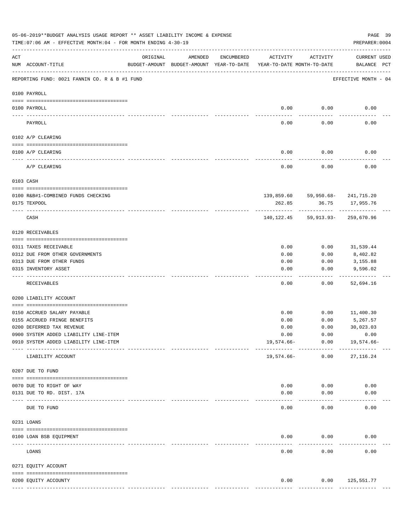|          | 05-06-2019**BUDGET ANALYSIS USAGE REPORT ** ASSET LIABILITY INCOME & EXPENSE<br>TIME: 07:06 AM - EFFECTIVE MONTH: 04 - FOR MONTH ENDING 4-30-19 |                                                      |         |            |                                        |                                                      | PAGE 39<br>PREPARER: 0004          |  |
|----------|-------------------------------------------------------------------------------------------------------------------------------------------------|------------------------------------------------------|---------|------------|----------------------------------------|------------------------------------------------------|------------------------------------|--|
| ACT      | NUM ACCOUNT-TITLE                                                                                                                               | ORIGINAL<br>BUDGET-AMOUNT BUDGET-AMOUNT YEAR-TO-DATE | AMENDED | ENCUMBERED | ACTIVITY<br>YEAR-TO-DATE MONTH-TO-DATE | ACTIVITY                                             | <b>CURRENT USED</b><br>BALANCE PCT |  |
|          | REPORTING FUND: 0021 FANNIN CO. R & B #1 FUND                                                                                                   |                                                      |         |            |                                        |                                                      | EFFECTIVE MONTH - 04               |  |
|          | 0100 PAYROLL                                                                                                                                    |                                                      |         |            |                                        |                                                      |                                    |  |
|          | 0100 PAYROLL                                                                                                                                    |                                                      |         |            | 0.00                                   | 0.00                                                 | 0.00                               |  |
| ---- --- | PAYROLL                                                                                                                                         |                                                      |         |            | 0.00                                   | -------<br>0.00                                      | 0.00                               |  |
|          | 0102 A/P CLEARING                                                                                                                               |                                                      |         |            |                                        |                                                      |                                    |  |
|          | 0100 A/P CLEARING                                                                                                                               |                                                      |         |            | 0.00                                   | 0.00                                                 | 0.00                               |  |
|          | A/P CLEARING                                                                                                                                    |                                                      |         |            | 0.00                                   | 0.00                                                 | 0.00                               |  |
|          | 0103 CASH                                                                                                                                       |                                                      |         |            |                                        |                                                      |                                    |  |
|          | 0100 R&B#1-COMBINED FUNDS CHECKING                                                                                                              |                                                      |         |            |                                        | 139,859.60 59,950.68- 241,715.20                     |                                    |  |
|          | 0175 TEXPOOL                                                                                                                                    |                                                      |         |            | 262.85                                 | 36.75                                                | 17,955.76                          |  |
|          | CASH                                                                                                                                            |                                                      |         |            |                                        | ----------<br>140, 122. 45 59, 913. 93- 259, 670. 96 | . <u>.</u> .                       |  |
|          | 0120 RECEIVABLES                                                                                                                                |                                                      |         |            |                                        |                                                      |                                    |  |
|          | 0311 TAXES RECEIVABLE                                                                                                                           |                                                      |         |            | 0.00                                   | 0.00                                                 | 31,539.44                          |  |
|          | 0312 DUE FROM OTHER GOVERNMENTS                                                                                                                 |                                                      |         |            | 0.00                                   | 0.00                                                 | 8,402.82                           |  |
|          | 0313 DUE FROM OTHER FUNDS                                                                                                                       |                                                      |         |            | 0.00                                   | 0.00                                                 | 3,155.88                           |  |
|          | 0315 INVENTORY ASSET                                                                                                                            |                                                      |         |            | 0.00                                   | 0.00                                                 | 9,596.02<br>----------             |  |
|          | RECEIVABLES                                                                                                                                     |                                                      |         |            | 0.00                                   | 0.00                                                 | 52,694.16                          |  |
|          | 0200 LIABILITY ACCOUNT                                                                                                                          |                                                      |         |            |                                        |                                                      |                                    |  |
|          | 0150 ACCRUED SALARY PAYABLE                                                                                                                     |                                                      |         |            | 0.00                                   | 0.00                                                 | 11,400.30                          |  |
|          | 0155 ACCRUED FRINGE BENEFITS                                                                                                                    |                                                      |         |            | 0.00                                   | 0.00                                                 | 5,267.57                           |  |
|          | 0200 DEFERRED TAX REVENUE                                                                                                                       |                                                      |         |            | 0.00                                   | 0.00                                                 | 30,023.03                          |  |
|          | 0900 SYSTEM ADDED LIABILITY LINE-ITEM                                                                                                           |                                                      |         |            | 0.00                                   | 0.00                                                 | 0.00                               |  |
|          | 0910 SYSTEM ADDED LIABILITY LINE-ITEM                                                                                                           |                                                      |         |            | $19,574.66-$                           | 0.00                                                 | 19,574.66-                         |  |
|          | LIABILITY ACCOUNT                                                                                                                               |                                                      |         |            | $19,574.66-$                           | ------------<br>0.00                                 | 27, 116.24                         |  |
|          | 0207 DUE TO FUND                                                                                                                                |                                                      |         |            |                                        |                                                      |                                    |  |
|          | 0070 DUE TO RIGHT OF WAY                                                                                                                        |                                                      |         |            | 0.00                                   | 0.00                                                 | 0.00                               |  |
|          | 0131 DUE TO RD. DIST. 17A                                                                                                                       |                                                      |         |            | 0.00                                   | 0.00                                                 | 0.00                               |  |
|          | -------------------------- ----------<br>DUE TO FUND                                                                                            |                                                      |         |            | 0.00                                   | 0.00                                                 | 0.00                               |  |
|          | 0231 LOANS                                                                                                                                      |                                                      |         |            |                                        |                                                      |                                    |  |
|          |                                                                                                                                                 |                                                      |         |            |                                        |                                                      |                                    |  |
|          | 0100 LOAN BSB EQUIPMENT                                                                                                                         |                                                      |         |            | 0.00                                   | 0.00                                                 | 0.00                               |  |
|          | LOANS                                                                                                                                           |                                                      |         |            | 0.00                                   | 0.00                                                 | 0.00                               |  |
|          | 0271 EQUITY ACCOUNT                                                                                                                             |                                                      |         |            |                                        |                                                      |                                    |  |
|          |                                                                                                                                                 |                                                      |         |            |                                        |                                                      |                                    |  |
|          | 0200 EQUITY ACCOUNTY                                                                                                                            |                                                      |         |            | 0.00                                   |                                                      | $0.00$ 125,551.77                  |  |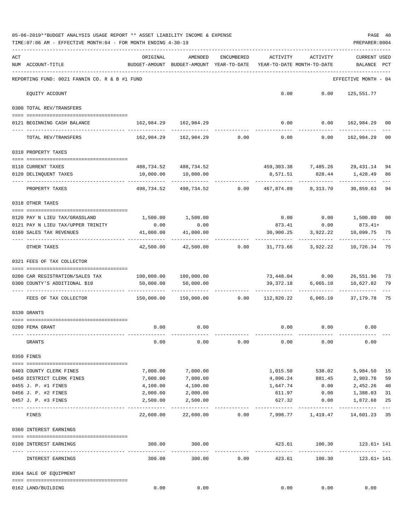|     | 05-06-2019**BUDGET ANALYSIS USAGE REPORT ** ASSET LIABILITY INCOME & EXPENSE<br>TIME: 07:06 AM - EFFECTIVE MONTH: 04 - FOR MONTH ENDING 4-30-19 |                                                                           |                                                                         |            |                                        |                                                  | PREPARER: 0004                     | PAGE 40     |
|-----|-------------------------------------------------------------------------------------------------------------------------------------------------|---------------------------------------------------------------------------|-------------------------------------------------------------------------|------------|----------------------------------------|--------------------------------------------------|------------------------------------|-------------|
| ACT | NUM ACCOUNT-TITLE                                                                                                                               | ORIGINAL<br>BUDGET-AMOUNT BUDGET-AMOUNT YEAR-TO-DATE                      | AMENDED                                                                 | ENCUMBERED | ACTIVITY<br>YEAR-TO-DATE MONTH-TO-DATE | ACTIVITY                                         | <b>CURRENT USED</b><br>BALANCE PCT |             |
|     | REPORTING FUND: 0021 FANNIN CO. R & B #1 FUND                                                                                                   |                                                                           |                                                                         |            |                                        |                                                  | EFFECTIVE MONTH - 04               |             |
|     | EQUITY ACCOUNT                                                                                                                                  |                                                                           |                                                                         |            |                                        | $0.00$ $0.00$ $125,551.77$                       |                                    |             |
|     | 0300 TOTAL REV/TRANSFERS                                                                                                                        |                                                                           |                                                                         |            |                                        |                                                  |                                    |             |
|     | 0121 BEGINNING CASH BALANCE                                                                                                                     | 162,984.29 162,984.29                                                     |                                                                         |            |                                        | $0.00$ $0.00$ $162,984.29$ 00                    |                                    |             |
|     | TOTAL REV/TRANSFERS                                                                                                                             |                                                                           | $162,984.29$ $162,984.29$ $0.00$ $0.00$ $0.00$ $162,984.29$             |            |                                        |                                                  |                                    | 00          |
|     | 0310 PROPERTY TAXES                                                                                                                             |                                                                           |                                                                         |            |                                        |                                                  |                                    |             |
|     |                                                                                                                                                 |                                                                           |                                                                         |            |                                        |                                                  |                                    |             |
|     | 0110 CURRENT TAXES<br>0120 DELINQUENT TAXES                                                                                                     |                                                                           | 488,734.52 488,734.52<br>10,000.00   10,000.00                          |            |                                        | 459,303.38 7,485.26 29,431.14<br>8,571.51 828.44 | 1,428.49                           | 94<br>86    |
|     | PROPERTY TAXES                                                                                                                                  |                                                                           | -----------<br>498,734.52 498,734.52 0.00 467,874.89 8,313.70 30,859.63 |            | -----------                            | ------------                                     |                                    | 94          |
|     | 0318 OTHER TAXES                                                                                                                                |                                                                           |                                                                         |            |                                        |                                                  |                                    |             |
|     |                                                                                                                                                 |                                                                           |                                                                         |            |                                        |                                                  |                                    |             |
|     | 0120 PAY N LIEU TAX/GRASSLAND<br>0121 PAY N LIEU TAX/UPPER TRINITY                                                                              | 1,500.00 1,500.00<br>0.00                                                 | 0.00                                                                    |            |                                        | $0.00$ $0.00$ $1,500.00$<br>873.41 0.00 873.41+  |                                    | 00          |
|     | 0160 SALES TAX REVENUES                                                                                                                         | 41,000.00                                                                 | 41,000.00                                                               |            |                                        | 30,900.25 3,922.22                               | 10,099.75                          | 75          |
|     | OTHER TAXES                                                                                                                                     | . <u>.</u><br>42,500.00                                                   | 42,500.00 0.00                                                          |            |                                        | ------------<br>31,773.66 3,922.22 10,726.34     |                                    | 75          |
|     | 0321 FEES OF TAX COLLECTOR                                                                                                                      |                                                                           |                                                                         |            |                                        |                                                  |                                    |             |
|     | 0200 CAR REGISTRATION/SALES TAX                                                                                                                 | 100,000.00    100,000.00                                                  |                                                                         |            |                                        | 73,448.04   0.00   26,551.96   73                |                                    |             |
|     | 0300 COUNTY'S ADDITIONAL \$10                                                                                                                   | 50,000.00                                                                 | 50,000.00                                                               |            |                                        | 39,372.18 6,065.10                               | 10,627.82                          | 79          |
|     |                                                                                                                                                 |                                                                           |                                                                         |            |                                        |                                                  |                                    |             |
|     | FEES OF TAX COLLECTOR                                                                                                                           | 150,000.00   150,000.00      0.00   112,820.22   6,065.10   37,179.78  75 |                                                                         |            |                                        |                                                  |                                    |             |
|     | 0330 GRANTS                                                                                                                                     |                                                                           |                                                                         |            |                                        |                                                  |                                    |             |
|     |                                                                                                                                                 |                                                                           |                                                                         |            |                                        |                                                  |                                    |             |
|     | 0200 FEMA GRANT                                                                                                                                 | 0.00                                                                      | 0.00                                                                    |            |                                        | $0.00$ $0.00$ $0.00$                             |                                    |             |
|     | GRANTS                                                                                                                                          | 0.00                                                                      | 0.00                                                                    | 0.00       | 0.00                                   | 0.00                                             | 0.00                               |             |
|     | 0350 FINES                                                                                                                                      |                                                                           |                                                                         |            |                                        |                                                  |                                    |             |
|     | 0403 COUNTY CLERK FINES                                                                                                                         | 7,000.00                                                                  | 7,000.00                                                                |            | 1,015.50                               | 538.02                                           | 5,984.50                           | 15          |
|     | 0450 DISTRICT CLERK FINES                                                                                                                       | 7,000.00                                                                  | 7,000.00                                                                |            |                                        | 4,096.24 881.45                                  | 2,903.76                           | 59          |
|     | 0455 J. P. #1 FINES                                                                                                                             | 4,100.00                                                                  | 4,100.00                                                                |            | 1,647.74                               | 0.00                                             | 2,452.26                           | 40          |
|     | 0456 J. P. #2 FINES                                                                                                                             | 2,000.00                                                                  | 2,000.00                                                                |            | 611.97                                 | 0.00                                             | 1,388.03                           | 31          |
|     | 0457 J. P. #3 FINES                                                                                                                             | 2,500.00                                                                  | 2,500.00                                                                |            | 627.32                                 | 0.00                                             | 1,872.68                           | 25<br>$---$ |
|     | FINES                                                                                                                                           | 22,600.00                                                                 | 22,600.00                                                               | 0.00       |                                        | 7,998.77 1,419.47                                | 14,601.23 35                       |             |
|     | 0360 INTEREST EARNINGS                                                                                                                          |                                                                           |                                                                         |            |                                        |                                                  |                                    |             |
|     | 0100 INTEREST EARNINGS<br>--------------------                                                                                                  | 300.00                                                                    | 300.00<br>--------------                                                |            | --------------                         | 423.61 100.30<br>____________                    | 123.61+ 141                        |             |
|     | INTEREST EARNINGS                                                                                                                               | 300.00                                                                    | 300.00                                                                  | 0.00       | 423.61                                 | 100.30                                           | 123.61+ 141                        |             |
|     | 0364 SALE OF EQUIPMENT                                                                                                                          |                                                                           |                                                                         |            |                                        |                                                  |                                    |             |
|     | 0162 LAND/BUILDING                                                                                                                              | 0.00                                                                      | 0.00                                                                    |            | 0.00                                   | 0.00                                             | 0.00                               |             |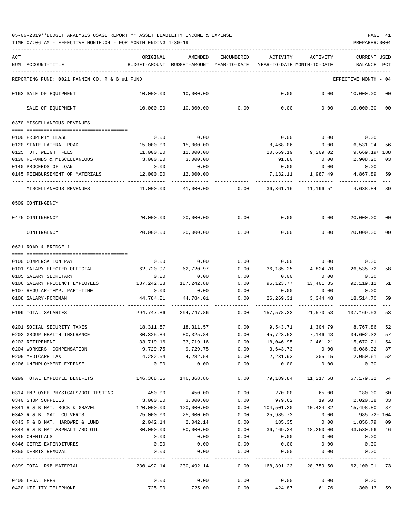TIME:07:06 AM - EFFECTIVE MONTH:04 - FOR MONTH ENDING 4-30-19 PREPARER:0004

| ACT | NUM ACCOUNT-TITLE                             | ORIGINAL                                                    | AMENDED<br>BUDGET-AMOUNT BUDGET-AMOUNT YEAR-TO-DATE          | ENCUMBERED                   | ACTIVITY        | ACTIVITY<br>YEAR-TO-DATE MONTH-TO-DATE                   | <b>CURRENT USED</b><br>BALANCE | $_{\rm PCT}$ |
|-----|-----------------------------------------------|-------------------------------------------------------------|--------------------------------------------------------------|------------------------------|-----------------|----------------------------------------------------------|--------------------------------|--------------|
|     | REPORTING FUND: 0021 FANNIN CO. R & B #1 FUND |                                                             |                                                              |                              |                 |                                                          | EFFECTIVE MONTH - 04           |              |
|     | 0163 SALE OF EQUIPMENT                        | 10,000.00                                                   | 10,000.00                                                    |                              | 0.00            | 0.00                                                     | 10,000.00                      | 00           |
|     | SALE OF EQUIPMENT                             | 10,000.00                                                   | 10,000.00                                                    | 0.00                         | 0.00            | 0.00                                                     | 10,000.00                      | $_{00}$      |
|     | 0370 MISCELLANEOUS REVENUES                   |                                                             |                                                              |                              |                 |                                                          |                                |              |
|     | 0100 PROPERTY LEASE                           | 0.00                                                        | 0.00                                                         |                              | 0.00            | 0.00                                                     | 0.00                           |              |
|     | 0120 STATE LATERAL ROAD                       | 15,000.00                                                   | 15,000.00                                                    |                              | 8,468.06        | 0.00                                                     | 6,531.94                       | 56           |
|     | 0125 TDT. WEIGHT FEES                         | 11,000.00                                                   | 11,000.00                                                    |                              |                 | 20,669.19 9,209.02                                       | $9,669.19 + 188$               |              |
|     | 0130 REFUNDS & MISCELLANEOUS                  | 3,000.00                                                    | 3,000.00                                                     |                              | 91.80           | 0.00                                                     | 2,908.20                       | 03           |
|     | 0140 PROCEEDS OF LOAN                         | 0.00                                                        | 0.00                                                         |                              | 0.00            | 0.00                                                     | 0.00                           |              |
|     | 0145 REIMBURSEMENT OF MATERIALS               | 12,000.00                                                   | 12,000.00                                                    |                              | 7,132.11        | 1,987.49                                                 | 4,867.89                       | 59           |
|     | MISCELLANEOUS REVENUES                        | 41,000.00                                                   | 41,000.00                                                    | 0.00                         | 36,361.16       | 11,196.51                                                | 4,638.84                       | 89           |
|     | 0509 CONTINGENCY                              |                                                             |                                                              |                              |                 |                                                          |                                |              |
|     | 0475 CONTINGENCY                              | 20,000.00                                                   | 20,000.00                                                    | 0.00                         | 0.00            | 0.00                                                     | 20,000.00                      | 00           |
|     | CONTINGENCY                                   | 20,000.00                                                   | 20,000.00                                                    | 0.00                         | 0.00            | 0.00                                                     | 20,000.00                      | $_{00}$      |
|     | 0621 ROAD & BRIDGE 1                          |                                                             |                                                              |                              |                 |                                                          |                                |              |
|     | 0100 COMPENSATION PAY                         | 0.00                                                        | 0.00                                                         | 0.00                         |                 | $0.00$ 0.00                                              | 0.00                           |              |
|     | 0101 SALARY ELECTED OFFICIAL                  | 62,720.97                                                   | 62,720.97                                                    | 0.00                         | 36,185.25       | 4,824.70                                                 | 26,535.72                      |              |
|     | 0105 SALARY SECRETARY                         | 0.00                                                        | 0.00                                                         | 0.00                         | 0.00            | 0.00                                                     | 0.00                           | 58           |
|     | 0106 SALARY PRECINCT EMPLOYEES                | 187,242.88                                                  | 187, 242.88                                                  | 0.00                         | 95,123.77       | 13,401.35                                                | 92, 119. 11                    | 51           |
|     | 0107 REGULAR-TEMP. PART-TIME                  | 0.00                                                        | 0.00                                                         | 0.00                         | 0.00            | 0.00                                                     | 0.00                           |              |
|     | 0108 SALARY-FOREMAN                           | 44,784.01                                                   | 44,784.01                                                    | 0.00                         | 26, 269.31      | 3,344.48                                                 | 18,514.70                      | 59           |
|     | 0199 TOTAL SALARIES                           | 294,747.86                                                  | 294,747.86                                                   | 0.00                         | 157,578.33      | 21,570.53                                                | 137,169.53                     | 53           |
|     | 0201 SOCIAL SECURITY TAXES                    | 18,311.57                                                   | 18,311.57                                                    | 0.00                         |                 |                                                          |                                | 52           |
|     | 0202 GROUP HEALTH INSURANCE                   | 80,325.84                                                   | 80,325.84                                                    | 0.00                         | 45,723.52       |                                                          | 7, 146. 43 34, 602. 32         | 57           |
|     | 0203 RETIREMENT                               | 33,719.16                                                   | 33,719.16                                                    | 0.00                         | 18,046.95       | 2,461.21                                                 | 15,672.21                      | 54           |
|     | 0204 WORKERS' COMPENSATION                    |                                                             | 9,729.75 9,729.75                                            |                              | $0.00$ 3,643.73 |                                                          | $0.00$ 6,086.02 37             |              |
|     | 0205 MEDICARE TAX                             | 4,282.54                                                    | 4,282.54                                                     | 0.00                         | 2,231.93        | 305.15                                                   | 2,050.61 52                    |              |
|     | 0206 UNEMPLOYMENT EXPENSE                     | 0.00                                                        | 0.00                                                         | 0.00                         | 0.00            | 0.00                                                     | 0.00                           |              |
|     | 0299 TOTAL EMPLOYEE BENEFITS                  | 146,368.86 146,368.86 0.00 79,189.84 11,217.58 67,179.02 54 | -------------                                                | ------------                 |                 |                                                          |                                |              |
|     | 0314 EMPLOYEE PHYSICALS/DOT TESTING           | 450.00                                                      | 450.00                                                       | 0.00                         | 270.00          | 65.00                                                    | 180.00 60                      |              |
|     | 0340 SHOP SUPPLIES                            | 3,000.00                                                    | 3,000.00                                                     | 0.00                         | 979.62          |                                                          | 19.68 2,020.38 33              |              |
|     | 0341 R & B MAT. ROCK & GRAVEL 120,000.00      |                                                             |                                                              |                              |                 | $120,000.00$ $0.00$ $104,501.20$ $10,424.82$ $15,498.80$ |                                | 87           |
|     | 0342 R & B MAT. CULVERTS                      | 25,000.00                                                   |                                                              | 25,000.00   0.00   25,985.72 |                 | 0.00                                                     | 985.72- 104                    |              |
|     | 0343 R & B MAT. HARDWRE & LUMB                | 2,042.14                                                    | 2,042.14 0.00                                                |                              | 185.35          | 0.00                                                     | 1,856.79                       | 09           |
|     | 0344 R & B MAT ASPHALT /RD OIL                | 80,000.00                                                   | 80,000.00                                                    | 0.00                         |                 | 36,469.34 18,250.00                                      | 43,530.66 46                   |              |
|     | 0345 CHEMICALS                                | 0.00                                                        | 0.00                                                         | 0.00                         | 0.00            | 0.00                                                     | 0.00                           |              |
|     | 0346 CETRZ EXPENDITURES                       | 0.00                                                        | 0.00                                                         | 0.00                         | 0.00            | 0.00                                                     | 0.00                           |              |
|     | 0350 DEBRIS REMOVAL                           | 0.00                                                        |                                                              | $0.00$ 0.00                  | 0.00            |                                                          | $0.00$ 0.00                    |              |
|     | 0399 TOTAL R&B MATERIAL                       |                                                             | 230,492.14 230,492.14 0.00 168,391.23 28,759.50 62,100.91 73 |                              |                 |                                                          |                                |              |
|     | 0400 LEGAL FEES                               | 0.00                                                        | 0.00                                                         | 0.00                         |                 | $0.00$ 0.00                                              | 0.00                           |              |
|     | 0420 UTILITY TELEPHONE                        | 725.00                                                      | 725.00                                                       | 0.00                         |                 | 424.87 61.76 300.13 59                                   |                                |              |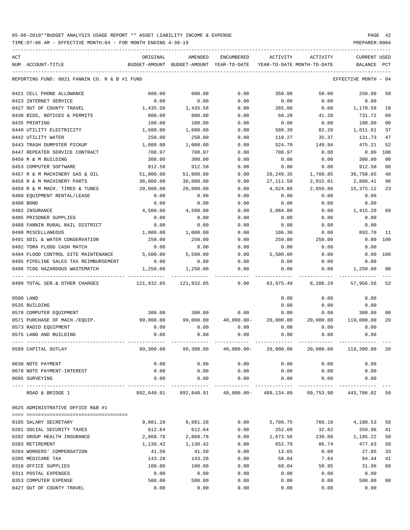TIME:07:06 AM - EFFECTIVE MONTH:04 - FOR MONTH ENDING 4-30-19 PREPARER:0004

| ACT | NUM ACCOUNT-TITLE                             | ORIGINAL<br>BUDGET-AMOUNT | AMENDED<br>BUDGET-AMOUNT YEAR-TO-DATE          | ENCUMBERED   | ACTIVITY   | ACTIVITY<br>YEAR-TO-DATE MONTH-TO-DATE                                | <b>CURRENT USED</b><br>BALANCE | PCT            |
|-----|-----------------------------------------------|---------------------------|------------------------------------------------|--------------|------------|-----------------------------------------------------------------------|--------------------------------|----------------|
|     |                                               |                           |                                                |              |            |                                                                       |                                |                |
|     | REPORTING FUND: 0021 FANNIN CO. R & B #1 FUND |                           |                                                |              |            |                                                                       | EFFECTIVE MONTH - 04           |                |
|     | 0421 CELL PHONE ALLOWANCE                     | 600.00                    | 600.00                                         | 0.00         | 350.00     | 50.00                                                                 | 250.00                         | 58             |
|     | 0423 INTERNET SERVICE                         | 0.00                      | 0.00                                           | 0.00         | 0.00       | 0.00                                                                  | 0.00                           |                |
|     | 0427 OUT OF COUNTY TRAVEL                     | 1,435.58                  | 1,435.58                                       | 0.00         | 265.00     | 0.00                                                                  | 1,170.58                       | 18             |
|     | 0430 BIDS, NOTICES & PERMITS                  | 800.00                    | 800.00                                         | 0.00         | 68.28      | 41.28                                                                 | 731.72                         | 09             |
|     | 0435 PRINTING                                 | 100.00                    | 100.00                                         | 0.00         | 0.00       | 0.00                                                                  | 100.00                         | 00             |
|     | 0440 UTILITY ELECTRICITY                      | 1,600.00                  | 1,600.00                                       | 0.00         | 588.39     | 82.20                                                                 | 1,011.61                       | 37             |
|     | 0442 UTILITY WATER                            | 250.00                    | 250.00                                         | 0.00         | 118.27     | 35.37                                                                 | 131.73                         | 47             |
|     | 0443 TRASH DUMPSTER PICKUP                    | 1,000.00                  | 1,000.00                                       | 0.00         | 524.79     | 149.94                                                                | 475.21                         | 52             |
|     | 0447 REPEATER SERVICE CONTRACT                | 708.97                    | 708.97                                         | 0.00         | 708.97     | 0.00                                                                  | 0.00                           | 100            |
|     | 0450 R & M BUILDING                           | 300.00                    | 300.00                                         | 0.00         | 0.00       | 0.00                                                                  | 300.00                         | 0 <sub>0</sub> |
|     | 0453 COMPUTER SOFTWARE                        | 912.50                    | 912.50                                         | 0.00         | 0.00       | 0.00                                                                  | 912.50                         | 0 <sub>0</sub> |
|     | 0457 R & M MACHINERY GAS & OIL                | 51,000.00                 | 51,000.00                                      | 0.00         | 20, 249.35 | 1,760.85                                                              | 30,750.65                      | 40             |
|     | 0458 R & M MACHINERY PARTS                    | 30,000.00                 | 30,000.00                                      | 0.00         | 27,111.59  | 2,915.01                                                              | 2,888.41                       | 90             |
|     | 0459 R & M MACH. TIRES & TUBES                | 20,000.00                 | 20,000.00                                      | 0.00         | 4,624.88   | 2,859.88                                                              | 15,375.12                      | 23             |
|     | 0460 EQUIPMENT RENTAL/LEASE                   | 0.00                      | 0.00                                           | 0.00         | 0.00       | 0.00                                                                  | 0.00                           |                |
|     | 0480 BOND                                     | 0.00                      | 0.00                                           | 0.00         | 0.00       | 0.00                                                                  | 0.00                           |                |
|     | 0482 INSURANCE                                | 4,500.00                  | 4,500.00                                       | 0.00         | 3,084.80   | 0.00                                                                  | 1,415.20                       | 69             |
|     | 0485 PRISONER SUPPLIES                        | 0.00                      | 0.00                                           | 0.00         | 0.00       | 0.00                                                                  | 0.00                           |                |
|     | 0488 FANNIN RURAL RAIL DISTRICT               | 0.00                      | 0.00                                           | 0.00         | 0.00       | 0.00                                                                  | 0.00                           |                |
|     | 0490 MISCELLANEOUS                            | 1,000.00                  | 1,000.00                                       | 0.00         | 106.30     | 0.00                                                                  | 893.70                         | 11             |
|     | 0491 SOIL & WATER CONSERVATION                | 250.00                    | 250.00                                         | 0.00         | 250.00     | 250.00                                                                | 0.00                           | 100            |
|     | 0492 TDRA FLOOD CASH MATCH                    | 0.00                      | 0.00                                           | 0.00         | 0.00       | 0.00                                                                  | 0.00                           |                |
|     | 0494 FLOOD CONTROL SITE MAINTENANCE           | 5,500.00                  | 5,500.00                                       | 0.00         | 5,500.00   | 0.00                                                                  | 0.00                           | 100            |
|     | 0495 PIPELINE SALES TAX REIMBURSEMENT         | 0.00                      | 0.00                                           | 0.00         | 0.00       | 0.00                                                                  | 0.00                           |                |
|     | 0496 TCOG HAZARDOUS WASTEMATCH                | 1,250.00                  | 1,250.00                                       | 0.00         | 0.00       | 0.00                                                                  | 1,250.00                       | 00             |
|     | 0499 TOTAL SER.& OTHER CHARGES                | 121,932.05                | 121,932.05                                     | 0.00         | 63,975.49  | 8,206.29                                                              | 57,956.56                      | 52             |
|     | 0500 LAND                                     |                           |                                                |              | 0.00       | 0.00                                                                  | 0.00                           |                |
|     | 0535 BUILDING                                 |                           |                                                |              | 0.00       | 0.00                                                                  | 0.00                           |                |
|     | 0570 COMPUTER EQUIPMENT                       | 300.00                    | 300.00                                         | 0.00         | 0.00       | 0.00                                                                  | 300.00                         | 00             |
|     | 0571 PURCHASE OF MACH./EQUIP.                 | 99,000.00                 | 99,000.00                                      | $40,000.00-$ | 20,000.00  | 20,000.00                                                             | 119,000.00                     | 20             |
|     | 0573 RADIO EQUIPMENT                          | 0.00                      | 0.00                                           | 0.00         | 0.00       | 0.00                                                                  | 0.00                           |                |
|     | 0575 LAND AND BUILDING                        | 0.00                      | 0.00                                           | 0.00         | 0.00       | 0.00                                                                  | 0.00                           |                |
|     | 0599 CAPITAL OUTLAY                           |                           |                                                |              |            | 99,300.00  99,300.00  40,000.00  20,000.00  20,000.00  119,300.00  20 |                                |                |
|     | 0630 NOTE PAYMENT                             | 0.00                      | 0.00                                           | 0.00         | 0.00       | 0.00                                                                  | 0.00                           |                |
|     | 0670 NOTE PAYMENT-INTEREST                    | 0.00                      | 0.00                                           | 0.00         | 0.00       | 0.00                                                                  | 0.00                           |                |
|     | 0695 SURVEYING                                | 0.00                      | 0.00                                           | 0.00         | 0.00       | 0.00                                                                  | 0.00                           |                |
|     | ROAD & BRIDGE 1                               |                           | 892,840.91  892,840.91  40,000.00-  489,134.89 |              |            | 89,753.90                                                             | 443,706.02 50                  |                |
|     | 0625 ADMINISTRATIVE OFFICE R&B #1             |                           |                                                |              |            |                                                                       |                                |                |
|     |                                               |                           |                                                |              |            |                                                                       |                                |                |
|     | 0105 SALARY SECRETARY                         | 9,881.28                  | 9,881.28                                       | 0.00         | 5,700.75   | 760.10                                                                | 4,180.53                       | 58             |
|     | 0201 SOCIAL SECURITY TAXES                    | 612.64                    | 612.64                                         | 0.00         | 252.68     | 32.82                                                                 | 359.96                         | 41             |
|     | 0202 GROUP HEALTH INSURANCE                   | 2,868.78                  | 2,868.78                                       | 0.00         | 1,673.56   | 239.08                                                                | 1,195.22                       | 58             |
|     | 0203 RETIREMENT                               | 1,130.42                  | 1,130.42                                       | 0.00         | 652.79     | 86.74                                                                 | 477.63                         | 58             |
|     | 0204 WORKERS' COMPENSATION                    | 41.50                     | 41.50                                          | 0.00         | 13.65      | 0.00                                                                  | 27.85                          | 33             |
|     | 0205 MEDICARE TAX                             | 143.28                    | 143.28                                         | 0.00         | 58.84      | 7.64                                                                  | 84.44                          | 41             |
|     | 0310 OFFICE SUPPLIES                          | 100.00                    | 100.00                                         | 0.00         | 68.04      | 50.95                                                                 | 31.96                          | 68             |
|     | 0311 POSTAL EXPENSES                          | 0.00                      | 0.00                                           | 0.00         | 0.00       | 0.00                                                                  | 0.00                           |                |
|     | 0353 COMPUTER EXPENSE                         | 500.00                    | 500.00                                         | 0.00         | 0.00       | 0.00                                                                  | 500.00                         | 0 <sub>0</sub> |

0427 OUT OF COUNTY TRAVEL 0.00 0.00 0.00 0.00 0.00 0.00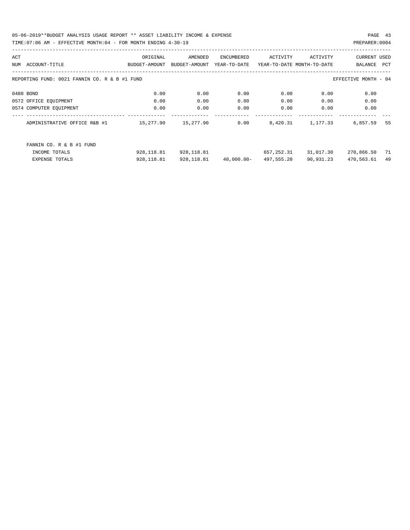05-06-2019\*\*BUDGET ANALYSIS USAGE REPORT \*\* ASSET LIABILITY INCOME & EXPENSE PAGE 43 TIME:07:06 AM - EFFECTIVE MONTH:04 - FOR MONTH ENDING 4-30-19 PREPARER:0004

| ACT |                                                                       | ORIGINAL      | AMENDED       | ENCUMBERED    | ACTIVITY                   | ACTIVITY  | <b>CURRENT USED</b> |     |  |  |
|-----|-----------------------------------------------------------------------|---------------|---------------|---------------|----------------------------|-----------|---------------------|-----|--|--|
| NUM | ACCOUNT-TITLE                                                         | BUDGET-AMOUNT | BUDGET-AMOUNT | YEAR-TO-DATE  | YEAR-TO-DATE MONTH-TO-DATE |           | BALANCE             | PCT |  |  |
|     |                                                                       |               |               |               |                            |           |                     |     |  |  |
|     | REPORTING FUND: 0021 FANNIN CO. R & B #1 FUND<br>EFFECTIVE MONTH - 04 |               |               |               |                            |           |                     |     |  |  |
|     |                                                                       |               |               |               |                            |           |                     |     |  |  |
|     | 0480 BOND                                                             | 0.00          | 0.00          | 0.00          | 0.00                       | 0.00      | 0.00                |     |  |  |
|     | 0572 OFFICE EQUIPMENT                                                 | 0.00          | 0.00          | 0.00          | 0.00                       | 0.00      | 0.00                |     |  |  |
|     | 0574 COMPUTER EQUIPMENT                                               | 0.00          | 0.00          | 0.00          | 0.00                       | 0.00      | 0.00                |     |  |  |
|     | ADMINISTRATIVE OFFICE R&B #1                                          | 15,277.90     | 15,277.90     | 0.00          | 8,420.31                   | 1,177.33  | 6,857.59            | 55  |  |  |
|     |                                                                       |               |               |               |                            |           |                     |     |  |  |
|     |                                                                       |               |               |               |                            |           |                     |     |  |  |
|     | FANNIN CO. R & B #1 FUND                                              |               |               |               |                            |           |                     |     |  |  |
|     | INCOME TOTALS                                                         | 928, 118.81   | 928,118.81    |               | 657,252.31                 | 31,017.30 | 270,866.50          | 71  |  |  |
|     | <b>EXPENSE TOTALS</b>                                                 | 928, 118.81   | 928, 118.81   | $40,000.00 -$ | 497,555.20                 | 90,931.23 | 470,563.61          | 49  |  |  |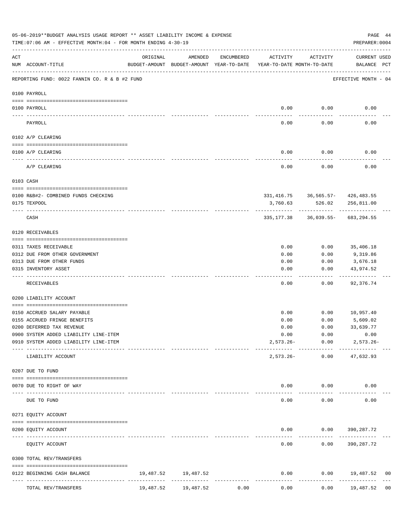|     | 05-06-2019**BUDGET ANALYSIS USAGE REPORT ** ASSET LIABILITY INCOME & EXPENSE<br>TIME: 07:06 AM - EFFECTIVE MONTH: 04 - FOR MONTH ENDING 4-30-19 |           |                                                                                |            |              |                      | PAGE 44<br>PREPARER: 0004                         |                |
|-----|-------------------------------------------------------------------------------------------------------------------------------------------------|-----------|--------------------------------------------------------------------------------|------------|--------------|----------------------|---------------------------------------------------|----------------|
| ACT | NUM ACCOUNT-TITLE                                                                                                                               | ORIGINAL  | AMENDED<br>BUDGET-AMOUNT BUDGET-AMOUNT YEAR-TO-DATE YEAR-TO-DATE MONTH-TO-DATE | ENCUMBERED | ACTIVITY     | ACTIVITY             | CURRENT USED<br>BALANCE PCT                       |                |
|     | REPORTING FUND: 0022 FANNIN CO. R & B #2 FUND                                                                                                   |           |                                                                                |            |              |                      | EFFECTIVE MONTH - 04                              |                |
|     | 0100 PAYROLL                                                                                                                                    |           |                                                                                |            |              |                      |                                                   |                |
|     | 0100 PAYROLL                                                                                                                                    |           |                                                                                |            |              | $0.00$ 0.00          | 0.00                                              |                |
|     | ---- ----<br>PAYROLL                                                                                                                            |           |                                                                                |            | 0.00         | 0.00                 | 0.00                                              |                |
|     | 0102 A/P CLEARING                                                                                                                               |           |                                                                                |            |              |                      |                                                   |                |
|     | 0100 A/P CLEARING                                                                                                                               |           |                                                                                |            | 0.00         | 0.00                 | 0.00                                              |                |
|     | A/P CLEARING                                                                                                                                    |           |                                                                                |            | 0.00         | 0.00                 | 0.00                                              |                |
|     | 0103 CASH                                                                                                                                       |           |                                                                                |            |              |                      |                                                   |                |
|     |                                                                                                                                                 |           |                                                                                |            |              |                      |                                                   |                |
|     | 0100 R&B#2- COMBINED FUNDS CHECKING<br>0175 TEXPOOL                                                                                             |           |                                                                                |            | 3,760.63     | 526.02               | 331, 416.75 36, 565.57- 426, 483.55<br>256,811.00 |                |
|     | CASH                                                                                                                                            |           |                                                                                |            | 335,177.38   |                      | 36,039.55- 683,294.55                             |                |
|     | 0120 RECEIVABLES                                                                                                                                |           |                                                                                |            |              |                      |                                                   |                |
|     | 0311 TAXES RECEIVABLE                                                                                                                           |           |                                                                                |            | 0.00         | 0.00                 | 35,406.18                                         |                |
|     | 0312 DUE FROM OTHER GOVERNMENT                                                                                                                  |           |                                                                                |            | 0.00         | 0.00                 | 9,319.86                                          |                |
|     | 0313 DUE FROM OTHER FUNDS                                                                                                                       |           |                                                                                |            | 0.00         | 0.00                 | 3,676.18                                          |                |
|     | 0315 INVENTORY ASSET                                                                                                                            |           |                                                                                |            | 0.00         | 0.00                 | 43,974.52<br>----------                           |                |
|     | RECEIVABLES                                                                                                                                     |           |                                                                                |            | 0.00         | 0.00                 | 92,376.74                                         |                |
|     | 0200 LIABILITY ACCOUNT                                                                                                                          |           |                                                                                |            |              |                      |                                                   |                |
|     | 0150 ACCRUED SALARY PAYABLE                                                                                                                     |           |                                                                                |            | 0.00         |                      | $0.00$ 10,957.40                                  |                |
|     | 0155 ACCRUED FRINGE BENEFITS                                                                                                                    |           |                                                                                |            | 0.00         | 0.00                 | 5,609.02                                          |                |
|     | 0200 DEFERRED TAX REVENUE                                                                                                                       |           |                                                                                |            | 0.00         | 0.00                 | 33,639.77                                         |                |
|     | 0900 SYSTEM ADDED LIABILITY LINE-ITEM                                                                                                           |           |                                                                                |            | 0.00         | 0.00                 | 0.00                                              |                |
|     | 0910 SYSTEM ADDED LIABILITY LINE-ITEM                                                                                                           |           |                                                                                |            | $2,573.26 -$ | 0.00<br>------------ | $2,573.26 -$                                      |                |
|     | LIABILITY ACCOUNT                                                                                                                               |           |                                                                                |            | $2,573.26-$  | 0.00                 | 47,632.93                                         |                |
|     | 0207 DUE TO FUND                                                                                                                                |           |                                                                                |            |              |                      |                                                   |                |
|     | 0070 DUE TO RIGHT OF WAY                                                                                                                        |           |                                                                                |            | 0.00         | 0.00                 | 0.00                                              |                |
|     | --------------- -------------<br>DUE TO FUND                                                                                                    |           |                                                                                |            | 0.00         | 0.00                 | 0.00                                              |                |
|     | 0271 EQUITY ACCOUNT                                                                                                                             |           |                                                                                |            |              |                      |                                                   |                |
|     | 0200 EQUITY ACCOUNT                                                                                                                             |           |                                                                                |            | 0.00         |                      | $0.00$ 390, 287.72                                |                |
|     |                                                                                                                                                 |           |                                                                                |            |              |                      |                                                   |                |
|     | EQUITY ACCOUNT                                                                                                                                  |           |                                                                                |            | 0.00         | 0.00                 | 390,287.72                                        |                |
|     | 0300 TOTAL REV/TRANSFERS                                                                                                                        |           |                                                                                |            |              |                      |                                                   |                |
|     | 0122 BEGINNING CASH BALANCE<br>-------------- ------------                                                                                      | 19,487.52 | 19,487.52<br>--------------                                                    |            | 0.00         | 0.00                 | 19,487.52<br>------------                         | 00             |
|     | TOTAL REV/TRANSFERS                                                                                                                             | 19,487.52 | 19,487.52                                                                      | 0.00       | 0.00         | 0.00                 | 19,487.52                                         | 0 <sub>0</sub> |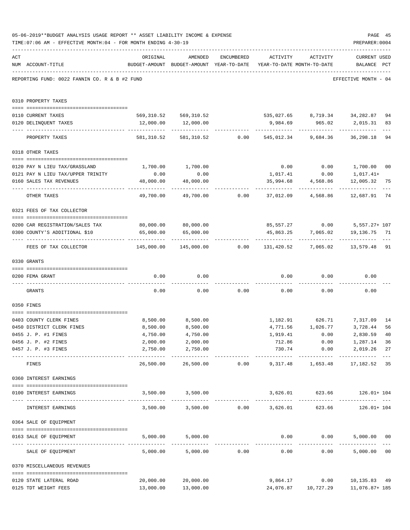|     | 05-06-2019**BUDGET ANALYSIS USAGE REPORT ** ASSET LIABILITY INCOME & EXPENSE<br>TIME: 07:06 AM - EFFECTIVE MONTH: 04 - FOR MONTH ENDING 4-30-19 |                                                                                 |                                 |            |                                    |                         | PAGE 45<br>PREPARER: 0004                                         |                           |
|-----|-------------------------------------------------------------------------------------------------------------------------------------------------|---------------------------------------------------------------------------------|---------------------------------|------------|------------------------------------|-------------------------|-------------------------------------------------------------------|---------------------------|
| ACT | NUM ACCOUNT-TITLE                                                                                                                               | ORIGINAL<br>BUDGET-AMOUNT BUDGET-AMOUNT YEAR-TO-DATE YEAR-TO-DATE MONTH-TO-DATE | AMENDED                         | ENCUMBERED |                                    | ACTIVITY ACTIVITY       | <b>CURRENT USED</b><br>BALANCE PCT                                |                           |
|     | REPORTING FUND: 0022 FANNIN CO. R & B #2 FUND                                                                                                   |                                                                                 |                                 |            |                                    |                         | EFFECTIVE MONTH - 04                                              |                           |
|     | 0310 PROPERTY TAXES                                                                                                                             |                                                                                 |                                 |            |                                    |                         |                                                                   |                           |
|     | 0110 CURRENT TAXES                                                                                                                              |                                                                                 |                                 |            |                                    |                         | 569,310.52 569,310.52 535,027.65 8,719.34 34,282.87               | 94                        |
|     | 0120 DELINQUENT TAXES                                                                                                                           |                                                                                 | 12,000.00   12,000.00           |            |                                    |                         | 9,984.69 965.02 2,015.31                                          | 83                        |
|     | PROPERTY TAXES                                                                                                                                  |                                                                                 |                                 |            |                                    |                         | 581,310.52 581,310.52 0.00 545,012.34 9,684.36 36,298.18          | $\qquad \qquad - -$<br>94 |
|     | 0318 OTHER TAXES                                                                                                                                |                                                                                 |                                 |            |                                    |                         |                                                                   |                           |
|     |                                                                                                                                                 |                                                                                 |                                 |            |                                    |                         |                                                                   |                           |
|     | 0120 PAY N LIEU TAX/GRASSLAND                                                                                                                   | 1,700.00                                                                        | 1,700.00                        |            |                                    |                         | $0.00$ $0.00$ $1,700.00$ $00$                                     |                           |
|     | 0121 PAY N LIEU TAX/UPPER TRINITY                                                                                                               | 0.00                                                                            | 0.00                            |            | 1,017.41                           | 0.00                    | 1,017.41+                                                         |                           |
|     | 0160 SALES TAX REVENUES                                                                                                                         | 48,000.00                                                                       | 48,000.00                       |            | 35,994.68                          | 4,568.86<br>----------- | 12,005.32                                                         | 75                        |
|     | OTHER TAXES                                                                                                                                     | 49,700.00                                                                       |                                 |            |                                    |                         | 49,700.00        0.00      37,012.09      4,568.86      12,687.91 | 74                        |
|     | 0321 FEES OF TAX COLLECTOR                                                                                                                      |                                                                                 |                                 |            |                                    |                         |                                                                   |                           |
|     |                                                                                                                                                 | 80,000.00 80,000.00                                                             |                                 |            |                                    |                         | 85,557.27 0.00 5,557.27+ 107                                      |                           |
|     | 0200 CAR REGISTRATION/SALES TAX<br>0300 COUNTY'S ADDITIONAL \$10                                                                                | 65,000.00                                                                       | 65,000.00                       |            |                                    |                         | 45,863.25 7,065.02 19,136.75 71                                   |                           |
|     | FEES OF TAX COLLECTOR                                                                                                                           | 145,000.00   145,000.00      0.00   131,420.52    7,065.02   13,579.48  91      | ----------------------------    |            |                                    |                         |                                                                   |                           |
|     | 0330 GRANTS                                                                                                                                     |                                                                                 |                                 |            |                                    |                         |                                                                   |                           |
|     | 0200 FEMA GRANT                                                                                                                                 | 0.00                                                                            | 0.00                            |            |                                    | $0.00$ 0.00             | 0.00                                                              |                           |
|     |                                                                                                                                                 |                                                                                 |                                 |            |                                    |                         |                                                                   |                           |
|     | GRANTS                                                                                                                                          | 0.00                                                                            |                                 |            | $0.00$ $0.00$ $0.00$ $0.00$ $0.00$ |                         | 0.00                                                              |                           |
|     | 0350 FINES                                                                                                                                      |                                                                                 |                                 |            |                                    |                         |                                                                   |                           |
|     | 0403 COUNTY CLERK FINES                                                                                                                         |                                                                                 | 8,500.00 8,500.00               |            |                                    |                         | 1, 182.91 626.71 7, 317.09                                        | 14                        |
|     | 0450 DISTRICT CLERK FINES                                                                                                                       | 8,500.00                                                                        | 8,500.00                        |            |                                    | 4,771.56 1,026.77       | 3,728.44                                                          | 56                        |
|     | 0455 J. P. #1 FINES                                                                                                                             | 4,750.00                                                                        | 4,750.00                        |            | 1,919.41                           | 0.00                    | 2,830.59 40                                                       |                           |
|     | 0456 J. P. #2 FINES                                                                                                                             | 2,000.00                                                                        | 2,000.00                        |            | 712.86                             | 0.00                    | 1,287.14                                                          | 36                        |
|     | 0457 J. P. #3 FINES                                                                                                                             | 2,750.00                                                                        | 2,750.00<br>------------        |            | 730.74<br>-------------            | ------------            | $0.00$ 2,019.26<br>-------------                                  | 27                        |
|     | FINES                                                                                                                                           | 26,500.00                                                                       |                                 |            |                                    |                         | 26,500.00   0.00   9,317.48   1,653.48   17,182.52                | 35                        |
|     | 0360 INTEREST EARNINGS                                                                                                                          |                                                                                 |                                 |            |                                    |                         |                                                                   |                           |
|     | 0100 INTEREST EARNINGS                                                                                                                          |                                                                                 | 3,500.00 3,500.00               |            |                                    |                         | 3,626.01 623.66 126.01+104                                        |                           |
|     | INTEREST EARNINGS                                                                                                                               |                                                                                 | 3,500.00 3,500.00 0.00 3,626.01 |            |                                    |                         | 623.66 126.01+104                                                 |                           |
|     | 0364 SALE OF EQUIPMENT                                                                                                                          |                                                                                 |                                 |            |                                    |                         |                                                                   |                           |
|     | --------------------------------------<br>0163 SALE OF EQUIPMENT                                                                                |                                                                                 | 5,000.00 5,000.00               |            |                                    | $0.00$ $0.00$           | 5,000.00 00                                                       |                           |
|     | SALE OF EQUIPMENT                                                                                                                               |                                                                                 | 5,000.00 5,000.00 0.00          |            | 0.00                               | 0.00                    | -------------<br>5,000.00 00                                      |                           |
|     | 0370 MISCELLANEOUS REVENUES                                                                                                                     |                                                                                 |                                 |            |                                    |                         |                                                                   |                           |
|     | 0120 STATE LATERAL ROAD                                                                                                                         | 20,000.00                                                                       | 20,000.00                       |            | 9,864.17                           |                         | $0.00$ 10,135.83 49                                               |                           |
|     | 0125 TDT WEIGHT FEES                                                                                                                            |                                                                                 | 13,000.00 13,000.00             |            |                                    |                         | 24,076.87   10,727.29   11,076.87+ 185                            |                           |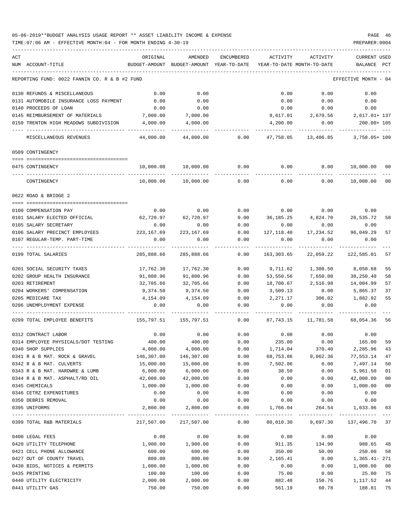### 05-06-2019\*\*BUDGET ANALYSIS USAGE REPORT \*\* ASSET LIABILITY INCOME & EXPENSE PAGE 46 TIME:07:06 AM - EFFECTIVE MONTH:04 - FOR MONTH ENDING 4-30-19 PREPARER:0004

| ACT |                                               | ORIGINAL                | AMENDED                                  | ENCUMBERED           | ACTIVITY                   | ACTIVITY                           | <b>CURRENT USED</b>  |        |
|-----|-----------------------------------------------|-------------------------|------------------------------------------|----------------------|----------------------------|------------------------------------|----------------------|--------|
|     | NUM ACCOUNT-TITLE                             |                         | BUDGET-AMOUNT BUDGET-AMOUNT YEAR-TO-DATE |                      | YEAR-TO-DATE MONTH-TO-DATE |                                    | BALANCE              | PCT    |
|     | REPORTING FUND: 0022 FANNIN CO. R & B #2 FUND |                         |                                          |                      |                            |                                    | EFFECTIVE MONTH - 04 |        |
|     | 0130 REFUNDS & MISCELLANEOUS                  | 0.00                    | 0.00                                     |                      | 0.00                       | 0.00                               | 0.00                 |        |
|     | 0131 AUTOMOBILE INSURANCE LOSS PAYMENT        | 0.00                    | 0.00                                     |                      | 0.00                       | 0.00                               | 0.00                 |        |
|     | 0140 PROCEEDS OF LOAN                         | 0.00                    | 0.00                                     |                      | 0.00                       | 0.00                               | 0.00                 |        |
|     | 0145 REIMBURSEMENT OF MATERIALS               | 7,000.00                | 7,000.00                                 |                      | 9,617.01                   | 2,679.56                           | 2,617.01+ 137        |        |
|     | 0150 TRENTON HIGH MEADOWS SUBDIVISION         | 4,000.00                | 4,000.00                                 |                      | 4,200.00                   | 0.00                               | 200.00+ 105          |        |
|     | MISCELLANEOUS REVENUES                        | 44,000.00               | 44,000.00                                | 0.00                 | 47,758.05                  | 13,406.85                          | 3,758.05+ 109        |        |
|     | 0509 CONTINGENCY                              |                         |                                          |                      |                            |                                    |                      |        |
|     |                                               |                         |                                          |                      |                            |                                    |                      |        |
|     | 0475 CONTINGENCY                              | 10,000.00               | 10,000.00                                | 0.00                 | 0.00                       | 0.00                               | 10,000.00 00         |        |
|     | CONTINGENCY                                   | 10,000.00               | 10,000.00                                | 0.00                 | 0.00                       | 0.00                               | 10,000.00            | 00     |
|     | 0622 ROAD & BRIDGE 2                          |                         |                                          |                      |                            |                                    |                      |        |
|     | 0100 COMPENSATION PAY                         | 0.00                    | 0.00                                     | 0.00                 | 0.00                       | 0.00                               | 0.00                 |        |
|     | 0101 SALARY ELECTED OFFICIAL                  | 62,720.97               | 62,720.97                                | 0.00                 |                            | 36, 185. 25 4, 824. 70 26, 535. 72 |                      | 58     |
|     | 0105 SALARY SECRETARY                         | 0.00                    | 0.00                                     | 0.00                 | 0.00                       | 0.00                               | 0.00                 |        |
|     | 0106 SALARY PRECINCT EMPLOYEES                | 223, 167.69 223, 167.69 |                                          | 0.00                 | 127,118.40                 | 17,234.52                          | 96,049.29            | 57     |
|     | 0107 REGULAR-TEMP. PART-TIME                  | 0.00                    | 0.00                                     | 0.00                 | 0.00                       | 0.00                               | 0.00                 |        |
|     | 0199 TOTAL SALARIES                           | 285,888.66              | 285,888.66                               | 0.00                 | 163,303.65                 | 22,059.22                          | 122,585.01           | 57     |
|     | 0201 SOCIAL SECURITY TAXES                    | 17,762.30               | 17,762.30                                | 0.00                 | 9,711.62                   | 1,308.50                           | 8,050.68             | 55     |
|     | 0202 GROUP HEALTH INSURANCE                   | 91,800.96               | 91,800.96                                | 0.00                 | 53,550.56                  | 7,650.08                           | 38,250.40            | 58     |
|     | 0203 RETIREMENT                               | 32,705.66               | 32,705.66                                | 0.00                 | 18,700.67                  | 2,516.98                           | 14,004.99            | 57     |
|     | 0204 WORKERS' COMPENSATION                    | 9,374.50                | 9,374.50                                 | 0.00                 | 3,509.13                   | 0.00                               | 5,865.37             | 37     |
|     | 0205 MEDICARE TAX                             | 4,154.09                | 4,154.09                                 | 0.00                 | 2,271.17                   | 306.02                             | 1,882.92             | 55     |
|     | 0206 UNEMPLOYMENT EXPENSE                     | 0.00                    | 0.00                                     | 0.00                 | 0.00                       | 0.00                               | 0.00                 |        |
|     | 0299 TOTAL EMPLOYEE BENEFITS                  |                         | 155,797.51 155,797.51                    | 0.00                 | 87,743.15                  | 11,781.58                          | 68,054.36            | 56     |
|     | 0312 CONTRACT LABOR                           | 0.00                    | 0.00                                     | 0.00                 | 0.00                       | 0.00                               | 0.00                 |        |
|     | 0314 EMPLOYEE PHYSICALS/DOT TESTING           | 400.00                  | 400.00                                   | 0.00                 | 235.00                     | 0.00                               | 165.00               | 59     |
|     | 0340 SHOP SUPPLIES                            | 4,000.00                | 4,000.00                                 | 0.00                 | 1,714.04                   | 370.40                             | 2,285.96             | 43     |
|     | 0341 R & B MAT. ROCK & GRAVEL                 | 146,307.00              | 146,307.00                               | 0.00                 | 68,753.86                  | 9,062.36                           | 77,553.14            | 47     |
|     | 0342 R & B MAT. CULVERTS                      | 15,000.00               | 15,000.00                                | 0.00                 | 7,502.86                   | 0.00                               | 7,497.14             | 50     |
|     | 0343 R & B MAT. HARDWRE & LUMB                | 6,000.00                | 6,000.00                                 | 0.00                 | 38.50                      | 0.00                               | 5,961.50             | 01     |
|     | 0344 R & B MAT. ASPHALT/RD OIL                | 42,000.00               | 42,000.00                                | 0.00                 | 0.00                       | 0.00                               | 42,000.00            | 00     |
|     | 0345 CHEMICALS                                | 1,000.00                | 1,000.00                                 | 0.00                 | 0.00                       | 0.00                               | 1,000.00             | $00\,$ |
|     | 0346 CETRZ EXPENDITURES                       | 0.00                    | 0.00                                     | 0.00                 | 0.00                       | 0.00                               | 0.00                 |        |
|     | 0350 DEBRIS REMOVAL                           | 0.00                    | 0.00                                     | 0.00                 | 0.00                       | 0.00                               | 0.00                 |        |
|     | 0395 UNIFORMS                                 | 2,800.00                | 2,800.00                                 | 0.00<br>------------ | 1,766.04                   | 264.54                             | 1,033.96             | 63     |
|     | 0399 TOTAL R&B MATERIALS                      |                         |                                          |                      |                            |                                    |                      |        |
|     | 0400 LEGAL FEES                               | 0.00                    | 0.00                                     | 0.00                 | 0.00                       | 0.00                               | 0.00                 |        |
|     | 0420 UTILITY TELEPHONE                        | 1,900.00                | 1,900.00                                 | 0.00                 | 911.35                     | 134.90                             | 988.65               | 48     |
|     | 0421 CELL PHONE ALLOWANCE                     | 600.00                  | 600.00                                   | 0.00                 | 350.00                     | 50.00                              | 250.00               | 58     |
|     | 0427 OUT OF COUNTY TRAVEL                     | 800.00                  | 800.00                                   | 0.00                 | 2,165.41                   | 0.00                               | $1,365.41 - 271$     |        |
|     | 0430 BIDS, NOTICES & PERMITS                  | 1,000.00                | 1,000.00                                 | 0.00                 | 0.00                       | 0.00                               | 1,000.00             | 00     |
|     | 0435 PRINTING                                 | 100.00                  | 100.00                                   | 0.00                 | 75.00                      | 0.00                               | 25.00                | 75     |
|     | 0440 UTILITY ELECTRICITY                      | 2,000.00                | 2,000.00                                 | 0.00                 | 882.48                     | 150.76                             | 1,117.52             | 44     |
|     | 0441 UTILITY GAS                              | 750.00                  | 750.00                                   | 0.00                 | 561.19                     | 60.78                              | 188.81               | 75     |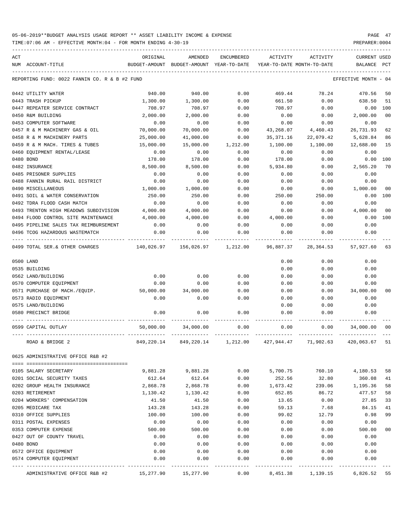TIME:07:06 AM - EFFECTIVE MONTH:04 - FOR MONTH ENDING 4-30-19 PREPARER:0004

----------------------------------------------------------------------------------------------------------------------------------- ACT ORIGINAL AMENDED ENCUMBERED ACTIVITY ACTIVITY CURRENT USED NUM ACCOUNT-TITLE BUDGET-AMOUNT BUDGET-AMOUNT YEAR-TO-DATE YEAR-TO-DATE MONTH-TO-DATE BALANCE PCT ----------------------------------------------------------------------------------------------------------------------------------- REPORTING FUND: 0022 FANNIN CO. R & B #2 FUND COORS AND REPORTING THE SERVICE MONTH - 04 0442 UTILITY WATER 4 20.00 940.00 940.00 940.00 0.00 469.44 78.24 470.56 50 0443 TRASH PICKUP 1,300.00 1,300.00 0.00 661.50 0.00 638.50 51 0447 REPEATER SERVICE CONTRACT 708.97 708.97 0.00 708.97 0.00 0.00 100 0450 R&M BUILDING 2,000.00 2,000.00 0.00 0.00 0.00 2,000.00 00 0453 COMPUTER SOFTWARE  $\begin{array}{cccccccc} 0.00 & 0.00 & 0.00 & 0.00 & 0.00 & 0.00 & 0.00 & 0.00 & 0.00 & 0.00 & 0.00 & 0.00 & 0.00 & 0.00 & 0.00 & 0.00 & 0.00 & 0.00 & 0.00 & 0.00 & 0.00 & 0.00 & 0.00 & 0.00 & 0.00 & 0.00 & 0.00 & 0.00 & 0.00 & 0.00 & 0.00 & 0.0$ 0457 R & M MACHINERY GAS & OIL  $70,000.00$   $70,000.00$   $0.00$   $0.00$   $43,268.07$   $4,460.43$   $26,731.93$   $62$ 0458 R & M MACHINERY PARTS 25,000.00 41,000.00 0.00 35,371.16 22,079.42 5,628.84 86 0459 R & M MACH. TIRES & TUBES 15,000.00 15,000.00 1,212.00 1,100.00 1,100.00 12,688.00 15 0460 EQUIPMENT RENTAL/LEASE 0.00 0.00 0.00 0.00 0.00 0.00 0480 BOND 178.00 178.00 0.00 178.00 0.00 0.00 100 0482 INSURANCE 8,500.00 8,500.00 0.00 5,934.80 0.00 2,565.20 70 0485 PRISONER SUPPLIES 0.00 0.00 0.00 0.00 0.00 0.00 0488 FANNIN RURAL RAIL DISTRICT 0.00 0.00 0.00 0.00 0.00 0.00 0490 MISCELLANEOUS 1,000.00 1,000.00 0.00 0.00 0.00 1,000.00 00 0491 SOIL & WATER CONSERVATION 250.00 250.00 0.00 250.00 250.00 0.00 100 0492 TDRA FLOOD CASH MATCH 0.00 0.00 0.00 0.00 0.00 0.00 0493 TRENTON HIGH MEADOWS SUBDIVISION 4,000.00 4,000.00 0.00 0.00 0.00 4,000.00 00 0494 FLOOD CONTROL SITE MAINTENANCE 4,000.00 4,000.00 0.00 4,000.00 0.00 0.00 100 0495 PIPELINE SALES TAX REIMBURSEMENT  $0.00$  0.00 0.00 0.00 0.00 0.00 0.00 0.00 0496 TCOG HAZARDOUS WASTEMATCH 0.00 0.00 0.00 0.00 0.00 0.00 ---- ---------------------------------- ------------- ------------- ------------ ------------- ------------ ------------- --- 0499 TOTAL SER.& OTHER CHARGES 140,026.97 156,026.97 1,212.00 96,887.37 28,364.53 57,927.60 63 0500 LAND 0.00 0.00 0.00 0535 BUILDING 0.00 0.00 0.00 0562 LAND/BUILDING 0.00 0.00 0.00 0.00 0.00 0.00 0570 COMPUTER EQUIPMENT 0.00 0.00 0.00 0.00 0.00 0.00 0571 PURCHASE OF MACH./EQUIP. 50,000.00 34,000.00 0.00 0.00 0.00 34,000.00 00 0573 RADIO EQUIPMENT 0.00 0.00 0.00 0.00 0.00 0.00 0575 LAND/BUILDING 0.00 0.00 0.00 0580 PRECINCT BRIDGE 0.00 0.00 0.00 0.00 0.00 0.00 ---- ---------------------------------- ------------- ------------- ------------ ------------- ------------ ------------- --- 0599 CAPITAL OUTLAY 50,000.00 34,000.00 0.00 0.00 0.00 34,000.00 00 ---- ---------------------------------- ------------- ------------- ------------ ------------- ------------ ------------- --- ROAD & BRIDGE 2 849,220.14 849,220.14 849,220.14 1,212.00 427,944.47 71,902.63 420,063.67 51 0625 ADMINISTRATIVE OFFICE R&B #2 ==== =================================== 0105 SALARY SECRETARY 9,881.28 9,881.28 0.00 5,700.75 760.10 4,180.53 58 0201 SOCIAL SECURITY TAXES 612.64 612.64 0.00 252.56 32.80 360.08 41 0202 GROUP HEALTH INSURANCE 2,868.78 2,868.78 0.00 1,673.42 239.06 1,195.36 58 0203 RETIREMENT 1,130.42 1,130.42 0.00 652.85 86.72 477.57 58 0204 WORKERS' COMPENSATION 41.50 41.50 0.00 13.65 0.00 27.85 33 0205 MEDICARE TAX 64.15 (143.28 143.28 0.00 59.13 7.68 84.15 41 0310 OFFICE SUPPLIES 100.00 100.00 0.00 99.02 12.79 0.98 99 0311 POSTAL EXPENSES 0.00 0.00 0.00 0.00 0.00 0.00 0353 COMPUTER EXPENSE 500.00 500.00 0.00 0.00 0.00 500.00 00 0427 OUT OF COUNTY TRAVEL  $\begin{array}{cccc} 0.00 & 0.00 & 0.00 & 0.00 & 0.00 & 0.00 & 0.00 \end{array}$ 0480 BOND 0.00 0.00 0.00 0.00 0.00 0.00 0572 OFFICE EQUIPMENT 0.00 0.00 0.00 0.00 0.00 0.00 0574 COMPUTER EQUIPMENT 0.00 0.00 0.00 0.00 0.00 0.00 ---- ---------------------------------- ------------- ------------- ------------ ------------- ------------ ------------- ---

ADMINISTRATIVE OFFICE R&B #2 15,277.90 15,277.90 0.00 8,451.38 1,139.15 6,826.52 55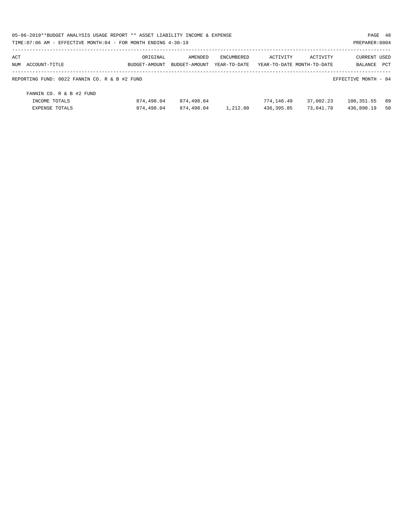| 05-06-2019**BUDGET ANALYSIS USAGE REPORT ** ASSET LIABILITY INCOME & EXPENSE |               |               |                   |            |                            |                      |     |
|------------------------------------------------------------------------------|---------------|---------------|-------------------|------------|----------------------------|----------------------|-----|
| TIME: 07:06 AM - EFFECTIVE MONTH: 04 - FOR MONTH ENDING 4-30-19              |               |               |                   |            |                            | PREPARER: 0004       |     |
| ACT                                                                          | ORIGINAL      | AMENDED       | <b>ENCUMBERED</b> | ACTIVITY   | ACTIVITY                   | <b>CURRENT USED</b>  |     |
| NUM ACCOUNT-TITLE                                                            | BUDGET-AMOUNT | BUDGET-AMOUNT | YEAR-TO-DATE      |            | YEAR-TO-DATE MONTH-TO-DATE | BALANCE              | PCT |
| REPORTING FUND: 0022 FANNIN CO. R & B #2 FUND                                |               |               |                   |            |                            | EFFECTIVE MONTH - 04 |     |
| FANNIN CO. R & B #2 FUND                                                     |               |               |                   |            |                            |                      |     |
| INCOME TOTALS                                                                | 874,498.04    | 874,498.04    |                   | 774,146.49 | 37,002.23                  | 100,351.55           | 89  |
| EXPENSE TOTALS                                                               | 874,498.04    | 874,498.04    | 1,212.00          | 436,395.85 | 73,041.78                  | 436,890.19           | 50  |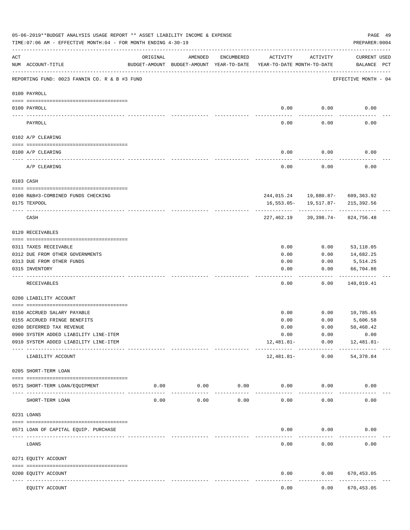|           | 05-06-2019**BUDGET ANALYSIS USAGE REPORT ** ASSET LIABILITY INCOME & EXPENSE<br>TIME: 07:06 AM - EFFECTIVE MONTH: 04 - FOR MONTH ENDING 4-30-19 |                                                                                 |                     |               |              |                      | PREPARER: 0004                                                           | PAGE 49 |
|-----------|-------------------------------------------------------------------------------------------------------------------------------------------------|---------------------------------------------------------------------------------|---------------------|---------------|--------------|----------------------|--------------------------------------------------------------------------|---------|
| ACT       | NUM ACCOUNT-TITLE                                                                                                                               | ORIGINAL<br>BUDGET-AMOUNT BUDGET-AMOUNT YEAR-TO-DATE YEAR-TO-DATE MONTH-TO-DATE | AMENDED             | ENCUMBERED    | ACTIVITY     | ACTIVITY             | CURRENT USED<br>BALANCE PCT                                              |         |
|           | REPORTING FUND: 0023 FANNIN CO. R & B #3 FUND                                                                                                   |                                                                                 |                     |               |              |                      | EFFECTIVE MONTH - 04                                                     |         |
|           | 0100 PAYROLL                                                                                                                                    |                                                                                 |                     |               |              |                      |                                                                          |         |
|           | 0100 PAYROLL                                                                                                                                    |                                                                                 |                     |               |              | $0.00$ 0.00          | 0.00                                                                     |         |
| ---- ---- | PAYROLL                                                                                                                                         |                                                                                 |                     |               | 0.00         | 0.00                 | 0.00                                                                     |         |
|           | 0102 A/P CLEARING                                                                                                                               |                                                                                 |                     |               |              |                      |                                                                          |         |
|           | 0100 A/P CLEARING                                                                                                                               |                                                                                 |                     |               | 0.00         | 0.00                 | 0.00                                                                     |         |
|           | A/P CLEARING                                                                                                                                    |                                                                                 |                     |               | 0.00         | 0.00                 | 0.00                                                                     |         |
|           | 0103 CASH                                                                                                                                       |                                                                                 |                     |               |              |                      |                                                                          |         |
|           |                                                                                                                                                 |                                                                                 |                     |               |              |                      |                                                                          |         |
|           | 0100 R&B#3-COMBINED FUNDS CHECKING<br>0175 TEXPOOL                                                                                              |                                                                                 |                     |               |              |                      | 244,015.24   19,880.87-   609,363.92<br>16,553.05- 19,517.87- 215,392.56 |         |
|           |                                                                                                                                                 |                                                                                 |                     |               |              |                      |                                                                          |         |
|           | CASH                                                                                                                                            |                                                                                 |                     |               |              |                      | 227,462.19 39,398.74- 824,756.48                                         |         |
|           | 0120 RECEIVABLES                                                                                                                                |                                                                                 |                     |               |              |                      |                                                                          |         |
|           | 0311 TAXES RECEIVABLE                                                                                                                           |                                                                                 |                     |               | 0.00         | 0.00                 | 53,118.05                                                                |         |
|           | 0312 DUE FROM OTHER GOVERNMENTS                                                                                                                 |                                                                                 |                     |               | 0.00         | 0.00                 | 14,682.25                                                                |         |
|           | 0313 DUE FROM OTHER FUNDS                                                                                                                       |                                                                                 |                     |               | 0.00         | 0.00                 | 5,514.25                                                                 |         |
|           | 0315 INVENTORY                                                                                                                                  |                                                                                 |                     |               | 0.00         | 0.00                 | 66,704.86                                                                |         |
|           |                                                                                                                                                 |                                                                                 |                     |               |              |                      | ----------                                                               |         |
|           | RECEIVABLES                                                                                                                                     |                                                                                 |                     |               | 0.00         | 0.00                 | 140,019.41                                                               |         |
|           | 0200 LIABILITY ACCOUNT                                                                                                                          |                                                                                 |                     |               |              |                      |                                                                          |         |
|           |                                                                                                                                                 |                                                                                 |                     |               | 0.00         |                      | $0.00$ 10,785.65                                                         |         |
|           | 0150 ACCRUED SALARY PAYABLE<br>0155 ACCRUED FRINGE BENEFITS                                                                                     |                                                                                 |                     |               |              | 0.00                 | 5,606.58                                                                 |         |
|           | 0200 DEFERRED TAX REVENUE                                                                                                                       |                                                                                 |                     |               | 0.00<br>0.00 | 0.00                 | 50,468.42                                                                |         |
|           | 0900 SYSTEM ADDED LIABILITY LINE-ITEM                                                                                                           |                                                                                 |                     |               | 0.00         | 0.00                 | 0.00                                                                     |         |
|           | 0910 SYSTEM ADDED LIABILITY LINE-ITEM                                                                                                           |                                                                                 |                     |               | 12,481.81-   | 0.00                 | 12,481.81-                                                               |         |
|           | LIABILITY ACCOUNT                                                                                                                               |                                                                                 |                     |               | 12,481.81-   | ------------<br>0.00 | 54, 378.84                                                               |         |
|           | 0205 SHORT-TERM LOAN                                                                                                                            |                                                                                 |                     |               |              |                      |                                                                          |         |
|           |                                                                                                                                                 |                                                                                 |                     |               |              |                      |                                                                          |         |
|           | 0571 SHORT-TERM LOAN/EQUIPMENT                                                                                                                  | 0.00                                                                            | 0.00<br>$- - - - -$ | 0.00<br>----- | 0.00         | 0.00                 | 0.00                                                                     |         |
|           | SHORT-TERM LOAN                                                                                                                                 | 0.00                                                                            | 0.00                | 0.00          | 0.00         | 0.00                 | 0.00                                                                     |         |
|           | 0231 LOANS                                                                                                                                      |                                                                                 |                     |               |              |                      |                                                                          |         |
|           | 0571 LOAN OF CAPITAL EQUIP. PURCHASE                                                                                                            |                                                                                 |                     |               | 0.00         | 0.00                 | 0.00                                                                     |         |
|           | LOANS                                                                                                                                           |                                                                                 |                     |               | 0.00         | 0.00                 | 0.00                                                                     |         |
|           | 0271 EQUITY ACCOUNT                                                                                                                             |                                                                                 |                     |               |              |                      |                                                                          |         |
|           | 0200 EQUITY ACCOUNT                                                                                                                             |                                                                                 |                     |               | 0.00         | 0.00                 | 670,453.05                                                               |         |
|           | ---- -----------<br>EQUITY ACCOUNT                                                                                                              |                                                                                 |                     |               | 0.00         | 0.00                 | .<br>670, 453.05                                                         |         |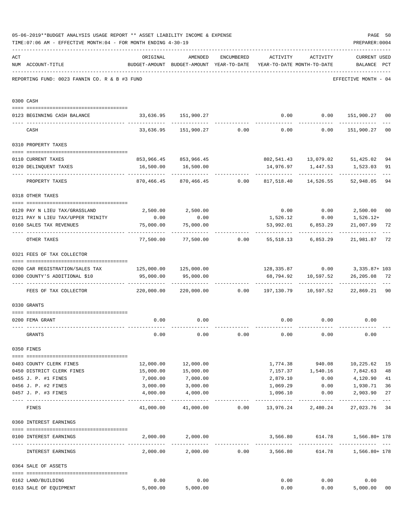|     | 05-06-2019**BUDGET ANALYSIS USAGE REPORT ** ASSET LIABILITY INCOME & EXPENSE<br>TIME: 07:06 AM - EFFECTIVE MONTH: 04 - FOR MONTH ENDING 4-30-19 |                                                                                                      |                                                                                |                 |                              |                          | PAGE 50<br>PREPARER: 0004                                                         |                |
|-----|-------------------------------------------------------------------------------------------------------------------------------------------------|------------------------------------------------------------------------------------------------------|--------------------------------------------------------------------------------|-----------------|------------------------------|--------------------------|-----------------------------------------------------------------------------------|----------------|
| ACT | NUM ACCOUNT-TITLE                                                                                                                               | ORIGINAL                                                                                             | AMENDED<br>BUDGET-AMOUNT BUDGET-AMOUNT YEAR-TO-DATE YEAR-TO-DATE MONTH-TO-DATE |                 | ENCUMBERED ACTIVITY ACTIVITY |                          | <b>CURRENT USED</b><br>BALANCE PCT                                                |                |
|     | REPORTING FUND: 0023 FANNIN CO. R & B #3 FUND                                                                                                   |                                                                                                      |                                                                                |                 |                              |                          | EFFECTIVE MONTH - 04                                                              |                |
|     | 0300 CASH                                                                                                                                       |                                                                                                      |                                                                                |                 |                              |                          |                                                                                   |                |
|     | 0123 BEGINNING CASH BALANCE                                                                                                                     |                                                                                                      | 33,636.95 151,900.27                                                           |                 |                              |                          | $0.00$ $0.00$ $151,900.27$ 00                                                     |                |
|     | CASH                                                                                                                                            |                                                                                                      |                                                                                |                 |                              |                          | $33,636.95$ $151,900.27$ $0.00$ $0.00$ $0.00$ $151,900.27$                        | 0 <sub>0</sub> |
|     | 0310 PROPERTY TAXES                                                                                                                             |                                                                                                      |                                                                                |                 |                              |                          |                                                                                   |                |
|     |                                                                                                                                                 |                                                                                                      |                                                                                |                 |                              |                          |                                                                                   |                |
|     | 0110 CURRENT TAXES                                                                                                                              |                                                                                                      | 853,966.45 853,966.45                                                          |                 |                              |                          | 802,541.43  13,079.02  51,425.02                                                  | 94             |
|     | 0120 DELINQUENT TAXES<br>-------------------- -------------                                                                                     |                                                                                                      | 16,500.00 16,500.00<br>-------------                                           |                 |                              |                          | 14,976.97   1,447.53   1,523.03                                                   | 91             |
|     | PROPERTY TAXES                                                                                                                                  | 870,466.45                                                                                           |                                                                                |                 |                              |                          | 52,948.05                                                                         | 94             |
|     | 0318 OTHER TAXES                                                                                                                                |                                                                                                      |                                                                                |                 |                              |                          |                                                                                   |                |
|     | 0120 PAY N LIEU TAX/GRASSLAND                                                                                                                   |                                                                                                      | 2,500.00 2,500.00                                                              |                 |                              |                          | $0.00$ $0.00$ $2,500.00$                                                          | 0 <sub>0</sub> |
|     | 0121 PAY N LIEU TAX/UPPER TRINITY                                                                                                               | 0.00                                                                                                 | 0.00                                                                           |                 |                              | 1,526.12 0.00            | 1,526.12+                                                                         |                |
|     | 0160 SALES TAX REVENUES                                                                                                                         | 75,000.00                                                                                            | 75,000.00                                                                      |                 |                              | 53,992.01 6,853.29       | 21,007.99                                                                         | 72             |
|     | OTHER TAXES                                                                                                                                     |                                                                                                      |                                                                                |                 |                              |                          | ------------<br>$77,500.00$ $77,500.00$ $0.00$ $55,518.13$ $6,853.29$ $21,981.87$ | $- - -$<br>72  |
|     | 0321 FEES OF TAX COLLECTOR                                                                                                                      |                                                                                                      |                                                                                |                 |                              |                          |                                                                                   |                |
|     |                                                                                                                                                 |                                                                                                      |                                                                                |                 |                              |                          |                                                                                   |                |
|     | 0200 CAR REGISTRATION/SALES TAX 125,000.00 125,000.00<br>0300 COUNTY'S ADDITIONAL \$10                                                          | 95,000.00                                                                                            | 95,000.00                                                                      |                 |                              | 68,794.92 10,597.52      | 128, 335.87   0.00   3, 335.87+ 103<br>26,205.08 72                               |                |
|     | FEES OF TAX COLLECTOR                                                                                                                           | ------------ -------------<br>220,000.00   220,000.00      0.00   197,130.79   10,597.52   22,869.21 |                                                                                |                 |                              | ----------- ------------ | _____________                                                                     | $- - -$<br>90  |
|     | 0330 GRANTS                                                                                                                                     |                                                                                                      |                                                                                |                 |                              |                          |                                                                                   |                |
|     |                                                                                                                                                 |                                                                                                      |                                                                                |                 |                              |                          |                                                                                   |                |
|     | 0200 FEMA GRANT                                                                                                                                 | 0.00                                                                                                 | 0.00                                                                           |                 |                              |                          | $0.00$ $0.00$ $0.00$ $0.00$                                                       |                |
|     | GRANTS                                                                                                                                          | 0.00                                                                                                 | 0.00                                                                           | 0.00            | 0.00                         | 0.00                     | 0.00                                                                              |                |
|     | 0350 FINES                                                                                                                                      |                                                                                                      |                                                                                |                 |                              |                          |                                                                                   |                |
|     | 0403 COUNTY CLERK FINES                                                                                                                         | 12,000.00                                                                                            | 12,000.00                                                                      |                 |                              |                          | 1,774.38 940.08 10,225.62                                                         | 15             |
|     | 0450 DISTRICT CLERK FINES                                                                                                                       | 15,000.00                                                                                            | 15,000.00                                                                      |                 |                              | 7,157.37 1,540.16        | 7,842.63                                                                          | 48             |
|     | 0455 J. P. #1 FINES                                                                                                                             | 7,000.00                                                                                             | 7,000.00                                                                       |                 | 2,879.10                     | 0.00                     | 4,120.90                                                                          | 41             |
|     | 0456 J. P. #2 FINES                                                                                                                             | 3,000.00                                                                                             | 3,000.00                                                                       |                 | 1,069.29                     | 0.00                     | 1,930.71                                                                          | 36             |
|     | 0457 J. P. #3 FINES                                                                                                                             | 4,000.00                                                                                             | 4,000.00                                                                       |                 | 1,096.10                     | 0.00                     | 2,903.90                                                                          | 27<br>$---$    |
|     | FINES                                                                                                                                           |                                                                                                      | $41,000.00$ $41,000.00$ $0.00$ $13,976.24$ $2,480.24$                          |                 |                              |                          | 27,023.76                                                                         | 34             |
|     | 0360 INTEREST EARNINGS                                                                                                                          |                                                                                                      |                                                                                |                 |                              |                          |                                                                                   |                |
|     |                                                                                                                                                 |                                                                                                      |                                                                                |                 |                              |                          |                                                                                   |                |
|     | 0100 INTEREST EARNINGS                                                                                                                          | 2,000.00                                                                                             | 2,000.00                                                                       |                 | 3,566.80<br>______________   | 614.78<br>-------------  | 1,566.80+ 178                                                                     |                |
|     | INTEREST EARNINGS                                                                                                                               | 2,000.00                                                                                             | 2,000.00                                                                       | $0.00$ 3,566.80 |                              |                          | 1,566.80+ 178<br>614.78                                                           |                |
|     | 0364 SALE OF ASSETS                                                                                                                             |                                                                                                      |                                                                                |                 |                              |                          |                                                                                   |                |
|     | 0162 LAND/BUILDING                                                                                                                              | 0.00                                                                                                 | 0.00                                                                           |                 | 0.00                         | 0.00                     | 0.00                                                                              |                |
|     | 0163 SALE OF EQUIPMENT                                                                                                                          | 5,000.00                                                                                             | 5,000.00                                                                       |                 | 0.00                         |                          | 5,000.00<br>0.00                                                                  | 0 <sub>0</sub> |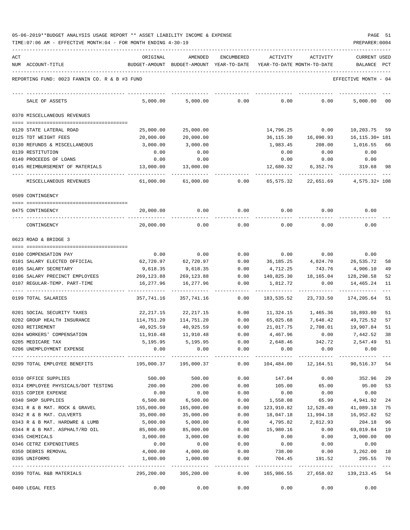| 05-06-2019**BUDGET ANALYSIS USAGE REPORT ** ASSET LIABILITY INCOME & EXPENSE |  |  |  |  |  | PAGE |  |
|------------------------------------------------------------------------------|--|--|--|--|--|------|--|
|                                                                              |  |  |  |  |  |      |  |

TIME:07:06 AM - EFFECTIVE MONTH:04 - FOR MONTH ENDING 4-30-19 PREPARER:0004

| ACT |                                               | ORIGINAL                | AMENDED                                                             | ENCUMBERED          | ACTIVITY                        | ACTIVITY  | <b>CURRENT USED</b>  |     |
|-----|-----------------------------------------------|-------------------------|---------------------------------------------------------------------|---------------------|---------------------------------|-----------|----------------------|-----|
|     | NUM ACCOUNT-TITLE                             |                         | BUDGET-AMOUNT BUDGET-AMOUNT YEAR-TO-DATE YEAR-TO-DATE MONTH-TO-DATE |                     |                                 |           | BALANCE              | PCT |
|     |                                               |                         |                                                                     |                     |                                 |           |                      |     |
|     | REPORTING FUND: 0023 FANNIN CO. R & B #3 FUND |                         |                                                                     |                     |                                 |           | EFFECTIVE MONTH - 04 |     |
|     | SALE OF ASSETS                                | 5,000.00                | 5,000.00                                                            | 0.00                | 0.00                            | 0.00      | 5,000.00             | 00  |
|     | 0370 MISCELLANEOUS REVENUES                   |                         |                                                                     |                     |                                 |           |                      |     |
|     | 0120 STATE LATERAL ROAD                       | 25,000.00               | 25,000.00                                                           |                     | 14,796.25                       | 0.00      | 10,203.75            | 59  |
|     | 0125 TDT WEIGHT FEES                          | 20,000.00               | 20,000.00                                                           |                     | 36,115.30                       | 16,090.93 | 16, 115. 30+ 181     |     |
|     | 0130 REFUNDS & MISCELLANEOUS                  | 3,000.00                | 3,000.00                                                            |                     | 1,983.45                        | 208.00    | 1,016.55             | 66  |
|     | 0139 RESTITUTION                              | 0.00                    | 0.00                                                                |                     | 0.00                            | 0.00      | 0.00                 |     |
|     | 0140 PROCEEDS OF LOANS                        | 0.00                    | 0.00                                                                |                     | 0.00                            | 0.00      | 0.00                 |     |
|     | 0145 REIMBURSEMENT OF MATERIALS               | 13,000.00               | 13,000.00                                                           |                     | 12,680.32                       | 6,352.76  | 319.68               | 98  |
|     | MISCELLANEOUS REVENUES                        | 61,000.00               | 61,000.00                                                           | 0.00                | 65,575.32                       | 22,651.69 | 4,575.32+ 108        |     |
|     | 0509 CONTINGENCY                              |                         |                                                                     |                     |                                 |           |                      |     |
|     | 0475 CONTINGENCY                              | 20,000.00               | 0.00                                                                | 0.00                | 0.00                            | 0.00      | 0.00                 |     |
|     | CONTINGENCY                                   | 20,000.00               | 0.00                                                                | 0.00                | 0.00                            | 0.00      | 0.00                 |     |
|     | 0623 ROAD & BRIDGE 3                          |                         |                                                                     |                     |                                 |           |                      |     |
|     |                                               |                         |                                                                     |                     |                                 |           |                      |     |
|     | 0100 COMPENSATION PAY                         | 0.00                    | 0.00                                                                | 0.00                | 0.00                            | 0.00      | 0.00                 |     |
|     | 0101 SALARY ELECTED OFFICIAL                  | 62,720.97               | 62,720.97                                                           | 0.00                | 36,185.25                       | 4,824.70  | 26,535.72            | 58  |
|     | 0105 SALARY SECRETARY                         | 9,618.35                | 9,618.35                                                            | 0.00                | 4,712.25                        | 743.76    | 4,906.10             | 49  |
|     | 0106 SALARY PRECINCT EMPLOYEES                | 269,123.88              | 269,123.88                                                          | 0.00                | 140,825.30                      | 18,165.04 | 128,298.58           | 52  |
|     | 0107 REGULAR-TEMP. PART-TIME                  | 16,277.96               | 16,277.96                                                           | 0.00                | 1,812.72                        | 0.00      | 14,465.24            | 11  |
|     | 0199 TOTAL SALARIES                           | 357,741.16              | 357,741.16                                                          | 0.00                | 183,535.52                      | 23,733.50 | 174,205.64           | 51  |
|     | 0201 SOCIAL SECURITY TAXES                    | 22,217.15               | 22,217.15                                                           | 0.00                | 11,324.15                       | 1,465.36  | 10,893.00            | 51  |
|     | 0202 GROUP HEALTH INSURANCE                   | 114,751.20              | 114,751.20                                                          | 0.00                | 65,025.68                       | 7,648.42  | 49,725.52            | 57  |
|     | 0203 RETIREMENT                               | 40,925.59               | 40,925.59                                                           | 0.00                | 21,017.75                       | 2,708.01  | 19,907.84            | 51  |
|     | 0204 WORKERS' COMPENSATION                    | 11,910.48               | 11,910.48                                                           | 0.00                | 4,467.96                        | 0.00      | 7,442.52             | 38  |
|     | 0205 MEDICARE TAX                             | 5,195.95                | 5,195.95                                                            | 0.00                | 2,648.46                        | 342.72    | 2,547.49             | 51  |
|     | 0206 UNEMPLOYMENT EXPENSE                     | 0.00                    | 0.00                                                                | 0.00                | 0.00                            | 0.00      | 0.00                 |     |
|     | 0299 TOTAL EMPLOYEE BENEFITS                  | $195,000.37$ 195,000.37 |                                                                     |                     | $0.00$ $104,484.00$ $12,164.51$ |           | 90,516.37            | 54  |
|     | 0310 OFFICE SUPPLIES                          | 500.00                  | 500.00                                                              | 0.00                | 147.04                          | 0.00      | 352.96               | 29  |
|     | 0314 EMPLOYEE PHYSICALS/DOT TESTING           | 200.00                  | 200.00                                                              | 0.00                | 105.00                          | 65.00     | 95.00                | 53  |
|     | 0315 COPIER EXPENSE                           | 0.00                    | 0.00                                                                | 0.00                | 0.00                            | 0.00      | 0.00                 |     |
|     | 0340 SHOP SUPPLIES                            | 6,500.00                | 6,500.00                                                            | 0.00                | 1,558.08                        | 65.99     | 4,941.92             | 24  |
|     | 0341 R & B MAT. ROCK & GRAVEL                 | 155,000.00              | 165,000.00                                                          | 0.00                | 123,910.82                      | 12,528.40 | 41,089.18            | 75  |
|     | 0342 R & B MAT. CULVERTS                      | 35,000.00               | 35,000.00                                                           | 0.00                | 18,047.18                       | 11,994.18 | 16,952.82            | 52  |
|     | 0343 R & B MAT. HARDWRE & LUMB                | 5,000.00                | 5,000.00                                                            | 0.00                | 4,795.82                        | 2,812.93  | 204.18               | 96  |
|     | 0344 R & B MAT. ASPHALT/RD OIL                | 85,000.00               | 85,000.00                                                           | 0.00                | 15,980.16                       | 0.00      | 69,019.84            | 19  |
|     | 0345 CHEMICALS                                | 3,000.00                | 3,000.00                                                            | 0.00                | 0.00                            | 0.00      | 3,000.00             | 00  |
|     | 0346 CETRZ EXPENDITURES                       | 0.00                    | 0.00                                                                | 0.00                | 0.00                            | 0.00      | 0.00                 |     |
|     | 0350 DEBRIS REMOVAL                           | 4,000.00                | 4,000.00                                                            | 0.00                | 738.00                          | 0.00      | 3,262.00             | 18  |
|     | 0395 UNIFORMS                                 | 1,000.00                | 1,000.00<br>------------                                            | 0.00<br>----------- | 704.45                          | 191.52    | 295.55               | 70  |
|     | 0399 TOTAL R&B MATERIALS                      | 295,200.00              | 305,200.00                                                          | 0.00                | 165,986.55                      | 27,658.02 | 139,213.45 54        |     |
|     | 0400 LEGAL FEES                               | 0.00                    | 0.00                                                                | 0.00                | 0.00                            | 0.00      | 0.00                 |     |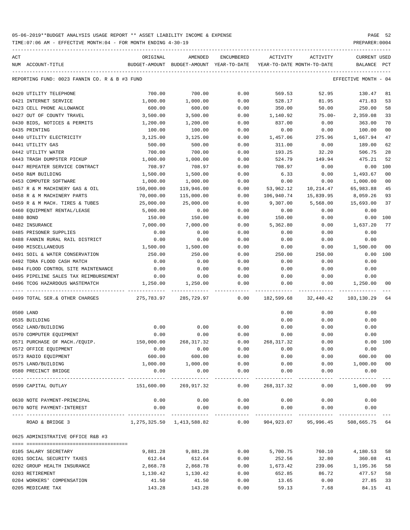TIME:07:06 AM - EFFECTIVE MONTH:04 - FOR MONTH ENDING 4-30-19 PREPARER:0004

| ACT |                                               | ORIGINAL                                 | AMENDED                   | ENCUMBERED       | ACTIVITY                   | ACTIVITY  | <b>CURRENT USED</b>   |                |
|-----|-----------------------------------------------|------------------------------------------|---------------------------|------------------|----------------------------|-----------|-----------------------|----------------|
|     | NUM ACCOUNT-TITLE                             | BUDGET-AMOUNT BUDGET-AMOUNT YEAR-TO-DATE |                           |                  | YEAR-TO-DATE MONTH-TO-DATE |           | BALANCE               | PCT            |
|     | REPORTING FUND: 0023 FANNIN CO. R & B #3 FUND |                                          |                           |                  |                            |           | EFFECTIVE MONTH - 04  |                |
|     | 0420 UTILITY TELEPHONE                        | 700.00                                   | 700.00                    | 0.00             | 569.53                     | 52.95     | 130.47                | 81             |
|     | 0421 INTERNET SERVICE                         | 1,000.00                                 | 1,000.00                  | 0.00             | 528.17                     | 81.95     | 471.83                | 53             |
|     | 0423 CELL PHONE ALLOWANCE                     | 600.00                                   | 600.00                    | 0.00             | 350.00                     | 50.00     | 250.00                | 58             |
|     | 0427 OUT OF COUNTY TRAVEL                     | 3,500.00                                 | 3,500.00                  | 0.00             | 1,140.92                   | $75.00 -$ | 2,359.08              | 33             |
|     | 0430 BIDS, NOTICES & PERMITS                  | 1,200.00                                 | 1,200.00                  | 0.00             | 837.00                     | 0.00      | 363.00                | 70             |
|     | 0435 PRINTING                                 | 100.00                                   | 100.00                    | 0.00             | 0.00                       | 0.00      | 100.00                | 0 <sub>0</sub> |
|     | 0440 UTILITY ELECTRICITY                      | 3,125.00                                 | 3,125.00                  | 0.00             | 1,457.06                   | 275.96    | 1,667.94              | 47             |
|     | 0441 UTILITY GAS                              | 500.00                                   | 500.00                    | 0.00             | 311.00                     | 0.00      | 189.00                | 62             |
|     | 0442 UTILITY WATER                            | 700.00                                   | 700.00                    | 0.00             | 193.25                     | 32.20     | 506.75                | 28             |
|     | 0443 TRASH DUMPSTER PICKUP                    | 1,000.00                                 | 1,000.00                  | 0.00             | 524.79                     | 149.94    | 475.21                | 52             |
|     | 0447 REPEATER SERVICE CONTRACT                | 708.97                                   | 708.97                    | 0.00             | 708.97                     | 0.00      | 0.00                  | 100            |
|     | 0450 R&M BUILDING                             | 1,500.00                                 | 1,500.00                  | 0.00             | 6.33                       | 0.00      | 1,493.67              | 0 <sub>0</sub> |
|     | 0453 COMPUTER SOFTWARE                        | 1,000.00                                 | 1,000.00                  | 0.00             | 0.00                       | 0.00      | 1,000.00              | 0 <sub>0</sub> |
|     | 0457 R & M MACHINERY GAS & OIL                | 150,000.00                               | 119,946.00                | 0.00             | 53,962.12                  | 10,214.47 | 65,983.88             | 45             |
|     | 0458 R & M MACHINERY PARTS                    | 70,000.00                                | 115,000.00                | 0.00             | 106,940.74                 | 15,839.95 | 8,059.26              | 93             |
|     | 0459 R & M MACH. TIRES & TUBES                | 25,000.00                                | 25,000.00                 | 0.00             | 9,307.00                   | 5,568.00  | 15,693.00             | 37             |
|     | 0460 EQUIPMENT RENTAL/LEASE                   | 5,000.00                                 | 0.00                      | 0.00             | 0.00                       | 0.00      | 0.00                  |                |
|     | 0480 BOND                                     | 150.00                                   | 150.00                    | 0.00             | 150.00                     | 0.00      | 0.00 100              |                |
|     | 0482 INSURANCE                                | 7,000.00                                 | 7,000.00                  | 0.00             | 5,362.80                   | 0.00      | 1,637.20              | 77             |
|     | 0485 PRISONER SUPPLIES                        | 0.00                                     | 0.00                      | 0.00             | 0.00                       | 0.00      | 0.00                  |                |
|     | 0488 FANNIN RURAL RAIL DISTRICT               | 0.00                                     | 0.00                      | 0.00             | 0.00                       | 0.00      | 0.00                  |                |
|     | 0490 MISCELLANEOUS                            | 1,500.00                                 | 1,500.00                  | 0.00             | 0.00                       | 0.00      | 1,500.00              | 0 <sub>0</sub> |
|     | 0491 SOIL & WATER CONSERVATION                | 250.00                                   | 250.00                    | 0.00             | 250.00                     | 250.00    | 0.00                  | 100            |
|     | 0492 TDRA FLOOD CASH MATCH                    | 0.00                                     | 0.00                      | 0.00             | 0.00                       | 0.00      | 0.00                  |                |
|     | 0494 FLOOD CONTROL SITE MAINTENANCE           | 0.00                                     | 0.00                      | 0.00             | 0.00                       | 0.00      | 0.00                  |                |
|     | 0495 PIPELINE SALES TAX REIMBURSEMENT         | 0.00                                     | 0.00                      | 0.00             | 0.00                       | 0.00      | 0.00                  |                |
|     | 0496 TCOG HAZARDOUS WASTEMATCH                | 1,250.00                                 | 1,250.00                  | 0.00             | 0.00                       | 0.00      | 1,250.00              | 00             |
|     | 0499 TOTAL SER.& OTHER CHARGES                |                                          | 275,783.97 285,729.97     | 0.00             | 182,599.68                 | 32,440.42 | 103,130.29            | 64             |
|     | 0500 LAND                                     |                                          |                           |                  | 0.00                       | 0.00      | 0.00                  |                |
|     | 0535 BUILDING                                 |                                          |                           |                  | 0.00                       | 0.00      | 0.00                  |                |
|     | 0562 LAND/BUILDING                            | 0.00                                     | 0.00                      | 0.00             | 0.00                       | 0.00      | 0.00                  |                |
|     | 0570 COMPUTER EQUIPMENT                       | 0.00                                     | 0.00                      | 0.00             | 0.00                       | 0.00      | 0.00                  |                |
|     | 0571 PURCHASE OF MACH./EQUIP.                 | 150,000.00                               | 268, 317.32               | 0.00             | 268, 317.32                | 0.00      | 0.00 100              |                |
|     | 0572 OFFICE EQUIPMENT                         | 0.00                                     | 0.00                      | 0.00             | 0.00                       | 0.00      | 0.00                  |                |
|     | 0573 RADIO EQUIPMENT                          | 600.00                                   | 600.00                    | 0.00             | 0.00                       | 0.00      | 600.00                | 0 <sub>0</sub> |
|     | 0575 LAND/BUILDING                            | 1,000.00                                 | 1,000.00                  | 0.00             | 0.00                       | 0.00      | 1,000.00              | 0 <sub>0</sub> |
|     | 0580 PRECINCT BRIDGE                          | 0.00<br>---------                        | 0.00                      | 0.00             | 0.00                       | 0.00<br>. | 0.00                  |                |
|     | 0599 CAPITAL OUTLAY                           | 151,600.00                               | ----------<br>269,917.32  | $------$<br>0.00 | 268,317.32                 | 0.00      | ---------<br>1,600.00 | 99             |
|     | 0630 NOTE PAYMENT-PRINCIPAL                   | 0.00                                     | 0.00                      | 0.00             | 0.00                       | 0.00      | 0.00                  |                |
|     | 0670 NOTE PAYMENT-INTEREST                    | 0.00                                     | 0.00                      | 0.00             | 0.00                       | 0.00      | 0.00                  |                |
|     | ROAD & BRIDGE 3                               |                                          | 1,275,325.50 1,413,588.82 |                  | 0.00 904,923.07 95,996.45  |           | 508,665.75 64         |                |
|     | 0625 ADMINISTRATIVE OFFICE R&B #3             |                                          |                           |                  |                            |           |                       |                |
|     |                                               |                                          |                           |                  |                            |           |                       |                |
|     | 0105 SALARY SECRETARY                         | 9,881.28                                 | 9,881.28                  | 0.00             | 5,700.75                   | 760.10    | 4,180.53              | 58             |
|     | 0201 SOCIAL SECURITY TAXES                    | 612.64                                   | 612.64                    | 0.00             | 252.56                     | 32.80     | 360.08                | 41             |
|     | 0202 GROUP HEALTH INSURANCE                   | 2,868.78                                 | 2,868.78                  | 0.00             | 1,673.42                   | 239.06    | 1,195.36              | 58             |
|     | 0203 RETIREMENT                               | 1,130.42                                 | 1,130.42                  | 0.00             | 652.85                     | 86.72     | 477.57                | 58             |
|     | 0204 WORKERS' COMPENSATION                    | 41.50                                    | 41.50                     | 0.00             | 13.65                      | 0.00      | 27.85                 | 33             |

0205 MEDICARE TAX 64.15 (143.28 143.28 0.00 59.13 7.68 84.15 41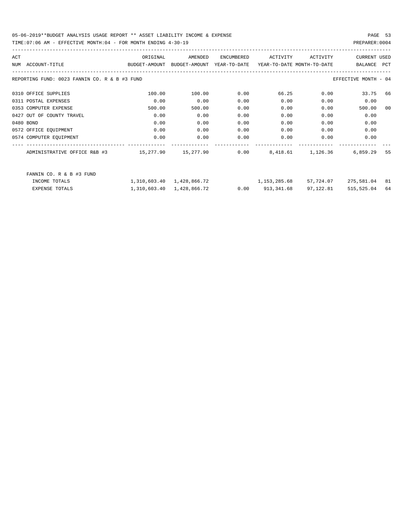TIME:07:06 AM - EFFECTIVE MONTH:04 - FOR MONTH ENDING 4-30-19

| ACT |                                               | ORIGINAL                                                          | AMENDED                   | ENCUMBERED   | ACTIVITY                   | ACTIVITY  | <b>CURRENT USED</b>  |            |
|-----|-----------------------------------------------|-------------------------------------------------------------------|---------------------------|--------------|----------------------------|-----------|----------------------|------------|
|     | NUM ACCOUNT-TITLE                             | BUDGET-AMOUNT BUDGET-AMOUNT                                       |                           | YEAR-TO-DATE | YEAR-TO-DATE MONTH-TO-DATE |           | BALANCE              | <b>PCT</b> |
|     | REPORTING FUND: 0023 FANNIN CO. R & B #3 FUND |                                                                   |                           |              |                            |           | EFFECTIVE MONTH - 04 |            |
|     | 0310 OFFICE SUPPLIES                          | 100.00                                                            | 100.00                    | 0.00         | 66.25                      | 0.00      | 33.75 66             |            |
|     | 0311 POSTAL EXPENSES                          | 0.00                                                              | 0.00                      | 0.00         | 0.00                       | 0.00      | 0.00                 |            |
|     | 0353 COMPUTER EXPENSE                         | 500.00                                                            | 500.00                    | 0.00         | 0.00                       | 0.00      | 500.00               | 00         |
|     | 0427 OUT OF COUNTY TRAVEL                     | 0.00                                                              | 0.00                      | 0.00         | 0.00                       | 0.00      | 0.00                 |            |
|     | 0480 BOND                                     | 0.00                                                              | 0.00                      | 0.00         | 0.00                       | 0.00      | 0.00                 |            |
|     | 0572 OFFICE EQUIPMENT                         | 0.00                                                              | 0.00                      | 0.00         | 0.00                       | 0.00      | 0.00                 |            |
|     | 0574 COMPUTER EQUIPMENT                       | 0.00                                                              | 0.00                      | 0.00         | 0.00                       | 0.00      | 0.00                 |            |
|     | ADMINISTRATIVE OFFICE R&B #3                  | 15,277.90   15,277.90     0.00    8,418.61   1,126.36    6,859.29 |                           |              |                            |           |                      | 55         |
|     | FANNIN CO. R & B #3 FUND                      |                                                                   |                           |              |                            |           |                      |            |
|     | INCOME TOTALS                                 |                                                                   | 1,310,603.40 1,428,866.72 |              | 1,153,285.68               | 57,724.07 | 275,581.04           | 81         |
|     | <b>EXPENSE TOTALS</b>                         |                                                                   | 1,310,603.40 1,428,866.72 |              | $0.00$ $913,341.68$        | 97,122.81 | 515,525.04           | 64         |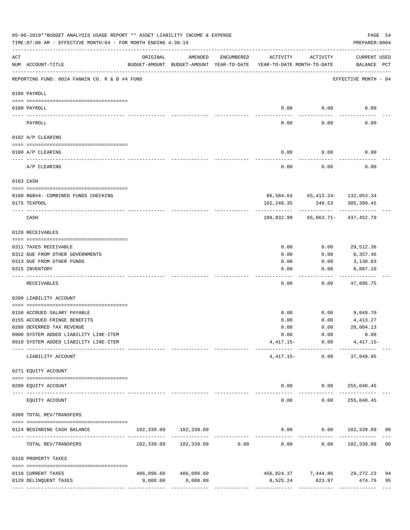|          | 05-06-2019**BUDGET ANALYSIS USAGE REPORT ** ASSET LIABILITY INCOME & EXPENSE<br>TIME: 07:06 AM - EFFECTIVE MONTH: 04 - FOR MONTH ENDING 4-30-19 |                                                      |                            |                                |                                        |                                            | PAGE 54<br>PREPARER: 0004          |    |
|----------|-------------------------------------------------------------------------------------------------------------------------------------------------|------------------------------------------------------|----------------------------|--------------------------------|----------------------------------------|--------------------------------------------|------------------------------------|----|
| ACT      | NUM ACCOUNT-TITLE                                                                                                                               | ORIGINAL<br>BUDGET-AMOUNT BUDGET-AMOUNT YEAR-TO-DATE | AMENDED                    | ENCUMBERED                     | ACTIVITY<br>YEAR-TO-DATE MONTH-TO-DATE | ACTIVITY                                   | <b>CURRENT USED</b><br>BALANCE PCT |    |
|          | REPORTING FUND: 0024 FANNIN CO. R & B #4 FUND                                                                                                   |                                                      |                            |                                |                                        |                                            | EFFECTIVE MONTH - 04               |    |
|          | 0100 PAYROLL                                                                                                                                    |                                                      |                            |                                |                                        |                                            |                                    |    |
|          | 0100 PAYROLL                                                                                                                                    |                                                      |                            |                                |                                        | $0.00$ 0.00                                | 0.00                               |    |
| -------- | PAYROLL                                                                                                                                         |                                                      |                            |                                | 0.00                                   | 0.00                                       | 0.00                               |    |
|          | 0102 A/P CLEARING                                                                                                                               |                                                      |                            |                                |                                        |                                            |                                    |    |
|          | 0100 A/P CLEARING                                                                                                                               |                                                      |                            |                                | 0.00                                   | 0.00                                       | 0.00                               |    |
|          | A/P CLEARING                                                                                                                                    |                                                      |                            |                                | 0.00                                   | 0.00                                       | 0.00                               |    |
|          | 0103 CASH                                                                                                                                       |                                                      |                            |                                |                                        |                                            |                                    |    |
|          | 0100 R&B#4- COMBINED FUNDS CHECKING                                                                                                             |                                                      |                            |                                |                                        | 86,584.64 65,413.24- 132,053.34            |                                    |    |
|          | 0175 TEXPOOL                                                                                                                                    |                                                      |                            |                                | 102,248.35                             | 349.53                                     | 305,399.45                         |    |
|          | CASH                                                                                                                                            |                                                      |                            |                                |                                        | 188,832.99 65,063.71- 437,452.79           |                                    |    |
|          | 0120 RECEIVABLES                                                                                                                                |                                                      |                            |                                |                                        |                                            |                                    |    |
|          | 0311 TAXES RECEIVABLE                                                                                                                           |                                                      |                            |                                | 0.00                                   | 0.00                                       | 29,512.36                          |    |
|          | 0312 DUE FROM OTHER GOVERNMENTS                                                                                                                 |                                                      |                            |                                | 0.00                                   | 0.00                                       | 8,357.46                           |    |
|          | 0313 DUE FROM OTHER FUNDS                                                                                                                       |                                                      |                            |                                | 0.00                                   | 0.00                                       | 3,138.83                           |    |
|          | 0315 INVENTORY                                                                                                                                  |                                                      |                            |                                | 0.00                                   | 0.00                                       | 6,887.10                           |    |
|          | RECEIVABLES                                                                                                                                     |                                                      |                            |                                | 0.00                                   | 0.00                                       | 47,895.75                          |    |
|          | 0200 LIABILITY ACCOUNT                                                                                                                          |                                                      |                            |                                |                                        |                                            |                                    |    |
|          | 0150 ACCRUED SALARY PAYABLE                                                                                                                     |                                                      |                            |                                | 0.00                                   |                                            | $0.00$ 9,049.70                    |    |
|          | 0155 ACCRUED FRINGE BENEFITS                                                                                                                    |                                                      |                            |                                | 0.00                                   | 0.00                                       | 4,413.27                           |    |
|          | 0200 DEFERRED TAX REVENUE                                                                                                                       |                                                      |                            |                                | 0.00                                   | 0.00                                       | 28,004.13                          |    |
|          | 0900 SYSTEM ADDED LIABILITY LINE-ITEM                                                                                                           |                                                      |                            |                                | 0.00                                   | 0.00                                       | 0.00                               |    |
|          | 0910 SYSTEM ADDED LIABILITY LINE-ITEM                                                                                                           |                                                      |                            |                                |                                        | $4,417.15 - 0.00$<br>-------- ------------ | $4,417.15-$                        |    |
|          | LIABILITY ACCOUNT                                                                                                                               |                                                      |                            |                                | $4,417.15-$                            | 0.00                                       | 37,049.95                          |    |
|          | 0271 EQUITY ACCOUNT                                                                                                                             |                                                      |                            |                                |                                        |                                            |                                    |    |
|          | 0200 EQUITY ACCOUNT<br>---- --------------                                                                                                      |                                                      | <u>La de de de de dece</u> |                                | -----                                  | $0.00$ $0.00$ $255,048.45$<br>----------   | ____________                       |    |
|          | EQUITY ACCOUNT                                                                                                                                  |                                                      |                            |                                | 0.00                                   | 0.00                                       | 255,048.45                         |    |
|          | 0300 TOTAL REV/TRANSFERS                                                                                                                        |                                                      |                            |                                |                                        |                                            |                                    |    |
|          | 0124 BEGINNING CASH BALANCE                                                                                                                     |                                                      | 102,339.09 102,339.09      | ------------------------------ |                                        |                                            | $0.00$ $0.00$ $102,339.09$ 00      |    |
|          | TOTAL REV/TRANSFERS                                                                                                                             |                                                      | 102,339.09 102,339.09 0.00 |                                | 0.00                                   | 0.00                                       | 102,339.09 00                      |    |
|          | 0310 PROPERTY TAXES                                                                                                                             |                                                      |                            |                                |                                        |                                            |                                    |    |
|          | 0110 CURRENT TAXES                                                                                                                              |                                                      | 486,096.60 486,096.60      |                                |                                        |                                            | 456,824.37 7,444.86 29,272.23      | 94 |
|          | 0120 DELINQUENT TAXES                                                                                                                           | 9,000.00                                             | 9,000.00                   |                                |                                        | 8,525.24 823.97 474.76                     |                                    | 95 |
|          |                                                                                                                                                 |                                                      |                            |                                |                                        |                                            |                                    |    |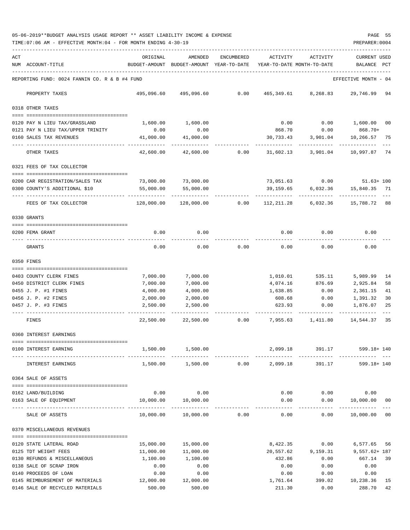05-06-2019\*\*BUDGET ANALYSIS USAGE REPORT \*\* ASSET LIABILITY INCOME & EXPENSE PAGE 55 TIME:07:06 AM - EFFECTIVE MONTH:04 - FOR MONTH ENDING 4-30-19 PREPARER:0004

| ACT | NUM ACCOUNT-TITLE                                                | ORIGINAL                                           | AMENDED<br>BUDGET-AMOUNT BUDGET-AMOUNT YEAR-TO-DATE | ENCUMBERED | ACTIVITY             | ACTIVITY<br>YEAR-TO-DATE MONTH-TO-DATE | <b>CURRENT USED</b><br>BALANCE            | $_{\rm PCT}$ |
|-----|------------------------------------------------------------------|----------------------------------------------------|-----------------------------------------------------|------------|----------------------|----------------------------------------|-------------------------------------------|--------------|
|     | REPORTING FUND: 0024 FANNIN CO. R & B #4 FUND                    |                                                    |                                                     |            |                      |                                        | EFFECTIVE MONTH - 04                      |              |
|     | PROPERTY TAXES                                                   | 495,096.60                                         | 495,096.60                                          | 0.00       | 465,349.61           | 8,268.83                               | 29,746.99                                 | 94           |
|     | 0318 OTHER TAXES                                                 |                                                    |                                                     |            |                      |                                        |                                           |              |
|     | 0120 PAY N LIEU TAX/GRASSLAND                                    | 1,600.00                                           | 1,600.00                                            |            | 0.00                 | 0.00                                   | 1,600.00 00                               |              |
|     | 0121 PAY N LIEU TAX/UPPER TRINITY                                | 0.00                                               | 0.00                                                |            | 868.70               | 0.00                                   | 868.70+                                   |              |
|     | 0160 SALES TAX REVENUES                                          | 41,000.00                                          | 41,000.00                                           |            | 30,733.43            | 3,901.04                               | 10,266.57                                 | 75           |
|     | OTHER TAXES                                                      | 42,600.00                                          | 42,600.00                                           | 0.00       | 31,602.13            | 3,901.04                               | ---------<br>10,997.87 74                 |              |
|     | 0321 FEES OF TAX COLLECTOR                                       |                                                    |                                                     |            |                      |                                        |                                           |              |
|     |                                                                  |                                                    |                                                     |            |                      |                                        |                                           |              |
|     | 0200 CAR REGISTRATION/SALES TAX<br>0300 COUNTY'S ADDITIONAL \$10 | 73,000.00<br>55,000.00                             | 73,000.00<br>55,000.00                              |            | 39,159.65            | 6,032.36                               | 73,051.63 0.00 51.63+ 100<br>15,840.35 71 |              |
|     |                                                                  |                                                    |                                                     |            |                      |                                        |                                           |              |
|     | FEES OF TAX COLLECTOR                                            | 128,000.00                                         | 128,000.00                                          | 0.00       | 112,211.28           | 6,032.36                               | 15,788.72 88                              |              |
|     | 0330 GRANTS                                                      |                                                    |                                                     |            |                      |                                        |                                           |              |
|     |                                                                  |                                                    |                                                     |            |                      |                                        |                                           |              |
|     | 0200 FEMA GRANT                                                  | 0.00                                               | 0.00                                                |            | 0.00                 | 0.00                                   | 0.00                                      |              |
|     | GRANTS                                                           | 0.00                                               | 0.00                                                | 0.00       | 0.00                 | 0.00                                   | 0.00                                      |              |
|     | 0350 FINES                                                       |                                                    |                                                     |            |                      |                                        |                                           |              |
|     |                                                                  |                                                    |                                                     |            |                      |                                        |                                           |              |
|     | 0403 COUNTY CLERK FINES<br>0450 DISTRICT CLERK FINES             | 7,000.00<br>7,000.00                               | 7,000.00<br>7,000.00                                |            | 1,010.01<br>4,074.16 | 535.11<br>876.69                       | 5,989.99<br>2,925.84                      | 14<br>58     |
|     | 0455 J. P. #1 FINES                                              | 4,000.00                                           | 4,000.00                                            |            | 1,638.85             | 0.00                                   | 2,361.15                                  | 41           |
|     | 0456 J. P. #2 FINES                                              | 2,000.00                                           | 2,000.00                                            |            | 608.68               | 0.00                                   | 1,391.32                                  | 30           |
|     | 0457 J. P. #3 FINES                                              | 2,500.00                                           | 2,500.00                                            |            | 623.93               | 0.00                                   | 1,876.07                                  | 25           |
|     | FINES                                                            | 22,500.00                                          | 22,500.00                                           | 0.00       | 7,955.63             | 1,411.80                               | 14,544.37                                 | 35           |
|     | 0360 INTEREST EARNINGS                                           |                                                    |                                                     |            |                      |                                        |                                           |              |
|     | 0100 INTEREST EARNING                                            | 1,500.00                                           | 1,500.00                                            |            | 2,099.18             | 391.17                                 | 599.18+ 140                               |              |
|     |                                                                  |                                                    |                                                     |            |                      |                                        |                                           |              |
|     | INTEREST EARNINGS                                                |                                                    | 1,500.00 1,500.00                                   | 0.00       | 2,099.18             | 391.17                                 | 599.18+ 140                               |              |
|     | 0364 SALE OF ASSETS                                              |                                                    |                                                     |            |                      |                                        |                                           |              |
|     | 0162 LAND/BUILDING                                               | 0.00                                               | 0.00                                                |            | 0.00                 | 0.00                                   | 0.00                                      |              |
|     | 0163 SALE OF EQUIPMENT                                           | 10,000.00                                          | 10,000.00                                           |            | 0.00                 | 0.00                                   | 10,000.00 00                              |              |
|     | --- --------------<br>SALE OF ASSETS                             | --------------------- ---------------<br>10,000.00 | -------------<br>10,000.00                          | 0.00       | 0.00                 | -----<br>0.00                          | -----------<br>10,000.00                  | $00\,$       |
|     |                                                                  |                                                    |                                                     |            |                      |                                        |                                           |              |
|     | 0370 MISCELLANEOUS REVENUES                                      |                                                    |                                                     |            |                      |                                        |                                           |              |
|     | 0120 STATE LATERAL ROAD                                          | 15,000.00                                          | 15,000.00                                           |            | 8,422.35             |                                        | 0.00<br>6,577.65                          | 56           |
|     | 0125 TDT WEIGHT FEES                                             | 11,000.00                                          | 11,000.00                                           |            | 20,557.62            | 9,159.31                               | $9,557.62 + 187$                          |              |
|     | 0130 REFUNDS & MISCELLANEOUS                                     | 1,100.00                                           | 1,100.00                                            |            | 432.86               | 0.00                                   | 667.14                                    | 39           |
|     | 0138 SALE OF SCRAP IRON                                          | 0.00                                               | 0.00                                                |            | 0.00                 | 0.00                                   | 0.00                                      |              |
|     | 0140 PROCEEDS OF LOAN                                            | 0.00                                               | 0.00                                                |            | 0.00                 | 0.00                                   | 0.00                                      |              |
|     | 0145 REIMBURSEMENT OF MATERIALS                                  | 12,000.00                                          | 12,000.00                                           |            | 1,761.64             | 399.02                                 | 10,238.36                                 | 15           |
|     | 0146 SALE OF RECYCLED MATERIALS                                  | 500.00                                             | 500.00                                              |            | 211.30               | 0.00                                   | 288.70                                    | 42           |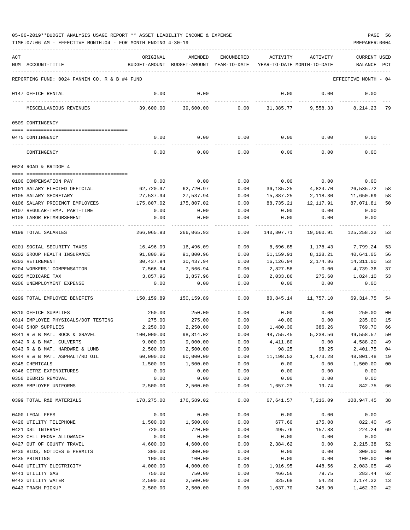TIME:07:06 AM - EFFECTIVE MONTH:04 - FOR MONTH ENDING 4-30-19 PREPARER:0004

| ACT |                                               | ORIGINAL   | AMENDED                                  | <b>ENCUMBERED</b>   | ACTIVITY   | ACTIVITY                   | <b>CURRENT USED</b>  |     |
|-----|-----------------------------------------------|------------|------------------------------------------|---------------------|------------|----------------------------|----------------------|-----|
|     | NUM ACCOUNT-TITLE                             |            | BUDGET-AMOUNT BUDGET-AMOUNT YEAR-TO-DATE |                     |            | YEAR-TO-DATE MONTH-TO-DATE | BALANCE              | PCT |
|     | REPORTING FUND: 0024 FANNIN CO. R & B #4 FUND |            |                                          |                     |            |                            | EFFECTIVE MONTH - 04 |     |
|     | 0147 OFFICE RENTAL                            | 0.00       | 0.00                                     |                     | 0.00       | 0.00                       | 0.00                 |     |
|     | MISCELLANEOUS REVENUES                        | 39,600.00  | 39,600.00                                | 0.00                | 31,385.77  | 9,558.33                   | 8,214.23             | 79  |
|     | 0509 CONTINGENCY                              |            |                                          |                     |            |                            |                      |     |
|     | 0475 CONTINGENCY                              | 0.00       | 0.00                                     | 0.00                |            | $0.00$ 0.00                | 0.00                 |     |
|     |                                               |            |                                          |                     |            |                            |                      |     |
|     | CONTINGENCY                                   | 0.00       | 0.00                                     | 0.00                | 0.00       | 0.00                       | 0.00                 |     |
|     | 0624 ROAD & BRIDGE 4                          |            |                                          |                     |            |                            |                      |     |
|     | 0100 COMPENSATION PAY                         | 0.00       | 0.00                                     | 0.00                | 0.00       | 0.00                       | 0.00                 |     |
|     | 0101 SALARY ELECTED OFFICIAL                  | 62,720.97  | 62,720.97                                | 0.00                | 36,185.25  | 4,824.70                   | 26,535.72            | 58  |
|     | 0105 SALARY SECRETARY                         | 27,537.94  | 27,537.94                                | 0.00                | 15,887.25  | 2,118.30                   | 11,650.69            | 58  |
|     | 0106 SALARY PRECINCT EMPLOYEES                | 175,807.02 | 175,807.02                               | 0.00                | 88,735.21  | 12,117.91                  | 87,071.81            | 50  |
|     | 0107 REGULAR-TEMP. PART-TIME                  | 0.00       | 0.00                                     | 0.00                | 0.00       | 0.00                       | 0.00                 |     |
|     | 0108 LABOR REIMBURSEMENT                      | 0.00       | 0.00                                     | 0.00                | 0.00       | 0.00                       | 0.00                 |     |
|     | 0199 TOTAL SALARIES                           | 266,065.93 | 266,065.93                               | 0.00                | 140,807.71 | 19,060.91                  | 125,258.22           | 53  |
|     | 0201 SOCIAL SECURITY TAXES                    | 16,496.09  | 16,496.09                                | 0.00                | 8,696.85   | 1,178.43                   | 7,799.24             | 53  |
|     | 0202 GROUP HEALTH INSURANCE                   | 91,800.96  | 91,800.96                                | 0.00                | 51,159.91  | 8,128.21                   | 40,641.05            | 56  |
|     | 0203 RETIREMENT                               | 30,437.94  | 30,437.94                                | 0.00                | 16,126.94  | 2,174.86                   | 14,311.00            | 53  |
|     | 0204 WORKERS' COMPENSATION                    | 7,566.94   | 7,566.94                                 | 0.00                | 2,827.58   | 0.00                       | 4,739.36             | 37  |
|     | 0205 MEDICARE TAX                             | 3,857.96   | 3,857.96                                 | 0.00                | 2,033.86   | 275.60                     | 1,824.10             | 53  |
|     | 0206 UNEMPLOYMENT EXPENSE                     | 0.00       | 0.00                                     | 0.00                | 0.00       | 0.00                       | 0.00                 |     |
|     | 0299 TOTAL EMPLOYEE BENEFITS                  | 150,159.89 | 150,159.89                               | 0.00                | 80,845.14  | 11,757.10                  | 69, 314.75           | 54  |
|     | 0310 OFFICE SUPPLIES                          | 250.00     | 250.00                                   | 0.00                | 0.00       | 0.00                       | 250.00               | 00  |
|     | 0314 EMPLOYEE PHYSICALS/DOT TESTING           | 275.00     | 275.00                                   | 0.00                | 40.00      | 0.00                       | 235.00               | 15  |
|     | 0340 SHOP SUPPLIES                            | 2,250.00   | 2,250.00                                 | 0.00                |            | 1,480.30 386.26            | 769.70               | 66  |
|     | 0341 R & B MAT. ROCK & GRAVEL                 | 100,000.00 | 98, 314.02                               | 0.00                | 48,755.45  | 5,238.56                   | 49,558.57            | 50  |
|     | 0342 R & B MAT. CULVERTS                      | 9.000.00   | 9,000.00                                 | 0.00                | 4,411.80   | 0.00                       | 4,588.20             | 49  |
|     | 0343 R & B MAT. HARDWRE & LUMB                | 2,500.00   | 2,500.00                                 | 0.00                | 98.25      | 98.25                      | 2,401.75 04          |     |
|     | 0344 R & B MAT. ASPHALT/RD OIL                | 60,000.00  | 60,000.00                                | 0.00                | 11,198.52  | 1,473.28                   | 48,801.48            | 19  |
|     | 0345 CHEMICALS                                | 1,500.00   | 1,500.00                                 | 0.00                | 0.00       | 0.00                       | 1,500.00             | 00  |
|     | 0346 CETRZ EXPENDITURES                       | 0.00       | 0.00                                     | 0.00                | 0.00       | 0.00                       | 0.00                 |     |
|     | 0350 DEBRIS REMOVAL<br>0395 EMPLOYEE UNIFORMS | 0.00       | 0.00                                     | 0.00                | 0.00       | 0.00                       | 0.00                 |     |
|     |                                               | 2,500.00   | 2,500.00<br>------------                 | 0.00<br>$- - - - -$ | 1,657.25   | 19.74                      | 842.75               | 66  |
|     | 0399 TOTAL R&B MATERIALS                      | 178,275.00 | 176,589.02                               | 0.00                | 67,641.57  | 7,216.09                   | 108,947.45 38        |     |
|     | 0400 LEGAL FEES                               | 0.00       | 0.00                                     | 0.00                | 0.00       | 0.00                       | 0.00                 |     |
|     | 0420 UTILITY TELEPHONE                        | 1,500.00   | 1,500.00                                 | 0.00                | 677.60     | 175.08                     | 822.40               | 45  |
|     | 0421 DSL INTERNET                             | 720.00     | 720.00                                   | 0.00                | 495.76     | 157.88                     | 224.24               | 69  |
|     | 0423 CELL PHONE ALLOWANCE                     | 0.00       | 0.00                                     | 0.00                | 0.00       | 0.00                       | 0.00                 |     |
|     | 0427 OUT OF COUNTY TRAVEL                     | 4,600.00   | 4,600.00                                 | 0.00                | 2,384.62   | 0.00                       | 2,215.38             | 52  |
|     | 0430 BIDS, NOTICES & PERMITS                  | 300.00     | 300.00                                   | 0.00                | 0.00       | 0.00                       | 300.00               | 00  |
|     | 0435 PRINTING                                 | 100.00     | 100.00                                   | 0.00                | 0.00       | 0.00                       | 100.00               | 00  |
|     | 0440 UTILITY ELECTRICITY                      | 4,000.00   | 4,000.00                                 | 0.00                | 1,916.95   | 448.56                     | 2,083.05             | 48  |
|     | 0441 UTILITY GAS                              | 750.00     | 750.00                                   | 0.00                | 466.56     | 79.75                      | 283.44               | 62  |
|     | 0442 UTILITY WATER                            | 2,500.00   | 2,500.00                                 | 0.00                | 325.68     | 54.28                      | 2,174.32             | 13  |
|     | 0443 TRASH PICKUP                             | 2,500.00   | 2,500.00                                 | 0.00                | 1,037.70   | 345.90                     | 1,462.30 42          |     |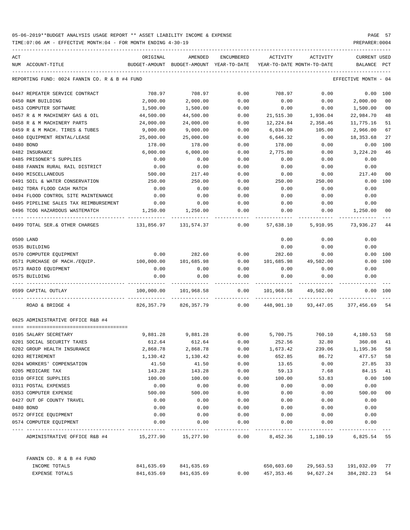TIME:07:06 AM - EFFECTIVE MONTH:04 - FOR MONTH ENDING 4-30-19 PREPARER:0004

----------------------------------------------------------------------------------------------------------------------------------- ACT ORIGINAL AMENDED ENCUMBERED ACTIVITY ACTIVITY CURRENT USED NUM ACCOUNT-TITLE BUDGET-AMOUNT BUDGET-AMOUNT YEAR-TO-DATE YEAR-TO-DATE MONTH-TO-DATE BALANCE PCT ----------------------------------------------------------------------------------------------------------------------------------- REPORTING FUND: 0024 FANNIN CO. R & B #4 FUND COORS AND REPORTING MONTH - 04 0447 REPEATER SERVICE CONTRACT 708.97 708.97 0.00 708.97 0.00 0.00 100 0450 R&M BUILDING 2,000.00 2,000.00 0.00 0.00 0.00 2,000.00 00 0453 COMPUTER SOFTWARE 1,500.00 1,500.00 0.00 0.00 0.00 1,500.00 00 0457 R & M MACHINERY GAS & OIL 44,500.00 44,500.00 0.00 21,515.30 1,936.04 22,984.70 48 0458 R & M MACHINERY PARTS 24,000.00 24,000.00 0.00 12,224.84 2,358.46 11,775.16 51 0459 R & M MACH. TIRES & TUBES 9,000.00 9,000.00 0.00 6,034.00 105.00 2,966.00 67 0460 EQUIPMENT RENTAL/LEASE 25,000.00 25,000.00 0.00 6,646.32 0.00 18,353.68 27 0480 BOND 178.00 178.00 0.00 178.00 0.00 0.00 100 0482 INSURANCE 6,000.00 6,000.00 0.00 2,775.80 0.00 3,224.20 46 0485 PRISONER'S SUPPLIES 0.00 0.00 0.00 0.00 0.00 0.00 0488 FANNIN RURAL RAIL DISTRICT 0.00 0.00 0.00 0.00 0.00 0.00 0490 MISCELLANEOUS 500.00 217.40 0.00 0.00 0.00 217.40 00 0491 SOIL & WATER CONSERVATION 250.00 250.00 0.00 250.00 250.00 0.00 100 0492 TDRA FLOOD CASH MATCH 0.00 0.00 0.00 0.00 0.00 0.00 0494 FLOOD CONTROL SITE MAINTENANCE 0.00 0.00 0.00 0.00 0.00 0.00 0495 PIPELINE SALES TAX REIMBURSEMENT  $0.00$  0.00 0.00 0.00 0.00 0.00 0.00 0496 TCOG HAZARDOUS WASTEMATCH 1,250.00 1,250.00 0.00 0.00 0.00 1,250.00 00 ---- ---------------------------------- ------------- ------------- ------------ ------------- ------------ ------------- --- 0499 TOTAL SER.& OTHER CHARGES 131,856.97 131,574.37 0.00 57,638.10 5,910.95 73,936.27 44 0500 LAND 0.00 0.00 0.00 0535 BUILDING 0.00 0.00 0.00 0570 COMPUTER EQUIPMENT 0.00 282.60 0.00 282.60 0.00 0.00 100 0571 PURCHASE OF MACH./EQUIP. 100,000.00 101,685.98 0.00 101,685.98 49,502.00 0.00 100 0573 RADIO EQUIPMENT 0.00 0.00 0.00 0.00 0.00 0.00 0575 BUILDING 0.00 0.00 0.00 0.00 0.00 0.00 ---- ---------------------------------- ------------- ------------- ------------ ------------- ------------ ------------- --- 0599 CAPITAL OUTLAY 100,000.00 101,968.58 0.00 101,968.58 49,502.00 0.00 100 ---- ---------------------------------- ------------- ------------- ------------ ------------- ------------ ------------- --- ROAD & BRIDGE 4 626,357.79 826,357.79 826,357.79 0.00 448,901.10 93,447.05 377,456.69 54 0625 ADMINISTRATIVE OFFICE R&B #4 ==== =================================== 0105 SALARY SECRETARY 9,881.28 9,881.28 0.00 5,700.75 760.10 4,180.53 58 0201 SOCIAL SECURITY TAXES 612.64 612.64 0.00 252.56 32.80 360.08 41 0202 GROUP HEALTH INSURANCE 2,868.78 2,868.78 0.00 1,673.42 239.06 1,195.36 58 0203 RETIREMENT 1,130.42 1,130.42 0.00 652.85 86.72 477.57 58 0204 WORKERS' COMPENSATION 41.50 41.50 0.00 13.65 0.00 27.85 33 0205 MEDICARE TAX 143.28 143.28 0.00 59.13 7.68 84.15 41 0310 OFFICE SUPPLIES 100.00 100.00 0.00 100.00 53.83 0.00 100 0311 POSTAL EXPENSES 0.00 0.00 0.00 0.00 0.00 0.00 0353 COMPUTER EXPENSE 500.00 500.00 0.00 0.00 0.00 500.00 00 0427 OUT OF COUNTY TRAVEL 0.00 0.00 0.00 0.00 0.00 0.00 0480 BOND 0.00 0.00 0.00 0.00 0.00 0.00 0572 OFFICE EQUIPMENT 0.00 0.00 0.00 0.00 0.00 0.00 0574 COMPUTER EQUIPMENT 0.00 0.00 0.00 0.00 0.00 0.00 ---- ---------------------------------- ------------- ------------- ------------ ------------- ------------ ------------- --- ADMINISTRATIVE OFFICE R&B #4 15,277.90 15,277.90 0.00 8,452.36 1,180.19 6,825.54 55 FANNIN CO. R & B #4 FUND

| INCOME TOTALS  | 841,635.69 | 841,635.69 |      | 650,603.60 | 29,563.53 | 191,032.09      | 77 |
|----------------|------------|------------|------|------------|-----------|-----------------|----|
| EXPENSE TOTALS | 841,635.69 | 841,635.69 | 0.00 | 457,353.46 | 94,627.24 | 384, 282, 23 54 |    |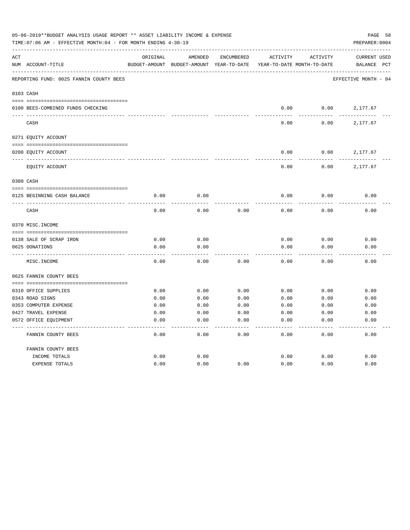|     | 05-06-2019**BUDGET ANALYSIS USAGE REPORT ** ASSET LIABILITY INCOME & EXPENSE<br>TIME: 07:06 AM - EFFECTIVE MONTH: 04 - FOR MONTH ENDING 4-30-19 |               |                            |                   |                            |                 | PAGE 58<br>PREPARER: 0004 |
|-----|-------------------------------------------------------------------------------------------------------------------------------------------------|---------------|----------------------------|-------------------|----------------------------|-----------------|---------------------------|
| ACT |                                                                                                                                                 | ORIGINAL      | AMENDED                    | <b>ENCUMBERED</b> | ACTIVITY                   | <b>ACTIVITY</b> | <b>CURRENT USED</b>       |
|     | NUM ACCOUNT-TITLE                                                                                                                               | BUDGET-AMOUNT | BUDGET-AMOUNT YEAR-TO-DATE |                   | YEAR-TO-DATE MONTH-TO-DATE |                 | BALANCE PCT               |
|     | REPORTING FUND: 0025 FANNIN COUNTY BEES                                                                                                         |               |                            |                   |                            |                 | EFFECTIVE MONTH - 04      |
|     | 0103 CASH                                                                                                                                       |               |                            |                   |                            |                 |                           |
|     | 0100 BEES-COMBINED FUNDS CHECKING                                                                                                               |               |                            |                   | 0.00                       | 0.00            | 2,177.67                  |
|     | CASH                                                                                                                                            |               |                            |                   | 0.00                       | 0.00            | 2,177.67                  |
|     | 0271 EQUITY ACCOUNT                                                                                                                             |               |                            |                   |                            |                 |                           |
|     |                                                                                                                                                 |               |                            |                   |                            |                 |                           |
|     | 0200 EQUITY ACCOUNT                                                                                                                             |               |                            |                   | 0.00                       | 0.00            | 2,177.67                  |
|     | EQUITY ACCOUNT                                                                                                                                  |               |                            |                   | 0.00                       | 0.00            | 2,177.67                  |
|     | 0300 CASH                                                                                                                                       |               |                            |                   |                            |                 |                           |
|     |                                                                                                                                                 |               |                            |                   |                            |                 |                           |
|     | 0125 BEGINNING CASH BALANCE                                                                                                                     | 0.00          | 0.00                       |                   | 0.00                       | 0.00            | 0.00                      |
|     | CASH                                                                                                                                            | 0.00          | 0.00                       | 0.00              | 0.00                       | 0.00            | 0.00                      |
|     | 0370 MISC. INCOME                                                                                                                               |               |                            |                   |                            |                 |                           |
|     |                                                                                                                                                 |               |                            |                   |                            |                 |                           |
|     | 0138 SALE OF SCRAP IRON                                                                                                                         | 0.00          | 0.00                       |                   | 0.00                       | 0.00            | 0.00                      |
|     | 0625 DONATIONS                                                                                                                                  | 0.00          | 0.00                       |                   | 0.00                       | 0.00            | 0.00                      |
|     | MISC. INCOME                                                                                                                                    | 0.00          | 0.00                       | 0.00              | 0.00                       | 0.00            | 0.00                      |
|     | 0625 FANNIN COUNTY BEES                                                                                                                         |               |                            |                   |                            |                 |                           |
|     | 0310 OFFICE SUPPLIES                                                                                                                            | 0.00          | 0.00                       | 0.00              | 0.00                       | 0.00            | 0.00                      |
|     | 0343 ROAD SIGNS                                                                                                                                 | 0.00          | 0.00                       | 0.00              | 0.00                       | 0.00            | 0.00                      |
|     | 0353 COMPUTER EXPENSE                                                                                                                           | 0.00          | 0.00                       | 0.00              | 0.00                       | 0.00            | 0.00                      |
|     | 0427 TRAVEL EXPENSE                                                                                                                             | 0.00          | 0.00                       | 0.00              | 0.00                       | 0.00            | 0.00                      |
|     | 0572 OFFICE EQUIPMENT                                                                                                                           | 0.00          | 0.00                       | 0.00              | 0.00                       | 0.00            | 0.00                      |
|     | FANNIN COUNTY BEES                                                                                                                              | 0.00          | 0.00                       | 0.00              | 0.00                       | 0.00            | 0.00                      |
|     | FANNIN COUNTY BEES                                                                                                                              |               |                            |                   |                            |                 |                           |
|     | INCOME TOTALS                                                                                                                                   | 0.00          | 0.00                       |                   | 0.00                       | 0.00            | 0.00                      |
|     | <b>EXPENSE TOTALS</b>                                                                                                                           | 0.00          | 0.00                       | 0.00              | 0.00                       | 0.00            | 0.00                      |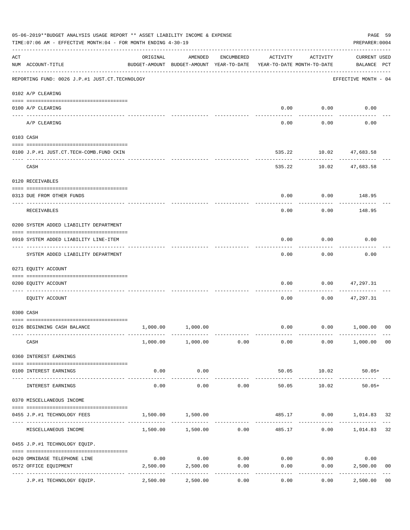|     | 05-06-2019**BUDGET ANALYSIS USAGE REPORT ** ASSET LIABILITY INCOME & EXPENSE<br>TIME: 07:06 AM - EFFECTIVE MONTH: 04 - FOR MONTH ENDING 4-30-19 |                                        |                                                                                |            |          |                     | PAGE 59<br>PREPARER: 0004          |                |
|-----|-------------------------------------------------------------------------------------------------------------------------------------------------|----------------------------------------|--------------------------------------------------------------------------------|------------|----------|---------------------|------------------------------------|----------------|
| ACT | NUM ACCOUNT-TITLE                                                                                                                               | ORIGINAL                               | AMENDED<br>BUDGET-AMOUNT BUDGET-AMOUNT YEAR-TO-DATE YEAR-TO-DATE MONTH-TO-DATE | ENCUMBERED | ACTIVITY | ACTIVITY            | <b>CURRENT USED</b><br>BALANCE PCT |                |
|     | REPORTING FUND: 0026 J.P.#1 JUST.CT.TECHNOLOGY                                                                                                  |                                        |                                                                                |            |          |                     | EFFECTIVE MONTH - 04               |                |
|     | 0102 A/P CLEARING                                                                                                                               |                                        |                                                                                |            |          |                     |                                    |                |
|     | 0100 A/P CLEARING                                                                                                                               |                                        |                                                                                |            |          | $0.00$ $0.00$       | 0.00                               |                |
|     | A/P CLEARING                                                                                                                                    |                                        |                                                                                |            | 0.00     | 0.00                | 0.00                               |                |
|     | 0103 CASH                                                                                                                                       |                                        |                                                                                |            |          |                     |                                    |                |
|     | 0100 J.P.#1 JUST.CT.TECH-COMB.FUND CKIN                                                                                                         |                                        |                                                                                |            | 535.22   |                     | 10.02 47,683.58                    |                |
|     | CASH                                                                                                                                            |                                        |                                                                                |            | 535.22   | -----------         | -------------<br>10.02 47,683.58   |                |
|     | 0120 RECEIVABLES                                                                                                                                |                                        |                                                                                |            |          |                     |                                    |                |
|     | 0313 DUE FROM OTHER FUNDS                                                                                                                       |                                        |                                                                                |            | 0.00     |                     | $0.00$ 148.95                      |                |
|     |                                                                                                                                                 |                                        |                                                                                |            |          |                     |                                    |                |
|     | RECEIVABLES                                                                                                                                     |                                        |                                                                                |            | 0.00     | 0.00                | 148.95                             |                |
|     | 0200 SYSTEM ADDED LIABILITY DEPARTMENT                                                                                                          |                                        |                                                                                |            |          |                     |                                    |                |
|     | 0910 SYSTEM ADDED LIABILITY LINE-ITEM                                                                                                           |                                        |                                                                                |            | 0.00     | 0.00<br>.           | 0.00                               |                |
|     | SYSTEM ADDED LIABILITY DEPARTMENT                                                                                                               |                                        |                                                                                |            | 0.00     | 0.00                | 0.00                               |                |
|     | 0271 EQUITY ACCOUNT                                                                                                                             |                                        |                                                                                |            |          |                     |                                    |                |
|     | 0200 EQUITY ACCOUNT                                                                                                                             |                                        |                                                                                |            | 0.00     | 0.00                | 47,297.31                          |                |
|     | EQUITY ACCOUNT                                                                                                                                  |                                        |                                                                                |            | 0.00     | 0.00                | 47,297.31                          |                |
|     | 0300 CASH                                                                                                                                       |                                        |                                                                                |            |          |                     |                                    |                |
|     | 0126 BEGINNING CASH BALANCE                                                                                                                     | 1,000.00                               | 1,000.00                                                                       |            |          |                     | $0.00$ $0.00$ $1,000.00$           | 00             |
|     | CASH                                                                                                                                            |                                        | 1,000.00 1,000.00 0.00                                                         |            | 0.00     |                     | $0.00$ 1,000.00 00                 |                |
|     | 0360 INTEREST EARNINGS                                                                                                                          |                                        |                                                                                |            |          |                     |                                    |                |
|     | 0100 INTEREST EARNINGS                                                                                                                          | 0.00                                   | 0.00                                                                           |            | 50.05    | 10.02               | $50.05+$                           |                |
|     | INTEREST EARNINGS                                                                                                                               | .<br>0.00                              | -----------<br>0.00                                                            | 0.00       | 50.05    | ----------<br>10.02 | $50.05+$                           |                |
|     | 0370 MISCELLANEOUS INCOME                                                                                                                       |                                        |                                                                                |            |          |                     |                                    |                |
|     | 0455 J.P.#1 TECHNOLOGY FEES                                                                                                                     | 1,500.00                               | 1,500.00                                                                       |            |          |                     | 485.17 0.00 1,014.83 32            |                |
|     | MISCELLANEOUS INCOME                                                                                                                            |                                        | $1,500.00$ $1,500.00$ 0.00                                                     |            |          | 485.17              | $0.00$ 1,014.83                    | 32             |
|     | 0455 J.P.#1 TECHNOLOGY EQUIP.                                                                                                                   |                                        |                                                                                |            |          |                     |                                    |                |
|     | 0420 OMNIBASE TELEPHONE LINE                                                                                                                    | 0.00                                   | 0.00                                                                           | 0.00       |          | $0.00$ 0.00         | 0.00                               |                |
|     | 0572 OFFICE EQUIPMENT                                                                                                                           | 2,500.00                               | 2,500.00                                                                       | 0.00       | 0.00     | 0.00                | 2,500.00                           | 0 <sub>0</sub> |
|     | J.P.#1 TECHNOLOGY EQUIP.                                                                                                                        | ------------ -------------<br>2,500.00 | 2,500.00                                                                       | 0.00       | 0.00     | 0.00                | 2,500.00                           | 0 <sub>0</sub> |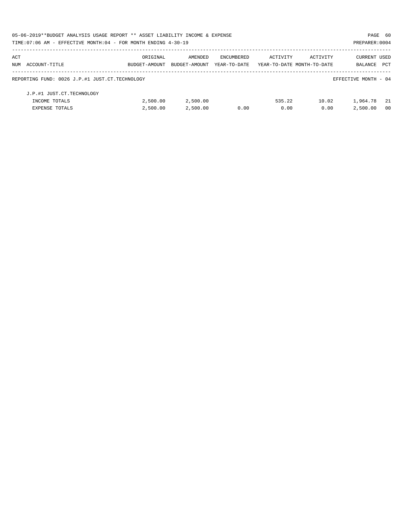|     | 05-06-2019**BUDGET ANALYSIS USAGE REPORT ** ASSET LIABILITY INCOME & EXPENSE |               |               |              |                            |          | PAGE 60              |            |
|-----|------------------------------------------------------------------------------|---------------|---------------|--------------|----------------------------|----------|----------------------|------------|
|     | TIME: 07:06 AM - EFFECTIVE MONTH: 04 - FOR MONTH ENDING 4-30-19              |               |               |              |                            |          | PREPARER: 0004       |            |
| ACT |                                                                              | ORIGINAL      | AMENDED       | ENCUMBERED   | ACTIVITY                   | ACTIVITY | <b>CURRENT USED</b>  |            |
|     | NUM ACCOUNT-TITLE                                                            | BUDGET-AMOUNT | BUDGET-AMOUNT | YEAR-TO-DATE | YEAR-TO-DATE MONTH-TO-DATE |          | BALANCE              | <b>PCT</b> |
|     | REPORTING FUND: 0026 J.P.#1 JUST.CT.TECHNOLOGY                               |               |               |              |                            |          | EFFECTIVE MONTH - 04 |            |
|     | J.P.#1 JUST.CT.TECHNOLOGY                                                    |               |               |              |                            |          |                      |            |
|     | INCOME TOTALS                                                                | 2,500.00      | 2,500.00      |              | 535.22                     | 10.02    | 1,964.78             | - 21       |
|     | <b>EXPENSE TOTALS</b>                                                        | 2.500.00      | 2,500.00      | 0.00         | 0.00                       | 0.00     | 2,500.00             | - 00       |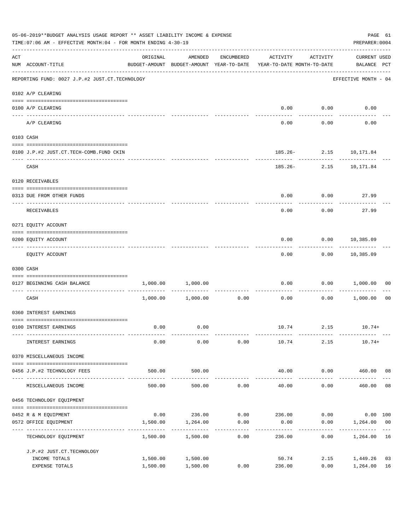|                    | 05-06-2019**BUDGET ANALYSIS USAGE REPORT ** ASSET LIABILITY INCOME & EXPENSE<br>TIME: 07:06 AM - EFFECTIVE MONTH: 04 - FOR MONTH ENDING 4-30-19 |                      |                                                                                |                     |                                    |                    | PREPARER: 0004                     | PAGE 61        |
|--------------------|-------------------------------------------------------------------------------------------------------------------------------------------------|----------------------|--------------------------------------------------------------------------------|---------------------|------------------------------------|--------------------|------------------------------------|----------------|
| $\mathop{\rm ACT}$ | NUM ACCOUNT-TITLE                                                                                                                               | ORIGINAL             | AMENDED<br>BUDGET-AMOUNT BUDGET-AMOUNT YEAR-TO-DATE YEAR-TO-DATE MONTH-TO-DATE | ENCUMBERED          | ACTIVITY                           | ACTIVITY           | <b>CURRENT USED</b><br>BALANCE PCT |                |
|                    | -------------------------------------<br>REPORTING FUND: 0027 J.P.#2 JUST.CT.TECHNOLOGY                                                         |                      |                                                                                |                     |                                    |                    | EFFECTIVE MONTH - 04               |                |
|                    | 0102 A/P CLEARING                                                                                                                               |                      |                                                                                |                     |                                    |                    |                                    |                |
|                    | 0100 A/P CLEARING                                                                                                                               |                      |                                                                                |                     | 0.00                               | 0.00               | 0.00                               |                |
|                    | ---- -------<br>A/P CLEARING                                                                                                                    |                      |                                                                                |                     | 0.00                               | 0.00               | 0.00                               |                |
|                    | 0103 CASH                                                                                                                                       |                      |                                                                                |                     |                                    |                    |                                    |                |
|                    | 0100 J.P.#2 JUST.CT.TECH-COMB.FUND CKIN                                                                                                         |                      |                                                                                |                     |                                    |                    | 185.26- 2.15 10,171.84             |                |
|                    | CASH                                                                                                                                            |                      |                                                                                |                     |                                    | .                  | 185.26- 2.15 10,171.84             |                |
|                    | 0120 RECEIVABLES                                                                                                                                |                      |                                                                                |                     |                                    |                    |                                    |                |
|                    | 0313 DUE FROM OTHER FUNDS                                                                                                                       |                      |                                                                                |                     | 0.00                               | 0.00               | 27.99                              |                |
|                    | RECEIVABLES                                                                                                                                     |                      |                                                                                |                     | 0.00                               | 0.00               | 27.99                              |                |
|                    | 0271 EQUITY ACCOUNT                                                                                                                             |                      |                                                                                |                     |                                    |                    |                                    |                |
|                    | 0200 EQUITY ACCOUNT                                                                                                                             |                      |                                                                                |                     | 0.00                               |                    | $0.00$ 10,385.09<br>-----------    |                |
|                    | EQUITY ACCOUNT                                                                                                                                  |                      |                                                                                |                     | 0.00                               |                    | $0.00$ 10,385.09                   |                |
|                    | 0300 CASH                                                                                                                                       |                      |                                                                                |                     |                                    |                    |                                    |                |
|                    | 0127 BEGINNING CASH BALANCE                                                                                                                     | 1,000.00             | 1,000.00                                                                       |                     | 0.00<br>------------ ------------- | 0.00<br>---------- | 1,000.00                           | 00             |
|                    | CASH                                                                                                                                            |                      | $1,000.00$ $1,000.00$                                                          | 0.00                | 0.00                               | 0.00               | 1,000.00                           | 0 <sub>0</sub> |
|                    | 0360 INTEREST EARNINGS                                                                                                                          |                      |                                                                                |                     |                                    |                    |                                    |                |
|                    | 0100 INTEREST EARNINGS                                                                                                                          | 0.00                 | 0.00                                                                           |                     |                                    |                    | $10.74$ $2.15$ $10.74+$            |                |
|                    | INTEREST EARNINGS                                                                                                                               | 0.00                 | 0.00                                                                           | 0.00                | 10.74                              | 2.15               | $10.74+$                           |                |
|                    | 0370 MISCELLANEOUS INCOME                                                                                                                       |                      |                                                                                |                     |                                    |                    |                                    |                |
|                    | 0456 J.P.#2 TECHNOLOGY FEES                                                                                                                     | 500.00               | 500.00                                                                         |                     | 40.00                              | 0.00               | 460.00 08                          |                |
|                    | MISCELLANEOUS INCOME                                                                                                                            | 500.00               | 500.00                                                                         | 0.00                | ______________<br>40.00            | .<br>0.00          | 460.00                             | 08             |
|                    | 0456 TECHNOLOGY EQUIPMENT                                                                                                                       |                      |                                                                                |                     |                                    |                    |                                    |                |
|                    | 0452 R & M EQUIPMENT                                                                                                                            |                      | $0.00$ 236.00 0.00 236.00                                                      |                     |                                    | 0.00               | $0.00$ 100                         |                |
|                    | 0572 OFFICE EQUIPMENT                                                                                                                           | 1,500.00             | 1,264.00                                                                       | 0.00                | 0.00                               | 0.00               | 1,264.00 00                        |                |
|                    | ---------------------<br>TECHNOLOGY EQUIPMENT                                                                                                   | 1,500.00             | 1,500.00                                                                       | -----------<br>0.00 | 236.00                             | 0.00               | 1,264.00                           | 16             |
|                    | J.P.#2 JUST.CT.TECHNOLOGY                                                                                                                       |                      |                                                                                |                     |                                    |                    |                                    |                |
|                    | INCOME TOTALS<br>EXPENSE TOTALS                                                                                                                 | 1,500.00<br>1,500.00 | 1,500.00<br>1,500.00                                                           | 0.00                | 50.74<br>236.00                    | 2.15<br>0.00       | 1,449.26<br>1,264.00               | 03<br>16       |
|                    |                                                                                                                                                 |                      |                                                                                |                     |                                    |                    |                                    |                |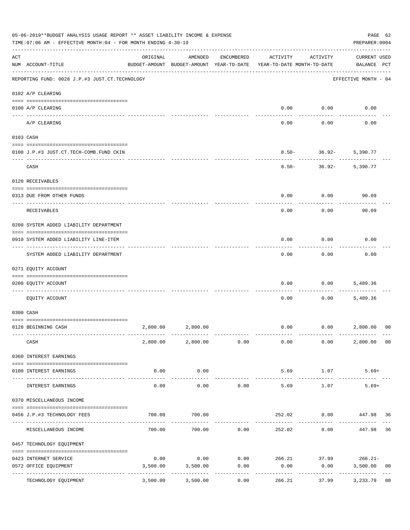|     | 05-06-2019**BUDGET ANALYSIS USAGE REPORT ** ASSET LIABILITY INCOME & EXPENSE<br>TIME: 07:06 AM - EFFECTIVE MONTH: 04 - FOR MONTH ENDING 4-30-19 |                  |                                                     |                             |                                                 |                       | PAGE 62<br>PREPARER: 0004          |                |
|-----|-------------------------------------------------------------------------------------------------------------------------------------------------|------------------|-----------------------------------------------------|-----------------------------|-------------------------------------------------|-----------------------|------------------------------------|----------------|
| ACT | NUM ACCOUNT-TITLE                                                                                                                               | ORIGINAL         | AMENDED<br>BUDGET-AMOUNT BUDGET-AMOUNT YEAR-TO-DATE | ENCUMBERED                  | ACTIVITY<br>YEAR-TO-DATE MONTH-TO-DATE          | ACTIVITY              | <b>CURRENT USED</b><br>BALANCE PCT |                |
|     | REPORTING FUND: 0028 J.P.#3 JUST.CT.TECHNOLOGY                                                                                                  |                  |                                                     |                             |                                                 |                       | EFFECTIVE MONTH - 04               |                |
|     | 0102 A/P CLEARING                                                                                                                               |                  |                                                     |                             |                                                 |                       |                                    |                |
|     | 0100 A/P CLEARING                                                                                                                               |                  |                                                     |                             | 0.00                                            | 0.00                  | 0.00                               |                |
|     | ---- ---------<br>A/P CLEARING                                                                                                                  |                  |                                                     |                             | 0.00                                            | 0.00                  | 0.00                               |                |
|     | 0103 CASH                                                                                                                                       |                  |                                                     |                             |                                                 |                       |                                    |                |
|     | 0100 J.P.#3 JUST.CT.TECH-COMB.FUND CKIN                                                                                                         |                  |                                                     |                             | $8.50 -$                                        | $36.92-$              | 5,390.77                           |                |
|     | CASH                                                                                                                                            |                  |                                                     |                             | $8.50 -$                                        | $36.92-$              | 5,390.77                           |                |
|     | 0120 RECEIVABLES                                                                                                                                |                  |                                                     |                             |                                                 |                       |                                    |                |
|     | 0313 DUE FROM OTHER FUNDS                                                                                                                       |                  |                                                     |                             | 0.00                                            | 0.00                  | 90.09                              |                |
|     | RECEIVABLES                                                                                                                                     |                  |                                                     |                             | 0.00                                            | 0.00                  | 90.09                              |                |
|     | 0200 SYSTEM ADDED LIABILITY DEPARTMENT                                                                                                          |                  |                                                     |                             |                                                 |                       |                                    |                |
|     | 0910 SYSTEM ADDED LIABILITY LINE-ITEM                                                                                                           |                  |                                                     |                             | 0.00                                            | 0.00                  | 0.00                               |                |
|     | SYSTEM ADDED LIABILITY DEPARTMENT                                                                                                               |                  |                                                     |                             | 0.00                                            | 0.00                  | 0.00                               |                |
|     | 0271 EQUITY ACCOUNT                                                                                                                             |                  |                                                     |                             |                                                 |                       |                                    |                |
|     | 0200 EQUITY ACCOUNT                                                                                                                             |                  |                                                     |                             | 0.00                                            | 0.00                  | 5,489.36                           |                |
|     | EOUITY ACCOUNT                                                                                                                                  |                  |                                                     |                             | 0.00                                            | 0.00                  | 5,489.36                           |                |
|     | 0300 CASH                                                                                                                                       |                  |                                                     |                             |                                                 |                       |                                    |                |
|     | 0128 BEGINNING CASH                                                                                                                             | 2,800.00         | 2,800.00                                            |                             | 0.00                                            | 0.00                  | 2,800.00                           | 00             |
|     | CASH                                                                                                                                            |                  |                                                     |                             | $2,800.00$ $2,800.00$ $0.00$ $0.00$             | 0.00                  | 2,800.00 00                        |                |
|     | 0360 INTEREST EARNINGS                                                                                                                          |                  |                                                     |                             |                                                 |                       |                                    |                |
|     | 0100 INTEREST EARNINGS                                                                                                                          | 0.00             | 0.00                                                |                             | 5.69                                            | 1.07                  | $5.69+$                            |                |
|     | INTEREST EARNINGS                                                                                                                               | 0.00             | 0.00                                                | 0.00                        | 5.69                                            | ------------<br>1.07  | -----------<br>$5.69+$             |                |
|     | 0370 MISCELLANEOUS INCOME                                                                                                                       |                  |                                                     |                             |                                                 |                       |                                    |                |
|     | 0456 J.P.#3 TECHNOLOGY FEES                                                                                                                     | 700.00           | 700.00                                              |                             | 252.02                                          | $0.00$ $447.98$ 36    |                                    |                |
|     | ------------------------------ -----<br>MISCELLANEOUS INCOME                                                                                    | 700.00           |                                                     | ------------<br>700.00 0.00 | 252.02                                          | ----------<br>0.00    | 447.98                             | 36             |
|     | 0457 TECHNOLOGY EQUIPMENT                                                                                                                       |                  |                                                     |                             |                                                 |                       |                                    |                |
|     |                                                                                                                                                 |                  |                                                     |                             |                                                 |                       |                                    |                |
|     | 0423 INTERNET SERVICE<br>0572 OFFICE EQUIPMENT                                                                                                  | 0.00<br>3,500.00 | 3,500.00                                            | 0.00                        | $0.00$ $0.00$ $266.21$ $37.99$ $266.21$<br>0.00 | 0.00                  | 3,500.00                           | 0 <sub>0</sub> |
|     | TECHNOLOGY EQUIPMENT                                                                                                                            | 3,500.00         | 3,500.00                                            | -----------<br>0.00         | ------------<br>266.21                          | ------------<br>37.99 | -------------<br>3,233.79          | 08             |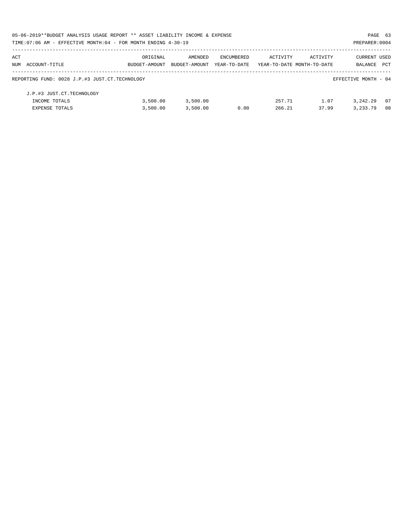| 05-06-2019**BUDGET ANALYSIS USAGE REPORT ** ASSET LIABILITY INCOME & EXPENSE |               |               |              |                            |          | PAGE 63              |            |
|------------------------------------------------------------------------------|---------------|---------------|--------------|----------------------------|----------|----------------------|------------|
| TIME: 07:06 AM - EFFECTIVE MONTH: 04 - FOR MONTH ENDING 4-30-19              |               |               |              |                            |          | PREPARER: 0004       |            |
| ACT                                                                          | ORIGINAL      | AMENDED       | ENCUMBERED   | ACTIVITY                   | ACTIVITY | CURRENT USED         |            |
| NUM ACCOUNT-TITLE                                                            | BUDGET-AMOUNT | BUDGET-AMOUNT | YEAR-TO-DATE | YEAR-TO-DATE MONTH-TO-DATE |          | BALANCE              | <b>PCT</b> |
| REPORTING FUND: 0028 J.P.#3 JUST.CT.TECHNOLOGY                               |               |               |              |                            |          | EFFECTIVE MONTH - 04 |            |
| J.P.#3 JUST.CT.TECHNOLOGY                                                    |               |               |              |                            |          |                      |            |
| INCOME TOTALS                                                                | 3.500.00      | 3,500.00      |              | 257.71                     | 1.07     | 3, 242, 29           | - 07       |
| <b>EXPENSE TOTALS</b>                                                        | 3,500.00      | 3,500.00      | 0.00         | 266.21                     | 37.99    | 3, 233, 79           | 08         |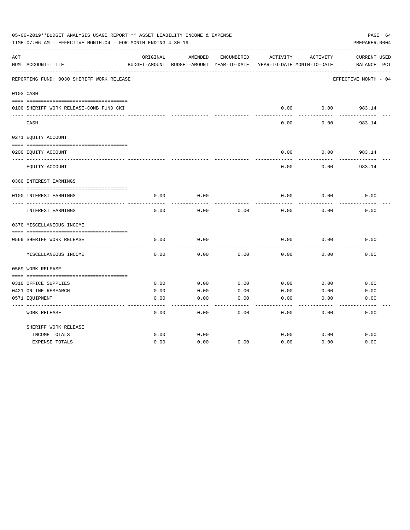|     | 05-06-2019**BUDGET ANALYSIS USAGE REPORT ** ASSET LIABILITY INCOME & EXPENSE<br>TIME: 07:06 AM - EFFECTIVE MONTH: 04 - FOR MONTH ENDING 4-30-19 |          |                                                     |            |          |                                        | PAGE 64<br>PREPARER: 0004          |
|-----|-------------------------------------------------------------------------------------------------------------------------------------------------|----------|-----------------------------------------------------|------------|----------|----------------------------------------|------------------------------------|
| ACT | NUM ACCOUNT-TITLE                                                                                                                               | ORIGINAL | AMENDED<br>BUDGET-AMOUNT BUDGET-AMOUNT YEAR-TO-DATE | ENCUMBERED | ACTIVITY | ACTIVITY<br>YEAR-TO-DATE MONTH-TO-DATE | <b>CURRENT USED</b><br>BALANCE PCT |
|     | REPORTING FUND: 0030 SHERIFF WORK RELEASE                                                                                                       |          |                                                     |            |          |                                        | EFFECTIVE MONTH - 04               |
|     | 0103 CASH                                                                                                                                       |          |                                                     |            |          |                                        |                                    |
|     | 0100 SHERIFF WORK RELEASE-COMB FUND CKI                                                                                                         |          |                                                     |            | 0.00     | 0.00                                   | 983.14                             |
|     | CASH                                                                                                                                            |          |                                                     |            | 0.00     | 0.00                                   | 983.14                             |
|     | 0271 EQUITY ACCOUNT                                                                                                                             |          |                                                     |            |          |                                        |                                    |
|     | 0200 EQUITY ACCOUNT                                                                                                                             |          |                                                     |            | 0.00     | 0.00                                   | 983.14                             |
|     | EQUITY ACCOUNT                                                                                                                                  |          |                                                     |            | 0.00     | 0.00                                   | 983.14                             |
|     | 0360 INTEREST EARNINGS                                                                                                                          |          |                                                     |            |          |                                        |                                    |
|     | 0100 INTEREST EARNINGS                                                                                                                          | 0.00     | 0.00                                                |            | 0.00     | 0.00                                   | 0.00                               |
|     |                                                                                                                                                 |          |                                                     |            |          |                                        |                                    |
|     | INTEREST EARNINGS                                                                                                                               | 0.00     | 0.00                                                | 0.00       | 0.00     | 0.00                                   | 0.00                               |
|     | 0370 MISCELLANEOUS INCOME                                                                                                                       |          |                                                     |            |          |                                        |                                    |
|     | 0569 SHERIFF WORK RELEASE                                                                                                                       | 0.00     | 0.00                                                |            | 0.00     | 0.00                                   | 0.00                               |
|     | ---------------<br>MISCELLANEOUS INCOME                                                                                                         | 0.00     | 0.00                                                | 0.00       | 0.00     | 0.00                                   | 0.00                               |
|     | 0569 WORK RELEASE                                                                                                                               |          |                                                     |            |          |                                        |                                    |
|     | 0310 OFFICE SUPPLIES                                                                                                                            | 0.00     | 0.00                                                | 0.00       | 0.00     | 0.00                                   | 0.00                               |
|     | 0421 ONLINE RESEARCH                                                                                                                            | 0.00     | 0.00                                                | 0.00       | 0.00     | 0.00                                   | 0.00                               |
|     | 0571 EQUIPMENT                                                                                                                                  | 0.00     | 0.00                                                | 0.00       | 0.00     | 0.00                                   | 0.00                               |
|     | <b>WORK RELEASE</b>                                                                                                                             | 0.00     | 0.00                                                | 0.00       | 0.00     | 0.00                                   | 0.00                               |
|     | SHERIFF WORK RELEASE                                                                                                                            |          |                                                     |            |          |                                        |                                    |
|     | INCOME TOTALS                                                                                                                                   | 0.00     | 0.00                                                |            | 0.00     | 0.00                                   | 0.00                               |
|     | <b>EXPENSE TOTALS</b>                                                                                                                           | 0.00     | 0.00                                                | 0.00       | 0.00     | 0.00                                   | 0.00                               |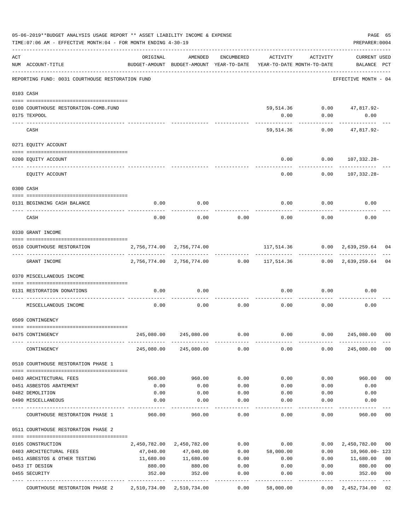|     | 05-06-2019**BUDGET ANALYSIS USAGE REPORT ** ASSET LIABILITY INCOME & EXPENSE<br>TIME: 07:06 AM - EFFECTIVE MONTH: 04 - FOR MONTH ENDING 4-30-19 |                                                                                 |                           |              |                                                             |              | PAGE 65<br>PREPARER: 0004          |                |
|-----|-------------------------------------------------------------------------------------------------------------------------------------------------|---------------------------------------------------------------------------------|---------------------------|--------------|-------------------------------------------------------------|--------------|------------------------------------|----------------|
| ACT | NUM ACCOUNT-TITLE                                                                                                                               | ORIGINAL<br>BUDGET-AMOUNT BUDGET-AMOUNT YEAR-TO-DATE YEAR-TO-DATE MONTH-TO-DATE | AMENDED                   | ENCUMBERED   | ACTIVITY                                                    | ACTIVITY     | <b>CURRENT USED</b><br>BALANCE PCT |                |
|     | REPORTING FUND: 0031 COURTHOUSE RESTORATION FUND                                                                                                |                                                                                 |                           |              |                                                             |              | EFFECTIVE MONTH - 04               |                |
|     | 0103 CASH                                                                                                                                       |                                                                                 |                           |              |                                                             |              |                                    |                |
|     | 0100 COURTHOUSE RESTORATION-COMB.FUND                                                                                                           |                                                                                 |                           |              |                                                             |              | 59,514.36 0.00 47,817.92-          |                |
|     | 0175 TEXPOOL                                                                                                                                    |                                                                                 |                           |              | 0.00                                                        | 0.00         | 0.00                               |                |
|     | CASH                                                                                                                                            |                                                                                 |                           |              | 59,514.36                                                   | 0.00         | 47,817.92-                         |                |
|     | 0271 EQUITY ACCOUNT                                                                                                                             |                                                                                 |                           |              |                                                             |              |                                    |                |
|     | 0200 EQUITY ACCOUNT                                                                                                                             |                                                                                 |                           |              | 0.00                                                        |              | $0.00 107,332.28-$                 |                |
|     | EQUITY ACCOUNT                                                                                                                                  |                                                                                 |                           |              | 0.00                                                        | 0.00         | 107,332.28-                        |                |
|     | 0300 CASH                                                                                                                                       |                                                                                 |                           |              |                                                             |              |                                    |                |
|     |                                                                                                                                                 |                                                                                 |                           |              |                                                             |              |                                    |                |
|     | 0131 BEGINNING CASH BALANCE<br>-------------------------- --                                                                                    | 0.00                                                                            | 0.00                      |              | 0.00                                                        | 0.00         | 0.00                               |                |
|     | CASH                                                                                                                                            | 0.00                                                                            | 0.00                      | 0.00         | 0.00                                                        | 0.00         | 0.00                               |                |
|     | 0330 GRANT INCOME                                                                                                                               |                                                                                 |                           |              |                                                             |              |                                    |                |
|     | 0510 COURTHOUSE RESTORATION                                                                                                                     | 2,756,774.00 2,756,774.00                                                       |                           |              |                                                             |              | 117,514.36 0.00 2,639,259.64       | 04             |
|     | GRANT INCOME                                                                                                                                    |                                                                                 |                           |              | 2,756,774.00 2,756,774.00 0.00 117,514.36 0.00 2,639,259.64 |              |                                    | 04             |
|     | 0370 MISCELLANEOUS INCOME                                                                                                                       |                                                                                 |                           |              |                                                             |              |                                    |                |
|     | 0131 RESTORATION DONATIONS                                                                                                                      | 0.00                                                                            | 0.00                      |              | 0.00                                                        | 0.00         | 0.00                               |                |
|     | MISCELLANEOUS INCOME                                                                                                                            | 0.00                                                                            | 0.00                      | 0.00         | 0.00                                                        | 0.00         | 0.00                               |                |
|     | 0509 CONTINGENCY                                                                                                                                |                                                                                 |                           |              |                                                             |              |                                    |                |
|     | 0475 CONTINGENCY                                                                                                                                | 245,080.00                                                                      | 245,080.00                | 0.00         | 0.00                                                        | 0.00         | 245,080.00                         | 0 <sub>0</sub> |
|     | CONTINGENCY                                                                                                                                     |                                                                                 | 245,080.00 245,080.00     | 0.00         | 0.00                                                        | 0.00         | 245,080.00                         | 0 <sub>0</sub> |
|     | 0510 COURTHOUSE RESTORATION PHASE 1                                                                                                             |                                                                                 |                           |              |                                                             |              |                                    |                |
|     |                                                                                                                                                 |                                                                                 |                           |              |                                                             |              |                                    |                |
|     | 0403 ARCHITECTURAL FEES                                                                                                                         | 960.00                                                                          | 960.00                    | 0.00         | 0.00                                                        | 0.00         | 960.00                             | 0 <sub>0</sub> |
|     | 0451 ASBESTOS ABATEMENT<br>0482 DEMOLITION                                                                                                      | 0.00<br>0.00                                                                    | 0.00<br>0.00              | 0.00<br>0.00 | 0.00<br>0.00                                                | 0.00<br>0.00 | 0.00<br>0.00                       |                |
|     | 0490 MISCELLANEOUS                                                                                                                              | 0.00                                                                            | 0.00                      | 0.00         | 0.00                                                        | 0.00         | 0.00                               |                |
|     | COURTHOUSE RESTORATION PHASE 1                                                                                                                  | 960.00                                                                          | 960.00                    | 0.00         | 0.00                                                        | 0.00         | 960.00                             | 00             |
|     | 0511 COURTHOUSE RESTORATION PHASE 2                                                                                                             |                                                                                 |                           |              |                                                             |              |                                    |                |
|     | 0165 CONSTRUCTION                                                                                                                               |                                                                                 | 2,450,782.00 2,450,782.00 | 0.00         | 0.00                                                        | 0.00         | 2,450,782.00                       | 00             |
|     | 0403 ARCHITECTURAL FEES                                                                                                                         | 47,040.00                                                                       | 47,040.00                 | 0.00         | 58,000.00                                                   | 0.00         | 10,960.00-123                      |                |
|     | 0451 ASBESTOS & OTHER TESTING                                                                                                                   | 11,680.00                                                                       | 11,680.00                 | 0.00         | 0.00                                                        | 0.00         | 11,680.00                          | 0 <sub>0</sub> |
|     | 0453 IT DESIGN                                                                                                                                  | 880.00                                                                          | 880.00                    | 0.00         | 0.00                                                        | 0.00         | 880.00                             | 0 <sub>0</sub> |
|     | 0455 SECURITY                                                                                                                                   | 352.00                                                                          | 352.00                    | 0.00         | 0.00                                                        | 0.00         | 352.00                             | 0 <sub>0</sub> |
|     | COURTHOUSE RESTORATION PHASE 2 2,510,734.00 2,510,734.00                                                                                        |                                                                                 |                           | 0.00         | 58,000.00                                                   | 0.00         | 2,452,734.00                       | 02             |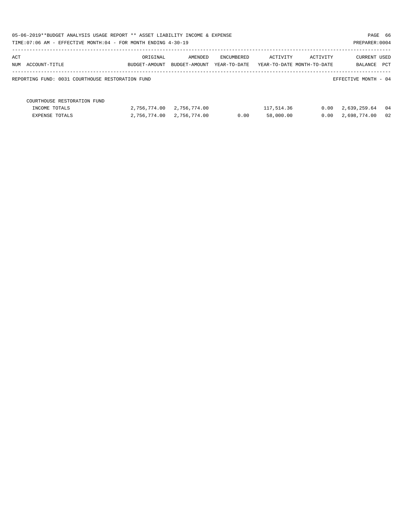| 05-06-2019**BUDGET ANALYSIS USAGE REPORT ** ASSET LIABILITY INCOME & EXPENSE |               |               |              |            |                            | PAGE 66              |    |
|------------------------------------------------------------------------------|---------------|---------------|--------------|------------|----------------------------|----------------------|----|
| TIME: 07:06 AM - EFFECTIVE MONTH: 04 - FOR MONTH ENDING 4-30-19              |               |               |              |            |                            | PREPARER: 0004       |    |
| ACT                                                                          | ORIGINAL      | AMENDED       | ENCUMBERED   | ACTIVITY   | ACTIVITY                   | CURRENT USED         |    |
| NUM ACCOUNT-TITLE                                                            | BUDGET-AMOUNT | BUDGET-AMOUNT | YEAR-TO-DATE |            | YEAR-TO-DATE MONTH-TO-DATE | BALANCE PCT          |    |
| REPORTING FUND: 0031 COURTHOUSE RESTORATION FUND                             |               |               |              |            |                            | EFFECTIVE MONTH - 04 |    |
| COURTHOUSE RESTORATION FUND                                                  |               |               |              |            |                            |                      |    |
| INCOME TOTALS                                                                | 2,756,774.00  | 2,756,774.00  |              | 117,514.36 | 0.00                       | 2,639,259.64         | 04 |
| <b>EXPENSE TOTALS</b>                                                        | 2,756,774.00  | 2,756,774.00  | 0.00         | 58,000.00  | 0.00                       | 2,698,774.00         | 02 |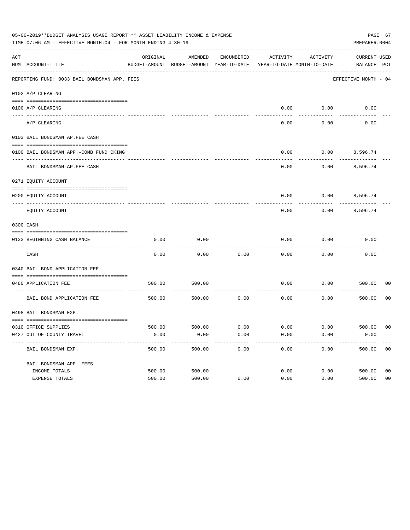|     | 05-06-2019**BUDGET ANALYSIS USAGE REPORT ** ASSET LIABILITY INCOME & EXPENSE<br>TIME: 07:06 AM - EFFECTIVE MONTH: 04 - FOR MONTH ENDING 4-30-19 |          |                                                     |            |                                        |                        | PAGE 67<br>PREPARER: 0004          |                |
|-----|-------------------------------------------------------------------------------------------------------------------------------------------------|----------|-----------------------------------------------------|------------|----------------------------------------|------------------------|------------------------------------|----------------|
| ACT | NUM ACCOUNT-TITLE                                                                                                                               | ORIGINAL | AMENDED<br>BUDGET-AMOUNT BUDGET-AMOUNT YEAR-TO-DATE | ENCUMBERED | ACTIVITY<br>YEAR-TO-DATE MONTH-TO-DATE | ACTIVITY               | <b>CURRENT USED</b><br>BALANCE PCT |                |
|     | REPORTING FUND: 0033 BAIL BONDSMAN APP. FEES                                                                                                    |          |                                                     |            |                                        |                        | EFFECTIVE MONTH - 04               |                |
|     | 0102 A/P CLEARING                                                                                                                               |          |                                                     |            |                                        |                        |                                    |                |
|     | 0100 A/P CLEARING                                                                                                                               |          |                                                     |            | 0.00                                   | 0.00                   | 0.00                               |                |
|     | ---- --------<br>A/P CLEARING                                                                                                                   |          |                                                     |            | 0.00                                   | 0.00                   | 0.00                               |                |
|     | 0103 BAIL BONDSMAN AP.FEE CASH                                                                                                                  |          |                                                     |            |                                        |                        |                                    |                |
|     | 0100 BAIL BONDSMAN APP.-COMB FUND CKING                                                                                                         |          |                                                     |            | 0.00                                   | 0.00                   | 8,596.74                           |                |
|     | BAIL BONDSMAN AP.FEE CASH                                                                                                                       |          |                                                     |            | 0.00                                   | 0.00                   | 8,596.74                           |                |
|     | 0271 EQUITY ACCOUNT                                                                                                                             |          |                                                     |            |                                        |                        |                                    |                |
|     | 0200 EQUITY ACCOUNT                                                                                                                             |          |                                                     |            | 0.00                                   |                        | $0.00$ 8,596.74                    |                |
|     | EQUITY ACCOUNT                                                                                                                                  |          |                                                     |            | 0.00                                   | 0.00                   | 8,596.74                           |                |
|     | 0300 CASH                                                                                                                                       |          |                                                     |            |                                        |                        |                                    |                |
|     | 0133 BEGINNING CASH BALANCE                                                                                                                     | 0.00     | 0.00                                                |            | 0.00                                   | 0.00                   | 0.00                               |                |
|     | CASH                                                                                                                                            | 0.00     | 0.00                                                | 0.00       | 0.00                                   | 0.00                   | 0.00                               |                |
|     | 0340 BAIL BOND APPLICATION FEE                                                                                                                  |          |                                                     |            |                                        |                        |                                    |                |
|     | 0480 APPLICATION FEE                                                                                                                            | 500.00   | 500.00                                              |            | 0.00                                   | 0.00                   | 500.00                             | 00             |
|     | BAIL BOND APPLICATION FEE                                                                                                                       | 500.00   | 500.00                                              | 0.00       | 0.00                                   | 0.00                   | 500.00                             | 0 <sub>0</sub> |
|     | 0498 BAIL BONDSMAN EXP.                                                                                                                         |          |                                                     |            |                                        |                        |                                    |                |
|     | 0310 OFFICE SUPPLIES                                                                                                                            | 500.00   | 500.00 0.00                                         |            |                                        | $0.00$ $0.00$ $500.00$ |                                    | 00             |
|     | 0427 OUT OF COUNTY TRAVEL                                                                                                                       | 0.00     | 0.00                                                | 0.00       | 0.00                                   | 0.00                   | 0.00                               |                |
|     | BAIL BONDSMAN EXP.                                                                                                                              | 500.00   | 500.00                                              | 0.00       | 0.00                                   | 0.00                   | 500.00                             | 0 <sub>0</sub> |
|     | BAIL BONDSMAN APP. FEES                                                                                                                         |          |                                                     |            |                                        |                        |                                    |                |
|     | INCOME TOTALS                                                                                                                                   | 500.00   | 500.00                                              |            | 0.00                                   | 0.00                   | 500.00                             | 0 <sub>0</sub> |
|     | EXPENSE TOTALS                                                                                                                                  | 500.00   | 500.00                                              | 0.00       | 0.00                                   | 0.00                   | 500.00                             | 0 <sub>0</sub> |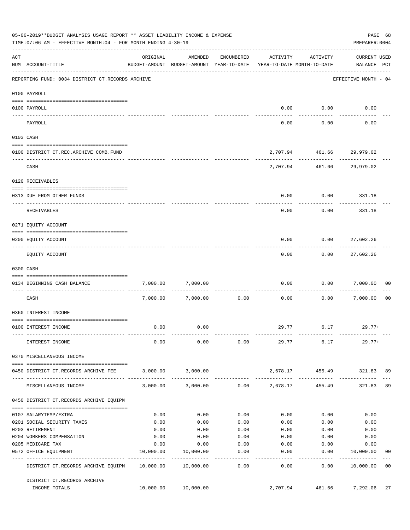|     | 05-06-2019**BUDGET ANALYSIS USAGE REPORT ** ASSET LIABILITY INCOME & EXPENSE<br>TIME: 07:06 AM - EFFECTIVE MONTH: 04 - FOR MONTH ENDING 4-30-19 |           |                                                                                |                     |                |                           | PAGE 68<br>PREPARER: 0004          |                |
|-----|-------------------------------------------------------------------------------------------------------------------------------------------------|-----------|--------------------------------------------------------------------------------|---------------------|----------------|---------------------------|------------------------------------|----------------|
| ACT | NUM ACCOUNT-TITLE                                                                                                                               | ORIGINAL  | AMENDED<br>BUDGET-AMOUNT BUDGET-AMOUNT YEAR-TO-DATE YEAR-TO-DATE MONTH-TO-DATE | ENCUMBERED          | ACTIVITY       | ACTIVITY                  | <b>CURRENT USED</b><br>BALANCE PCT |                |
|     | REPORTING FUND: 0034 DISTRICT CT.RECORDS ARCHIVE                                                                                                |           |                                                                                |                     |                |                           | EFFECTIVE MONTH - 04               |                |
|     | 0100 PAYROLL                                                                                                                                    |           |                                                                                |                     |                |                           |                                    |                |
|     |                                                                                                                                                 |           |                                                                                |                     |                |                           |                                    |                |
|     | 0100 PAYROLL<br>--------------------------- --------<br>---- -------                                                                            |           |                                                                                |                     |                | $0.00$ $0.00$             | 0.00                               |                |
|     | PAYROLL                                                                                                                                         |           |                                                                                |                     | 0.00           | 0.00                      | 0.00                               |                |
|     | 0103 CASH                                                                                                                                       |           |                                                                                |                     |                |                           |                                    |                |
|     | 0100 DISTRICT CT.REC.ARCHIVE COMB.FUND                                                                                                          |           |                                                                                |                     |                | 2,707.94 461.66 29,979.02 |                                    |                |
|     | CASH                                                                                                                                            |           |                                                                                |                     |                | 2,707.94 461.66 29,979.02 | ------------- -------------        |                |
|     | 0120 RECEIVABLES                                                                                                                                |           |                                                                                |                     |                |                           |                                    |                |
|     | 0313 DUE FROM OTHER FUNDS                                                                                                                       |           |                                                                                |                     | 0.00           |                           | $0.00$ 331.18                      |                |
|     | RECEIVABLES                                                                                                                                     |           |                                                                                |                     | 0.00           | 0.00                      | 331.18                             |                |
|     | 0271 EQUITY ACCOUNT                                                                                                                             |           |                                                                                |                     |                |                           |                                    |                |
|     | 0200 EQUITY ACCOUNT                                                                                                                             |           |                                                                                |                     | 0.00           |                           | $0.00$ 27,602.26                   |                |
|     | EQUITY ACCOUNT                                                                                                                                  |           |                                                                                |                     | 0.00           | ---------<br>0.00         | -----------<br>27,602.26           |                |
|     | 0300 CASH                                                                                                                                       |           |                                                                                |                     |                |                           |                                    |                |
|     | 0134 BEGINNING CASH BALANCE                                                                                                                     | 7,000.00  | 7,000.00                                                                       |                     | 0.00           |                           | 0.00 7,000.00                      | 0 <sub>0</sub> |
|     | ----------------------------<br>CASH                                                                                                            |           | 7,000.00 7,000.00                                                              | 0.00                | 0.00           |                           | 0.00 7,000.00                      | 0 <sub>0</sub> |
|     | 0360 INTEREST INCOME                                                                                                                            |           |                                                                                |                     |                |                           |                                    |                |
|     |                                                                                                                                                 |           |                                                                                |                     |                |                           |                                    |                |
|     | 0100 INTEREST INCOME                                                                                                                            | 0.00      | 0.00                                                                           |                     |                | 29.77 6.17                | $29.77+$                           |                |
|     | INTEREST INCOME                                                                                                                                 | 0.00      | 0.00                                                                           | 0.00                |                | 29.77 6.17                | 29.77+                             |                |
|     | 0370 MISCELLANEOUS INCOME                                                                                                                       |           |                                                                                |                     |                |                           |                                    |                |
|     | 0450 DISTRICT CT.RECORDS ARCHIVE FEE                                                                                                            |           | 3,000.00 3,000.00                                                              |                     |                | 2,678.17 455.49           | 321.83 89                          |                |
|     | MISCELLANEOUS INCOME                                                                                                                            |           | $3,000.00$ $3,000.00$ $0.00$ $2,678.17$                                        |                     |                | 455.49                    | 321.83                             | 89             |
|     | 0450 DISTRICT CT.RECORDS ARCHIVE EQUIPM                                                                                                         |           |                                                                                |                     |                |                           |                                    |                |
|     | 0107 SALARYTEMP/EXTRA                                                                                                                           | 0.00      | 0.00                                                                           | 0.00                | 0.00           | 0.00                      | 0.00                               |                |
|     | 0201 SOCIAL SECURITY TAXES                                                                                                                      | 0.00      | 0.00                                                                           | 0.00                | 0.00           | 0.00                      | 0.00                               |                |
|     | 0203 RETIREMENT                                                                                                                                 | 0.00      | 0.00                                                                           | 0.00                | 0.00           | 0.00                      | 0.00                               |                |
|     | 0204 WORKERS COMPENSATION                                                                                                                       | 0.00      | 0.00                                                                           | 0.00                | 0.00           | 0.00                      | 0.00                               |                |
|     | 0205 MEDICARE TAX                                                                                                                               | 0.00      | 0.00                                                                           | 0.00                | 0.00           | 0.00                      | 0.00                               |                |
|     | 0572 OFFICE EQUIPMENT<br>-------------------- -------------                                                                                     | 10,000.00 | 10,000.00                                                                      | 0.00                | 0.00           | 0.00                      | 10,000.00                          | 00             |
|     | DISTRICT CT.RECORDS ARCHIVE EQUIPM 10,000.00 10,000.00                                                                                          |           | -------------                                                                  | -----------<br>0.00 | ------<br>0.00 | ---------<br>0.00         | ------------<br>10,000.00          | 0 <sub>0</sub> |
|     | DISTRICT CT.RECORDS ARCHIVE                                                                                                                     |           |                                                                                |                     |                |                           |                                    |                |
|     | INCOME TOTALS                                                                                                                                   |           | 10,000.00 10,000.00                                                            |                     | 2,707.94       | 461.66                    | 7,292.06                           | 27             |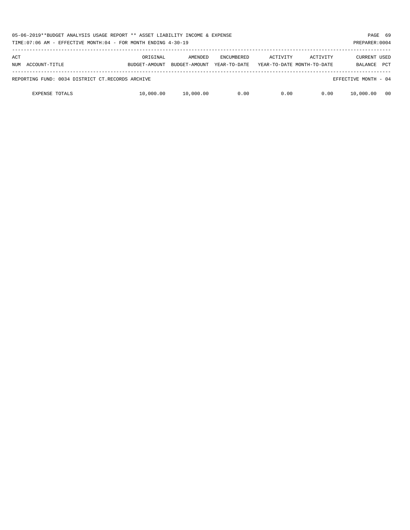|                                                  |                           |                          |                                   |          | 05-06-2019**BUDGET ANALYSIS USAGE REPORT ** ASSET LIABILITY INCOME & EXPENSE<br>PAGE 69<br>TIME:07:06 AM - EFFECTIVE MONTH:04 - FOR MONTH ENDING 4-30-19<br>PREPARER: 0004 |                                       |            |  |  |  |  |  |  |
|--------------------------------------------------|---------------------------|--------------------------|-----------------------------------|----------|----------------------------------------------------------------------------------------------------------------------------------------------------------------------------|---------------------------------------|------------|--|--|--|--|--|--|
| ACT<br>ACCOUNT-TITLE<br>NUM                      | ORIGINAL<br>BUDGET-AMOUNT | AMENDED<br>BUDGET-AMOUNT | <b>ENCUMBERED</b><br>YEAR-TO-DATE | ACTIVITY | ACTIVITY<br>YEAR-TO-DATE MONTH-TO-DATE                                                                                                                                     | <b>CURRENT USED</b><br><b>BALANCE</b> | <b>PCT</b> |  |  |  |  |  |  |
| REPORTING FUND: 0034 DISTRICT CT.RECORDS ARCHIVE |                           |                          |                                   |          |                                                                                                                                                                            | EFFECTIVE MONTH - 04                  |            |  |  |  |  |  |  |
| <b>EXPENSE TOTALS</b>                            | 10,000.00                 | 10,000.00                | 0.00                              | 0.00     | 0.00                                                                                                                                                                       | 10,000.00                             | - 00       |  |  |  |  |  |  |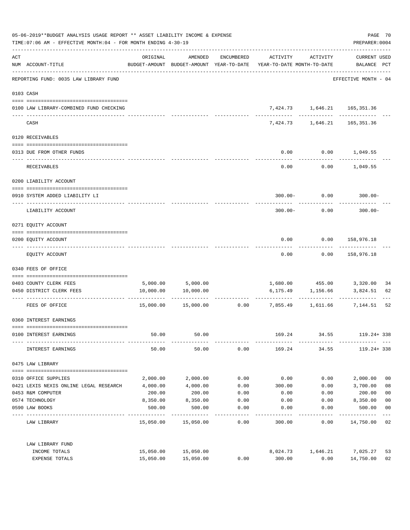| 05-06-2019**BUDGET ANALYSIS USAGE REPORT ** ASSET LIABILITY INCOME & EXPENSE<br>TIME: 07:06 AM - EFFECTIVE MONTH: 04 - FOR MONTH ENDING 4-30-19 |                                         |           |                     |                    |                                                                                 |                                            |                                             |                |
|-------------------------------------------------------------------------------------------------------------------------------------------------|-----------------------------------------|-----------|---------------------|--------------------|---------------------------------------------------------------------------------|--------------------------------------------|---------------------------------------------|----------------|
| ACT                                                                                                                                             | NUM ACCOUNT-TITLE                       | ORIGINAL  |                     | AMENDED ENCUMBERED | ACTIVITY<br>BUDGET-AMOUNT BUDGET-AMOUNT YEAR-TO-DATE YEAR-TO-DATE MONTH-TO-DATE | ACTIVITY                                   | CURRENT USED<br>BALANCE PCT                 |                |
|                                                                                                                                                 | REPORTING FUND: 0035 LAW LIBRARY FUND   |           |                     |                    |                                                                                 |                                            | -------------------<br>EFFECTIVE MONTH - 04 |                |
|                                                                                                                                                 | 0103 CASH                               |           |                     |                    |                                                                                 |                                            |                                             |                |
|                                                                                                                                                 | 0100 LAW LIBRARY-COMBINED FUND CHECKING |           |                     |                    |                                                                                 | 7,424.73 1,646.21 165,351.36               |                                             |                |
|                                                                                                                                                 | CASH                                    |           |                     |                    |                                                                                 | 7,424.73 1,646.21 165,351.36               |                                             |                |
|                                                                                                                                                 | 0120 RECEIVABLES                        |           |                     |                    |                                                                                 |                                            |                                             |                |
|                                                                                                                                                 | 0313 DUE FROM OTHER FUNDS               |           |                     |                    |                                                                                 | $0.00$ $0.00$ $1,049.55$                   |                                             |                |
|                                                                                                                                                 | RECEIVABLES                             |           |                     |                    | 0.00                                                                            |                                            | $0.00$ 1,049.55                             |                |
|                                                                                                                                                 | 0200 LIABILITY ACCOUNT                  |           |                     |                    |                                                                                 |                                            |                                             |                |
|                                                                                                                                                 | 0910 SYSTEM ADDED LIABILITY LI          |           |                     |                    |                                                                                 | $300.00 - 0.00$ 300.00-                    |                                             |                |
|                                                                                                                                                 | LIABILITY ACCOUNT                       |           |                     |                    | $300.00 -$                                                                      | ------------<br>0.00                       | $300.00 -$                                  |                |
|                                                                                                                                                 | 0271 EQUITY ACCOUNT                     |           |                     |                    |                                                                                 |                                            |                                             |                |
|                                                                                                                                                 | 0200 EQUITY ACCOUNT                     |           |                     |                    |                                                                                 | $0.00$ $0.00$ $158,976.18$                 |                                             |                |
|                                                                                                                                                 | EQUITY ACCOUNT                          |           |                     |                    |                                                                                 | . <u>.</u> .<br>$0.00$ $0.00$ $158,976.18$ | -------------                               |                |
|                                                                                                                                                 | 0340 FEES OF OFFICE                     |           |                     |                    |                                                                                 |                                            |                                             |                |
|                                                                                                                                                 | 0403 COUNTY CLERK FEES                  |           | 5,000.00 5,000.00   |                    |                                                                                 | 1,680.00  455.00  3,320.00                 |                                             | 34             |
|                                                                                                                                                 | 0450 DISTRICT CLERK FEES                |           | 10,000.00 10,000.00 |                    |                                                                                 | 6,175.49 1,156.66                          | 3,824.51                                    | 62             |
|                                                                                                                                                 | FEES OF OFFICE                          |           |                     |                    | $15,000.00$ $15,000.00$ $0.00$ $7,855.49$ $1,611.66$ $7,144.51$                 |                                            |                                             | 52             |
|                                                                                                                                                 | 0360 INTEREST EARNINGS                  |           |                     |                    |                                                                                 |                                            |                                             |                |
|                                                                                                                                                 | 0100 INTEREST EARNINGS                  | 50.00     | 50.00               |                    | 169.24                                                                          | 34.55                                      | 119.24+ 338                                 |                |
|                                                                                                                                                 | INTEREST EARNINGS                       | 50.00     | 50.00               | 0.00               | 169.24                                                                          | 34.55                                      | 119.24+ 338                                 |                |
|                                                                                                                                                 | 0475 LAW LIBRARY                        |           |                     |                    |                                                                                 |                                            |                                             |                |
|                                                                                                                                                 | 0310 OFFICE SUPPLIES                    | 2,000.00  | 2,000.00            | 0.00               | 0.00                                                                            | 0.00                                       | 2,000.00                                    | 0 <sub>0</sub> |
|                                                                                                                                                 | 0421 LEXIS NEXIS ONLINE LEGAL RESEARCH  | 4,000.00  | 4,000.00            | 0.00               | 300.00                                                                          | 0.00                                       | 3,700.00                                    | 08             |
|                                                                                                                                                 | 0453 R&M COMPUTER                       | 200.00    | 200.00              | 0.00               | 0.00                                                                            | 0.00                                       | 200.00                                      | 0 <sub>0</sub> |
|                                                                                                                                                 | 0574 TECHNOLOGY                         | 8,350.00  | 8,350.00            | 0.00               | 0.00                                                                            | 0.00                                       | 8,350.00                                    | 0 <sub>0</sub> |
|                                                                                                                                                 | 0590 LAW BOOKS                          | 500.00    | 500.00              | 0.00               | 0.00                                                                            | 0.00                                       | 500.00                                      | 0 <sub>0</sub> |
|                                                                                                                                                 | LAW LIBRARY                             |           | 15,050.00 15,050.00 | 0.00               | 300.00                                                                          | 0.00                                       | 14,750.00                                   | 02             |
|                                                                                                                                                 | LAW LIBRARY FUND                        |           |                     |                    |                                                                                 |                                            |                                             |                |
|                                                                                                                                                 | INCOME TOTALS                           | 15,050.00 | 15,050.00           |                    | 8,024.73                                                                        | 1,646.21                                   | 7,025.27                                    | 53             |
|                                                                                                                                                 | EXPENSE TOTALS                          | 15,050.00 | 15,050.00           | 0.00               | 300.00                                                                          | 0.00                                       | 14,750.00                                   | 02             |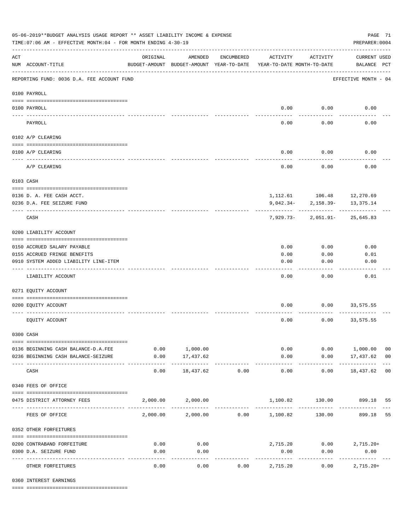| 05-06-2019**BUDGET ANALYSIS USAGE REPORT ** ASSET LIABILITY INCOME & EXPENSE<br>TIME: 07:06 AM - EFFECTIVE MONTH: 04 - FOR MONTH ENDING 4-30-19 |                                                                       |                                                      |                            |                       |                                        |                         |                                          |                |
|-------------------------------------------------------------------------------------------------------------------------------------------------|-----------------------------------------------------------------------|------------------------------------------------------|----------------------------|-----------------------|----------------------------------------|-------------------------|------------------------------------------|----------------|
| $\mathop{\rm ACT}$                                                                                                                              | NUM ACCOUNT-TITLE                                                     | ORIGINAL<br>BUDGET-AMOUNT BUDGET-AMOUNT YEAR-TO-DATE | AMENDED                    | ENCUMBERED            | ACTIVITY<br>YEAR-TO-DATE MONTH-TO-DATE | ACTIVITY                | <b>CURRENT USED</b><br>BALANCE PCT       |                |
|                                                                                                                                                 | REPORTING FUND: 0036 D.A. FEE ACCOUNT FUND                            |                                                      |                            |                       |                                        |                         | EFFECTIVE MONTH - 04                     |                |
|                                                                                                                                                 | 0100 PAYROLL                                                          |                                                      |                            |                       |                                        |                         |                                          |                |
|                                                                                                                                                 | 0100 PAYROLL                                                          |                                                      |                            |                       |                                        | $0.00$ 0.00             | 0.00                                     |                |
| ---- ---                                                                                                                                        | PAYROLL                                                               |                                                      |                            |                       | 0.00                                   | 0.00                    | 0.00                                     |                |
|                                                                                                                                                 | 0102 A/P CLEARING                                                     |                                                      |                            |                       |                                        |                         |                                          |                |
|                                                                                                                                                 |                                                                       |                                                      |                            |                       |                                        |                         |                                          |                |
|                                                                                                                                                 | 0100 A/P CLEARING                                                     |                                                      |                            |                       | 0.00                                   | 0.00                    | 0.00                                     |                |
|                                                                                                                                                 | A/P CLEARING                                                          |                                                      |                            |                       | 0.00                                   | 0.00                    | 0.00                                     |                |
|                                                                                                                                                 | 0103 CASH                                                             |                                                      |                            |                       |                                        |                         |                                          |                |
|                                                                                                                                                 |                                                                       |                                                      |                            |                       |                                        |                         |                                          |                |
|                                                                                                                                                 | 0136 D. A. FEE CASH ACCT.<br>0236 D.A. FEE SEIZURE FUND               |                                                      |                            |                       |                                        | $9,042.34 - 2,158.39 -$ | 1, 112.61 106.48 12, 270.69<br>13,375.14 |                |
|                                                                                                                                                 | CASH                                                                  |                                                      |                            |                       |                                        |                         | $7,929.73 - 2,051.91 - 25,645.83$        |                |
|                                                                                                                                                 | 0200 LIABILITY ACCOUNT                                                |                                                      |                            |                       |                                        |                         |                                          |                |
|                                                                                                                                                 |                                                                       |                                                      |                            |                       |                                        |                         |                                          |                |
|                                                                                                                                                 | 0150 ACCRUED SALARY PAYABLE                                           |                                                      |                            |                       | 0.00                                   | 0.00                    | 0.00                                     |                |
|                                                                                                                                                 | 0155 ACCRUED FRINGE BENEFITS<br>0910 SYSTEM ADDED LIABILITY LINE-ITEM |                                                      |                            |                       | 0.00<br>0.00                           | 0.00<br>0.00            | 0.01<br>0.00                             |                |
|                                                                                                                                                 |                                                                       |                                                      |                            |                       |                                        |                         |                                          |                |
|                                                                                                                                                 | LIABILITY ACCOUNT                                                     |                                                      |                            |                       | 0.00                                   | 0.00                    | 0.01                                     |                |
|                                                                                                                                                 | 0271 EQUITY ACCOUNT                                                   |                                                      |                            |                       |                                        |                         |                                          |                |
|                                                                                                                                                 | 0200 EQUITY ACCOUNT                                                   |                                                      |                            |                       | 0.00                                   | 0.00                    | 33,575.55                                |                |
|                                                                                                                                                 | EQUITY ACCOUNT                                                        |                                                      |                            |                       | 0.00                                   | 0.00                    | 33,575.55                                |                |
|                                                                                                                                                 | 0300 CASH                                                             |                                                      |                            |                       |                                        |                         |                                          |                |
|                                                                                                                                                 | 0136 BEGINNING CASH BALANCE-D.A.FEE                                   |                                                      | 0.00 1,000.00              |                       |                                        | 0.00                    | 0.00 1,000.00                            | 0 <sub>0</sub> |
|                                                                                                                                                 | 0236 BEGINNING CASH BALANCE-SEIZURE                                   | 0.00                                                 | 17,437.62                  |                       | 0.00                                   |                         | $0.00$ 17,437.62 00                      |                |
|                                                                                                                                                 | CASH                                                                  | 0.00                                                 | -------------<br>18,437.62 | -------------<br>0.00 | -------------<br>0.00                  | -----------<br>0.00     | .<br>18,437.62 00                        |                |
|                                                                                                                                                 | 0340 FEES OF OFFICE                                                   |                                                      |                            |                       |                                        |                         |                                          |                |
|                                                                                                                                                 |                                                                       |                                                      |                            |                       |                                        |                         |                                          |                |
|                                                                                                                                                 | 0475 DISTRICT ATTORNEY FEES                                           |                                                      | 2,000.00 2,000.00          |                       |                                        |                         | 1,100.82 130.00 899.18                   | 55             |
|                                                                                                                                                 | FEES OF OFFICE                                                        |                                                      |                            |                       | 2,000.00 2,000.00 0.00 1,100.82        | 130.00                  | 899.18                                   | 55             |
|                                                                                                                                                 | 0352 OTHER FORFEITURES                                                |                                                      |                            |                       |                                        |                         |                                          |                |
|                                                                                                                                                 | 0200 CONTRABAND FORFEITURE                                            | 0.00                                                 | 0.00                       |                       |                                        |                         | $2,715.20$ $0.00$ $2,715.20+$            |                |
|                                                                                                                                                 | 0300 D.A. SEIZURE FUND                                                | 0.00                                                 | 0.00                       |                       | 0.00                                   | 0.00                    | 0.00                                     |                |
|                                                                                                                                                 | OTHER FORFEITURES                                                     | 0.00                                                 | ----------<br>0.00         | 0.00                  | . <u>.</u> .<br>2,715.20               | 0.00                    | -----------<br>$2,715.20+$               |                |

0360 INTEREST EARNINGS

==== ===================================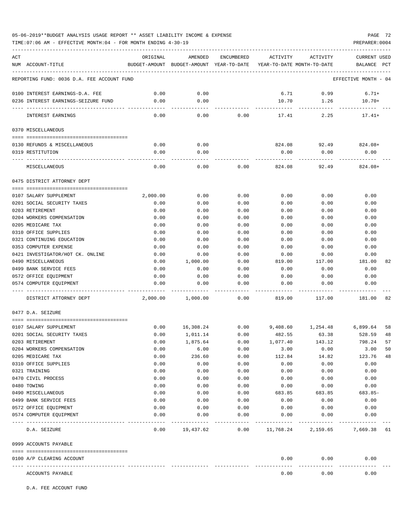TIME:07:06 AM - EFFECTIVE MONTH:04 - FOR MONTH ENDING 4-30-19 PREPARER:0004

| ACT |                                            | ORIGINAL              | AMENDED                                                             | ENCUMBERED | ACTIVITY              | ACTIVITY             | CURRENT USED         |    |
|-----|--------------------------------------------|-----------------------|---------------------------------------------------------------------|------------|-----------------------|----------------------|----------------------|----|
|     | NUM ACCOUNT-TITLE                          |                       | BUDGET-AMOUNT BUDGET-AMOUNT YEAR-TO-DATE YEAR-TO-DATE MONTH-TO-DATE |            |                       |                      | BALANCE PCT          |    |
|     | REPORTING FUND: 0036 D.A. FEE ACCOUNT FUND |                       |                                                                     |            |                       |                      | EFFECTIVE MONTH - 04 |    |
|     | 0100 INTEREST EARNINGS-D.A. FEE            | 0.00                  | 0.00                                                                |            | 6.71                  | 0.99                 | $6.71+$              |    |
|     | 0236 INTEREST EARNINGS-SEIZURE FUND        | 0.00                  | 0.00                                                                |            | 10.70                 | 1.26                 | $10.70+$             |    |
|     | INTEREST EARNINGS                          | -------------<br>0.00 | -------<br>0.00                                                     | 0.00       | ------------<br>17.41 | ---------<br>2.25    | $17.41+$             |    |
|     | 0370 MISCELLANEOUS                         |                       |                                                                     |            |                       |                      |                      |    |
|     |                                            |                       |                                                                     |            |                       |                      |                      |    |
|     | 0130 REFUNDS & MISCELLANEOUS               | 0.00                  | 0.00                                                                |            |                       | 824.08 92.49 824.08+ |                      |    |
|     | 0319 RESTITUTION                           | 0.00                  | 0.00                                                                |            | 0.00                  | 0.00                 | 0.00                 |    |
|     | MISCELLANEOUS                              | 0.00                  | 0.00                                                                | 0.00       | 824.08                | 92.49                | $824.08+$            |    |
|     | 0475 DISTRICT ATTORNEY DEPT                |                       |                                                                     |            |                       |                      |                      |    |
|     |                                            |                       |                                                                     |            |                       |                      |                      |    |
|     | 0107 SALARY SUPPLEMENT                     | 2,000.00              | 0.00                                                                | 0.00       | 0.00                  | 0.00                 | 0.00                 |    |
|     | 0201 SOCIAL SECURITY TAXES                 | 0.00                  | 0.00                                                                | 0.00       | 0.00                  | 0.00                 | 0.00                 |    |
|     | 0203 RETIREMENT                            | 0.00                  | 0.00                                                                | 0.00       | 0.00                  | 0.00                 | 0.00                 |    |
|     | 0204 WORKERS COMPENSATION                  | 0.00                  | 0.00                                                                | 0.00       | 0.00                  | 0.00                 | 0.00                 |    |
|     | 0205 MEDICARE TAX                          | 0.00                  | 0.00                                                                | 0.00       | 0.00                  | 0.00                 | 0.00                 |    |
|     | 0310 OFFICE SUPPLIES                       | 0.00                  | 0.00                                                                | 0.00       | 0.00                  | 0.00                 | 0.00                 |    |
|     | 0321 CONTINUING EDUCATION                  | 0.00                  | 0.00                                                                | 0.00       | 0.00                  | 0.00                 | 0.00                 |    |
|     | 0353 COMPUTER EXPENSE                      | 0.00                  | 0.00                                                                | 0.00       | 0.00                  | 0.00                 | 0.00                 |    |
|     | 0421 INVESTIGATOR/HOT CK. ONLINE           | 0.00                  | 0.00                                                                | 0.00       | 0.00                  | 0.00                 | 0.00                 |    |
|     | 0490 MISCELLANEOUS                         | 0.00                  | 1,000.00                                                            | 0.00       | 819.00                | 117.00               | 181.00               | 82 |
|     | 0499 BANK SERVICE FEES                     | 0.00                  | 0.00                                                                | 0.00       | 0.00                  | 0.00                 | 0.00                 |    |
|     | 0572 OFFICE EQUIPMENT                      | 0.00                  | 0.00                                                                | 0.00       | 0.00                  | 0.00                 | 0.00                 |    |
|     | 0574 COMPUTER EQUIPMENT                    | 0.00                  | 0.00                                                                | 0.00       | 0.00                  | 0.00                 | 0.00                 |    |
|     | DISTRICT ATTORNEY DEPT                     | 2,000.00              | 1,000.00                                                            | 0.00       | 819.00                | 117.00               | 181.00               | 82 |
|     | 0477 D.A. SEIZURE                          |                       |                                                                     |            |                       |                      |                      |    |
|     |                                            |                       |                                                                     |            |                       |                      |                      |    |
|     | 0107 SALARY SUPPLEMENT                     | 0.00                  | 16,308.24                                                           | 0.00       |                       | 9,408.60 1,254.48    | 6,899.64             | 58 |
|     | 0201 SOCIAL SECURITY TAXES                 | 0.00                  | 1,011.14                                                            | 0.00       | 482.55                | 63.38                | 528.59               | 48 |
|     | 0203 RETIREMENT                            | 0.00                  | 1,875.64                                                            | 0.00       | 1,077.40              | 143.12               | 798.24               | 57 |
|     | 0204 WORKERS COMPENSATION                  | 0.00                  | 6.00                                                                | 0.00       | 3.00                  | 0.00                 | 3.00                 | 50 |
|     | 0205 MEDICARE TAX                          | 0.00                  | 236.60                                                              | 0.00       | 112.84                | 14.82                | 123.76               | 48 |
|     | 0310 OFFICE SUPPLIES                       | 0.00                  | 0.00                                                                | 0.00       | 0.00                  | 0.00                 | 0.00                 |    |
|     | 0321 TRAINING                              | 0.00                  | 0.00                                                                | 0.00       | 0.00                  | 0.00                 | 0.00                 |    |
|     | 0470 CIVIL PROCESS                         | 0.00                  | 0.00                                                                | 0.00       | 0.00                  | 0.00                 | 0.00                 |    |
|     | 0480 TOWING                                | 0.00                  | 0.00                                                                | 0.00       | 0.00                  | 0.00                 | 0.00                 |    |
|     | 0490 MISCELLANEOUS                         | 0.00                  | 0.00                                                                | 0.00       | 683.85                | 683.85               | $683.85-$            |    |
|     | 0499 BANK SERVICE FEES                     | 0.00                  | 0.00                                                                | 0.00       | 0.00                  | 0.00                 | 0.00                 |    |
|     | 0572 OFFICE EQUIPMENT                      | 0.00                  | 0.00                                                                | 0.00       | 0.00                  | 0.00                 | 0.00                 |    |
|     | 0574 COMPUTER EQUIPMENT                    | 0.00                  | 0.00                                                                | 0.00       | 0.00                  | 0.00                 | 0.00                 |    |
|     | D.A. SEIZURE                               | 0.00                  | 19,437.62                                                           | 0.00       | 11,768.24             | 2,159.65             | 7,669.38 61          |    |
|     | 0999 ACCOUNTS PAYABLE                      |                       |                                                                     |            |                       |                      |                      |    |
|     | 0100 A/P CLEARING ACCOUNT                  |                       |                                                                     |            | 0.00                  | 0.00                 | 0.00                 |    |
|     | ACCOUNTS PAYABLE                           |                       |                                                                     |            | 0.00                  | 0.00                 | 0.00                 |    |

D.A. FEE ACCOUNT FUND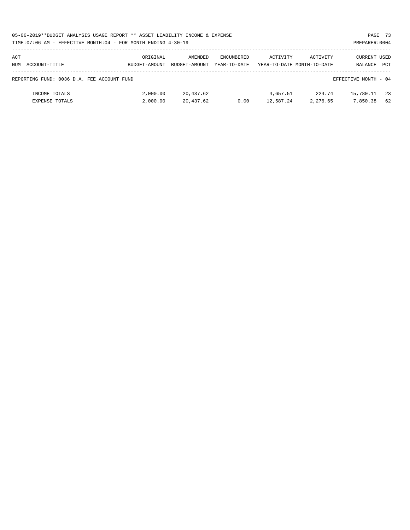| 05-06-2019**BUDGET ANALYSIS USAGE REPORT ** ASSET LIABILITY INCOME & EXPENSE | PAGE 73        |  |
|------------------------------------------------------------------------------|----------------|--|
| TIME:07:06 AM - EFFECTIVE MONTH:04 - FOR MONTH ENDING 4-30-19                | PREPARER: 0004 |  |

| ACT<br>NUM | ACCOUNT-TITLE                              | ORIGINAL<br>BUDGET-AMOUNT | AMENDED<br>BUDGET-AMOUNT | ENCUMBERED<br>YEAR-TO-DATE | ACTIVITY              | ACTIVITY<br>YEAR-TO-DATE MONTH-TO-DATE | CURRENT USED<br>BALANCE | <b>PCT</b> |
|------------|--------------------------------------------|---------------------------|--------------------------|----------------------------|-----------------------|----------------------------------------|-------------------------|------------|
|            | REPORTING FUND: 0036 D.A. FEE ACCOUNT FUND |                           |                          |                            |                       |                                        | EFFECTIVE MONTH - 04    |            |
|            | INCOME TOTALS<br>EXPENSE TOTALS            | 2,000.00<br>2,000.00      | 20,437.62<br>20,437.62   | 0.00                       | 4,657.51<br>12,587.24 | 224.74<br>2,276.65                     | 15,780.11<br>7,850.38   | 23<br>62   |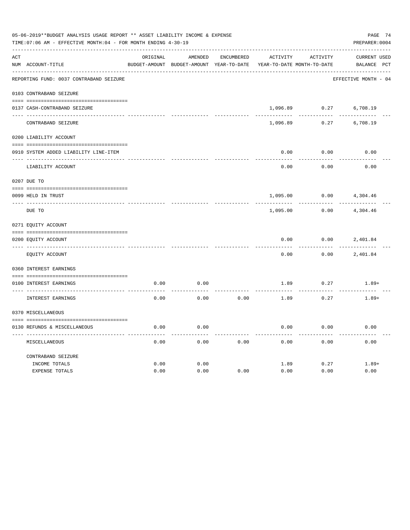|     | 05-06-2019**BUDGET ANALYSIS USAGE REPORT ** ASSET LIABILITY INCOME & EXPENSE<br>PREPARER: 0004<br>TIME:07:06 AM - EFFECTIVE MONTH:04 - FOR MONTH ENDING 4-30-19 |          |                                          |            |          |                            |                      |  |  |  |
|-----|-----------------------------------------------------------------------------------------------------------------------------------------------------------------|----------|------------------------------------------|------------|----------|----------------------------|----------------------|--|--|--|
| ACT |                                                                                                                                                                 | ORIGINAL | AMENDED                                  | ENCUMBERED | ACTIVITY | ACTIVITY                   | <b>CURRENT USED</b>  |  |  |  |
|     | NUM ACCOUNT-TITLE                                                                                                                                               |          | BUDGET-AMOUNT BUDGET-AMOUNT YEAR-TO-DATE |            |          | YEAR-TO-DATE MONTH-TO-DATE | BALANCE PCT          |  |  |  |
|     | REPORTING FUND: 0037 CONTRABAND SEIZURE                                                                                                                         |          |                                          |            |          |                            | EFFECTIVE MONTH - 04 |  |  |  |
|     | 0103 CONTRABAND SEIZURE                                                                                                                                         |          |                                          |            |          |                            |                      |  |  |  |
|     | 0137 CASH-CONTRABAND SEIZURE                                                                                                                                    |          |                                          |            | 1,096.89 | 0.27                       | 6,708.19             |  |  |  |
|     | CONTRABAND SEIZURE                                                                                                                                              |          |                                          |            | 1,096.89 | 0.27                       | 6,708.19             |  |  |  |
|     | 0200 LIABILITY ACCOUNT                                                                                                                                          |          |                                          |            |          |                            |                      |  |  |  |
|     | 0910 SYSTEM ADDED LIABILITY LINE-ITEM                                                                                                                           |          |                                          |            | 0.00     | 0.00                       | 0.00                 |  |  |  |
|     | LIABILITY ACCOUNT                                                                                                                                               |          |                                          |            | 0.00     | 0.00                       | 0.00                 |  |  |  |
|     | 0207 DUE TO                                                                                                                                                     |          |                                          |            |          |                            |                      |  |  |  |
|     | 0099 HELD IN TRUST                                                                                                                                              |          |                                          |            | 1,095.00 | 0.00                       | 4,304.46             |  |  |  |
|     | DUE TO                                                                                                                                                          |          |                                          |            | 1,095.00 | 0.00                       | 4,304.46             |  |  |  |
|     | 0271 EQUITY ACCOUNT                                                                                                                                             |          |                                          |            |          |                            |                      |  |  |  |
|     | 0200 EOUITY ACCOUNT                                                                                                                                             |          |                                          |            | 0.00     | 0.00                       | 2,401.84             |  |  |  |
|     | EQUITY ACCOUNT                                                                                                                                                  |          |                                          |            | 0.00     | 0.00                       | 2,401.84             |  |  |  |
|     | 0360 INTEREST EARNINGS                                                                                                                                          |          |                                          |            |          |                            |                      |  |  |  |
|     | 0100 INTEREST EARNINGS                                                                                                                                          | 0.00     | 0.00                                     |            | 1.89     | 0.27                       | $1.89+$              |  |  |  |
|     | INTEREST EARNINGS                                                                                                                                               | 0.00     | 0.00                                     | 0.00       | 1.89     | 0.27                       | $1.89+$              |  |  |  |
|     | 0370 MISCELLANEOUS                                                                                                                                              |          |                                          |            |          |                            |                      |  |  |  |
|     | 0130 REFUNDS & MISCELLANEOUS                                                                                                                                    | 0.00     | 0.00                                     |            | 0.00     | 0.00                       | 0.00                 |  |  |  |
|     | MISCELLANEOUS                                                                                                                                                   | 0.00     | 0.00                                     | 0.00       | 0.00     | 0.00                       | 0.00                 |  |  |  |
|     | CONTRABAND SEIZURE                                                                                                                                              |          |                                          |            |          |                            |                      |  |  |  |
|     | INCOME TOTALS                                                                                                                                                   | 0.00     | 0.00                                     |            | 1.89     | 0.27                       | $1.89+$              |  |  |  |
|     | EXPENSE TOTALS                                                                                                                                                  | 0.00     | 0.00                                     | 0.00       | 0.00     | 0.00                       | 0.00                 |  |  |  |
|     |                                                                                                                                                                 |          |                                          |            |          |                            |                      |  |  |  |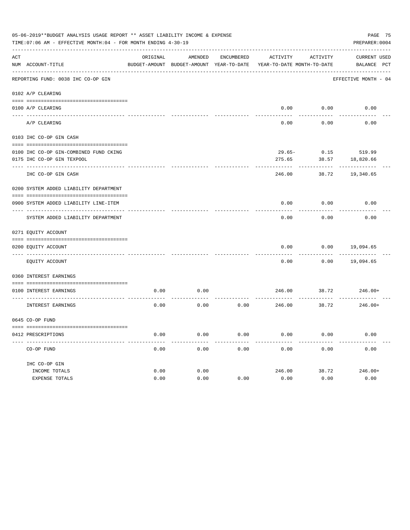| 05-06-2019**BUDGET ANALYSIS USAGE REPORT ** ASSET LIABILITY INCOME & EXPENSE<br>TIME: 07:06 AM - EFFECTIVE MONTH: 04 - FOR MONTH ENDING 4-30-19<br>PREPARER: 0004 |                                          |          |                                                     |                   |                                        |          |                                    |  |  |
|-------------------------------------------------------------------------------------------------------------------------------------------------------------------|------------------------------------------|----------|-----------------------------------------------------|-------------------|----------------------------------------|----------|------------------------------------|--|--|
| ACT                                                                                                                                                               | NUM ACCOUNT-TITLE                        | ORIGINAL | AMENDED<br>BUDGET-AMOUNT BUDGET-AMOUNT YEAR-TO-DATE | <b>ENCUMBERED</b> | ACTIVITY<br>YEAR-TO-DATE MONTH-TO-DATE | ACTIVITY | <b>CURRENT USED</b><br>BALANCE PCT |  |  |
|                                                                                                                                                                   | REPORTING FUND: 0038 IHC CO-OP GIN       |          |                                                     |                   |                                        |          | EFFECTIVE MONTH - 04               |  |  |
|                                                                                                                                                                   | 0102 A/P CLEARING                        |          |                                                     |                   |                                        |          |                                    |  |  |
|                                                                                                                                                                   | 0100 A/P CLEARING                        |          |                                                     |                   | 0.00                                   | 0.00     | 0.00                               |  |  |
|                                                                                                                                                                   | A/P CLEARING                             |          |                                                     |                   | 0.00                                   | 0.00     | 0.00                               |  |  |
|                                                                                                                                                                   | 0103 IHC CO-OP GIN CASH                  |          |                                                     |                   |                                        |          |                                    |  |  |
|                                                                                                                                                                   | 0100 IHC CO-OP GIN-COMBINED FUND CKING   |          |                                                     |                   | $29.65 -$                              | 0.15     | 519.99                             |  |  |
|                                                                                                                                                                   | 0175 IHC CO-OP GIN TEXPOOL               |          |                                                     |                   | 275.65                                 | 38.57    | 18,820.66                          |  |  |
|                                                                                                                                                                   | IHC CO-OP GIN CASH                       |          |                                                     |                   | 246.00                                 | 38.72    | 19,340.65                          |  |  |
|                                                                                                                                                                   | 0200 SYSTEM ADDED LIABILITY DEPARTMENT   |          |                                                     |                   |                                        |          |                                    |  |  |
|                                                                                                                                                                   |                                          |          |                                                     |                   |                                        |          |                                    |  |  |
|                                                                                                                                                                   | 0900 SYSTEM ADDED LIABILITY LINE-ITEM    |          |                                                     |                   | 0.00                                   | 0.00     | 0.00                               |  |  |
|                                                                                                                                                                   | SYSTEM ADDED LIABILITY DEPARTMENT        |          |                                                     |                   | 0.00                                   | 0.00     | 0.00                               |  |  |
|                                                                                                                                                                   | 0271 EQUITY ACCOUNT                      |          |                                                     |                   |                                        |          |                                    |  |  |
|                                                                                                                                                                   |                                          |          |                                                     |                   |                                        |          |                                    |  |  |
|                                                                                                                                                                   | 0200 EQUITY ACCOUNT<br>---- ------------ |          |                                                     |                   | 0.00                                   | 0.00     | 19,094.65                          |  |  |
|                                                                                                                                                                   | EQUITY ACCOUNT                           |          |                                                     |                   | 0.00                                   | 0.00     | 19,094.65                          |  |  |
|                                                                                                                                                                   | 0360 INTEREST EARNINGS                   |          |                                                     |                   |                                        |          |                                    |  |  |
|                                                                                                                                                                   | 0100 INTEREST EARNINGS                   | 0.00     | 0.00                                                |                   | 246.00                                 | 38.72    | $246.00+$                          |  |  |
|                                                                                                                                                                   | <b>INTEREST EARNINGS</b>                 | 0.00     | 0.00                                                | 0.00              | 246.00                                 | 38.72    | $246.00+$                          |  |  |
|                                                                                                                                                                   | 0645 CO-OP FUND                          |          |                                                     |                   |                                        |          |                                    |  |  |
|                                                                                                                                                                   |                                          |          |                                                     |                   |                                        |          |                                    |  |  |
|                                                                                                                                                                   | 0412 PRESCRIPTIONS                       | 0.00     | 0.00                                                | 0.00              | 0.00                                   | 0.00     | 0.00                               |  |  |
|                                                                                                                                                                   | CO-OP FUND                               | 0.00     | 0.00                                                | 0.00              | 0.00                                   | 0.00     | 0.00                               |  |  |
|                                                                                                                                                                   | IHC CO-OP GIN                            |          |                                                     |                   |                                        |          |                                    |  |  |
|                                                                                                                                                                   | INCOME TOTALS                            | 0.00     | 0.00                                                |                   | 246.00                                 | 38.72    | $246.00+$                          |  |  |
|                                                                                                                                                                   | <b>EXPENSE TOTALS</b>                    | 0.00     | 0.00                                                | 0.00              | 0.00                                   | 0.00     | 0.00                               |  |  |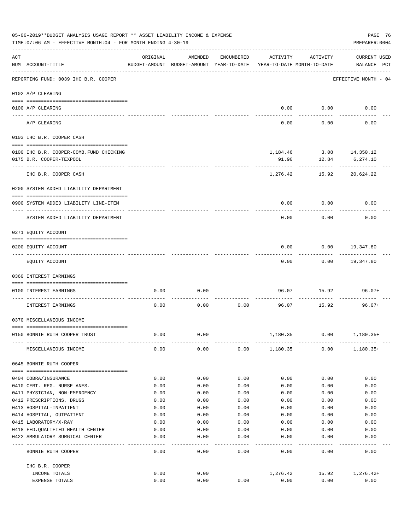|     | 05-06-2019**BUDGET ANALYSIS USAGE REPORT ** ASSET LIABILITY INCOME & EXPENSE<br>TIME: 07:06 AM - EFFECTIVE MONTH: 04 - FOR MONTH ENDING 4-30-19 |              |                                                                                |                   |              |                              | PAGE 76<br>PREPARER: 0004          |
|-----|-------------------------------------------------------------------------------------------------------------------------------------------------|--------------|--------------------------------------------------------------------------------|-------------------|--------------|------------------------------|------------------------------------|
| ACT | NUM ACCOUNT-TITLE                                                                                                                               | ORIGINAL     | AMENDED<br>BUDGET-AMOUNT BUDGET-AMOUNT YEAR-TO-DATE YEAR-TO-DATE MONTH-TO-DATE | ENCUMBERED        | ACTIVITY     | ACTIVITY                     | <b>CURRENT USED</b><br>BALANCE PCT |
|     | REPORTING FUND: 0039 IHC B.R. COOPER                                                                                                            |              |                                                                                |                   |              |                              | EFFECTIVE MONTH - 04               |
|     | 0102 A/P CLEARING                                                                                                                               |              |                                                                                |                   |              |                              |                                    |
|     | 0100 A/P CLEARING                                                                                                                               |              |                                                                                |                   |              | $0.00$ 0.00                  | 0.00                               |
|     | ---- ---------<br>A/P CLEARING                                                                                                                  |              |                                                                                |                   | 0.00         | 0.00                         | 0.00                               |
|     | 0103 IHC B.R. COOPER CASH                                                                                                                       |              |                                                                                |                   |              |                              |                                    |
|     |                                                                                                                                                 |              |                                                                                |                   |              |                              |                                    |
|     | 0100 IHC B.R. COOPER-COMB.FUND CHECKING                                                                                                         |              |                                                                                |                   |              | 1, 184. 46 3. 08 14, 350. 12 |                                    |
|     | 0175 B.R. COOPER-TEXPOOL                                                                                                                        |              |                                                                                |                   | 91.96        | 12.84                        | 6,274.10                           |
|     | IHC B.R. COOPER CASH                                                                                                                            |              |                                                                                |                   | 1,276.42     | 15.92                        | 20,624.22                          |
|     | 0200 SYSTEM ADDED LIABILITY DEPARTMENT                                                                                                          |              |                                                                                |                   |              |                              |                                    |
|     | 0900 SYSTEM ADDED LIABILITY LINE-ITEM                                                                                                           |              |                                                                                |                   | 0.00         | 0.00                         | 0.00                               |
|     | SYSTEM ADDED LIABILITY DEPARTMENT                                                                                                               |              |                                                                                |                   | 0.00         | 0.00                         | 0.00                               |
|     | 0271 EQUITY ACCOUNT                                                                                                                             |              |                                                                                |                   |              |                              |                                    |
|     |                                                                                                                                                 |              |                                                                                |                   |              |                              |                                    |
|     | 0200 EQUITY ACCOUNT                                                                                                                             |              |                                                                                |                   | 0.00         | 0.00                         | 19,347.80                          |
|     | EQUITY ACCOUNT                                                                                                                                  |              |                                                                                |                   | 0.00         |                              | $0.00$ 19,347.80                   |
|     | 0360 INTEREST EARNINGS                                                                                                                          |              |                                                                                |                   |              |                              |                                    |
|     | 0100 INTEREST EARNINGS                                                                                                                          | 0.00         | 0.00                                                                           |                   | 96.07        | 15.92                        | 96.07+                             |
|     | INTEREST EARNINGS                                                                                                                               | 0.00         | 0.00                                                                           | 0.00              |              | 96.07 15.92                  | $96.07+$                           |
|     | 0370 MISCELLANEOUS INCOME                                                                                                                       |              |                                                                                |                   |              |                              |                                    |
|     |                                                                                                                                                 |              |                                                                                |                   |              |                              |                                    |
|     | 0150 BONNIE RUTH COOPER TRUST                                                                                                                   | 0.00         | 0.00                                                                           |                   | 1,180.35     | 0.00                         | $1,180.35+$                        |
|     | MISCELLANEOUS INCOME                                                                                                                            | 0.00         | 0.00                                                                           | 0.00              | 1,180.35     | 0.00                         | $1,180.35+$                        |
|     | 0645 BONNIE RUTH COOPER                                                                                                                         |              |                                                                                |                   |              |                              |                                    |
|     |                                                                                                                                                 |              |                                                                                |                   |              |                              |                                    |
|     | 0404 COBRA/INSURANCE                                                                                                                            | 0.00         | 0.00                                                                           | 0.00              | 0.00         | 0.00                         | 0.00                               |
|     | 0410 CERT. REG. NURSE ANES.                                                                                                                     | 0.00         | 0.00                                                                           | 0.00              | 0.00         | 0.00                         | 0.00                               |
|     | 0411 PHYSICIAN, NON-EMERGENCY                                                                                                                   | 0.00         | 0.00                                                                           | 0.00              | 0.00         | 0.00                         | 0.00                               |
|     | 0412 PRESCRIPTIONS, DRUGS<br>0413 HOSPITAL-INPATIENT                                                                                            | 0.00<br>0.00 | 0.00<br>0.00                                                                   | 0.00<br>0.00      | 0.00<br>0.00 | 0.00<br>0.00                 | 0.00<br>0.00                       |
|     | 0414 HOSPITAL, OUTPATIENT                                                                                                                       | 0.00         | 0.00                                                                           | 0.00              | 0.00         | 0.00                         | 0.00                               |
|     | 0415 LABORATORY/X-RAY                                                                                                                           | 0.00         | 0.00                                                                           | 0.00              | 0.00         | 0.00                         | 0.00                               |
|     | 0418 FED. QUALIFIED HEALTH CENTER                                                                                                               | 0.00         | 0.00                                                                           | 0.00              | 0.00         | 0.00                         | 0.00                               |
|     | 0422 AMBULATORY SURGICAL CENTER                                                                                                                 | 0.00         | 0.00                                                                           | 0.00              | 0.00         | 0.00                         | 0.00                               |
|     | --------------------------------<br>BONNIE RUTH COOPER                                                                                          | 0.00         | $- - - -$<br>0.00                                                              | $- - - -$<br>0.00 | 0.00         | 0.00                         | 0.00                               |
|     | IHC B.R. COOPER                                                                                                                                 |              |                                                                                |                   |              |                              |                                    |
|     | INCOME TOTALS                                                                                                                                   | 0.00         | 0.00                                                                           |                   | 1,276.42     | 15.92                        | 1,276.42+                          |
|     | EXPENSE TOTALS                                                                                                                                  | 0.00         | 0.00                                                                           | 0.00              | 0.00         | 0.00                         | 0.00                               |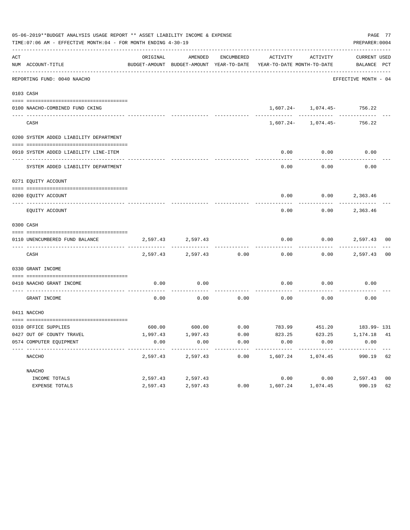|                                        |                                                   |                       |                                                                                                              |                                                                                                           |                        | PREPARER: 0004                               | PAGE 77                                                                                                                                                                                                                                                                                                                                                        |
|----------------------------------------|---------------------------------------------------|-----------------------|--------------------------------------------------------------------------------------------------------------|-----------------------------------------------------------------------------------------------------------|------------------------|----------------------------------------------|----------------------------------------------------------------------------------------------------------------------------------------------------------------------------------------------------------------------------------------------------------------------------------------------------------------------------------------------------------------|
| NUM ACCOUNT-TITLE                      | ORIGINAL                                          | AMENDED               |                                                                                                              |                                                                                                           |                        | CURRENT USED                                 |                                                                                                                                                                                                                                                                                                                                                                |
| REPORTING FUND: 0040 NAACHO            |                                                   |                       |                                                                                                              |                                                                                                           |                        |                                              |                                                                                                                                                                                                                                                                                                                                                                |
| 0103 CASH                              |                                                   |                       |                                                                                                              |                                                                                                           |                        |                                              |                                                                                                                                                                                                                                                                                                                                                                |
|                                        |                                                   |                       |                                                                                                              |                                                                                                           |                        |                                              |                                                                                                                                                                                                                                                                                                                                                                |
| 0100 NAACHO-COMBINED FUND CKING        |                                                   |                       |                                                                                                              |                                                                                                           |                        |                                              |                                                                                                                                                                                                                                                                                                                                                                |
| CASH                                   |                                                   |                       |                                                                                                              |                                                                                                           |                        |                                              |                                                                                                                                                                                                                                                                                                                                                                |
| 0200 SYSTEM ADDED LIABILITY DEPARTMENT |                                                   |                       |                                                                                                              |                                                                                                           |                        |                                              |                                                                                                                                                                                                                                                                                                                                                                |
| 0910 SYSTEM ADDED LIABILITY LINE-ITEM  |                                                   |                       |                                                                                                              | 0.00                                                                                                      | 0.00                   | 0.00                                         |                                                                                                                                                                                                                                                                                                                                                                |
|                                        |                                                   |                       |                                                                                                              |                                                                                                           | ---------              |                                              |                                                                                                                                                                                                                                                                                                                                                                |
| SYSTEM ADDED LIABILITY DEPARTMENT      |                                                   |                       |                                                                                                              | 0.00                                                                                                      | 0.00                   | 0.00                                         |                                                                                                                                                                                                                                                                                                                                                                |
| 0271 EOUITY ACCOUNT                    |                                                   |                       |                                                                                                              |                                                                                                           |                        |                                              |                                                                                                                                                                                                                                                                                                                                                                |
|                                        |                                                   |                       |                                                                                                              |                                                                                                           |                        |                                              |                                                                                                                                                                                                                                                                                                                                                                |
| 0200 EQUITY ACCOUNT                    |                                                   |                       |                                                                                                              |                                                                                                           |                        |                                              |                                                                                                                                                                                                                                                                                                                                                                |
| EQUITY ACCOUNT                         |                                                   |                       |                                                                                                              | 0.00                                                                                                      |                        |                                              |                                                                                                                                                                                                                                                                                                                                                                |
| 0300 CASH                              |                                                   |                       |                                                                                                              |                                                                                                           |                        |                                              |                                                                                                                                                                                                                                                                                                                                                                |
|                                        |                                                   |                       |                                                                                                              |                                                                                                           |                        |                                              |                                                                                                                                                                                                                                                                                                                                                                |
| 0110 UNENCUMBERED FUND BALANCE         |                                                   |                       |                                                                                                              | 0.00                                                                                                      |                        |                                              |                                                                                                                                                                                                                                                                                                                                                                |
| CASH                                   |                                                   |                       |                                                                                                              | 0.00                                                                                                      |                        |                                              | 00                                                                                                                                                                                                                                                                                                                                                             |
| 0330 GRANT INCOME                      |                                                   |                       |                                                                                                              |                                                                                                           |                        |                                              |                                                                                                                                                                                                                                                                                                                                                                |
| 0410 NAACHO GRANT INCOME               | 0.00                                              | 0.00                  |                                                                                                              | 0.00                                                                                                      | 0.00                   | 0.00                                         |                                                                                                                                                                                                                                                                                                                                                                |
| GRANT INCOME                           | 0.00                                              |                       |                                                                                                              |                                                                                                           |                        | 0.00                                         |                                                                                                                                                                                                                                                                                                                                                                |
| 0411 NACCHO                            |                                                   |                       |                                                                                                              |                                                                                                           |                        |                                              |                                                                                                                                                                                                                                                                                                                                                                |
|                                        |                                                   |                       |                                                                                                              |                                                                                                           |                        |                                              |                                                                                                                                                                                                                                                                                                                                                                |
|                                        |                                                   |                       |                                                                                                              |                                                                                                           |                        |                                              |                                                                                                                                                                                                                                                                                                                                                                |
| 0574 COMPUTER EOUIPMENT                | 0.00                                              | 0.00                  | 0.00                                                                                                         | 0.00                                                                                                      | 0.00                   | 0.00                                         |                                                                                                                                                                                                                                                                                                                                                                |
| NACCHO                                 | 2,597.43                                          | ---------<br>2,597.43 | 0.00                                                                                                         | --------<br>1,607.24                                                                                      | ----------<br>1,074.45 | 990.19 62                                    |                                                                                                                                                                                                                                                                                                                                                                |
| NAACHO                                 |                                                   |                       |                                                                                                              |                                                                                                           |                        |                                              |                                                                                                                                                                                                                                                                                                                                                                |
| INCOME TOTALS                          | 2,597.43                                          | 2,597.43              |                                                                                                              | 0.00                                                                                                      | 0.00                   | 2,597.43                                     | 0 <sub>0</sub>                                                                                                                                                                                                                                                                                                                                                 |
| EXPENSE TOTALS                         | 2,597.43                                          | 2,597.43              | 0.00                                                                                                         | 1,607.24                                                                                                  | 1,074.45               | 990.19                                       | 62                                                                                                                                                                                                                                                                                                                                                             |
|                                        | 0310 OFFICE SUPPLIES<br>0427 OUT OF COUNTY TRAVEL |                       | TIME: 07:06 AM - EFFECTIVE MONTH: 04 - FOR MONTH ENDING 4-30-19<br>2,597.43 2,597.43<br>1,997.43<br>1,997.43 | 05-06-2019**BUDGET ANALYSIS USAGE REPORT ** ASSET LIABILITY INCOME & EXPENSE<br>2,597.43 2,597.43<br>0.00 | 0.00<br>823.25         | $0.00$ $0.00$ $0.00$ $0.00$ $0.00$<br>623.25 | ENCUMBERED ACTIVITY ACTIVITY<br>BUDGET-AMOUNT BUDGET-AMOUNT YEAR-TO-DATE YEAR-TO-DATE MONTH-TO-DATE BALANCE PCT<br>EFFECTIVE MONTH - 04<br>1,607.24- 1,074.45- 756.22<br>1,607.24- 1,074.45- 756.22<br>$0.00$ $0.00$ $2,363.46$<br>$0.00$ 2,363.46<br>$0.00$ 2,597.43 00<br>$0.00$ 2,597.43<br>600.00 600.00 600.00 783.99 451.20 183.99-131<br>$1, 174.18$ 41 |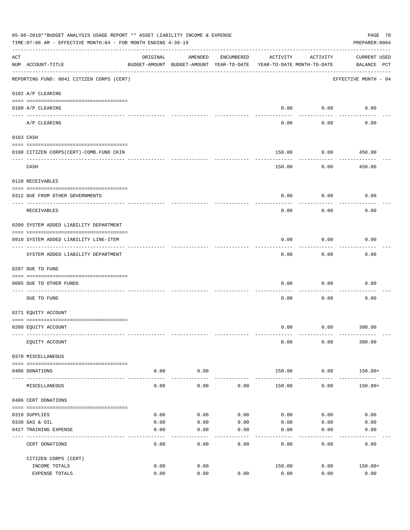|     | 05-06-2019**BUDGET ANALYSIS USAGE REPORT ** ASSET LIABILITY INCOME & EXPENSE<br>TIME: 07:06 AM - EFFECTIVE MONTH: 04 - FOR MONTH ENDING 4-30-19 |                |                                                     |            |                                        |                           | PAGE 78<br>PREPARER: 0004          |
|-----|-------------------------------------------------------------------------------------------------------------------------------------------------|----------------|-----------------------------------------------------|------------|----------------------------------------|---------------------------|------------------------------------|
| ACT | NUM ACCOUNT-TITLE                                                                                                                               | ORIGINAL       | AMENDED<br>BUDGET-AMOUNT BUDGET-AMOUNT YEAR-TO-DATE | ENCUMBERED | ACTIVITY<br>YEAR-TO-DATE MONTH-TO-DATE | ACTIVITY                  | <b>CURRENT USED</b><br>BALANCE PCT |
|     | REPORTING FUND: 0041 CITIZEN CORPS (CERT)                                                                                                       |                |                                                     |            |                                        |                           | EFFECTIVE MONTH - 04               |
|     | 0102 A/P CLEARING                                                                                                                               |                |                                                     |            |                                        |                           |                                    |
|     | 0100 A/P CLEARING                                                                                                                               |                |                                                     |            | 0.00                                   | 0.00                      | 0.00                               |
|     | A/P CLEARING                                                                                                                                    |                |                                                     |            | 0.00                                   | -------<br>0.00           | 0.00                               |
|     | 0103 CASH                                                                                                                                       |                |                                                     |            |                                        |                           |                                    |
|     | 0100 CITIZEN CORPS(CERT)-COMB.FUND CKIN                                                                                                         |                |                                                     |            | 150.00                                 | 0.00                      | 450.00                             |
|     | CASH                                                                                                                                            |                |                                                     |            | 150.00                                 | 0.00                      | 450.00                             |
|     | 0120 RECEIVABLES                                                                                                                                |                |                                                     |            |                                        |                           |                                    |
|     | 0312 DUE FROM OTHER GOVERNMENTS                                                                                                                 |                |                                                     |            | 0.00                                   | 0.00                      | 0.00                               |
|     | RECEIVABLES                                                                                                                                     |                |                                                     |            | 0.00                                   | 0.00                      | 0.00                               |
|     | 0200 SYSTEM ADDED LIABILITY DEPARTMENT                                                                                                          |                |                                                     |            |                                        |                           |                                    |
|     | 0910 SYSTEM ADDED LIABILITY LINE-ITEM                                                                                                           |                |                                                     |            | 0.00                                   | 0.00<br>$- - - - - - - -$ | 0.00                               |
|     | SYSTEM ADDED LIABILITY DEPARTMENT                                                                                                               |                |                                                     |            | 0.00                                   | 0.00                      | 0.00                               |
|     | 0207 DUE TO FUND                                                                                                                                |                |                                                     |            |                                        |                           |                                    |
|     | 0095 DUE TO OTHER FUNDS                                                                                                                         |                |                                                     |            | 0.00                                   | 0.00                      | 0.00                               |
|     | DUE TO FUND                                                                                                                                     |                |                                                     |            | 0.00                                   | 0.00                      | 0.00                               |
|     | 0271 EQUITY ACCOUNT                                                                                                                             |                |                                                     |            |                                        |                           |                                    |
|     | 0200 EQUITY ACCOUNT                                                                                                                             |                |                                                     |            | 0.00                                   |                           | $0.00$ 300.00                      |
|     | EQUITY ACCOUNT                                                                                                                                  |                |                                                     |            | 0.00                                   | 0.00                      | 300.00                             |
|     | 0370 MISCELLANEOUS                                                                                                                              |                |                                                     |            |                                        |                           |                                    |
|     | 0406 DONATIONS                                                                                                                                  | 0.00           | 0.00                                                |            | 150.00                                 | 0.00                      | 150.00+                            |
|     | MISCELLANEOUS                                                                                                                                   | ------<br>0.00 | ----------<br>0.00                                  | 0.00       | 150.00                                 | ----------<br>0.00        | $150.00+$                          |
|     | 0406 CERT DONATIONS                                                                                                                             |                |                                                     |            |                                        |                           |                                    |
|     | 0310 SUPPLIES                                                                                                                                   | 0.00           | 0.00                                                | 0.00       | 0.00                                   | 0.00                      | 0.00                               |
|     | 0330 GAS & OIL                                                                                                                                  | 0.00           | 0.00                                                | 0.00       | 0.00                                   | 0.00                      | 0.00                               |
|     | 0427 TRAINING EXPENSE                                                                                                                           | 0.00           | 0.00                                                | 0.00       | 0.00                                   | 0.00                      | 0.00                               |
|     | CERT DONATIONS                                                                                                                                  | 0.00           | 0.00                                                | 0.00       | 0.00                                   | 0.00                      | 0.00                               |
|     | CITIZEN CORPS (CERT)                                                                                                                            |                |                                                     |            |                                        |                           |                                    |
|     | INCOME TOTALS                                                                                                                                   | 0.00           | 0.00                                                |            | 150.00                                 | 0.00                      | $150.00+$                          |
|     | EXPENSE TOTALS                                                                                                                                  | 0.00           | 0.00                                                | 0.00       | 0.00                                   | 0.00                      | 0.00                               |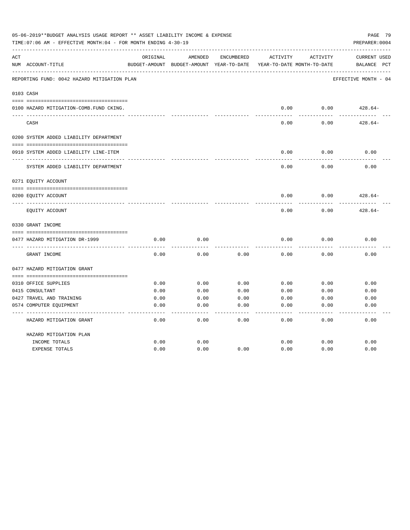|     | 05-06-2019**BUDGET ANALYSIS USAGE REPORT ** ASSET LIABILITY INCOME & EXPENSE<br>TIME: 07:06 AM - EFFECTIVE MONTH: 04 - FOR MONTH ENDING 4-30-19 |          |                                                     |            |          |                                        | PAGE 79<br>PREPARER: 0004               |
|-----|-------------------------------------------------------------------------------------------------------------------------------------------------|----------|-----------------------------------------------------|------------|----------|----------------------------------------|-----------------------------------------|
| ACT | NUM ACCOUNT-TITLE                                                                                                                               | ORIGINAL | AMENDED<br>BUDGET-AMOUNT BUDGET-AMOUNT YEAR-TO-DATE | ENCUMBERED | ACTIVITY | ACTIVITY<br>YEAR-TO-DATE MONTH-TO-DATE | CURRENT USED<br>BALANCE<br>$_{\rm PCT}$ |
|     | REPORTING FUND: 0042 HAZARD MITIGATION PLAN                                                                                                     |          |                                                     |            |          |                                        | EFFECTIVE MONTH - 04                    |
|     | 0103 CASH                                                                                                                                       |          |                                                     |            |          |                                        |                                         |
|     | 0100 HAZARD MITIGATION-COMB.FUND CKING.                                                                                                         |          |                                                     |            | 0.00     | 0.00                                   | $428.64-$                               |
|     | CASH                                                                                                                                            |          |                                                     |            | 0.00     | 0.00                                   | $428.64-$                               |
|     | 0200 SYSTEM ADDED LIABILITY DEPARTMENT                                                                                                          |          |                                                     |            |          |                                        |                                         |
|     | 0910 SYSTEM ADDED LIABILITY LINE-ITEM                                                                                                           |          |                                                     |            | 0.00     | 0.00                                   | 0.00                                    |
|     | SYSTEM ADDED LIABILITY DEPARTMENT                                                                                                               |          |                                                     |            | 0.00     | 0.00                                   | 0.00                                    |
|     | 0271 EQUITY ACCOUNT                                                                                                                             |          |                                                     |            |          |                                        |                                         |
|     | 0200 EQUITY ACCOUNT                                                                                                                             |          |                                                     |            | 0.00     | 0.00                                   | $428.64-$                               |
|     | EQUITY ACCOUNT                                                                                                                                  |          |                                                     |            | 0.00     | 0.00                                   | $428.64-$                               |
|     | 0330 GRANT INCOME                                                                                                                               |          |                                                     |            |          |                                        |                                         |
|     | 0477 HAZARD MITIGATION DR-1999                                                                                                                  | 0.00     | 0.00                                                |            | 0.00     | 0.00                                   | 0.00                                    |
|     | GRANT INCOME                                                                                                                                    | 0.00     | 0.00                                                | 0.00       | 0.00     | 0.00                                   | 0.00                                    |
|     | 0477 HAZARD MITIGATION GRANT                                                                                                                    |          |                                                     |            |          |                                        |                                         |
|     |                                                                                                                                                 |          |                                                     |            |          |                                        |                                         |
|     | 0310 OFFICE SUPPLIES                                                                                                                            | 0.00     | 0.00                                                | 0.00       | 0.00     | 0.00                                   | 0.00                                    |
|     | 0415 CONSULTANT                                                                                                                                 | 0.00     | 0.00                                                | 0.00       | 0.00     | 0.00                                   | 0.00                                    |
|     | 0427 TRAVEL AND TRAINING                                                                                                                        | 0.00     | 0.00                                                | 0.00       | 0.00     | 0.00                                   | 0.00                                    |
|     | 0574 COMPUTER EQUIPMENT                                                                                                                         | 0.00     | 0.00                                                | 0.00       | 0.00     | 0.00                                   | 0.00                                    |
|     | HAZARD MITIGATION GRANT                                                                                                                         | 0.00     | 0.00                                                | 0.00       | 0.00     | 0.00                                   | 0.00                                    |
|     | HAZARD MITIGATION PLAN                                                                                                                          |          |                                                     |            |          |                                        |                                         |
|     | INCOME TOTALS                                                                                                                                   | 0.00     | 0.00                                                |            | 0.00     | 0.00                                   | 0.00                                    |
|     | <b>EXPENSE TOTALS</b>                                                                                                                           | 0.00     | 0.00                                                | 0.00       | 0.00     | 0.00                                   | 0.00                                    |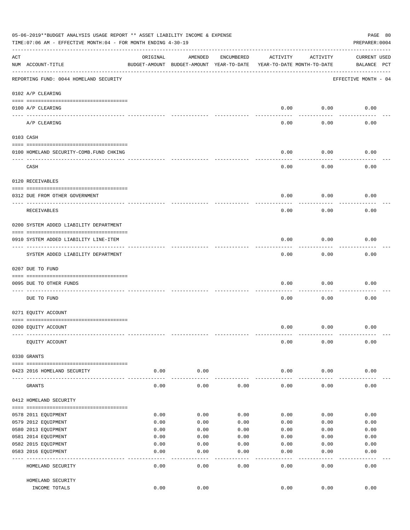|     | 05-06-2019**BUDGET ANALYSIS USAGE REPORT ** ASSET LIABILITY INCOME & EXPENSE<br>TIME: 07:06 AM - EFFECTIVE MONTH: 04 - FOR MONTH ENDING 4-30-19 |               |                                                     |              |                                        |               | PAGE 80<br>PREPARER: 0004          |
|-----|-------------------------------------------------------------------------------------------------------------------------------------------------|---------------|-----------------------------------------------------|--------------|----------------------------------------|---------------|------------------------------------|
| ACT | NUM ACCOUNT-TITLE                                                                                                                               | ORIGINAL      | AMENDED<br>BUDGET-AMOUNT BUDGET-AMOUNT YEAR-TO-DATE | ENCUMBERED   | ACTIVITY<br>YEAR-TO-DATE MONTH-TO-DATE | ACTIVITY      | <b>CURRENT USED</b><br>BALANCE PCT |
|     | REPORTING FUND: 0044 HOMELAND SECURITY                                                                                                          |               |                                                     |              |                                        |               | EFFECTIVE MONTH - 04               |
|     | 0102 A/P CLEARING                                                                                                                               |               |                                                     |              |                                        |               |                                    |
|     | 0100 A/P CLEARING<br>---- ----------                                                                                                            |               |                                                     |              | 0.00                                   | 0.00          | 0.00                               |
|     | A/P CLEARING                                                                                                                                    |               |                                                     |              | 0.00                                   | 0.00          | 0.00                               |
|     | 0103 CASH                                                                                                                                       |               |                                                     |              |                                        |               |                                    |
|     | 0100 HOMELAND SECURITY-COMB.FUND CHKING                                                                                                         |               |                                                     |              | 0.00                                   | 0.00          | 0.00                               |
|     | CASH                                                                                                                                            |               |                                                     |              | 0.00                                   | 0.00          | 0.00                               |
|     | 0120 RECEIVABLES                                                                                                                                |               |                                                     |              |                                        |               |                                    |
|     | 0312 DUE FROM OTHER GOVERNMENT                                                                                                                  |               |                                                     |              | 0.00                                   | 0.00          | 0.00                               |
|     | RECEIVABLES                                                                                                                                     |               |                                                     |              | 0.00                                   | 0.00          | 0.00                               |
|     | 0200 SYSTEM ADDED LIABILITY DEPARTMENT                                                                                                          |               |                                                     |              |                                        |               |                                    |
|     | 0910 SYSTEM ADDED LIABILITY LINE-ITEM                                                                                                           |               |                                                     |              | 0.00                                   | 0.00          | 0.00                               |
|     | SYSTEM ADDED LIABILITY DEPARTMENT                                                                                                               |               |                                                     |              | 0.00                                   | 0.00          | 0.00                               |
|     | 0207 DUE TO FUND                                                                                                                                |               |                                                     |              |                                        |               |                                    |
|     | 0095 DUE TO OTHER FUNDS                                                                                                                         |               |                                                     |              | 0.00                                   | 0.00          | 0.00                               |
|     | DUE TO FUND                                                                                                                                     |               |                                                     |              | 0.00                                   | 0.00          | 0.00                               |
|     | 0271 EQUITY ACCOUNT                                                                                                                             |               |                                                     |              |                                        |               |                                    |
|     | 0200 EQUITY ACCOUNT                                                                                                                             |               |                                                     |              | 0.00                                   | 0.00          | 0.00                               |
|     | EQUITY ACCOUNT                                                                                                                                  |               |                                                     |              | 0.00                                   | 0.00          | 0.00                               |
|     | 0330 GRANTS                                                                                                                                     |               |                                                     |              |                                        |               |                                    |
|     | 0423 2016 HOMELAND SECURITY                                                                                                                     | 0.00          | 0.00                                                |              | 0.00                                   | 0.00          | 0.00                               |
|     | GRANTS                                                                                                                                          | 0.00          | 0.00                                                | 0.00         | 0.00                                   | 0.00          | 0.00                               |
|     | 0412 HOMELAND SECURITY                                                                                                                          |               |                                                     |              |                                        |               |                                    |
|     |                                                                                                                                                 |               |                                                     |              |                                        |               |                                    |
|     | 0578 2011 EQUIPMENT                                                                                                                             | 0.00          | 0.00                                                | 0.00         | 0.00                                   | 0.00          | 0.00                               |
|     | 0579 2012 EQUIPMENT<br>0580 2013 EQUIPMENT                                                                                                      | 0.00<br>0.00  | 0.00<br>0.00                                        | 0.00<br>0.00 | 0.00<br>0.00                           | 0.00<br>0.00  | 0.00<br>0.00                       |
|     | 0581 2014 EQUIPMENT                                                                                                                             | 0.00          | 0.00                                                | 0.00         | 0.00                                   | 0.00          | 0.00                               |
|     | 0582 2015 EQUIPMENT                                                                                                                             | 0.00          | 0.00                                                | 0.00         | 0.00                                   | 0.00          | 0.00                               |
|     | 0583 2016 EQUIPMENT                                                                                                                             | 0.00          | 0.00                                                | 0.00         | 0.00                                   | 0.00          | 0.00                               |
|     | HOMELAND SECURITY                                                                                                                               | $---$<br>0.00 | ----<br>0.00                                        | ----<br>0.00 | $---$<br>0.00                          | $---$<br>0.00 | -----<br>0.00                      |
|     |                                                                                                                                                 |               |                                                     |              |                                        |               |                                    |
|     | HOMELAND SECURITY<br>INCOME TOTALS                                                                                                              | 0.00          | 0.00                                                |              | 0.00                                   | 0.00          | 0.00                               |
|     |                                                                                                                                                 |               |                                                     |              |                                        |               |                                    |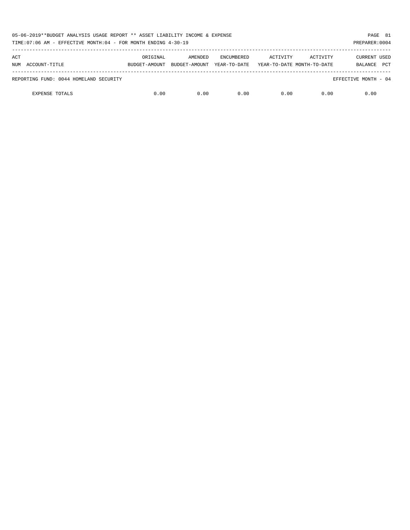| 05-06-2019**BUDGET ANALYSIS USAGE REPORT ** ASSET LIABILITY INCOME & EXPENSE<br>TIME:07:06 AM - EFFECTIVE MONTH:04 - FOR MONTH ENDING 4-30-19 |                           |                          |                                   |                                        |          | PAGE 81<br>PREPARER: 0004             |  |
|-----------------------------------------------------------------------------------------------------------------------------------------------|---------------------------|--------------------------|-----------------------------------|----------------------------------------|----------|---------------------------------------|--|
| ACT<br>NUM ACCOUNT-TITLE                                                                                                                      | ORIGINAL<br>BUDGET-AMOUNT | AMENDED<br>BUDGET-AMOUNT | <b>ENCUMBERED</b><br>YEAR-TO-DATE | ACTIVITY<br>YEAR-TO-DATE MONTH-TO-DATE | ACTIVITY | CURRENT USED<br><b>PCT</b><br>BALANCE |  |
| REPORTING FUND: 0044 HOMELAND SECURITY                                                                                                        |                           |                          |                                   |                                        |          | EFFECTIVE MONTH - 04                  |  |
| <b>EXPENSE TOTALS</b>                                                                                                                         | 0.00                      | 0.00                     | 0.00                              | 0.00                                   | 0.00     | 0.00                                  |  |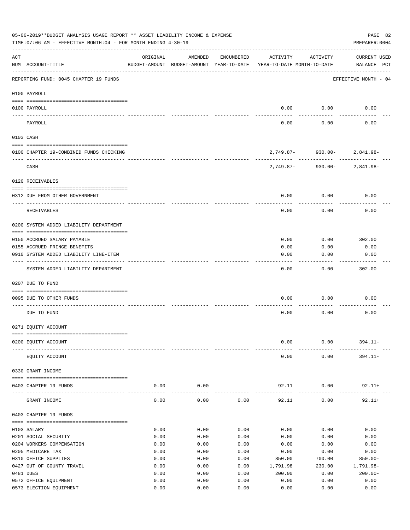|       | 05-06-2019**BUDGET ANALYSIS USAGE REPORT ** ASSET LIABILITY INCOME & EXPENSE<br>TIME: 07:06 AM - EFFECTIVE MONTH: 04 - FOR MONTH ENDING 4-30-19 |              |                                                     |              |                                        |                             | PAGE 82<br>PREPARER: 0004          |
|-------|-------------------------------------------------------------------------------------------------------------------------------------------------|--------------|-----------------------------------------------------|--------------|----------------------------------------|-----------------------------|------------------------------------|
| ACT   | NUM ACCOUNT-TITLE                                                                                                                               | ORIGINAL     | AMENDED<br>BUDGET-AMOUNT BUDGET-AMOUNT YEAR-TO-DATE | ENCUMBERED   | ACTIVITY<br>YEAR-TO-DATE MONTH-TO-DATE | ACTIVITY                    | <b>CURRENT USED</b><br>BALANCE PCT |
|       | REPORTING FUND: 0045 CHAPTER 19 FUNDS                                                                                                           |              |                                                     |              |                                        |                             | EFFECTIVE MONTH - 04               |
|       | 0100 PAYROLL                                                                                                                                    |              |                                                     |              |                                        |                             |                                    |
|       | 0100 PAYROLL                                                                                                                                    |              |                                                     |              | 0.00                                   | 0.00                        | 0.00                               |
|       | PAYROLL                                                                                                                                         |              |                                                     |              | 0.00                                   | 0.00                        | 0.00                               |
|       | 0103 CASH                                                                                                                                       |              |                                                     |              |                                        |                             |                                    |
|       | 0100 CHAPTER 19-COMBINED FUNDS CHECKING                                                                                                         |              |                                                     |              |                                        | 2,749.87- 930.00- 2,841.98- |                                    |
|       | CASH                                                                                                                                            |              |                                                     |              | 2,749.87-                              |                             | $930.00 - 2,841.98 -$              |
|       | 0120 RECEIVABLES                                                                                                                                |              |                                                     |              |                                        |                             |                                    |
|       | 0312 DUE FROM OTHER GOVERNMENT                                                                                                                  |              |                                                     |              | 0.00                                   | 0.00                        | 0.00                               |
|       | RECEIVABLES                                                                                                                                     |              |                                                     |              | 0.00                                   | 0.00                        | 0.00                               |
|       | 0200 SYSTEM ADDED LIABILITY DEPARTMENT                                                                                                          |              |                                                     |              |                                        |                             |                                    |
|       | 0150 ACCRUED SALARY PAYABLE                                                                                                                     |              |                                                     |              | 0.00                                   | 0.00                        | 302.00                             |
|       | 0155 ACCRUED FRINGE BENEFITS                                                                                                                    |              |                                                     |              | 0.00                                   | 0.00                        | 0.00                               |
|       | 0910 SYSTEM ADDED LIABILITY LINE-ITEM                                                                                                           |              |                                                     |              | 0.00                                   | 0.00                        | 0.00                               |
|       | SYSTEM ADDED LIABILITY DEPARTMENT                                                                                                               |              |                                                     |              | 0.00                                   | 0.00                        | 302.00                             |
|       | 0207 DUE TO FUND                                                                                                                                |              |                                                     |              |                                        |                             |                                    |
|       |                                                                                                                                                 |              |                                                     |              |                                        |                             |                                    |
|       | 0095 DUE TO OTHER FUNDS                                                                                                                         |              |                                                     |              | 0.00                                   | 0.00                        | 0.00                               |
|       | DUE TO FUND                                                                                                                                     |              |                                                     |              | 0.00                                   | 0.00                        | 0.00                               |
|       | 0271 EQUITY ACCOUNT                                                                                                                             |              |                                                     |              |                                        |                             |                                    |
|       | 0200 EQUITY ACCOUNT                                                                                                                             |              |                                                     |              | 0.00                                   | 0.00                        | $394.11 -$                         |
|       |                                                                                                                                                 |              |                                                     |              |                                        |                             |                                    |
|       | EQUITY ACCOUNT                                                                                                                                  |              |                                                     |              | 0.00                                   | 0.00                        | $394.11 -$                         |
|       | 0330 GRANT INCOME                                                                                                                               |              |                                                     |              |                                        |                             |                                    |
| $---$ | 0403 CHAPTER 19 FUNDS                                                                                                                           | 0.00         | 0.00                                                |              | 92.11                                  | 0.00                        | $92.11+$                           |
|       | GRANT INCOME                                                                                                                                    | 0.00         | 0.00                                                | 0.00         | 92.11                                  | 0.00                        | $92.11+$                           |
|       | 0403 CHAPTER 19 FUNDS                                                                                                                           |              |                                                     |              |                                        |                             |                                    |
|       | 0103 SALARY                                                                                                                                     | 0.00         | 0.00                                                | 0.00         | 0.00                                   | 0.00                        | 0.00                               |
|       | 0201 SOCIAL SECURITY                                                                                                                            | 0.00         | 0.00                                                | 0.00         | 0.00                                   | 0.00                        | 0.00                               |
|       | 0204 WORKERS COMPENSATION                                                                                                                       | 0.00         | 0.00                                                | 0.00         | 0.00                                   | 0.00                        | 0.00                               |
|       | 0205 MEDICARE TAX                                                                                                                               | 0.00         | 0.00                                                | 0.00         | 0.00                                   | 0.00                        | 0.00                               |
|       | 0310 OFFICE SUPPLIES                                                                                                                            | 0.00         | 0.00                                                | 0.00         | 850.00                                 | 700.00                      | $850.00 -$                         |
|       | 0427 OUT OF COUNTY TRAVEL<br>0481 DUES                                                                                                          | 0.00         | 0.00                                                | 0.00         | 1,791.98                               | 230.00                      | 1,791.98-                          |
|       | 0572 OFFICE EQUIPMENT                                                                                                                           | 0.00<br>0.00 | 0.00<br>0.00                                        | 0.00<br>0.00 | 200.00<br>0.00                         | 0.00<br>0.00                | $200.00 -$<br>0.00                 |
|       | 0573 ELECTION EQUIPMENT                                                                                                                         | 0.00         | 0.00                                                | 0.00         | 0.00                                   | 0.00                        | 0.00                               |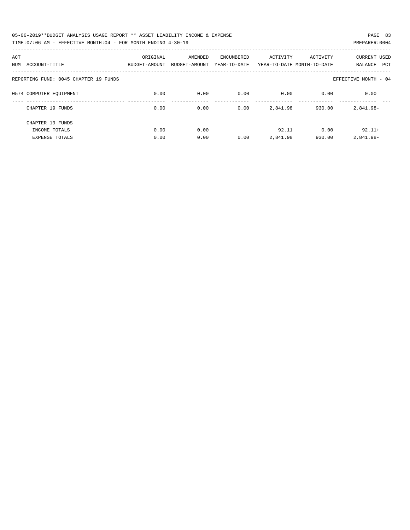| 05-06-2019**BUDGET ANALYSIS USAGE REPORT ** ASSET LIABILITY INCOME & EXPENSE | PAGE 83        |  |
|------------------------------------------------------------------------------|----------------|--|
| TIME:07:06 AM - EFFECTIVE MONTH:04 - FOR MONTH ENDING 4-30-19                | PREPARER: 0004 |  |

| ACT                                   | ORIGINAL      | AMENDED       | <b>ENCUMBERED</b> | ACTIVITY | ACTIVITY                   | <b>CURRENT USED</b>   |
|---------------------------------------|---------------|---------------|-------------------|----------|----------------------------|-----------------------|
| ACCOUNT-TITLE<br>NUM                  | BUDGET-AMOUNT | BUDGET-AMOUNT | YEAR-TO-DATE      |          | YEAR-TO-DATE MONTH-TO-DATE | <b>PCT</b><br>BALANCE |
|                                       |               |               |                   |          |                            |                       |
| REPORTING FUND: 0045 CHAPTER 19 FUNDS |               |               |                   |          |                            | EFFECTIVE MONTH - 04  |
|                                       |               |               |                   |          |                            |                       |
| 0574 COMPUTER EQUIPMENT               | 0.00          | 0.00          | 0.00              | 0.00     | 0.00                       | 0.00                  |
|                                       |               |               |                   |          |                            |                       |
| CHAPTER 19 FUNDS                      | 0.00          | 0.00          | 0.00              | 2,841.98 | 930.00                     | 2,841.98-             |
|                                       |               |               |                   |          |                            |                       |
| CHAPTER 19 FUNDS                      |               |               |                   |          |                            |                       |
| INCOME TOTALS                         | 0.00          | 0.00          |                   | 92.11    | 0.00                       | $92.11+$              |
| <b>EXPENSE TOTALS</b>                 | 0.00          | 0.00          | 0.00              | 2,841.98 | 930.00                     | 2,841.98-             |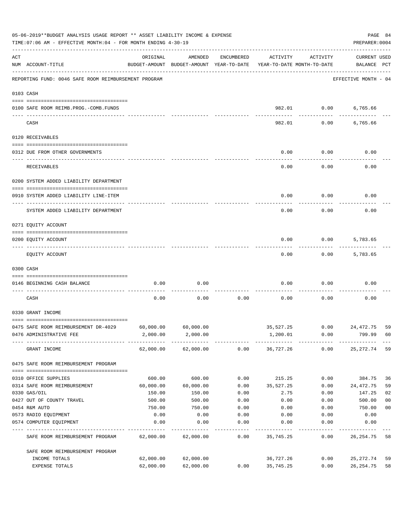| 05-06-2019**BUDGET ANALYSIS USAGE REPORT ** ASSET LIABILITY INCOME & EXPENSE<br>TIME: 07:06 AM - EFFECTIVE MONTH: 04 - FOR MONTH ENDING 4-30-19 |                                                      |           |                                                     |            |           |                                        |                                    |                |  |
|-------------------------------------------------------------------------------------------------------------------------------------------------|------------------------------------------------------|-----------|-----------------------------------------------------|------------|-----------|----------------------------------------|------------------------------------|----------------|--|
| ACT                                                                                                                                             | NUM ACCOUNT-TITLE                                    | ORIGINAL  | AMENDED<br>BUDGET-AMOUNT BUDGET-AMOUNT YEAR-TO-DATE | ENCUMBERED | ACTIVITY  | ACTIVITY<br>YEAR-TO-DATE MONTH-TO-DATE | <b>CURRENT USED</b><br>BALANCE PCT |                |  |
|                                                                                                                                                 | REPORTING FUND: 0046 SAFE ROOM REIMBURSEMENT PROGRAM |           |                                                     |            |           |                                        | EFFECTIVE MONTH - 04               |                |  |
| 0103 CASH                                                                                                                                       |                                                      |           |                                                     |            |           |                                        |                                    |                |  |
|                                                                                                                                                 | 0100 SAFE ROOM REIMB.PROG.-COMB.FUNDS                |           |                                                     |            | 982.01    | 0.00                                   | 6,765.66                           |                |  |
|                                                                                                                                                 | CASH                                                 |           |                                                     |            | 982.01    | 0.00                                   | 6,765.66                           |                |  |
|                                                                                                                                                 | 0120 RECEIVABLES                                     |           |                                                     |            |           |                                        |                                    |                |  |
|                                                                                                                                                 | 0312 DUE FROM OTHER GOVERNMENTS                      |           |                                                     |            | 0.00      | 0.00                                   | 0.00                               |                |  |
|                                                                                                                                                 | RECEIVABLES                                          |           |                                                     |            | 0.00      | 0.00                                   | 0.00                               |                |  |
|                                                                                                                                                 | 0200 SYSTEM ADDED LIABILITY DEPARTMENT               |           |                                                     |            |           |                                        |                                    |                |  |
|                                                                                                                                                 | 0910 SYSTEM ADDED LIABILITY LINE-ITEM                |           |                                                     |            | 0.00      | 0.00                                   | 0.00                               |                |  |
|                                                                                                                                                 | SYSTEM ADDED LIABILITY DEPARTMENT                    |           |                                                     |            | 0.00      | 0.00                                   | 0.00                               |                |  |
|                                                                                                                                                 | 0271 EQUITY ACCOUNT                                  |           |                                                     |            |           |                                        |                                    |                |  |
|                                                                                                                                                 | 0200 EQUITY ACCOUNT                                  |           |                                                     |            | 0.00      | 0.00                                   | 5,783.65                           |                |  |
|                                                                                                                                                 | EQUITY ACCOUNT                                       |           |                                                     |            | 0.00      | 0.00                                   | 5,783.65                           |                |  |
|                                                                                                                                                 | 0300 CASH                                            |           |                                                     |            |           |                                        |                                    |                |  |
|                                                                                                                                                 | 0146 BEGINNING CASH BALANCE                          | 0.00      | 0.00                                                |            | 0.00      | 0.00                                   | 0.00                               |                |  |
|                                                                                                                                                 | CASH                                                 | 0.00      | 0.00                                                | 0.00       | 0.00      | 0.00                                   | 0.00                               |                |  |
|                                                                                                                                                 | 0330 GRANT INCOME                                    |           |                                                     |            |           |                                        |                                    |                |  |
|                                                                                                                                                 | 0475 SAFE ROOM REIMBURSEMENT DR-4029                 | 60,000.00 | 60,000.00                                           |            | 35,527.25 | 0.00                                   | 24,472.75                          | 59             |  |
|                                                                                                                                                 | 0476 ADMINISTRATIVE FEE                              | 2,000.00  | 2,000.00                                            |            | 1,200.01  | 0.00                                   | 799.99                             | 60             |  |
|                                                                                                                                                 | GRANT INCOME                                         |           | 62,000.00 62,000.00                                 |            |           | $0.00$ 36,727.26 0.00                  | 25,272.74                          | 59             |  |
|                                                                                                                                                 | 0475 SAFE ROOM REIMBURSEMENT PROGRAM                 |           |                                                     |            |           |                                        |                                    |                |  |
|                                                                                                                                                 | 0310 OFFICE SUPPLIES                                 | 600.00    | 600.00                                              | 0.00       | 215.25    | 0.00                                   | 384.75                             | 36             |  |
|                                                                                                                                                 | 0314 SAFE ROOM REIMBURSEMENT                         | 60,000.00 | 60,000.00                                           | 0.00       | 35,527.25 | 0.00                                   | 24,472.75                          | 59             |  |
|                                                                                                                                                 | 0330 GAS/OIL                                         | 150.00    | 150.00                                              | 0.00       | 2.75      | 0.00                                   | 147.25                             | 02             |  |
|                                                                                                                                                 | 0427 OUT OF COUNTY TRAVEL                            | 500.00    | 500.00                                              | 0.00       | 0.00      | 0.00                                   | 500.00                             | 0 <sub>0</sub> |  |
|                                                                                                                                                 | 0454 R&M AUTO                                        | 750.00    | 750.00                                              | 0.00       | 0.00      | 0.00                                   | 750.00                             | 0 <sub>0</sub> |  |
|                                                                                                                                                 | 0573 RADIO EQUIPMENT                                 | 0.00      | 0.00                                                | 0.00       | 0.00      | 0.00                                   | 0.00                               |                |  |
|                                                                                                                                                 | 0574 COMPUTER EQUIPMENT                              | 0.00      | 0.00                                                | 0.00       | 0.00      | 0.00                                   | 0.00                               |                |  |
|                                                                                                                                                 | SAFE ROOM REIMBURSEMENT PROGRAM                      | 62,000.00 | 62,000.00                                           | 0.00       | 35,745.25 | 0.00                                   | 26, 254.75                         | 58             |  |
|                                                                                                                                                 | SAFE ROOM REIMBURSEMENT PROGRAM                      |           |                                                     |            |           |                                        |                                    |                |  |
|                                                                                                                                                 | INCOME TOTALS                                        | 62,000.00 | 62,000.00                                           |            | 36,727.26 | 0.00                                   | 25,272.74                          | 59             |  |
|                                                                                                                                                 | EXPENSE TOTALS                                       | 62,000.00 | 62,000.00                                           | 0.00       | 35,745.25 | 0.00                                   | 26, 254.75                         | 58             |  |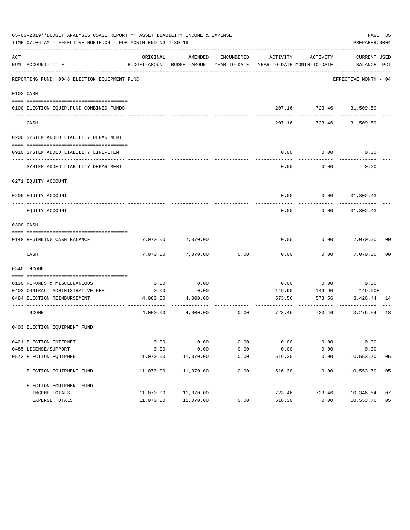|     | 05-06-2019**BUDGET ANALYSIS USAGE REPORT ** ASSET LIABILITY INCOME & EXPENSE<br>TIME: 07:06 AM - EFFECTIVE MONTH: 04 - FOR MONTH ENDING 4-30-19 |           |                                                                                |               |          |                                  | PAGE 85<br>PREPARER: 0004   |                |
|-----|-------------------------------------------------------------------------------------------------------------------------------------------------|-----------|--------------------------------------------------------------------------------|---------------|----------|----------------------------------|-----------------------------|----------------|
| ACT | NUM ACCOUNT-TITLE                                                                                                                               | ORIGINAL  | AMENDED<br>BUDGET-AMOUNT BUDGET-AMOUNT YEAR-TO-DATE YEAR-TO-DATE MONTH-TO-DATE | ENCUMBERED    | ACTIVITY | ACTIVITY                         | CURRENT USED<br>BALANCE PCT |                |
|     | REPORTING FUND: 0048 ELECTION EQUIPMENT FUND                                                                                                    |           |                                                                                |               |          |                                  | EFFECTIVE MONTH - 04        |                |
|     | 0103 CASH                                                                                                                                       |           |                                                                                |               |          |                                  |                             |                |
|     | 0100 ELECTION EQUIP.FUND-COMBINED FUNDS                                                                                                         |           |                                                                                |               |          | 207.16 723.46 31,509.59          |                             |                |
|     | CASH                                                                                                                                            |           |                                                                                |               | 207.16   |                                  | 723.46 31,509.59            |                |
|     | 0200 SYSTEM ADDED LIABILITY DEPARTMENT                                                                                                          |           |                                                                                |               |          |                                  |                             |                |
|     | 0910 SYSTEM ADDED LIABILITY LINE-ITEM                                                                                                           |           |                                                                                |               | 0.00     | 0.00                             | 0.00                        |                |
|     | SYSTEM ADDED LIABILITY DEPARTMENT                                                                                                               |           |                                                                                |               | 0.00     | 0.00                             | 0.00                        |                |
|     | 0271 EQUITY ACCOUNT                                                                                                                             |           |                                                                                |               |          |                                  |                             |                |
|     | 0200 EQUITY ACCOUNT                                                                                                                             |           |                                                                                |               |          |                                  | $0.00$ $0.00$ $31,302.43$   |                |
|     | EQUITY ACCOUNT                                                                                                                                  |           |                                                                                |               | 0.00     | 0.00                             | 31,302.43                   |                |
|     | 0300 CASH                                                                                                                                       |           |                                                                                |               |          |                                  |                             |                |
|     | 0148 BEGINNING CASH BALANCE                                                                                                                     | 7,070.00  | 7,070.00                                                                       |               | 0.00     | 0.00                             | 7,070.00 00                 |                |
|     | CASH                                                                                                                                            | 7,070.00  | 7,070.00                                                                       | 0.00          | 0.00     |                                  | $0.00$ 7,070.00             | 0 <sub>0</sub> |
|     | 0340 INCOME                                                                                                                                     |           |                                                                                |               |          |                                  |                             |                |
|     | 0130 REFUNDS & MISCELLANEOUS                                                                                                                    | 0.00      | 0.00                                                                           |               | 0.00     | 0.00                             | 0.00                        |                |
|     | 0403 CONTRACT ADMINISTRATIVE FEE                                                                                                                | 0.00      | 0.00                                                                           |               | 149.90   | 149.90                           | $149.90+$                   |                |
|     | 0484 ELECTION REIMBURSEMENT                                                                                                                     |           | 4,000.00 4,000.00                                                              |               |          | 573.56<br>573.56<br>---------- - | 3,426.44 14                 |                |
|     | INCOME                                                                                                                                          | 4,000.00  | 4,000.00                                                                       | 0.00          |          | 723.46<br>723.46                 | 3,276.54 18                 |                |
|     | 0403 ELECTION EQUIPMENT FUND                                                                                                                    |           |                                                                                |               |          |                                  |                             |                |
|     | 0421 ELECTION INTERNET                                                                                                                          | 0.00      | 0.00                                                                           | 0.00          | 0.00     | 0.00                             | 0.00                        |                |
|     | 0485 LICENSE/SUPPORT                                                                                                                            | 0.00      | 0.00                                                                           | 0.00          | 0.00     | 0.00                             | 0.00                        |                |
|     | 0573 ELECTION EQUIPMENT                                                                                                                         | 11,070.00 | 11,070.00                                                                      | 0.00<br>$---$ | 516.30   | 0.00                             | 10,553.70                   | 05             |
|     | ELECTION EQUIPMENT FUND                                                                                                                         | 11,070.00 | 11,070.00                                                                      | 0.00          | 516.30   | 0.00                             | 10,553.70 05                |                |
|     | ELECTION EQUIPMENT FUND                                                                                                                         |           |                                                                                |               |          |                                  |                             |                |
|     | INCOME TOTALS                                                                                                                                   | 11,070.00 | 11,070.00                                                                      |               | 723.46   | 723.46                           | 10,346.54                   | 07             |
|     | EXPENSE TOTALS                                                                                                                                  | 11,070.00 | 11,070.00                                                                      | 0.00          | 516.30   | 0.00                             | 10,553.70                   | 05             |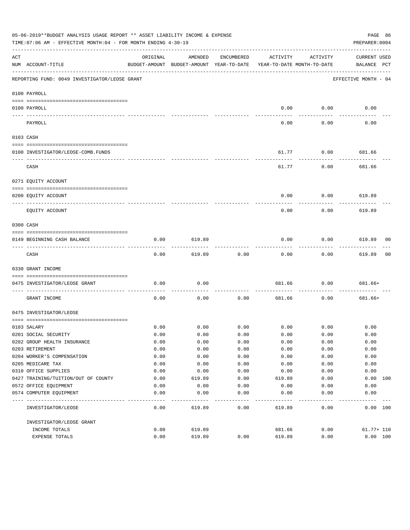|     | 05-06-2019**BUDGET ANALYSIS USAGE REPORT ** ASSET LIABILITY INCOME & EXPENSE<br>PAGE 86<br>TIME: 07:06 AM - EFFECTIVE MONTH: 04 - FOR MONTH ENDING 4-30-19<br>PREPARER: 0004 |              |                                                     |              |                                        |             |                                    |  |  |  |  |
|-----|------------------------------------------------------------------------------------------------------------------------------------------------------------------------------|--------------|-----------------------------------------------------|--------------|----------------------------------------|-------------|------------------------------------|--|--|--|--|
| ACT | NUM ACCOUNT-TITLE                                                                                                                                                            | ORIGINAL     | AMENDED<br>BUDGET-AMOUNT BUDGET-AMOUNT YEAR-TO-DATE | ENCUMBERED   | ACTIVITY<br>YEAR-TO-DATE MONTH-TO-DATE | ACTIVITY    | <b>CURRENT USED</b><br>BALANCE PCT |  |  |  |  |
|     | REPORTING FUND: 0049 INVESTIGATOR/LEOSE GRANT                                                                                                                                |              |                                                     |              |                                        |             | EFFECTIVE MONTH - 04               |  |  |  |  |
|     | 0100 PAYROLL                                                                                                                                                                 |              |                                                     |              |                                        |             |                                    |  |  |  |  |
|     | 0100 PAYROLL                                                                                                                                                                 |              |                                                     |              | 0.00                                   | 0.00        | 0.00                               |  |  |  |  |
|     | PAYROLL                                                                                                                                                                      |              |                                                     |              | 0.00                                   | 0.00        | 0.00                               |  |  |  |  |
|     | 0103 CASH                                                                                                                                                                    |              |                                                     |              |                                        |             |                                    |  |  |  |  |
|     | 0100 INVESTIGATOR/LEOSE-COMB.FUNDS                                                                                                                                           |              |                                                     |              | 61.77                                  | 0.00        | 681.66                             |  |  |  |  |
|     | CASH                                                                                                                                                                         |              |                                                     |              | 61.77                                  | 0.00        | 681.66                             |  |  |  |  |
|     | 0271 EQUITY ACCOUNT                                                                                                                                                          |              |                                                     |              |                                        |             |                                    |  |  |  |  |
|     | 0200 EQUITY ACCOUNT                                                                                                                                                          |              |                                                     |              | 0.00                                   | 0.00        | 619.89                             |  |  |  |  |
|     | EQUITY ACCOUNT                                                                                                                                                               |              |                                                     |              | 0.00                                   | 0.00        | 619.89                             |  |  |  |  |
|     | 0300 CASH                                                                                                                                                                    |              |                                                     |              |                                        |             |                                    |  |  |  |  |
|     | 0149 BEGINNING CASH BALANCE                                                                                                                                                  | 0.00         | 619.89                                              |              | 0.00                                   | 0.00        | 619.89 00                          |  |  |  |  |
|     | CASH                                                                                                                                                                         | 0.00         | 619.89                                              | 0.00         | 0.00                                   | 0.00        | 619.89<br>00                       |  |  |  |  |
|     | 0330 GRANT INCOME                                                                                                                                                            |              |                                                     |              |                                        |             |                                    |  |  |  |  |
|     | 0475 INVESTIGATOR/LEOSE GRANT                                                                                                                                                | 0.00         | 0.00                                                |              | 681.66                                 | 0.00        | 681.66+                            |  |  |  |  |
|     | GRANT INCOME                                                                                                                                                                 | 0.00         | 0.00                                                | 0.00         | 681.66                                 | 0.00        | 681.66+                            |  |  |  |  |
|     | 0475 INVESTIGATOR/LEOSE                                                                                                                                                      |              |                                                     |              |                                        |             |                                    |  |  |  |  |
|     |                                                                                                                                                                              |              |                                                     |              |                                        |             |                                    |  |  |  |  |
|     | 0103 SALARY                                                                                                                                                                  | 0.00         | 0.00                                                | 0.00         |                                        | $0.00$ 0.00 | 0.00                               |  |  |  |  |
|     | 0201 SOCIAL SECURITY                                                                                                                                                         | 0.00         | 0.00                                                | 0.00         | 0.00                                   | 0.00        | 0.00                               |  |  |  |  |
|     | 0202 GROUP HEALTH INSURANCE                                                                                                                                                  | 0.00         | 0.00                                                | 0.00         | 0.00                                   | 0.00        | 0.00                               |  |  |  |  |
|     | 0203 RETIREMENT                                                                                                                                                              | 0.00         | 0.00                                                | 0.00         | 0.00                                   | 0.00        | 0.00                               |  |  |  |  |
|     | 0204 WORKER'S COMPENSATION                                                                                                                                                   | 0.00         | 0.00                                                | 0.00         | 0.00                                   | 0.00        | 0.00                               |  |  |  |  |
|     | 0205 MEDICARE TAX                                                                                                                                                            | 0.00         | 0.00                                                | 0.00         | 0.00                                   | 0.00        | 0.00                               |  |  |  |  |
|     | 0310 OFFICE SUPPLIES                                                                                                                                                         | 0.00         | 0.00                                                | 0.00         | 0.00                                   | 0.00        | 0.00                               |  |  |  |  |
|     | 0427 TRAINING/TUITION/OUT OF COUNTY                                                                                                                                          | 0.00<br>0.00 | 619.89<br>0.00                                      | 0.00<br>0.00 | 619.89                                 | 0.00        | 0.00<br>100                        |  |  |  |  |
|     | 0572 OFFICE EQUIPMENT<br>0574 COMPUTER EQUIPMENT                                                                                                                             |              |                                                     |              | 0.00                                   | 0.00        | 0.00                               |  |  |  |  |
|     |                                                                                                                                                                              | 0.00         | 0.00                                                | 0.00         | 0.00                                   | 0.00        | 0.00                               |  |  |  |  |
|     | INVESTIGATOR/LEOSE                                                                                                                                                           | 0.00         | 619.89                                              | 0.00         | 619.89                                 | 0.00        | 0.00 100                           |  |  |  |  |
|     | INVESTIGATOR/LEOSE GRANT                                                                                                                                                     |              |                                                     |              |                                        |             |                                    |  |  |  |  |
|     | INCOME TOTALS                                                                                                                                                                | 0.00         | 619.89                                              |              | 681.66                                 | 0.00        | $61.77 + 110$                      |  |  |  |  |
|     | EXPENSE TOTALS                                                                                                                                                               | 0.00         | 619.89                                              | 0.00         | 619.89                                 | 0.00        | 0.00 100                           |  |  |  |  |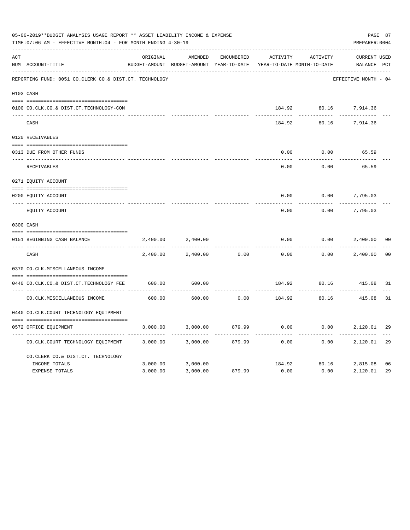|     | 05-06-2019**BUDGET ANALYSIS USAGE REPORT ** ASSET LIABILITY INCOME & EXPENSE<br>TIME: 07:06 AM - EFFECTIVE MONTH: 04 - FOR MONTH ENDING 4-30-19 |          |                                                     |                   |                                        |          |                                    |                |  |  |
|-----|-------------------------------------------------------------------------------------------------------------------------------------------------|----------|-----------------------------------------------------|-------------------|----------------------------------------|----------|------------------------------------|----------------|--|--|
| ACT | NUM ACCOUNT-TITLE                                                                                                                               | ORIGINAL | AMENDED<br>BUDGET-AMOUNT BUDGET-AMOUNT YEAR-TO-DATE | <b>ENCUMBERED</b> | ACTIVITY<br>YEAR-TO-DATE MONTH-TO-DATE | ACTIVITY | <b>CURRENT USED</b><br>BALANCE PCT |                |  |  |
|     | REPORTING FUND: 0051 CO.CLERK CO.& DIST.CT. TECHNOLOGY                                                                                          |          |                                                     |                   |                                        |          | EFFECTIVE MONTH - 04               |                |  |  |
|     | 0103 CASH                                                                                                                                       |          |                                                     |                   |                                        |          |                                    |                |  |  |
|     | 0100 CO.CLK.CO.& DIST.CT.TECHNOLOGY-COM                                                                                                         |          |                                                     |                   | 184.92                                 |          | 80.16 7,914.36                     |                |  |  |
|     | CASH                                                                                                                                            |          |                                                     |                   | 184.92                                 | 80.16    | 7,914.36                           |                |  |  |
|     | 0120 RECEIVABLES                                                                                                                                |          |                                                     |                   |                                        |          |                                    |                |  |  |
|     | 0313 DUE FROM OTHER FUNDS                                                                                                                       |          |                                                     |                   | 0.00                                   | 0.00     | 65.59                              |                |  |  |
|     | RECEIVABLES                                                                                                                                     |          |                                                     |                   | 0.00                                   | 0.00     | 65.59                              |                |  |  |
|     | 0271 EQUITY ACCOUNT                                                                                                                             |          |                                                     |                   |                                        |          |                                    |                |  |  |
|     | 0200 EQUITY ACCOUNT                                                                                                                             |          |                                                     |                   | 0.00                                   | 0.00     | 7,795.03                           |                |  |  |
|     | ---- -----------<br>EQUITY ACCOUNT                                                                                                              |          |                                                     |                   | 0.00                                   | 0.00     | 7,795.03                           |                |  |  |
|     | 0300 CASH                                                                                                                                       |          |                                                     |                   |                                        |          |                                    |                |  |  |
|     | 0151 BEGINNING CASH BALANCE                                                                                                                     | 2,400.00 | 2,400.00                                            |                   | 0.00                                   | 0.00     | 2,400.00                           | 0 <sub>0</sub> |  |  |
|     | CASH                                                                                                                                            | 2,400.00 | 2,400.00                                            | 0.00              | 0.00                                   | 0.00     | 2,400.00                           | 0 <sup>0</sup> |  |  |
|     | 0370 CO.CLK.MISCELLANEOUS INCOME                                                                                                                |          |                                                     |                   |                                        |          |                                    |                |  |  |
|     | 0440 CO.CLK.CO.& DIST.CT.TECHNOLOGY FEE                                                                                                         | 600.00   | 600.00                                              |                   | 184.92                                 | 80.16    | 415.08                             | 31             |  |  |
|     | CO. CLK. MISCELLANEOUS INCOME                                                                                                                   | 600.00   | 600.00                                              | 0.00              | 184.92                                 | 80.16    | 415.08                             | 31             |  |  |
|     | 0440 CO.CLK.COURT TECHNOLOGY EQUIPMENT                                                                                                          |          |                                                     |                   |                                        |          |                                    |                |  |  |
|     | 0572 OFFICE EOUIPMENT                                                                                                                           | 3,000.00 | 3,000.00                                            | 879.99            | 0.00                                   | 0.00     | 2,120.01                           | 29             |  |  |
|     | CO.CLK.COURT TECHNOLOGY EQUIPMENT                                                                                                               | 3,000.00 | 3,000.00                                            | 879.99            | 0.00                                   | 0.00     | 2,120.01                           | 29             |  |  |
|     | CO.CLERK CO.& DIST.CT. TECHNOLOGY                                                                                                               |          |                                                     |                   |                                        |          |                                    |                |  |  |
|     | INCOME TOTALS                                                                                                                                   | 3,000.00 | 3,000.00                                            |                   | 184.92                                 | 80.16    | 2,815.08                           | 06             |  |  |
|     | <b>EXPENSE TOTALS</b>                                                                                                                           | 3,000.00 | 3,000.00                                            | 879.99            | 0.00                                   | 0.00     | 2,120.01                           | 29             |  |  |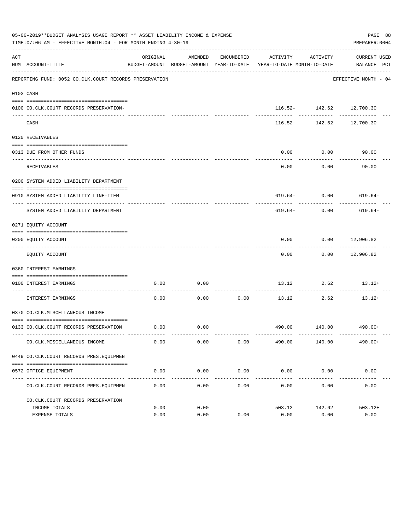|     | 05-06-2019**BUDGET ANALYSIS USAGE REPORT ** ASSET LIABILITY INCOME & EXPENSE<br>TIME: 07:06 AM - EFFECTIVE MONTH: 04 - FOR MONTH ENDING 4-30-19 |          |         |                      |                                                                                 |                    | PAGE 88<br>PREPARER: 0004                   |
|-----|-------------------------------------------------------------------------------------------------------------------------------------------------|----------|---------|----------------------|---------------------------------------------------------------------------------|--------------------|---------------------------------------------|
| ACT | NUM ACCOUNT-TITLE                                                                                                                               | ORIGINAL | AMENDED | ENCUMBERED           | ACTIVITY<br>BUDGET-AMOUNT BUDGET-AMOUNT YEAR-TO-DATE YEAR-TO-DATE MONTH-TO-DATE | ACTIVITY           | CURRENT USED<br>BALANCE PCT                 |
|     | REPORTING FUND: 0052 CO.CLK.COURT RECORDS PRESERVATION                                                                                          |          |         |                      |                                                                                 |                    | EFFECTIVE MONTH - 04                        |
|     | 0103 CASH                                                                                                                                       |          |         |                      |                                                                                 |                    |                                             |
|     | 0100 CO.CLK.COURT RECORDS PRESERVATION-                                                                                                         |          |         |                      |                                                                                 |                    | 116.52- 142.62 12,700.30<br>$- - - - - - -$ |
|     | CASH                                                                                                                                            |          |         |                      |                                                                                 | -------------      | $116.52 - 142.62$ 12,700.30                 |
|     | 0120 RECEIVABLES                                                                                                                                |          |         |                      |                                                                                 |                    |                                             |
|     | 0313 DUE FROM OTHER FUNDS                                                                                                                       |          |         |                      | 0.00                                                                            | 0.00               | 90.00                                       |
|     | RECEIVABLES                                                                                                                                     |          |         |                      | 0.00                                                                            | ---------<br>0.00  | 90.00                                       |
|     | 0200 SYSTEM ADDED LIABILITY DEPARTMENT                                                                                                          |          |         |                      |                                                                                 |                    |                                             |
|     | 0910 SYSTEM ADDED LIABILITY LINE-ITEM                                                                                                           |          |         |                      |                                                                                 |                    | $619.64 - 0.00$ $619.64 -$                  |
|     | SYSTEM ADDED LIABILITY DEPARTMENT                                                                                                               |          |         |                      | 619.64-                                                                         | 0.00               | 619.64-                                     |
|     | 0271 EQUITY ACCOUNT                                                                                                                             |          |         |                      |                                                                                 |                    |                                             |
|     | 0200 EQUITY ACCOUNT                                                                                                                             |          |         |                      | 0.00                                                                            |                    | $0.00$ 12,906.82                            |
|     | EQUITY ACCOUNT                                                                                                                                  |          |         |                      | 0.00                                                                            |                    | $0.00$ 12,906.82                            |
|     | 0360 INTEREST EARNINGS                                                                                                                          |          |         |                      |                                                                                 |                    |                                             |
|     | 0100 INTEREST EARNINGS                                                                                                                          | 0.00     | 0.00    |                      |                                                                                 | 13.12 2.62         | $13.12+$                                    |
|     | ------------------- ---<br>INTEREST EARNINGS                                                                                                    | 0.00     | 0.00    | 0.00                 | ----------- --------------<br>13.12                                             | ----------<br>2.62 | $13.12+$                                    |
|     | 0370 CO.CLK.MISCELLANEOUS INCOME                                                                                                                |          |         |                      |                                                                                 |                    |                                             |
|     | 0133 CO.CLK.COURT RECORDS PRESERVATION                                                                                                          | 0.00     | 0.00    |                      |                                                                                 |                    | 490.00 140.00 490.00+                       |
|     | CO. CLK. MISCELLANEOUS INCOME                                                                                                                   | 0.00     | 0.00    | 0.00                 | 490.00                                                                          | 140.00             | $490.00+$                                   |
|     | 0449 CO.CLK.COURT RECORDS PRES.EQUIPMEN                                                                                                         |          |         |                      |                                                                                 |                    |                                             |
|     | 0572 OFFICE EQUIPMENT                                                                                                                           | 0.00     | 0.00    | 0.00                 |                                                                                 | $0.00$ 0.00        | 0.00                                        |
|     | CO. CLK. COURT RECORDS PRES. EQUIPMEN                                                                                                           | 0.00     | 0.00    | ____________<br>0.00 | 0.00                                                                            | 0.00               | 0.00                                        |
|     | CO. CLK. COURT RECORDS PRESERVATION                                                                                                             |          |         |                      |                                                                                 |                    |                                             |
|     | INCOME TOTALS                                                                                                                                   | 0.00     | 0.00    |                      | 503.12                                                                          | 142.62             | $503.12+$                                   |
|     | EXPENSE TOTALS                                                                                                                                  | 0.00     | 0.00    | 0.00                 | 0.00                                                                            | 0.00               | 0.00                                        |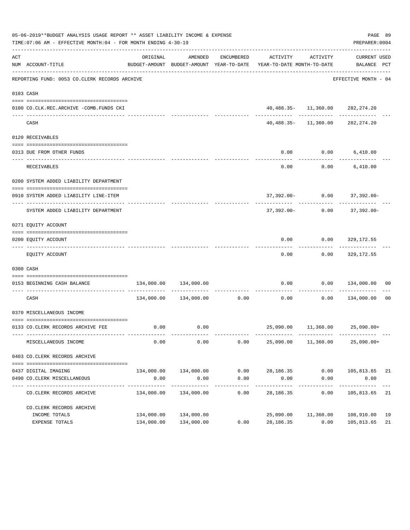|     | 05-06-2019**BUDGET ANALYSIS USAGE REPORT ** ASSET LIABILITY INCOME & EXPENSE<br>TIME:07:06 AM - EFFECTIVE MONTH:04 - FOR MONTH ENDING 4-30-19 |                            |                           |                    |                                                                                                                 |                     | PREPARER: 0004                              | PAGE 89 |
|-----|-----------------------------------------------------------------------------------------------------------------------------------------------|----------------------------|---------------------------|--------------------|-----------------------------------------------------------------------------------------------------------------|---------------------|---------------------------------------------|---------|
| ACT | NUM ACCOUNT-TITLE                                                                                                                             | ORIGINAL                   | AMENDED                   |                    | ENCUMBERED ACTIVITY ACTIVITY<br>BUDGET-AMOUNT BUDGET-AMOUNT YEAR-TO-DATE YEAR-TO-DATE MONTH-TO-DATE BALANCE PCT |                     | CURRENT USED                                |         |
|     | REPORTING FUND: 0053 CO.CLERK RECORDS ARCHIVE                                                                                                 |                            |                           |                    |                                                                                                                 |                     | EFFECTIVE MONTH - 04                        |         |
|     | 0103 CASH                                                                                                                                     |                            |                           |                    |                                                                                                                 |                     |                                             |         |
|     | 0100 CO.CLK.REC.ARCHIVE -COMB.FUNDS CKI                                                                                                       |                            |                           |                    |                                                                                                                 |                     | 40,488.35- 11,360.00 282,274.20             |         |
|     | CASH                                                                                                                                          |                            |                           |                    |                                                                                                                 |                     | 40,488.35- 11,360.00 282,274.20             |         |
|     | 0120 RECEIVABLES                                                                                                                              |                            |                           |                    |                                                                                                                 |                     |                                             |         |
|     |                                                                                                                                               |                            |                           |                    |                                                                                                                 |                     |                                             |         |
|     | 0313 DUE FROM OTHER FUNDS                                                                                                                     |                            |                           |                    | 0.00<br>-------------                                                                                           |                     | $0.00$ 6,410.00                             |         |
|     | RECEIVABLES                                                                                                                                   |                            |                           |                    | 0.00                                                                                                            |                     | $0.00$ 6,410.00                             |         |
|     | 0200 SYSTEM ADDED LIABILITY DEPARTMENT                                                                                                        |                            |                           |                    |                                                                                                                 |                     |                                             |         |
|     |                                                                                                                                               |                            |                           |                    |                                                                                                                 |                     |                                             |         |
|     | 0910 SYSTEM ADDED LIABILITY LINE-ITEM                                                                                                         |                            |                           |                    | ------------ -------------                                                                                      |                     | 37,392.00- 0.00 37,392.00-                  |         |
|     | SYSTEM ADDED LIABILITY DEPARTMENT                                                                                                             |                            |                           |                    |                                                                                                                 |                     | $37,392.00 - 0.00$ $37,392.00 -$            |         |
|     | 0271 EQUITY ACCOUNT                                                                                                                           |                            |                           |                    |                                                                                                                 |                     |                                             |         |
|     |                                                                                                                                               |                            |                           |                    |                                                                                                                 |                     |                                             |         |
|     | 0200 EQUITY ACCOUNT<br>-------------------------------- --                                                                                    |                            |                           |                    | -----------                                                                                                     | ----------          | $0.00$ $0.00$ $329,172.55$<br>------------- |         |
|     | EQUITY ACCOUNT                                                                                                                                |                            |                           |                    | 0.00                                                                                                            |                     | $0.00$ 329,172.55                           |         |
|     | 0300 CASH                                                                                                                                     |                            |                           |                    |                                                                                                                 |                     |                                             |         |
|     | --------------------------------------<br>0153 BEGINNING CASH BALANCE                                                                         |                            | 134,000.00 134,000.00     |                    |                                                                                                                 |                     | $0.00$ $0.00$ $134,000.00$ 00               |         |
|     | CASH                                                                                                                                          |                            |                           |                    | $134,000.00$ $134,000.00$ 0.00 0.00 0.00 0.00 $134,000.00$ 00                                                   |                     |                                             |         |
|     | 0370 MISCELLANEOUS INCOME                                                                                                                     |                            |                           |                    |                                                                                                                 |                     |                                             |         |
|     |                                                                                                                                               |                            |                           |                    |                                                                                                                 |                     |                                             |         |
|     | 0133 CO.CLERK RECORDS ARCHIVE FEE                                                                                                             |                            | $0.00$ $0.00$             |                    |                                                                                                                 |                     | 25,090.00  11,360.00  25,090.00+            |         |
|     | MISCELLANEOUS INCOME                                                                                                                          | 0.00                       | 0.00                      | 0.00               | 25,090.00                                                                                                       | 11,360.00           | $25,090.00+$                                |         |
|     | 0403 CO.CLERK RECORDS ARCHIVE                                                                                                                 |                            |                           |                    |                                                                                                                 |                     |                                             |         |
|     |                                                                                                                                               |                            |                           |                    |                                                                                                                 |                     |                                             |         |
|     | 0437 DIGITAL IMAGING                                                                                                                          |                            | 134,000.00 134,000.00     | 0.00               | 28,186.35                                                                                                       | 0.00                | 105,813.65 21                               |         |
|     | 0490 CO. CLERK MISCELLANEOUS                                                                                                                  | 0.00                       | 0.00                      | 0.00               | 0.00                                                                                                            | 0.00                | 0.00                                        |         |
|     | CO. CLERK RECORDS ARCHIVE                                                                                                                     | ------------<br>134,000.00 | -----------<br>134,000.00 | ----------<br>0.00 | 28,186.35                                                                                                       | -----------<br>0.00 | . <u>.</u><br>105,813.65                    | 21      |
|     | CO. CLERK RECORDS ARCHIVE                                                                                                                     |                            |                           |                    |                                                                                                                 |                     |                                             |         |
|     | INCOME TOTALS                                                                                                                                 | 134,000.00                 | 134,000.00                |                    |                                                                                                                 | 25,090.00 11,360.00 | 108,910.00                                  | 19      |
|     | EXPENSE TOTALS                                                                                                                                |                            | 134,000.00 134,000.00     | 0.00               | 28,186.35                                                                                                       | 0.00                | 105,813.65                                  | 21      |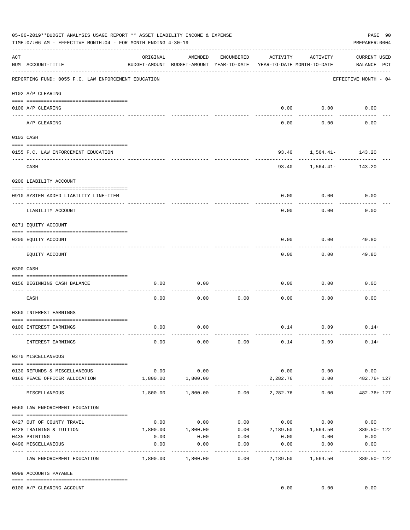|     | 05-06-2019**BUDGET ANALYSIS USAGE REPORT ** ASSET LIABILITY INCOME & EXPENSE<br>TIME: 07:06 AM - EFFECTIVE MONTH: 04 - FOR MONTH ENDING 4-30-19 |                                     |                                                     |               |                                        |                   | PAGE 90<br>PREPARER: 0004           |
|-----|-------------------------------------------------------------------------------------------------------------------------------------------------|-------------------------------------|-----------------------------------------------------|---------------|----------------------------------------|-------------------|-------------------------------------|
| ACT | NUM ACCOUNT-TITLE                                                                                                                               | ORIGINAL                            | AMENDED<br>BUDGET-AMOUNT BUDGET-AMOUNT YEAR-TO-DATE | ENCUMBERED    | ACTIVITY<br>YEAR-TO-DATE MONTH-TO-DATE | ACTIVITY          | <b>CURRENT USED</b><br>BALANCE PCT  |
|     | REPORTING FUND: 0055 F.C. LAW ENFORCEMENT EDUCATION                                                                                             |                                     |                                                     |               |                                        |                   | EFFECTIVE MONTH - 04                |
|     | 0102 A/P CLEARING                                                                                                                               |                                     |                                                     |               |                                        |                   |                                     |
|     | 0100 A/P CLEARING<br>--- ----------                                                                                                             |                                     |                                                     |               | 0.00                                   | 0.00              | 0.00                                |
|     | A/P CLEARING                                                                                                                                    |                                     |                                                     |               | 0.00                                   | 0.00              | 0.00                                |
|     | 0103 CASH                                                                                                                                       |                                     |                                                     |               |                                        |                   |                                     |
|     | 0155 F.C. LAW ENFORCEMENT EDUCATION                                                                                                             |                                     |                                                     |               |                                        |                   | 93.40 1,564.41- 143.20              |
|     | CASH                                                                                                                                            |                                     |                                                     |               | 93.40                                  | ---------         | $1,564.41-$ 143.20                  |
|     | 0200 LIABILITY ACCOUNT                                                                                                                          |                                     |                                                     |               |                                        |                   |                                     |
|     | 0910 SYSTEM ADDED LIABILITY LINE-ITEM                                                                                                           |                                     |                                                     |               | 0.00                                   | 0.00              | 0.00                                |
|     | LIABILITY ACCOUNT                                                                                                                               |                                     |                                                     |               | 0.00                                   | 0.00              | 0.00                                |
|     | 0271 EQUITY ACCOUNT                                                                                                                             |                                     |                                                     |               |                                        |                   |                                     |
|     | 0200 EQUITY ACCOUNT                                                                                                                             |                                     |                                                     |               | 0.00                                   | 0.00              | 49.80                               |
|     | EQUITY ACCOUNT                                                                                                                                  |                                     |                                                     |               | 0.00                                   | 0.00              | 49.80                               |
|     | 0300 CASH                                                                                                                                       |                                     |                                                     |               |                                        |                   |                                     |
|     | 0156 BEGINNING CASH BALANCE                                                                                                                     | 0.00                                | 0.00                                                |               | 0.00                                   | 0.00              | 0.00                                |
|     | CASH                                                                                                                                            | 0.00                                | 0.00                                                | 0.00          | 0.00                                   | 0.00              | 0.00                                |
|     | 0360 INTEREST EARNINGS                                                                                                                          |                                     |                                                     |               |                                        |                   |                                     |
|     | 0100 INTEREST EARNINGS                                                                                                                          | 0.00                                | 0.00                                                |               |                                        | $0.14$ 0.09       | $0.14+$                             |
|     | INTEREST EARNINGS                                                                                                                               | 0.00                                | 0.00                                                | 0.00          | 0.14                                   | 0.09              | $0.14+$                             |
|     | 0370 MISCELLANEOUS                                                                                                                              |                                     |                                                     |               |                                        |                   |                                     |
|     | 0130 REFUNDS & MISCELLANEOUS                                                                                                                    | 0.00                                | 0.00                                                |               | 0.00                                   | 0.00              | 0.00                                |
|     | 0160 PEACE OFFICER ALLOCATION                                                                                                                   | 1,800.00<br>--------- ------------- | 1,800.00<br>-----------                             |               | 2,282.76<br>-----------                | 0.00              | 482.76+ 127                         |
|     | MISCELLANEOUS                                                                                                                                   | 1,800.00                            | 1,800.00                                            |               | $0.00$ 2,282.76                        | 0.00              | 482.76+ 127                         |
|     | 0560 LAW ENFORCEMENT EDUCATION                                                                                                                  |                                     |                                                     |               |                                        |                   |                                     |
|     | 0427 OUT OF COUNTY TRAVEL                                                                                                                       | 0.00                                | 0.00                                                |               | $0.00$ $0.00$ $0.00$                   |                   | 0.00                                |
|     | 0428 TRAINING & TUITION                                                                                                                         | 1,800.00                            | 1,800.00                                            |               |                                        |                   | $0.00$ 2,189.50 1,564.50 389.50-122 |
|     | 0435 PRINTING                                                                                                                                   | 0.00                                | 0.00                                                | 0.00          | 0.00                                   | 0.00              | 0.00                                |
|     | 0490 MISCELLANEOUS                                                                                                                              | 0.00                                | 0.00                                                | 0.00<br>----- | 0.00                                   | 0.00<br>--------- | 0.00                                |
|     | LAW ENFORCEMENT EDUCATION                                                                                                                       | 1,800.00                            | 1,800.00                                            | 0.00          | 2,189.50                               | 1,564.50          | 389.50-122                          |
|     | 0999 ACCOUNTS PAYABLE                                                                                                                           |                                     |                                                     |               |                                        |                   |                                     |
|     | 0100 A/P CLEARING ACCOUNT                                                                                                                       |                                     |                                                     |               | 0.00                                   | 0.00              | 0.00                                |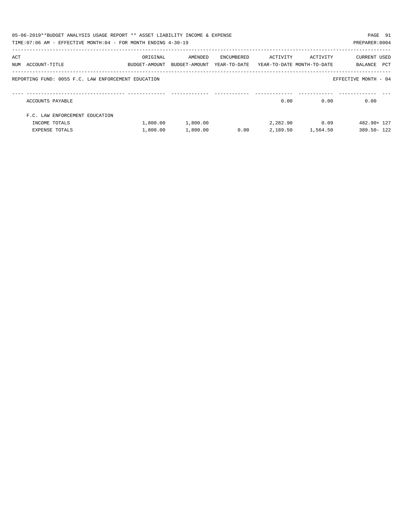|     | 05-06-2019**BUDGET ANALYSIS USAGE REPORT ** ASSET LIABILITY INCOME & EXPENSE<br>TIME: 07:06 AM - EFFECTIVE MONTH: 04 - FOR MONTH ENDING 4-30-19 |                           |                          |                            |                                        |                   | PAGE 91<br>PREPARER: 0004      |
|-----|-------------------------------------------------------------------------------------------------------------------------------------------------|---------------------------|--------------------------|----------------------------|----------------------------------------|-------------------|--------------------------------|
| ACT | NUM ACCOUNT-TITLE                                                                                                                               | ORIGINAL<br>BUDGET-AMOUNT | AMENDED<br>BUDGET-AMOUNT | ENCUMBERED<br>YEAR-TO-DATE | ACTIVITY<br>YEAR-TO-DATE MONTH-TO-DATE | ACTIVITY          | CURRENT USED<br>PCT<br>BALANCE |
|     | REPORTING FUND: 0055 F.C. LAW ENFORCEMENT EDUCATION                                                                                             |                           |                          |                            |                                        |                   | EFFECTIVE MONTH - 04           |
|     | ACCOUNTS PAYABLE                                                                                                                                |                           |                          |                            | 0.00                                   | 0.00              | 0.00                           |
|     | F.C. LAW ENFORCEMENT EDUCATION                                                                                                                  |                           |                          |                            |                                        |                   |                                |
|     | INCOME TOTALS                                                                                                                                   | 1,800.00                  | 1,800.00                 |                            | 2,282.90                               | 0.09              | 482.90+ 127                    |
|     | EXPENSE TOTALS                                                                                                                                  | 1,800.00                  | 1,800.00                 | 0.00                       |                                        | 2,189.50 1,564.50 | 389.50-122                     |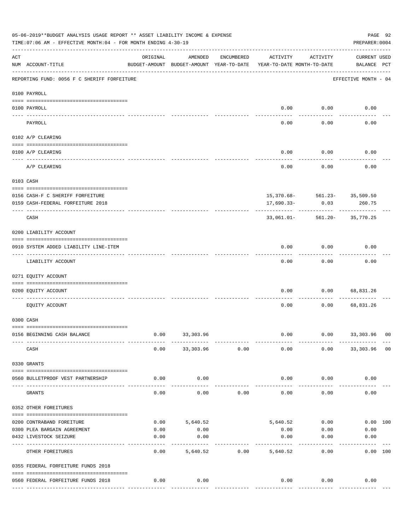|                    | 05-06-2019**BUDGET ANALYSIS USAGE REPORT ** ASSET LIABILITY INCOME & EXPENSE<br>PAGE 92<br>TIME: 07:06 AM - EFFECTIVE MONTH: 04 - FOR MONTH ENDING 4-30-19<br>PREPARER: 0004 |                                                      |                       |                |                                        |                       |                                        |  |  |  |  |
|--------------------|------------------------------------------------------------------------------------------------------------------------------------------------------------------------------|------------------------------------------------------|-----------------------|----------------|----------------------------------------|-----------------------|----------------------------------------|--|--|--|--|
| $\mathop{\rm ACT}$ | NUM ACCOUNT-TITLE                                                                                                                                                            | ORIGINAL<br>BUDGET-AMOUNT BUDGET-AMOUNT YEAR-TO-DATE | AMENDED               | ENCUMBERED     | ACTIVITY<br>YEAR-TO-DATE MONTH-TO-DATE | ACTIVITY              | <b>CURRENT USED</b><br>BALANCE PCT     |  |  |  |  |
|                    | REPORTING FUND: 0056 F C SHERIFF FORFEITURE                                                                                                                                  |                                                      |                       |                |                                        |                       | EFFECTIVE MONTH - 04                   |  |  |  |  |
|                    | 0100 PAYROLL                                                                                                                                                                 |                                                      |                       |                |                                        |                       |                                        |  |  |  |  |
|                    | 0100 PAYROLL                                                                                                                                                                 |                                                      |                       |                | 0.00                                   | 0.00                  | 0.00                                   |  |  |  |  |
|                    | PAYROLL                                                                                                                                                                      |                                                      |                       |                | 0.00                                   | 0.00                  | 0.00                                   |  |  |  |  |
|                    | 0102 A/P CLEARING                                                                                                                                                            |                                                      |                       |                |                                        |                       |                                        |  |  |  |  |
|                    | 0100 A/P CLEARING                                                                                                                                                            |                                                      |                       |                | 0.00                                   | 0.00                  | 0.00                                   |  |  |  |  |
|                    | A/P CLEARING                                                                                                                                                                 |                                                      |                       |                | 0.00                                   | 0.00                  | 0.00                                   |  |  |  |  |
|                    | 0103 CASH                                                                                                                                                                    |                                                      |                       |                |                                        |                       |                                        |  |  |  |  |
|                    | 0156 CASH-F C SHERIFF FORFEITURE                                                                                                                                             |                                                      |                       |                |                                        |                       |                                        |  |  |  |  |
|                    | 0159 CASH-FEDERAL FORFEITURE 2018                                                                                                                                            |                                                      |                       |                | 17,690.33-                             | 0.03                  | 15,370.68- 561.23- 35,509.50<br>260.75 |  |  |  |  |
|                    | CASH                                                                                                                                                                         |                                                      |                       |                | 33,061.01-                             |                       | 561.20- 35,770.25                      |  |  |  |  |
|                    | 0200 LIABILITY ACCOUNT                                                                                                                                                       |                                                      |                       |                |                                        |                       |                                        |  |  |  |  |
|                    |                                                                                                                                                                              |                                                      |                       |                |                                        |                       |                                        |  |  |  |  |
|                    | 0910 SYSTEM ADDED LIABILITY LINE-ITEM                                                                                                                                        |                                                      |                       |                | 0.00                                   | 0.00                  | 0.00                                   |  |  |  |  |
|                    | LIABILITY ACCOUNT                                                                                                                                                            |                                                      |                       |                | 0.00                                   | 0.00                  | 0.00                                   |  |  |  |  |
|                    | 0271 EQUITY ACCOUNT                                                                                                                                                          |                                                      |                       |                |                                        |                       |                                        |  |  |  |  |
|                    | 0200 EQUITY ACCOUNT                                                                                                                                                          |                                                      |                       |                | 0.00                                   | 0.00                  | 68,831.26                              |  |  |  |  |
|                    | EQUITY ACCOUNT                                                                                                                                                               |                                                      |                       |                | 0.00                                   | 0.00                  | 68,831.26                              |  |  |  |  |
|                    | 0300 CASH                                                                                                                                                                    |                                                      |                       |                |                                        |                       |                                        |  |  |  |  |
|                    | 0156 BEGINNING CASH BALANCE                                                                                                                                                  | 0.00                                                 | 33, 303.96            |                | 0.00                                   | 0.00                  | 33,303.96 00                           |  |  |  |  |
|                    | CASH                                                                                                                                                                         | 0.00                                                 |                       | 33,303.96 0.00 | 0.00                                   |                       | $0.00$ 33, 303.96 00                   |  |  |  |  |
|                    | 0330 GRANTS                                                                                                                                                                  |                                                      |                       |                |                                        |                       |                                        |  |  |  |  |
|                    | 0560 BULLETPROOF VEST PARTNERSHIP                                                                                                                                            | 0.00                                                 | 0.00                  |                | 0.00                                   | 0.00                  | 0.00                                   |  |  |  |  |
|                    | GRANTS                                                                                                                                                                       | 0.00                                                 | 0.00                  | 0.00           | 0.00                                   | 0.00                  | 0.00                                   |  |  |  |  |
|                    | 0352 OTHER FOREITURES                                                                                                                                                        |                                                      |                       |                |                                        |                       |                                        |  |  |  |  |
|                    |                                                                                                                                                                              |                                                      |                       |                |                                        |                       |                                        |  |  |  |  |
|                    | 0200 CONTRABAND FOREITURE<br>0300 PLEA BARGAIN AGREEMENT                                                                                                                     | 0.00<br>0.00                                         | 5,640.52<br>0.00      |                | 0.00                                   | 5,640.52 0.00<br>0.00 | 0.00 100<br>0.00                       |  |  |  |  |
|                    | 0432 LIVESTOCK SEIZURE                                                                                                                                                       | 0.00                                                 | 0.00                  |                | 0.00                                   | 0.00                  | 0.00                                   |  |  |  |  |
|                    | --------------------------------- ----<br>OTHER FOREITURES                                                                                                                   | 0.00                                                 | ---------<br>5,640.52 | 0.00           | -----------<br>5,640.52                | 0.00                  | ---------<br>0.00 100                  |  |  |  |  |
|                    | 0355 FEDERAL FORFEITURE FUNDS 2018                                                                                                                                           |                                                      |                       |                |                                        |                       |                                        |  |  |  |  |
|                    |                                                                                                                                                                              |                                                      |                       |                |                                        |                       |                                        |  |  |  |  |
|                    | 0560 FEDERAL FORFEITURE FUNDS 2018                                                                                                                                           | 0.00                                                 | 0.00                  |                | 0.00                                   | 0.00<br>------------- | 0.00<br>--------------                 |  |  |  |  |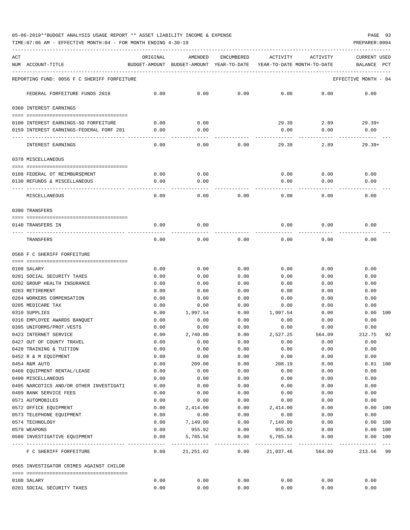TIME:07:06 AM - EFFECTIVE MONTH:04 - FOR MONTH ENDING 4-30-19 PREPARER:0004

| ACT | NUM ACCOUNT-TITLE                                                   | ORIGINAL                               | AMENDED<br>BUDGET-AMOUNT BUDGET-AMOUNT YEAR-TO-DATE YEAR-TO-DATE MONTH-TO-DATE | ENCUMBERED     | ACTIVITY         | ACTIVITY     | CURRENT USED<br>BALANCE PCT   |
|-----|---------------------------------------------------------------------|----------------------------------------|--------------------------------------------------------------------------------|----------------|------------------|--------------|-------------------------------|
|     | REPORTING FUND: 0056 F C SHERIFF FORFEITURE                         |                                        |                                                                                |                |                  |              | EFFECTIVE MONTH - 04          |
|     | FEDERAL FORFEITURE FUNDS 2018                                       | 0.00                                   | 0.00                                                                           | 0.00           | 0.00             | 0.00         | 0.00                          |
|     | 0360 INTEREST EARNINGS                                              |                                        |                                                                                |                |                  |              |                               |
|     |                                                                     |                                        |                                                                                |                |                  |              |                               |
|     | 0100 INTEREST EARNINGS-SO FORFEITURE                                | 0.00                                   | 0.00                                                                           |                | 29.39            |              | 2.89<br>$29.39+$              |
|     | 0159 INTEREST EARNINGS-FEDERAL FORF 201<br>________________________ | 0.00                                   | 0.00                                                                           |                | 0.00             | 0.00         | 0.00                          |
|     | INTEREST EARNINGS                                                   | 0.00                                   | 0.00                                                                           | 0.00           | 29.39            | 2.89         | $29.39+$                      |
|     | 0370 MISCELLANEOUS                                                  |                                        |                                                                                |                |                  |              |                               |
|     | 0108 FEDERAL OT REIMBURSEMENT                                       | 0.00                                   | 0.00                                                                           |                | 0.00             | 0.00         | 0.00                          |
|     | 0130 REFUNDS & MISCELLANEOUS                                        | 0.00                                   | 0.00                                                                           |                | 0.00             | 0.00         | 0.00                          |
|     | MISCELLANEOUS                                                       | 0.00                                   | 0.00                                                                           | 0.00           | 0.00             | 0.00         | 0.00                          |
|     | 0390 TRANSFERS                                                      |                                        |                                                                                |                |                  |              |                               |
|     | 0140 TRANSFERS IN                                                   | 0.00                                   | 0.00                                                                           |                | 0.00             | 0.00         | 0.00                          |
|     | TRANSFERS                                                           | 0.00                                   | 0.00                                                                           | 0.00           | 0.00             | 0.00         | 0.00                          |
|     | 0560 F C SHERIFF FORFEITURE                                         |                                        |                                                                                |                |                  |              |                               |
|     |                                                                     |                                        |                                                                                |                |                  |              |                               |
|     | 0108 SALARY                                                         | 0.00                                   | 0.00                                                                           | 0.00           | 0.00             | 0.00         | 0.00                          |
|     | 0201 SOCIAL SECURITY TAXES                                          | 0.00                                   | 0.00                                                                           | 0.00           | 0.00             | 0.00         | 0.00                          |
|     | 0202 GROUP HEALTH INSURANCE<br>0203 RETIREMENT                      | 0.00<br>0.00                           | 0.00<br>0.00                                                                   | 0.00<br>0.00   | 0.00<br>0.00     | 0.00<br>0.00 | 0.00<br>0.00                  |
|     | 0204 WORKERS COMPENSATION                                           | 0.00                                   | 0.00                                                                           | 0.00           | 0.00             | 0.00         | 0.00                          |
|     | 0205 MEDICARE TAX                                                   | 0.00                                   | 0.00                                                                           | 0.00           | 0.00             | 0.00         | 0.00                          |
|     | 0310 SUPPLIES                                                       | 0.00                                   | 1,997.54                                                                       | 0.00           | 1,997.54         | 0.00         | $0.00$ 100                    |
|     | 0316 EMPLOYEE AWARDS BANQUET                                        | 0.00                                   | 0.00                                                                           | 0.00           | 0.00             | 0.00         | 0.00                          |
|     | 0395 UNIFORMS/PROT.VESTS                                            | 0.00                                   | 0.00                                                                           | 0.00           | 0.00             | 0.00         | 0.00                          |
|     | 0423 INTERNET SERVICE                                               | 0.00                                   | 2,740.00                                                                       | 0.00           | 2,527.25         | 564.09       | 212.75<br>92                  |
|     | 0427 OUT OF COUNTY TRAVEL                                           | 0.00                                   | 0.00                                                                           | 0.00           | 0.00             | 0.00         | 0.00                          |
|     | 0428 TRAINING & TUITION                                             | 0.00                                   | 0.00                                                                           | 0.00           | 0.00             | 0.00         | 0.00                          |
|     | 0452 R & M EQUIPMENT                                                | 0.00                                   | 0.00                                                                           | 0.00           | 0.00             | 0.00         | 0.00                          |
|     | 0454 R&M AUTO                                                       | 0.00                                   | 209.00                                                                         | 0.00           | 208.19           | 0.00         | $0.81$ 100                    |
|     | 0460 EQUIPMENT RENTAL/LEASE                                         | 0.00                                   | 0.00                                                                           | 0.00           | 0.00             | 0.00         | 0.00                          |
|     | 0490 MISCELLANEOUS                                                  | 0.00                                   | 0.00                                                                           | 0.00           | 0.00             | 0.00         | 0.00                          |
|     | 0495 NARCOTICS AND/OR OTHER INVESTIGATI                             | 0.00                                   | 0.00                                                                           | 0.00           | 0.00             | 0.00         | 0.00                          |
|     | 0499 BANK SERVICE FEES                                              | 0.00                                   | 0.00                                                                           | 0.00           | 0.00             | 0.00         | 0.00                          |
|     | 0571 AUTOMOBILES                                                    | 0.00                                   | 0.00                                                                           | 0.00           | 0.00             | 0.00         | 0.00                          |
|     | 0572 OFFICE EQUIPMENT                                               | 0.00                                   | 2,414.00                                                                       | 0.00           | 2,414.00         | 0.00         | 0.00 100                      |
|     | 0573 TELEPHONE EQUIPMENT<br>0574 TECHNOLOGY                         | 0.00<br>0.00                           | 0.00<br>7,149.00                                                               | 0.00<br>0.00   | 0.00<br>7,149.00 | 0.00<br>0.00 | 0.00<br>0.00 100              |
|     | 0579 WEAPONS                                                        | 0.00                                   | 955.92                                                                         | 0.00           | 955.92           | 0.00         | 0.00 100                      |
|     | 0580 INVESTIGATIVE EQUIPMENT                                        | 0.00                                   | 5,785.56                                                                       | 0.00           | 5,785.56         | 0.00         | 0.00 100                      |
|     | ---- --------------------<br>F C SHERIFF FORFEITURE                 | ------------------------------<br>0.00 |                                                                                | 21,251.02 0.00 | 21,037.46        | 564.09       | ------------ ---<br>213.56 99 |
|     | 0565 INVESTIGATOR CRIMES AGAINST CHILDR                             |                                        |                                                                                |                |                  |              |                               |
|     | 0108 SALARY                                                         | 0.00                                   | 0.00                                                                           | 0.00           | 0.00             | 0.00         | 0.00                          |
|     | 0201 SOCIAL SECURITY TAXES                                          | 0.00                                   | 0.00                                                                           | 0.00           | 0.00             | 0.00         | 0.00                          |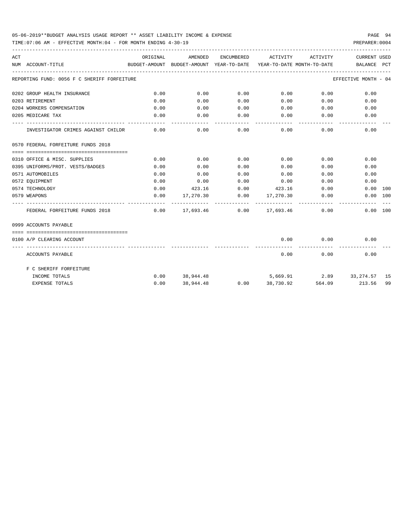TIME:07:06 AM - EFFECTIVE MONTH:04 - FOR MONTH ENDING 4-30-19 PREPARER:0004

| ACT | NUM ACCOUNT-TITLE                           | ORIGINAL            | AMENDED |              | ENCUMBERED ACTIVITY                                                   | ACTIVITY           | <b>CURRENT USED</b><br>BUDGET-AMOUNT BUDGET-AMOUNT YEAR-TO-DATE YEAR-TO-DATE MONTH-TO-DATE BALANCE PCT |    |
|-----|---------------------------------------------|---------------------|---------|--------------|-----------------------------------------------------------------------|--------------------|--------------------------------------------------------------------------------------------------------|----|
|     | REPORTING FUND: 0056 F C SHERIFF FORFEITURE |                     |         |              |                                                                       |                    | EFFECTIVE MONTH - 04                                                                                   |    |
|     | 0202 GROUP HEALTH INSURANCE                 | 0.00                | 0.00    | 0.00         | $0.00$ 0.00                                                           |                    | 0.00                                                                                                   |    |
|     | 0203 RETIREMENT                             | 0.00                | 0.00    |              | $0.00$ $0.00$ $0.00$ $0.00$                                           |                    | 0.00                                                                                                   |    |
|     | 0204 WORKERS COMPENSATION                   | 0.00                | 0.00    | 0.00         |                                                                       | $0.00$ 0.00        | 0.00                                                                                                   |    |
|     | 0205 MEDICARE TAX                           | 0.00                | 0.00    | 0.00         | $0.00$ 0.00                                                           |                    | 0.00                                                                                                   |    |
|     | INVESTIGATOR CRIMES AGAINST CHILDR          | $- - - - -$<br>0.00 |         | . <u>.</u> . | -----------<br>$0.00$ $0.00$ $0.00$ $0.00$ $0.00$                     | ------------       | 0.00                                                                                                   |    |
|     | 0570 FEDERAL FORFEITURE FUNDS 2018          |                     |         |              |                                                                       |                    |                                                                                                        |    |
|     |                                             |                     |         |              |                                                                       |                    |                                                                                                        |    |
|     | 0310 OFFICE & MISC. SUPPLIES                | 0.00                | 0.00    | 0.00         | 0.00                                                                  | 0.00               | 0.00                                                                                                   |    |
|     | 0395 UNIFORMS/PROT. VESTS/BADGES            | 0.00                | 0.00    | 0.00         | 0.00                                                                  | 0.00               | 0.00                                                                                                   |    |
|     | 0571 AUTOMOBILES                            | 0.00                | 0.00    | 0.00         | 0.00                                                                  |                    | 0.00<br>0.00                                                                                           |    |
|     | 0572 EOUIPMENT                              | 0.00                | 0.00    |              | $0.00$ $0.00$ $0.00$ $0.00$                                           |                    | 0.00                                                                                                   |    |
|     | 0574 TECHNOLOGY                             | 0.00                |         |              | 423.16 0.00 423.16                                                    | 0.00               | $0.00$ 100                                                                                             |    |
|     | 0579 WEAPONS                                | 0.00                |         |              | $17,270.30$ $0.00$ $17,270.30$ $0.00$<br>-------------- ------------- |                    | 0.00 100                                                                                               |    |
|     | FEDERAL FORFEITURE FUNDS 2018               |                     |         |              | $0.00$ 17,693.46 0.00 17,693.46 0.00                                  |                    | 0.00 100                                                                                               |    |
|     | 0999 ACCOUNTS PAYABLE                       |                     |         |              |                                                                       |                    |                                                                                                        |    |
|     |                                             |                     |         |              |                                                                       |                    |                                                                                                        |    |
|     | 0100 A/P CLEARING ACCOUNT                   |                     |         |              | 0.00                                                                  | 0.00<br>---------- | 0.00                                                                                                   |    |
|     | ACCOUNTS PAYABLE                            |                     |         |              | 0.00                                                                  |                    | 0.00<br>0.00                                                                                           |    |
|     | F C SHERIFF FORFEITURE                      |                     |         |              |                                                                       |                    |                                                                                                        |    |
|     | INCOME TOTALS                               |                     |         |              |                                                                       |                    | $0.00$ 38,944.48 $5,669.91$ 2.89 33,274.57 15                                                          |    |
|     | <b>EXPENSE TOTALS</b>                       | 0.00                |         |              | 38,944.48 0.00 38,730.92                                              |                    | 564.09 213.56                                                                                          | 99 |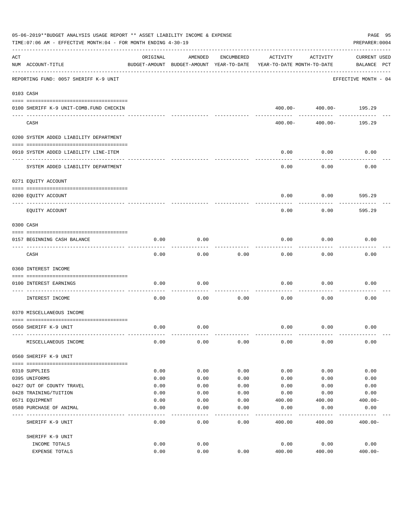|     | 05-06-2019**BUDGET ANALYSIS USAGE REPORT ** ASSET LIABILITY INCOME & EXPENSE<br>TIME: 07:06 AM - EFFECTIVE MONTH: 04 - FOR MONTH ENDING 4-30-19 |          |                                                     |            |                                        |                            | PAGE 95<br>PREPARER: 0004          |
|-----|-------------------------------------------------------------------------------------------------------------------------------------------------|----------|-----------------------------------------------------|------------|----------------------------------------|----------------------------|------------------------------------|
| ACT | NUM ACCOUNT-TITLE                                                                                                                               | ORIGINAL | AMENDED<br>BUDGET-AMOUNT BUDGET-AMOUNT YEAR-TO-DATE | ENCUMBERED | ACTIVITY<br>YEAR-TO-DATE MONTH-TO-DATE | ACTIVITY                   | <b>CURRENT USED</b><br>BALANCE PCT |
|     | REPORTING FUND: 0057 SHERIFF K-9 UNIT                                                                                                           |          |                                                     |            |                                        |                            | EFFECTIVE MONTH - 04               |
|     | 0103 CASH                                                                                                                                       |          |                                                     |            |                                        |                            |                                    |
|     | 0100 SHERIFF K-9 UNIT-COMB. FUND CHECKIN                                                                                                        |          |                                                     |            |                                        | $400.00 - 400.00 - 195.29$ |                                    |
|     | CASH                                                                                                                                            |          |                                                     |            | $400.00 -$                             | 400.00-                    | -------------<br>195.29            |
|     | 0200 SYSTEM ADDED LIABILITY DEPARTMENT                                                                                                          |          |                                                     |            |                                        |                            |                                    |
|     | 0910 SYSTEM ADDED LIABILITY LINE-ITEM                                                                                                           |          |                                                     |            | 0.00                                   | 0.00                       | 0.00                               |
|     | SYSTEM ADDED LIABILITY DEPARTMENT                                                                                                               |          |                                                     |            | 0.00                                   | 0.00                       | 0.00                               |
|     | 0271 EQUITY ACCOUNT                                                                                                                             |          |                                                     |            |                                        |                            |                                    |
|     | 0200 EQUITY ACCOUNT                                                                                                                             |          |                                                     |            | 0.00                                   | 0.00                       | 595.29                             |
|     | EQUITY ACCOUNT                                                                                                                                  |          |                                                     |            | 0.00                                   | 0.00                       | 595.29                             |
|     | 0300 CASH                                                                                                                                       |          |                                                     |            |                                        |                            |                                    |
|     | 0157 BEGINNING CASH BALANCE                                                                                                                     | 0.00     | 0.00                                                |            | 0.00                                   | 0.00                       | 0.00                               |
|     | CASH                                                                                                                                            | 0.00     | 0.00                                                | 0.00       | 0.00                                   | 0.00                       | 0.00                               |
|     | 0360 INTEREST INCOME                                                                                                                            |          |                                                     |            |                                        |                            |                                    |
|     | 0100 INTEREST EARNINGS                                                                                                                          | 0.00     | 0.00                                                |            | 0.00                                   | 0.00                       | 0.00                               |
|     | ------------------ ---<br>INTEREST INCOME                                                                                                       | 0.00     | 0.00                                                | 0.00       | 0.00                                   | 0.00                       | 0.00                               |
|     | 0370 MISCELLANEOUS INCOME                                                                                                                       |          |                                                     |            |                                        |                            |                                    |
|     | 0560 SHERIFF K-9 UNIT                                                                                                                           | 0.00     | 0.00                                                |            | 0.00                                   | 0.00                       | 0.00                               |
|     | MISCELLANEOUS INCOME                                                                                                                            | 0.00     | 0.00                                                | 0.00       | 0.00                                   | 0.00                       | 0.00                               |
|     | 0560 SHERIFF K-9 UNIT                                                                                                                           |          |                                                     |            |                                        |                            |                                    |
|     | 0310 SUPPLIES                                                                                                                                   | 0.00     | 0.00                                                | 0.00       | 0.00                                   | 0.00                       | 0.00                               |
|     | 0395 UNIFORMS                                                                                                                                   | 0.00     | 0.00                                                | 0.00       | 0.00                                   | 0.00                       | 0.00                               |
|     | 0427 OUT OF COUNTY TRAVEL                                                                                                                       | 0.00     | 0.00                                                | 0.00       | 0.00                                   | 0.00                       | 0.00                               |
|     | 0428 TRAINING/TUITION                                                                                                                           | 0.00     | 0.00                                                | 0.00       | 0.00                                   | 0.00                       | 0.00                               |
|     | 0571 EQUIPMENT                                                                                                                                  | 0.00     | 0.00                                                | 0.00       | 400.00                                 | 400.00                     | $400.00 -$                         |
|     | 0580 PURCHASE OF ANIMAL                                                                                                                         | 0.00     | 0.00                                                | 0.00       | 0.00                                   | 0.00                       | 0.00                               |
|     | SHERIFF K-9 UNIT                                                                                                                                | 0.00     | 0.00                                                | 0.00       | 400.00                                 | 400.00                     | $400.00 -$                         |
|     | SHERIFF K-9 UNIT                                                                                                                                |          |                                                     |            |                                        |                            |                                    |
|     | INCOME TOTALS                                                                                                                                   | 0.00     | 0.00                                                |            | 0.00                                   | 0.00                       | 0.00                               |
|     | EXPENSE TOTALS                                                                                                                                  | 0.00     | 0.00                                                | 0.00       | 400.00                                 | 400.00                     | $400.00 -$                         |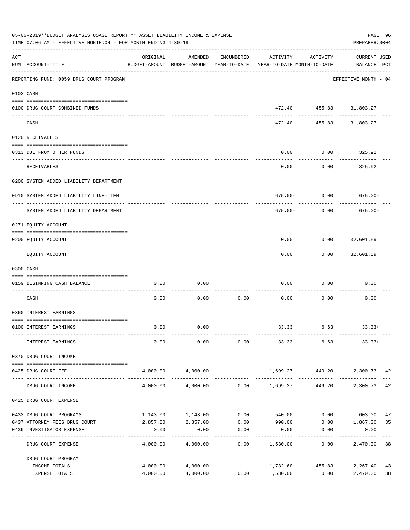|     | 05-06-2019**BUDGET ANALYSIS USAGE REPORT ** ASSET LIABILITY INCOME & EXPENSE<br>TIME: 07:06 AM - EFFECTIVE MONTH: 04 - FOR MONTH ENDING 4-30-19 |                      |                      |                     |                                                                                 |                                          | PAGE 96<br>PREPARER: 0004          |          |
|-----|-------------------------------------------------------------------------------------------------------------------------------------------------|----------------------|----------------------|---------------------|---------------------------------------------------------------------------------|------------------------------------------|------------------------------------|----------|
| ACT | NUM ACCOUNT-TITLE                                                                                                                               | ORIGINAL             | AMENDED              | ENCUMBERED          | ACTIVITY<br>BUDGET-AMOUNT BUDGET-AMOUNT YEAR-TO-DATE YEAR-TO-DATE MONTH-TO-DATE | ACTIVITY                                 | <b>CURRENT USED</b><br>BALANCE PCT |          |
|     | -----------------------------------<br>REPORTING FUND: 0059 DRUG COURT PROGRAM                                                                  |                      |                      |                     |                                                                                 |                                          | EFFECTIVE MONTH - 04               |          |
|     | 0103 CASH                                                                                                                                       |                      |                      |                     |                                                                                 |                                          |                                    |          |
|     | 0100 DRUG COURT-COMBINED FUNDS                                                                                                                  |                      |                      |                     |                                                                                 | 472.40- 455.83 31,803.27<br>------------ |                                    |          |
|     | CASH                                                                                                                                            |                      |                      |                     | 472.40-                                                                         |                                          | 455.83 31,803.27                   |          |
|     | 0120 RECEIVABLES                                                                                                                                |                      |                      |                     |                                                                                 |                                          |                                    |          |
|     | 0313 DUE FROM OTHER FUNDS                                                                                                                       |                      |                      |                     | 0.00                                                                            | 0.00                                     | 325.92                             |          |
|     | RECEIVABLES                                                                                                                                     |                      |                      |                     | 0.00                                                                            | 0.00                                     | 325.92                             |          |
|     | 0200 SYSTEM ADDED LIABILITY DEPARTMENT                                                                                                          |                      |                      |                     |                                                                                 |                                          |                                    |          |
|     | 0910 SYSTEM ADDED LIABILITY LINE-ITEM                                                                                                           |                      |                      |                     | $675.00 - 0.00$                                                                 |                                          | $675.00 -$                         |          |
|     | SYSTEM ADDED LIABILITY DEPARTMENT                                                                                                               |                      |                      |                     | 675.00-                                                                         | 0.00                                     | $675.00 -$                         |          |
|     | 0271 EQUITY ACCOUNT                                                                                                                             |                      |                      |                     |                                                                                 |                                          |                                    |          |
|     | 0200 EQUITY ACCOUNT                                                                                                                             |                      |                      |                     | 0.00                                                                            | $0.00$ 32,601.59                         |                                    |          |
|     | EQUITY ACCOUNT                                                                                                                                  |                      |                      |                     | 0.00                                                                            |                                          | $0.00$ 32,601.59                   |          |
|     | 0300 CASH                                                                                                                                       |                      |                      |                     |                                                                                 |                                          |                                    |          |
|     | 0159 BEGINNING CASH BALANCE                                                                                                                     | 0.00                 | 0.00                 |                     | 0.00                                                                            | 0.00                                     | 0.00                               |          |
|     | CASH                                                                                                                                            | 0.00                 | 0.00                 | 0.00                | 0.00                                                                            | 0.00                                     | 0.00                               |          |
|     | 0360 INTEREST EARNINGS                                                                                                                          |                      |                      |                     |                                                                                 |                                          |                                    |          |
|     | 0100 INTEREST EARNINGS                                                                                                                          | 0.00                 | 0.00                 |                     | 33.33                                                                           | 6.63                                     | $33.33+$                           |          |
|     | INTEREST EARNINGS                                                                                                                               | 0.00                 | 0.00                 | 0.00                | 33.33                                                                           | 6.63                                     | $33.33+$                           |          |
|     | 0370 DRUG COURT INCOME                                                                                                                          |                      |                      |                     |                                                                                 |                                          |                                    |          |
|     | 0425 DRUG COURT FEE                                                                                                                             |                      | 4,000.00 4,000.00    |                     | 1,699.27 449.20                                                                 |                                          | 2,300.73 42                        |          |
|     | DRUG COURT INCOME                                                                                                                               | 4,000.00             | 4,000.00             |                     | $0.00$ 1,699.27                                                                 | 449.20                                   | 2,300.73 42                        |          |
|     | 0425 DRUG COURT EXPENSE                                                                                                                         |                      |                      |                     |                                                                                 |                                          |                                    |          |
|     | 0433 DRUG COURT PROGRAMS                                                                                                                        | 1,143.00             | 1,143.00             | 0.00                | 540.00                                                                          |                                          | $0.00$ 603.00                      | 47       |
|     | 0437 ATTORNEY FEES DRUG COURT                                                                                                                   | 2,857.00             | 2,857.00             | 0.00                | 990.00                                                                          |                                          | $0.00$ 1,867.00                    | 35       |
|     | 0439 INVESTIGATOR EXPENSE                                                                                                                       | 0.00<br>---------    | 0.00<br>----------   | 0.00<br>----------- | 0.00<br>----------                                                              | 0.00<br>----------                       | 0.00                               |          |
|     | DRUG COURT EXPENSE                                                                                                                              | 4,000.00             | 4,000.00             | 0.00                | 1,530.00                                                                        | 0.00                                     | 2,470.00 38                        |          |
|     | DRUG COURT PROGRAM                                                                                                                              |                      |                      |                     |                                                                                 |                                          |                                    |          |
|     | INCOME TOTALS<br>EXPENSE TOTALS                                                                                                                 | 4,000.00<br>4,000.00 | 4,000.00<br>4,000.00 | 0.00                | 1,732.60<br>1,530.00                                                            | 455.83<br>0.00                           | 2,267.40<br>2,470.00               | 43<br>38 |
|     |                                                                                                                                                 |                      |                      |                     |                                                                                 |                                          |                                    |          |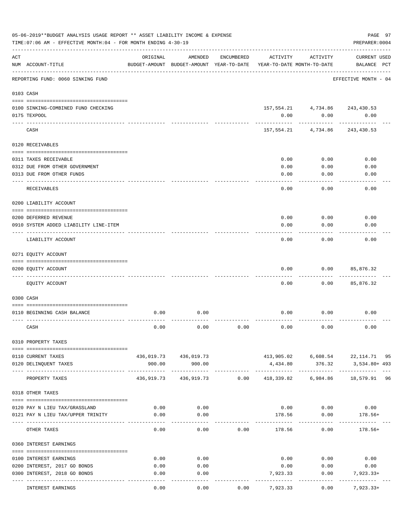|                | 05-06-2019**BUDGET ANALYSIS USAGE REPORT ** ASSET LIABILITY INCOME & EXPENSE<br>TIME: 07:06 AM - EFFECTIVE MONTH: 04 - FOR MONTH ENDING 4-30-19 |                       |                                                     |            |              |                                        | PREPARER: 0004                       | PAGE 97 |
|----------------|-------------------------------------------------------------------------------------------------------------------------------------------------|-----------------------|-----------------------------------------------------|------------|--------------|----------------------------------------|--------------------------------------|---------|
| $\mathtt{ACT}$ | NUM ACCOUNT-TITLE                                                                                                                               | ORIGINAL              | AMENDED<br>BUDGET-AMOUNT BUDGET-AMOUNT YEAR-TO-DATE | ENCUMBERED | ACTIVITY     | ACTIVITY<br>YEAR-TO-DATE MONTH-TO-DATE | <b>CURRENT USED</b><br>BALANCE PCT   |         |
|                | REPORTING FUND: 0060 SINKING FUND                                                                                                               | --------------------- |                                                     |            |              |                                        | EFFECTIVE MONTH - 04                 |         |
|                | 0103 CASH                                                                                                                                       |                       |                                                     |            |              |                                        |                                      |         |
|                | 0100 SINKING-COMBINED FUND CHECKING                                                                                                             |                       |                                                     |            |              |                                        | 157, 554. 21 4, 734. 86 243, 430. 53 |         |
|                | 0175 TEXPOOL                                                                                                                                    |                       |                                                     |            | 0.00         | 0.00                                   | 0.00                                 |         |
|                | CASH                                                                                                                                            |                       |                                                     |            |              | 157,554.21 4,734.86                    | 243,430.53                           |         |
|                | 0120 RECEIVABLES                                                                                                                                |                       |                                                     |            |              |                                        |                                      |         |
|                |                                                                                                                                                 |                       |                                                     |            |              |                                        |                                      |         |
|                | 0311 TAXES RECEIVABLE<br>0312 DUE FROM OTHER GOVERNMENT                                                                                         |                       |                                                     |            | 0.00<br>0.00 | 0.00<br>0.00                           | 0.00<br>0.00                         |         |
|                | 0313 DUE FROM OTHER FUNDS                                                                                                                       |                       |                                                     |            | 0.00         | 0.00                                   | 0.00                                 |         |
|                | RECEIVABLES                                                                                                                                     |                       |                                                     |            | 0.00         | 0.00                                   | 0.00                                 |         |
|                | 0200 LIABILITY ACCOUNT                                                                                                                          |                       |                                                     |            |              |                                        |                                      |         |
|                |                                                                                                                                                 |                       |                                                     |            |              |                                        |                                      |         |
|                | 0200 DEFERRED REVENUE<br>0910 SYSTEM ADDED LIABILITY LINE-ITEM                                                                                  |                       |                                                     |            | 0.00<br>0.00 | 0.00<br>0.00                           | 0.00<br>0.00                         |         |
|                | LIABILITY ACCOUNT                                                                                                                               |                       |                                                     |            | 0.00         | 0.00                                   | 0.00                                 |         |
|                | 0271 EQUITY ACCOUNT                                                                                                                             |                       |                                                     |            |              |                                        |                                      |         |
|                |                                                                                                                                                 |                       |                                                     |            |              |                                        |                                      |         |
|                | 0200 EQUITY ACCOUNT                                                                                                                             |                       |                                                     |            | 0.00         | 0.00                                   | 85,876.32                            |         |
|                | EQUITY ACCOUNT                                                                                                                                  |                       |                                                     |            | 0.00         | 0.00                                   | 85,876.32                            |         |
|                | 0300 CASH                                                                                                                                       |                       |                                                     |            |              |                                        |                                      |         |
|                | 0110 BEGINNING CASH BALANCE                                                                                                                     | 0.00                  | 0.00                                                |            | 0.00         | 0.00                                   | 0.00                                 |         |
|                | CASH                                                                                                                                            | 0.00                  | 0.00                                                | 0.00       | 0.00         | 0.00                                   | 0.00                                 |         |
|                | 0310 PROPERTY TAXES                                                                                                                             |                       |                                                     |            |              |                                        |                                      |         |
|                |                                                                                                                                                 |                       |                                                     |            |              |                                        | 413,905.02 6,608.54 22,114.71 95     |         |
|                | 0110 CURRENT TAXES<br>0120 DELINQUENT TAXES                                                                                                     | 900.00                | 436,019.73 436,019.73<br>900.00                     |            | 4,434.80     | 376.32                                 | 3,534.80+ 493                        |         |
|                | PROPERTY TAXES                                                                                                                                  |                       | 436,919.73 436,919.73 0.00                          |            |              |                                        | 418,339.82 6,984.86 18,579.91 96     |         |
|                | 0318 OTHER TAXES                                                                                                                                |                       |                                                     |            |              |                                        |                                      |         |
|                |                                                                                                                                                 |                       |                                                     |            |              |                                        |                                      |         |
|                | 0120 PAY N LIEU TAX/GRASSLAND                                                                                                                   | 0.00                  | 0.00                                                |            |              |                                        | $0.00$ $0.00$ $0.00$                 |         |
|                | 0121 PAY N LIEU TAX/UPPER TRINITY                                                                                                               | 0.00                  | 0.00                                                |            |              | 178.56 0.00<br>----------              | $178.56+$                            |         |
|                | OTHER TAXES                                                                                                                                     | 0.00                  | 0.00                                                | 0.00       | 178.56       | 0.00                                   | $178.56+$                            |         |
|                | 0360 INTEREST EARNINGS                                                                                                                          |                       |                                                     |            |              |                                        |                                      |         |
|                | 0100 INTEREST EARNINGS                                                                                                                          | 0.00                  | 0.00                                                |            |              |                                        | $0.00$ $0.00$ $0.00$                 |         |
|                | 0200 INTEREST, 2017 GO BONDS                                                                                                                    | 0.00                  | 0.00                                                |            | 0.00         | 0.00                                   | 0.00                                 |         |
|                | 0300 INTEREST, 2018 GO BONDS                                                                                                                    | 0.00                  | 0.00                                                |            | 7,923.33     | 0.00                                   | 7,923.33+                            |         |
|                | INTEREST EARNINGS                                                                                                                               | 0.00                  | 0.00                                                | 0.00       | 7,923.33     | 0.00                                   | 7,923.33+                            |         |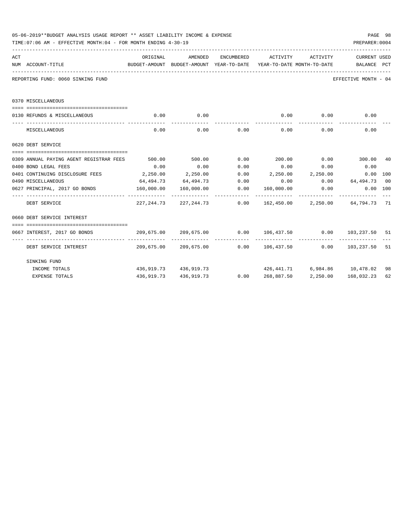|     | 05-06-2019**BUDGET ANALYSIS USAGE REPORT ** ASSET LIABILITY INCOME & EXPENSE<br>TIME: 07:06 AM - EFFECTIVE MONTH: 04 - FOR MONTH ENDING 4-30-19 |            |                                                                                     |             |            |                   | PREPARER: 0004                   | PAGE 98 |
|-----|-------------------------------------------------------------------------------------------------------------------------------------------------|------------|-------------------------------------------------------------------------------------|-------------|------------|-------------------|----------------------------------|---------|
| ACT |                                                                                                                                                 | ORIGINAL   | AMENDED                                                                             | ENCUMBERED  |            | ACTIVITY ACTIVITY | CURRENT USED                     |         |
|     | NUM ACCOUNT-TITLE                                                                                                                               |            | BUDGET-AMOUNT BUDGET-AMOUNT YEAR-TO-DATE YEAR-TO-DATE MONTH-TO-DATE     BALANCE PCT |             |            |                   |                                  |         |
|     | REPORTING FUND: 0060 SINKING FUND                                                                                                               |            |                                                                                     |             |            |                   | EFFECTIVE MONTH - 04             |         |
|     | 0370 MISCELLANEOUS                                                                                                                              |            |                                                                                     |             |            |                   |                                  |         |
|     |                                                                                                                                                 |            |                                                                                     |             |            |                   |                                  |         |
|     | 0130 REFUNDS & MISCELLANEOUS                                                                                                                    | 0.00       | 0.00<br>------------                                                                |             |            | $0.00$ 0.00       | 0.00                             |         |
|     | MISCELLANEOUS                                                                                                                                   | 0.00       |                                                                                     | $0.00$ 0.00 |            | $0.00$ 0.00       | 0.00                             |         |
|     | 0620 DEBT SERVICE                                                                                                                               |            |                                                                                     |             |            |                   |                                  |         |
|     |                                                                                                                                                 |            |                                                                                     |             |            |                   |                                  |         |
|     |                                                                                                                                                 |            |                                                                                     |             |            |                   |                                  |         |
|     | 0400 BOND LEGAL FEES                                                                                                                            | 0.00       | 0.00                                                                                | 0.00        | 0.00       | 0.00              | 0.00                             |         |
|     | 0401 CONTINUING DISCLOSURE FEES $2,250.00$ $2,250.00$ $0.00$ $2,250.00$ $2,250.00$ $2,250.00$ $0.00$ $100$                                      |            |                                                                                     |             |            |                   |                                  |         |
|     | 0490 MISCELLANEOUS                                                                                                                              |            | $64,494.73$ $64,494.73$ $0.00$ $0.00$ $0.00$ $64,494.73$ 00                         |             |            |                   |                                  |         |
|     | 0627 PRINCIPAL, 2017 GO BONDS 6.00 160,000.00 160,000.00 160,000 160,000.00 0.00 0.00                                                           |            |                                                                                     |             |            |                   | $0.00$ 100                       |         |
|     | DEBT SERVICE                                                                                                                                    |            | 227, 244.73 227, 244.73 0.00 162, 450.00 2, 250.00 64, 794.73 71                    |             |            |                   |                                  |         |
|     | 0660 DEBT SERVICE INTEREST                                                                                                                      |            |                                                                                     |             |            |                   |                                  |         |
|     |                                                                                                                                                 |            |                                                                                     |             |            |                   |                                  |         |
|     | 0667 INTEREST, 2017 GO BONDS                                                                                                                    |            | 209,675.00 209,675.00 0.00 106,437.50 0.00 103,237.50 51                            |             |            |                   |                                  |         |
|     | DEBT SERVICE INTEREST 610 209,675.00 209,675.00 0.00 106,437.50 0.00 103,237.50 51                                                              |            |                                                                                     |             |            |                   |                                  |         |
|     | SINKING FUND                                                                                                                                    |            |                                                                                     |             |            |                   |                                  |         |
|     | INCOME TOTALS                                                                                                                                   |            | 436,919.73 436,919.73                                                               |             |            |                   | 426,441.71 6,984.86 10,478.02 98 |         |
|     | <b>EXPENSE TOTALS</b>                                                                                                                           | 436,919.73 | 436,919.73                                                                          | 0.00        | 268,887.50 | 2,250.00          | 168,032.23                       | 62      |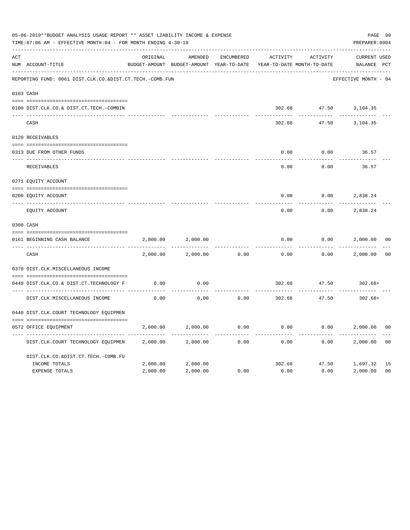|     | 05-06-2019**BUDGET ANALYSIS USAGE REPORT ** ASSET LIABILITY INCOME & EXPENSE<br>TIME: 07:06 AM - EFFECTIVE MONTH: 04 - FOR MONTH ENDING 4-30-19 |          |                                                     |                   |                                        |          | PAGE 99<br>PREPARER: 0004          |                |
|-----|-------------------------------------------------------------------------------------------------------------------------------------------------|----------|-----------------------------------------------------|-------------------|----------------------------------------|----------|------------------------------------|----------------|
| ACT | NUM ACCOUNT-TITLE                                                                                                                               | ORIGINAL | AMENDED<br>BUDGET-AMOUNT BUDGET-AMOUNT YEAR-TO-DATE | <b>ENCUMBERED</b> | ACTIVITY<br>YEAR-TO-DATE MONTH-TO-DATE | ACTIVITY | <b>CURRENT USED</b><br>BALANCE PCT |                |
|     | REPORTING FUND: 0061 DIST.CLK.CO.&DIST.CT.TECH.-COMB.FUN                                                                                        |          |                                                     |                   |                                        |          | EFFECTIVE MONTH - 04               |                |
|     | 0103 CASH                                                                                                                                       |          |                                                     |                   |                                        |          |                                    |                |
|     | 0100 DIST.CLK.CO.& DIST.CT.TECH.-COMBIN                                                                                                         |          |                                                     |                   | 302.68                                 |          | 47.50 3,104.35                     |                |
|     | CASH                                                                                                                                            |          |                                                     |                   | 302.68                                 | 47.50    | 3,104.35                           |                |
|     | 0120 RECEIVABLES                                                                                                                                |          |                                                     |                   |                                        |          |                                    |                |
|     | 0313 DUE FROM OTHER FUNDS                                                                                                                       |          |                                                     |                   | 0.00                                   | 0.00     | 36.57                              |                |
|     | RECEIVABLES                                                                                                                                     |          |                                                     |                   | 0.00                                   | 0.00     | 36.57                              |                |
|     | 0271 EQUITY ACCOUNT                                                                                                                             |          |                                                     |                   |                                        |          |                                    |                |
|     | 0200 EQUITY ACCOUNT                                                                                                                             |          |                                                     |                   | 0.00                                   | 0.00     | 2,838.24                           |                |
|     | ---- -----------<br>EQUITY ACCOUNT                                                                                                              |          |                                                     |                   | 0.00                                   | 0.00     | 2,838.24                           |                |
|     | 0300 CASH                                                                                                                                       |          |                                                     |                   |                                        |          |                                    |                |
|     | 0161 BEGINNING CASH BALANCE                                                                                                                     | 2,000.00 | 2,000.00                                            |                   | 0.00                                   | 0.00     | 2,000.00                           | 0 <sup>0</sup> |
|     | CASH                                                                                                                                            | 2,000.00 | 2,000.00                                            | 0.00              | 0.00                                   | 0.00     | 2,000.00                           | 0 <sup>0</sup> |
|     | 0370 DIST.CLK.MISCELLANEOUS INCOME                                                                                                              |          |                                                     |                   |                                        |          |                                    |                |
|     | 0440 DIST.CLK.CO.& DIST.CT.TECHNOLOGY F                                                                                                         | 0.00     | 0.00                                                |                   | 302.68                                 | 47.50    | $302.68+$                          |                |
|     | DIST.CLK.MISCELLANEOUS INCOME                                                                                                                   | 0.00     | 0.00                                                | 0.00              | 302.68                                 | 47.50    | $302.68+$                          |                |
|     | 0440 DIST.CLK.COURT TECHNOLOGY EQUIPMEN                                                                                                         |          |                                                     |                   |                                        |          |                                    |                |
|     | 0572 OFFICE EOUIPMENT                                                                                                                           | 2,000.00 | 2,000.00                                            | 0.00              | 0.00                                   | 0.00     | 2,000.00                           | 0 <sub>0</sub> |
|     | DIST.CLK.COURT TECHNOLOGY EQUIPMEN                                                                                                              | 2,000.00 | 2,000.00                                            | 0.00              | 0.00                                   | 0.00     | 2,000.00                           | 0 <sub>0</sub> |
|     | DIST.CLK.CO.&DIST.CT.TECH.-COMB.FU                                                                                                              |          |                                                     |                   |                                        |          |                                    |                |
|     | INCOME TOTALS                                                                                                                                   | 2,000.00 | 2,000.00                                            |                   | 302.68                                 | 47.50    | 1,697.32                           | 15             |
|     | <b>EXPENSE TOTALS</b>                                                                                                                           | 2,000.00 | 2,000.00                                            | 0.00              | 0.00                                   | 0.00     | 2,000.00                           | 0 <sub>0</sub> |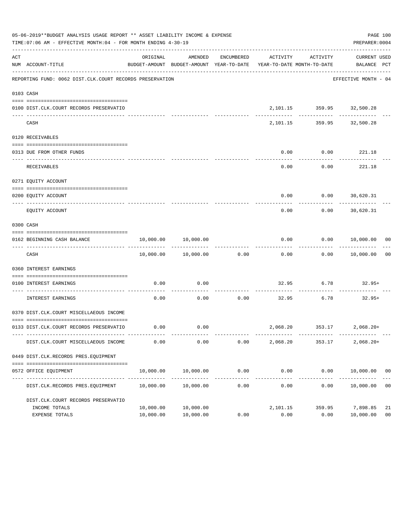|     | 05-06-2019**BUDGET ANALYSIS USAGE REPORT ** ASSET LIABILITY INCOME & EXPENSE<br>TIME: 07:06 AM - EFFECTIVE MONTH: 04 - FOR MONTH ENDING 4-30-19 |                        |                                                                                |            |                  |                                                 | PAGE 100<br>PREPARER: 0004     |                      |
|-----|-------------------------------------------------------------------------------------------------------------------------------------------------|------------------------|--------------------------------------------------------------------------------|------------|------------------|-------------------------------------------------|--------------------------------|----------------------|
| ACT | NUM ACCOUNT-TITLE                                                                                                                               | ORIGINAL               | AMENDED<br>BUDGET-AMOUNT BUDGET-AMOUNT YEAR-TO-DATE YEAR-TO-DATE MONTH-TO-DATE | ENCUMBERED | ACTIVITY         | ACTIVITY                                        | CURRENT USED<br>BALANCE PCT    |                      |
|     | REPORTING FUND: 0062 DIST.CLK.COURT RECORDS PRESERVATION                                                                                        |                        |                                                                                |            |                  |                                                 | EFFECTIVE MONTH - 04           |                      |
|     | 0103 CASH                                                                                                                                       |                        |                                                                                |            |                  |                                                 |                                |                      |
|     | 0100 DIST.CLK.COURT RECORDS PRESERVATIO                                                                                                         |                        |                                                                                |            |                  | 2, 101.15 359.95 32, 500.28                     |                                |                      |
|     | CASH                                                                                                                                            |                        |                                                                                |            |                  | ________________<br>2, 101.15 359.95 32, 500.28 |                                |                      |
|     | 0120 RECEIVABLES                                                                                                                                |                        |                                                                                |            |                  |                                                 |                                |                      |
|     | 0313 DUE FROM OTHER FUNDS                                                                                                                       |                        |                                                                                |            | 0.00             |                                                 | $0.00$ 221.18                  |                      |
|     | RECEIVABLES                                                                                                                                     |                        |                                                                                |            | 0.00             | 0.00                                            | 221.18                         |                      |
|     | 0271 EQUITY ACCOUNT                                                                                                                             |                        |                                                                                |            |                  |                                                 |                                |                      |
|     | 0200 EQUITY ACCOUNT                                                                                                                             |                        |                                                                                |            | 0.00             | 0.00                                            | 30,620.31                      |                      |
|     | EQUITY ACCOUNT                                                                                                                                  |                        |                                                                                |            | 0.00             | 0.00                                            | --------<br>30,620.31          |                      |
|     | 0300 CASH                                                                                                                                       |                        |                                                                                |            |                  |                                                 |                                |                      |
|     | 0162 BEGINNING CASH BALANCE                                                                                                                     | 10,000.00              | 10,000.00                                                                      |            | 0.00             |                                                 | 0.00 10,000.00                 | 00                   |
|     | CASH                                                                                                                                            |                        | 10,000.00 10,000.00 0.00                                                       |            | 0.00             | -----------                                     | ------------<br>0.00 10,000.00 | 0 <sub>0</sub>       |
|     | 0360 INTEREST EARNINGS                                                                                                                          |                        |                                                                                |            |                  |                                                 |                                |                      |
|     | 0100 INTEREST EARNINGS                                                                                                                          | 0.00                   | 0.00                                                                           |            |                  |                                                 | 32.95 6.78 32.95+              |                      |
|     | INTEREST EARNINGS                                                                                                                               | 0.00                   | 0.00                                                                           | 0.00       | 32.95            | 6.78                                            | $32.95+$                       |                      |
|     | 0370 DIST.CLK.COURT MISCELLAEOUS INCOME                                                                                                         |                        |                                                                                |            |                  |                                                 |                                |                      |
|     | 0133 DIST.CLK.COURT RECORDS PRESERVATIO                                                                                                         | 0.00                   | 0.00                                                                           |            |                  |                                                 | 2,068.20 353.17 2,068.20+      |                      |
|     | DIST.CLK.COURT MISCELLAEOUS INCOME                                                                                                              | 0.00                   | 0.00                                                                           | 0.00       | 2,068.20         | 353.17                                          | $2,068.20+$                    |                      |
|     | 0449 DIST.CLK.RECORDS PRES.EQUIPMENT                                                                                                            |                        |                                                                                |            |                  |                                                 |                                |                      |
|     | 0572 OFFICE EQUIPMENT                                                                                                                           | 10,000.00              | 10,000.00                                                                      | 0.00       | 0.00             |                                                 | $0.00$ $10,000.00$ 00          |                      |
|     | DIST.CLK.RECORDS PRES.EQUIPMENT                                                                                                                 | 10,000.00              | 10,000.00                                                                      | 0.00       | 0.00             | 0.00                                            | 10,000.00                      | 0 <sub>0</sub>       |
|     | DIST.CLK.COURT RECORDS PRESERVATIO                                                                                                              |                        |                                                                                |            |                  |                                                 |                                |                      |
|     | INCOME TOTALS<br>EXPENSE TOTALS                                                                                                                 | 10,000.00<br>10,000.00 | 10,000.00<br>10,000.00                                                         | 0.00       | 2,101.15<br>0.00 | 359.95<br>0.00                                  | 7,898.85<br>10,000.00          | 21<br>0 <sub>0</sub> |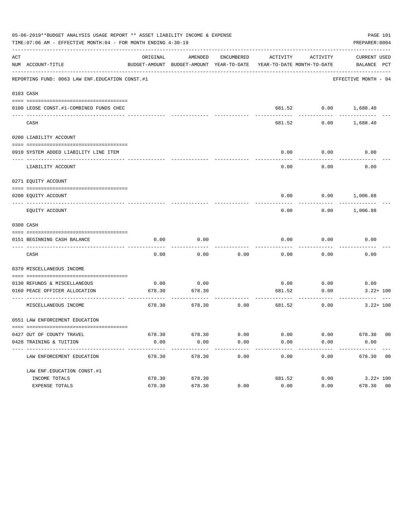|     | 05-06-2019**BUDGET ANALYSIS USAGE REPORT ** ASSET LIABILITY INCOME & EXPENSE<br>TIME: 07:06 AM - EFFECTIVE MONTH: 04 - FOR MONTH ENDING 4-30-19 |          |                                                     |                      |                                        |                          | PAGE 101<br>PREPARER: 0004  |
|-----|-------------------------------------------------------------------------------------------------------------------------------------------------|----------|-----------------------------------------------------|----------------------|----------------------------------------|--------------------------|-----------------------------|
| ACT | NUM ACCOUNT-TITLE                                                                                                                               | ORIGINAL | AMENDED<br>BUDGET-AMOUNT BUDGET-AMOUNT YEAR-TO-DATE | ENCUMBERED           | ACTIVITY<br>YEAR-TO-DATE MONTH-TO-DATE | ACTIVITY                 | CURRENT USED<br>BALANCE PCT |
|     | REPORTING FUND: 0063 LAW ENF. EDUCATION CONST.#1                                                                                                |          |                                                     |                      |                                        |                          | EFFECTIVE MONTH - 04        |
|     | 0103 CASH                                                                                                                                       |          |                                                     |                      |                                        |                          |                             |
|     | 0100 LEOSE CONST.#1-COMBINED FUNDS CHEC                                                                                                         |          |                                                     |                      |                                        | 681.52 0.00 1,688.40     |                             |
|     | CASH                                                                                                                                            |          |                                                     |                      | 681.52                                 | 0.00                     | 1,688.40                    |
|     | 0200 LIABILITY ACCOUNT                                                                                                                          |          |                                                     |                      |                                        |                          |                             |
|     | 0910 SYSTEM ADDED LIABILITY LINE ITEM                                                                                                           |          |                                                     |                      | 0.00                                   | 0.00<br>--------         | 0.00                        |
|     | LIABILITY ACCOUNT                                                                                                                               |          |                                                     |                      | 0.00                                   | 0.00                     | 0.00                        |
|     | 0271 EQUITY ACCOUNT                                                                                                                             |          |                                                     |                      |                                        |                          |                             |
|     | 0200 EQUITY ACCOUNT                                                                                                                             |          |                                                     |                      |                                        | $0.00$ $0.00$ $1,006.88$ |                             |
|     | EQUITY ACCOUNT                                                                                                                                  |          |                                                     |                      | 0.00                                   |                          | $0.00$ 1,006.88             |
|     | 0300 CASH                                                                                                                                       |          |                                                     |                      |                                        |                          |                             |
|     |                                                                                                                                                 |          |                                                     |                      |                                        |                          |                             |
|     | 0151 BEGINNING CASH BALANCE                                                                                                                     | 0.00     | 0.00                                                |                      | 0.00                                   | 0.00                     | 0.00                        |
|     | CASH                                                                                                                                            | 0.00     | 0.00                                                | 0.00                 | 0.00                                   | 0.00                     | 0.00                        |
|     | 0370 MISCELLANEOUS INCOME                                                                                                                       |          |                                                     |                      |                                        |                          |                             |
|     | 0130 REFUNDS & MISCELLANEOUS                                                                                                                    | 0.00     | 0.00                                                |                      |                                        | $0.00$ 0.00              | 0.00                        |
|     | 0160 PEACE OFFICER ALLOCATION<br>---------------------------------                                                                              | 678.30   | 678.30                                              |                      | 681.52                                 | 0.00<br>---------        | $3.22 + 100$                |
|     | MISCELLANEOUS INCOME                                                                                                                            | 678.30   | 678.30                                              | 0.00                 | 681.52                                 | 0.00                     | $3.22 + 100$                |
|     | 0551 LAW ENFORCEMENT EDUCATION                                                                                                                  |          |                                                     |                      |                                        |                          |                             |
|     | 0427 OUT OF COUNTY TRAVEL                                                                                                                       |          | 678.30 678.30                                       | 0.00                 | 0.00                                   |                          | $0.00$ 678.30 00            |
|     | 0428 TRAINING & TUITION                                                                                                                         | 0.00     | 0.00                                                | 0.00<br>------------ | 0.00<br>-------------                  | 0.00                     | 0.00<br>-------------       |
|     | LAW ENFORCEMENT EDUCATION                                                                                                                       | 678.30   | -------------<br>678.30                             | 0.00                 | 0.00                                   | ------------             | 0.00 678.30 00              |
|     | LAW ENF. EDUCATION CONST. #1                                                                                                                    |          |                                                     |                      |                                        |                          |                             |
|     | INCOME TOTALS                                                                                                                                   | 678.30   | 678.30                                              |                      | 681.52                                 | 0.00                     | $3.22 + 100$                |
|     | EXPENSE TOTALS                                                                                                                                  | 678.30   | 678.30                                              | 0.00                 | 0.00                                   | 0.00                     | 678.30 00                   |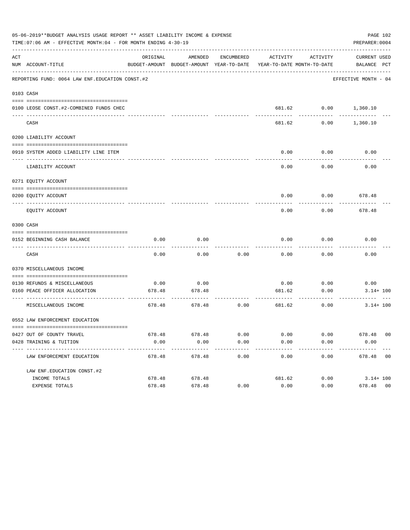|     | 05-06-2019**BUDGET ANALYSIS USAGE REPORT ** ASSET LIABILITY INCOME & EXPENSE<br>TIME: 07:06 AM - EFFECTIVE MONTH: 04 - FOR MONTH ENDING 4-30-19 |          |                                                     |                      |                                        |                      | PAGE 102<br>PREPARER: 0004  |
|-----|-------------------------------------------------------------------------------------------------------------------------------------------------|----------|-----------------------------------------------------|----------------------|----------------------------------------|----------------------|-----------------------------|
| ACT | NUM ACCOUNT-TITLE                                                                                                                               | ORIGINAL | AMENDED<br>BUDGET-AMOUNT BUDGET-AMOUNT YEAR-TO-DATE | ENCUMBERED           | ACTIVITY<br>YEAR-TO-DATE MONTH-TO-DATE | ACTIVITY             | CURRENT USED<br>BALANCE PCT |
|     | REPORTING FUND: 0064 LAW ENF. EDUCATION CONST. #2                                                                                               |          |                                                     |                      |                                        |                      | EFFECTIVE MONTH - 04        |
|     | 0103 CASH                                                                                                                                       |          |                                                     |                      |                                        |                      |                             |
|     | 0100 LEOSE CONST.#2-COMBINED FUNDS CHEC                                                                                                         |          |                                                     |                      |                                        | 681.62 0.00 1,360.10 |                             |
|     | CASH                                                                                                                                            |          |                                                     |                      | 681.62                                 | 0.00                 | 1,360.10                    |
|     | 0200 LIABILITY ACCOUNT                                                                                                                          |          |                                                     |                      |                                        |                      |                             |
|     | 0910 SYSTEM ADDED LIABILITY LINE ITEM                                                                                                           |          |                                                     |                      | 0.00                                   | 0.00<br>--------     | 0.00                        |
|     | LIABILITY ACCOUNT                                                                                                                               |          |                                                     |                      | 0.00                                   | 0.00                 | 0.00                        |
|     | 0271 EQUITY ACCOUNT                                                                                                                             |          |                                                     |                      |                                        |                      |                             |
|     | 0200 EOUITY ACCOUNT                                                                                                                             |          |                                                     |                      | 0.00                                   |                      | $0.00$ 678.48               |
|     | EQUITY ACCOUNT                                                                                                                                  |          |                                                     |                      | 0.00                                   | 0.00                 | 678.48                      |
|     | 0300 CASH                                                                                                                                       |          |                                                     |                      |                                        |                      |                             |
|     | 0152 BEGINNING CASH BALANCE                                                                                                                     | 0.00     | 0.00                                                |                      | 0.00                                   | 0.00                 | 0.00                        |
|     | CASH                                                                                                                                            | 0.00     | 0.00                                                | 0.00                 | 0.00                                   | 0.00                 | 0.00                        |
|     | 0370 MISCELLANEOUS INCOME                                                                                                                       |          |                                                     |                      |                                        |                      |                             |
|     | 0130 REFUNDS & MISCELLANEOUS                                                                                                                    | 0.00     | 0.00                                                |                      |                                        | $0.00$ 0.00          | 0.00                        |
|     | 0160 PEACE OFFICER ALLOCATION<br>-----------------------------------                                                                            | 678.48   | 678.48                                              |                      | 681.62                                 | 0.00<br>---------    | $3.14 + 100$                |
|     | MISCELLANEOUS INCOME                                                                                                                            | 678.48   | 678.48                                              | 0.00                 | 681.62                                 | 0.00                 | $3.14 + 100$                |
|     | 0552 LAW ENFORCEMENT EDUCATION                                                                                                                  |          |                                                     |                      |                                        |                      |                             |
|     | 0427 OUT OF COUNTY TRAVEL                                                                                                                       |          | 678.48 678.48                                       | 0.00                 | 0.00                                   |                      | $0.00$ 678.48 00            |
|     | 0428 TRAINING & TUITION                                                                                                                         | 0.00     | 0.00<br>-------------                               | 0.00<br>------------ | 0.00<br>-------------                  | 0.00<br>------------ | 0.00<br>-------------       |
|     | LAW ENFORCEMENT EDUCATION                                                                                                                       | 678.48   | 678.48                                              | 0.00                 | 0.00                                   |                      | $0.00$ 678.48 00            |
|     | LAW ENF. EDUCATION CONST. #2                                                                                                                    |          |                                                     |                      |                                        |                      |                             |
|     | INCOME TOTALS                                                                                                                                   | 678.48   | 678.48                                              |                      | 681.62                                 |                      | $0.00$ $3.14 + 100$         |
|     | EXPENSE TOTALS                                                                                                                                  | 678.48   | 678.48                                              | 0.00                 | 0.00                                   | 0.00                 | 678.48 00                   |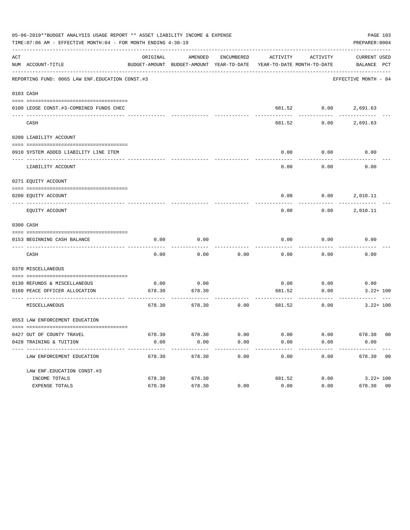|     | 05-06-2019**BUDGET ANALYSIS USAGE REPORT ** ASSET LIABILITY INCOME & EXPENSE<br>TIME: 07:06 AM - EFFECTIVE MONTH: 04 - FOR MONTH ENDING 4-30-19 |          |                                                     |            |                         |                    | PAGE 103<br>PREPARER: 0004                             |  |
|-----|-------------------------------------------------------------------------------------------------------------------------------------------------|----------|-----------------------------------------------------|------------|-------------------------|--------------------|--------------------------------------------------------|--|
| ACT | NUM ACCOUNT-TITLE                                                                                                                               | ORIGINAL | AMENDED<br>BUDGET-AMOUNT BUDGET-AMOUNT YEAR-TO-DATE | ENCUMBERED | ACTIVITY                | ACTIVITY           | CURRENT USED<br>YEAR-TO-DATE MONTH-TO-DATE BALANCE PCT |  |
|     | REPORTING FUND: 0065 LAW ENF. EDUCATION CONST. #3                                                                                               |          |                                                     |            |                         |                    | EFFECTIVE MONTH - 04                                   |  |
|     | 0103 CASH                                                                                                                                       |          |                                                     |            |                         |                    |                                                        |  |
|     | 0100 LEOSE CONST.#3-COMBINED FUNDS CHEC                                                                                                         |          |                                                     |            |                         |                    | 681.52 0.00 2,691.63                                   |  |
|     | CASH                                                                                                                                            |          |                                                     |            | 681.52                  | 0.00               | 2,691.63                                               |  |
|     | 0200 LIABILITY ACCOUNT                                                                                                                          |          |                                                     |            |                         |                    |                                                        |  |
|     | 0910 SYSTEM ADDED LIABILITY LINE ITEM                                                                                                           |          |                                                     |            | 0.00                    | 0.00               | 0.00                                                   |  |
|     | LIABILITY ACCOUNT                                                                                                                               |          |                                                     |            | 0.00                    | 0.00               | 0.00                                                   |  |
|     | 0271 EQUITY ACCOUNT                                                                                                                             |          |                                                     |            |                         |                    |                                                        |  |
|     | 0200 EQUITY ACCOUNT                                                                                                                             |          |                                                     |            |                         |                    | $0.00$ $0.00$ $2,010.11$                               |  |
|     | EQUITY ACCOUNT                                                                                                                                  |          |                                                     |            | 0.00                    |                    | $0.00$ 2,010.11                                        |  |
|     | 0300 CASH                                                                                                                                       |          |                                                     |            |                         |                    |                                                        |  |
|     | 0153 BEGINNING CASH BALANCE                                                                                                                     | 0.00     | 0.00                                                |            | 0.00                    | 0.00               | 0.00                                                   |  |
|     | CASH                                                                                                                                            | 0.00     | 0.00                                                | 0.00       | 0.00                    | -------<br>0.00    | 0.00                                                   |  |
|     | 0370 MISCELLANEOUS                                                                                                                              |          |                                                     |            |                         |                    |                                                        |  |
|     | 0130 REFUNDS & MISCELLANEOUS                                                                                                                    | 0.00     | 0.00                                                |            | 0.00                    | 0.00               | 0.00                                                   |  |
|     | 0160 PEACE OFFICER ALLOCATION<br>-------------------------------------                                                                          | 678.30   | 678.30                                              |            | 681.52<br>------------- | 0.00<br>---------- | $3.22 + 100$                                           |  |
|     | MISCELLANEOUS                                                                                                                                   | 678.30   | 678.30                                              | 0.00       |                         | 681.52<br>0.00     | $3.22 + 100$                                           |  |
|     | 0553 LAW ENFORCEMENT EDUCATION                                                                                                                  |          |                                                     |            |                         |                    |                                                        |  |
|     | 0427 OUT OF COUNTY TRAVEL                                                                                                                       | 678.30   | 678.30                                              | 0.00       | 0.00                    | 0.00               | 678.30 00                                              |  |
|     | 0428 TRAINING & TUITION<br>---------------------------                                                                                          | 0.00     | 0.00                                                | 0.00       | 0.00                    | 0.00               | 0.00                                                   |  |
|     | LAW ENFORCEMENT EDUCATION                                                                                                                       | 678.30   | 678.30                                              | 0.00       | 0.00                    | 0.00               | 678.30 00                                              |  |
|     | LAW ENF. EDUCATION CONST. #3                                                                                                                    |          |                                                     |            |                         |                    |                                                        |  |
|     | INCOME TOTALS                                                                                                                                   | 678.30   | 678.30                                              |            | 681.52                  | 0.00               | $3.22 + 100$                                           |  |
|     | EXPENSE TOTALS                                                                                                                                  | 678.30   | 678.30                                              | 0.00       | 0.00                    | 0.00               | 678.30 00                                              |  |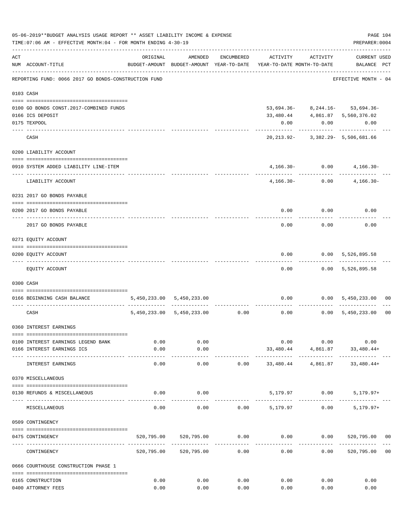|     | 05-06-2019**BUDGET ANALYSIS USAGE REPORT ** ASSET LIABILITY INCOME & EXPENSE<br>TIME: 07:06 AM - EFFECTIVE MONTH: 04 - FOR MONTH ENDING 4-30-19 |          |                                |            |                                                                     |                                             | PREPARER: 0004                                       | PAGE 104       |
|-----|-------------------------------------------------------------------------------------------------------------------------------------------------|----------|--------------------------------|------------|---------------------------------------------------------------------|---------------------------------------------|------------------------------------------------------|----------------|
| ACT | NUM ACCOUNT-TITLE                                                                                                                               | ORIGINAL | AMENDED                        | ENCUMBERED | BUDGET-AMOUNT BUDGET-AMOUNT YEAR-TO-DATE YEAR-TO-DATE MONTH-TO-DATE | ACTIVITY ACTIVITY                           | <b>CURRENT USED</b><br>BALANCE PCT                   |                |
|     | REPORTING FUND: 0066 2017 GO BONDS-CONSTRUCTION FUND                                                                                            |          |                                |            |                                                                     |                                             | EFFECTIVE MONTH - 04                                 |                |
|     | 0103 CASH                                                                                                                                       |          |                                |            |                                                                     |                                             |                                                      |                |
|     |                                                                                                                                                 |          |                                |            |                                                                     |                                             |                                                      |                |
|     | 0100 GO BONDS CONST.2017-COMBINED FUNDS                                                                                                         |          |                                |            |                                                                     |                                             | $53,694.36 - 8,244.16 - 53,694.36 -$                 |                |
|     | 0166 ICS DEPOSIT                                                                                                                                |          |                                |            | 33,480.44                                                           |                                             | 4,861.87 5,560,376.02                                |                |
|     | 0175 TEXPOOL                                                                                                                                    |          |                                |            | 0.00                                                                | 0.00                                        | 0.00                                                 |                |
|     | CASH                                                                                                                                            |          |                                |            |                                                                     | ------------                                | -----------<br>20, 213.92- 3, 382.29- 5, 506, 681.66 |                |
|     | 0200 LIABILITY ACCOUNT                                                                                                                          |          |                                |            |                                                                     |                                             |                                                      |                |
|     | 0910 SYSTEM ADDED LIABILITY LINE-ITEM                                                                                                           |          |                                |            |                                                                     | $4,166.30 - 0.00$                           | $4,166.30-$                                          |                |
|     | ---- ---------------<br>LIABILITY ACCOUNT                                                                                                       |          |                                |            |                                                                     | --------- ------------<br>$4,166.30 - 0.00$ | $4,166.30-$                                          |                |
|     | 0231 2017 GO BONDS PAYABLE                                                                                                                      |          |                                |            |                                                                     |                                             |                                                      |                |
|     | 0200 2017 GO BONDS PAYABLE                                                                                                                      |          |                                |            |                                                                     | $0.00$ $0.00$                               | 0.00                                                 |                |
|     | 2017 GO BONDS PAYABLE                                                                                                                           |          |                                |            | 0.00                                                                | 0.00                                        | 0.00                                                 |                |
|     | 0271 EQUITY ACCOUNT                                                                                                                             |          |                                |            |                                                                     |                                             |                                                      |                |
|     | 0200 EQUITY ACCOUNT                                                                                                                             |          |                                |            |                                                                     | ---------                                   | $0.00$ $0.00$ $5,526,895.58$<br>------------         |                |
|     | EQUITY ACCOUNT                                                                                                                                  |          |                                |            | 0.00                                                                |                                             | $0.00$ 5,526,895.58                                  |                |
|     | 0300 CASH                                                                                                                                       |          |                                |            |                                                                     |                                             |                                                      |                |
|     | 0166 BEGINNING CASH BALANCE                                                                                                                     |          | 5,450,233.00 5,450,233.00      |            |                                                                     |                                             | $0.00$ $0.00$ $5,450,233.00$                         | 00             |
|     | CASH                                                                                                                                            |          | 5,450,233.00 5,450,233.00 0.00 |            |                                                                     |                                             | $0.00$ $0.00$ $5,450,233.00$                         | 0 <sub>0</sub> |
|     | 0360 INTEREST EARNINGS                                                                                                                          |          |                                |            |                                                                     |                                             |                                                      |                |
|     | 0100 INTEREST EARNINGS LEGEND BANK                                                                                                              | 0.00     | 0.00                           |            |                                                                     | 0.00                                        | 0.00<br>0.00                                         |                |
|     | 0166 INTEREST EARNINGS ICS                                                                                                                      | 0.00     | 0.00                           |            |                                                                     |                                             | 33,480.44 4,861.87 33,480.44+                        |                |
|     | INTEREST EARNINGS                                                                                                                               | 0.00     | ---------<br>0.00              | 0.00       | 33,480.44                                                           | 4,861.87                                    | 33,480.44+                                           |                |
|     | 0370 MISCELLANEOUS                                                                                                                              |          |                                |            |                                                                     |                                             |                                                      |                |
|     | 0130 REFUNDS & MISCELLANEOUS                                                                                                                    | 0.00     | 0.00                           |            |                                                                     | 5,179.97 0.00                               | $5,179.97+$                                          |                |
|     | MISCELLANEOUS                                                                                                                                   | 0.00     | 0.00                           | 0.00       | 5,179.97                                                            | 0.00                                        | $5,179.97+$                                          |                |
|     | 0509 CONTINGENCY                                                                                                                                |          |                                |            |                                                                     |                                             |                                                      |                |
|     |                                                                                                                                                 |          |                                |            |                                                                     |                                             |                                                      |                |
|     | 0475 CONTINGENCY                                                                                                                                |          | 520,795.00 520,795.00          | 0.00       |                                                                     |                                             | $0.00$ $0.00$ $520,795.00$ $00$                      |                |
|     | CONTINGENCY                                                                                                                                     |          | 520,795.00 520,795.00          | 0.00       | 0.00                                                                | 0.00                                        | 520,795.00                                           | 0 <sub>0</sub> |
|     | 0666 COURTHOUSE CONSTRUCTION PHASE 1                                                                                                            |          |                                |            |                                                                     |                                             |                                                      |                |
|     | 0165 CONSTRUCTION                                                                                                                               | 0.00     | 0.00                           | 0.00       | 0.00                                                                | 0.00                                        | 0.00                                                 |                |
|     | 0400 ATTORNEY FEES                                                                                                                              | 0.00     | 0.00                           | 0.00       | 0.00                                                                | 0.00                                        | 0.00                                                 |                |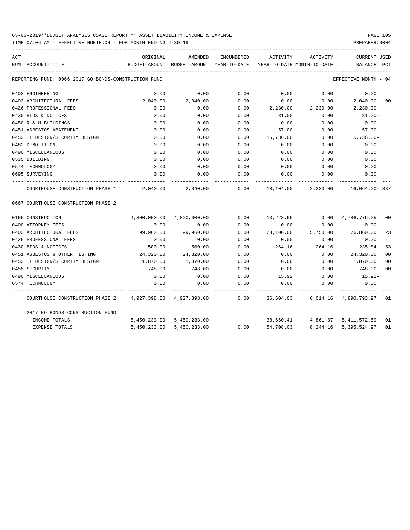TIME:07:06 AM - EFFECTIVE MONTH:04 - FOR MONTH ENDING 4-30-19 PREPARER:0004

| ACT |                                                           | ORIGINAL     | AMENDED                   | ENCUMBERED | ACTIVITY                                                            | ACTIVITY | <b>CURRENT USED</b>                |                |
|-----|-----------------------------------------------------------|--------------|---------------------------|------------|---------------------------------------------------------------------|----------|------------------------------------|----------------|
|     | NUM ACCOUNT-TITLE                                         |              |                           |            | BUDGET-AMOUNT BUDGET-AMOUNT YEAR-TO-DATE YEAR-TO-DATE MONTH-TO-DATE |          | BALANCE                            | PCT            |
|     | REPORTING FUND: 0066 2017 GO BONDS-CONSTRUCTION FUND      |              |                           |            |                                                                     |          | EFFECTIVE MONTH - 04               |                |
|     | 0402 ENGINEERING                                          | 0.00         | 0.00                      | 0.00       | 0.00                                                                | 0.00     | 0.00                               |                |
|     | 0403 ARCHITECTURAL FEES                                   | 2,040.00     | 2,040.00                  | 0.00       | 0.00                                                                | 0.00     | 2,040.00 00                        |                |
|     | 0426 PROFESSIONAL FEES                                    | 0.00         | 0.00                      | 0.00       | 2,230.00                                                            | 2,230.00 | $2,230.00 -$                       |                |
|     | 0430 BIDS & NOTICES                                       | 0.00         | 0.00                      | 0.00       | 81.00                                                               | 0.00     | $81.00 -$                          |                |
|     | 0450 R & M BUILDINGS                                      | 0.00         | 0.00                      | 0.00       | 0.00                                                                | 0.00     | 0.00                               |                |
|     | 0451 ASBESTOS ABATEMENT                                   | 0.00         | 0.00                      | 0.00       | 57.00                                                               | 0.00     | $57.00 -$                          |                |
|     | 0453 IT DESIGN/SECURITY DESIGN                            | 0.00         | 0.00                      | 0.00       | 15,736.00                                                           | 0.00     | 15,736.00-                         |                |
|     | 0482 DEMOLITION                                           | 0.00         | 0.00                      | 0.00       | 0.00                                                                | 0.00     | 0.00                               |                |
|     | 0490 MISCELLANEOUS                                        | 0.00         | 0.00                      | 0.00       | 0.00                                                                | 0.00     | 0.00                               |                |
|     | 0535 BUILDING                                             | 0.00         | 0.00                      | 0.00       | 0.00                                                                | 0.00     | 0.00                               |                |
|     | 0574 TECHNOLOGY                                           | 0.00         | 0.00                      | 0.00       | 0.00                                                                | 0.00     | 0.00                               |                |
|     | 0695 SURVEYING                                            | 0.00         | 0.00                      | 0.00       | 0.00                                                                | 0.00     | 0.00                               |                |
|     | COURTHOUSE CONSTRUCTION PHASE 1                           |              | 2,040.00 2,040.00         | 0.00       |                                                                     |          | 18,104.00 2,230.00 16,064.00 887   |                |
|     | 0667 COURTHOUSE CONSTRUCTION PHASE 2                      |              |                           |            |                                                                     |          |                                    |                |
|     |                                                           |              |                           |            |                                                                     |          |                                    |                |
|     | 0165 CONSTRUCTION                                         | 4,800,000.00 | 4,800,000.00              | 0.00       | 13,223.95                                                           |          | $0.00 \quad 4,786,776.05$          | 00             |
|     | 0400 ATTORNEY FEES                                        | 0.00         | 0.00                      | 0.00       | 0.00                                                                | 0.00     | 0.00                               |                |
|     | 0403 ARCHITECTURAL FEES                                   | 99,960.00    | 99,960.00                 | 0.00       | 23,100.00                                                           |          | 5,750.00 76,860.00                 | 23             |
|     | 0426 PROFESSIONAL FEES                                    | 0.00         | 0.00                      | 0.00       | 0.00                                                                | 0.00     | 0.00                               |                |
|     | 0430 BIDS & NOTICES                                       | 500.00       | 500.00                    | 0.00       | 264.16                                                              | 264.16   | 235.84                             | 53             |
|     | 0451 ASBESTOS & OTHER TESTING                             | 24,320.00    | 24,320.00                 | 0.00       | 0.00                                                                | 0.00     | 24,320.00                          | 0 <sup>0</sup> |
|     | 0453 IT DESIGN/SECURITY DESIGN                            | 1,870.00     | 1,870.00                  | 0.00       | 0.00                                                                | 0.00     | 1,870.00                           | 0 <sup>0</sup> |
|     | 0455 SECURITY                                             | 748.00       | 748.00                    | 0.00       | 0.00                                                                | 0.00     | 748.00                             | 0 <sup>0</sup> |
|     | 0490 MISCELLANEOUS                                        | 0.00         | 0.00                      | 0.00       | 15.92                                                               | 0.00     | 15.92-                             |                |
|     | 0574 TECHNOLOGY                                           | 0.00         | 0.00                      | 0.00       | 0.00                                                                | 0.00     | 0.00                               |                |
|     | COURTHOUSE CONSTRUCTION PHASE 2 4,927,398.00 4,927,398.00 |              |                           | 0.00       |                                                                     |          | 36,604.03 6,014.16 4,890,793.97 01 |                |
|     | 2017 GO BONDS-CONSTRUCTION FUND                           |              |                           |            |                                                                     |          |                                    |                |
|     | INCOME TOTALS                                             |              | 5,450,233.00 5,450,233.00 |            |                                                                     |          | 38,660.41 4,861.87 5,411,572.59    | 01             |
|     | EXPENSE TOTALS                                            |              | 5,450,233.00 5,450,233.00 | 0.00       | 54,708.03                                                           | 8,244.16 | 5,395,524.97                       | 01             |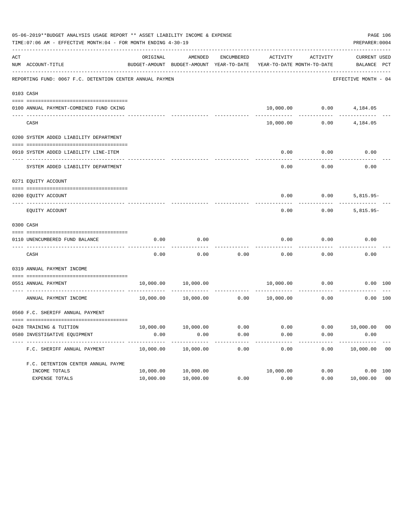| 05-06-2019**BUDGET ANALYSIS USAGE REPORT ** ASSET LIABILITY INCOME & EXPENSE<br>TIME: 07:06 AM - EFFECTIVE MONTH: 04 - FOR MONTH ENDING 4-30-19 |                                                          |           |                                                          |              |           |                                        |                                    |                |
|-------------------------------------------------------------------------------------------------------------------------------------------------|----------------------------------------------------------|-----------|----------------------------------------------------------|--------------|-----------|----------------------------------------|------------------------------------|----------------|
| ACT                                                                                                                                             | NUM ACCOUNT-TITLE                                        | ORIGINAL  | AMENDED<br>BUDGET-AMOUNT BUDGET-AMOUNT YEAR-TO-DATE      | ENCUMBERED   | ACTIVITY  | ACTIVITY<br>YEAR-TO-DATE MONTH-TO-DATE | <b>CURRENT USED</b><br>BALANCE PCT |                |
|                                                                                                                                                 | REPORTING FUND: 0067 F.C. DETENTION CENTER ANNUAL PAYMEN |           |                                                          |              |           |                                        | EFFECTIVE MONTH - 04               |                |
|                                                                                                                                                 | 0103 CASH                                                |           |                                                          |              |           |                                        |                                    |                |
|                                                                                                                                                 | 0100 ANNUAL PAYMENT-COMBINED FUND CKING                  |           | -------------                                            |              |           |                                        | 10,000.00   0.00   4,184.05        |                |
|                                                                                                                                                 | CASH                                                     |           |                                                          |              | 10,000.00 | 0.00                                   | 4,184.05                           |                |
|                                                                                                                                                 | 0200 SYSTEM ADDED LIABILITY DEPARTMENT                   |           |                                                          |              |           |                                        |                                    |                |
|                                                                                                                                                 | 0910 SYSTEM ADDED LIABILITY LINE-ITEM                    |           |                                                          |              | 0.00      | 0.00                                   | 0.00                               |                |
|                                                                                                                                                 | SYSTEM ADDED LIABILITY DEPARTMENT                        |           |                                                          |              | 0.00      | 0.00                                   | 0.00                               |                |
|                                                                                                                                                 | 0271 EQUITY ACCOUNT                                      |           |                                                          |              |           |                                        |                                    |                |
|                                                                                                                                                 | 0200 EQUITY ACCOUNT                                      |           |                                                          |              | 0.00      | 0.00                                   | $5,815.95-$                        |                |
|                                                                                                                                                 | EQUITY ACCOUNT                                           |           |                                                          |              | 0.00      | 0.00                                   | $5,815.95-$                        |                |
|                                                                                                                                                 | 0300 CASH                                                |           |                                                          |              |           |                                        |                                    |                |
|                                                                                                                                                 | 0110 UNENCUMBERED FUND BALANCE                           | 0.00      | 0.00                                                     |              | 0.00      | 0.00                                   | 0.00                               |                |
|                                                                                                                                                 | CASH                                                     | 0.00      | 0.00                                                     | 0.00         | 0.00      | 0.00                                   | 0.00                               |                |
|                                                                                                                                                 | 0319 ANNUAL PAYMENT INCOME                               |           |                                                          |              |           |                                        |                                    |                |
|                                                                                                                                                 | 0551 ANNUAL PAYMENT<br>------------------- ------        | 10,000.00 | 10,000.00                                                | . <u>.</u> . | 10,000.00 | 0.00                                   |                                    | 0.00 100       |
|                                                                                                                                                 | ANNUAL PAYMENT INCOME                                    | 10,000.00 | 10,000.00                                                | 0.00         | 10,000.00 | 0.00                                   |                                    | $0.00$ 100     |
|                                                                                                                                                 | 0560 F.C. SHERIFF ANNUAL PAYMENT                         |           |                                                          |              |           |                                        |                                    |                |
|                                                                                                                                                 | 0428 TRAINING & TUITION                                  |           | $10,000.00$ $10,000.00$ $0.00$ $0.00$ $0.00$ $10,000.00$ |              |           |                                        |                                    | 0 <sub>0</sub> |
|                                                                                                                                                 | 0580 INVESTIGATIVE EQUIPMENT                             | 0.00      | 0.00                                                     | 0.00         | 0.00      | 0.00                                   | 0.00                               |                |
|                                                                                                                                                 | F.C. SHERIFF ANNUAL PAYMENT                              | 10,000.00 | 10,000.00                                                | 0.00         | 0.00      | 0.00                                   | 10,000.00                          | 0 <sub>0</sub> |
|                                                                                                                                                 | F.C. DETENTION CENTER ANNUAL PAYME                       |           |                                                          |              |           |                                        |                                    |                |
|                                                                                                                                                 | INCOME TOTALS                                            | 10,000.00 | 10,000.00                                                |              | 10,000.00 | 0.00                                   |                                    | 0.00 100       |
|                                                                                                                                                 | EXPENSE TOTALS                                           | 10,000.00 | 10,000.00                                                | 0.00         | 0.00      | 0.00                                   | 10,000.00                          | 0 <sub>0</sub> |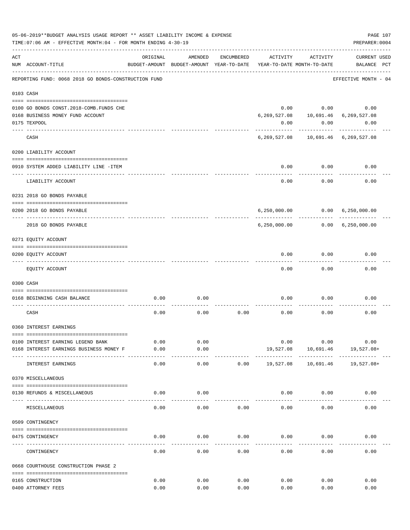|     | 05-06-2019**BUDGET ANALYSIS USAGE REPORT ** ASSET LIABILITY INCOME & EXPENSE<br>TIME: 07:06 AM - EFFECTIVE MONTH: 04 - FOR MONTH ENDING 4-30-19 |               |                                                     |            |           |                                        | PREPARER: 0004                                 | PAGE 107 |
|-----|-------------------------------------------------------------------------------------------------------------------------------------------------|---------------|-----------------------------------------------------|------------|-----------|----------------------------------------|------------------------------------------------|----------|
| ACT | NUM ACCOUNT-TITLE                                                                                                                               | ORIGINAL      | AMENDED<br>BUDGET-AMOUNT BUDGET-AMOUNT YEAR-TO-DATE | ENCUMBERED | ACTIVITY  | ACTIVITY<br>YEAR-TO-DATE MONTH-TO-DATE | <b>CURRENT USED</b><br>BALANCE PCT             |          |
|     | REPORTING FUND: 0068 2018 GO BONDS-CONSTRUCTION FUND                                                                                            |               |                                                     |            |           |                                        | EFFECTIVE MONTH - 04                           |          |
|     | 0103 CASH                                                                                                                                       |               |                                                     |            |           |                                        |                                                |          |
|     |                                                                                                                                                 |               |                                                     |            |           |                                        |                                                |          |
|     | 0100 GO BONDS CONST. 2018-COMB. FUNDS CHE                                                                                                       |               |                                                     |            |           | $0.00$ $0.00$                          | 0.00                                           |          |
|     | 0168 BUSINESS MONEY FUND ACCOUNT                                                                                                                |               |                                                     |            |           |                                        | 6, 269, 527.08    10, 691.46    6, 269, 527.08 |          |
|     | 0175 TEXPOOL                                                                                                                                    |               |                                                     |            | 0.00      | 0.00                                   | 0.00                                           |          |
|     | CASH                                                                                                                                            |               |                                                     |            |           |                                        | 6, 269, 527.08 10, 691.46 6, 269, 527.08       |          |
|     | 0200 LIABILITY ACCOUNT                                                                                                                          |               |                                                     |            |           |                                        |                                                |          |
|     |                                                                                                                                                 |               |                                                     |            |           |                                        |                                                |          |
|     | 0910 SYSTEM ADDED LIABILITY LINE -ITEM                                                                                                          |               |                                                     |            | 0.00      | 0.00                                   | 0.00                                           |          |
|     | LIABILITY ACCOUNT                                                                                                                               |               |                                                     |            | 0.00      | 0.00                                   | 0.00                                           |          |
|     | 0231 2018 GO BONDS PAYABLE                                                                                                                      |               |                                                     |            |           |                                        |                                                |          |
|     | 0200 2018 GO BONDS PAYABLE                                                                                                                      |               |                                                     |            |           |                                        | 6,250,000.00   0.00   6,250,000.00             |          |
|     | 2018 GO BONDS PAYABLE                                                                                                                           |               |                                                     |            |           | ------------                           | $6, 250, 000.00$ $0.00$ $6, 250, 000.00$       |          |
|     | 0271 EQUITY ACCOUNT                                                                                                                             |               |                                                     |            |           |                                        |                                                |          |
|     | --------------------------------------                                                                                                          |               |                                                     |            |           |                                        |                                                |          |
|     | 0200 EQUITY ACCOUNT<br>-------------------- ---------                                                                                           |               |                                                     |            | 0.00      | 0.00                                   | 0.00                                           |          |
|     | EQUITY ACCOUNT                                                                                                                                  |               |                                                     |            | 0.00      | 0.00                                   | 0.00                                           |          |
|     | 0300 CASH                                                                                                                                       |               |                                                     |            |           |                                        |                                                |          |
|     | 0168 BEGINNING CASH BALANCE                                                                                                                     | 0.00          | 0.00                                                |            | 0.00      | 0.00                                   | 0.00                                           |          |
|     |                                                                                                                                                 |               |                                                     |            |           |                                        |                                                |          |
|     | CASH                                                                                                                                            | 0.00          | 0.00                                                | 0.00       | 0.00      | 0.00                                   | 0.00                                           |          |
|     | 0360 INTEREST EARNINGS                                                                                                                          |               |                                                     |            |           |                                        |                                                |          |
|     |                                                                                                                                                 |               |                                                     |            |           |                                        |                                                |          |
|     | 0100 INTEREST EARNING LEGEND BANK                                                                                                               | 0.00          | 0.00                                                |            | 0.00      | 0.00                                   | 0.00                                           |          |
|     | 0168 INTEREST EARNINGS BUSINESS MONEY F                                                                                                         | 0.00<br>----- | 0.00<br>-----                                       |            | 19,527.08 | 10,691.46<br>.                         | 19,527.08+                                     |          |
|     | INTEREST EARNINGS                                                                                                                               | 0.00          | 0.00                                                | 0.00       | 19,527.08 | 10,691.46                              | 19,527.08+                                     |          |
|     | 0370 MISCELLANEOUS                                                                                                                              |               |                                                     |            |           |                                        |                                                |          |
|     | 0130 REFUNDS & MISCELLANEOUS                                                                                                                    | 0.00          | 0.00                                                |            | 0.00      | 0.00                                   | 0.00                                           |          |
|     | MISCELLANEOUS                                                                                                                                   | 0.00          | 0.00                                                | 0.00       | 0.00      | 0.00                                   | 0.00                                           |          |
|     | 0509 CONTINGENCY                                                                                                                                |               |                                                     |            |           |                                        |                                                |          |
|     |                                                                                                                                                 |               |                                                     |            |           |                                        |                                                |          |
|     | 0475 CONTINGENCY                                                                                                                                | 0.00          | 0.00                                                | 0.00       | 0.00      | 0.00                                   | 0.00                                           |          |
|     | CONTINGENCY                                                                                                                                     | 0.00          | 0.00                                                | 0.00       | 0.00      | 0.00                                   | 0.00                                           |          |
|     | 0668 COURTHOUSE CONSTRUCTION PHASE 2                                                                                                            |               |                                                     |            |           |                                        |                                                |          |
|     | 0165 CONSTRUCTION                                                                                                                               | 0.00          | 0.00                                                | 0.00       | 0.00      | 0.00                                   | 0.00                                           |          |
|     | 0400 ATTORNEY FEES                                                                                                                              | 0.00          | 0.00                                                | 0.00       | 0.00      | 0.00                                   | 0.00                                           |          |
|     |                                                                                                                                                 |               |                                                     |            |           |                                        |                                                |          |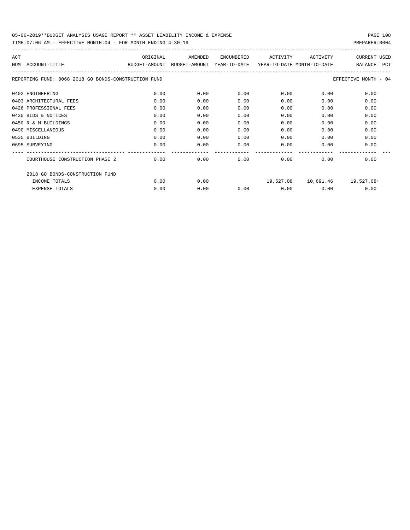| ACT<br>NUM | ACCOUNT-TITLE                                        | ORIGINAL<br>BUDGET-AMOUNT | AMENDED<br>BUDGET-AMOUNT | <b>ENCUMBERED</b><br>YEAR-TO-DATE | ACTIVITY<br>YEAR-TO-DATE MONTH-TO-DATE | ACTIVITY  | <b>CURRENT USED</b><br><b>PCT</b><br>BALANCE |
|------------|------------------------------------------------------|---------------------------|--------------------------|-----------------------------------|----------------------------------------|-----------|----------------------------------------------|
|            | REPORTING FUND: 0068 2018 GO BONDS-CONSTRUCTION FUND |                           |                          |                                   |                                        |           | EFFECTIVE MONTH - 04                         |
|            | 0402 ENGINEERING                                     | 0.00                      | 0.00                     | 0.00                              | 0.00                                   | 0.00      | 0.00                                         |
|            | 0403 ARCHITECTURAL FEES                              | 0.00                      | 0.00                     | 0.00                              | 0.00                                   | 0.00      | 0.00                                         |
|            | 0426 PROFESSIONAL FEES                               | 0.00                      | 0.00                     | 0.00                              | 0.00                                   | 0.00      | 0.00                                         |
|            | 0430 BIDS & NOTICES                                  | 0.00                      | 0.00                     | 0.00                              | 0.00                                   | 0.00      | 0.00                                         |
|            | 0450 R & M BUILDINGS                                 | 0.00                      | 0.00                     | 0.00                              | 0.00                                   | 0.00      | 0.00                                         |
|            | 0490 MISCELLANEOUS                                   | 0.00                      | 0.00                     | 0.00                              | 0.00                                   | 0.00      | 0.00                                         |
|            | 0535 BUILDING                                        | 0.00                      | 0.00                     | 0.00                              | 0.00                                   | 0.00      | 0.00                                         |
|            | 0695 SURVEYING                                       | 0.00                      | 0.00                     | 0.00                              | 0.00                                   | 0.00      | 0.00                                         |
|            | COURTHOUSE CONSTRUCTION PHASE 2                      | 0.00                      | 0.00                     | 0.00                              | 0.00                                   | 0.00      | 0.00                                         |
|            | 2018 GO BONDS-CONSTRUCTION FUND                      |                           |                          |                                   |                                        |           |                                              |
|            | INCOME TOTALS                                        | 0.00                      | 0.00                     |                                   | 19,527.08                              | 10,691.46 | 19,527.08+                                   |
|            | <b>EXPENSE TOTALS</b>                                | 0.00                      | 0.00                     | 0.00                              | 0.00                                   | 0.00      | 0.00                                         |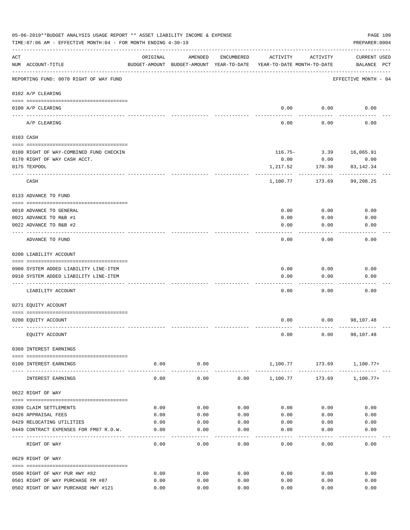|                    | 05-06-2019**BUDGET ANALYSIS USAGE REPORT ** ASSET LIABILITY INCOME & EXPENSE<br>TIME: 07:06 AM - EFFECTIVE MONTH: 04 - FOR MONTH ENDING 4-30-19 |                |                                                                                |              |              |                       | PAGE 109<br>PREPARER: 0004         |
|--------------------|-------------------------------------------------------------------------------------------------------------------------------------------------|----------------|--------------------------------------------------------------------------------|--------------|--------------|-----------------------|------------------------------------|
| $\mathop{\rm ACT}$ | NUM ACCOUNT-TITLE                                                                                                                               | ORIGINAL       | AMENDED<br>BUDGET-AMOUNT BUDGET-AMOUNT YEAR-TO-DATE YEAR-TO-DATE MONTH-TO-DATE | ENCUMBERED   | ACTIVITY     | ACTIVITY              | <b>CURRENT USED</b><br>BALANCE PCT |
|                    | REPORTING FUND: 0070 RIGHT OF WAY FUND                                                                                                          |                |                                                                                |              |              |                       | EFFECTIVE MONTH - 04               |
|                    | 0102 A/P CLEARING                                                                                                                               |                |                                                                                |              |              |                       |                                    |
|                    | 0100 A/P CLEARING<br>---- ----------                                                                                                            |                |                                                                                |              |              | $0.00$ $0.00$         | 0.00                               |
|                    | A/P CLEARING                                                                                                                                    |                |                                                                                |              | 0.00         | 0.00                  | 0.00                               |
|                    | 0103 CASH                                                                                                                                       |                |                                                                                |              |              |                       |                                    |
|                    | 0100 RIGHT OF WAY-COMBINED FUND CHECKIN                                                                                                         |                |                                                                                |              |              |                       | 116.75- 3.39 16,065.91             |
|                    | 0170 RIGHT OF WAY CASH ACCT.                                                                                                                    |                |                                                                                |              | 0.00         | 0.00                  | 0.00                               |
|                    | 0175 TEXPOOL                                                                                                                                    |                |                                                                                |              | 1,217.52     | 170.30                | 83, 142. 34                        |
|                    | CASH                                                                                                                                            |                |                                                                                |              | 1,100.77     | 173.69                | 99,208.25                          |
|                    | 0133 ADVANCE TO FUND                                                                                                                            |                |                                                                                |              |              |                       |                                    |
|                    | 0010 ADVANCE TO GENERAL                                                                                                                         |                |                                                                                |              | 0.00         | 0.00                  | 0.00                               |
|                    | 0021 ADVANCE TO R&B #1                                                                                                                          |                |                                                                                |              | 0.00         | 0.00                  | 0.00                               |
|                    | 0022 ADVANCE TO R&B #2                                                                                                                          |                |                                                                                |              | 0.00         | 0.00                  | 0.00                               |
|                    |                                                                                                                                                 |                |                                                                                |              |              |                       |                                    |
|                    | ADVANCE TO FUND                                                                                                                                 |                |                                                                                |              | 0.00         | 0.00                  | 0.00                               |
|                    | 0200 LIABILITY ACCOUNT                                                                                                                          |                |                                                                                |              |              |                       |                                    |
|                    | 0900 SYSTEM ADDED LIABILITY LINE-ITEM                                                                                                           |                |                                                                                |              | 0.00         | 0.00                  | 0.00                               |
|                    | 0910 SYSTEM ADDED LIABILITY LINE-ITEM                                                                                                           |                |                                                                                |              | 0.00         | 0.00                  | 0.00                               |
|                    |                                                                                                                                                 |                |                                                                                |              |              |                       |                                    |
|                    | LIABILITY ACCOUNT                                                                                                                               |                |                                                                                |              | 0.00         | 0.00                  | 0.00                               |
|                    | 0271 EQUITY ACCOUNT                                                                                                                             |                |                                                                                |              |              |                       |                                    |
|                    | 0200 EQUITY ACCOUNT                                                                                                                             |                |                                                                                |              | 0.00         |                       | $0.00$ 98,107.48                   |
|                    | EQUITY ACCOUNT                                                                                                                                  |                |                                                                                |              | 0.00         | 0.00                  | 98,107.48                          |
|                    | 0360 INTEREST EARNINGS                                                                                                                          |                |                                                                                |              |              |                       |                                    |
|                    | 0100 INTEREST EARNINGS                                                                                                                          | 0.00           | 0.00                                                                           |              |              |                       | 1,100.77 173.69 1,100.77+          |
|                    | INTEREST EARNINGS                                                                                                                               | ------<br>0.00 | --------<br>0.00                                                               | 0.00         | 1,100.77     | -----------<br>173.69 | 1,100.77+                          |
|                    | 0622 RIGHT OF WAY                                                                                                                               |                |                                                                                |              |              |                       |                                    |
|                    |                                                                                                                                                 |                |                                                                                |              |              |                       |                                    |
|                    | 0399 CLAIM SETTLEMENTS<br>0426 APPRAISAL FEES                                                                                                   | 0.00<br>0.00   | 0.00<br>0.00                                                                   | 0.00<br>0.00 | 0.00<br>0.00 | 0.00<br>0.00          | 0.00<br>0.00                       |
|                    | 0429 RELOCATING UTILITIES                                                                                                                       | 0.00           |                                                                                |              |              |                       |                                    |
|                    | 0449 CONTRACT EXPENSES FOR FM87 R.O.W.                                                                                                          | 0.00           | 0.00<br>0.00                                                                   | 0.00<br>0.00 | 0.00<br>0.00 | 0.00<br>0.00          | 0.00<br>0.00                       |
|                    |                                                                                                                                                 |                |                                                                                |              |              |                       |                                    |
|                    | RIGHT OF WAY                                                                                                                                    | 0.00           | 0.00                                                                           | 0.00         | 0.00         | 0.00                  | 0.00                               |
|                    | 0629 RIGHT OF WAY                                                                                                                               |                |                                                                                |              |              |                       |                                    |
|                    | 0500 RIGHT OF WAY PUR HWY #82                                                                                                                   | 0.00           | 0.00                                                                           | 0.00         | 0.00         | 0.00                  | 0.00                               |
|                    | 0501 RIGHT OF WAY PURCHASE FM #87                                                                                                               | 0.00           | 0.00                                                                           | 0.00         | 0.00         | 0.00                  | 0.00                               |
|                    | 0502 RIGHT OF WAY PURCHASE HWY #121                                                                                                             | 0.00           | 0.00                                                                           | 0.00         | 0.00         | 0.00                  | 0.00                               |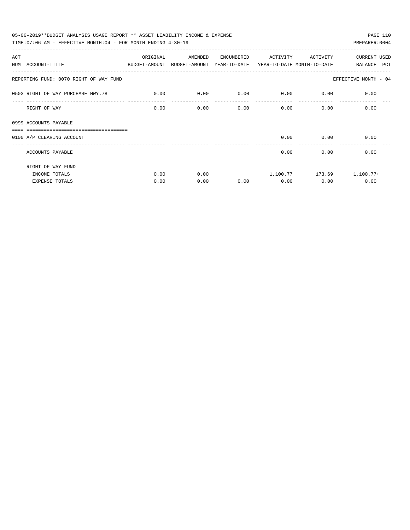| 05-06-2019**BUDGET ANALYSIS USAGE REPORT ** ASSET LIABILITY INCOME & EXPENSE<br>PAGE 110 |             |         |            |             |                           |                           |  |  |  |  |
|------------------------------------------------------------------------------------------|-------------|---------|------------|-------------|---------------------------|---------------------------|--|--|--|--|
| TIME: 07:06 AM - EFFECTIVE MONTH: 04 - FOR MONTH ENDING $4-30-19$                        |             |         |            |             |                           | PREPARER: 0004            |  |  |  |  |
| ACT                                                                                      | ORIGINAL    | AMENDED | ENCUMBERED | ACTIVITY    | ACTIVITY                  | CURRENT USED              |  |  |  |  |
| NUM ACCOUNT-TITLE<br>BUDGET-AMOUNT BUDGET-AMOUNT YEAR-TO-DATE YEAR-TO-DATE MONTH-TO-DATE |             |         |            |             |                           | BALANCE PCT               |  |  |  |  |
| REPORTING FUND: 0070 RIGHT OF WAY FUND                                                   |             |         |            |             |                           | EFFECTIVE MONTH - 04      |  |  |  |  |
| 0503 RIGHT OF WAY PURCHASE HWY.78                                                        | $\sim$ 0.00 | 0.00    | 0.00       | $0.00$ 0.00 |                           | 0.00                      |  |  |  |  |
| RIGHT OF WAY                                                                             | 0.00        | 0.00    | 0.00       |             | $0.00$ and $0.00$<br>0.00 | 0.00                      |  |  |  |  |
| 0999 ACCOUNTS PAYABLE<br>===============================                                 |             |         |            |             |                           |                           |  |  |  |  |
| 0100 A/P CLEARING ACCOUNT                                                                |             |         |            | 0.00        | 0.00                      | 0.00                      |  |  |  |  |
| ACCOUNTS PAYABLE                                                                         |             |         |            | 0.00        | 0.00                      | 0.00                      |  |  |  |  |
| RIGHT OF WAY FUND                                                                        |             |         |            |             |                           |                           |  |  |  |  |
| INCOME TOTALS                                                                            | 0.00        | 0.00    |            |             |                           | 1,100.77 173.69 1,100.77+ |  |  |  |  |
| <b>EXPENSE TOTALS</b>                                                                    | 0.00        | 0.00    | 0.00       | 0.00        | 0.00                      | 0.00                      |  |  |  |  |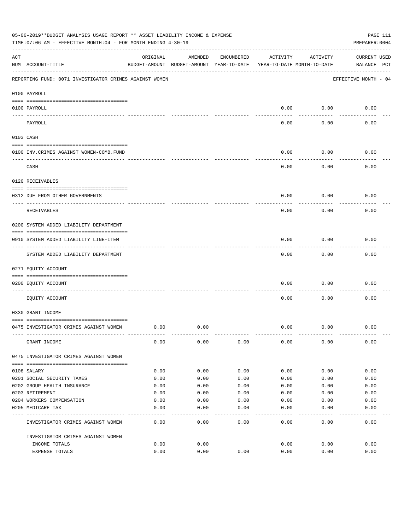|     | 05-06-2019**BUDGET ANALYSIS USAGE REPORT ** ASSET LIABILITY INCOME & EXPENSE<br>TIME: 07:06 AM - EFFECTIVE MONTH: 04 - FOR MONTH ENDING 4-30-19 |          |                                                     |            |          |                                        | PAGE 111<br>PREPARER: 0004         |
|-----|-------------------------------------------------------------------------------------------------------------------------------------------------|----------|-----------------------------------------------------|------------|----------|----------------------------------------|------------------------------------|
| ACT | NUM ACCOUNT-TITLE                                                                                                                               | ORIGINAL | AMENDED<br>BUDGET-AMOUNT BUDGET-AMOUNT YEAR-TO-DATE | ENCUMBERED | ACTIVITY | ACTIVITY<br>YEAR-TO-DATE MONTH-TO-DATE | <b>CURRENT USED</b><br>BALANCE PCT |
|     | REPORTING FUND: 0071 INVESTIGATOR CRIMES AGAINST WOMEN                                                                                          |          |                                                     |            |          |                                        | EFFECTIVE MONTH - 04               |
|     | 0100 PAYROLL                                                                                                                                    |          |                                                     |            |          |                                        |                                    |
|     | 0100 PAYROLL<br>---- ----                                                                                                                       |          |                                                     |            | 0.00     | 0.00                                   | 0.00                               |
|     | PAYROLL                                                                                                                                         |          |                                                     |            | 0.00     | 0.00                                   | 0.00                               |
|     | 0103 CASH                                                                                                                                       |          |                                                     |            |          |                                        |                                    |
|     | 0100 INV. CRIMES AGAINST WOMEN-COMB. FUND                                                                                                       |          |                                                     |            | 0.00     | 0.00                                   | 0.00                               |
|     | CASH                                                                                                                                            |          |                                                     |            | 0.00     | 0.00                                   | 0.00                               |
|     | 0120 RECEIVABLES                                                                                                                                |          |                                                     |            |          |                                        |                                    |
|     | 0312 DUE FROM OTHER GOVERNMENTS                                                                                                                 |          |                                                     |            | 0.00     | 0.00                                   | 0.00                               |
|     | RECEIVABLES                                                                                                                                     |          |                                                     |            | 0.00     | 0.00                                   | 0.00                               |
|     | 0200 SYSTEM ADDED LIABILITY DEPARTMENT                                                                                                          |          |                                                     |            |          |                                        |                                    |
|     | 0910 SYSTEM ADDED LIABILITY LINE-ITEM                                                                                                           |          |                                                     |            | 0.00     | 0.00                                   | 0.00                               |
|     | SYSTEM ADDED LIABILITY DEPARTMENT                                                                                                               |          |                                                     |            | 0.00     | 0.00                                   | 0.00                               |
|     | 0271 EQUITY ACCOUNT                                                                                                                             |          |                                                     |            |          |                                        |                                    |
|     | 0200 EQUITY ACCOUNT                                                                                                                             |          |                                                     |            | 0.00     | 0.00                                   | 0.00                               |
|     | EQUITY ACCOUNT                                                                                                                                  |          |                                                     |            | 0.00     | 0.00                                   | 0.00                               |
|     | 0330 GRANT INCOME                                                                                                                               |          |                                                     |            |          |                                        |                                    |
|     | 0475 INVESTIGATOR CRIMES AGAINST WOMEN                                                                                                          | 0.00     | 0.00                                                |            | 0.00     | 0.00                                   | 0.00                               |
|     | GRANT INCOME                                                                                                                                    | 0.00     | 0.00                                                | 0.00       | 0.00     | 0.00                                   | 0.00                               |
|     | 0475 INVESTIGATOR CRIMES AGAINST WOMEN                                                                                                          |          |                                                     |            |          |                                        |                                    |
|     | 0108 SALARY                                                                                                                                     | 0.00     | 0.00                                                | 0.00       | 0.00     | 0.00                                   | 0.00                               |
|     | 0201 SOCIAL SECURITY TAXES                                                                                                                      | 0.00     | 0.00                                                | 0.00       | 0.00     | 0.00                                   | 0.00                               |
|     | 0202 GROUP HEALTH INSURANCE                                                                                                                     | 0.00     | 0.00                                                | 0.00       | 0.00     | 0.00                                   | 0.00                               |
|     | 0203 RETIREMENT                                                                                                                                 | 0.00     | 0.00                                                | 0.00       | 0.00     | 0.00                                   | 0.00                               |
|     | 0204 WORKERS COMPENSATION                                                                                                                       | 0.00     | 0.00                                                | 0.00       | 0.00     | 0.00                                   | 0.00                               |
|     | 0205 MEDICARE TAX                                                                                                                               | 0.00     | 0.00                                                | 0.00       | 0.00     | 0.00                                   | 0.00                               |
|     | INVESTIGATOR CRIMES AGAINST WOMEN                                                                                                               | 0.00     | 0.00                                                | 0.00       | 0.00     | 0.00                                   | 0.00                               |
|     | INVESTIGATOR CRIMES AGAINST WOMEN                                                                                                               |          |                                                     |            |          |                                        |                                    |
|     | INCOME TOTALS                                                                                                                                   | 0.00     | 0.00                                                |            | 0.00     | 0.00                                   | 0.00                               |
|     | EXPENSE TOTALS                                                                                                                                  | 0.00     | 0.00                                                | 0.00       | 0.00     | 0.00                                   | 0.00                               |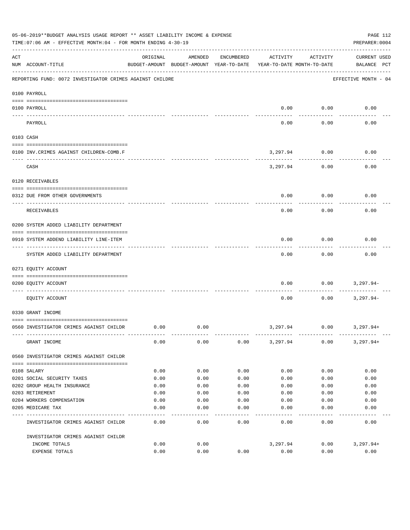|           | 05-06-2019**BUDGET ANALYSIS USAGE REPORT ** ASSET LIABILITY INCOME & EXPENSE<br>TIME: 07:06 AM - EFFECTIVE MONTH: 04 - FOR MONTH ENDING 4-30-19 |          |                                                     |            |          |                                        | PAGE 112<br>PREPARER: 0004         |
|-----------|-------------------------------------------------------------------------------------------------------------------------------------------------|----------|-----------------------------------------------------|------------|----------|----------------------------------------|------------------------------------|
| ACT       | NUM ACCOUNT-TITLE                                                                                                                               | ORIGINAL | AMENDED<br>BUDGET-AMOUNT BUDGET-AMOUNT YEAR-TO-DATE | ENCUMBERED | ACTIVITY | ACTIVITY<br>YEAR-TO-DATE MONTH-TO-DATE | <b>CURRENT USED</b><br>BALANCE PCT |
|           | REPORTING FUND: 0072 INVESTIGATOR CRIMES AGAINST CHILDRE                                                                                        |          |                                                     |            |          |                                        | EFFECTIVE MONTH - 04               |
|           | 0100 PAYROLL                                                                                                                                    |          |                                                     |            |          |                                        |                                    |
|           | 0100 PAYROLL                                                                                                                                    |          |                                                     |            | 0.00     | 0.00                                   | 0.00                               |
| ---- ---- | PAYROLL                                                                                                                                         |          |                                                     |            | 0.00     | 0.00                                   | 0.00                               |
|           | 0103 CASH                                                                                                                                       |          |                                                     |            |          |                                        |                                    |
|           | 0100 INV. CRIMES AGAINST CHILDREN-COMB.F                                                                                                        |          |                                                     |            | 3,297.94 | 0.00                                   | 0.00                               |
|           | CASH                                                                                                                                            |          |                                                     |            | 3,297.94 | 0.00                                   | 0.00                               |
|           | 0120 RECEIVABLES                                                                                                                                |          |                                                     |            |          |                                        |                                    |
|           | 0312 DUE FROM OTHER GOVERNMENTS                                                                                                                 |          |                                                     |            | 0.00     | 0.00                                   | 0.00                               |
|           | RECEIVABLES                                                                                                                                     |          |                                                     |            | 0.00     | 0.00                                   | 0.00                               |
|           | 0200 SYSTEM ADDED LIABILITY DEPARTMENT                                                                                                          |          |                                                     |            |          |                                        |                                    |
|           | 0910 SYSTEM ADDEND LIABILITY LINE-ITEM                                                                                                          |          |                                                     |            | 0.00     | 0.00                                   | 0.00                               |
|           | SYSTEM ADDED LIABILITY DEPARTMENT                                                                                                               |          |                                                     |            | 0.00     | 0.00                                   | 0.00                               |
|           | 0271 EQUITY ACCOUNT                                                                                                                             |          |                                                     |            |          |                                        |                                    |
|           | 0200 EQUITY ACCOUNT                                                                                                                             |          |                                                     |            | 0.00     | 0.00                                   | 3,297.94-                          |
|           | EQUITY ACCOUNT                                                                                                                                  |          |                                                     |            | 0.00     | 0.00                                   | $3,297.94-$                        |
|           | 0330 GRANT INCOME                                                                                                                               |          |                                                     |            |          |                                        |                                    |
|           | 0560 INVESTIGATOR CRIMES AGAINST CHILDR                                                                                                         | 0.00     | 0.00                                                |            | 3,297.94 | 0.00                                   | 3,297.94+                          |
|           | GRANT INCOME                                                                                                                                    | 0.00     | 0.00                                                | 0.00       | 3,297.94 | 0.00                                   | $3,297.94+$                        |
|           | 0560 INVESTIGATOR CRIMES AGAINST CHILDR                                                                                                         |          |                                                     |            |          |                                        |                                    |
|           | 0108 SALARY                                                                                                                                     | 0.00     | 0.00                                                | 0.00       | 0.00     | 0.00                                   | 0.00                               |
|           | 0201 SOCIAL SECURITY TAXES                                                                                                                      | 0.00     | 0.00                                                | 0.00       | 0.00     | 0.00                                   | 0.00                               |
|           | 0202 GROUP HEALTH INSURANCE                                                                                                                     | 0.00     | 0.00                                                | 0.00       | 0.00     | 0.00                                   | 0.00                               |
|           | 0203 RETIREMENT                                                                                                                                 | 0.00     | 0.00                                                | 0.00       | 0.00     | 0.00                                   | 0.00                               |
|           | 0204 WORKERS COMPENSATION                                                                                                                       | 0.00     | 0.00                                                | 0.00       | 0.00     | 0.00                                   | 0.00                               |
|           | 0205 MEDICARE TAX                                                                                                                               | 0.00     | 0.00                                                | 0.00       | 0.00     | 0.00                                   | 0.00                               |
|           | INVESTIGATOR CRIMES AGAINST CHILDR                                                                                                              | 0.00     | 0.00                                                | 0.00       | 0.00     | 0.00                                   | 0.00                               |
|           | INVESTIGATOR CRIMES AGAINST CHILDR                                                                                                              |          |                                                     |            |          |                                        |                                    |
|           | INCOME TOTALS                                                                                                                                   | 0.00     | 0.00                                                |            | 3,297.94 | 0.00                                   | $3,297.94+$                        |
|           | EXPENSE TOTALS                                                                                                                                  | 0.00     | 0.00                                                | 0.00       | 0.00     | 0.00                                   | 0.00                               |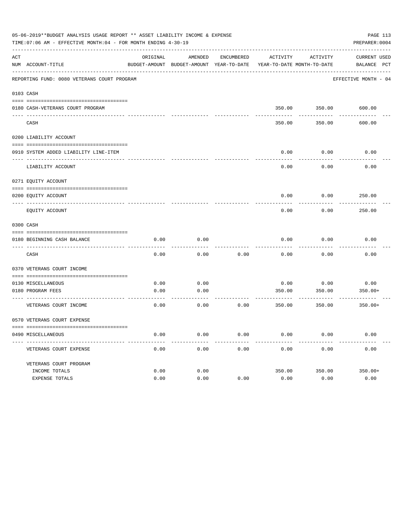|     | 05-06-2019**BUDGET ANALYSIS USAGE REPORT ** ASSET LIABILITY INCOME & EXPENSE<br>TIME: 07:06 AM - EFFECTIVE MONTH: 04 - FOR MONTH ENDING 4-30-19 |          |                                                     |            |                                        |               | PREPARER: 0004              | PAGE 113 |
|-----|-------------------------------------------------------------------------------------------------------------------------------------------------|----------|-----------------------------------------------------|------------|----------------------------------------|---------------|-----------------------------|----------|
| ACT | NUM ACCOUNT-TITLE                                                                                                                               | ORIGINAL | AMENDED<br>BUDGET-AMOUNT BUDGET-AMOUNT YEAR-TO-DATE | ENCUMBERED | ACTIVITY<br>YEAR-TO-DATE MONTH-TO-DATE | ACTIVITY      | CURRENT USED<br>BALANCE PCT |          |
|     | REPORTING FUND: 0080 VETERANS COURT PROGRAM                                                                                                     |          |                                                     |            |                                        |               | EFFECTIVE MONTH - 04        |          |
|     | 0103 CASH                                                                                                                                       |          |                                                     |            |                                        |               |                             |          |
|     | 0180 CASH-VETERANS COURT PROGRAM                                                                                                                |          |                                                     |            |                                        | 350.00 350.00 | 600.00                      |          |
|     | CASH                                                                                                                                            |          |                                                     |            | 350.00                                 | 350.00        | 600.00                      |          |
|     | 0200 LIABILITY ACCOUNT                                                                                                                          |          |                                                     |            |                                        |               |                             |          |
|     | 0910 SYSTEM ADDED LIABILITY LINE-ITEM                                                                                                           |          |                                                     |            | 0.00                                   | 0.00          | 0.00                        |          |
|     | LIABILITY ACCOUNT                                                                                                                               |          |                                                     |            | 0.00                                   | 0.00          | 0.00                        |          |
|     | 0271 EQUITY ACCOUNT                                                                                                                             |          |                                                     |            |                                        |               |                             |          |
|     | 0200 EQUITY ACCOUNT                                                                                                                             |          |                                                     |            | 0.00                                   | 0.00          | 250.00                      |          |
|     | EQUITY ACCOUNT                                                                                                                                  |          |                                                     |            | 0.00                                   | 0.00          | 250.00                      |          |
|     | 0300 CASH                                                                                                                                       |          |                                                     |            |                                        |               |                             |          |
|     | 0180 BEGINNING CASH BALANCE                                                                                                                     | 0.00     | 0.00                                                |            | 0.00                                   | 0.00          | 0.00                        |          |
|     | _______________________________<br>CASH                                                                                                         | 0.00     | 0.00                                                | 0.00       | 0.00                                   | 0.00          | 0.00                        |          |
|     | 0370 VETERANS COURT INCOME                                                                                                                      |          |                                                     |            |                                        |               |                             |          |
|     | 0130 MISCELLANEOUS                                                                                                                              | 0.00     | 0.00                                                |            | 0.00                                   | 0.00          | 0.00                        |          |
|     | 0180 PROGRAM FEES                                                                                                                               | 0.00     | 0.00                                                |            | 350.00                                 | 350.00        | $350.00+$                   |          |
|     | VETERANS COURT INCOME                                                                                                                           | 0.00     | 0.00                                                | 0.00       | 350.00                                 | 350.00        | $350.00+$                   |          |
|     | 0570 VETERANS COURT EXPENSE                                                                                                                     |          |                                                     |            |                                        |               |                             |          |
|     | 0490 MISCELLANEOUS                                                                                                                              | 0.00     | 0.00                                                | 0.00       | 0.00                                   | 0.00          | 0.00                        |          |
|     | VETERANS COURT EXPENSE                                                                                                                          | 0.00     | 0.00                                                | 0.00       | 0.00                                   | 0.00          | 0.00                        |          |
|     | VETERANS COURT PROGRAM                                                                                                                          |          |                                                     |            |                                        |               |                             |          |
|     | INCOME TOTALS                                                                                                                                   | 0.00     | 0.00                                                |            | 350.00                                 | 350.00        | $350.00+$                   |          |
|     | EXPENSE TOTALS                                                                                                                                  | 0.00     | 0.00                                                | 0.00       | 0.00                                   | 0.00          | 0.00                        |          |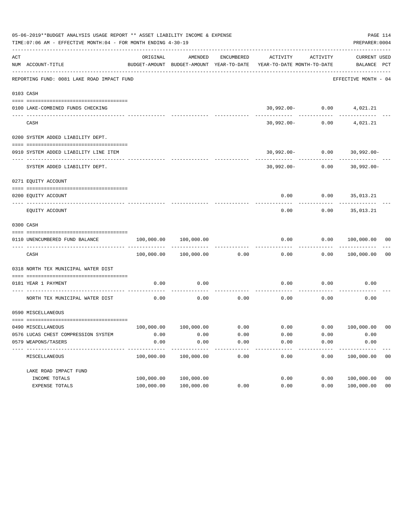|     | 05-06-2019**BUDGET ANALYSIS USAGE REPORT ** ASSET LIABILITY INCOME & EXPENSE<br>TIME: 07:06 AM - EFFECTIVE MONTH: 04 - FOR MONTH ENDING 4-30-19 |                                                      |                       |            |                                                                           |                    | PREPARER: 0004                   | PAGE 114       |
|-----|-------------------------------------------------------------------------------------------------------------------------------------------------|------------------------------------------------------|-----------------------|------------|---------------------------------------------------------------------------|--------------------|----------------------------------|----------------|
| ACT | NUM ACCOUNT-TITLE                                                                                                                               | ORIGINAL<br>BUDGET-AMOUNT BUDGET-AMOUNT YEAR-TO-DATE | AMENDED               | ENCUMBERED | ACTIVITY<br>YEAR-TO-DATE MONTH-TO-DATE                                    | ACTIVITY           | CURRENT USED<br>BALANCE PCT      |                |
|     | REPORTING FUND: 0081 LAKE ROAD IMPACT FUND                                                                                                      |                                                      |                       |            |                                                                           |                    | EFFECTIVE MONTH - 04             |                |
|     | 0103 CASH                                                                                                                                       |                                                      |                       |            |                                                                           |                    |                                  |                |
|     | 0100 LAKE-COMBINED FUNDS CHECKING                                                                                                               |                                                      |                       |            |                                                                           |                    | $30,992.00 - 0.00$ 4,021.21      |                |
|     | CASH                                                                                                                                            |                                                      |                       |            |                                                                           | $30,992.00 - 0.00$ | 4,021.21                         |                |
|     | 0200 SYSTEM ADDED LIABILITY DEPT.                                                                                                               |                                                      |                       |            |                                                                           |                    |                                  |                |
|     | 0910 SYSTEM ADDED LIABILITY LINE ITEM                                                                                                           |                                                      |                       |            |                                                                           |                    | $30,992.00 - 0.00$ 30,992.00-    |                |
|     | SYSTEM ADDED LIABILITY DEPT.                                                                                                                    |                                                      |                       |            |                                                                           |                    | $30,992.00 - 0.00$ $30,992.00 -$ |                |
|     | 0271 EQUITY ACCOUNT                                                                                                                             |                                                      |                       |            |                                                                           |                    |                                  |                |
|     | 0200 EQUITY ACCOUNT                                                                                                                             |                                                      |                       |            |                                                                           |                    | $0.00$ $0.00$ $35,013.21$        |                |
|     | EQUITY ACCOUNT                                                                                                                                  |                                                      |                       |            | 0.00                                                                      | 0.00               | 35,013.21                        |                |
|     | 0300 CASH                                                                                                                                       |                                                      |                       |            |                                                                           |                    |                                  |                |
|     | 0110 UNENCUMBERED FUND BALANCE                                                                                                                  | $100,000.00$ $100,000.00$                            |                       |            | 0.00                                                                      |                    | $0.00$ $100,000.00$ 00           |                |
|     | CASH                                                                                                                                            |                                                      | 100,000.00 100,000.00 | 0.00       | 0.00                                                                      |                    | 0.00 100,000.00                  | 0 <sub>0</sub> |
|     | 0318 NORTH TEX MUNICIPAL WATER DIST                                                                                                             |                                                      |                       |            |                                                                           |                    |                                  |                |
|     | 0181 YEAR 1 PAYMENT<br>--------------------------- ----------                                                                                   | 0.00                                                 | 0.00                  |            | 0.00                                                                      |                    | $0.00$ 0.00                      |                |
|     | NORTH TEX MUNICIPAL WATER DIST                                                                                                                  | 0.00                                                 | 0.00                  | 0.00       | 0.00                                                                      | 0.00               | 0.00                             |                |
|     | 0590 MISCELLANEOUS                                                                                                                              |                                                      |                       |            |                                                                           |                    |                                  |                |
|     | 0490 MISCELLANEOUS                                                                                                                              |                                                      |                       |            | $100,000.00$ $100,000.00$ $0.00$ $0.00$ $0.00$ $0.00$ $0.00$ $100,000.00$ |                    |                                  | 00             |
|     | 0576 LUCAS CHEST COMPRESSION SYSTEM                                                                                                             | 0.00                                                 | 0.00                  | 0.00       | 0.00                                                                      | 0.00               | 0.00                             |                |
|     | 0579 WEAPONS/TASERS                                                                                                                             | 0.00                                                 | 0.00                  | 0.00       | 0.00                                                                      | 0.00               | 0.00                             |                |
|     | MISCELLANEOUS                                                                                                                                   | 100,000.00                                           | 100,000.00            | 0.00       | 0.00                                                                      | 0.00               | 100,000.00                       | 0 <sub>0</sub> |
|     | LAKE ROAD IMPACT FUND                                                                                                                           |                                                      |                       |            |                                                                           |                    |                                  |                |
|     | INCOME TOTALS                                                                                                                                   | 100,000.00                                           | 100,000.00            |            | 0.00                                                                      | 0.00               | 100,000.00                       | 0 <sub>0</sub> |
|     | EXPENSE TOTALS                                                                                                                                  | 100,000.00                                           | 100,000.00            | 0.00       | 0.00                                                                      | 0.00               | 100,000.00                       | 0 <sub>0</sub> |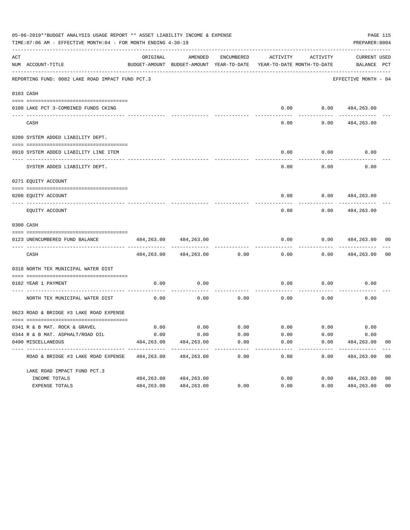|     | 05-06-2019**BUDGET ANALYSIS USAGE REPORT ** ASSET LIABILITY INCOME & EXPENSE<br>TIME: 07:06 AM - EFFECTIVE MONTH: 04 - FOR MONTH ENDING 4-30-19 |                    |                                                     |                       |                       |                                        | PREPARER: 0004              | PAGE 115                |
|-----|-------------------------------------------------------------------------------------------------------------------------------------------------|--------------------|-----------------------------------------------------|-----------------------|-----------------------|----------------------------------------|-----------------------------|-------------------------|
| ACT | NUM ACCOUNT-TITLE                                                                                                                               | ORIGINAL           | AMENDED<br>BUDGET-AMOUNT BUDGET-AMOUNT YEAR-TO-DATE | ENCUMBERED            | ACTIVITY              | ACTIVITY<br>YEAR-TO-DATE MONTH-TO-DATE | CURRENT USED<br>BALANCE PCT |                         |
|     | REPORTING FUND: 0082 LAKE ROAD IMPACT FUND PCT.3                                                                                                |                    |                                                     |                       |                       |                                        | EFFECTIVE MONTH - 04        |                         |
|     | 0103 CASH                                                                                                                                       |                    |                                                     |                       |                       |                                        |                             |                         |
|     |                                                                                                                                                 |                    |                                                     |                       |                       |                                        |                             |                         |
|     | 0100 LAKE PCT 3-COMBINED FUNDS CKING                                                                                                            |                    |                                                     |                       |                       | $0.00$ $0.00$ $484,263.00$             |                             |                         |
|     | CASH                                                                                                                                            |                    |                                                     |                       | 0.00                  | 0.00                                   | 484,263.00                  |                         |
|     | 0200 SYSTEM ADDED LIABILITY DEPT.                                                                                                               |                    |                                                     |                       |                       |                                        |                             |                         |
|     | 0910 SYSTEM ADDED LIABILITY LINE ITEM                                                                                                           |                    |                                                     |                       | 0.00                  | 0.00                                   | 0.00                        |                         |
|     |                                                                                                                                                 |                    |                                                     |                       |                       |                                        |                             |                         |
|     | SYSTEM ADDED LIABILITY DEPT.                                                                                                                    |                    |                                                     |                       | 0.00                  | 0.00                                   | 0.00                        |                         |
|     | 0271 EQUITY ACCOUNT                                                                                                                             |                    |                                                     |                       |                       |                                        |                             |                         |
|     |                                                                                                                                                 |                    |                                                     |                       |                       |                                        |                             |                         |
|     | 0200 EQUITY ACCOUNT                                                                                                                             |                    |                                                     |                       | 0.00                  | 0.00                                   | 484,263.00                  |                         |
|     | EQUITY ACCOUNT                                                                                                                                  |                    |                                                     |                       | 0.00                  | 0.00                                   | 484,263.00                  |                         |
|     | 0300 CASH                                                                                                                                       |                    |                                                     |                       |                       |                                        |                             |                         |
|     | 0123 UNENCUMBERED FUND BALANCE                                                                                                                  | 484,263.00         | 484,263.00                                          |                       | 0.00                  | 0.00                                   | 484,263.00                  | 00                      |
|     | CASH                                                                                                                                            | 484,263.00         | 484,263.00                                          | 0.00                  | 0.00                  | 0.00                                   | 484,263.00                  | 00                      |
|     | 0318 NORTH TEX MUNICIPAL WATER DIST                                                                                                             |                    |                                                     |                       |                       |                                        |                             |                         |
|     | 0182 YEAR 1 PAYMENT                                                                                                                             | 0.00               | 0.00                                                |                       | 0.00                  | 0.00                                   | 0.00                        |                         |
|     | NORTH TEX MUNICIPAL WATER DIST                                                                                                                  | 0.00               | 0.00                                                | 0.00                  | 0.00                  | 0.00                                   | 0.00                        |                         |
|     | 0623 ROAD & BRIDGE #3 LAKE ROAD EXPENSE                                                                                                         |                    |                                                     |                       |                       |                                        |                             |                         |
|     |                                                                                                                                                 |                    |                                                     |                       |                       |                                        |                             |                         |
|     | 0341 R & B MAT. ROCK & GRAVEL                                                                                                                   | 0.00               | 0.00                                                | 0.00                  |                       | $0.00$ 0.00                            | 0.00                        |                         |
|     | 0344 R & B MAT. ASPHALT/ROAD OIL<br>0490 MISCELLANEOUS                                                                                          | 0.00<br>484,263.00 | 0.00<br>484,263.00                                  | 0.00<br>0.00          | 0.00<br>0.00          | 0.00<br>0.00                           | 0.00<br>484,263.00          | 0 <sub>0</sub>          |
|     | ROAD & BRIDGE #3 LAKE ROAD EXPENSE                                                                                                              | 484,263.00         | --------------<br>484,263.00                        | -------------<br>0.00 | -------------<br>0.00 | ------------<br>0.00                   | -------------<br>484,263.00 | $---$<br>0 <sub>0</sub> |
|     | LAKE ROAD IMPACT FUND PCT.3                                                                                                                     |                    |                                                     |                       |                       |                                        |                             |                         |
|     | INCOME TOTALS                                                                                                                                   | 484,263.00         | 484,263.00                                          |                       | 0.00                  | 0.00                                   | 484,263.00                  | 0 <sub>0</sub>          |
|     | EXPENSE TOTALS                                                                                                                                  | 484,263.00         | 484,263.00                                          | 0.00                  | 0.00                  | 0.00                                   | 484,263.00                  | 0 <sub>0</sub>          |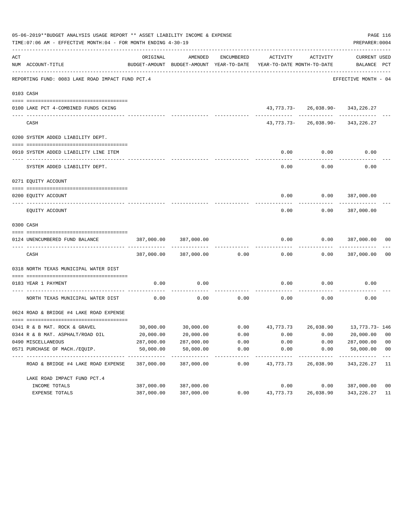|     | 05-06-2019**BUDGET ANALYSIS USAGE REPORT ** ASSET LIABILITY INCOME & EXPENSE<br>TIME: 07:06 AM - EFFECTIVE MONTH: 04 - FOR MONTH ENDING 4-30-19 |            |                           |                     |                                                                                 |                                          | PAGE 116<br>PREPARER: 0004  |                |
|-----|-------------------------------------------------------------------------------------------------------------------------------------------------|------------|---------------------------|---------------------|---------------------------------------------------------------------------------|------------------------------------------|-----------------------------|----------------|
| ACT | NUM ACCOUNT-TITLE                                                                                                                               | ORIGINAL   | AMENDED                   | ENCUMBERED          | ACTIVITY<br>BUDGET-AMOUNT BUDGET-AMOUNT YEAR-TO-DATE YEAR-TO-DATE MONTH-TO-DATE | ACTIVITY                                 | CURRENT USED<br>BALANCE PCT |                |
|     | REPORTING FUND: 0083 LAKE ROAD IMPACT FUND PCT.4                                                                                                |            |                           |                     |                                                                                 |                                          | EFFECTIVE MONTH - 04        |                |
|     | 0103 CASH                                                                                                                                       |            |                           |                     |                                                                                 |                                          |                             |                |
|     |                                                                                                                                                 |            |                           |                     |                                                                                 |                                          |                             |                |
|     | 0100 LAKE PCT 4-COMBINED FUNDS CKING                                                                                                            |            |                           |                     |                                                                                 | 43, 773. 73 - 26, 038. 90 - 343, 226. 27 |                             |                |
|     | CASH                                                                                                                                            |            |                           |                     |                                                                                 | 43, 773. 73 - 26, 038. 90 - 343, 226. 27 |                             |                |
|     | 0200 SYSTEM ADDED LIABILITY DEPT.                                                                                                               |            |                           |                     |                                                                                 |                                          |                             |                |
|     | 0910 SYSTEM ADDED LIABILITY LINE ITEM                                                                                                           |            |                           |                     | 0.00                                                                            | 0.00                                     | 0.00                        |                |
|     | SYSTEM ADDED LIABILITY DEPT.                                                                                                                    |            |                           |                     | 0.00                                                                            | 0.00                                     | 0.00                        |                |
|     | 0271 EQUITY ACCOUNT                                                                                                                             |            |                           |                     |                                                                                 |                                          |                             |                |
|     | 0200 EQUITY ACCOUNT                                                                                                                             |            |                           |                     |                                                                                 | $0.00$ $0.00$ $387,000.00$               |                             |                |
|     | EOUITY ACCOUNT                                                                                                                                  |            |                           |                     | 0.00                                                                            | 0.00                                     | 387,000.00                  |                |
|     | 0300 CASH                                                                                                                                       |            |                           |                     |                                                                                 |                                          |                             |                |
|     | 0124 UNENCUMBERED FUND BALANCE                                                                                                                  | 387,000.00 | 387,000.00                |                     | 0.00                                                                            | 0.00                                     | 387,000.00                  | 00             |
|     | CASH                                                                                                                                            |            | 387,000.00 387,000.00     | 0.00                | 0.00                                                                            |                                          | 0.000387,000.00             | 0 <sub>0</sub> |
|     | 0318 NORTH TEXAS MUNICIPAL WATER DIST                                                                                                           |            |                           |                     |                                                                                 |                                          |                             |                |
|     | 0183 YEAR 1 PAYMENT                                                                                                                             | 0.00       | 0.00                      |                     | 0.00                                                                            | 0.00                                     | 0.00                        |                |
|     | NORTH TEXAS MUNICIPAL WATER DIST                                                                                                                | 0.00       | 0.00                      |                     | $0.00$ 0.00                                                                     | 0.00                                     | 0.00                        |                |
|     | 0624 ROAD & BRIDGE #4 LAKE ROAD EXPENSE                                                                                                         |            |                           |                     |                                                                                 |                                          |                             |                |
|     | 0341 R & B MAT. ROCK & GRAVEL                                                                                                                   |            |                           |                     | $30,000.00$ $30,000.00$ $0.00$ $43,773.73$ $26,038.90$ $13,773.73$ $146$        |                                          |                             |                |
|     | 0344 R & B MAT. ASPHALT/ROAD OIL                                                                                                                | 20,000.00  | 20,000.00                 | 0.00                | 0.00                                                                            | 0.00                                     | 20,000.00                   | 00             |
|     | 0490 MISCELLANEOUS                                                                                                                              | 287,000.00 | 287,000.00                | 0.00                | 0.00                                                                            | 0.00                                     | 287,000.00                  | 0 <sub>0</sub> |
|     | 0571 PURCHASE OF MACH./EQUIP.                                                                                                                   | 50,000.00  | 50,000.00                 | 0.00                | 0.00                                                                            | 0.00                                     | 50,000.00                   | 0 <sub>0</sub> |
|     | ROAD & BRIDGE #4 LAKE ROAD EXPENSE                                                                                                              | 387,000.00 | -----------<br>387,000.00 | -----------<br>0.00 | ---------<br>43,773.73                                                          | 26,038.90                                | -----------<br>343, 226. 27 | $---$<br>-11   |
|     | LAKE ROAD IMPACT FUND PCT. 4                                                                                                                    |            |                           |                     |                                                                                 |                                          |                             |                |
|     | INCOME TOTALS                                                                                                                                   | 387,000.00 | 387,000.00                |                     | 0.00                                                                            | 0.00                                     | 387,000.00                  | 0 <sub>0</sub> |
|     | EXPENSE TOTALS                                                                                                                                  | 387,000.00 | 387,000.00                | 0.00                | 43,773.73                                                                       | 26,038.90                                | 343,226.27                  | 11             |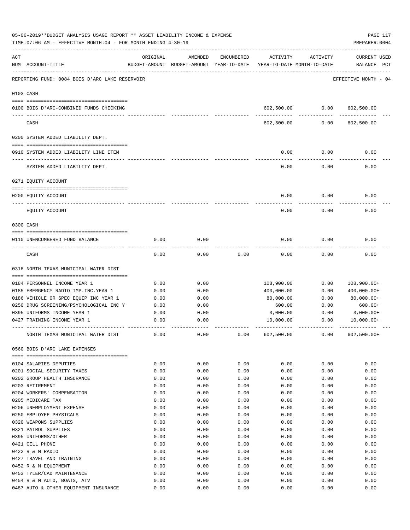|     | 05-06-2019**BUDGET ANALYSIS USAGE REPORT ** ASSET LIABILITY INCOME & EXPENSE<br>TIME: 07:06 AM - EFFECTIVE MONTH: 04 - FOR MONTH ENDING 4-30-19 |              |                                                     |            |                                        |              | PAGE 117<br>PREPARER: 0004         |
|-----|-------------------------------------------------------------------------------------------------------------------------------------------------|--------------|-----------------------------------------------------|------------|----------------------------------------|--------------|------------------------------------|
| ACT | NUM ACCOUNT-TITLE                                                                                                                               | ORIGINAL     | AMENDED<br>BUDGET-AMOUNT BUDGET-AMOUNT YEAR-TO-DATE | ENCUMBERED | ACTIVITY<br>YEAR-TO-DATE MONTH-TO-DATE | ACTIVITY     | <b>CURRENT USED</b><br>BALANCE PCT |
|     | REPORTING FUND: 0084 BOIS D'ARC LAKE RESERVOIR                                                                                                  |              |                                                     |            |                                        |              | EFFECTIVE MONTH - 04               |
|     | 0103 CASH                                                                                                                                       |              |                                                     |            |                                        |              |                                    |
|     | 0100 BOIS D'ARC-COMBINED FUNDS CHECKING                                                                                                         |              |                                                     |            | 602,500.00                             | 0.00         | 602,500.00                         |
|     | CASH                                                                                                                                            |              |                                                     |            | 602,500.00                             | 0.00         | 602,500.00                         |
|     | 0200 SYSTEM ADDED LIABILITY DEPT.                                                                                                               |              |                                                     |            |                                        |              |                                    |
|     | 0910 SYSTEM ADDED LIABILITY LINE ITEM                                                                                                           |              |                                                     |            | 0.00                                   | 0.00         | 0.00                               |
|     | SYSTEM ADDED LIABILITY DEPT.                                                                                                                    |              |                                                     |            | 0.00                                   | 0.00         | 0.00                               |
|     | 0271 EQUITY ACCOUNT                                                                                                                             |              |                                                     |            |                                        |              |                                    |
|     |                                                                                                                                                 |              |                                                     |            |                                        |              |                                    |
|     | 0200 EQUITY ACCOUNT                                                                                                                             |              |                                                     |            | 0.00                                   | 0.00         | 0.00                               |
|     | EQUITY ACCOUNT                                                                                                                                  |              |                                                     |            | 0.00                                   | 0.00         | 0.00                               |
|     | 0300 CASH                                                                                                                                       |              |                                                     |            |                                        |              |                                    |
|     | 0110 UNENCUMBERED FUND BALANCE                                                                                                                  | 0.00         | 0.00                                                |            | 0.00                                   | 0.00         | 0.00                               |
|     | CASH                                                                                                                                            | 0.00         | 0.00                                                | 0.00       | 0.00                                   | 0.00         | 0.00                               |
|     | 0318 NORTH TEXAS MUNICIPAL WATER DIST                                                                                                           |              |                                                     |            |                                        |              |                                    |
|     | 0184 PERSONNEL INCOME YEAR 1                                                                                                                    | 0.00         | 0.00                                                |            |                                        | 0.00         |                                    |
|     | 0185 EMERGENCY RADIO IMP. INC. YEAR 1                                                                                                           | 0.00         | 0.00                                                |            | 108,900.00<br>400,000.00               | 0.00         | $108,900.00+$<br>$400,000.00+$     |
|     | 0186 VEHICLE OR SPEC EQUIP INC YEAR 1                                                                                                           | 0.00         | 0.00                                                |            | 80,000.00                              | 0.00         | $80,000.00+$                       |
|     | 0250 DRUG SCREENING/PSYCHOLOGICAL INC Y                                                                                                         | 0.00         | 0.00                                                |            | 600.00                                 | 0.00         | $600.00+$                          |
|     | 0395 UNIFORMS INCOME YEAR 1                                                                                                                     | 0.00         | 0.00                                                |            | 3,000.00                               | 0.00         | 3,000.00+                          |
|     | 0427 TRAINING INCOME YEAR 1                                                                                                                     | 0.00         | 0.00                                                |            | 10,000.00                              | 0.00         | $10,000.00+$                       |
|     | NORTH TEXAS MUNICIPAL WATER DIST                                                                                                                | 0.00         | 0.00                                                | 0.00       | 602,500.00                             | 0.00         | $602,500.00+$                      |
|     | 0560 BOIS D'ARC LAKE EXPENSES                                                                                                                   |              |                                                     |            |                                        |              |                                    |
|     | 0104 SALARIES DEPUTIES                                                                                                                          |              | 0.00                                                | 0.00       |                                        |              | 0.00                               |
|     | 0201 SOCIAL SECURITY TAXES                                                                                                                      | 0.00<br>0.00 | 0.00                                                | 0.00       | 0.00<br>0.00                           | 0.00<br>0.00 | 0.00                               |
|     | 0202 GROUP HEALTH INSURANCE                                                                                                                     | 0.00         | 0.00                                                | 0.00       | 0.00                                   | 0.00         | 0.00                               |
|     | 0203 RETIREMENT                                                                                                                                 | 0.00         | 0.00                                                | 0.00       | 0.00                                   | 0.00         | 0.00                               |
|     | 0204 WORKERS' COMPENSATION                                                                                                                      | 0.00         | 0.00                                                | 0.00       | 0.00                                   | 0.00         | 0.00                               |
|     | 0205 MEDICARE TAX                                                                                                                               | 0.00         | 0.00                                                | 0.00       | 0.00                                   | 0.00         | 0.00                               |
|     | 0206 UNEMPLOYMENT EXPENSE                                                                                                                       | 0.00         | 0.00                                                | 0.00       | 0.00                                   | 0.00         | 0.00                               |
|     | 0250 EMPLOYEE PHYSICALS                                                                                                                         | 0.00         | 0.00                                                | 0.00       | 0.00                                   | 0.00         | 0.00                               |
|     | 0320 WEAPONS SUPPLIES                                                                                                                           | 0.00         | 0.00                                                | 0.00       | 0.00                                   | 0.00         | 0.00                               |
|     | 0321 PATROL SUPPLIES                                                                                                                            | 0.00         | 0.00                                                | 0.00       | 0.00                                   | 0.00         | 0.00                               |
|     | 0395 UNIFORMS/OTHER                                                                                                                             | 0.00         | 0.00                                                | 0.00       | 0.00                                   | 0.00         | 0.00                               |
|     | 0421 CELL PHONE                                                                                                                                 | 0.00         | 0.00                                                | 0.00       | 0.00                                   | 0.00         | 0.00                               |
|     | 0422 R & M RADIO                                                                                                                                | 0.00         | 0.00                                                | 0.00       | 0.00                                   | 0.00         | 0.00                               |
|     | 0427 TRAVEL AND TRAINING                                                                                                                        | 0.00         | 0.00                                                | 0.00       | 0.00                                   | 0.00         | 0.00                               |
|     | 0452 R & M EQUIPMENT                                                                                                                            | 0.00         | 0.00                                                | 0.00       | 0.00                                   | 0.00         | 0.00                               |
|     | 0453 TYLER/CAD MAINTENANCE                                                                                                                      | 0.00         | 0.00                                                | 0.00       | 0.00                                   | 0.00         | 0.00                               |
|     | 0454 R & M AUTO, BOATS, ATV                                                                                                                     | 0.00         | 0.00                                                | 0.00       | 0.00                                   | 0.00         | 0.00                               |
|     | 0487 AUTO & OTHER EQUIPMENT INSURANCE                                                                                                           | 0.00         | 0.00                                                | 0.00       | 0.00                                   | 0.00         | 0.00                               |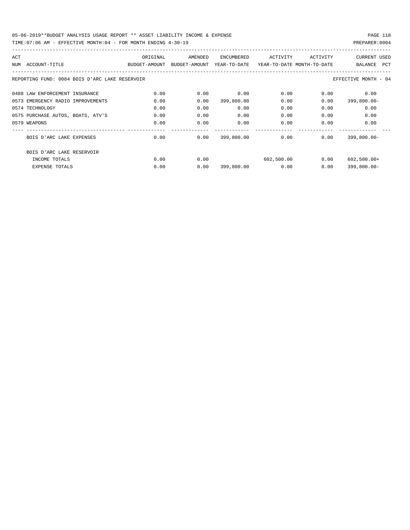| ACT |                                                | ORIGINAL                    | AMENDED | ENCUMBERED   | ACTIVITY                   | ACTIVITY | <b>CURRENT USED</b>  |
|-----|------------------------------------------------|-----------------------------|---------|--------------|----------------------------|----------|----------------------|
|     | NUM ACCOUNT-TITLE                              | BUDGET-AMOUNT BUDGET-AMOUNT |         | YEAR-TO-DATE | YEAR-TO-DATE MONTH-TO-DATE |          | BALANCE PCT          |
|     | REPORTING FUND: 0084 BOIS D'ARC LAKE RESERVOIR |                             |         |              |                            |          | EFFECTIVE MONTH - 04 |
|     | 0488 LAW ENFORCEMENT INSURANCE                 | 0.00                        | 0.00    | 0.00         | 0.00                       | 0.00     | 0.00                 |
|     | 0573 EMERGENCY RADIO IMPROVEMENTS              | 0.00                        | 0.00    | 399,800.00   | 0.00                       | 0.00     | $399,800.00 -$       |
|     | 0574 TECHNOLOGY                                | 0.00                        | 0.00    | 0.00         | 0.00                       | 0.00     | 0.00                 |
|     | 0575 PURCHASE AUTOS, BOATS, ATV'S              | 0.00                        | 0.00    | 0.00         | 0.00                       | 0.00     | 0.00                 |
|     | 0579 WEAPONS                                   | 0.00                        | 0.00    | 0.00         | 0.00                       | 0.00     | 0.00                 |
|     | BOIS D'ARC LAKE EXPENSES                       | 0.00                        | 0.00    | 399,800.00   | 0.00                       | 0.00     | $399,800.00 -$       |
|     | BOIS D'ARC LAKE RESERVOIR                      |                             |         |              |                            |          |                      |
|     | INCOME TOTALS                                  | 0.00                        | 0.00    |              | 602,500.00                 | 0.00     | $602,500.00+$        |
|     | <b>EXPENSE TOTALS</b>                          | 0.00                        | 0.00    | 399,800.00   | 0.00                       | 0.00     | $399,800.00 -$       |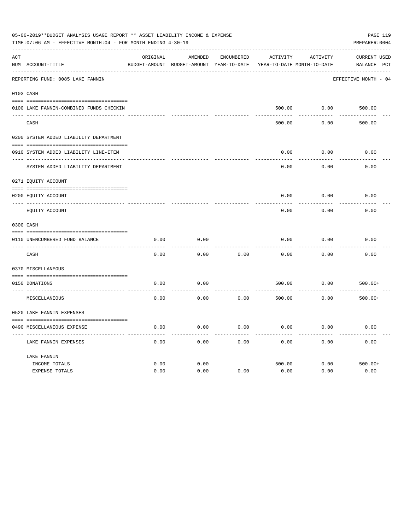| 05-06-2019**BUDGET ANALYSIS USAGE REPORT ** ASSET LIABILITY INCOME & EXPENSE<br>PAGE 119<br>TIME: 07:06 AM - EFFECTIVE MONTH: 04 - FOR MONTH ENDING 4-30-19<br>PREPARER: 0004 |                                         |          |                                                     |            |                 |                                        |                                                |  |
|-------------------------------------------------------------------------------------------------------------------------------------------------------------------------------|-----------------------------------------|----------|-----------------------------------------------------|------------|-----------------|----------------------------------------|------------------------------------------------|--|
| ACT                                                                                                                                                                           | NUM ACCOUNT-TITLE                       | ORIGINAL | AMENDED<br>BUDGET-AMOUNT BUDGET-AMOUNT YEAR-TO-DATE | ENCUMBERED | <b>ACTIVITY</b> | ACTIVITY<br>YEAR-TO-DATE MONTH-TO-DATE | <b>CURRENT USED</b><br>BALANCE<br>$_{\rm PCT}$ |  |
|                                                                                                                                                                               | REPORTING FUND: 0085 LAKE FANNIN        |          |                                                     |            |                 |                                        | EFFECTIVE MONTH - 04                           |  |
| 0103 CASH                                                                                                                                                                     |                                         |          |                                                     |            |                 |                                        |                                                |  |
|                                                                                                                                                                               | 0100 LAKE FANNIN-COMBINED FUNDS CHECKIN |          |                                                     |            | 500.00          | 0.00                                   | 500.00                                         |  |
|                                                                                                                                                                               | CASH                                    |          |                                                     |            | 500.00          | 0.00                                   | 500.00                                         |  |
|                                                                                                                                                                               | 0200 SYSTEM ADDED LIABILITY DEPARTMENT  |          |                                                     |            |                 |                                        |                                                |  |
|                                                                                                                                                                               | 0910 SYSTEM ADDED LIABILITY LINE-ITEM   |          |                                                     |            | 0.00            | 0.00                                   | 0.00                                           |  |
|                                                                                                                                                                               | SYSTEM ADDED LIABILITY DEPARTMENT       |          |                                                     |            | 0.00            | 0.00                                   | 0.00                                           |  |
|                                                                                                                                                                               | 0271 EQUITY ACCOUNT                     |          |                                                     |            |                 |                                        |                                                |  |
|                                                                                                                                                                               | 0200 EQUITY ACCOUNT                     |          |                                                     |            | 0.00            | 0.00                                   | 0.00                                           |  |
|                                                                                                                                                                               | ---- ------------<br>EQUITY ACCOUNT     |          |                                                     |            | 0.00            | 0.00                                   | 0.00                                           |  |
|                                                                                                                                                                               | 0300 CASH                               |          |                                                     |            |                 |                                        |                                                |  |
|                                                                                                                                                                               | 0110 UNENCUMBERED FUND BALANCE          | 0.00     | 0.00                                                |            | 0.00            | 0.00                                   | 0.00                                           |  |
|                                                                                                                                                                               | CASH                                    | 0.00     | 0.00                                                | 0.00       | 0.00            | 0.00                                   | 0.00                                           |  |
|                                                                                                                                                                               | 0370 MISCELLANEOUS                      |          |                                                     |            |                 |                                        |                                                |  |
|                                                                                                                                                                               | 0150 DONATIONS                          | 0.00     | 0.00                                                |            | 500.00          | 0.00                                   | $500.00+$                                      |  |
|                                                                                                                                                                               | MISCELLANEOUS                           | 0.00     | 0.00                                                | 0.00       | 500.00          | 0.00                                   | $500.00+$                                      |  |
|                                                                                                                                                                               | 0520 LAKE FANNIN EXPENSES               |          |                                                     |            |                 |                                        |                                                |  |
|                                                                                                                                                                               | 0490 MISCELLANEOUS EXPENSE              | 0.00     | 0.00                                                | 0.00       | 0.00            | 0.00                                   | 0.00                                           |  |
|                                                                                                                                                                               |                                         |          |                                                     |            |                 |                                        |                                                |  |
|                                                                                                                                                                               | LAKE FANNIN EXPENSES                    | 0.00     | 0.00                                                | 0.00       | 0.00            | 0.00                                   | 0.00                                           |  |
|                                                                                                                                                                               | LAKE FANNIN                             |          |                                                     |            |                 |                                        |                                                |  |
|                                                                                                                                                                               | INCOME TOTALS                           | 0.00     | 0.00                                                |            | 500.00          | 0.00                                   | $500.00+$                                      |  |
|                                                                                                                                                                               | EXPENSE TOTALS                          | 0.00     | 0.00                                                | 0.00       | 0.00            | 0.00                                   | 0.00                                           |  |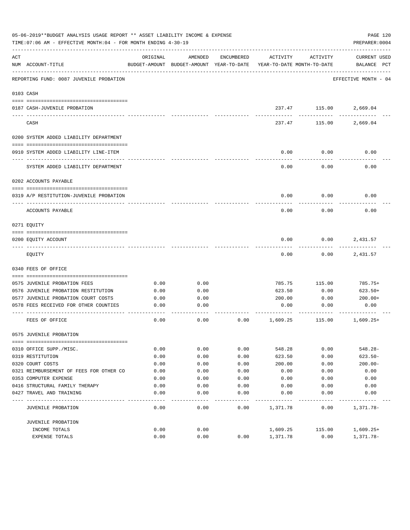|           | 05-06-2019**BUDGET ANALYSIS USAGE REPORT ** ASSET LIABILITY INCOME & EXPENSE<br>PAGE 120<br>TIME: 07:06 AM - EFFECTIVE MONTH: 04 - FOR MONTH ENDING 4-30-19<br>PREPARER: 0004 |          |                                                     |            |                                        |               |                                    |  |  |  |  |
|-----------|-------------------------------------------------------------------------------------------------------------------------------------------------------------------------------|----------|-----------------------------------------------------|------------|----------------------------------------|---------------|------------------------------------|--|--|--|--|
| ACT       | NUM ACCOUNT-TITLE                                                                                                                                                             | ORIGINAL | AMENDED<br>BUDGET-AMOUNT BUDGET-AMOUNT YEAR-TO-DATE | ENCUMBERED | ACTIVITY<br>YEAR-TO-DATE MONTH-TO-DATE | ACTIVITY      | <b>CURRENT USED</b><br>BALANCE PCT |  |  |  |  |
|           | REPORTING FUND: 0087 JUVENILE PROBATION                                                                                                                                       |          |                                                     |            |                                        |               | EFFECTIVE MONTH - 04               |  |  |  |  |
| 0103 CASH |                                                                                                                                                                               |          |                                                     |            |                                        |               |                                    |  |  |  |  |
|           | 0187 CASH-JUVENILE PROBATION                                                                                                                                                  |          |                                                     |            |                                        | 237.47 115.00 | 2,669.04                           |  |  |  |  |
|           | CASH                                                                                                                                                                          |          |                                                     |            | 237.47                                 | 115.00        | 2,669.04                           |  |  |  |  |
|           | 0200 SYSTEM ADDED LIABILITY DEPARTMENT                                                                                                                                        |          |                                                     |            |                                        |               |                                    |  |  |  |  |
|           | 0910 SYSTEM ADDED LIABILITY LINE-ITEM                                                                                                                                         |          |                                                     |            | 0.00                                   | 0.00          | 0.00                               |  |  |  |  |
|           | SYSTEM ADDED LIABILITY DEPARTMENT                                                                                                                                             |          |                                                     |            | 0.00                                   | 0.00          | 0.00                               |  |  |  |  |
|           | 0202 ACCOUNTS PAYABLE                                                                                                                                                         |          |                                                     |            |                                        |               |                                    |  |  |  |  |
|           | 0319 A/P RESTITUTION-JUVENILE PROBATION                                                                                                                                       |          |                                                     |            | 0.00                                   | 0.00          | 0.00                               |  |  |  |  |
|           | ACCOUNTS PAYABLE                                                                                                                                                              |          |                                                     |            | 0.00                                   | 0.00          | 0.00                               |  |  |  |  |
|           | 0271 EQUITY                                                                                                                                                                   |          |                                                     |            |                                        |               |                                    |  |  |  |  |
|           | 0200 EQUITY ACCOUNT                                                                                                                                                           |          |                                                     |            | 0.00                                   | 0.00          | 2,431.57                           |  |  |  |  |
|           | EQUITY                                                                                                                                                                        |          |                                                     |            | 0.00                                   | 0.00          | 2,431.57                           |  |  |  |  |
|           | 0340 FEES OF OFFICE                                                                                                                                                           |          |                                                     |            |                                        |               |                                    |  |  |  |  |
|           | 0575 JUVENILE PROBATION FEES                                                                                                                                                  | 0.00     | 0.00                                                |            | 785.75                                 | 115.00        | 785.75+                            |  |  |  |  |
|           | 0576 JUVENILE PROBATION RESTITUTION                                                                                                                                           | 0.00     | 0.00                                                |            | 623.50                                 | 0.00          | $623.50+$                          |  |  |  |  |
|           | 0577 JUVENILE PROBATION COURT COSTS                                                                                                                                           | 0.00     | 0.00                                                |            | 200.00                                 | 0.00          | $200.00+$                          |  |  |  |  |
|           | 0578 FEES RECEIVED FOR OTHER COUNTIES                                                                                                                                         | 0.00     | 0.00                                                |            | 0.00                                   | 0.00          | 0.00                               |  |  |  |  |
|           | FEES OF OFFICE                                                                                                                                                                | 0.00     | 0.00                                                | 0.00       | 1,609.25                               | 115.00        | $1,609.25+$                        |  |  |  |  |
|           | 0575 JUVENILE PROBATION                                                                                                                                                       |          |                                                     |            |                                        |               |                                    |  |  |  |  |
|           |                                                                                                                                                                               |          |                                                     |            |                                        |               |                                    |  |  |  |  |
|           | 0310 OFFICE SUPP./MISC.                                                                                                                                                       | 0.00     | 0.00                                                | 0.00       | 548.28                                 | 0.00          | $548.28 -$                         |  |  |  |  |
|           | 0319 RESTITUTION                                                                                                                                                              | 0.00     | 0.00                                                | 0.00       | 623.50                                 | 0.00          | $623.50 -$                         |  |  |  |  |
|           | 0320 COURT COSTS                                                                                                                                                              | 0.00     | 0.00                                                | 0.00       | 200.00                                 | 0.00          | $200.00 -$                         |  |  |  |  |
|           | 0321 REIMBURSEMENT OF FEES FOR OTHER CO                                                                                                                                       | 0.00     | 0.00                                                | 0.00       | 0.00                                   | 0.00          | 0.00                               |  |  |  |  |
|           | 0353 COMPUTER EXPENSE                                                                                                                                                         | 0.00     | 0.00                                                | 0.00       | 0.00                                   | 0.00          | 0.00                               |  |  |  |  |
|           | 0416 STRUCTURAL FAMILY THERAPY                                                                                                                                                | 0.00     | 0.00                                                | 0.00       | 0.00                                   | 0.00          | 0.00                               |  |  |  |  |
| ----      | 0427 TRAVEL AND TRAINING                                                                                                                                                      | 0.00     | 0.00                                                | 0.00       | 0.00                                   | 0.00          | 0.00                               |  |  |  |  |
|           | JUVENILE PROBATION                                                                                                                                                            | 0.00     | 0.00                                                | 0.00       | 1,371.78                               | 0.00          | 1,371.78-                          |  |  |  |  |
|           | JUVENILE PROBATION                                                                                                                                                            |          |                                                     |            |                                        |               |                                    |  |  |  |  |
|           | INCOME TOTALS                                                                                                                                                                 | 0.00     | 0.00                                                |            | 1,609.25                               | 115.00        | $1,609.25+$                        |  |  |  |  |
|           | EXPENSE TOTALS                                                                                                                                                                | 0.00     | 0.00                                                | 0.00       | 1,371.78                               | 0.00          | 1,371.78-                          |  |  |  |  |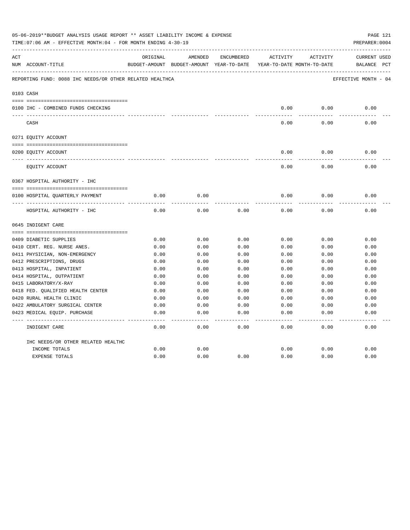|     | 05-06-2019**BUDGET ANALYSIS USAGE REPORT ** ASSET LIABILITY INCOME & EXPENSE<br>TIME: 07:06 AM - EFFECTIVE MONTH: 04 - FOR MONTH ENDING 4-30-19<br>PREPARER: 0004 |          |                                          |            |              |                            |                      |  |  |
|-----|-------------------------------------------------------------------------------------------------------------------------------------------------------------------|----------|------------------------------------------|------------|--------------|----------------------------|----------------------|--|--|
| ACT |                                                                                                                                                                   | ORIGINAL | AMENDED                                  | ENCUMBERED | ACTIVITY     | ACTIVITY                   | CURRENT USED         |  |  |
|     | NUM ACCOUNT-TITLE                                                                                                                                                 |          | BUDGET-AMOUNT BUDGET-AMOUNT YEAR-TO-DATE |            |              | YEAR-TO-DATE MONTH-TO-DATE | BALANCE PCT          |  |  |
|     | REPORTING FUND: 0088 IHC NEEDS/OR OTHER RELATED HEALTHCA                                                                                                          |          |                                          |            |              |                            | EFFECTIVE MONTH - 04 |  |  |
|     | 0103 CASH                                                                                                                                                         |          |                                          |            |              |                            |                      |  |  |
|     |                                                                                                                                                                   |          |                                          |            |              |                            |                      |  |  |
|     | 0100 IHC - COMBINED FUNDS CHECKING                                                                                                                                |          |                                          |            | 0.00         | 0.00                       | 0.00                 |  |  |
|     | CASH                                                                                                                                                              |          |                                          |            | 0.00         | 0.00                       | 0.00                 |  |  |
|     | 0271 EQUITY ACCOUNT                                                                                                                                               |          |                                          |            |              |                            |                      |  |  |
|     | 0200 EQUITY ACCOUNT                                                                                                                                               |          |                                          |            | 0.00         | 0.00                       | 0.00                 |  |  |
|     | ______________________________<br>EQUITY ACCOUNT                                                                                                                  |          |                                          |            | 0.00         | 0.00                       | 0.00                 |  |  |
|     | 0367 HOSPITAL AUTHORITY - IHC                                                                                                                                     |          |                                          |            |              |                            |                      |  |  |
|     |                                                                                                                                                                   |          |                                          |            |              |                            |                      |  |  |
|     | 0100 HOSPITAL QUARTERLY PAYMENT                                                                                                                                   | 0.00     | 0.00                                     |            | 0.00         | 0.00                       | 0.00                 |  |  |
|     | HOSPITAL AUTHORITY - IHC                                                                                                                                          | 0.00     | 0.00                                     | 0.00       | 0.00         | 0.00                       | 0.00                 |  |  |
|     | 0645 INDIGENT CARE                                                                                                                                                |          |                                          |            |              |                            |                      |  |  |
|     |                                                                                                                                                                   |          |                                          |            |              |                            |                      |  |  |
|     | 0409 DIABETIC SUPPLIES                                                                                                                                            | 0.00     | 0.00                                     | 0.00       | 0.00         | 0.00                       | 0.00                 |  |  |
|     | 0410 CERT. REG. NURSE ANES.                                                                                                                                       | 0.00     | 0.00                                     | 0.00       | 0.00         | 0.00                       | 0.00                 |  |  |
|     | 0411 PHYSICIAN, NON-EMERGENCY                                                                                                                                     | 0.00     | 0.00                                     | 0.00       | 0.00         | 0.00                       | 0.00                 |  |  |
|     | 0412 PRESCRIPTIONS, DRUGS                                                                                                                                         | 0.00     | 0.00                                     | 0.00       | 0.00         | 0.00                       | 0.00                 |  |  |
|     | 0413 HOSPITAL, INPATIENT                                                                                                                                          | 0.00     | 0.00                                     | 0.00       | 0.00         | 0.00                       | 0.00                 |  |  |
|     | 0414 HOSPITAL, OUTPATIENT                                                                                                                                         | 0.00     | 0.00                                     | 0.00       | 0.00         | 0.00                       | 0.00                 |  |  |
|     | 0415 LABORATORY/X-RAY                                                                                                                                             | 0.00     | 0.00                                     | 0.00       | 0.00         | 0.00                       | 0.00                 |  |  |
|     | 0418 FED. OUALIFIED HEALTH CENTER                                                                                                                                 | 0.00     | 0.00                                     | 0.00       | 0.00         | 0.00                       | 0.00                 |  |  |
|     | 0420 RURAL HEALTH CLINIC                                                                                                                                          | 0.00     | 0.00                                     | 0.00       | 0.00         | 0.00                       | 0.00                 |  |  |
|     | 0422 AMBULATORY SURGICAL CENTER                                                                                                                                   | 0.00     | 0.00                                     | 0.00       | 0.00         | 0.00                       | 0.00                 |  |  |
|     | 0423 MEDICAL EQUIP. PURCHASE                                                                                                                                      | 0.00     | 0.00                                     | 0.00       | 0.00         | 0.00                       | 0.00                 |  |  |
|     | INDIGENT CARE                                                                                                                                                     | 0.00     | 0.00                                     | 0.00       | ----<br>0.00 | ----<br>0.00               | -----<br>0.00        |  |  |
|     | IHC NEEDS/OR OTHER RELATED HEALTHC                                                                                                                                |          |                                          |            |              |                            |                      |  |  |
|     | INCOME TOTALS                                                                                                                                                     | 0.00     | 0.00                                     |            | 0.00         | 0.00                       | 0.00                 |  |  |
|     | <b>EXPENSE TOTALS</b>                                                                                                                                             | 0.00     | 0.00                                     | 0.00       | 0.00         | 0.00                       | 0.00                 |  |  |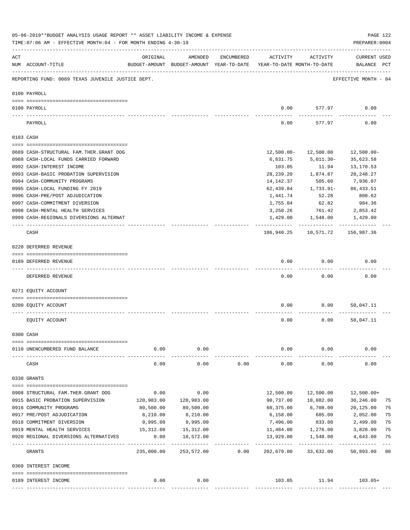|     | 05-06-2019**BUDGET ANALYSIS USAGE REPORT ** ASSET LIABILITY INCOME & EXPENSE<br>TIME: 07:06 AM - EFFECTIVE MONTH: 04 - FOR MONTH ENDING 4-30-19 |            |            |            |                                                                                 |                           | PREPARER: 0004                     | PAGE 122 |
|-----|-------------------------------------------------------------------------------------------------------------------------------------------------|------------|------------|------------|---------------------------------------------------------------------------------|---------------------------|------------------------------------|----------|
| ACT | NUM ACCOUNT-TITLE                                                                                                                               | ORIGINAL   | AMENDED    | ENCUMBERED | ACTIVITY<br>BUDGET-AMOUNT BUDGET-AMOUNT YEAR-TO-DATE YEAR-TO-DATE MONTH-TO-DATE | ACTIVITY                  | <b>CURRENT USED</b><br>BALANCE PCT |          |
|     | REPORTING FUND: 0089 TEXAS JUVENILE JUSTICE DEPT.                                                                                               |            |            |            |                                                                                 |                           | EFFECTIVE MONTH - 04               |          |
|     | 0100 PAYROLL                                                                                                                                    |            |            |            |                                                                                 |                           |                                    |          |
|     | 0100 PAYROLL                                                                                                                                    |            |            |            | 0.00                                                                            | 577.97                    | 0.00                               |          |
|     | ---- ------<br>PAYROLL                                                                                                                          |            |            |            | 0.00                                                                            | 577.97                    | 0.00                               |          |
|     | 0103 CASH                                                                                                                                       |            |            |            |                                                                                 |                           |                                    |          |
|     | 0689 CASH-STRUCTURAL FAM.THER.GRANT OOG                                                                                                         |            |            |            | $12,500.00 -$                                                                   | 12,500.00                 | 12,500.00-                         |          |
|     | 0988 CASH-LOCAL FUNDS CARRIED FORWARD                                                                                                           |            |            |            | 6,631.75                                                                        | 5,011.30-                 | 35,623.58                          |          |
|     | 0992 CASH-INTEREST INCOME                                                                                                                       |            |            |            | 103.05                                                                          | 11.94                     | 13,170.53                          |          |
|     | 0993 CASH-BASIC PROBATION SUPERVISION                                                                                                           |            |            |            | 28,239.20                                                                       | 1,874.87                  | 20,248.27                          |          |
|     | 0994 CASH-COMMUNITY PROGRAMS                                                                                                                    |            |            |            | 14,142.37                                                                       | 505.60                    | 7,936.07                           |          |
|     | 0995 CASH-LOCAL FUNDING FY 2019                                                                                                                 |            |            |            | 62,439.84                                                                       | 1,733.91-                 | 86,433.51                          |          |
|     | 0996 CASH-PRE/POST ADJUDICATION                                                                                                                 |            |            |            | 1,441.74                                                                        | 52.28                     | 808.62                             |          |
|     | 0997 CASH-COMMITMENT DIVERSION                                                                                                                  |            |            |            | 1,755.04                                                                        | 62.82                     | 984.36                             |          |
|     | 0998 CASH-MENTAL HEALTH SERVICES                                                                                                                |            |            |            | 3,258.26                                                                        | 761.42                    | 2,853.42                           |          |
|     | 0999 CASH-REGIONALS DIVERSIONS ALTERNAT                                                                                                         |            |            |            | 1,429.00                                                                        | 1,548.00                  | 1,429.00                           |          |
|     | CASH                                                                                                                                            |            |            |            | 106,940.25                                                                      | ------------<br>10,571.72 | 156,987.36                         |          |
|     | 0220 DEFERRED REVENUE                                                                                                                           |            |            |            |                                                                                 |                           |                                    |          |
|     |                                                                                                                                                 |            |            |            |                                                                                 |                           |                                    |          |
|     | 0189 DEFERRED REVENUE                                                                                                                           |            |            |            | 0.00                                                                            | 0.00                      | 0.00                               |          |
|     | ---- -------------<br>DEFERRED REVENUE                                                                                                          |            |            |            | 0.00                                                                            | 0.00                      | 0.00                               |          |
|     | 0271 EQUITY ACCOUNT                                                                                                                             |            |            |            |                                                                                 |                           |                                    |          |
|     | 0200 EQUITY ACCOUNT                                                                                                                             |            |            |            | 0.00                                                                            | 0.00                      | 50,047.11                          |          |
|     | EQUITY ACCOUNT                                                                                                                                  |            |            |            | 0.00                                                                            | 0.00                      | 50,047.11                          |          |
|     | 0300 CASH                                                                                                                                       |            |            |            |                                                                                 |                           |                                    |          |
|     |                                                                                                                                                 |            |            |            |                                                                                 |                           |                                    |          |
|     | 0110 UNENCUMBERED FUND BALANCE                                                                                                                  | 0.00       | 0.00       |            | 0.00                                                                            | 0.00                      | 0.00                               |          |
|     | CASH                                                                                                                                            | 0.00       | 0.00       | 0.00       | 0.00                                                                            | 0.00                      | 0.00                               |          |
|     | 0330 GRANTS                                                                                                                                     |            |            |            |                                                                                 |                           |                                    |          |
|     |                                                                                                                                                 |            |            |            |                                                                                 |                           |                                    |          |
|     | 0908 STRUCTURAL FAM. THER. GRANT OOG                                                                                                            | 0.00       | 0.00       |            | 12,500.00                                                                       | 12,500.00                 | 12,500.00+                         |          |
|     | 0915 BASIC PROBATION SUPERVISION                                                                                                                | 120,983.00 | 120,983.00 |            | 90,737.00                                                                       | 10,082.00                 | 30,246.00                          | 75       |
|     | 0916 COMMUNITY PROGRAMS                                                                                                                         | 80,500.00  | 80,500.00  |            | 60,375.00                                                                       | 6,708.00                  | 20,125.00                          | 75       |
|     | 0917 PRE/POST ADJUDICATION                                                                                                                      | 8,210.00   | 8,210.00   |            | 6,158.00                                                                        | 685.00                    | 2,052.00                           | 75       |
|     | 0918 COMMITMENT DIVERSION                                                                                                                       | 9,995.00   | 9,995.00   |            | 7,496.00                                                                        |                           | 833.00 2,499.00                    | 75       |
|     | 0919 MENTAL HEALTH SERVICES                                                                                                                     | 15,312.00  | 15,312.00  |            | 11,484.00                                                                       |                           | 1,276.00 3,828.00                  | 75       |
|     | 0920 REGIONAL DIVERSIONS ALTERNATIVES                                                                                                           | 0.00<br>.  | 18,572.00  |            | 13,929.00                                                                       | 1,548.00                  | 4,643.00                           | 75       |
|     | GRANTS                                                                                                                                          | 235,000.00 | 253,572.00 | 0.00       | 202,679.00                                                                      | 33,632.00                 | 50,893.00                          | 80       |
|     | 0360 INTEREST INCOME                                                                                                                            |            |            |            |                                                                                 |                           |                                    |          |
|     |                                                                                                                                                 |            |            |            |                                                                                 |                           |                                    |          |
|     | 0189 INTEREST INCOME                                                                                                                            | 0.00       | 0.00       |            |                                                                                 |                           | 103.05 11.94 103.05+               |          |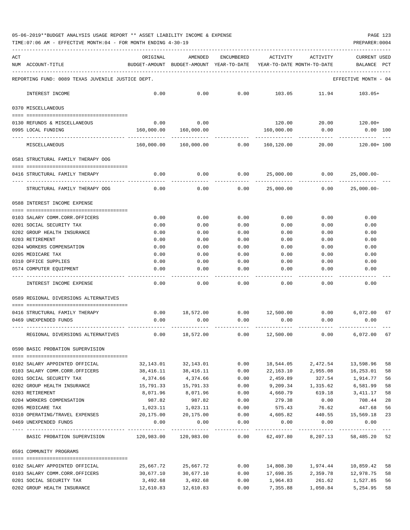| 05-06-2019**BUDGET ANALYSIS USAGE REPORT ** ASSET LIABILITY INCOME & EXPENSE |  |  | PAGE 123 |
|------------------------------------------------------------------------------|--|--|----------|
|                                                                              |  |  |          |

| ACT<br>NUM ACCOUNT-TITLE                                                | ORIGINAL<br>BUDGET-AMOUNT | AMENDED<br>BUDGET-AMOUNT YEAR-TO-DATE | ENCUMBERED   | ACTIVITY<br>YEAR-TO-DATE MONTH-TO-DATE | ACTIVITY                        | <b>CURRENT USED</b><br>BALANCE | PCT      |
|-------------------------------------------------------------------------|---------------------------|---------------------------------------|--------------|----------------------------------------|---------------------------------|--------------------------------|----------|
| REPORTING FUND: 0089 TEXAS JUVENILE JUSTICE DEPT.                       |                           |                                       |              |                                        |                                 | EFFECTIVE MONTH - 04           |          |
| INTEREST INCOME                                                         | 0.00                      | 0.00                                  | 0.00         | 103.05                                 | 11.94                           | 103.05+                        |          |
| 0370 MISCELLANEOUS                                                      |                           |                                       |              |                                        |                                 |                                |          |
| 0130 REFUNDS & MISCELLANEOUS                                            | 0.00                      | 0.00                                  |              | 120.00                                 | 20.00                           | 120.00+                        |          |
| 0995 LOCAL FUNDING                                                      | 160,000.00                | 160,000.00                            |              | 160,000.00                             | 0.00                            | $0.00$ 100                     |          |
| MISCELLANEOUS                                                           | 160,000.00                | 160,000.00                            | 0.00         | 160,120.00                             | 20.00                           | 120.00+ 100                    |          |
| 0581 STRUCTURAL FAMILY THERAPY OOG                                      |                           |                                       |              |                                        |                                 |                                |          |
| 0416 STRUCTURAL FAMILY THERAPY                                          | 0.00                      | 0.00                                  | 0.00         | 25,000.00                              | 0.00                            | $25,000.00 -$                  |          |
| STRUCTURAL FAMILY THERAPY OOG                                           | 0.00                      | 0.00                                  | 0.00         | 25,000.00                              | 0.00                            | $25,000.00-$                   |          |
| 0588 INTEREST INCOME EXPENSE                                            |                           |                                       |              |                                        |                                 |                                |          |
| 0103 SALARY COMM.CORR.OFFICERS                                          | 0.00                      | 0.00                                  | 0.00         | 0.00                                   | 0.00                            | 0.00                           |          |
| 0201 SOCIAL SECURITY TAX                                                | 0.00                      | 0.00                                  | 0.00         | 0.00                                   | 0.00                            | 0.00                           |          |
| 0202 GROUP HEALTH INSURANCE                                             | 0.00                      | 0.00                                  | 0.00         | 0.00                                   | 0.00                            | 0.00                           |          |
| 0203 RETIREMENT                                                         | 0.00                      | 0.00                                  | 0.00         | 0.00                                   | 0.00                            | 0.00                           |          |
| 0204 WORKERS COMPENSATION                                               | 0.00                      | 0.00                                  | 0.00         | 0.00                                   | 0.00                            | 0.00                           |          |
| 0205 MEDICARE TAX                                                       | 0.00                      | 0.00                                  | 0.00         | 0.00                                   | 0.00                            | 0.00                           |          |
| 0310 OFFICE SUPPLIES                                                    | 0.00                      | 0.00                                  | 0.00         | 0.00                                   | 0.00                            | 0.00                           |          |
| 0574 COMPUTER EQUIPMENT                                                 | 0.00                      | 0.00                                  | 0.00         | 0.00                                   | 0.00                            | 0.00                           |          |
| INTEREST INCOME EXPENSE                                                 | 0.00                      | 0.00                                  | ----<br>0.00 | 0.00                                   | 0.00                            | 0.00                           |          |
| 0589 REGIONAL DIVERSIONS ALTERNATIVES                                   |                           |                                       |              |                                        |                                 |                                |          |
| -200000000000000000000000000000000000<br>0416 STRUCTURAL FAMILY THERAPY | 0.00                      | 18,572.00                             |              | $0.00$ 12,500.00                       | 0.00                            | 6,072.00                       | 67       |
| 0469 UNEXPENDED FUNDS                                                   | 0.00                      | 0.00                                  | 0.00         | 0.00                                   | 0.00                            | 0.00                           |          |
|                                                                         |                           |                                       |              |                                        |                                 |                                |          |
| REGIONAL DIVERSIONS ALTERNATIVES                                        | 0.00                      | 18,572.00                             | 0.00         | 12,500.00                              | 0.00                            | 6,072.00                       | 67       |
| 0590 BASIC PROBATION SUPERVISION                                        |                           |                                       |              |                                        |                                 |                                |          |
| 0102 SALARY APPOINTED OFFICIAL                                          | 32,143.01                 | 32,143.01                             | 0.00         | 18,544.05                              | 2,472.54                        | 13,598.96                      | 58       |
| 0103 SALARY COMM.CORR.OFFICERS                                          | 38,416.11                 | 38,416.11                             | 0.00         | 22,163.10                              | 2,955.08                        | 16,253.01                      | 58       |
| 0201 SOCIAL SECURITY TAX                                                | 4,374.66                  | 4,374.66                              | 0.00         | 2,459.89                               | 327.54                          | 1,914.77                       | 56       |
| 0202 GROUP HEALTH INSURANCE                                             | 15,791.33                 | 15,791.33                             | 0.00         | 9,209.34                               | 1,315.62                        | 6,581.99                       | 58       |
| 0203 RETIREMENT                                                         | 8,071.96                  | 8,071.96                              | 0.00         | 4,660.79                               | 619.18                          | 3,411.17                       | 58       |
| 0204 WORKERS COMPENSATION                                               | 987.82                    | 987.82                                | 0.00         | 279.38                                 | 0.00                            | 708.44                         | 28       |
| 0205 MEDICARE TAX                                                       | 1,023.11                  | 1,023.11                              | 0.00         | 575.43                                 | 76.62                           | 447.68                         | 56       |
| 0310 OPERATING/TRAVEL EXPENSES                                          | 20,175.00                 | 20,175.00                             | 0.00         | 4,605.82                               |                                 | 440.55 15,569.18               | 23       |
| 0469 UNEXPENDED FUNDS                                                   | 0.00                      | 0.00                                  | 0.00         | -----------------------------          | $0.00$ 0.00                     | 0.00                           |          |
| BASIC PROBATION SUPERVISION 120,983.00 120,983.00 0.00                  |                           |                                       |              |                                        | 62,497.80 8,207.13 58,485.20 52 |                                |          |
| 0591 COMMUNITY PROGRAMS                                                 |                           |                                       |              |                                        |                                 |                                |          |
| 0102 SALARY APPOINTED OFFICIAL                                          | 25,667.72                 | 25,667.72                             | 0.00         |                                        | 14,808.30 1,974.44              | 10,859.42                      |          |
| 0103 SALARY COMM.CORR.OFFICERS                                          | 30,677.10                 | 30,677.10                             | 0.00         |                                        | 17,698.35 2,359.78              | 12,978.75                      | 58<br>58 |
| 0201 SOCIAL SECURITY TAX                                                | 3,492.68                  | 3,492.68                              | 0.00         | 1,964.83                               | 261.62                          | 1,527.85                       | 56       |
| 0202 GROUP HEALTH INSURANCE                                             | 12,610.83                 | 12,610.83                             | 0.00         |                                        | 7,355.88 1,050.84               | 5,254.95                       | 58       |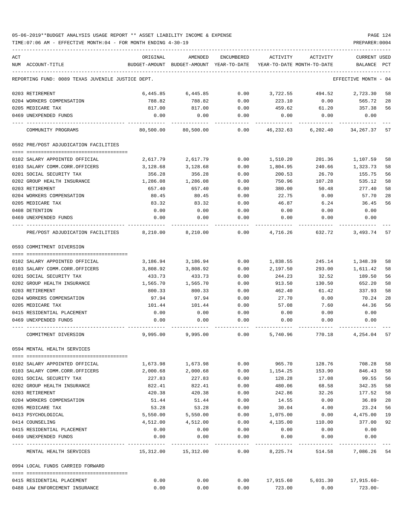| ACT                                                 | ORIGINAL                                   | AMENDED                                  | ENCUMBERED          | ACTIVITY              | ACTIVITY                     | CURRENT USED         |          |
|-----------------------------------------------------|--------------------------------------------|------------------------------------------|---------------------|-----------------------|------------------------------|----------------------|----------|
| NUM ACCOUNT-TITLE                                   |                                            | BUDGET-AMOUNT BUDGET-AMOUNT YEAR-TO-DATE |                     |                       | YEAR-TO-DATE MONTH-TO-DATE   | BALANCE              | PCT      |
| REPORTING FUND: 0089 TEXAS JUVENILE JUSTICE DEPT.   |                                            |                                          |                     |                       |                              | EFFECTIVE MONTH - 04 |          |
| 0203 RETIREMENT                                     | 6,445.85                                   | 6,445.85                                 | 0.00                | 3,722.55              | 494.52 2,723.30              |                      | 58       |
| 0204 WORKERS COMPENSATION                           | 788.82                                     | 788.82                                   | 0.00                | 223.10                | 0.00                         | 565.72               | 28       |
| 0205 MEDICARE TAX                                   | 817.00                                     | 817.00                                   | 0.00                | 459.62                | 61.20                        | 357.38               | 56       |
| 0469 UNEXPENDED FUNDS                               | 0.00                                       | 0.00                                     | 0.00                | 0.00                  | 0.00                         | 0.00                 |          |
| COMMUNITY PROGRAMS                                  |                                            | 80,500.00 80,500.00 0.00                 |                     |                       | 46,232.63 6,202.40 34,267.37 |                      | 57       |
| 0592 PRE/POST ADJUDICATION FACILITIES               |                                            |                                          |                     |                       |                              |                      |          |
|                                                     |                                            |                                          |                     |                       |                              |                      |          |
| 0102 SALARY APPOINTED OFFICIAL                      | 2,617.79                                   | 2,617.79                                 | 0.00                | 1,510.20              | 201.36                       | 1,107.59             | 58       |
| 0103 SALARY COMM.CORR.OFFICERS                      | 3,128.68                                   | 3,128.68                                 | 0.00                | 1,804.95              | 240.66                       | 1,323.73             | 58       |
| 0201 SOCIAL SECURITY TAX                            | 356.28                                     | 356.28                                   | 0.00                | 200.53                | 26.70                        | 155.75               | 56       |
| 0202 GROUP HEALTH INSURANCE                         | 1,286.08                                   | 1,286.08<br>657.40                       | 0.00                | 750.96                | 107.28                       | 535.12               | 58<br>58 |
| 0203 RETIREMENT                                     | 657.40                                     |                                          | 0.00                | 380.00<br>22.75       | 50.48                        | 277.40               |          |
| 0204 WORKERS COMPENSATION<br>0205 MEDICARE TAX      | 80.45<br>83.32                             | 80.45<br>83.32                           | 0.00<br>0.00        | 46.87                 | 0.00<br>6.24                 | 57.70<br>36.45       | 28<br>56 |
| 0408 DETENTION                                      | 0.00                                       | 0.00                                     | 0.00                |                       |                              | 0.00                 |          |
| 0469 UNEXPENDED FUNDS                               | 0.00                                       | 0.00                                     | 0.00                | 0.00<br>0.00          | 0.00<br>0.00                 | 0.00                 |          |
| PRE/POST ADJUDICATION FACILITIES                    | 8,210.00                                   | 8,210.00                                 | 0.00                |                       | 4,716.26 632.72              | 3,493.74             | 57       |
| 0593 COMMITMENT DIVERSION                           |                                            |                                          |                     |                       |                              |                      |          |
|                                                     |                                            |                                          |                     |                       |                              |                      |          |
| 0102 SALARY APPOINTED OFFICIAL                      | 3,186.94                                   | 3,186.94                                 | 0.00                | 1,838.55              | 245.14                       | 1,348.39             | 58       |
| 0103 SALARY COMM.CORR.OFFICERS                      | 3,808.92                                   | 3,808.92                                 | 0.00                | 2,197.50              | 293.00                       | 1,611.42             | 58       |
| 0201 SOCIAL SECURITY TAX                            | 433.73                                     | 433.73                                   | 0.00                | 244.23                | 32.52                        | 189.50               | 56       |
| 0202 GROUP HEALTH INSURANCE                         | 1,565.70                                   | 1,565.70                                 | 0.00                | 913.50                | 130.50                       | 652.20               | 58       |
| 0203 RETIREMENT                                     | 800.33                                     | 800.33                                   | 0.00                | 462.40                | 61.42                        | 337.93               | 58       |
| 0204 WORKERS COMPENSATION                           | 97.94                                      | 97.94                                    | 0.00                | 27.70                 | 0.00                         | 70.24                | 28       |
| 0205 MEDICARE TAX                                   | 101.44                                     | 101.44                                   | 0.00                | 57.08                 | 7.60                         | 44.36                | 56       |
| 0415 RESIDENTIAL PLACEMENT                          | 0.00                                       | 0.00                                     | 0.00                | 0.00                  | 0.00                         | 0.00                 |          |
| 0469 UNEXPENDED FUNDS                               | 0.00                                       | 0.00                                     | 0.00                | 0.00                  | 0.00                         | 0.00                 |          |
| COMMITMENT DIVERSION                                |                                            | 9,995.00 9,995.00                        | 0.00                | 5,740.96              | 770.18                       | 4,254.04             | 57       |
| 0594 MENTAL HEALTH SERVICES                         |                                            |                                          |                     |                       |                              |                      |          |
| 0102 SALARY APPOINTED OFFICIAL                      | 1,673.98                                   | 1,673.98                                 | 0.00                | 965.70                | 128.76                       | 708.28               | 58       |
| 0103 SALARY COMM.CORR.OFFICERS                      | 2,000.68                                   | 2,000.68                                 | 0.00                | 1,154.25              | 153.90                       | 846.43               | 58       |
| 0201 SOCIAL SECURITY TAX                            | 227.83                                     | 227.83                                   | 0.00                | 128.28                | 17.08                        | 99.55                | 56       |
| 0202 GROUP HEALTH INSURANCE                         | 822.41                                     | 822.41                                   | 0.00                | 480.06                | 68.58                        | 342.35               | 58       |
| 0203 RETIREMENT                                     | 420.38                                     | 420.38                                   | 0.00                | 242.86                | 32.26                        | 177.52               | 58       |
| 0204 WORKERS COMPENSATION                           | 51.44                                      | 51.44                                    | 0.00                | 14.55                 | 0.00                         | 36.89                | 28       |
| 0205 MEDICARE TAX                                   | 53.28                                      | 53.28                                    | 0.00                | 30.04                 | 4.00                         | 23.24                | 56       |
| 0413 PSYCHOLOGICAL                                  | 5,550.00                                   | 5,550.00                                 | 0.00                | 1,075.00              | 0.00                         | 4,475.00             | 19       |
| 0414 COUNSELING                                     | 4,512.00                                   | 4,512.00                                 | 0.00                | 4,135.00              | 110.00                       | 377.00               | 92       |
| 0415 RESIDENTIAL PLACEMENT                          | 0.00                                       | 0.00                                     | 0.00                | 0.00                  | 0.00                         | 0.00                 |          |
| 0469 UNEXPENDED FUNDS                               | 0.00                                       | 0.00                                     | 0.00                | 0.00                  | 0.00                         | 0.00                 |          |
| ---- --------------------<br>MENTAL HEALTH SERVICES | --------------- -------------<br>15,312.00 | ----------<br>15,312.00                  | $- - - - -$<br>0.00 | ---------<br>8,225.74 | ------------<br>514.58       | 7,086.26             | 54       |
| 0994 LOCAL FUNDS CARRIED FORWARD                    |                                            |                                          |                     |                       |                              |                      |          |
| 0415 RESIDENTIAL PLACEMENT                          | 0.00                                       | 0.00                                     |                     | $0.00$ 17,915.60      | 5,031.30                     | 17,915.60-           |          |
| 0488 LAW ENFORCEMENT INSURANCE                      | 0.00                                       | 0.00                                     | 0.00                | 723.00                | 0.00                         | 723.00-              |          |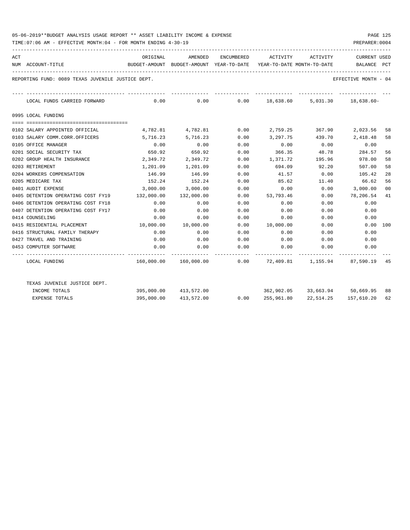|     | 05-06-2019**BUDGET ANALYSIS USAGE REPORT ** ASSET LIABILITY INCOME & EXPENSE<br>PAGE 125<br>TIME: 07:06 AM - EFFECTIVE MONTH: 04 - FOR MONTH ENDING 4-30-19<br>PREPARER: 0004 |                                                                                     |                   |      |                       |        |                                                                |    |  |  |  |
|-----|-------------------------------------------------------------------------------------------------------------------------------------------------------------------------------|-------------------------------------------------------------------------------------|-------------------|------|-----------------------|--------|----------------------------------------------------------------|----|--|--|--|
| ACT |                                                                                                                                                                               | ORIGINAL                                                                            |                   |      |                       |        | AMENDED ENCUMBERED ACTIVITY ACTIVITY CURRENT USED              |    |  |  |  |
|     | NUM ACCOUNT-TITLE                                                                                                                                                             | BUDGET-AMOUNT BUDGET-AMOUNT YEAR-TO-DATE YEAR-TO-DATE MONTH-TO-DATE     BALANCE PCT |                   |      |                       |        |                                                                |    |  |  |  |
|     | REPORTING FUND: 0089 TEXAS JUVENILE JUSTICE DEPT.                                                                                                                             |                                                                                     |                   |      |                       |        | EFFECTIVE MONTH - 04                                           |    |  |  |  |
|     | LOCAL FUNDS CARRIED FORWARD                                                                                                                                                   | $0.00$ $0.00$ $0.00$ $18.638.60$ $5.031.30$ $18.638.60$ $18.638.60$                 |                   |      |                       |        |                                                                |    |  |  |  |
|     | 0995 LOCAL FUNDING                                                                                                                                                            |                                                                                     |                   |      |                       |        |                                                                |    |  |  |  |
|     |                                                                                                                                                                               |                                                                                     |                   |      |                       |        |                                                                |    |  |  |  |
|     | 0102 SALARY APPOINTED OFFICIAL                                                                                                                                                |                                                                                     |                   |      |                       |        | 4,782.81 4,782.81 0.00 2,759.25 367.90 2,023.56                | 58 |  |  |  |
|     | 0103 SALARY COMM.CORR.OFFICERS                                                                                                                                                |                                                                                     | 5,716.23 5,716.23 | 0.00 | 3,297.75 439.70       |        | 2,418.48                                                       | 58 |  |  |  |
|     | 0105 OFFICE MANAGER                                                                                                                                                           | 0.00                                                                                | 0.00              | 0.00 | 0.00                  | 0.00   | 0.00                                                           |    |  |  |  |
|     | 0201 SOCIAL SECURITY TAX                                                                                                                                                      |                                                                                     | 650.92 650.92     | 0.00 |                       |        | 366.35 48.78 284.57                                            | 56 |  |  |  |
|     | 0202 GROUP HEALTH INSURANCE                                                                                                                                                   | 2,349.72                                                                            | 2,349.72          | 0.00 | 1,371.72              | 195.96 | 978.00                                                         | 58 |  |  |  |
|     | 0203 RETIREMENT                                                                                                                                                               | 1,201.09                                                                            | 1,201.09          | 0.00 | 694.09                | 92.20  | 507.00                                                         | 58 |  |  |  |
|     | 0204 WORKERS COMPENSATION                                                                                                                                                     | 146.99                                                                              | 146.99            | 0.00 | 41.57                 | 0.00   | 105.42                                                         | 28 |  |  |  |
|     | 0205 MEDICARE TAX                                                                                                                                                             | 152.24                                                                              | 152.24            | 0.00 | 85.62                 |        | 11.40 66.62                                                    | 56 |  |  |  |
|     | 0401 AUDIT EXPENSE                                                                                                                                                            | 3,000.00                                                                            | 3,000.00          | 0.00 | 0.00                  | 0.00   | 3,000.00                                                       | 00 |  |  |  |
|     | 0405 DETENTION OPERATING COST FY19 132,000.00                                                                                                                                 |                                                                                     | 132,000.00        |      | $0.00$ 53,793.46 0.00 |        | 78,206.54                                                      | 41 |  |  |  |
|     | 0406 DETENTION OPERATING COST FY18                                                                                                                                            | $\sim$ 0.00                                                                         | 0.00              | 0.00 | 0.00                  | 0.00   | 0.00                                                           |    |  |  |  |
|     | 0407 DETENTION OPERATING COST FY17                                                                                                                                            | 0.00                                                                                | 0.00              | 0.00 | 0.00                  | 0.00   | 0.00                                                           |    |  |  |  |
|     | 0414 COUNSELING                                                                                                                                                               | 0.00                                                                                | 0.00              | 0.00 | 0.00                  | 0.00   | 0.00                                                           |    |  |  |  |
|     | 0415 RESIDENTIAL PLACEMENT                                                                                                                                                    | 10,000.00                                                                           | 10,000.00         |      | 0.00 10,000.00        | 0.00   | $0.00$ 100                                                     |    |  |  |  |
|     | 0416 STRUCTURAL FAMILY THERAPY                                                                                                                                                | 0.00                                                                                | 0.00              | 0.00 | 0.00                  | 0.00   | 0.00                                                           |    |  |  |  |
|     | 0427 TRAVEL AND TRAINING                                                                                                                                                      | 0.00                                                                                | 0.00              | 0.00 | 0.00                  | 0.00   | 0.00                                                           |    |  |  |  |
|     | 0453 COMPUTER SOFTWARE                                                                                                                                                        | 0.00                                                                                | 0.00              | 0.00 | 0.00                  | 0.00   | 0.00                                                           |    |  |  |  |
|     | LOCAL FUNDING                                                                                                                                                                 |                                                                                     |                   |      |                       |        | $160,000.00$ $160,000.00$ 0.00 72,409.81 1,155.94 87,590.19 45 |    |  |  |  |

| TEXAS JUVENILE JUSTICE DEPT. |            |            |      |            |           |               |    |
|------------------------------|------------|------------|------|------------|-----------|---------------|----|
| INCOME TOTALS                | 395,000.00 | 413,572.00 |      | 362,902.05 | 33,663.94 | 50,669.95     | 88 |
| EXPENSE TOTALS               | 395,000.00 | 413,572.00 | 0.00 | 255,961.80 | 22,514.25 | 157,610.20 62 |    |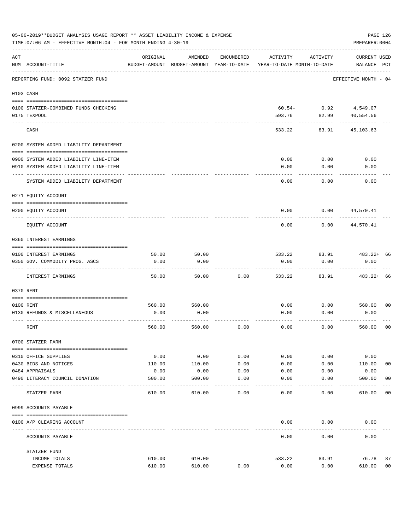|     | 05-06-2019**BUDGET ANALYSIS USAGE REPORT ** ASSET LIABILITY INCOME & EXPENSE<br>TIME: 07:06 AM - EFFECTIVE MONTH: 04 - FOR MONTH ENDING 4-30-19 |          |                                                     |               |                                        |                | PAGE 126<br>PREPARER: 0004         |                |
|-----|-------------------------------------------------------------------------------------------------------------------------------------------------|----------|-----------------------------------------------------|---------------|----------------------------------------|----------------|------------------------------------|----------------|
| ACT | NUM ACCOUNT-TITLE                                                                                                                               | ORIGINAL | AMENDED<br>BUDGET-AMOUNT BUDGET-AMOUNT YEAR-TO-DATE | ENCUMBERED    | ACTIVITY<br>YEAR-TO-DATE MONTH-TO-DATE | ACTIVITY       | <b>CURRENT USED</b><br>BALANCE PCT |                |
|     | REPORTING FUND: 0092 STATZER FUND                                                                                                               |          |                                                     |               |                                        |                | EFFECTIVE MONTH - 04               |                |
|     | 0103 CASH                                                                                                                                       |          |                                                     |               |                                        |                |                                    |                |
|     | 0100 STATZER-COMBINED FUNDS CHECKING                                                                                                            |          |                                                     |               |                                        | $60.54 - 0.92$ | 4,549.07                           |                |
|     | 0175 TEXPOOL                                                                                                                                    |          |                                                     |               | 593.76                                 | 82.99          | 40,554.56                          |                |
|     | CASH                                                                                                                                            |          |                                                     |               | 533.22                                 | 83.91          | 45,103.63                          |                |
|     | 0200 SYSTEM ADDED LIABILITY DEPARTMENT                                                                                                          |          |                                                     |               |                                        |                |                                    |                |
|     | 0900 SYSTEM ADDED LIABILITY LINE-ITEM                                                                                                           |          |                                                     |               | 0.00                                   | 0.00           | 0.00                               |                |
|     | 0910 SYSTEM ADDED LIABILITY LINE-ITEM                                                                                                           |          |                                                     |               | 0.00                                   | 0.00           | 0.00                               |                |
|     | SYSTEM ADDED LIABILITY DEPARTMENT                                                                                                               |          |                                                     |               | 0.00                                   | 0.00           | 0.00                               |                |
|     | 0271 EQUITY ACCOUNT                                                                                                                             |          |                                                     |               |                                        |                |                                    |                |
|     | 0200 EQUITY ACCOUNT                                                                                                                             |          |                                                     |               | 0.00                                   | 0.00           | 44,570.41                          |                |
|     | EQUITY ACCOUNT                                                                                                                                  |          |                                                     |               | 0.00                                   | 0.00           | 44,570.41                          |                |
|     | 0360 INTEREST EARNINGS                                                                                                                          |          |                                                     |               |                                        |                |                                    |                |
|     | 0100 INTEREST EARNINGS                                                                                                                          | 50.00    | 50.00                                               |               | 533.22                                 | 83.91          | 483.22+ 66                         |                |
|     | 0350 GOV. COMMODITY PROG. ASCS                                                                                                                  | 0.00     | 0.00                                                |               | 0.00                                   | 0.00           | 0.00                               |                |
|     | INTEREST EARNINGS                                                                                                                               | 50.00    | 50.00                                               | 0.00          | 533.22                                 | 83.91          | $483.22+66$                        |                |
|     | 0370 RENT                                                                                                                                       |          |                                                     |               |                                        |                |                                    |                |
|     |                                                                                                                                                 |          |                                                     |               |                                        |                |                                    |                |
|     | 0100 RENT                                                                                                                                       | 560.00   | 560.00                                              |               | 0.00                                   | 0.00           | 560.00                             | 00             |
|     | 0130 REFUNDS & MISCELLANEOUS                                                                                                                    | 0.00     | 0.00                                                |               | 0.00                                   | 0.00           | 0.00                               |                |
|     | RENT                                                                                                                                            | 560.00   | 560.00                                              | 0.00          | 0.00                                   | 0.00           | 560.00                             | 0 <sub>0</sub> |
|     | 0700 STATZER FARM                                                                                                                               |          |                                                     |               |                                        |                |                                    |                |
|     | 0310 OFFICE SUPPLIES                                                                                                                            | 0.00     | 0.00                                                | 0.00          | 0.00                                   | 0.00           | 0.00                               |                |
|     | 0430 BIDS AND NOTICES                                                                                                                           | 110.00   | 110.00                                              | 0.00          | 0.00                                   | 0.00           | 110.00                             | 0 <sub>0</sub> |
|     | 0484 APPRAISALS                                                                                                                                 | 0.00     | 0.00                                                | 0.00          | 0.00                                   | 0.00           | 0.00                               |                |
|     | 0490 LITERACY COUNCIL DONATION<br>---------------------                                                                                         | 500.00   | 500.00                                              | 0.00<br>$---$ | 0.00                                   | 0.00           | 500.00                             | 0 <sub>0</sub> |
|     | STATZER FARM                                                                                                                                    | 610.00   | 610.00                                              | 0.00          | 0.00                                   | 0.00           | 610.00                             | 0 <sub>0</sub> |
|     | 0999 ACCOUNTS PAYABLE                                                                                                                           |          |                                                     |               |                                        |                |                                    |                |
|     | 0100 A/P CLEARING ACCOUNT                                                                                                                       |          |                                                     |               | 0.00                                   | 0.00           | 0.00                               |                |
|     | ACCOUNTS PAYABLE                                                                                                                                |          |                                                     |               | 0.00                                   | 0.00           | 0.00                               |                |
|     | STATZER FUND                                                                                                                                    |          |                                                     |               |                                        |                |                                    |                |
|     | INCOME TOTALS                                                                                                                                   | 610.00   | 610.00                                              |               | 533.22                                 | 83.91          | 76.78                              | 87             |
|     | EXPENSE TOTALS                                                                                                                                  | 610.00   | 610.00                                              | 0.00          | 0.00                                   | 0.00           | 610.00                             | 0 <sub>0</sub> |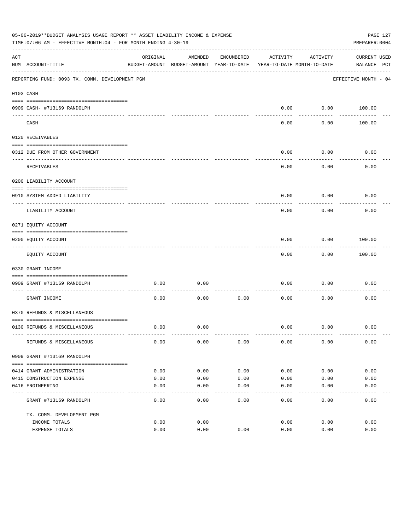|     | 05-06-2019**BUDGET ANALYSIS USAGE REPORT ** ASSET LIABILITY INCOME & EXPENSE<br>PAGE 127<br>TIME: 07:06 AM - EFFECTIVE MONTH: 04 - FOR MONTH ENDING 4-30-19<br>PREPARER: 0004 |          |                                                     |            |                                        |                   |                             |  |  |  |
|-----|-------------------------------------------------------------------------------------------------------------------------------------------------------------------------------|----------|-----------------------------------------------------|------------|----------------------------------------|-------------------|-----------------------------|--|--|--|
| ACT | NUM ACCOUNT-TITLE                                                                                                                                                             | ORIGINAL | AMENDED<br>BUDGET-AMOUNT BUDGET-AMOUNT YEAR-TO-DATE | ENCUMBERED | ACTIVITY<br>YEAR-TO-DATE MONTH-TO-DATE | ACTIVITY          | CURRENT USED<br>BALANCE PCT |  |  |  |
|     | REPORTING FUND: 0093 TX. COMM. DEVELOPMENT PGM                                                                                                                                |          |                                                     |            |                                        |                   | EFFECTIVE MONTH - 04        |  |  |  |
|     | 0103 CASH                                                                                                                                                                     |          |                                                     |            |                                        |                   |                             |  |  |  |
|     | 0909 CASH- #713169 RANDOLPH                                                                                                                                                   |          |                                                     |            | 0.00                                   |                   | $0.00$ 100.00               |  |  |  |
|     | CASH                                                                                                                                                                          |          |                                                     |            | -----<br>0.00                          | ---------<br>0.00 | 100.00                      |  |  |  |
|     | 0120 RECEIVABLES                                                                                                                                                              |          |                                                     |            |                                        |                   |                             |  |  |  |
|     | 0312 DUE FROM OTHER GOVERNMENT                                                                                                                                                |          |                                                     |            | 0.00                                   | 0.00              | 0.00                        |  |  |  |
|     | RECEIVABLES                                                                                                                                                                   |          |                                                     |            | 0.00                                   | ---------<br>0.00 | 0.00                        |  |  |  |
|     | 0200 LIABILITY ACCOUNT                                                                                                                                                        |          |                                                     |            |                                        |                   |                             |  |  |  |
|     | 0910 SYSTEM ADDED LIABILITY                                                                                                                                                   |          |                                                     |            | 0.00                                   | 0.00              | 0.00                        |  |  |  |
|     | ---- ---------------<br>LIABILITY ACCOUNT                                                                                                                                     |          |                                                     |            | 0.00                                   | 0.00              | 0.00                        |  |  |  |
|     | 0271 EQUITY ACCOUNT                                                                                                                                                           |          |                                                     |            |                                        |                   |                             |  |  |  |
|     | 0200 EQUITY ACCOUNT                                                                                                                                                           |          |                                                     |            | 0.00                                   | 0.00              | 100.00                      |  |  |  |
|     | ---------------------------------<br>EQUITY ACCOUNT                                                                                                                           |          |                                                     |            | 0.00                                   | ---------<br>0.00 | . <u>.</u> .<br>100.00      |  |  |  |
|     | 0330 GRANT INCOME                                                                                                                                                             |          |                                                     |            |                                        |                   |                             |  |  |  |
|     | 0909 GRANT #713169 RANDOLPH                                                                                                                                                   | 0.00     | 0.00                                                |            | 0.00                                   | 0.00              | 0.00                        |  |  |  |
|     | -------------------- -<br>GRANT INCOME                                                                                                                                        | 0.00     | 0.00                                                | 0.00       | 0.00                                   | 0.00              | 0.00                        |  |  |  |
|     | 0370 REFUNDS & MISCELLANEOUS                                                                                                                                                  |          |                                                     |            |                                        |                   |                             |  |  |  |
|     |                                                                                                                                                                               |          |                                                     |            |                                        |                   |                             |  |  |  |
|     | 0130 REFUNDS & MISCELLANEOUS                                                                                                                                                  | 0.00     | 0.00                                                |            | 0.00                                   | 0.00              | 0.00                        |  |  |  |
|     | REFUNDS & MISCELLANEOUS                                                                                                                                                       | 0.00     | 0.00                                                | 0.00       | 0.00                                   | 0.00              | 0.00                        |  |  |  |
|     | 0909 GRANT #713169 RANDOLPH                                                                                                                                                   |          |                                                     |            |                                        |                   |                             |  |  |  |
|     | 0414 GRANT ADMINISTRATION                                                                                                                                                     | 0.00     | 0.00                                                | 0.00       | 0.00                                   | 0.00              | 0.00                        |  |  |  |
|     | 0415 CONSTRUCTION EXPENSE                                                                                                                                                     | 0.00     | 0.00                                                | 0.00       | 0.00                                   | 0.00              | 0.00                        |  |  |  |
|     | 0416 ENGINEERING                                                                                                                                                              | 0.00     | 0.00                                                | 0.00       | 0.00                                   | 0.00              | 0.00                        |  |  |  |
|     | GRANT #713169 RANDOLPH                                                                                                                                                        | 0.00     | 0.00                                                | 0.00       | -----<br>0.00                          | 0.00              | 0.00                        |  |  |  |
|     |                                                                                                                                                                               |          |                                                     |            |                                        |                   |                             |  |  |  |
|     | TX. COMM. DEVELOPMENT PGM<br>INCOME TOTALS                                                                                                                                    | 0.00     | 0.00                                                |            | 0.00                                   | 0.00              | 0.00                        |  |  |  |
|     | EXPENSE TOTALS                                                                                                                                                                | 0.00     | 0.00                                                | 0.00       | 0.00                                   | 0.00              | 0.00                        |  |  |  |
|     |                                                                                                                                                                               |          |                                                     |            |                                        |                   |                             |  |  |  |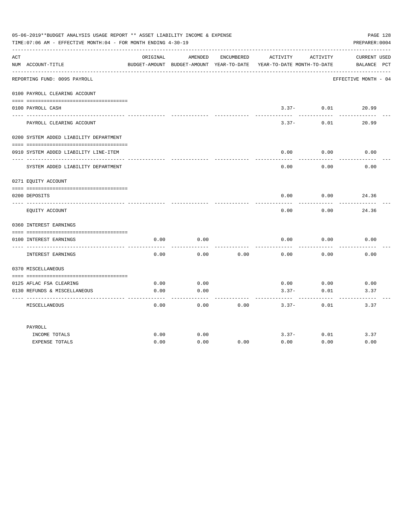|     | 05-06-2019**BUDGET ANALYSIS USAGE REPORT ** ASSET LIABILITY INCOME & EXPENSE<br>TIME: 07:06 AM - EFFECTIVE MONTH: 04 - FOR MONTH ENDING 4-30-19 |          |                       |            |                                                                                          |                   | PAGE 128<br>PREPARER: 0004  |
|-----|-------------------------------------------------------------------------------------------------------------------------------------------------|----------|-----------------------|------------|------------------------------------------------------------------------------------------|-------------------|-----------------------------|
| ACT | NUM ACCOUNT-TITLE                                                                                                                               | ORIGINAL | AMENDED               | ENCUMBERED | ACTIVITY ACTIVITY<br>BUDGET-AMOUNT BUDGET-AMOUNT YEAR-TO-DATE YEAR-TO-DATE MONTH-TO-DATE |                   | CURRENT USED<br>BALANCE PCT |
|     | REPORTING FUND: 0095 PAYROLL                                                                                                                    |          |                       |            |                                                                                          |                   | EFFECTIVE MONTH - 04        |
|     | 0100 PAYROLL CLEARING ACCOUNT                                                                                                                   |          |                       |            |                                                                                          |                   |                             |
|     | 0100 PAYROLL CASH                                                                                                                               |          |                       |            | ----------- ------------                                                                 | $3.37 - 0.01$     | 20.99<br>---------          |
|     | PAYROLL CLEARING ACCOUNT                                                                                                                        |          |                       |            | $3.37 -$                                                                                 | 0.01              | 20.99                       |
|     | 0200 SYSTEM ADDED LIABILITY DEPARTMENT                                                                                                          |          |                       |            |                                                                                          |                   |                             |
|     | 0910 SYSTEM ADDED LIABILITY LINE-ITEM                                                                                                           |          |                       |            | 0.00                                                                                     | 0.00              | 0.00                        |
|     | SYSTEM ADDED LIABILITY DEPARTMENT                                                                                                               |          |                       |            | 0.00                                                                                     | 0.00              | 0.00                        |
|     | 0271 EOUITY ACCOUNT                                                                                                                             |          |                       |            |                                                                                          |                   |                             |
|     | 0200 DEPOSITS                                                                                                                                   |          |                       |            | 0.00                                                                                     | 0.00              | 24.36                       |
|     |                                                                                                                                                 |          |                       |            |                                                                                          |                   |                             |
|     | EQUITY ACCOUNT                                                                                                                                  |          |                       |            | 0.00                                                                                     | 0.00              | 24.36                       |
|     | 0360 INTEREST EARNINGS                                                                                                                          |          |                       |            |                                                                                          |                   |                             |
|     |                                                                                                                                                 |          |                       |            |                                                                                          |                   |                             |
|     | 0100 INTEREST EARNINGS                                                                                                                          | 0.00     | 0.00                  |            | 0.00                                                                                     | 0.00              | 0.00                        |
|     | INTEREST EARNINGS                                                                                                                               | 0.00     | 0.00                  | 0.00       | 0.00                                                                                     | 0.00              | 0.00                        |
|     | 0370 MISCELLANEOUS                                                                                                                              |          |                       |            |                                                                                          |                   |                             |
|     |                                                                                                                                                 |          |                       |            |                                                                                          |                   |                             |
|     | 0125 AFLAC FSA CLEARING                                                                                                                         | 0.00     | 0.00                  |            | 0.00                                                                                     | 0.00              | 0.00                        |
|     | 0130 REFUNDS & MISCELLANEOUS                                                                                                                    | 0.00     | 0.00<br>$\frac{1}{2}$ |            | $3.37-$                                                                                  | 0.01<br>--------- | 3.37                        |
|     | MISCELLANEOUS                                                                                                                                   | 0.00     | 0.00                  | 0.00       | $3.37 -$                                                                                 | 0.01              | 3.37                        |
|     | PAYROLL                                                                                                                                         |          |                       |            |                                                                                          |                   |                             |
|     | INCOME TOTALS                                                                                                                                   | 0.00     | 0.00                  |            | $3.37-$                                                                                  | 0.01              | 3.37                        |
|     | <b>EXPENSE TOTALS</b>                                                                                                                           | 0.00     | 0.00                  | 0.00       | 0.00                                                                                     | 0.00              | 0.00                        |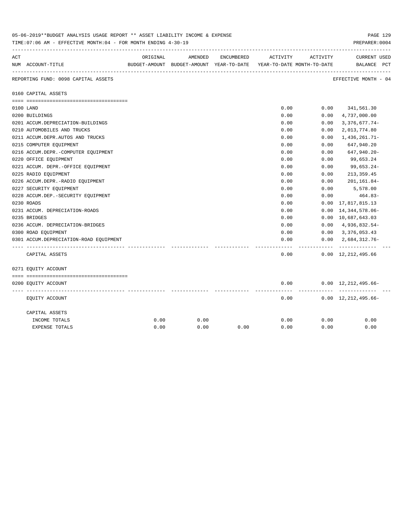|     | 05-06-2019''SUDGET ANALYSIS USAGE REPORT '' ASSET LIABILITY INCOME & EXPENSE<br>PAGE 149<br>TIME: 07:06 AM - EFFECTIVE MONTH: 04 - FOR MONTH ENDING 4-30-19<br>PREPARER: 0004 |          |         |            |                                                                     |          |                                             |  |  |  |  |
|-----|-------------------------------------------------------------------------------------------------------------------------------------------------------------------------------|----------|---------|------------|---------------------------------------------------------------------|----------|---------------------------------------------|--|--|--|--|
| ACT |                                                                                                                                                                               | ORIGINAL | AMENDED | ENCUMBERED | ACTIVITY                                                            | ACTIVITY | <b>CURRENT USED</b>                         |  |  |  |  |
|     | NUM ACCOUNT-TITLE                                                                                                                                                             |          |         |            | BUDGET-AMOUNT BUDGET-AMOUNT YEAR-TO-DATE YEAR-TO-DATE MONTH-TO-DATE |          | BALANCE PCT                                 |  |  |  |  |
|     | REPORTING FUND: 0098 CAPITAL ASSETS                                                                                                                                           |          |         |            |                                                                     |          | EFFECTIVE MONTH - 04                        |  |  |  |  |
|     | 0160 CAPITAL ASSETS                                                                                                                                                           |          |         |            |                                                                     |          |                                             |  |  |  |  |
|     |                                                                                                                                                                               |          |         |            |                                                                     |          |                                             |  |  |  |  |
|     | 0100 LAND                                                                                                                                                                     |          |         |            | 0.00                                                                |          | $0.00$ $341,561.30$                         |  |  |  |  |
|     | 0200 BUILDINGS                                                                                                                                                                |          |         |            | 0.00                                                                | 0.00     | 4,737,000.00                                |  |  |  |  |
|     | 0201 ACCUM.DEPRECIATION-BUILDINGS                                                                                                                                             |          |         |            | 0.00                                                                | 0.00     | $3,376,677.74-$                             |  |  |  |  |
|     | 0210 AUTOMOBILES AND TRUCKS                                                                                                                                                   |          |         |            | 0.00                                                                | 0.00     | 2,013,774.80                                |  |  |  |  |
|     | 0211 ACCUM.DEPR.AUTOS AND TRUCKS                                                                                                                                              |          |         |            | 0.00                                                                | 0.00     | 1,436,261.71-                               |  |  |  |  |
|     | 0215 COMPUTER EQUIPMENT                                                                                                                                                       |          |         |            | 0.00                                                                | 0.00     | 647,940.20                                  |  |  |  |  |
|     | 0216 ACCUM.DEPR.-COMPUTER EQUIPMENT                                                                                                                                           |          |         |            | 0.00                                                                | 0.00     | 647,940.20-                                 |  |  |  |  |
|     | 0220 OFFICE EQUIPMENT                                                                                                                                                         |          |         |            | 0.00                                                                | 0.00     | 99,653.24                                   |  |  |  |  |
|     | 0221 ACCUM. DEPR. - OFFICE EQUIPMENT                                                                                                                                          |          |         |            | 0.00                                                                | 0.00     | 99,653.24-                                  |  |  |  |  |
|     | 0225 RADIO EQUIPMENT                                                                                                                                                          |          |         |            | 0.00                                                                | 0.00     | 213, 359.45                                 |  |  |  |  |
|     | 0226 ACCUM.DEPR.-RADIO EQUIPMENT                                                                                                                                              |          |         |            | 0.00                                                                | 0.00     | 201,161.84-                                 |  |  |  |  |
|     | 0227 SECURITY EQUIPMENT                                                                                                                                                       |          |         |            | 0.00                                                                | 0.00     | 5,578.00                                    |  |  |  |  |
|     | 0228 ACCUM.DEP. - SECURITY EQUIPMENT                                                                                                                                          |          |         |            | 0.00                                                                | 0.00     | 464.83-                                     |  |  |  |  |
|     | 0230 ROADS                                                                                                                                                                    |          |         |            | 0.00                                                                | 0.00     | 17,817,815.13                               |  |  |  |  |
|     | 0231 ACCUM. DEPRECIATION-ROADS                                                                                                                                                |          |         |            | 0.00                                                                | 0.00     | 14, 344, 578.06-                            |  |  |  |  |
|     | 0235 BRIDGES                                                                                                                                                                  |          |         |            | 0.00                                                                |          | 0.00 10,687,643.03                          |  |  |  |  |
|     | 0236 ACCUM. DEPRECIATION-BRIDGES                                                                                                                                              |          |         |            | 0.00                                                                |          | $0.00 \quad 4,936,832.54-$                  |  |  |  |  |
|     | 0300 ROAD EQUIPMENT                                                                                                                                                           |          |         |            | 0.00                                                                |          | $0.00 \quad 3,376,053.43$                   |  |  |  |  |
|     | 0301 ACCUM.DEPRECIATION-ROAD EOUIPMENT                                                                                                                                        |          |         |            | 0.00                                                                |          | $0.00 \quad 2.684.312.76 -$                 |  |  |  |  |
|     | CAPITAL ASSETS                                                                                                                                                                |          |         |            | 0.00                                                                | -------- | -------------<br>$0.00 \quad 12,212,495.66$ |  |  |  |  |
|     | 0271 EQUITY ACCOUNT                                                                                                                                                           |          |         |            |                                                                     |          |                                             |  |  |  |  |
|     |                                                                                                                                                                               |          |         |            |                                                                     |          |                                             |  |  |  |  |
|     | 0200 EQUITY ACCOUNT                                                                                                                                                           |          |         |            | 0.00                                                                |          | $0.00 \quad 12,212,495.66 -$                |  |  |  |  |
|     | EQUITY ACCOUNT                                                                                                                                                                |          |         |            | 0.00                                                                |          | $0.00 \quad 12,212,495.66-$                 |  |  |  |  |
|     | CAPITAL ASSETS                                                                                                                                                                |          |         |            |                                                                     |          |                                             |  |  |  |  |
|     | INCOME TOTALS                                                                                                                                                                 | 0.00     | 0.00    |            | 0.00                                                                | 0.00     | 0.00                                        |  |  |  |  |
|     | <b>EXPENSE TOTALS</b>                                                                                                                                                         | 0.00     | 0.00    | 0.00       | 0.00                                                                | 0.00     | 0.00                                        |  |  |  |  |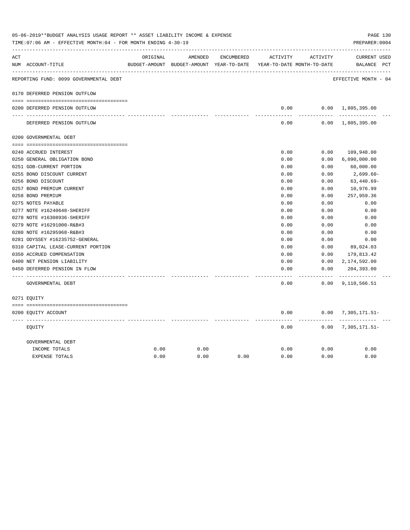| 05-06-2019**BUDGET ANALYSIS USAGE REPORT ** ASSET LIABILITY INCOME & EXPENSE<br>PAGE 130<br>TIME: 07:06 AM - EFFECTIVE MONTH: 04 - FOR MONTH ENDING 4-30-19<br>PREPARER: 0004 |                                                      |          |         |            |                                                                     |               |                                      |  |
|-------------------------------------------------------------------------------------------------------------------------------------------------------------------------------|------------------------------------------------------|----------|---------|------------|---------------------------------------------------------------------|---------------|--------------------------------------|--|
| ACT                                                                                                                                                                           |                                                      | ORIGINAL | AMENDED | ENCUMBERED | ACTIVITY                                                            | ACTIVITY      | CURRENT USED                         |  |
|                                                                                                                                                                               | NUM ACCOUNT-TITLE                                    |          |         |            | BUDGET-AMOUNT BUDGET-AMOUNT YEAR-TO-DATE YEAR-TO-DATE MONTH-TO-DATE |               | BALANCE PCT                          |  |
|                                                                                                                                                                               | REPORTING FUND: 0099 GOVERNMENTAL DEBT               |          |         |            |                                                                     |               | EFFECTIVE MONTH - 04                 |  |
|                                                                                                                                                                               | 0170 DEFERRED PENSION OUTFLOW                        |          |         |            |                                                                     |               |                                      |  |
|                                                                                                                                                                               |                                                      |          |         |            |                                                                     |               |                                      |  |
|                                                                                                                                                                               | 0200 DEFERRED PENSION OUTFLOW<br>------------------- |          |         |            | 0.00<br>-----                                                       | ---------     | $0.00 \quad 1,805,395.00$            |  |
|                                                                                                                                                                               | DEFERRED PENSION OUTFLOW                             |          |         |            | 0.00                                                                |               | $0.00 \quad 1,805,395.00$            |  |
|                                                                                                                                                                               | 0200 GOVERNMENTAL DEBT                               |          |         |            |                                                                     |               |                                      |  |
|                                                                                                                                                                               |                                                      |          |         |            |                                                                     |               |                                      |  |
|                                                                                                                                                                               | 0240 ACCRUED INTEREST                                |          |         |            | 0.00                                                                | 0.00          | 109,948.00                           |  |
|                                                                                                                                                                               | 0250 GENERAL OBLIGATION BOND                         |          |         |            | 0.00                                                                | 0.00          | 6,090,000.00                         |  |
|                                                                                                                                                                               | 0251 GOB-CURRENT PORTION                             |          |         |            | 0.00                                                                | 0.00          | 60,000.00                            |  |
|                                                                                                                                                                               | 0255 BOND DISCOUNT CURRENT                           |          |         |            | 0.00                                                                | 0.00          | 2,699.60-                            |  |
|                                                                                                                                                                               | 0256 BOND DISCOUNT                                   |          |         |            | 0.00                                                                | 0.00          | $63,440.69-$                         |  |
|                                                                                                                                                                               | 0257 BOND PREMIUM CURRENT                            |          |         |            | 0.00                                                                | 0.00          | 10,976.99                            |  |
|                                                                                                                                                                               | 0258 BOND PREMIUM                                    |          |         |            | 0.00                                                                | 0.00          | 257,959.36                           |  |
|                                                                                                                                                                               | 0275 NOTES PAYABLE                                   |          |         |            | 0.00                                                                | 0.00          | 0.00                                 |  |
|                                                                                                                                                                               | 0277 NOTE #16240648-SHERIFF                          |          |         |            | 0.00                                                                | 0.00          | 0.00                                 |  |
|                                                                                                                                                                               | 0278 NOTE #16308936-SHERIFF                          |          |         |            | 0.00                                                                | 0.00          | 0.00                                 |  |
|                                                                                                                                                                               | 0279 NOTE #16291000-R&B#3                            |          |         |            | 0.00                                                                | 0.00          | 0.00                                 |  |
|                                                                                                                                                                               | 0280 NOTE #16295968-R&B#3                            |          |         |            | 0.00                                                                | 0.00          | 0.00                                 |  |
|                                                                                                                                                                               | 0281 ODYSSEY #16235752-GENERAL                       |          |         |            | 0.00                                                                | 0.00          | 0.00                                 |  |
|                                                                                                                                                                               | 0310 CAPITAL LEASE-CURRENT PORTION                   |          |         |            | 0.00                                                                | 0.00          | 89,024.03                            |  |
|                                                                                                                                                                               | 0350 ACCRUED COMPENSATION                            |          |         |            | 0.00                                                                | 0.00          | 179,813.42                           |  |
|                                                                                                                                                                               | 0400 NET PENSION LIABILITY                           |          |         |            | 0.00                                                                | 0.00          | 2,174,592.00                         |  |
|                                                                                                                                                                               | 0450 DEFERRED PENSION IN FLOW                        |          |         |            | 0.00                                                                | 0.00          | 204,393.00                           |  |
|                                                                                                                                                                               | GOVERNMENTAL DEBT                                    |          |         |            | 0.00                                                                | $- - - - - -$ | -----------<br>$0.00$ 9, 110, 566.51 |  |
|                                                                                                                                                                               | 0271 EOUITY                                          |          |         |            |                                                                     |               |                                      |  |
|                                                                                                                                                                               |                                                      |          |         |            |                                                                     |               |                                      |  |
|                                                                                                                                                                               | 0200 EQUITY ACCOUNT                                  |          |         |            | 0.00                                                                |               | $0.00$ 7, 305, 171.51-               |  |
|                                                                                                                                                                               | EOUITY                                               |          |         |            | 0.00                                                                |               | $0.00$ 7, 305, 171.51-               |  |
|                                                                                                                                                                               | GOVERNMENTAL DEBT                                    |          |         |            |                                                                     |               |                                      |  |
|                                                                                                                                                                               | INCOME TOTALS                                        | 0.00     | 0.00    |            | 0.00                                                                | 0.00          | 0.00                                 |  |
|                                                                                                                                                                               | <b>EXPENSE TOTALS</b>                                | 0.00     | 0.00    | 0.00       | 0.00                                                                | 0.00          | 0.00                                 |  |